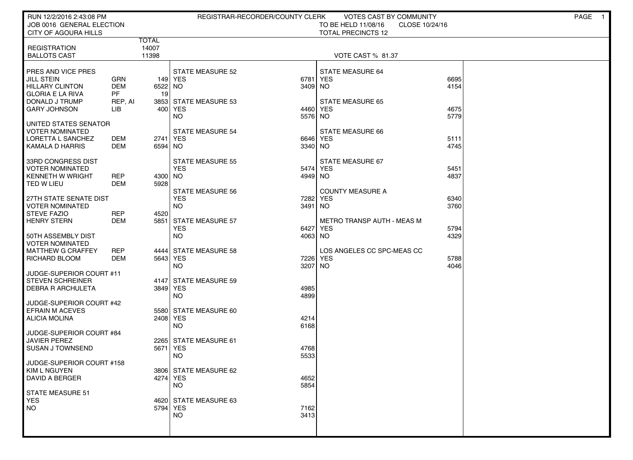| RUN 12/2/2016 2:43:08 PM<br>JOB 0016 GENERAL ELECTION<br>CITY OF AGOURA HILLS                           |                                            |                         | REGISTRAR-RECORDER/COUNTY CLERK                               |                     | <b>VOTES CAST BY COMMUNITY</b><br>TO BE HELD 11/08/16<br>CLOSE 10/24/16<br><b>TOTAL PRECINCTS 12</b> |              | PAGE<br>- 1 |
|---------------------------------------------------------------------------------------------------------|--------------------------------------------|-------------------------|---------------------------------------------------------------|---------------------|------------------------------------------------------------------------------------------------------|--------------|-------------|
| <b>REGISTRATION</b><br><b>BALLOTS CAST</b>                                                              |                                            | TOTAL<br>14007<br>11398 |                                                               |                     | VOTE CAST % 81.37                                                                                    |              |             |
| PRES AND VICE PRES<br><b>JILL STEIN</b><br>HILLARY CLINTON<br><b>GLORIA E LA RIVA</b><br>DONALD J TRUMP | <b>GRN</b><br><b>DEM</b><br>PF.<br>REP, AI | 6522 NO<br>19           | <b>STATE MEASURE 52</b><br>149   YES<br>3853 STATE MEASURE 53 | 6781<br>3409 NO     | <b>STATE MEASURE 64</b><br><b>YES</b><br><b>STATE MEASURE 65</b>                                     | 6695<br>4154 |             |
| <b>GARY JOHNSON</b><br>UNITED STATES SENATOR                                                            | LІВ                                        |                         | 400 YES<br>NO                                                 | 4460 YES<br>5576 NO |                                                                                                      | 4675<br>5779 |             |
| VOTER NOMINATED<br>LORETTA L SANCHEZ<br>  KAMALA D HARRIS                                               | DEM<br>DEM                                 | 2741 YES<br>6594 NO     | <b>STATE MEASURE 54</b>                                       | 6646 YES<br>3340 NO | STATE MEASURE 66                                                                                     | 5111<br>4745 |             |
| 33RD CONGRESS DIST<br><b>VOTER NOMINATED</b><br>KENNETH W WRIGHT<br>TED W LIEU                          | <b>REP</b><br>DEM                          | 4300 NO<br>5928         | <b>STATE MEASURE 55</b><br><b>YES</b>                         | 5474 YES<br>4949 NO | STATE MEASURE 67                                                                                     | 5451<br>4837 |             |
| 27TH STATE SENATE DIST<br><b>VOTER NOMINATED</b><br><b>STEVE FAZIO</b>                                  | <b>REP</b>                                 | 4520                    | <b>STATE MEASURE 56</b><br><b>YES</b><br><b>NO</b>            | 7282<br>3491        | <b>COUNTY MEASURE A</b><br><b>YES</b><br>NO.                                                         | 6340<br>3760 |             |
| <b>HENRY STERN</b><br>50TH ASSEMBLY DIST<br><b>VOTER NOMINATED</b>                                      | <b>DEM</b>                                 |                         | 5851 STATE MEASURE 57<br><b>YES</b><br><b>NO</b>              | 6427<br>4063 NO     | <b>METRO TRANSP AUTH - MEAS M</b><br><b>YES</b>                                                      | 5794<br>4329 |             |
| <b>MATTHEW G CRAFFEY</b><br>RICHARD BLOOM<br>JUDGE-SUPERIOR COURT #11                                   | <b>REP</b><br><b>DEM</b>                   | 5643 YES                | 4444 STATE MEASURE 58<br><b>NO</b>                            | 7226 YES<br>3207    | LOS ANGELES CC SPC-MEAS CC<br><b>NO</b>                                                              | 5788<br>4046 |             |
| <b>STEVEN SCHREINER</b><br><b>DEBRA R ARCHULETA</b>                                                     |                                            | 3849 YES                | 4147 STATE MEASURE 59<br><b>NO</b>                            | 4985<br>4899        |                                                                                                      |              |             |
| JUDGE-SUPERIOR COURT #42<br><b>EFRAIN M ACEVES</b><br>ALICIA MOLINA                                     |                                            | 2408 YES                | 5580 STATE MEASURE 60<br><b>NO</b>                            | 4214<br>6168        |                                                                                                      |              |             |
| JUDGE-SUPERIOR COURT #84<br><b>JAVIER PEREZ</b><br>SUSAN J TOWNSEND                                     |                                            | 5671 YES                | 2265 STATE MEASURE 61<br><b>NO</b>                            | 4768<br>5533        |                                                                                                      |              |             |
| JUDGE-SUPERIOR COURT #158<br>  KIM L NGUYEN<br>DAVID A BERGER                                           |                                            | 4274 YES                | 3806   STATE MEASURE 62<br><b>NO</b>                          | 4652<br>5854        |                                                                                                      |              |             |
| STATE MEASURE 51<br><b>YES</b><br><b>NO</b>                                                             |                                            | 5794 YES                | 4620 STATE MEASURE 63<br><b>NO</b>                            | 7162<br>3413        |                                                                                                      |              |             |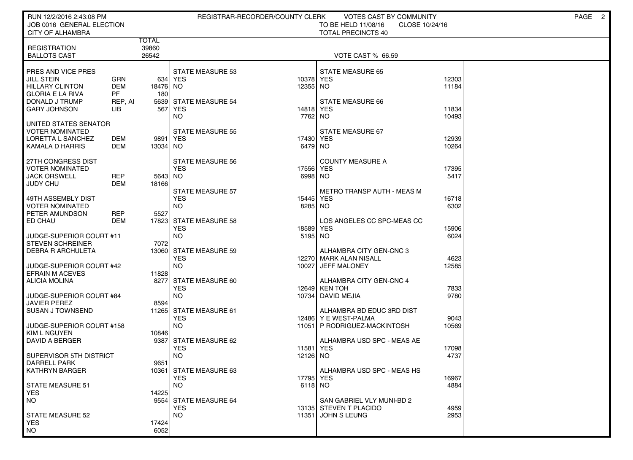| RUN 12/2/2016 2:43:08 PM                        |                      |                |                                       | REGISTRAR-RECORDER/COUNTY CLERK | VOTES CAST BY COMMUNITY                         |              | PAGE 2 |
|-------------------------------------------------|----------------------|----------------|---------------------------------------|---------------------------------|-------------------------------------------------|--------------|--------|
| JOB 0016 GENERAL ELECTION                       |                      |                |                                       |                                 | TO BE HELD 11/08/16<br>CLOSE 10/24/16           |              |        |
| <b>CITY OF ALHAMBRA</b>                         |                      |                |                                       |                                 | <b>TOTAL PRECINCTS 40</b>                       |              |        |
| <b>REGISTRATION</b>                             |                      | TOTAL<br>39860 |                                       |                                 |                                                 |              |        |
| <b>BALLOTS CAST</b>                             |                      | 26542          |                                       |                                 | VOTE CAST % 66.59                               |              |        |
|                                                 |                      |                |                                       |                                 |                                                 |              |        |
| PRES AND VICE PRES                              |                      |                | <b>STATE MEASURE 53</b>               |                                 | <b>STATE MEASURE 65</b>                         |              |        |
| JILL STEIN                                      | GRN                  |                | 634   YES                             | 10378                           | <b>YES</b>                                      | 12303        |        |
| <b>HILLARY CLINTON</b>                          | <b>DEM</b>           | 18476 NO       |                                       | 12355 NO                        |                                                 | 11184        |        |
| <b>GLORIA E LA RIVA</b><br>DONALD J TRUMP       | <b>PF</b><br>REP, AI | 180            | 5639 STATE MEASURE 54                 |                                 | STATE MEASURE 66                                |              |        |
| GARY JOHNSON                                    | LIB                  | 567            | YES                                   | 14818                           | <b>YES</b>                                      | 11834        |        |
|                                                 |                      |                | NO.                                   | 7762                            | NO.                                             | 10493        |        |
| UNITED STATES SENATOR                           |                      |                |                                       |                                 |                                                 |              |        |
| <b>VOTER NOMINATED</b>                          |                      |                | STATE MEASURE 55                      |                                 | STATE MEASURE 67                                |              |        |
| LORETTA L SANCHEZ                               | DEM                  | 9891           | YES                                   | 17430                           | <b>YES</b>                                      | 12939        |        |
| KAMALA D HARRIS                                 | DEM                  | 13034 NO       |                                       | 6479 NO                         |                                                 | 10264        |        |
| 27TH CONGRESS DIST                              |                      |                | STATE MEASURE 56                      |                                 | <b>COUNTY MEASURE A</b>                         |              |        |
| VOTER NOMINATED                                 |                      |                | <b>YES</b>                            | 17556                           | <b>YES</b>                                      | 17395        |        |
| JACK ORSWELL                                    | REP                  | 5643 NO        |                                       | 6998                            | NO                                              | 5417         |        |
| JUDY CHU                                        | <b>DEM</b>           | 18166          |                                       |                                 |                                                 |              |        |
| 49TH ASSEMBLY DIST                              |                      |                | <b>STATE MEASURE 57</b><br><b>YES</b> | 15445                           | <b>METRO TRANSP AUTH - MEAS M</b><br><b>YES</b> | 16718        |        |
| VOTER NOMINATED                                 |                      |                | NO.                                   | 8285                            | NO.                                             | 6302         |        |
| PETER AMUNDSON                                  | REP                  | 5527           |                                       |                                 |                                                 |              |        |
| ED CHAU                                         | DEM                  |                | 17823 STATE MEASURE 58                |                                 | LOS ANGELES CC SPC-MEAS CC                      |              |        |
|                                                 |                      |                | YES                                   | 18589                           | <b>YES</b>                                      | 15906        |        |
| JUDGE-SUPERIOR COURT #11                        |                      |                | <b>NO</b>                             | 5195 NO                         |                                                 | 6024         |        |
| <b>STEVEN SCHREINER</b><br>DEBRA R ARCHULETA    |                      | 7072<br>13060  | <b>STATE MEASURE 59</b>               |                                 | ALHAMBRA CITY GEN-CNC 3                         |              |        |
|                                                 |                      |                | <b>YES</b>                            |                                 | 12270   MARK ALAN NISALL                        | 4623         |        |
| JUDGE-SUPERIOR COURT #42                        |                      |                | NO.                                   | 10027                           | <b>JEFF MALONEY</b>                             | 12585        |        |
| <b>EFRAIN M ACEVES</b>                          |                      | 11828          |                                       |                                 |                                                 |              |        |
| <b>ALICIA MOLINA</b>                            |                      | 8277           | STATE MEASURE 60                      |                                 | ALHAMBRA CITY GEN-CNC 4                         |              |        |
|                                                 |                      |                | <b>YES</b><br><b>NO</b>               |                                 | 12649 KEN TOH                                   | 7833<br>9780 |        |
| JUDGE-SUPERIOR COURT #84<br><b>JAVIER PEREZ</b> |                      | 8594           |                                       | 10734                           | DAVID MEJIA                                     |              |        |
| <b>SUSAN J TOWNSEND</b>                         |                      |                | 11265 STATE MEASURE 61                |                                 | ALHAMBRA BD EDUC 3RD DIST                       |              |        |
|                                                 |                      |                | <b>YES</b>                            | 12486                           | Y E WEST-PALMA                                  | 9043         |        |
| JUDGE-SUPERIOR COURT #158                       |                      |                | NO.                                   | 11051                           | P RODRIGUEZ-MACKINTOSH                          | 10569        |        |
| <b>KIM L NGUYEN</b>                             |                      | 10846          |                                       |                                 |                                                 |              |        |
| <b>DAVID A BERGER</b>                           |                      |                | 9387 STATE MEASURE 62<br><b>YES</b>   | 11581                           | ALHAMBRA USD SPC - MEAS AE<br><b>YES</b>        | 17098        |        |
| SUPERVISOR 5TH DISTRICT                         |                      |                | <b>NO</b>                             | 12126                           | NO.                                             | 4737         |        |
| <b>DARRELL PARK</b>                             |                      | 9651           |                                       |                                 |                                                 |              |        |
| <b>KATHRYN BARGER</b>                           |                      |                | 10361 STATE MEASURE 63                |                                 | ALHAMBRA USD SPC - MEAS HS                      |              |        |
|                                                 |                      |                | <b>YES</b>                            | 17795 YES                       |                                                 | 16967        |        |
| <b>STATE MEASURE 51</b>                         |                      |                | NO.                                   | 6118 NO                         |                                                 | 4884         |        |
| <b>YES</b><br><b>NO</b>                         |                      | 14225          | 9554 STATE MEASURE 64                 |                                 | SAN GABRIEL VLY MUNI-BD 2                       |              |        |
|                                                 |                      |                | <b>YES</b>                            |                                 | 13135 STEVEN T PLACIDO                          | 4959         |        |
| <b>STATE MEASURE 52</b>                         |                      |                | <b>NO</b>                             | 11351                           | JOHN S LEUNG                                    | 2953         |        |
| <b>YES</b>                                      |                      | 17424          |                                       |                                 |                                                 |              |        |
| <b>NO</b>                                       |                      | 6052           |                                       |                                 |                                                 |              |        |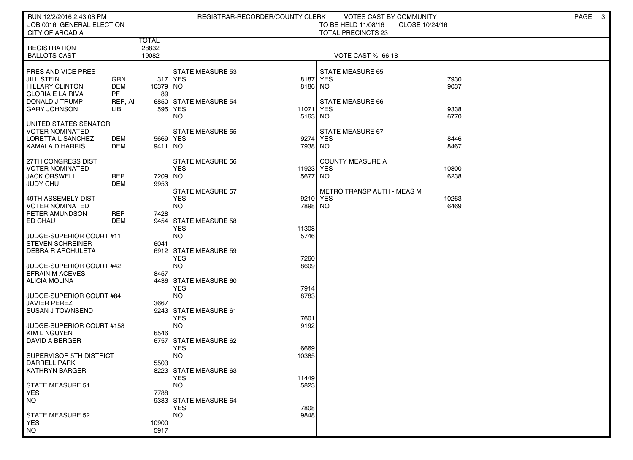| RUN 12/2/2016 2:43:08 PM                            |                          |                |                                     | REGISTRAR-RECORDER/COUNTY CLERK | VOTES CAST BY COMMUNITY                          |                | PAGE 3 |
|-----------------------------------------------------|--------------------------|----------------|-------------------------------------|---------------------------------|--------------------------------------------------|----------------|--------|
| JOB 0016 GENERAL ELECTION<br><b>CITY OF ARCADIA</b> |                          |                |                                     |                                 | TO BE HELD 11/08/16<br><b>TOTAL PRECINCTS 23</b> | CLOSE 10/24/16 |        |
|                                                     |                          | TOTAL          |                                     |                                 |                                                  |                |        |
| <b>REGISTRATION</b><br><b>BALLOTS CAST</b>          |                          | 28832<br>19082 |                                     |                                 | VOTE CAST % 66.18                                |                |        |
|                                                     |                          |                |                                     |                                 |                                                  |                |        |
| PRES AND VICE PRES                                  |                          |                | <b>STATE MEASURE 53</b>             |                                 | <b>STATE MEASURE 65</b>                          |                |        |
| <b>JILL STEIN</b><br><b>HILLARY CLINTON</b>         | GRN<br><b>DEM</b>        | 10379 NO       | 317 YES                             | 8187<br>8186 NO                 | YES                                              | 7930<br>9037   |        |
| <b>GLORIA E LA RIVA</b>                             | <b>PF</b>                | 89             |                                     |                                 |                                                  |                |        |
| DONALD J TRUMP                                      | REP, AI                  |                | 6850 STATE MEASURE 54               |                                 | STATE MEASURE 66                                 |                |        |
| <b>GARY JOHNSON</b>                                 | LІВ                      |                | 595   YES<br><b>NO</b>              | 11071<br>5163 NO                | <b>YES</b>                                       | 9338<br>6770   |        |
| UNITED STATES SENATOR                               |                          |                |                                     |                                 |                                                  |                |        |
| <b>VOTER NOMINATED</b><br>LORETTA L SANCHEZ         | DEM                      | 5669 YES       | <b>STATE MEASURE 55</b>             | 9274                            | STATE MEASURE 67<br>YES                          | 8446           |        |
| KAMALA D HARRIS                                     | DEM                      | 9411 NO        |                                     | 7938 NO                         |                                                  | 8467           |        |
|                                                     |                          |                |                                     |                                 |                                                  |                |        |
| 27TH CONGRESS DIST<br><b>VOTER NOMINATED</b>        |                          |                | STATE MEASURE 56<br><b>YES</b>      | 11923 YES                       | <b>COUNTY MEASURE A</b>                          | 10300          |        |
| <b>JACK ORSWELL</b>                                 | <b>REP</b>               | 7209 NO        |                                     | 5677 NO                         |                                                  | 6238           |        |
| <b>JUDY CHU</b>                                     | <b>DEM</b>               | 9953           | <b>STATE MEASURE 57</b>             |                                 | METRO TRANSP AUTH - MEAS M                       |                |        |
| 49TH ASSEMBLY DIST                                  |                          |                | <b>YES</b>                          | 9210 YES                        |                                                  | 10263          |        |
| <b>VOTER NOMINATED</b>                              |                          |                | NO                                  | 7898 NO                         |                                                  | 6469           |        |
| PETER AMUNDSON<br>ED CHAU                           | <b>REP</b><br><b>DEM</b> | 7428           | 9454 STATE MEASURE 58               |                                 |                                                  |                |        |
|                                                     |                          |                | <b>YES</b>                          | 11308                           |                                                  |                |        |
| JUDGE-SUPERIOR COURT #11                            |                          |                | <b>NO</b>                           | 5746                            |                                                  |                |        |
| <b>STEVEN SCHREINER</b><br><b>DEBRA R ARCHULETA</b> |                          | 6041           | 6912 STATE MEASURE 59               |                                 |                                                  |                |        |
|                                                     |                          |                | <b>YES</b>                          | 7260                            |                                                  |                |        |
| JUDGE-SUPERIOR COURT #42<br><b>EFRAIN M ACEVES</b>  |                          | 8457           | <b>NO</b>                           | 8609                            |                                                  |                |        |
| <b>ALICIA MOLINA</b>                                |                          |                | 4436 STATE MEASURE 60               |                                 |                                                  |                |        |
|                                                     |                          |                | <b>YES</b>                          | 7914                            |                                                  |                |        |
| JUDGE-SUPERIOR COURT #84<br><b>JAVIER PEREZ</b>     |                          | 3667           | NO                                  | 8783                            |                                                  |                |        |
| <b>SUSAN J TOWNSEND</b>                             |                          |                | 9243 STATE MEASURE 61               |                                 |                                                  |                |        |
| JUDGE-SUPERIOR COURT #158                           |                          |                | <b>YES</b><br>NO                    | 7601<br>9192                    |                                                  |                |        |
| <b>KIM L NGUYEN</b>                                 |                          | 6546           |                                     |                                 |                                                  |                |        |
| <b>DAVID A BERGER</b>                               |                          |                | 6757 STATE MEASURE 62               |                                 |                                                  |                |        |
| SUPERVISOR 5TH DISTRICT                             |                          |                | <b>YES</b><br><b>NO</b>             | 6669<br>10385                   |                                                  |                |        |
| <b>DARRELL PARK</b>                                 |                          | 5503           |                                     |                                 |                                                  |                |        |
| <b>KATHRYN BARGER</b>                               |                          |                | 8223 STATE MEASURE 63<br><b>YES</b> | 11449                           |                                                  |                |        |
| STATE MEASURE 51                                    |                          |                | <b>NO</b>                           | 5823                            |                                                  |                |        |
| <b>YES</b>                                          |                          | 7788           |                                     |                                 |                                                  |                |        |
| <b>NO</b>                                           |                          |                | 9383 STATE MEASURE 64<br><b>YES</b> | 7808                            |                                                  |                |        |
| <b>STATE MEASURE 52</b>                             |                          |                | <b>NO</b>                           | 9848                            |                                                  |                |        |
| <b>YES</b>                                          |                          | 10900          |                                     |                                 |                                                  |                |        |
| <b>NO</b>                                           |                          | 5917           |                                     |                                 |                                                  |                |        |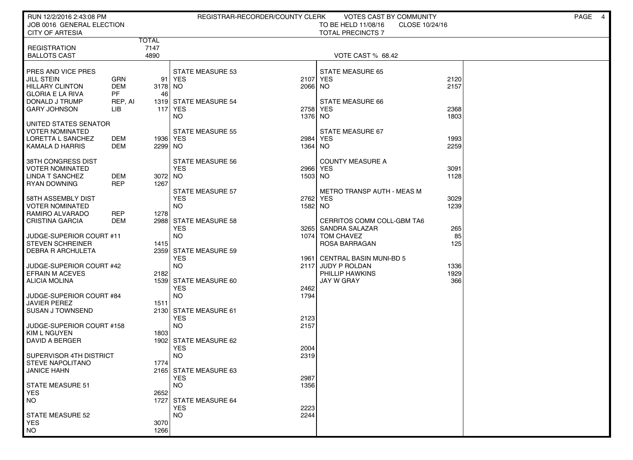| RUN 12/2/2016 2:43:08 PM                         |            |              |                                       | REGISTRAR-RECORDER/COUNTY CLERK | VOTES CAST BY COMMUNITY                  |                | PAGE<br>$\overline{4}$ |
|--------------------------------------------------|------------|--------------|---------------------------------------|---------------------------------|------------------------------------------|----------------|------------------------|
| JOB 0016 GENERAL ELECTION                        |            |              |                                       |                                 | TO BE HELD 11/08/16                      | CLOSE 10/24/16 |                        |
| <b>CITY OF ARTESIA</b>                           |            |              |                                       |                                 | <b>TOTAL PRECINCTS 7</b>                 |                |                        |
|                                                  |            | <b>TOTAL</b> |                                       |                                 |                                          |                |                        |
| <b>REGISTRATION</b><br><b>BALLOTS CAST</b>       |            | 7147<br>4890 |                                       |                                 | VOTE CAST % 68.42                        |                |                        |
|                                                  |            |              |                                       |                                 |                                          |                |                        |
| PRES AND VICE PRES                               |            |              | <b>STATE MEASURE 53</b>               |                                 | <b>STATE MEASURE 65</b>                  |                |                        |
| <b>JILL STEIN</b>                                | GRN        | 91           | YES                                   | 2107                            | YES                                      | 2120           |                        |
| <b>HILLARY CLINTON</b>                           | DEM        | 3178 NO      |                                       | 2066 NO                         |                                          | 2157           |                        |
| <b>GLORIA E LA RIVA</b>                          | <b>PF</b>  | 46           |                                       |                                 |                                          |                |                        |
| DONALD J TRUMP                                   | REP, AI    |              | 1319 STATE MEASURE 54                 |                                 | STATE MEASURE 66                         |                |                        |
| <b>GARY JOHNSON</b>                              | LІВ        |              | 117 YES<br>NO.                        | 2758<br>1376                    | <b>YES</b><br>NO.                        | 2368<br>1803   |                        |
| UNITED STATES SENATOR                            |            |              |                                       |                                 |                                          |                |                        |
| VOTER NOMINATED                                  |            |              | <b>STATE MEASURE 55</b>               |                                 | STATE MEASURE 67                         |                |                        |
| LORETTA L SANCHEZ                                | DEM        | 1936   YES   |                                       | 2984                            | YES.                                     | 1993           |                        |
| KAMALA D HARRIS                                  | DEM        | 2299 NO      |                                       | 1364                            | NO.                                      | 2259           |                        |
|                                                  |            |              |                                       |                                 |                                          |                |                        |
| 38TH CONGRESS DIST                               |            |              | <b>STATE MEASURE 56</b>               |                                 | <b>COUNTY MEASURE A</b>                  |                |                        |
| <b>VOTER NOMINATED</b><br><b>LINDA T SANCHEZ</b> | DEM        | 3072 NO      | <b>YES</b>                            | 2966<br>1503 NO                 | YES                                      | 3091<br>1128   |                        |
| <b>RYAN DOWNING</b>                              | <b>REP</b> | 1267         |                                       |                                 |                                          |                |                        |
|                                                  |            |              | <b>STATE MEASURE 57</b>               |                                 | <b>METRO TRANSP AUTH - MEAS M</b>        |                |                        |
| 58TH ASSEMBLY DIST                               |            |              | <b>YES</b>                            | 2762 YES                        |                                          | 3029           |                        |
| <b>VOTER NOMINATED</b>                           |            |              | NO.                                   | 1582 NO                         |                                          | 1239           |                        |
| RAMIRO ALVARADO                                  | <b>REP</b> | 1278         |                                       |                                 |                                          |                |                        |
| <b>CRISTINA GARCIA</b>                           | DEM        |              | 2988 STATE MEASURE 58                 |                                 | CERRITOS COMM COLL-GBM TA6               |                |                        |
| JUDGE-SUPERIOR COURT #11                         |            |              | <b>YES</b><br><b>NO</b>               |                                 | 3265   SANDRA SALAZAR<br>1074 TOM CHAVEZ | 265<br>85      |                        |
| <b>STEVEN SCHREINER</b>                          |            | 1415         |                                       |                                 | ROSA BARRAGAN                            | 125            |                        |
| DEBRA R ARCHULETA                                |            |              | 2359 STATE MEASURE 59                 |                                 |                                          |                |                        |
|                                                  |            |              | <b>YES</b>                            | 1961                            | <b>CENTRAL BASIN MUNI-BD 5</b>           |                |                        |
| JUDGE-SUPERIOR COURT #42                         |            |              | <b>NO</b>                             |                                 | 2117 JUDY P ROLDAN                       | 1336           |                        |
| <b>EFRAIN M ACEVES</b>                           |            | 2182         |                                       |                                 | PHILLIP HAWKINS                          | 1929           |                        |
| <b>ALICIA MOLINA</b>                             |            |              | 1539 STATE MEASURE 60<br><b>YES</b>   | 2462                            | JAY W GRAY                               | 366            |                        |
| JUDGE-SUPERIOR COURT #84                         |            |              | <b>NO</b>                             | 1794                            |                                          |                |                        |
| <b>JAVIER PEREZ</b>                              |            | 1511         |                                       |                                 |                                          |                |                        |
| <b>SUSAN J TOWNSEND</b>                          |            |              | 2130 STATE MEASURE 61                 |                                 |                                          |                |                        |
|                                                  |            |              | <b>YES</b>                            | 2123                            |                                          |                |                        |
| JUDGE-SUPERIOR COURT #158                        |            |              | <b>NO</b>                             | 2157                            |                                          |                |                        |
| KIM L NGUYEN                                     |            | 1803         |                                       |                                 |                                          |                |                        |
| DAVID A BERGER                                   |            |              | 1902 STATE MEASURE 62<br><b>YES</b>   | 2004                            |                                          |                |                        |
| SUPERVISOR 4TH DISTRICT                          |            |              | <b>NO</b>                             | 2319                            |                                          |                |                        |
| <b>STEVE NAPOLITANO</b>                          |            | 1774         |                                       |                                 |                                          |                |                        |
| <b>JANICE HAHN</b>                               |            |              | 2165 STATE MEASURE 63                 |                                 |                                          |                |                        |
|                                                  |            |              | <b>YES</b>                            | 2987                            |                                          |                |                        |
| STATE MEASURE 51                                 |            |              | <b>NO</b>                             | 1356                            |                                          |                |                        |
| <b>YES</b>                                       |            | 2652<br>1727 |                                       |                                 |                                          |                |                        |
| NO.                                              |            |              | <b>STATE MEASURE 64</b><br><b>YES</b> | 2223                            |                                          |                |                        |
| <b>STATE MEASURE 52</b>                          |            |              | <b>NO</b>                             | 2244                            |                                          |                |                        |
| <b>YES</b>                                       |            | 3070         |                                       |                                 |                                          |                |                        |
| <b>NO</b>                                        |            | 1266         |                                       |                                 |                                          |                |                        |
|                                                  |            |              |                                       |                                 |                                          |                |                        |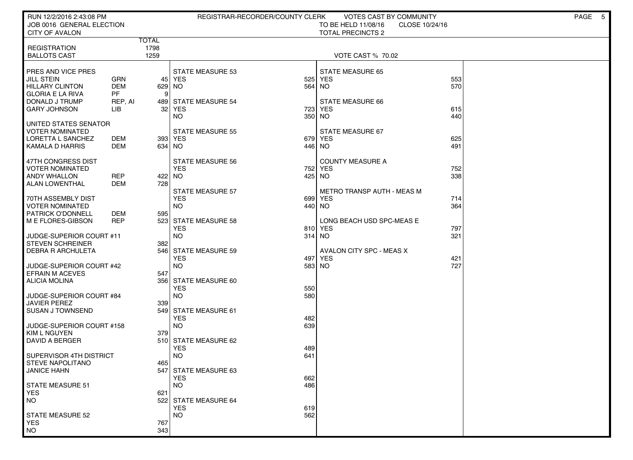| RUN 12/2/2016 2:43:08 PM<br>JOB 0016 GENERAL ELECTION                                        |                                       |                              | REGISTRAR-RECORDER/COUNTY CLERK                    |               | VOTES CAST BY COMMUNITY<br>TO BE HELD 11/08/16<br>CLOSE 10/24/16 |            | PAGE 5 |
|----------------------------------------------------------------------------------------------|---------------------------------------|------------------------------|----------------------------------------------------|---------------|------------------------------------------------------------------|------------|--------|
| <b>CITY OF AVALON</b>                                                                        |                                       |                              |                                                    |               | <b>TOTAL PRECINCTS 2</b>                                         |            |        |
| <b>REGISTRATION</b><br><b>BALLOTS CAST</b>                                                   |                                       | <b>TOTAL</b><br>1798<br>1259 |                                                    |               | <b>VOTE CAST % 70.02</b>                                         |            |        |
| PRES AND VICE PRES<br><b>JILL STEIN</b><br><b>HILLARY CLINTON</b><br><b>GLORIA E LA RIVA</b> | <b>GRN</b><br><b>DEM</b><br><b>PF</b> | 629 NO<br>9                  | <b>STATE MEASURE 53</b><br>45 YES                  | 525<br>564    | STATE MEASURE 65<br><b>YES</b><br>NO <sub>1</sub>                | 553<br>570 |        |
| DONALD J TRUMP<br><b>GARY JOHNSON</b>                                                        | REP, AI<br>LІВ                        | 32                           | 489 STATE MEASURE 54<br>YES<br>NO.                 | 723<br>350    | STATE MEASURE 66<br>YES<br>NO.                                   | 615<br>440 |        |
| UNITED STATES SENATOR<br><b>VOTER NOMINATED</b><br>LORETTA L SANCHEZ<br>KAMALA D HARRIS      | DEM<br>DEM                            | 634   NO                     | <b>STATE MEASURE 55</b><br>393 YES                 | 446 NO        | STATE MEASURE 67<br>679 YES                                      | 625<br>491 |        |
| 47TH CONGRESS DIST<br><b>VOTER NOMINATED</b><br><b>ANDY WHALLON</b><br><b>ALAN LOWENTHAL</b> | <b>REP</b><br>DEM                     | 422 NO<br>728                | <b>STATE MEASURE 56</b><br><b>YES</b>              | 752<br>425 NO | <b>COUNTY MEASURE A</b><br><b>YES</b>                            | 752<br>338 |        |
| 70TH ASSEMBLY DIST<br><b>VOTER NOMINATED</b><br>PATRICK O'DONNELL                            | DEM                                   | 595                          | <b>STATE MEASURE 57</b><br><b>YES</b><br><b>NO</b> | 699<br>440 NO | <b>METRO TRANSP AUTH - MEAS M</b><br><b>YES</b>                  | 714<br>364 |        |
| M E FLORES-GIBSON                                                                            | <b>REP</b>                            |                              | 523 STATE MEASURE 58<br><b>YES</b>                 |               | LONG BEACH USD SPC-MEAS E<br>810 YES                             | 797        |        |
| JUDGE-SUPERIOR COURT #11<br><b>STEVEN SCHREINER</b><br><b>DEBRA R ARCHULETA</b>              |                                       | 382<br>546                   | <b>NO</b><br><b>STATE MEASURE 59</b><br><b>YES</b> | 314 NO        | <b>AVALON CITY SPC - MEAS X</b><br>497 YES                       | 321<br>421 |        |
| JUDGE-SUPERIOR COURT #42<br><b>EFRAIN M ACEVES</b>                                           |                                       | 547                          | <b>NO</b>                                          | 583 NO        |                                                                  | 727        |        |
| <b>ALICIA MOLINA</b><br>JUDGE-SUPERIOR COURT #84                                             |                                       |                              | 356 STATE MEASURE 60<br><b>YES</b><br><b>NO</b>    | 550<br>580    |                                                                  |            |        |
| <b>JAVIER PEREZ</b><br><b>SUSAN J TOWNSEND</b>                                               |                                       | 339                          | 549 STATE MEASURE 61<br><b>YES</b>                 | 482           |                                                                  |            |        |
| JUDGE-SUPERIOR COURT #158<br>KIM L NGUYEN<br>DAVID A BERGER                                  |                                       | 379                          | <b>NO</b><br>510 STATE MEASURE 62                  | 639           |                                                                  |            |        |
| SUPERVISOR 4TH DISTRICT<br><b>STEVE NAPOLITANO</b>                                           |                                       | 465                          | <b>YES</b><br><b>NO</b>                            | 489<br>641    |                                                                  |            |        |
| <b>JANICE HAHN</b><br><b>STATE MEASURE 51</b>                                                |                                       |                              | 547 STATE MEASURE 63<br><b>YES</b><br><b>NO</b>    | 662<br>486    |                                                                  |            |        |
| <b>YES</b><br><b>NO</b>                                                                      |                                       | 621                          | 522 STATE MEASURE 64<br><b>YES</b>                 | 619           |                                                                  |            |        |
| <b>STATE MEASURE 52</b><br><b>YES</b><br><b>NO</b>                                           |                                       | 767<br>343                   | <b>NO</b>                                          | 562           |                                                                  |            |        |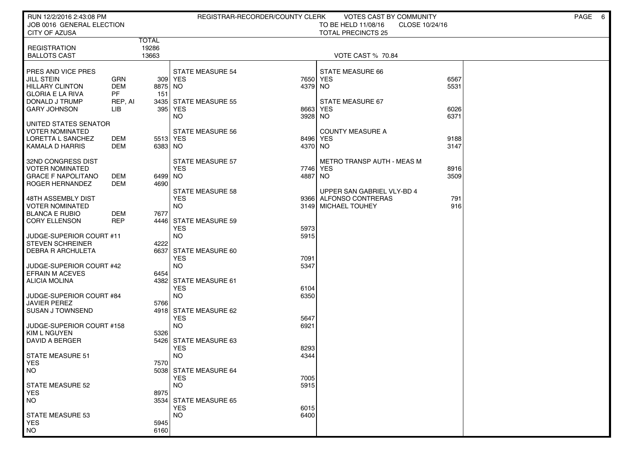| RUN 12/2/2016 2:43:08 PM                       |            |              | REGISTRAR-RECORDER/COUNTY CLERK |         | <b>VOTES CAST BY COMMUNITY</b>        |      | PAGE<br>$6\overline{6}$ |
|------------------------------------------------|------------|--------------|---------------------------------|---------|---------------------------------------|------|-------------------------|
| JOB 0016 GENERAL ELECTION                      |            |              |                                 |         | TO BE HELD 11/08/16<br>CLOSE 10/24/16 |      |                         |
| CITY OF AZUSA                                  |            | <b>TOTAL</b> |                                 |         | <b>TOTAL PRECINCTS 25</b>             |      |                         |
| <b>REGISTRATION</b>                            |            | 19286        |                                 |         |                                       |      |                         |
| <b>BALLOTS CAST</b>                            |            | 13663        |                                 |         | <b>VOTE CAST % 70.84</b>              |      |                         |
| PRES AND VICE PRES                             |            |              | <b>STATE MEASURE 54</b>         |         | STATE MEASURE 66                      |      |                         |
| <b>JILL STEIN</b>                              | <b>GRN</b> |              | 309 YES                         | 7650    | <b>YES</b>                            | 6567 |                         |
| <b>HILLARY CLINTON</b>                         | <b>DEM</b> | 8875 NO      |                                 | 4379    | NO                                    | 5531 |                         |
| <b>GLORIA E LA RIVA</b>                        | <b>PF</b>  | 151          |                                 |         |                                       |      |                         |
| DONALD J TRUMP                                 | REP, AI    |              | 3435 STATE MEASURE 55           |         | STATE MEASURE 67                      |      |                         |
| <b>GARY JOHNSON</b>                            | ЦB         | 395          | <b>YES</b>                      | 8663    | <b>YES</b>                            | 6026 |                         |
|                                                |            |              | NO.                             | 3928    | NO.                                   | 6371 |                         |
| UNITED STATES SENATOR                          |            |              |                                 |         |                                       |      |                         |
| <b>VOTER NOMINATED</b>                         |            |              | <b>STATE MEASURE 56</b>         |         | <b>COUNTY MEASURE A</b>               |      |                         |
| LORETTA L SANCHEZ                              | DEM        | 5513 YES     |                                 | 8496    | <b>YES</b>                            | 9188 |                         |
| KAMALA D HARRIS                                | DEM        | 6383 NO      |                                 | 4370 NO |                                       | 3147 |                         |
| 32ND CONGRESS DIST                             |            |              | STATE MEASURE 57                |         | <b>METRO TRANSP AUTH - MEAS M</b>     |      |                         |
| <b>VOTER NOMINATED</b>                         |            |              | <b>YES</b>                      | 7746    | <b>YES</b>                            | 8916 |                         |
| <b>GRACE F NAPOLITANO</b>                      | DEM        | 6499 NO      |                                 | 4887    | NO                                    | 3509 |                         |
| ROGER HERNANDEZ                                | DEM        | 4690         |                                 |         |                                       |      |                         |
|                                                |            |              | <b>STATE MEASURE 58</b>         |         | UPPER SAN GABRIEL VLY-BD 4            |      |                         |
| 48TH ASSEMBLY DIST                             |            |              | <b>YES</b>                      |         | 9366 ALFONSO CONTRERAS                | 791  |                         |
| <b>VOTER NOMINATED</b>                         |            |              | <b>NO</b>                       |         | 3149 MICHAEL TOUHEY                   | 916  |                         |
| <b>BLANCA E RUBIO</b>                          | DEM        | 7677         |                                 |         |                                       |      |                         |
| <b>CORY ELLENSON</b>                           | <b>REP</b> |              | 4446 STATE MEASURE 59           |         |                                       |      |                         |
|                                                |            |              | <b>YES</b>                      | 5973    |                                       |      |                         |
| JUDGE-SUPERIOR COURT #11                       |            |              | <b>NO</b>                       | 5915    |                                       |      |                         |
| <b>STEVEN SCHREINER</b>                        |            | 4222         |                                 |         |                                       |      |                         |
| <b>DEBRA R ARCHULETA</b>                       |            | 6637         | STATE MEASURE 60                |         |                                       |      |                         |
|                                                |            |              | <b>YES</b>                      | 7091    |                                       |      |                         |
| JUDGE-SUPERIOR COURT #42                       |            |              | <b>NO</b>                       | 5347    |                                       |      |                         |
| <b>EFRAIN M ACEVES</b><br><b>ALICIA MOLINA</b> |            | 6454         | 4382 STATE MEASURE 61           |         |                                       |      |                         |
|                                                |            |              | <b>YES</b>                      | 6104    |                                       |      |                         |
| JUDGE-SUPERIOR COURT #84                       |            |              | <b>NO</b>                       | 6350    |                                       |      |                         |
| <b>JAVIER PEREZ</b>                            |            | 5766         |                                 |         |                                       |      |                         |
| <b>SUSAN J TOWNSEND</b>                        |            |              | 4918 STATE MEASURE 62           |         |                                       |      |                         |
|                                                |            |              | <b>YES</b>                      | 5647    |                                       |      |                         |
| JUDGE-SUPERIOR COURT #158                      |            |              | <b>NO</b>                       | 6921    |                                       |      |                         |
| KIM L NGUYEN                                   |            | 5326         |                                 |         |                                       |      |                         |
| DAVID A BERGER                                 |            |              | 5426 STATE MEASURE 63           |         |                                       |      |                         |
|                                                |            |              | <b>YES</b>                      | 8293    |                                       |      |                         |
| <b>STATE MEASURE 51</b>                        |            |              | <b>NO</b>                       | 4344    |                                       |      |                         |
| <b>YES</b>                                     |            | 7570         |                                 |         |                                       |      |                         |
| NO.                                            |            |              | 5038 STATE MEASURE 64           |         |                                       |      |                         |
|                                                |            |              | <b>YES</b>                      | 7005    |                                       |      |                         |
| <b>STATE MEASURE 52</b>                        |            |              | <b>NO</b>                       | 5915    |                                       |      |                         |
| <b>YES</b><br>NO.                              |            | 8975         | 3534 STATE MEASURE 65           |         |                                       |      |                         |
|                                                |            |              | <b>YES</b>                      | 6015    |                                       |      |                         |
| <b>STATE MEASURE 53</b>                        |            |              | <b>NO</b>                       | 6400    |                                       |      |                         |
| <b>YES</b>                                     |            | 5945         |                                 |         |                                       |      |                         |
| <b>NO</b>                                      |            | 6160         |                                 |         |                                       |      |                         |
|                                                |            |              |                                 |         |                                       |      |                         |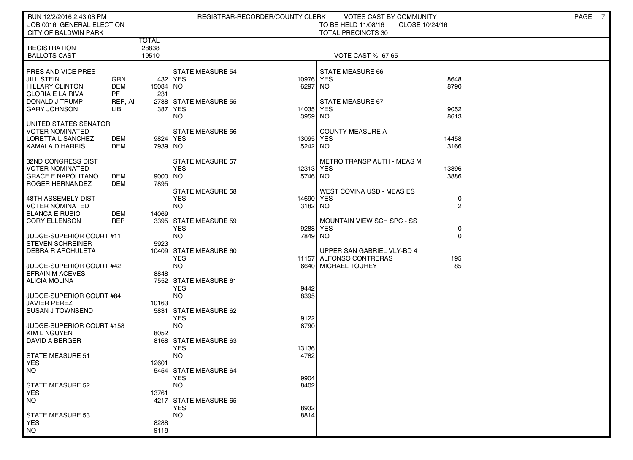| RUN 12/2/2016 2:43:08 PM<br>JOB 0016 GENERAL ELECTION |            |              |                                       | REGISTRAR-RECORDER/COUNTY CLERK | <b>VOTES CAST BY COMMUNITY</b><br>TO BE HELD 11/08/16<br>CLOSE 10/24/16 |          | PAGE<br>7 |
|-------------------------------------------------------|------------|--------------|---------------------------------------|---------------------------------|-------------------------------------------------------------------------|----------|-----------|
| CITY OF BALDWIN PARK                                  |            |              |                                       |                                 | <b>TOTAL PRECINCTS 30</b>                                               |          |           |
|                                                       |            | <b>TOTAL</b> |                                       |                                 |                                                                         |          |           |
| <b>REGISTRATION</b>                                   |            | 28838        |                                       |                                 |                                                                         |          |           |
| <b>BALLOTS CAST</b>                                   |            | 19510        |                                       |                                 | <b>VOTE CAST % 67.65</b>                                                |          |           |
|                                                       |            |              |                                       |                                 |                                                                         |          |           |
| PRES AND VICE PRES<br><b>JILL STEIN</b>               | GRN        |              | <b>STATE MEASURE 54</b><br>432 YES    | 10976                           | <b>STATE MEASURE 66</b><br><b>YES</b>                                   | 8648     |           |
| <b>HILLARY CLINTON</b>                                | <b>DEM</b> | 15084 NO     |                                       | 6297                            | NO.                                                                     | 8790     |           |
| <b>GLORIA E LA RIVA</b>                               | <b>PF</b>  | 231          |                                       |                                 |                                                                         |          |           |
| DONALD J TRUMP                                        | REP, AI    |              | 2788 STATE MEASURE 55                 |                                 | STATE MEASURE 67                                                        |          |           |
| <b>GARY JOHNSON</b>                                   | LІВ        | 387          | <b>YES</b>                            | 14035                           | <b>YES</b>                                                              | 9052     |           |
|                                                       |            |              | NO.                                   | 3959                            | NO.                                                                     | 8613     |           |
| UNITED STATES SENATOR                                 |            |              |                                       |                                 |                                                                         |          |           |
| VOTER NOMINATED<br>LORETTA L SANCHEZ                  | DEM        | 9824 YES     | <b>STATE MEASURE 56</b>               | 13095                           | <b>COUNTY MEASURE A</b><br><b>YES</b>                                   | 14458    |           |
| KAMALA D HARRIS                                       | DEM        | 7939 NO      |                                       | 5242 NO                         |                                                                         | 3166     |           |
|                                                       |            |              |                                       |                                 |                                                                         |          |           |
| 32ND CONGRESS DIST                                    |            |              | <b>STATE MEASURE 57</b>               |                                 | METRO TRANSP AUTH - MEAS M                                              |          |           |
| VOTER NOMINATED                                       |            |              | <b>YES</b>                            | 12313                           | <b>YES</b>                                                              | 13896    |           |
| <b>GRACE F NAPOLITANO</b>                             | DEM        | 9000 NO      |                                       | 5746 NO                         |                                                                         | 3886     |           |
| ROGER HERNANDEZ                                       | DEM        | 7895         |                                       |                                 | <b>WEST COVINA USD - MEAS ES</b>                                        |          |           |
| 48TH ASSEMBLY DIST                                    |            |              | <b>STATE MEASURE 58</b><br><b>YES</b> | 14690                           | <b>YES</b>                                                              | 0        |           |
| <b>VOTER NOMINATED</b>                                |            |              | <b>NO</b>                             | 3182                            | NO                                                                      | 2        |           |
| <b>BLANCA E RUBIO</b>                                 | DEM        | 14069        |                                       |                                 |                                                                         |          |           |
| <b>CORY ELLENSON</b>                                  | <b>REP</b> |              | 3395 STATE MEASURE 59                 |                                 | <b>MOUNTAIN VIEW SCH SPC - SS</b>                                       |          |           |
|                                                       |            |              | <b>YES</b>                            | 9288                            | <b>YES</b>                                                              | 0        |           |
| JUDGE-SUPERIOR COURT #11                              |            |              | <b>NO</b>                             | 7849                            | NO                                                                      | $\Omega$ |           |
| <b>STEVEN SCHREINER</b><br><b>DEBRA R ARCHULETA</b>   |            | 5923         | 10409 STATE MEASURE 60                |                                 | UPPER SAN GABRIEL VLY-BD 4                                              |          |           |
|                                                       |            |              | <b>YES</b>                            |                                 | 11157 ALFONSO CONTRERAS                                                 | 195      |           |
| JUDGE-SUPERIOR COURT #42                              |            |              | <b>NO</b>                             |                                 | 6640 MICHAEL TOUHEY                                                     | 85       |           |
| <b>EFRAIN M ACEVES</b>                                |            | 8848         |                                       |                                 |                                                                         |          |           |
| <b>ALICIA MOLINA</b>                                  |            |              | 7552 STATE MEASURE 61                 |                                 |                                                                         |          |           |
|                                                       |            |              | <b>YES</b>                            | 9442                            |                                                                         |          |           |
| JUDGE-SUPERIOR COURT #84<br><b>JAVIER PEREZ</b>       |            | 10163        | <b>NO</b>                             | 8395                            |                                                                         |          |           |
| <b>SUSAN J TOWNSEND</b>                               |            |              | 5831 STATE MEASURE 62                 |                                 |                                                                         |          |           |
|                                                       |            |              | <b>YES</b>                            | 9122                            |                                                                         |          |           |
| JUDGE-SUPERIOR COURT #158                             |            |              | <b>NO</b>                             | 8790                            |                                                                         |          |           |
| KIM L NGUYEN                                          |            | 8052         |                                       |                                 |                                                                         |          |           |
| DAVID A BERGER                                        |            |              | 8168 STATE MEASURE 63                 |                                 |                                                                         |          |           |
| STATE MEASURE 51                                      |            |              | <b>YES</b><br><b>NO</b>               | 13136<br>4782                   |                                                                         |          |           |
| <b>YES</b>                                            |            | 12601        |                                       |                                 |                                                                         |          |           |
| NO.                                                   |            |              | 5454 STATE MEASURE 64                 |                                 |                                                                         |          |           |
|                                                       |            |              | <b>YES</b>                            | 9904                            |                                                                         |          |           |
| STATE MEASURE 52                                      |            |              | <b>NO</b>                             | 8402                            |                                                                         |          |           |
| YES.                                                  |            | 13761        |                                       |                                 |                                                                         |          |           |
| <b>NO</b>                                             |            |              | 4217 STATE MEASURE 65<br><b>YES</b>   | 8932                            |                                                                         |          |           |
| STATE MEASURE 53                                      |            |              | <b>NO</b>                             | 8814                            |                                                                         |          |           |
| <b>YES</b>                                            |            | 8288         |                                       |                                 |                                                                         |          |           |
| <b>NO</b>                                             |            | 9118         |                                       |                                 |                                                                         |          |           |
|                                                       |            |              |                                       |                                 |                                                                         |          |           |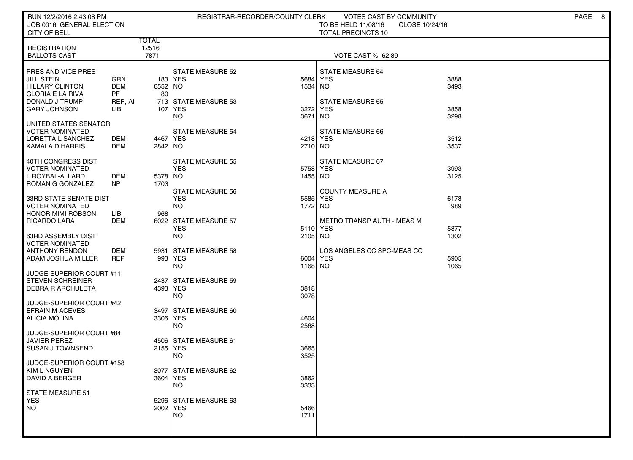| RUN 12/2/2016 2:43:08 PM<br>JOB 0016 GENERAL ELECTION                                                          |                                                  |                        | REGISTRAR-RECORDER/COUNTY CLERK                            |                     | <b>VOTES CAST BY COMMUNITY</b><br>TO BE HELD 11/08/16<br>CLOSE 10/24/16 |              | PAGE | 8 |
|----------------------------------------------------------------------------------------------------------------|--------------------------------------------------|------------------------|------------------------------------------------------------|---------------------|-------------------------------------------------------------------------|--------------|------|---|
| CITY OF BELL                                                                                                   |                                                  |                        |                                                            |                     | <b>TOTAL PRECINCTS 10</b>                                               |              |      |   |
| <b>REGISTRATION</b><br><b>BALLOTS CAST</b>                                                                     |                                                  | TOTAL<br>12516<br>7871 |                                                            |                     | <b>VOTE CAST % 62.89</b>                                                |              |      |   |
| PRES AND VICE PRES<br><b>JILL STEIN</b><br><b>HILLARY CLINTON</b><br><b>GLORIA E LA RIVA</b><br>DONALD J TRUMP | <b>GRN</b><br><b>DEM</b><br><b>PF</b><br>REP, AI | 6552 NO<br>80          | <b>STATE MEASURE 52</b><br>183 YES<br>713 STATE MEASURE 53 | 5684<br>1534        | STATE MEASURE 64<br><b>YES</b><br>NO<br><b>STATE MEASURE 65</b>         | 3888<br>3493 |      |   |
| <b>GARY JOHNSON</b><br>UNITED STATES SENATOR                                                                   | ЦB                                               | 107                    | <b>YES</b><br>NO.                                          | 3272<br>3671        | <b>YES</b><br>NO.                                                       | 3858<br>3298 |      |   |
| <b>VOTER NOMINATED</b><br>LORETTA L SANCHEZ<br>KAMALA D HARRIS                                                 | DEM<br>DEM                                       | 4467 YES<br>2842 NO    | <b>STATE MEASURE 54</b>                                    | 4218 YES<br>2710 NO | STATE MEASURE 66                                                        | 3512<br>3537 |      |   |
| 40TH CONGRESS DIST<br><b>VOTER NOMINATED</b><br>L ROYBAL-ALLARD<br>ROMAN G GONZALEZ                            | <b>DEM</b><br>NP.                                | 5378 NO<br>1703        | <b>STATE MEASURE 55</b><br><b>YES</b>                      | 5758<br>1455 NO     | STATE MEASURE 67<br><b>YES</b>                                          | 3993<br>3125 |      |   |
| 33RD STATE SENATE DIST<br><b>VOTER NOMINATED</b><br><b>HONOR MIMI ROBSON</b>                                   | LІВ                                              | 968                    | <b>STATE MEASURE 56</b><br><b>YES</b><br><b>NO</b>         | 5585<br>1772        | <b>COUNTY MEASURE A</b><br><b>YES</b><br>NO.                            | 6178<br>989  |      |   |
| <b>RICARDO LARA</b><br><b>63RD ASSEMBLY DIST</b><br><b>VOTER NOMINATED</b>                                     | <b>DEM</b>                                       |                        | 6022 STATE MEASURE 57<br><b>YES</b><br><b>NO</b>           | 5110 YES<br>2105 NO | <b>METRO TRANSP AUTH - MEAS M</b>                                       | 5877<br>1302 |      |   |
| <b>ANTHONY RENDON</b><br>ADAM JOSHUA MILLER                                                                    | DEM<br><b>REP</b>                                | 5931                   | <b>STATE MEASURE 58</b><br>993 YES<br><b>NO</b>            | 6004<br>1168 NO     | LOS ANGELES CC SPC-MEAS CC<br><b>YES</b>                                | 5905<br>1065 |      |   |
| JUDGE-SUPERIOR COURT #11<br><b>STEVEN SCHREINER</b><br><b>DEBRA R ARCHULETA</b>                                |                                                  | 4393 YES               | 2437 STATE MEASURE 59<br><b>NO</b>                         | 3818<br>3078        |                                                                         |              |      |   |
| JUDGE-SUPERIOR COURT #42<br><b>EFRAIN M ACEVES</b><br><b>ALICIA MOLINA</b>                                     |                                                  | 3306 YES               | 3497 STATE MEASURE 60<br><b>NO</b>                         | 4604<br>2568        |                                                                         |              |      |   |
| JUDGE-SUPERIOR COURT #84<br><b>JAVIER PEREZ</b><br><b>SUSAN J TOWNSEND</b>                                     |                                                  | 2155 YES               | 4506 STATE MEASURE 61<br><b>NO</b>                         | 3665<br>3525        |                                                                         |              |      |   |
| JUDGE-SUPERIOR COURT #158<br><b>KIM L NGUYEN</b><br><b>DAVID A BERGER</b>                                      |                                                  | 3604 YES               | 3077 STATE MEASURE 62<br><b>NO</b>                         | 3862<br>3333        |                                                                         |              |      |   |
| STATE MEASURE 51<br><b>YES</b><br><b>NO</b>                                                                    |                                                  | 2002 YES               | 5296 STATE MEASURE 63<br><b>NO</b>                         | 5466<br>1711        |                                                                         |              |      |   |
|                                                                                                                |                                                  |                        |                                                            |                     |                                                                         |              |      |   |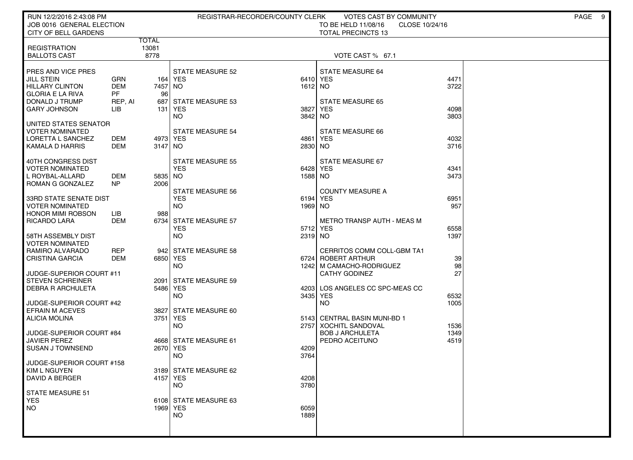| RUN 12/2/2016 2:43:08 PM<br>JOB 0016 GENERAL ELECTION |                          |                       | REGISTRAR-RECORDER/COUNTY CLERK |                     | VOTES CAST BY COMMUNITY<br>CLOSE 10/24/16        |              | PAGE<br>- 9 |
|-------------------------------------------------------|--------------------------|-----------------------|---------------------------------|---------------------|--------------------------------------------------|--------------|-------------|
| CITY OF BELL GARDENS                                  |                          |                       |                                 |                     | TO BE HELD 11/08/16<br><b>TOTAL PRECINCTS 13</b> |              |             |
|                                                       |                          | <b>TOTAL</b>          |                                 |                     |                                                  |              |             |
| <b>REGISTRATION</b><br><b>BALLOTS CAST</b>            |                          | 13081<br>8778         |                                 |                     | VOTE CAST % 67.1                                 |              |             |
|                                                       |                          |                       |                                 |                     |                                                  |              |             |
| PRES AND VICE PRES                                    |                          |                       | <b>STATE MEASURE 52</b>         |                     | STATE MEASURE 64                                 |              |             |
| JILL STEIN<br><b>HILLARY CLINTON</b>                  | <b>GRN</b><br><b>DEM</b> | 7457 NO               | 164   YES                       | 6410 YES<br>1612 NO |                                                  | 4471<br>3722 |             |
| <b>GLORIA E LA RIVA</b>                               | <b>PF</b>                | 96                    |                                 |                     |                                                  |              |             |
| DONALD J TRUMP                                        | REP, AI                  |                       | 687 STATE MEASURE 53            |                     | <b>STATE MEASURE 65</b>                          |              |             |
| <b>GARY JOHNSON</b>                                   | LIB                      | 131                   | YES<br><b>NO</b>                | 3827<br>3842        | <b>YES</b><br>NO.                                | 4098<br>3803 |             |
| UNITED STATES SENATOR                                 |                          |                       |                                 |                     |                                                  |              |             |
| <b>VOTER NOMINATED</b>                                |                          |                       | <b>STATE MEASURE 54</b>         |                     | STATE MEASURE 66                                 |              |             |
| LORETTA L SANCHEZ<br>KAMALA D HARRIS                  | DEM<br><b>DEM</b>        | 4973 YES<br>$3147$ NO |                                 | 4861<br>2830 NO     | <b>YES</b>                                       | 4032<br>3716 |             |
|                                                       |                          |                       |                                 |                     |                                                  |              |             |
| 40TH CONGRESS DIST                                    |                          |                       | <b>STATE MEASURE 55</b>         |                     | STATE MEASURE 67                                 |              |             |
| <b>VOTER NOMINATED</b><br>L ROYBAL-ALLARD             | <b>DEM</b>               | 5835 NO               | <b>YES</b>                      | 6428<br>1588        | <b>YES</b><br>NO                                 | 4341<br>3473 |             |
| ROMAN G GONZALEZ                                      | NP                       | 2006                  |                                 |                     |                                                  |              |             |
|                                                       |                          |                       | <b>STATE MEASURE 56</b>         |                     | <b>COUNTY MEASURE A</b>                          |              |             |
| 33RD STATE SENATE DIST<br><b>VOTER NOMINATED</b>      |                          |                       | <b>YES</b><br><b>NO</b>         | 6194<br>1969        | <b>YES</b><br>NO                                 | 6951<br>957  |             |
| <b>HONOR MIMI ROBSON</b>                              | LІВ                      | 988                   |                                 |                     |                                                  |              |             |
| <b>RICARDO LARA</b>                                   | DEM                      |                       | 6734 STATE MEASURE 57           |                     | <b>METRO TRANSP AUTH - MEAS M</b>                |              |             |
| 58TH ASSEMBLY DIST                                    |                          |                       | <b>YES</b><br><b>NO</b>         | 5712<br>2319 NO     | <b>YES</b>                                       | 6558<br>1397 |             |
| <b>VOTER NOMINATED</b>                                |                          |                       |                                 |                     |                                                  |              |             |
| RAMIRO ALVARADO                                       | <b>REP</b>               |                       | 942 STATE MEASURE 58            |                     | CERRITOS COMM COLL-GBM TA1                       |              |             |
| <b>CRISTINA GARCIA</b>                                | DEM                      | 6850 YES              | <b>NO</b>                       | 6724<br>1242        | <b>ROBERT ARTHUR</b>                             | 39<br>98     |             |
| JUDGE-SUPERIOR COURT #11                              |                          |                       |                                 |                     | M CAMACHO-RODRIGUEZ<br><b>CATHY GODINEZ</b>      | 27           |             |
| <b>STEVEN SCHREINER</b>                               |                          | 2091                  | <b>STATE MEASURE 59</b>         |                     |                                                  |              |             |
| <b>DEBRA R ARCHULETA</b>                              |                          | 5486 YES              | <b>NO</b>                       |                     | 4203 LOS ANGELES CC SPC-MEAS CC                  |              |             |
| JUDGE-SUPERIOR COURT #42                              |                          |                       |                                 | 3435                | <b>YES</b><br><b>NO</b>                          | 6532<br>1005 |             |
| <b>EFRAIN M ACEVES</b>                                |                          | 3827                  | STATE MEASURE 60                |                     |                                                  |              |             |
| <b>ALICIA MOLINA</b>                                  |                          | 3751 YES              | <b>NO</b>                       | 5143                | <b>CENTRAL BASIN MUNI-BD 1</b>                   |              |             |
| JUDGE-SUPERIOR COURT #84                              |                          |                       |                                 | 2757                | XOCHITL SANDOVAL<br><b>BOB J ARCHULETA</b>       | 1536<br>1349 |             |
| <b>JAVIER PEREZ</b>                                   |                          |                       | 4668 STATE MEASURE 61           |                     | PEDRO ACEITUNO                                   | 4519         |             |
| <b>SUSAN J TOWNSEND</b>                               |                          | 2670 YES              |                                 | 4209                |                                                  |              |             |
| JUDGE-SUPERIOR COURT #158                             |                          |                       | <b>NO</b>                       | 3764                |                                                  |              |             |
| KIM L NGUYEN                                          |                          |                       | 3189 STATE MEASURE 62           |                     |                                                  |              |             |
| <b>DAVID A BERGER</b>                                 |                          | 4157 YES              | <b>NO</b>                       | 4208<br>3780        |                                                  |              |             |
| <b>STATE MEASURE 51</b>                               |                          |                       |                                 |                     |                                                  |              |             |
| <b>YES</b>                                            |                          |                       | 6108 STATE MEASURE 63           |                     |                                                  |              |             |
| NO                                                    |                          | 1969 YES              | NO.                             | 6059<br>1889        |                                                  |              |             |
|                                                       |                          |                       |                                 |                     |                                                  |              |             |
|                                                       |                          |                       |                                 |                     |                                                  |              |             |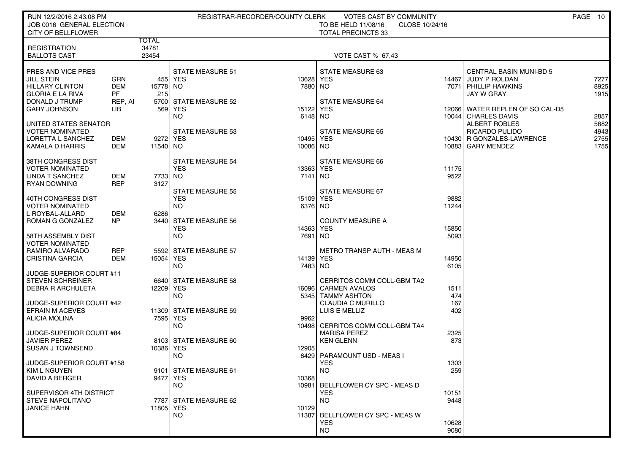| RUN 12/2/2016 2:43:08 PM<br>JOB 0016 GENERAL ELECTION                                                                                 |                                           |                         | REGISTRAR-RECORDER/COUNTY CLERK                                             |                                           | VOTES CAST BY COMMUNITY<br>TO BE HELD 11/08/16<br>CLOSE 10/24/16                              |                                |                                                                                                                            | PAGE 10                              |
|---------------------------------------------------------------------------------------------------------------------------------------|-------------------------------------------|-------------------------|-----------------------------------------------------------------------------|-------------------------------------------|-----------------------------------------------------------------------------------------------|--------------------------------|----------------------------------------------------------------------------------------------------------------------------|--------------------------------------|
| <b>CITY OF BELLFLOWER</b>                                                                                                             |                                           |                         |                                                                             |                                           | <b>TOTAL PRECINCTS 33</b>                                                                     |                                |                                                                                                                            |                                      |
| <b>REGISTRATION</b><br><b>BALLOTS CAST</b>                                                                                            |                                           | TOTAL<br>34781<br>23454 |                                                                             |                                           | <b>VOTE CAST % 67.43</b>                                                                      |                                |                                                                                                                            |                                      |
| PRES AND VICE PRES<br><b>JILL STEIN</b><br><b>HILLARY CLINTON</b><br><b>GLORIA E LA RIVA</b><br>DONALD J TRUMP<br><b>GARY JOHNSON</b> | GRN<br><b>DEM</b><br>PF<br>REP, AI<br>LІВ | 15778 NO<br>215         | <b>STATE MEASURE 51</b><br>455 YES<br>5700 STATE MEASURE 52<br>569 YES      | 13628 YES<br>7880 NO<br>15122 YES         | STATE MEASURE 63<br><b>STATE MEASURE 64</b>                                                   | 14467                          | <b>CENTRAL BASIN MUNI-BD 5</b><br>JUDY P ROLDAN<br>7071   PHILLIP HAWKINS<br>JAY W GRAY<br>12066 WATER REPLEN OF SO CAL-D5 | 7277<br>8925<br>1915                 |
| UNITED STATES SENATOR<br><b>VOTER NOMINATED</b><br>LORETTA L SANCHEZ<br>KAMALA D HARRIS                                               | DEM<br>DEM                                | 11540 NO                | NO.<br><b>STATE MEASURE 53</b><br>9272 YES                                  | 6148 NO<br>10495 YES<br>10086 NO          | <b>STATE MEASURE 65</b>                                                                       |                                | 10044   CHARLES DAVIS<br><b>ALBERT ROBLES</b><br><b>RICARDO PULIDO</b><br>10430 R GONZALES-LAWRENCE<br>10883 GARY MENDEZ   | 2857<br>5882<br>4943<br>2755<br>1755 |
| 38TH CONGRESS DIST<br><b>VOTER NOMINATED</b><br>LINDA T SANCHEZ<br>RYAN DOWNING                                                       | <b>DEM</b><br><b>REP</b>                  | 7733 NO<br>3127         | <b>STATE MEASURE 54</b><br><b>YES</b><br><b>STATE MEASURE 55</b>            | 13363 YES<br>7141 NO                      | STATE MEASURE 66<br>STATE MEASURE 67                                                          | 11175<br>9522                  |                                                                                                                            |                                      |
| 40TH CONGRESS DIST<br><b>VOTER NOMINATED</b><br>L ROYBAL-ALLARD<br>ROMAN G GONZALEZ<br>58TH ASSEMBLY DIST                             | DEM<br>NP                                 | 6286                    | <b>YES</b><br><b>NO</b><br>3440 STATE MEASURE 56<br><b>YES</b><br><b>NO</b> | 15109 YES<br>6376 NO<br>14363 YES<br>7691 | <b>COUNTY MEASURE A</b><br>  NO                                                               | 9882<br>11244<br>15850<br>5093 |                                                                                                                            |                                      |
| <b>VOTER NOMINATED</b><br>RAMIRO ALVARADO<br><b>CRISTINA GARCIA</b><br>JUDGE-SUPERIOR COURT #11                                       | REP<br>DEM                                | 15054 YES               | 5592 STATE MEASURE 57<br>NO.                                                | 14139 YES<br>7483 NO                      | METRO TRANSP AUTH - MEAS M                                                                    | 14950<br>6105                  |                                                                                                                            |                                      |
| <b>STEVEN SCHREINER</b><br>DEBRA R ARCHULETA<br>JUDGE-SUPERIOR COURT #42                                                              |                                           | 12209 YES               | 6640 STATE MEASURE 58<br>NO.                                                |                                           | CERRITOS COMM COLL-GBM TA2<br>16096 CARMEN AVALOS<br>5345   TAMMY ASHTON<br>CLAUDIA C MURILLO | 1511<br>474<br>167             |                                                                                                                            |                                      |
| <b>EFRAIN M ACEVES</b><br><b>ALICIA MOLINA</b><br>JUDGE-SUPERIOR COURT #84                                                            |                                           |                         | 11309 STATE MEASURE 59<br>7595 YES<br>NO.                                   | 9962                                      | LUIS E MELLIZ<br>10498 CERRITOS COMM COLL-GBM TA4<br><b>MARISA PEREZ</b>                      | 402<br>2325                    |                                                                                                                            |                                      |
| <b>JAVIER PEREZ</b><br><b>SUSAN J TOWNSEND</b>                                                                                        |                                           | 10386 YES               | 8103 STATE MEASURE 60<br>NO.                                                | 12905                                     | <b>KEN GLENN</b><br>8429 PARAMOUNT USD - MEAS I                                               | 873                            |                                                                                                                            |                                      |
| JUDGE-SUPERIOR COURT #158<br>KIM L NGUYEN<br>DAVID A BERGER                                                                           |                                           |                         | 9101   STATE MEASURE 61<br>9477 YES<br>NO.                                  | 10368                                     | <b>YES</b><br>NO.<br>10981 BELLFLOWER CY SPC - MEAS D                                         | 1303<br>259                    |                                                                                                                            |                                      |
| SUPERVISOR 4TH DISTRICT<br><b>STEVE NAPOLITANO</b><br><b>JANICE HAHN</b>                                                              |                                           | 11805   YES             | 7787 STATE MEASURE 62<br><b>NO</b>                                          | 10129                                     | <b>YES</b><br><b>NO</b><br>11387 BELLFLOWER CY SPC - MEAS W<br><b>YES</b><br><b>NO</b>        | 10151<br>9448<br>10628<br>9080 |                                                                                                                            |                                      |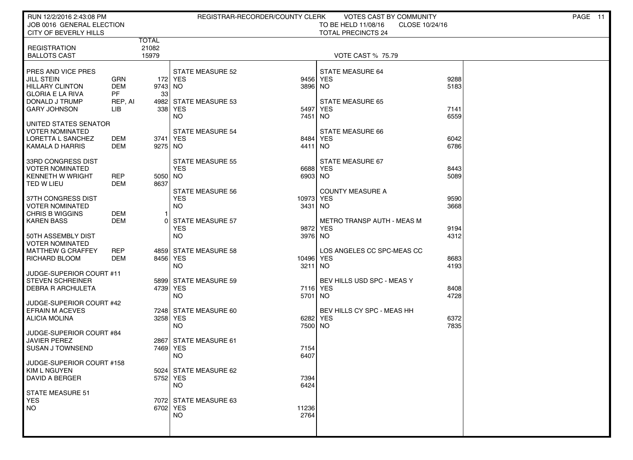| RUN 12/2/2016 2:43:08 PM                           |                   |                |                                       | REGISTRAR-RECORDER/COUNTY CLERK | <b>VOTES CAST BY COMMUNITY</b>                                     |              | PAGE 11 |
|----------------------------------------------------|-------------------|----------------|---------------------------------------|---------------------------------|--------------------------------------------------------------------|--------------|---------|
| JOB 0016 GENERAL ELECTION<br>CITY OF BEVERLY HILLS |                   |                |                                       |                                 | TO BE HELD 11/08/16<br>CLOSE 10/24/16<br><b>TOTAL PRECINCTS 24</b> |              |         |
|                                                    |                   | TOTAL          |                                       |                                 |                                                                    |              |         |
| <b>REGISTRATION</b><br><b>BALLOTS CAST</b>         |                   | 21082<br>15979 |                                       |                                 | <b>VOTE CAST % 75.79</b>                                           |              |         |
|                                                    |                   |                |                                       |                                 |                                                                    |              |         |
| PRES AND VICE PRES                                 |                   |                | <b>STATE MEASURE 52</b>               |                                 | <b>STATE MEASURE 64</b>                                            |              |         |
| <b>JILL STEIN</b>                                  | <b>GRN</b>        |                | 172   YES                             | 9456                            | <b>YES</b>                                                         | 9288         |         |
| <b>HILLARY CLINTON</b><br><b>GLORIA E LA RIVA</b>  | <b>DEM</b><br>PF. | 9743 NO<br>33  |                                       | 3896                            | NO.                                                                | 5183         |         |
| DONALD J TRUMP                                     | REP, AI           |                | 4982 STATE MEASURE 53                 |                                 | <b>STATE MEASURE 65</b>                                            |              |         |
| <b>GARY JOHNSON</b>                                | ЦB                |                | 338 YES                               | 5497                            | <b>YES</b>                                                         | 7141         |         |
|                                                    |                   |                | NO.                                   | 7451                            | NO.                                                                | 6559         |         |
| UNITED STATES SENATOR<br><b>VOTER NOMINATED</b>    |                   |                | <b>STATE MEASURE 54</b>               |                                 | STATE MEASURE 66                                                   |              |         |
| LORETTA L SANCHEZ                                  | DEM               | 3741 YES       |                                       | 8484                            | <b>YES</b>                                                         | 6042         |         |
| KAMALA D HARRIS                                    | DEM               | 9275 NO        |                                       | 4411                            | NO.                                                                | 6786         |         |
| 33RD CONGRESS DIST                                 |                   |                | <b>STATE MEASURE 55</b>               |                                 | STATE MEASURE 67                                                   |              |         |
| <b>VOTER NOMINATED</b>                             |                   |                | <b>YES</b>                            | 6688                            | <b>YES</b>                                                         | 8443         |         |
| <b>KENNETH W WRIGHT</b>                            | <b>REP</b>        | 5050 NO        |                                       | 6903 NO                         |                                                                    | 5089         |         |
| TED W LIEU                                         | DEM               | 8637           |                                       |                                 |                                                                    |              |         |
| 37TH CONGRESS DIST                                 |                   |                | <b>STATE MEASURE 56</b><br><b>YES</b> | 10973                           | <b>COUNTY MEASURE A</b><br><b>YES</b>                              | 9590         |         |
| <b>VOTER NOMINATED</b>                             |                   |                | <b>NO</b>                             | 3431                            | NO.                                                                | 3668         |         |
| <b>CHRIS B WIGGINS</b>                             | DEM               | -1             |                                       |                                 |                                                                    |              |         |
| <b>KAREN BASS</b>                                  | <b>DEM</b>        | $\Omega$       | <b>STATE MEASURE 57</b><br><b>YES</b> | 9872                            | <b>METRO TRANSP AUTH - MEAS M</b><br><b>YES</b>                    | 9194         |         |
| 50TH ASSEMBLY DIST                                 |                   |                | <b>NO</b>                             | 3976 NO                         |                                                                    | 4312         |         |
| <b>VOTER NOMINATED</b>                             |                   |                |                                       |                                 |                                                                    |              |         |
| <b>MATTHEW G CRAFFEY</b>                           | <b>REP</b>        |                | 4859 STATE MEASURE 58                 |                                 | LOS ANGELES CC SPC-MEAS CC                                         |              |         |
| RICHARD BLOOM                                      | <b>DEM</b>        | 8456 YES       | <b>NO</b>                             | 10496<br>3211                   | <b>YES</b><br>NO.                                                  | 8683<br>4193 |         |
| JUDGE-SUPERIOR COURT #11                           |                   |                |                                       |                                 |                                                                    |              |         |
| <b>STEVEN SCHREINER</b>                            |                   |                | 5899 STATE MEASURE 59                 |                                 | BEV HILLS USD SPC - MEAS Y                                         |              |         |
| <b>DEBRA R ARCHULETA</b>                           |                   | 4739 YES       | <b>NO</b>                             | 7116<br>5701                    | <b>YES</b><br>NO.                                                  | 8408<br>4728 |         |
| JUDGE-SUPERIOR COURT #42                           |                   |                |                                       |                                 |                                                                    |              |         |
| <b>EFRAIN M ACEVES</b>                             |                   |                | 7248 STATE MEASURE 60                 |                                 | BEV HILLS CY SPC - MEAS HH                                         |              |         |
| <b>ALICIA MOLINA</b>                               |                   | 3258 YES       |                                       | 6282                            | <b>YES</b>                                                         | 6372         |         |
| JUDGE-SUPERIOR COURT #84                           |                   |                | <b>NO</b>                             | 7500 NO                         |                                                                    | 7835         |         |
| <b>JAVIER PEREZ</b>                                |                   |                | 2867 STATE MEASURE 61                 |                                 |                                                                    |              |         |
| <b>SUSAN J TOWNSEND</b>                            |                   | 7469 YES       |                                       | 7154                            |                                                                    |              |         |
| JUDGE-SUPERIOR COURT #158                          |                   |                | <b>NO</b>                             | 6407                            |                                                                    |              |         |
| KIM L NGUYEN                                       |                   |                | 5024 STATE MEASURE 62                 |                                 |                                                                    |              |         |
| <b>DAVID A BERGER</b>                              |                   | 5752 YES       |                                       | 7394                            |                                                                    |              |         |
| <b>STATE MEASURE 51</b>                            |                   |                | <b>NO</b>                             | 6424                            |                                                                    |              |         |
| <b>YES</b>                                         |                   |                | 7072 STATE MEASURE 63                 |                                 |                                                                    |              |         |
| NO.                                                |                   | 6702 YES       |                                       | 11236                           |                                                                    |              |         |
|                                                    |                   |                | <b>NO</b>                             | 2764                            |                                                                    |              |         |
|                                                    |                   |                |                                       |                                 |                                                                    |              |         |
|                                                    |                   |                |                                       |                                 |                                                                    |              |         |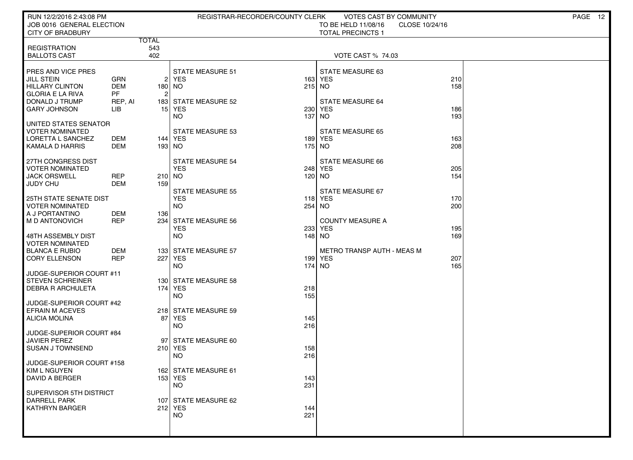| RUN 12/2/2016 2:43:08 PM<br>JOB 0016 GENERAL ELECTION<br><b>CITY OF BRADBURY</b>                                               | REGISTRAR-RECORDER/COUNTY CLERK                              | VOTES CAST BY COMMUNITY<br>TO BE HELD 11/08/16<br>CLOSE 10/24/16<br><b>TOTAL PRECINCTS 1</b> | PAGE 12 |
|--------------------------------------------------------------------------------------------------------------------------------|--------------------------------------------------------------|----------------------------------------------------------------------------------------------|---------|
| <b>TOTAL</b>                                                                                                                   |                                                              |                                                                                              |         |
| 543<br><b>REGISTRATION</b><br>402<br><b>BALLOTS CAST</b>                                                                       |                                                              | <b>VOTE CAST % 74.03</b>                                                                     |         |
| PRES AND VICE PRES<br><b>JILL STEIN</b><br>GRN<br><b>HILLARY CLINTON</b><br><b>DEM</b><br><b>PF</b><br><b>GLORIA E LA RIVA</b> | <b>STATE MEASURE 51</b><br>$2$ YES<br>180 NO                 | STATE MEASURE 63<br>210<br>163 YES<br>158<br>215 NO                                          |         |
| DONALD J TRUMP<br>REP, AI<br><b>GARY JOHNSON</b><br><b>LIB</b>                                                                 | 183 STATE MEASURE 52<br>15 YES<br>230<br><b>NO</b><br>137    | <b>STATE MEASURE 64</b><br>YES<br>186<br>193<br><b>NO</b>                                    |         |
| UNITED STATES SENATOR<br><b>VOTER NOMINATED</b><br>LORETTA L SANCHEZ<br>DEM<br><b>DEM</b><br>  KAMALA D HARRIS                 | <b>STATE MEASURE 53</b><br>144   YES<br>193 NO               | <b>STATE MEASURE 65</b><br>189 YES<br>163<br>175 NO<br>208                                   |         |
| 27TH CONGRESS DIST<br><b>VOTER NOMINATED</b><br><b>JACK ORSWELL</b><br><b>REP</b><br><b>DEM</b><br><b>JUDY CHU</b><br>159      | <b>STATE MEASURE 54</b><br><b>YES</b><br>210 NO              | STATE MEASURE 66<br>248 YES<br>205<br>120 NO<br>154                                          |         |
| <b>25TH STATE SENATE DIST</b><br><b>VOTER NOMINATED</b><br>A J PORTANTINO<br>DEM<br>136                                        | <b>STATE MEASURE 55</b><br><b>YES</b><br><b>NO</b>           | <b>STATE MEASURE 67</b><br>118 YES<br>170<br>254 NO<br>200                                   |         |
| <b>REP</b><br>I M D ANTONOVICH<br>48TH ASSEMBLY DIST                                                                           | 234 STATE MEASURE 56<br><b>YES</b><br>233<br><b>NO</b>       | <b>COUNTY MEASURE A</b><br>YES<br>195<br>169<br>148 NO                                       |         |
| <b>VOTER NOMINATED</b><br><b>DEM</b><br><b>BLANCA E RUBIO</b><br><b>REP</b><br><b>CORY ELLENSON</b>                            | 133 STATE MEASURE 57<br>227 YES<br><b>NO</b>                 | METRO TRANSP AUTH - MEAS M<br>199 YES<br>207<br>174 NO<br>165                                |         |
| JUDGE-SUPERIOR COURT #11<br><b>STEVEN SCHREINER</b><br><b>DEBRA R ARCHULETA</b>                                                | 130 STATE MEASURE 58<br>174   YES<br>218<br><b>NO</b><br>155 |                                                                                              |         |
| JUDGE-SUPERIOR COURT #42<br><b>EFRAIN M ACEVES</b><br>ALICIA MOLINA<br>87                                                      | 218 STATE MEASURE 59<br>YES<br>145<br><b>NO</b><br>216       |                                                                                              |         |
| JUDGE-SUPERIOR COURT #84<br><b>JAVIER PEREZ</b><br>SUSAN J TOWNSEND                                                            | 97 STATE MEASURE 60<br>210 YES<br>158<br><b>NO</b><br>216    |                                                                                              |         |
| JUDGE-SUPERIOR COURT #158<br>KIM L NGUYEN<br>DAVID A BERGER                                                                    | 162 STATE MEASURE 61<br>153 YES<br>143<br>231<br><b>NO</b>   |                                                                                              |         |
| SUPERVISOR 5TH DISTRICT<br><b>DARRELL PARK</b><br><b>KATHRYN BARGER</b>                                                        | 107 STATE MEASURE 62<br>212 YES<br>144<br><b>NO</b><br>221   |                                                                                              |         |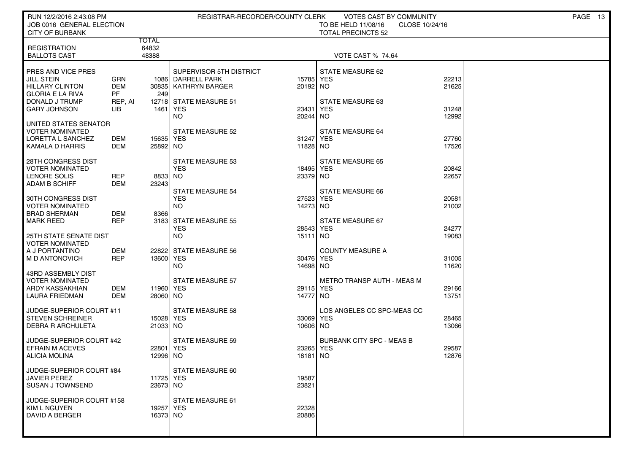| RUN 12/2/2016 2:43:08 PM                            |                   |                         | REGISTRAR-RECORDER/COUNTY CLERK             |                       | VOTES CAST BY COMMUNITY                                            |                | PAGE 13 |
|-----------------------------------------------------|-------------------|-------------------------|---------------------------------------------|-----------------------|--------------------------------------------------------------------|----------------|---------|
| JOB 0016 GENERAL ELECTION<br><b>CITY OF BURBANK</b> |                   |                         |                                             |                       | TO BE HELD 11/08/16<br>CLOSE 10/24/16<br><b>TOTAL PRECINCTS 52</b> |                |         |
|                                                     |                   | TOTAL                   |                                             |                       |                                                                    |                |         |
| <b>REGISTRATION</b><br><b>BALLOTS CAST</b>          |                   | 64832<br>48388          |                                             |                       | <b>VOTE CAST % 74.64</b>                                           |                |         |
|                                                     |                   |                         |                                             |                       |                                                                    |                |         |
| PRES AND VICE PRES                                  |                   |                         | SUPERVISOR 5TH DISTRICT                     |                       | STATE MEASURE 62                                                   |                |         |
| JILL STEIN<br><b>HILLARY CLINTON</b>                | GRN<br><b>DEM</b> |                         | 1086 DARRELL PARK<br>30835   KATHRYN BARGER | 15785<br>20192 NO     | YES                                                                | 22213<br>21625 |         |
| <b>GLORIA E LA RIVA</b>                             | <b>PF</b>         | 249                     |                                             |                       |                                                                    |                |         |
| DONALD J TRUMP                                      | REP, AI           |                         | 12718 STATE MEASURE 51                      |                       | STATE MEASURE 63                                                   |                |         |
| <b>GARY JOHNSON</b>                                 | LIB               | 1461   YES              | <b>NO</b>                                   | 23431<br>20244 NO     | <b>YES</b>                                                         | 31248<br>12992 |         |
| UNITED STATES SENATOR                               |                   |                         |                                             |                       |                                                                    |                |         |
| <b>VOTER NOMINATED</b>                              |                   |                         | STATE MEASURE 52                            |                       | <b>STATE MEASURE 64</b>                                            |                |         |
| LORETTA L SANCHEZ<br><b>KAMALA D HARRIS</b>         | DEM<br>DEM        | 15635 YES<br>25892 NO   |                                             | 31247 YES<br>11828 NO |                                                                    | 27760<br>17526 |         |
|                                                     |                   |                         |                                             |                       |                                                                    |                |         |
| 28TH CONGRESS DIST<br><b>VOTER NOMINATED</b>        |                   |                         | STATE MEASURE 53<br><b>YES</b>              | 18495 YES             | STATE MEASURE 65                                                   | 20842          |         |
| LENORE SOLIS                                        | <b>REP</b>        | 8833 NO                 |                                             | 23379 NO              |                                                                    | 22657          |         |
| <b>ADAM B SCHIFF</b>                                | <b>DEM</b>        | 23243                   |                                             |                       |                                                                    |                |         |
| 30TH CONGRESS DIST                                  |                   |                         | <b>STATE MEASURE 54</b><br><b>YES</b>       | 27523                 | STATE MEASURE 66<br><b>YES</b>                                     | 20581          |         |
| <b>VOTER NOMINATED</b>                              |                   |                         | <b>NO</b>                                   | 14273 NO              |                                                                    | 21002          |         |
| <b>BRAD SHERMAN</b><br><b>MARK REED</b>             | DEM<br><b>REP</b> | 8366                    | 3183 STATE MEASURE 55                       |                       | STATE MEASURE 67                                                   |                |         |
|                                                     |                   |                         | <b>YES</b>                                  | 28543                 | <b>YES</b>                                                         | 24277          |         |
| 25TH STATE SENATE DIST                              |                   |                         | NO                                          | 15111 NO              |                                                                    | 19083          |         |
| <b>VOTER NOMINATED</b><br>A J PORTANTINO            | <b>DEM</b>        |                         | 22822 STATE MEASURE 56                      |                       | <b>COUNTY MEASURE A</b>                                            |                |         |
| M D ANTONOVICH                                      | <b>REP</b>        | 13600 YES               |                                             | 30476 YES             |                                                                    | 31005          |         |
|                                                     |                   |                         | NO                                          | 14698 NO              |                                                                    | 11620          |         |
| 43RD ASSEMBLY DIST<br><b>VOTER NOMINATED</b>        |                   |                         | <b>STATE MEASURE 57</b>                     |                       | METRO TRANSP AUTH - MEAS M                                         |                |         |
| ARDY KASSAKHIAN                                     | DEM               | 11960 YES               |                                             | 29115 YES             |                                                                    | 29166          |         |
| <b>LAURA FRIEDMAN</b>                               | DEM               | 28060 NO                |                                             | 14777 NO              |                                                                    | 13751          |         |
| JUDGE-SUPERIOR COURT #11                            |                   |                         | <b>STATE MEASURE 58</b>                     |                       | LOS ANGELES CC SPC-MEAS CC                                         |                |         |
| <b>STEVEN SCHREINER</b>                             |                   | 15028 YES               |                                             | 33069                 | <b>YES</b>                                                         | 28465          |         |
| <b>DEBRA R ARCHULETA</b>                            |                   | 21033 NO                |                                             | 10606 NO              |                                                                    | 13066          |         |
| JUDGE-SUPERIOR COURT #42                            |                   |                         | <b>STATE MEASURE 59</b>                     |                       | <b>BURBANK CITY SPC - MEAS B</b>                                   |                |         |
| <b>EFRAIN M ACEVES</b><br><b>ALICIA MOLINA</b>      |                   | 22801   YES<br>12996 NO |                                             | 23265<br>18181        | <b>YES</b><br>NO.                                                  | 29587<br>12876 |         |
|                                                     |                   |                         |                                             |                       |                                                                    |                |         |
| JUDGE-SUPERIOR COURT #84                            |                   |                         | STATE MEASURE 60                            |                       |                                                                    |                |         |
| <b>JAVIER PEREZ</b><br><b>SUSAN J TOWNSEND</b>      |                   | 11725 YES<br>23673 NO   |                                             | 19587<br>23821        |                                                                    |                |         |
|                                                     |                   |                         |                                             |                       |                                                                    |                |         |
| JUDGE-SUPERIOR COURT #158<br>KIM L NGUYEN           |                   | 19257 YES               | STATE MEASURE 61                            | 22328                 |                                                                    |                |         |
| DAVID A BERGER                                      |                   | 16373 NO                |                                             | 20886                 |                                                                    |                |         |
|                                                     |                   |                         |                                             |                       |                                                                    |                |         |
|                                                     |                   |                         |                                             |                       |                                                                    |                |         |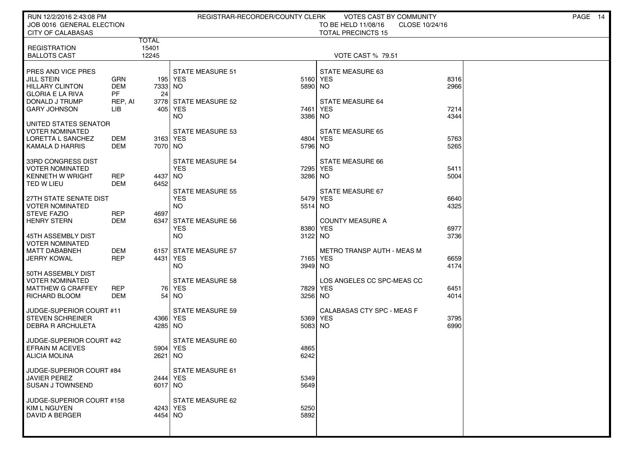| RUN 12/2/2016 2:43:08 PM<br>JOB 0016 GENERAL ELECTION<br><b>CITY OF CALABASAS</b>              |                                       |                     | REGISTRAR-RECORDER/COUNTY CLERK                    | <b>VOTES CAST BY COMMUNITY</b><br>CLOSE 10/24/16 | PAGE 14                                               |              |  |
|------------------------------------------------------------------------------------------------|---------------------------------------|---------------------|----------------------------------------------------|--------------------------------------------------|-------------------------------------------------------|--------------|--|
| <b>REGISTRATION</b><br><b>BALLOTS CAST</b>                                                     | <b>TOTAL</b><br>15401<br>12245        |                     |                                                    |                                                  | <b>TOTAL PRECINCTS 15</b><br><b>VOTE CAST % 79.51</b> |              |  |
| PRES AND VICE PRES<br><b>JILL STEIN</b><br><b>HILLARY CLINTON</b><br><b>GLORIA E LA RIVA</b>   | <b>GRN</b><br><b>DEM</b><br><b>PF</b> | 7333 NO<br>24       | <b>STATE MEASURE 51</b><br>195 YES                 | 5160 YES<br>5890 NO                              | STATE MEASURE 63                                      | 8316<br>2966 |  |
| DONALD J TRUMP<br><b>GARY JOHNSON</b>                                                          | REP, AI<br>LIB                        |                     | 3778 STATE MEASURE 52<br>405 YES<br><b>NO</b>      | 7461<br>3386 NO                                  | STATE MEASURE 64<br><b>YES</b>                        | 7214<br>4344 |  |
| UNITED STATES SENATOR<br><b>VOTER NOMINATED</b><br>LORETTA L SANCHEZ<br><b>KAMALA D HARRIS</b> | DEM<br><b>DEM</b>                     | 3163 YES<br>7070 NO | <b>STATE MEASURE 53</b>                            | 4804 YES<br>5796 NO                              | <b>STATE MEASURE 65</b>                               | 5763<br>5265 |  |
| 33RD CONGRESS DIST<br><b>VOTER NOMINATED</b><br><b>KENNETH W WRIGHT</b><br><b>TED W LIEU</b>   | <b>REP</b><br><b>DEM</b>              | 4437 NO<br>6452     | <b>STATE MEASURE 54</b><br><b>YES</b>              | 7295<br>3286 NO                                  | STATE MEASURE 66<br><b>YES</b>                        | 5411<br>5004 |  |
| 27TH STATE SENATE DIST<br><b>VOTER NOMINATED</b><br><b>STEVE FAZIO</b>                         | REP                                   | 4697                | <b>STATE MEASURE 55</b><br><b>YES</b><br><b>NO</b> | 5479<br>5514 NO                                  | STATE MEASURE 67<br>YES                               | 6640<br>4325 |  |
| <b>HENRY STERN</b><br>45TH ASSEMBLY DIST<br><b>VOTER NOMINATED</b>                             | <b>DEM</b>                            |                     | 6347 STATE MEASURE 56<br><b>YES</b><br><b>NO</b>   | 8380<br>3122 NO                                  | <b>COUNTY MEASURE A</b><br>YES                        | 6977<br>3736 |  |
| <b>MATT DABABNEH</b><br><b>JERRY KOWAL</b>                                                     | <b>DEM</b><br><b>REP</b>              | 4431 YES            | 6157 STATE MEASURE 57<br><b>NO</b>                 | 7165 YES<br>3949 NO                              | METRO TRANSP AUTH - MEAS M                            | 6659<br>4174 |  |
| 50TH ASSEMBLY DIST<br><b>VOTER NOMINATED</b><br><b>MATTHEW G CRAFFEY</b><br>RICHARD BLOOM      | REP<br><b>DEM</b>                     |                     | <b>STATE MEASURE 58</b><br>76 YES<br>$54$ NO       | 7829 YES<br>3256 NO                              | LOS ANGELES CC SPC-MEAS CC                            | 6451<br>4014 |  |
| JUDGE-SUPERIOR COURT #11<br><b>STEVEN SCHREINER</b><br><b>DEBRA R ARCHULETA</b>                |                                       | 4366 YES<br>4285 NO | <b>STATE MEASURE 59</b>                            | 5369<br>5083 NO                                  | CALABASAS CTY SPC - MEAS F<br><b>YES</b>              | 3795<br>6990 |  |
| JUDGE-SUPERIOR COURT #42<br><b>EFRAIN M ACEVES</b><br>ALICIA MOLINA                            |                                       | 5904 YES<br>2621    | STATE MEASURE 60<br>  NO                           | 4865<br>6242                                     |                                                       |              |  |
| JUDGE-SUPERIOR COURT #84<br><b>JAVIER PEREZ</b><br><b>SUSAN J TOWNSEND</b>                     |                                       | 2444 YES<br>6017 NO | STATE MEASURE 61                                   | 5349<br>5649                                     |                                                       |              |  |
| JUDGE-SUPERIOR COURT #158<br>KIM L NGUYEN<br><b>DAVID A BERGER</b>                             |                                       | 4243 YES<br>4454 NO | STATE MEASURE 62                                   | 5250<br>5892                                     |                                                       |              |  |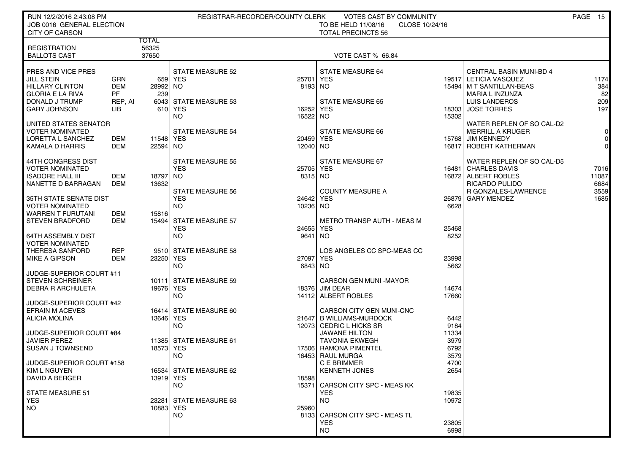| RUN 12/2/2016 2:43:08 PM<br>JOB 0016 GENERAL ELECTION |                   | REGISTRAR-RECORDER/COUNTY CLERK<br>VOTES CAST BY COMMUNITY<br>TO BE HELD 11/08/16<br>CLOSE 10/24/16 |                         |                      |                                                 |                |                                                | PAGE 15              |
|-------------------------------------------------------|-------------------|-----------------------------------------------------------------------------------------------------|-------------------------|----------------------|-------------------------------------------------|----------------|------------------------------------------------|----------------------|
| <b>CITY OF CARSON</b>                                 |                   |                                                                                                     |                         |                      | <b>TOTAL PRECINCTS 56</b>                       |                |                                                |                      |
|                                                       |                   | <b>TOTAL</b>                                                                                        |                         |                      |                                                 |                |                                                |                      |
| <b>REGISTRATION</b><br><b>BALLOTS CAST</b>            |                   | 56325<br>37650                                                                                      |                         |                      | VOTE CAST % 66.84                               |                |                                                |                      |
|                                                       |                   |                                                                                                     |                         |                      |                                                 |                |                                                |                      |
| PRES AND VICE PRES                                    |                   |                                                                                                     | <b>STATE MEASURE 52</b> |                      | <b>STATE MEASURE 64</b>                         |                | <b>CENTRAL BASIN MUNI-BD 4</b>                 |                      |
| <b>JILL STEIN</b>                                     | <b>GRN</b>        | 659                                                                                                 | YES                     | 25701                | YES                                             |                | 19517 LETICIA VASQUEZ                          | 1174                 |
| <b>HILLARY CLINTON</b>                                | <b>DEM</b><br>PF  | 28992 NO                                                                                            |                         | 8193 NO              |                                                 |                | 15494   M T SANTILLAN-BEAS                     | 384                  |
| <b>GLORIA E LA RIVA</b><br>DONALD J TRUMP             | REP, AI           | 239                                                                                                 | 6043 STATE MEASURE 53   |                      | <b>STATE MEASURE 65</b>                         |                | <b>MARIA L INZUNZA</b><br><b>LUIS LANDEROS</b> | 82<br>209            |
| <b>GARY JOHNSON</b>                                   | LIB               |                                                                                                     | 610 YES                 | 16252                | YES                                             | 18303          | <b>JOSE TORRES</b>                             | 197                  |
|                                                       |                   |                                                                                                     | NO.                     | 16522 NO             |                                                 | 15302          |                                                |                      |
| UNITED STATES SENATOR                                 |                   |                                                                                                     |                         |                      |                                                 |                | WATER REPLEN OF SO CAL-D2                      |                      |
| <b>VOTER NOMINATED</b><br>LORETTA L SANCHEZ           | DEM               | 11548 YES                                                                                           | <b>STATE MEASURE 54</b> | 20459 YES            | STATE MEASURE 66                                |                | <b>MERRILL A KRUGER</b><br>15768 JIM KENNEDY   | $\Omega$<br>$\Omega$ |
| <b>KAMALA D HARRIS</b>                                | DEM               | 22594 NO                                                                                            |                         | 12040 NO             |                                                 |                | 16817 ROBERT KATHERMAN                         | $\Omega$             |
|                                                       |                   |                                                                                                     |                         |                      |                                                 |                |                                                |                      |
| 44TH CONGRESS DIST                                    |                   |                                                                                                     | <b>STATE MEASURE 55</b> |                      | STATE MEASURE 67                                |                | WATER REPLEN OF SO CAL-D5                      |                      |
| <b>VOTER NOMINATED</b><br><b>ISADORE HALL III</b>     | DEM               | 18797 INO                                                                                           | <b>YES</b>              | 25705 YES<br>8315 NO |                                                 |                | 16481 CHARLES DAVIS<br>16872 ALBERT ROBLES     | 7016<br>11087        |
| NANETTE D BARRAGAN                                    | DEM               | 13632                                                                                               |                         |                      |                                                 |                | RICARDO PULIDO                                 | 6684                 |
|                                                       |                   |                                                                                                     | <b>STATE MEASURE 56</b> |                      | <b>COUNTY MEASURE A</b>                         |                | R GONZALES-LAWRENCE                            | 3559                 |
| 35TH STATE SENATE DIST                                |                   |                                                                                                     | <b>YES</b>              | 24642 YES            |                                                 | 26879          | <b>GARY MENDEZ</b>                             | 1685                 |
| <b>VOTER NOMINATED</b><br><b>WARREN T FURUTANI</b>    | DEM               |                                                                                                     | <b>NO</b>               | 10236 NO             |                                                 | 6628           |                                                |                      |
| <b>STEVEN BRADFORD</b>                                | DEM               | 15816                                                                                               | 15494 STATE MEASURE 57  |                      | <b>METRO TRANSP AUTH - MEAS M</b>               |                |                                                |                      |
|                                                       |                   |                                                                                                     | <b>YES</b>              | 24655 YES            |                                                 | 25468          |                                                |                      |
| <b>64TH ASSEMBLY DIST</b>                             |                   |                                                                                                     | <b>NO</b>               | 9641                 | NO                                              | 8252           |                                                |                      |
| <b>VOTER NOMINATED</b>                                |                   |                                                                                                     |                         |                      |                                                 |                |                                                |                      |
| THERESA SANFORD<br>MIKE A GIPSON                      | <b>REP</b><br>DEM | 23250 YES                                                                                           | 9510 STATE MEASURE 58   | 27097   YES          | LOS ANGELES CC SPC-MEAS CC                      | 23998          |                                                |                      |
|                                                       |                   |                                                                                                     | NO.                     | 6843 NO              |                                                 | 5662           |                                                |                      |
| JUDGE-SUPERIOR COURT #11                              |                   |                                                                                                     |                         |                      |                                                 |                |                                                |                      |
| <b>STEVEN SCHREINER</b>                               |                   |                                                                                                     | 10111 STATE MEASURE 59  |                      | <b>CARSON GEN MUNI -MAYOR</b>                   |                |                                                |                      |
| <b>DEBRA R ARCHULETA</b>                              |                   | 19676 YES                                                                                           | <b>NO</b>               | 14112                | 18376 JIM DEAR<br><b>ALBERT ROBLES</b>          | 14674<br>17660 |                                                |                      |
| JUDGE-SUPERIOR COURT #42                              |                   |                                                                                                     |                         |                      |                                                 |                |                                                |                      |
| <b>EFRAIN M ACEVES</b>                                |                   |                                                                                                     | 16414 STATE MEASURE 60  |                      | <b>CARSON CITY GEN MUNI-CNC</b>                 |                |                                                |                      |
| <b>ALICIA MOLINA</b>                                  |                   | 13646 YES                                                                                           |                         |                      | 21647 B WILLIAMS-MURDOCK                        | 6442           |                                                |                      |
| JUDGE-SUPERIOR COURT #84                              |                   |                                                                                                     | NO.                     |                      | 12073 CEDRIC L HICKS SR<br><b>JAWANE HILTON</b> | 9184<br>11334  |                                                |                      |
| <b>JAVIER PEREZ</b>                                   |                   |                                                                                                     | 11385 STATE MEASURE 61  |                      | <b>TAVONIA EKWEGH</b>                           | 3979           |                                                |                      |
| <b>SUSAN J TOWNSEND</b>                               |                   | 18573 YES                                                                                           |                         |                      | 17506 RAMONA PIMENTEL                           | 6792           |                                                |                      |
|                                                       |                   |                                                                                                     | NO.                     |                      | 16453 RAUL MURGA                                | 3579           |                                                |                      |
| JUDGE-SUPERIOR COURT #158                             |                   |                                                                                                     | 16534 STATE MEASURE 62  |                      | C E BRIMMER                                     | 4700           |                                                |                      |
| KIM L NGUYEN<br><b>DAVID A BERGER</b>                 |                   | 13919 YES                                                                                           |                         | 18598                | <b>KENNETH JONES</b>                            | 2654           |                                                |                      |
|                                                       |                   |                                                                                                     | NO.                     | 15371                | CARSON CITY SPC - MEAS KK                       |                |                                                |                      |
| STATE MEASURE 51                                      |                   |                                                                                                     |                         |                      | <b>YES</b>                                      | 19835          |                                                |                      |
| <b>YES</b>                                            |                   |                                                                                                     | 23281 STATE MEASURE 63  |                      | <b>NO</b>                                       | 10972          |                                                |                      |
| NO.                                                   |                   | 10883 YES                                                                                           | NO.                     | 25960                | 8133 CARSON CITY SPC - MEAS TL                  |                |                                                |                      |
|                                                       |                   |                                                                                                     |                         |                      | <b>YES</b>                                      | 23805          |                                                |                      |
|                                                       |                   |                                                                                                     |                         |                      | <b>NO</b>                                       | 6998           |                                                |                      |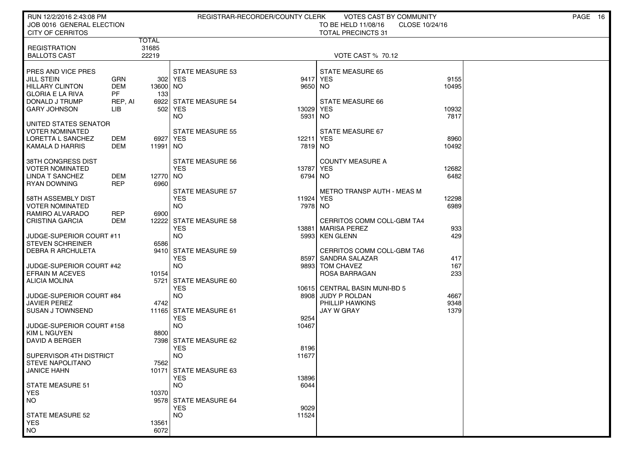| RUN 12/2/2016 2:43:08 PM<br>JOB 0016 GENERAL ELECTION<br><b>CITY OF CERRITOS</b>                                        |                                                         | REGISTRAR-RECORDER/COUNTY CLERK<br>VOTES CAST BY COMMUNITY<br>TO BE HELD 11/08/16<br>CLOSE 10/24/16<br><b>TOTAL PRECINCTS 31</b> |                                                                      |                                 |                                                                                       |                        | PAGE 16 |
|-------------------------------------------------------------------------------------------------------------------------|---------------------------------------------------------|----------------------------------------------------------------------------------------------------------------------------------|----------------------------------------------------------------------|---------------------------------|---------------------------------------------------------------------------------------|------------------------|---------|
| <b>REGISTRATION</b><br><b>BALLOTS CAST</b>                                                                              |                                                         | TOTAL<br>31685<br>22219                                                                                                          |                                                                      |                                 | <b>VOTE CAST % 70.12</b>                                                              |                        |         |
| PRES AND VICE PRES<br>JILL STEIN<br><b>HILLARY CLINTON</b><br><b>GLORIA E LA RIVA</b><br>DONALD J TRUMP<br>GARY JOHNSON | <b>GRN</b><br><b>DEM</b><br><b>PF</b><br>REP, AI<br>LIB | 13600 NO<br>133<br>6922<br>502                                                                                                   | <b>STATE MEASURE 53</b><br>302 YES<br><b>STATE MEASURE 54</b><br>YES | 9650 NO<br>13029                | <b>STATE MEASURE 65</b><br>9417 YES<br>STATE MEASURE 66<br><b>YES</b>                 | 9155<br>10495<br>10932 |         |
| UNITED STATES SENATOR<br>VOTER NOMINATED<br>LORETTA L SANCHEZ<br>KAMALA D HARRIS                                        | DEM<br>DEM                                              | 6927<br>11991                                                                                                                    | NO.<br>STATE MEASURE 55<br><b>YES</b><br>NO.                         | 5931 NO<br>12211 YES<br>7819 NO | STATE MEASURE 67                                                                      | 7817<br>8960<br>10492  |         |
| 38TH CONGRESS DIST<br><b>VOTER NOMINATED</b><br>LINDA T SANCHEZ<br>RYAN DOWNING                                         | DEM<br><b>REP</b>                                       | 12770 NO<br>6960                                                                                                                 | <b>STATE MEASURE 56</b><br><b>YES</b><br><b>STATE MEASURE 57</b>     | 13787 YES<br>6794 NO            | <b>COUNTY MEASURE A</b><br>METRO TRANSP AUTH - MEAS M                                 | 12682<br>6482          |         |
| 58TH ASSEMBLY DIST<br><b>VOTER NOMINATED</b><br>RAMIRO ALVARADO<br>CRISTINA GARCIA                                      | REP<br>DEM                                              | 6900<br>12222                                                                                                                    | <b>YES</b><br>NO.<br><b>STATE MEASURE 58</b>                         | 11924<br>7978 NO                | YES<br>CERRITOS COMM COLL-GBM TA4                                                     | 12298<br>6989          |         |
| JUDGE-SUPERIOR COURT #11<br><b>STEVEN SCHREINER</b>                                                                     |                                                         | 6586                                                                                                                             | <b>YES</b><br><b>NO</b>                                              |                                 | 13881 MARISA PEREZ<br>5993 KEN GLENN                                                  | 933<br>429             |         |
| <b>DEBRA R ARCHULETA</b><br>JUDGE-SUPERIOR COURT #42<br><b>EFRAIN M ACEVES</b>                                          |                                                         | 9410<br>10154                                                                                                                    | <b>STATE MEASURE 59</b><br><b>YES</b><br><b>NO</b>                   |                                 | CERRITOS COMM COLL-GBM TA6<br>8597 SANDRA SALAZAR<br>9893 TOM CHAVEZ<br>ROSA BARRAGAN | 417<br>167<br>233      |         |
| <b>ALICIA MOLINA</b><br>JUDGE-SUPERIOR COURT #84<br>JAVIER PEREZ                                                        |                                                         | 5721<br>4742                                                                                                                     | <b>STATE MEASURE 60</b><br><b>YES</b><br><b>NO</b>                   |                                 | 10615 CENTRAL BASIN MUNI-BD 5<br>8908 JUDY P ROLDAN<br>PHILLIP HAWKINS                | 4667<br>9348           |         |
| <b>SUSAN J TOWNSEND</b><br>JUDGE-SUPERIOR COURT #158<br><b>KIM L NGUYEN</b>                                             |                                                         | 11165<br>8800                                                                                                                    | STATE MEASURE 61<br><b>YES</b><br><b>NO</b>                          | 9254<br>10467                   | JAY W GRAY                                                                            | 1379                   |         |
| DAVID A BERGER<br>SUPERVISOR 4TH DISTRICT<br><b>STEVE NAPOLITANO</b>                                                    |                                                         | 7562                                                                                                                             | 7398 STATE MEASURE 62<br><b>YES</b><br><b>NO</b>                     | 8196<br>11677                   |                                                                                       |                        |         |
| JANICE HAHN<br><b>STATE MEASURE 51</b><br><b>YES</b>                                                                    |                                                         | 10370                                                                                                                            | 10171 STATE MEASURE 63<br><b>YES</b><br><b>NO</b>                    | 13896<br>6044                   |                                                                                       |                        |         |
| NO.<br><b>STATE MEASURE 52</b>                                                                                          |                                                         |                                                                                                                                  | 9578 STATE MEASURE 64<br><b>YES</b><br><b>NO</b>                     | 9029<br>11524                   |                                                                                       |                        |         |
| <b>YES</b><br><b>NO</b>                                                                                                 |                                                         | 13561<br>6072                                                                                                                    |                                                                      |                                 |                                                                                       |                        |         |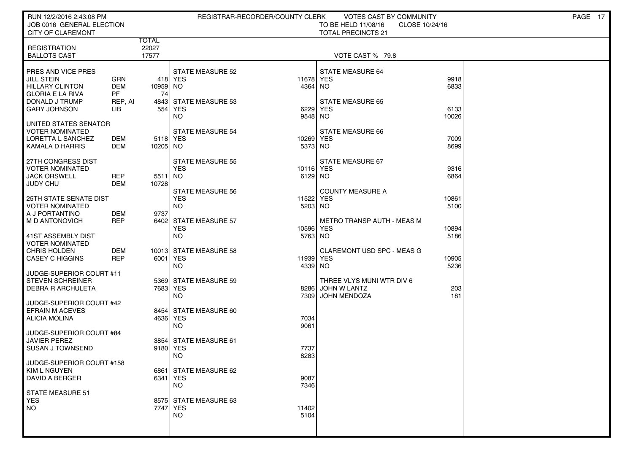| RUN 12/2/2016 2:43:08 PM<br>JOB 0016 GENERAL ELECTION                                        |                         |                      |                                                    | REGISTRAR-RECORDER/COUNTY CLERK | VOTES CAST BY COMMUNITY<br>TO BE HELD 11/08/16                   | CLOSE 10/24/16 | PAGE 17 |
|----------------------------------------------------------------------------------------------|-------------------------|----------------------|----------------------------------------------------|---------------------------------|------------------------------------------------------------------|----------------|---------|
| <b>CITY OF CLAREMONT</b>                                                                     |                         | <b>TOTAL</b>         |                                                    |                                 | <b>TOTAL PRECINCTS 21</b>                                        |                |         |
| <b>REGISTRATION</b><br><b>BALLOTS CAST</b>                                                   |                         | 22027<br>17577       |                                                    |                                 | VOTE CAST % 79.8                                                 |                |         |
| PRES AND VICE PRES<br><b>JILL STEIN</b><br><b>HILLARY CLINTON</b><br><b>GLORIA E LA RIVA</b> | GRN<br><b>DEM</b><br>PF | 10959 NO<br>74       | <b>STATE MEASURE 52</b><br>418 YES                 | 11678 YES<br>4364 NO            | <b>STATE MEASURE 64</b>                                          | 9918<br>6833   |         |
| DONALD J TRUMP<br><b>GARY JOHNSON</b>                                                        | REP, AI<br>LIB          |                      | 4843 STATE MEASURE 53<br>554 YES<br>NO.            | 6229<br>9548 NO                 | <b>STATE MEASURE 65</b><br><b>YES</b>                            | 6133<br>10026  |         |
| UNITED STATES SENATOR<br><b>VOTER NOMINATED</b><br>LORETTA L SANCHEZ<br>KAMALA D HARRIS      | DEM<br>DEM              | 5118 YES<br>10205 NO | <b>STATE MEASURE 54</b>                            | 10269 YES<br>5373 NO            | STATE MEASURE 66                                                 | 7009<br>8699   |         |
| 27TH CONGRESS DIST<br><b>VOTER NOMINATED</b><br><b>JACK ORSWELL</b><br>JUDY CHU              | <b>REP</b><br>DEM       | 5511 NO<br>10728     | <b>STATE MEASURE 55</b><br><b>YES</b>              | 10116 YES<br>6129 NO            | STATE MEASURE 67                                                 | 9316<br>6864   |         |
| <b>25TH STATE SENATE DIST</b><br><b>VOTER NOMINATED</b><br>A J PORTANTINO                    | DEM                     | 9737                 | <b>STATE MEASURE 56</b><br><b>YES</b><br><b>NO</b> | 11522<br>5203 NO                | <b>COUNTY MEASURE A</b><br><b>YES</b>                            | 10861<br>5100  |         |
| M D ANTONOVICH<br>41ST ASSEMBLY DIST                                                         | <b>REP</b>              |                      | 6402 STATE MEASURE 57<br><b>YES</b><br><b>NO</b>   | 10596 YES<br>5763 NO            | <b>METRO TRANSP AUTH - MEAS M</b>                                | 10894<br>5186  |         |
| <b>VOTER NOMINATED</b><br><b>CHRIS HOLDEN</b><br><b>CASEY C HIGGINS</b>                      | DEM<br><b>REP</b>       | 6001 YES             | 10013 STATE MEASURE 58<br><b>NO</b>                | 11939 YES<br>4339 NO            | <b>CLAREMONT USD SPC - MEAS G</b>                                | 10905<br>5236  |         |
| JUDGE-SUPERIOR COURT #11<br><b>STEVEN SCHREINER</b><br>DEBRA R ARCHULETA                     |                         | 7683 YES             | 5369 STATE MEASURE 59<br><b>NO</b>                 | 8286<br>7309                    | THREE VLYS MUNI WTR DIV 6<br>JOHN W LANTZ<br><b>JOHN MENDOZA</b> | 203<br>181     |         |
| JUDGE-SUPERIOR COURT #42<br><b>EFRAIN M ACEVES</b><br><b>ALICIA MOLINA</b>                   |                         | 4636 YES             | 8454 STATE MEASURE 60<br><b>NO</b>                 | 7034<br>9061                    |                                                                  |                |         |
| JUDGE-SUPERIOR COURT #84<br><b>JAVIER PEREZ</b><br><b>SUSAN J TOWNSEND</b>                   |                         | 9180 YES             | 3854 STATE MEASURE 61<br><b>NO</b>                 | 7737<br>8283                    |                                                                  |                |         |
| JUDGE-SUPERIOR COURT #158<br>KIM L NGUYEN<br><b>DAVID A BERGER</b>                           |                         | 6341 YES             | 6861   STATE MEASURE 62<br><b>NO</b>               | 9087<br>7346                    |                                                                  |                |         |
| STATE MEASURE 51<br><b>YES</b><br>NO.                                                        |                         | 7747 YES             | 8575 STATE MEASURE 63<br><b>NO</b>                 | 11402<br>5104                   |                                                                  |                |         |
|                                                                                              |                         |                      |                                                    |                                 |                                                                  |                |         |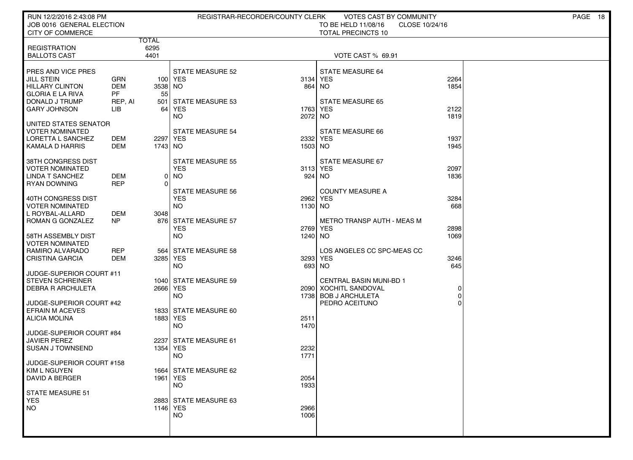| RUN 12/2/2016 2:43:08 PM<br>JOB 0016 GENERAL ELECTION                                                          |                                    |                       |                                                            | REGISTRAR-RECORDER/COUNTY CLERK | VOTES CAST BY COMMUNITY<br>TO BE HELD 11/08/16<br>CLOSE 10/24/16                |              | PAGE 18 |  |
|----------------------------------------------------------------------------------------------------------------|------------------------------------|-----------------------|------------------------------------------------------------|---------------------------------|---------------------------------------------------------------------------------|--------------|---------|--|
| CITY OF COMMERCE                                                                                               |                                    | <b>TOTAL</b>          |                                                            |                                 | <b>TOTAL PRECINCTS 10</b>                                                       |              |         |  |
| <b>REGISTRATION</b><br><b>BALLOTS CAST</b>                                                                     |                                    | 6295<br>4401          |                                                            |                                 | VOTE CAST % 69.91                                                               |              |         |  |
| PRES AND VICE PRES<br><b>JILL STEIN</b><br><b>HILLARY CLINTON</b><br><b>GLORIA E LA RIVA</b><br>DONALD J TRUMP | GRN<br><b>DEM</b><br>PF<br>REP, AI | 3538 NO<br>55         | <b>STATE MEASURE 52</b><br>100 YES<br>501 STATE MEASURE 53 | 864                             | <b>STATE MEASURE 64</b><br>3134 YES<br>NO.<br><b>STATE MEASURE 65</b>           | 2264<br>1854 |         |  |
| <b>GARY JOHNSON</b>                                                                                            | LIB                                | 64                    | YES<br>NO.                                                 | 2072 NO                         | 1763 YES                                                                        | 2122<br>1819 |         |  |
| UNITED STATES SENATOR<br><b>VOTER NOMINATED</b><br>LORETTA L SANCHEZ<br>KAMALA D HARRIS                        | DEM<br>DEM                         | 2297 YES<br>1743   NO | <b>STATE MEASURE 54</b>                                    | 1503 NO                         | STATE MEASURE 66<br>2332 YES                                                    | 1937<br>1945 |         |  |
| 38TH CONGRESS DIST<br><b>VOTER NOMINATED</b><br><b>LINDA T SANCHEZ</b><br>RYAN DOWNING                         | DEM<br><b>REP</b>                  | $\Omega$              | <b>STATE MEASURE 55</b><br><b>YES</b><br>0   NO            |                                 | STATE MEASURE 67<br>3113 YES<br>924 NO                                          | 2097<br>1836 |         |  |
| 40TH CONGRESS DIST<br><b>VOTER NOMINATED</b><br>L ROYBAL-ALLARD                                                | DEM                                | 3048                  | <b>STATE MEASURE 56</b><br><b>YES</b><br><b>NO</b>         | 1130 NO                         | <b>COUNTY MEASURE A</b><br>2962 YES                                             | 3284<br>668  |         |  |
| ROMAN G GONZALEZ<br>58TH ASSEMBLY DIST                                                                         | NP                                 |                       | 876 STATE MEASURE 57<br><b>YES</b><br><b>NO</b>            | 1240 NO                         | <b>METRO TRANSP AUTH - MEAS M</b><br>2769 YES                                   | 2898<br>1069 |         |  |
| <b>VOTER NOMINATED</b><br>RAMIRO ALVARADO<br><b>CRISTINA GARCIA</b>                                            | REP<br>DEM                         | 564<br>3285 YES       | STATE MEASURE 58<br><b>NO</b>                              |                                 | LOS ANGELES CC SPC-MEAS CC<br>3293 YES<br>693 NO                                | 3246<br>645  |         |  |
| JUDGE-SUPERIOR COURT #11<br><b>STEVEN SCHREINER</b><br><b>DEBRA R ARCHULETA</b>                                |                                    | 2666 YES              | 1040 STATE MEASURE 59<br><b>NO</b>                         |                                 | <b>CENTRAL BASIN MUNI-BD 1</b><br>2090 XOCHITL SANDOVAL<br>1738 BOB J ARCHULETA | 0            |         |  |
| JUDGE-SUPERIOR COURT #42<br><b>EFRAIN M ACEVES</b><br><b>ALICIA MOLINA</b>                                     |                                    | 1883 YES              | 1833 STATE MEASURE 60<br><b>NO</b>                         | 2511<br>1470                    | PEDRO ACEITUNO                                                                  |              |         |  |
| JUDGE-SUPERIOR COURT #84<br>JAVIER PEREZ<br><b>SUSAN J TOWNSEND</b>                                            |                                    | 1354 YES              | 2237 STATE MEASURE 61<br><b>NO</b>                         | 2232<br>1771                    |                                                                                 |              |         |  |
| JUDGE-SUPERIOR COURT #158<br>KIM L NGUYEN<br><b>DAVID A BERGER</b>                                             |                                    | 1961 YES              | 1664   STATE MEASURE 62<br><b>NO</b>                       | 2054<br>1933                    |                                                                                 |              |         |  |
| STATE MEASURE 51<br><b>YES</b><br>NO.                                                                          |                                    | 1146 YES              | 2883 STATE MEASURE 63<br><b>NO</b>                         | 2966<br>1006                    |                                                                                 |              |         |  |
|                                                                                                                |                                    |                       |                                                            |                                 |                                                                                 |              |         |  |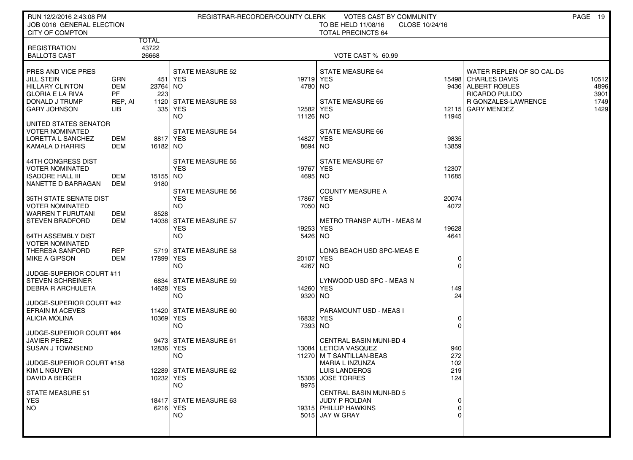| RUN 12/2/2016 2:43:08 PM<br>JOB 0016 GENERAL ELECTION                                                                                                                                 |                                          | REGISTRAR-RECORDER/COUNTY CLERK<br>VOTES CAST BY COMMUNITY<br>TO BE HELD 11/08/16<br>CLOSE 10/24/16 |                                                                                                                             |                                                                                                                                                                                      |  |  |  |
|---------------------------------------------------------------------------------------------------------------------------------------------------------------------------------------|------------------------------------------|-----------------------------------------------------------------------------------------------------|-----------------------------------------------------------------------------------------------------------------------------|--------------------------------------------------------------------------------------------------------------------------------------------------------------------------------------|--|--|--|
| <b>CITY OF COMPTON</b>                                                                                                                                                                |                                          |                                                                                                     | <b>TOTAL PRECINCTS 64</b>                                                                                                   |                                                                                                                                                                                      |  |  |  |
| <b>REGISTRATION</b><br><b>BALLOTS CAST</b>                                                                                                                                            | TOTAL<br>43722<br>26668                  |                                                                                                     | VOTE CAST % 60.99                                                                                                           |                                                                                                                                                                                      |  |  |  |
| PRES AND VICE PRES<br><b>JILL STEIN</b><br><b>GRN</b><br><b>DEM</b><br><b>HILLARY CLINTON</b><br><b>PF</b><br><b>GLORIA E LA RIVA</b><br>DONALD J TRUMP<br><b>GARY JOHNSON</b><br>LIB | 451<br>23764 NO<br>223<br>REP, AI<br>335 | <b>STATE MEASURE 52</b><br>YES<br>1120 STATE MEASURE 53<br>YES<br>NO.<br>11126 NO                   | <b>STATE MEASURE 64</b><br>19719 YES<br>4780 NO<br><b>STATE MEASURE 65</b><br>12582 YES<br>11945                            | WATER REPLEN OF SO CAL-D5<br>15498 CHARLES DAVIS<br>10512<br>4896<br>9436 ALBERT ROBLES<br>RICARDO PULIDO<br>3901<br>1749<br><b>R GONZALES-LAWRENCE</b><br>12115 GARY MENDEZ<br>1429 |  |  |  |
| UNITED STATES SENATOR<br><b>VOTER NOMINATED</b><br>LORETTA L SANCHEZ<br>DEM<br>KAMALA D HARRIS<br>DEM                                                                                 | 16182 NO                                 | STATE MEASURE 54<br>8817 YES                                                                        | STATE MEASURE 66<br>9835<br>14827 YES<br>13859<br>8694 NO                                                                   |                                                                                                                                                                                      |  |  |  |
| 44TH CONGRESS DIST<br><b>VOTER NOMINATED</b><br><b>ISADORE HALL III</b><br>DEM<br>NANETTE D BARRAGAN<br>DEM                                                                           | 15155 NO<br>9180                         | <b>STATE MEASURE 55</b><br><b>YES</b><br><b>STATE MEASURE 56</b>                                    | STATE MEASURE 67<br>19767 YES<br>12307<br>11685<br>4695 NO<br><b>COUNTY MEASURE A</b>                                       |                                                                                                                                                                                      |  |  |  |
| 35TH STATE SENATE DIST<br><b>VOTER NOMINATED</b><br><b>WARREN T FURUTANI</b><br>DEM<br><b>STEVEN BRADFORD</b><br>DEM                                                                  | 8528                                     | <b>YES</b><br>NO.<br>14038 STATE MEASURE 57                                                         | 17867 YES<br>20074<br>4072<br>7050 NO<br>METRO TRANSP AUTH - MEAS M                                                         |                                                                                                                                                                                      |  |  |  |
| <b>64TH ASSEMBLY DIST</b><br><b>VOTER NOMINATED</b>                                                                                                                                   |                                          | <b>YES</b><br>NO.                                                                                   | 19253 YES<br>19628<br>4641<br>5426 NO                                                                                       |                                                                                                                                                                                      |  |  |  |
| THERESA SANFORD<br>REP<br>MIKE A GIPSON<br>DEM                                                                                                                                        | 17899 YES                                | 5719 STATE MEASURE 58<br><b>NO</b>                                                                  | LONG BEACH USD SPC-MEAS E<br>20107 YES<br>0<br>$\Omega$<br>4267 NO                                                          |                                                                                                                                                                                      |  |  |  |
| JUDGE-SUPERIOR COURT #11<br><b>STEVEN SCHREINER</b><br><b>DEBRA R ARCHULETA</b><br>JUDGE-SUPERIOR COURT #42                                                                           | 14628 YES                                | 6834 STATE MEASURE 59<br><b>NO</b>                                                                  | LYNWOOD USD SPC - MEAS N<br>14260 YES<br>149<br>24<br>9320 NO                                                               |                                                                                                                                                                                      |  |  |  |
| <b>EFRAIN M ACEVES</b><br><b>ALICIA MOLINA</b><br>JUDGE-SUPERIOR COURT #84                                                                                                            | 10369 YES                                | 11420 STATE MEASURE 60<br>NO.                                                                       | PARAMOUNT USD - MEAS I<br>16832 YES<br>0<br>$\Omega$<br>7393 NO                                                             |                                                                                                                                                                                      |  |  |  |
| <b>JAVIER PEREZ</b><br><b>SUSAN J TOWNSEND</b><br>JUDGE-SUPERIOR COURT #158                                                                                                           | 12836 YES                                | 9473 STATE MEASURE 61<br>NO.                                                                        | <b>CENTRAL BASIN MUNI-BD 4</b><br>13084 LETICIA VASQUEZ<br>940<br>272<br>11270 M T SANTILLAN-BEAS<br>MARIA L INZUNZA<br>102 |                                                                                                                                                                                      |  |  |  |
| KIM L NGUYEN<br>DAVID A BERGER                                                                                                                                                        | 10232 YES                                | 12289 STATE MEASURE 62<br>15306<br>NO.<br>8975                                                      | <b>LUIS LANDEROS</b><br>219<br><b>JOSE TORRES</b><br>124                                                                    |                                                                                                                                                                                      |  |  |  |
| STATE MEASURE 51<br><b>YES</b><br>  NO                                                                                                                                                |                                          | 18417 STATE MEASURE 63<br>6216 YES<br>NO.                                                           | <b>CENTRAL BASIN MUNI-BD 5</b><br>JUDY P ROLDAN<br>0<br>19315 PHILLIP HAWKINS<br>0<br>5015 JAY W GRAY<br>$\Omega$           |                                                                                                                                                                                      |  |  |  |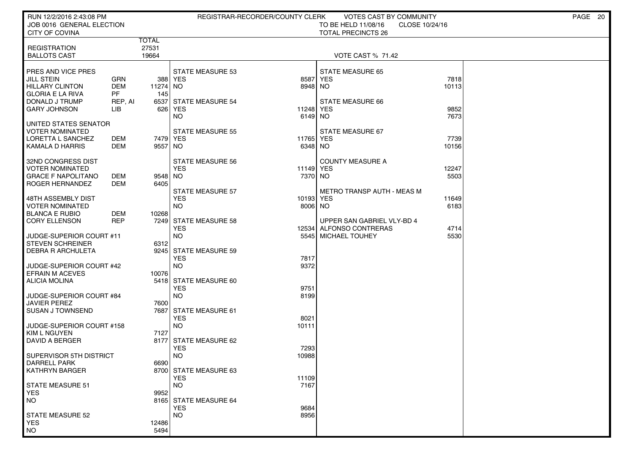| RUN 12/2/2016 2:43:08 PM<br>JOB 0016 GENERAL ELECTION |                      |                |                                       | REGISTRAR-RECORDER/COUNTY CLERK | VOTES CAST BY COMMUNITY                          |                | PAGE 20 |  |
|-------------------------------------------------------|----------------------|----------------|---------------------------------------|---------------------------------|--------------------------------------------------|----------------|---------|--|
| <b>CITY OF COVINA</b>                                 |                      |                |                                       |                                 | TO BE HELD 11/08/16<br><b>TOTAL PRECINCTS 26</b> | CLOSE 10/24/16 |         |  |
|                                                       |                      | TOTAL          |                                       |                                 |                                                  |                |         |  |
| <b>REGISTRATION</b><br><b>BALLOTS CAST</b>            |                      | 27531<br>19664 |                                       |                                 | <b>VOTE CAST % 71.42</b>                         |                |         |  |
|                                                       |                      |                |                                       |                                 |                                                  |                |         |  |
| PRES AND VICE PRES                                    |                      |                | <b>STATE MEASURE 53</b>               |                                 | <b>STATE MEASURE 65</b>                          |                |         |  |
| <b>JILL STEIN</b>                                     | GRN                  |                | 388 YES                               | 8587                            | YES                                              | 7818           |         |  |
| HILLARY CLINTON                                       | <b>DEM</b>           | 11274 NO       |                                       | 8948 NO                         |                                                  | 10113          |         |  |
| <b>GLORIA E LA RIVA</b><br>DONALD J TRUMP             | <b>PF</b><br>REP, AI | 145            | 6537 STATE MEASURE 54                 |                                 | <b>STATE MEASURE 66</b>                          |                |         |  |
| <b>GARY JOHNSON</b>                                   | LIB                  |                | 626 YES                               | 11248 YES                       |                                                  | 9852           |         |  |
|                                                       |                      |                | NO                                    | 6149 NO                         |                                                  | 7673           |         |  |
| UNITED STATES SENATOR<br><b>VOTER NOMINATED</b>       |                      |                |                                       |                                 | STATE MEASURE 67                                 |                |         |  |
| LORETTA L SANCHEZ                                     | DEM                  | 7479 YES       | <b>STATE MEASURE 55</b>               | 11765 YES                       |                                                  | 7739           |         |  |
| KAMALA D HARRIS                                       | DEM                  | 9557 NO        |                                       | 6348 NO                         |                                                  | 10156          |         |  |
|                                                       |                      |                |                                       |                                 |                                                  |                |         |  |
| 32ND CONGRESS DIST<br><b>VOTER NOMINATED</b>          |                      |                | <b>STATE MEASURE 56</b><br><b>YES</b> | 11149 YES                       | <b>COUNTY MEASURE A</b>                          | 12247          |         |  |
| <b>GRACE F NAPOLITANO</b>                             | DEM                  | 9548 NO        |                                       | 7370 NO                         |                                                  | 5503           |         |  |
| ROGER HERNANDEZ                                       | <b>DEM</b>           | 6405           |                                       |                                 |                                                  |                |         |  |
|                                                       |                      |                | <b>STATE MEASURE 57</b>               |                                 | <b>METRO TRANSP AUTH - MEAS M</b>                |                |         |  |
| 48TH ASSEMBLY DIST<br><b>VOTER NOMINATED</b>          |                      |                | <b>YES</b><br><b>NO</b>               | 10193 YES<br>8006 NO            |                                                  | 11649<br>6183  |         |  |
| <b>BLANCA E RUBIO</b>                                 | DEM                  | 10268          |                                       |                                 |                                                  |                |         |  |
| <b>CORY ELLENSON</b>                                  | <b>REP</b>           |                | 7249 STATE MEASURE 58                 |                                 | UPPER SAN GABRIEL VLY-BD 4                       |                |         |  |
|                                                       |                      |                | <b>YES</b>                            |                                 | 12534 ALFONSO CONTRERAS<br><b>MICHAEL TOUHEY</b> | 4714<br>5530   |         |  |
| JUDGE-SUPERIOR COURT #11<br><b>STEVEN SCHREINER</b>   |                      | 6312           | <b>NO</b>                             | 5545                            |                                                  |                |         |  |
| <b>DEBRA R ARCHULETA</b>                              |                      |                | 9245 STATE MEASURE 59                 |                                 |                                                  |                |         |  |
|                                                       |                      |                | <b>YES</b>                            | 7817                            |                                                  |                |         |  |
| JUDGE-SUPERIOR COURT #42<br><b>EFRAIN M ACEVES</b>    |                      | 10076          | <b>NO</b>                             | 9372                            |                                                  |                |         |  |
| ALICIA MOLINA                                         |                      |                | 5418 STATE MEASURE 60                 |                                 |                                                  |                |         |  |
|                                                       |                      |                | <b>YES</b>                            | 9751                            |                                                  |                |         |  |
| JUDGE-SUPERIOR COURT #84                              |                      |                | <b>NO</b>                             | 8199                            |                                                  |                |         |  |
| <b>JAVIER PEREZ</b><br><b>SUSAN J TOWNSEND</b>        |                      | 7600           | 7687 STATE MEASURE 61                 |                                 |                                                  |                |         |  |
|                                                       |                      |                | <b>YES</b>                            | 8021                            |                                                  |                |         |  |
| JUDGE-SUPERIOR COURT #158                             |                      |                | <b>NO</b>                             | 10111                           |                                                  |                |         |  |
| KIM L NGUYEN<br>DAVID A BERGER                        |                      | 7127           | 8177 STATE MEASURE 62                 |                                 |                                                  |                |         |  |
|                                                       |                      |                | <b>YES</b>                            | 7293                            |                                                  |                |         |  |
| SUPERVISOR 5TH DISTRICT                               |                      |                | <b>NO</b>                             | 10988                           |                                                  |                |         |  |
| DARRELL PARK                                          |                      | 6690           |                                       |                                 |                                                  |                |         |  |
| KATHRYN BARGER                                        |                      |                | 8700 STATE MEASURE 63<br><b>YES</b>   | 11109                           |                                                  |                |         |  |
| <b>STATE MEASURE 51</b>                               |                      |                | <b>NO</b>                             | 7167                            |                                                  |                |         |  |
| <b>YES</b>                                            |                      | 9952           |                                       |                                 |                                                  |                |         |  |
| NO                                                    |                      |                | 8165 STATE MEASURE 64<br><b>YES</b>   | 9684                            |                                                  |                |         |  |
| <b>STATE MEASURE 52</b>                               |                      |                | <b>NO</b>                             | 8956                            |                                                  |                |         |  |
| <b>YES</b>                                            |                      | 12486          |                                       |                                 |                                                  |                |         |  |
| NO                                                    |                      | 5494           |                                       |                                 |                                                  |                |         |  |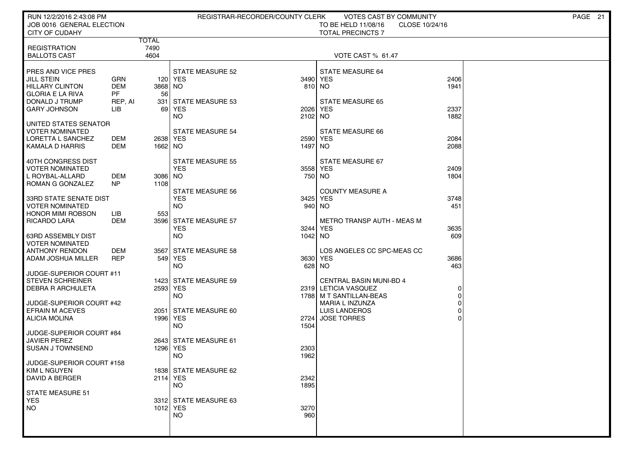| RUN 12/2/2016 2:43:08 PM<br>JOB 0016 GENERAL ELECTION                                                                                                | REGISTRAR-RECORDER/COUNTY CLERK                                             | VOTES CAST BY COMMUNITY<br>TO BE HELD 11/08/16<br>CLOSE 10/24/16                         | PAGE 21 |
|------------------------------------------------------------------------------------------------------------------------------------------------------|-----------------------------------------------------------------------------|------------------------------------------------------------------------------------------|---------|
| <b>CITY OF CUDAHY</b><br>TOTAL                                                                                                                       |                                                                             | <b>TOTAL PRECINCTS 7</b>                                                                 |         |
| 7490<br><b>REGISTRATION</b><br><b>BALLOTS CAST</b><br>4604                                                                                           |                                                                             | VOTE CAST % 61.47                                                                        |         |
| PRES AND VICE PRES<br><b>JILL STEIN</b><br>GRN<br><b>DEM</b><br>HILLARY CLINTON<br><b>PF</b><br><b>GLORIA E LA RIVA</b><br>DONALD J TRUMP<br>REP, AI | <b>STATE MEASURE 52</b><br>120 YES<br>3868 NO<br>56<br>331 STATE MEASURE 53 | <b>STATE MEASURE 64</b><br>3490 YES<br>2406<br>810 NO<br>1941<br><b>STATE MEASURE 65</b> |         |
| <b>GARY JOHNSON</b><br>LIB                                                                                                                           | 69 YES<br>NO                                                                | 2337<br>2026 YES<br>1882<br>2102 NO                                                      |         |
| UNITED STATES SENATOR<br><b>VOTER NOMINATED</b><br>LORETTA L SANCHEZ<br>DEM<br>KAMALA D HARRIS<br>DEM                                                | <b>STATE MEASURE 54</b><br>2638 YES<br>1662 NO                              | <b>STATE MEASURE 66</b><br>2084<br>2590 YES<br>2088<br>1497 NO                           |         |
| 40TH CONGRESS DIST<br><b>VOTER NOMINATED</b><br>L ROYBAL-ALLARD<br>DEM<br>N <sub>P</sub><br>ROMAN G GONZALEZ                                         | <b>STATE MEASURE 55</b><br><b>YES</b><br>3086 NO<br>1108                    | STATE MEASURE 67<br>3558 YES<br>2409<br>750 NO<br>1804                                   |         |
| 33RD STATE SENATE DIST<br><b>VOTER NOMINATED</b><br><b>HONOR MIMI ROBSON</b><br>LІВ                                                                  | <b>STATE MEASURE 56</b><br><b>YES</b><br><b>NO</b><br>553                   | <b>COUNTY MEASURE A</b><br>3425 YES<br>3748<br>940 NO<br>451                             |         |
| <b>RICARDO LARA</b><br>DEM<br>63RD ASSEMBLY DIST                                                                                                     | 3596 STATE MEASURE 57<br><b>YES</b><br><b>NO</b>                            | METRO TRANSP AUTH - MEAS M<br>3244 YES<br>3635<br>1042 NO<br>609                         |         |
| <b>VOTER NOMINATED</b><br><b>ANTHONY RENDON</b><br>DEM<br>ADAM JOSHUA MILLER<br><b>REP</b>                                                           | 3567 STATE MEASURE 58<br>549 YES<br><b>NO</b>                               | LOS ANGELES CC SPC-MEAS CC<br>3630 YES<br>3686<br>628 NO<br>463                          |         |
| JUDGE-SUPERIOR COURT #11<br><b>STEVEN SCHREINER</b><br><b>DEBRA R ARCHULETA</b>                                                                      | 1423 STATE MEASURE 59<br>2593 YES<br><b>NO</b>                              | <b>CENTRAL BASIN MUNI-BD 4</b><br>2319 LETICIA VASQUEZ<br>0<br>1788   M T SANTILLAN-BEAS |         |
| JUDGE-SUPERIOR COURT #42<br><b>EFRAIN M ACEVES</b><br>ALICIA MOLINA<br>JUDGE-SUPERIOR COURT #84                                                      | 2051 STATE MEASURE 60<br>1996   YES<br>2724<br><b>NO</b><br>1504            | MARIA L INZUNZA<br><b>LUIS LANDEROS</b><br><b>JOSE TORRES</b>                            |         |
| <b>JAVIER PEREZ</b><br><b>SUSAN J TOWNSEND</b>                                                                                                       | 2643 STATE MEASURE 61<br>1296 YES<br>2303<br>1962<br><b>NO</b>              |                                                                                          |         |
| JUDGE-SUPERIOR COURT #158<br>  KIM L NGUYEN<br>DAVID A BERGER                                                                                        | 1838 STATE MEASURE 62<br>2342<br>2114 YES<br>1895<br><b>NO</b>              |                                                                                          |         |
| STATE MEASURE 51<br><b>YES</b><br>NO                                                                                                                 | 3312 STATE MEASURE 63<br>1012 YES<br>3270<br><b>NO</b><br>960               |                                                                                          |         |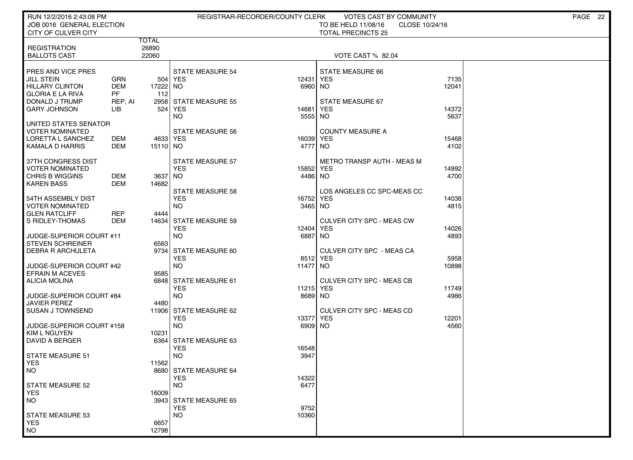| RUN 12/2/2016 2:43:08 PM                         |                   |                  |                                      | REGISTRAR-RECORDER/COUNTY CLERK | VOTES CAST BY COMMUNITY                                            |               | PAGE 22 |
|--------------------------------------------------|-------------------|------------------|--------------------------------------|---------------------------------|--------------------------------------------------------------------|---------------|---------|
| JOB 0016 GENERAL ELECTION<br>CITY OF CULVER CITY |                   |                  |                                      |                                 | TO BE HELD 11/08/16<br>CLOSE 10/24/16<br><b>TOTAL PRECINCTS 25</b> |               |         |
|                                                  |                   | <b>TOTAL</b>     |                                      |                                 |                                                                    |               |         |
| <b>REGISTRATION</b>                              |                   | 26890            |                                      |                                 |                                                                    |               |         |
| <b>BALLOTS CAST</b>                              |                   | 22060            |                                      |                                 | VOTE CAST % 82.04                                                  |               |         |
|                                                  |                   |                  |                                      |                                 |                                                                    |               |         |
| PRES AND VICE PRES<br><b>JILL STEIN</b>          | GRN               |                  | <b>STATE MEASURE 54</b><br>504   YES | 12431                           | <b>STATE MEASURE 66</b><br><b>YES</b>                              | 7135          |         |
| <b>HILLARY CLINTON</b>                           | <b>DEM</b>        | 17222 NO         |                                      | 6960                            | <b>NO</b>                                                          | 12041         |         |
| <b>GLORIA E LA RIVA</b>                          | <b>PF</b>         | 112              |                                      |                                 |                                                                    |               |         |
| DONALD J TRUMP                                   | REP, AI           |                  | 2958 STATE MEASURE 55                |                                 | STATE MEASURE 67                                                   |               |         |
| <b>GARY JOHNSON</b>                              | LІВ               | 524              | <b>YES</b>                           | 14681                           | YES                                                                | 14372         |         |
|                                                  |                   |                  | <b>NO</b>                            | 5555                            | <b>NO</b>                                                          | 5637          |         |
| UNITED STATES SENATOR<br>VOTER NOMINATED         |                   |                  | <b>STATE MEASURE 56</b>              |                                 | <b>COUNTY MEASURE A</b>                                            |               |         |
| LORETTA L SANCHEZ                                | DEM               | 4633 YES         |                                      | 16039 YES                       |                                                                    | 15468         |         |
| KAMALA D HARRIS                                  | <b>DEM</b>        | 15110 NO         |                                      | 4777                            | NO                                                                 | 4102          |         |
|                                                  |                   |                  |                                      |                                 |                                                                    |               |         |
| 37TH CONGRESS DIST                               |                   |                  | STATE MEASURE 57                     |                                 | <b>METRO TRANSP AUTH - MEAS M</b>                                  |               |         |
| VOTER NOMINATED<br><b>CHRIS B WIGGINS</b>        |                   |                  | <b>YES</b>                           | 15852 YES                       |                                                                    | 14992         |         |
| <b>KAREN BASS</b>                                | DEM<br><b>DEM</b> | 3637 NO<br>14682 |                                      | 4486 NO                         |                                                                    | 4700          |         |
|                                                  |                   |                  | <b>STATE MEASURE 58</b>              |                                 | LOS ANGELES CC SPC-MEAS CC                                         |               |         |
| 54TH ASSEMBLY DIST                               |                   |                  | <b>YES</b>                           | 16752                           | <b>YES</b>                                                         | 14038         |         |
| VOTER NOMINATED                                  |                   |                  | <b>NO</b>                            | 3465 NO                         |                                                                    | 4815          |         |
| <b>GLEN RATCLIFF</b>                             | <b>REP</b>        | 4444             |                                      |                                 |                                                                    |               |         |
| S RIDLEY-THOMAS                                  | DEM               |                  | 14634 STATE MEASURE 59               |                                 | CULVER CITY SPC - MEAS CW                                          |               |         |
| JUDGE-SUPERIOR COURT #11                         |                   |                  | <b>YES</b><br><b>NO</b>              | 12404<br>6887                   | <b>YES</b><br>NO.                                                  | 14026<br>4893 |         |
| <b>STEVEN SCHREINER</b>                          |                   | 6563             |                                      |                                 |                                                                    |               |         |
| DEBRA R ARCHULETA                                |                   | 9734             | STATE MEASURE 60                     |                                 | CULVER CITY SPC - MEAS CA                                          |               |         |
|                                                  |                   |                  | <b>YES</b>                           |                                 | 8512 YES                                                           | 5958          |         |
| JUDGE-SUPERIOR COURT #42                         |                   |                  | <b>NO</b>                            | 11477 NO                        |                                                                    | 10898         |         |
| <b>EFRAIN M ACEVES</b>                           |                   | 9585             |                                      |                                 |                                                                    |               |         |
| <b>ALICIA MOLINA</b>                             |                   |                  | 6848 STATE MEASURE 61<br><b>YES</b>  | 11215 YES                       | CULVER CITY SPC - MEAS CB                                          | 11749         |         |
| JUDGE-SUPERIOR COURT #84                         |                   |                  | <b>NO</b>                            | 8689 NO                         |                                                                    | 4986          |         |
| <b>JAVIER PEREZ</b>                              |                   | 4480             |                                      |                                 |                                                                    |               |         |
| <b>SUSAN J TOWNSEND</b>                          |                   |                  | 11906 STATE MEASURE 62               |                                 | CULVER CITY SPC - MEAS CD                                          |               |         |
|                                                  |                   |                  | <b>YES</b>                           | 13377                           | <b>YES</b>                                                         | 12201         |         |
| JUDGE-SUPERIOR COURT #158                        |                   |                  | <b>NO</b>                            | 6909 NO                         |                                                                    | 4560          |         |
| <b>KIM L NGUYEN</b><br>DAVID A BERGER            |                   | 10231            | 6364 STATE MEASURE 63                |                                 |                                                                    |               |         |
|                                                  |                   |                  | <b>YES</b>                           | 16548                           |                                                                    |               |         |
| <b>STATE MEASURE 51</b>                          |                   |                  | <b>NO</b>                            | 3947                            |                                                                    |               |         |
| <b>YES</b>                                       |                   | 11562            |                                      |                                 |                                                                    |               |         |
| NO.                                              |                   |                  | 8680 STATE MEASURE 64                |                                 |                                                                    |               |         |
| <b>STATE MEASURE 52</b>                          |                   |                  | <b>YES</b><br>NO.                    | 14322<br>6477                   |                                                                    |               |         |
| <b>YES</b>                                       |                   | 16009            |                                      |                                 |                                                                    |               |         |
| <b>NO</b>                                        |                   |                  | 3943 STATE MEASURE 65                |                                 |                                                                    |               |         |
|                                                  |                   |                  | <b>YES</b>                           | 9752                            |                                                                    |               |         |
| <b>STATE MEASURE 53</b>                          |                   |                  | <b>NO</b>                            | 10360                           |                                                                    |               |         |
| <b>YES</b>                                       |                   | 6657             |                                      |                                 |                                                                    |               |         |
| <b>NO</b>                                        |                   | 12798            |                                      |                                 |                                                                    |               |         |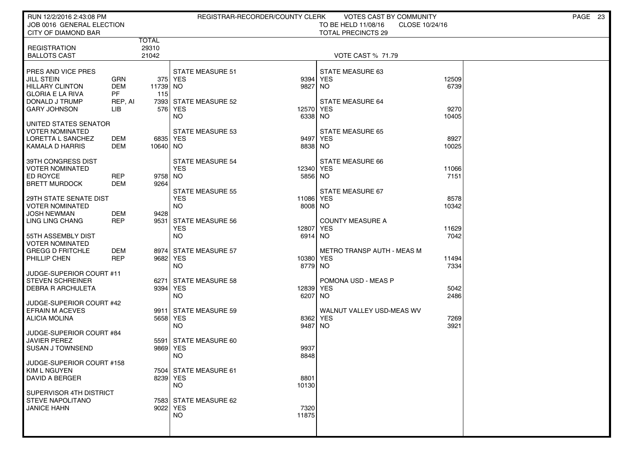| RUN 12/2/2016 2:43:08 PM<br>JOB 0016 GENERAL ELECTION                                                                                                                 | REGISTRAR-RECORDER/COUNTY CLERK                                                                    | <b>VOTES CAST BY COMMUNITY</b><br>TO BE HELD 11/08/16<br>CLOSE 10/24/16                   | PAGE 23 |
|-----------------------------------------------------------------------------------------------------------------------------------------------------------------------|----------------------------------------------------------------------------------------------------|-------------------------------------------------------------------------------------------|---------|
| <b>CITY OF DIAMOND BAR</b><br>TOTAL                                                                                                                                   |                                                                                                    | <b>TOTAL PRECINCTS 29</b>                                                                 |         |
| 29310<br><b>REGISTRATION</b><br>21042<br><b>BALLOTS CAST</b>                                                                                                          |                                                                                                    | <b>VOTE CAST % 71.79</b>                                                                  |         |
| PRES AND VICE PRES<br><b>JILL STEIN</b><br>GRN<br>HILLARY CLINTON<br>DEM<br><b>GLORIA E LA RIVA</b><br>PF.<br>115<br>DONALD J TRUMP<br>REP, AI<br><b>GARY JOHNSON</b> | <b>STATE MEASURE 51</b><br>375 YES<br>9394<br>11739 NO<br>9827<br>7393 STATE MEASURE 52<br>576 YES | STATE MEASURE 63<br>12509<br><b>YES</b><br>6739<br>NO.<br><b>STATE MEASURE 64</b><br>9270 |         |
| LІВ<br>UNITED STATES SENATOR                                                                                                                                          | NO                                                                                                 | 12570 YES<br>6338 NO<br>10405                                                             |         |
| <b>VOTER NOMINATED</b><br>LORETTA L SANCHEZ<br>DEM<br>KAMALA D HARRIS<br>DEM                                                                                          | <b>STATE MEASURE 53</b><br>6835 YES<br>10640   NO                                                  | <b>STATE MEASURE 65</b><br>9497 YES<br>8927<br>8838 NO<br>10025                           |         |
| 39TH CONGRESS DIST<br><b>VOTER NOMINATED</b><br>ED ROYCE<br><b>REP</b><br>DEM<br><b>BRETT MURDOCK</b><br>9264                                                         | <b>STATE MEASURE 54</b><br><b>YES</b><br>9758 NO                                                   | <b>STATE MEASURE 66</b><br>12340 YES<br>11066<br>5856 NO<br>7151                          |         |
| 29TH STATE SENATE DIST<br><b>VOTER NOMINATED</b><br><b>JOSH NEWMAN</b><br>DEM<br>9428                                                                                 | <b>STATE MEASURE 55</b><br><b>YES</b><br><b>NO</b>                                                 | <b>STATE MEASURE 67</b><br>11086 YES<br>8578<br>8008 NO<br>10342                          |         |
| <b>REP</b><br>LING LING CHANG<br>55TH ASSEMBLY DIST                                                                                                                   | 9531 STATE MEASURE 56<br><b>YES</b><br>12807<br><b>NO</b>                                          | <b>COUNTY MEASURE A</b><br><b>YES</b><br>11629<br>7042<br>6914 NO                         |         |
| <b>VOTER NOMINATED</b><br><b>GREGG D FRITCHLE</b><br>DEM<br><b>REP</b><br>PHILLIP CHEN                                                                                | 8974 STATE MEASURE 57<br>9682 YES<br><b>NO</b>                                                     | <b>METRO TRANSP AUTH - MEAS M</b><br>10380 YES<br>11494<br>8779 NO<br>7334                |         |
| JUDGE-SUPERIOR COURT #11<br><b>STEVEN SCHREINER</b><br><b>DEBRA R ARCHULETA</b>                                                                                       | 6271 STATE MEASURE 58<br>9394   YES<br><b>NO</b><br>6207                                           | POMONA USD - MEAS P<br>12839 YES<br>5042<br><b>NO</b><br>2486                             |         |
| JUDGE-SUPERIOR COURT #42<br><b>EFRAIN M ACEVES</b><br>ALICIA MOLINA<br>JUDGE-SUPERIOR COURT #84                                                                       | 9911 STATE MEASURE 59<br>5658 YES<br>8362<br><b>NO</b><br>9487                                     | WALNUT VALLEY USD-MEAS WV<br><b>YES</b><br>7269<br>3921<br><b>NO</b>                      |         |
| <b>JAVIER PEREZ</b><br>SUSAN J TOWNSEND                                                                                                                               | 5591 STATE MEASURE 60<br>9869 YES<br>9937<br>8848<br>NO                                            |                                                                                           |         |
| JUDGE-SUPERIOR COURT #158<br>KIM L NGUYEN<br>DAVID A BERGER                                                                                                           | 7504  STATE MEASURE 61<br>8239 YES<br>8801<br>NO.<br>10130                                         |                                                                                           |         |
| SUPERVISOR 4TH DISTRICT<br>STEVE NAPOLITANO<br><b>JANICE HAHN</b>                                                                                                     | 7583 STATE MEASURE 62<br>9022 YES<br>7320<br><b>NO</b><br>11875                                    |                                                                                           |         |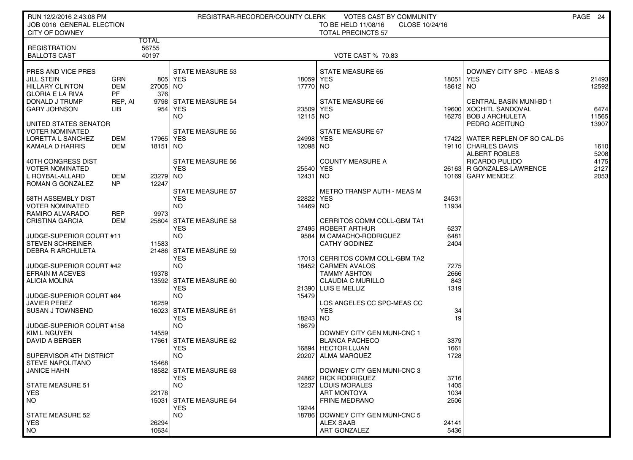| RUN 12/2/2016 2:43:08 PM<br>JOB 0016 GENERAL ELECTION |                   | REGISTRAR-RECORDER/COUNTY CLERK<br>VOTES CAST BY COMMUNITY<br>TO BE HELD 11/08/16<br>CLOSE 10/24/16 |                         |                    |                                                 |                         |                                 | PAGE 24        |
|-------------------------------------------------------|-------------------|-----------------------------------------------------------------------------------------------------|-------------------------|--------------------|-------------------------------------------------|-------------------------|---------------------------------|----------------|
| CITY OF DOWNEY                                        |                   | <b>TOTAL</b>                                                                                        |                         |                    | <b>TOTAL PRECINCTS 57</b>                       |                         |                                 |                |
| <b>REGISTRATION</b><br><b>BALLOTS CAST</b>            |                   | 56755<br>40197                                                                                      |                         |                    | <b>VOTE CAST % 70.83</b>                        |                         |                                 |                |
|                                                       |                   |                                                                                                     |                         |                    |                                                 |                         |                                 |                |
| PRES AND VICE PRES                                    |                   |                                                                                                     | <b>STATE MEASURE 53</b> |                    | <b>STATE MEASURE 65</b>                         |                         | DOWNEY CITY SPC - MEAS S        |                |
| <b>JILL STEIN</b><br><b>HILLARY CLINTON</b>           | GRN<br><b>DEM</b> | 27005 NO                                                                                            | 805 YES                 | 18059 YES<br>17770 | NO.                                             | 18051   YES<br>18612 NO |                                 | 21493<br>12592 |
| <b>GLORIA E LA RIVA</b>                               | <b>PF</b>         | 376                                                                                                 |                         |                    |                                                 |                         |                                 |                |
| DONALD J TRUMP                                        | REP, AI           |                                                                                                     | 9798 STATE MEASURE 54   |                    | <b>STATE MEASURE 66</b>                         |                         | <b>CENTRAL BASIN MUNI-BD 1</b>  |                |
| <b>GARY JOHNSON</b>                                   | LIB               |                                                                                                     | 954 YES                 | 23509 YES          |                                                 |                         | 19600 XOCHITL SANDOVAL          | 6474           |
|                                                       |                   |                                                                                                     | <b>NO</b>               | 12115 NO           |                                                 |                         | 16275   BOB J ARCHULETA         | 11565          |
| UNITED STATES SENATOR                                 |                   |                                                                                                     |                         |                    |                                                 |                         | PEDRO ACEITUNO                  | 13907          |
| VOTER NOMINATED                                       |                   |                                                                                                     | <b>STATE MEASURE 55</b> |                    | STATE MEASURE 67                                |                         |                                 |                |
| LORETTA L SANCHEZ                                     | DEM               | 17965 YES                                                                                           |                         | 24998 YES          |                                                 |                         | 17422 WATER REPLEN OF SO CAL-D5 |                |
| <b>KAMALA D HARRIS</b>                                | DEM               | 18151 NO                                                                                            |                         | 12098 NO           |                                                 |                         | 19110 CHARLES DAVIS             | 1610           |
|                                                       |                   |                                                                                                     |                         |                    |                                                 |                         | ALBERT ROBLES                   | 5208           |
| 40TH CONGRESS DIST                                    |                   |                                                                                                     | <b>STATE MEASURE 56</b> |                    | <b>COUNTY MEASURE A</b>                         |                         | RICARDO PULIDO                  | 4175           |
| <b>VOTER NOMINATED</b>                                |                   |                                                                                                     | <b>YES</b>              | 25540 YES          |                                                 |                         | 26163 R GONZALES-LAWRENCE       | 2127           |
| L ROYBAL-ALLARD<br><b>ROMAN G GONZALEZ</b>            | DEM<br>NP         | 23279 NO<br>12247                                                                                   |                         | 12431              | NO.                                             |                         | 10169 GARY MENDEZ               | 2053           |
|                                                       |                   |                                                                                                     | <b>STATE MEASURE 57</b> |                    | METRO TRANSP AUTH - MEAS M                      |                         |                                 |                |
| 58TH ASSEMBLY DIST                                    |                   |                                                                                                     | <b>YES</b>              | 22822              | <b>YES</b>                                      | 24531                   |                                 |                |
| <b>VOTER NOMINATED</b>                                |                   |                                                                                                     | <b>NO</b>               | 14469 NO           |                                                 | 11934                   |                                 |                |
| RAMIRO ALVARADO                                       | <b>REP</b>        | 9973                                                                                                |                         |                    |                                                 |                         |                                 |                |
| CRISTINA GARCIA                                       | <b>DEM</b>        |                                                                                                     | 25804 STATE MEASURE 58  |                    | CERRITOS COMM COLL-GBM TA1                      |                         |                                 |                |
|                                                       |                   |                                                                                                     | <b>YES</b>              |                    | 27495 ROBERT ARTHUR                             | 6237                    |                                 |                |
| JUDGE-SUPERIOR COURT #11                              |                   |                                                                                                     | <b>NO</b>               | 9584               | M CAMACHO-RODRIGUEZ                             | 6481                    |                                 |                |
| <b>STEVEN SCHREINER</b>                               |                   | 11583                                                                                               |                         |                    | <b>CATHY GODINEZ</b>                            | 2404                    |                                 |                |
| DEBRA R ARCHULETA                                     |                   | 21486                                                                                               | <b>STATE MEASURE 59</b> |                    |                                                 |                         |                                 |                |
|                                                       |                   |                                                                                                     | <b>YES</b>              |                    | 17013 CERRITOS COMM COLL-GBM TA2                |                         |                                 |                |
| JUDGE-SUPERIOR COURT #42                              |                   |                                                                                                     | <b>NO</b>               | 18452              | <b>CARMEN AVALOS</b>                            | 7275                    |                                 |                |
| <b>EFRAIN M ACEVES</b><br><b>ALICIA MOLINA</b>        |                   | 19378                                                                                               | 13592 STATE MEASURE 60  |                    | <b>TAMMY ASHTON</b><br><b>CLAUDIA C MURILLO</b> | 2666<br>843             |                                 |                |
|                                                       |                   |                                                                                                     | <b>YES</b>              |                    | 21390 LUIS E MELLIZ                             | 1319                    |                                 |                |
| JUDGE-SUPERIOR COURT #84                              |                   |                                                                                                     | <b>NO</b>               | 15479              |                                                 |                         |                                 |                |
| <b>JAVIER PEREZ</b>                                   |                   | 16259                                                                                               |                         |                    | LOS ANGELES CC SPC-MEAS CC                      |                         |                                 |                |
| <b>SUSAN J TOWNSEND</b>                               |                   |                                                                                                     | 16023 STATE MEASURE 61  |                    | <b>YES</b>                                      | 34                      |                                 |                |
|                                                       |                   |                                                                                                     | <b>YES</b>              | 18243              | NO.                                             | 19                      |                                 |                |
| JUDGE-SUPERIOR COURT #158                             |                   |                                                                                                     | <b>NO</b>               | 18679              |                                                 |                         |                                 |                |
| KIM L NGUYEN                                          |                   | 14559                                                                                               |                         |                    | DOWNEY CITY GEN MUNI-CNC 1                      |                         |                                 |                |
| DAVID A BERGER                                        |                   |                                                                                                     | 17661 STATE MEASURE 62  |                    | <b>BLANCA PACHECO</b>                           | 3379                    |                                 |                |
|                                                       |                   |                                                                                                     | <b>YES</b>              |                    | 16894 HECTOR LUJAN                              | 1661                    |                                 |                |
| SUPERVISOR 4TH DISTRICT                               |                   |                                                                                                     | <b>NO</b>               | 20207              | ALMA MARQUEZ                                    | 1728                    |                                 |                |
| <b>STEVE NAPOLITANO</b>                               |                   | 15468                                                                                               | 18582 STATE MEASURE 63  |                    | DOWNEY CITY GEN MUNI-CNC 3                      |                         |                                 |                |
| JANICE HAHN                                           |                   |                                                                                                     | <b>YES</b>              |                    | 24862 RICK RODRIGUEZ                            | 3716                    |                                 |                |
| <b>STATE MEASURE 51</b>                               |                   |                                                                                                     | NO.                     | 12237              | <b>LOUIS MORALES</b>                            | 1405                    |                                 |                |
| <b>YES</b>                                            |                   | 22178                                                                                               |                         |                    | <b>ART MONTOYA</b>                              | 1034                    |                                 |                |
| <b>NO</b>                                             |                   |                                                                                                     | 15031 STATE MEASURE 64  |                    | <b>FRINE MEDRANO</b>                            | 2506                    |                                 |                |
|                                                       |                   |                                                                                                     | <b>YES</b>              | 19244              |                                                 |                         |                                 |                |
| <b>STATE MEASURE 52</b>                               |                   |                                                                                                     | NO.                     | 18786              | DOWNEY CITY GEN MUNI-CNC 5                      |                         |                                 |                |
| <b>YES</b>                                            |                   | 26294                                                                                               |                         |                    | <b>ALEX SAAB</b>                                | 24141                   |                                 |                |
| <b>NO</b>                                             |                   | 10634                                                                                               |                         |                    | ART GONZALEZ                                    | 5436                    |                                 |                |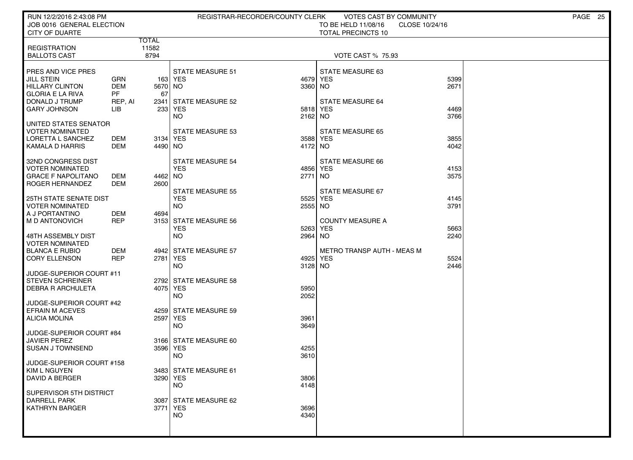| RUN 12/2/2016 2:43:08 PM<br>JOB 0016 GENERAL ELECTION                                                   |                                           |                     |                                                             | REGISTRAR-RECORDER/COUNTY CLERK | VOTES CAST BY COMMUNITY<br>TO BE HELD 11/08/16          | CLOSE 10/24/16 | PAGE 25 |  |
|---------------------------------------------------------------------------------------------------------|-------------------------------------------|---------------------|-------------------------------------------------------------|---------------------------------|---------------------------------------------------------|----------------|---------|--|
| <b>CITY OF DUARTE</b>                                                                                   |                                           | TOTAL               |                                                             |                                 | <b>TOTAL PRECINCTS 10</b>                               |                |         |  |
| <b>REGISTRATION</b><br><b>BALLOTS CAST</b>                                                              |                                           | 11582<br>8794       |                                                             |                                 | <b>VOTE CAST % 75.93</b>                                |                |         |  |
| PRES AND VICE PRES<br><b>JILL STEIN</b><br>HILLARY CLINTON<br><b>GLORIA E LA RIVA</b><br>DONALD J TRUMP | GRN<br><b>DEM</b><br><b>PF</b><br>REP, AI | 5670 NO<br>67       | <b>STATE MEASURE 51</b><br>163 YES<br>2341 STATE MEASURE 52 | 3360 NO                         | STATE MEASURE 63<br>4679 YES<br><b>STATE MEASURE 64</b> | 5399<br>2671   |         |  |
| <b>GARY JOHNSON</b>                                                                                     | LIB                                       |                     | 233 YES<br>NO                                               | 2162 NO                         | 5818 YES                                                | 4469<br>3766   |         |  |
| UNITED STATES SENATOR<br><b>VOTER NOMINATED</b><br>LORETTA L SANCHEZ<br>KAMALA D HARRIS                 | DEM<br>DEM                                | 3134 YES<br>4490 NO | STATE MEASURE 53                                            | 4172 NO                         | <b>STATE MEASURE 65</b><br>3588 YES                     | 3855<br>4042   |         |  |
| 32ND CONGRESS DIST<br><b>VOTER NOMINATED</b><br><b>GRACE F NAPOLITANO</b><br><b>ROGER HERNANDEZ</b>     | DEM<br><b>DEM</b>                         | 4462 NO<br>2600     | <b>STATE MEASURE 54</b><br><b>YES</b>                       | 2771                            | <b>STATE MEASURE 66</b><br>4856 YES<br>  NO             | 4153<br>3575   |         |  |
| <b>25TH STATE SENATE DIST</b><br><b>VOTER NOMINATED</b><br>  A J PORTANTINO                             | <b>DEM</b>                                | 4694                | <b>STATE MEASURE 55</b><br><b>YES</b><br><b>NO</b>          | 5525<br>2555 NO                 | STATE MEASURE 67<br><b>YES</b>                          | 4145<br>3791   |         |  |
| M D ANTONOVICH<br>48TH ASSEMBLY DIST                                                                    | <b>REP</b>                                |                     | 3153 STATE MEASURE 56<br><b>YES</b><br><b>NO</b>            | 5263<br>2964                    | <b>COUNTY MEASURE A</b><br>YES<br><b>NO</b>             | 5663<br>2240   |         |  |
| <b>VOTER NOMINATED</b><br><b>BLANCA E RUBIO</b><br><b>CORY ELLENSON</b>                                 | DEM<br><b>REP</b>                         | 2781   YES          | 4942 STATE MEASURE 57<br><b>NO</b>                          | 3128 NO                         | METRO TRANSP AUTH - MEAS M<br>4925 YES                  | 5524<br>2446   |         |  |
| JUDGE-SUPERIOR COURT #11<br><b>STEVEN SCHREINER</b><br><b>DEBRA R ARCHULETA</b>                         |                                           | 4075 YES            | 2792 STATE MEASURE 58<br><b>NO</b>                          | 5950<br>2052                    |                                                         |                |         |  |
| JUDGE-SUPERIOR COURT #42<br><b>EFRAIN M ACEVES</b><br>ALICIA MOLINA                                     |                                           | 2597 YES            | 4259 STATE MEASURE 59<br><b>NO</b>                          | 3961<br>3649                    |                                                         |                |         |  |
| JUDGE-SUPERIOR COURT #84<br><b>JAVIER PEREZ</b><br>SUSAN J TOWNSEND                                     |                                           | 3596 YES            | 3166 STATE MEASURE 60<br><b>NO</b>                          | 4255<br>3610                    |                                                         |                |         |  |
| JUDGE-SUPERIOR COURT #158<br>  KIM L NGUYEN<br>DAVID A BERGER                                           |                                           | 3290 YES            | 3483 STATE MEASURE 61<br><b>NO</b>                          | 3806<br>4148                    |                                                         |                |         |  |
| SUPERVISOR 5TH DISTRICT<br><b>DARRELL PARK</b><br><b>KATHRYN BARGER</b>                                 |                                           | 3771 YES            | 3087 STATE MEASURE 62<br><b>NO</b>                          | 3696<br>4340                    |                                                         |                |         |  |
|                                                                                                         |                                           |                     |                                                             |                                 |                                                         |                |         |  |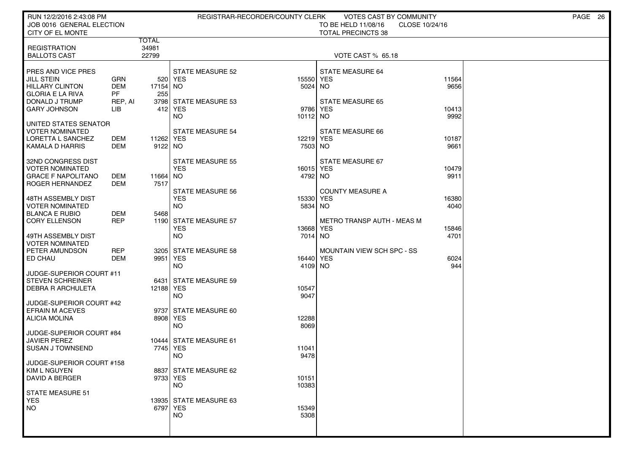| RUN 12/2/2016 2:43:08 PM<br>JOB 0016 GENERAL ELECTION                                                   |                              |                      |                                                             | REGISTRAR-RECORDER/COUNTY CLERK | <b>VOTES CAST BY COMMUNITY</b><br>TO BE HELD 11/08/16 | CLOSE 10/24/16 | PAGE 26 |
|---------------------------------------------------------------------------------------------------------|------------------------------|----------------------|-------------------------------------------------------------|---------------------------------|-------------------------------------------------------|----------------|---------|
| CITY OF EL MONTE                                                                                        |                              | TOTAL                |                                                             |                                 | <b>TOTAL PRECINCTS 38</b>                             |                |         |
| <b>REGISTRATION</b><br><b>BALLOTS CAST</b>                                                              |                              | 34981<br>22799       |                                                             |                                 | VOTE CAST % 65.18                                     |                |         |
| PRES AND VICE PRES<br><b>JILL STEIN</b><br>HILLARY CLINTON<br><b>GLORIA E LA RIVA</b><br>DONALD J TRUMP | GRN<br>DEM<br>PF.<br>REP, AI | 17154 NO<br>255      | <b>STATE MEASURE 52</b><br>520 YES<br>3798 STATE MEASURE 53 | 15550 YES<br>5024 NO            | STATE MEASURE 64<br><b>STATE MEASURE 65</b>           | 11564<br>9656  |         |
| <b>GARY JOHNSON</b>                                                                                     | LІВ                          |                      | 412 YES<br>NO                                               | 9786 YES<br>10112 NO            |                                                       | 10413<br>9992  |         |
| UNITED STATES SENATOR<br><b>VOTER NOMINATED</b><br>LORETTA L SANCHEZ<br>KAMALA D HARRIS                 | DEM<br>DEM                   | 11262 YES<br>9122 NO | <b>STATE MEASURE 54</b>                                     | 12219 YES<br>7503 NO            | <b>STATE MEASURE 66</b>                               | 10187<br>9661  |         |
| 32ND CONGRESS DIST<br><b>VOTER NOMINATED</b><br><b>GRACE F NAPOLITANO</b><br>ROGER HERNANDEZ            | DEM<br>DEM                   | 11664 NO<br>7517     | <b>STATE MEASURE 55</b><br><b>YES</b>                       | 16015 YES<br>4792 NO            | STATE MEASURE 67                                      | 10479<br>9911  |         |
| 48TH ASSEMBLY DIST<br><b>VOTER NOMINATED</b><br><b>BLANCA E RUBIO</b>                                   | DEM                          | 5468                 | <b>STATE MEASURE 56</b><br><b>YES</b><br><b>NO</b>          | 15330<br>5834                   | <b>COUNTY MEASURE A</b><br><b>YES</b><br>NO.          | 16380<br>4040  |         |
| <b>CORY ELLENSON</b><br>49TH ASSEMBLY DIST<br><b>VOTER NOMINATED</b>                                    | <b>REP</b>                   |                      | 1190 STATE MEASURE 57<br><b>YES</b><br><b>NO</b>            | 13668 YES<br>7014 NO            | <b>METRO TRANSP AUTH - MEAS M</b>                     | 15846<br>4701  |         |
| PETER AMUNDSON<br><b>ED CHAU</b>                                                                        | <b>REP</b><br>DEM            | 9951 YES             | 3205 STATE MEASURE 58<br><b>NO</b>                          | 16440 YES<br>4109 NO            | MOUNTAIN VIEW SCH SPC - SS                            | 6024<br>944    |         |
| JUDGE-SUPERIOR COURT #11<br><b>STEVEN SCHREINER</b><br><b>DEBRA R ARCHULETA</b>                         |                              | 12188 YES            | 6431 STATE MEASURE 59<br><b>NO</b>                          | 10547<br>9047                   |                                                       |                |         |
| JUDGE-SUPERIOR COURT #42<br><b>EFRAIN M ACEVES</b><br><b>ALICIA MOLINA</b>                              |                              | 8908 YES             | 9737 STATE MEASURE 60<br><b>NO</b>                          | 12288<br>8069                   |                                                       |                |         |
| JUDGE-SUPERIOR COURT #84<br>JAVIER PEREZ<br>SUSAN J TOWNSEND                                            |                              | 7745   YES           | 10444 STATE MEASURE 61<br>NO                                | 11041<br>9478                   |                                                       |                |         |
| KIM L NGUYEN<br>DAVID A BERGER                                                                          |                              | 9733 YES             | 8837 STATE MEASURE 62<br><b>NO</b>                          | 10151<br>10383                  |                                                       |                |         |
| <b>YES</b><br><b>NO</b>                                                                                 |                              | 6797 YES             | 13935 STATE MEASURE 63<br><b>NO</b>                         | 15349<br>5308                   |                                                       |                |         |
| JUDGE-SUPERIOR COURT #158<br>STATE MEASURE 51                                                           |                              |                      |                                                             |                                 |                                                       |                |         |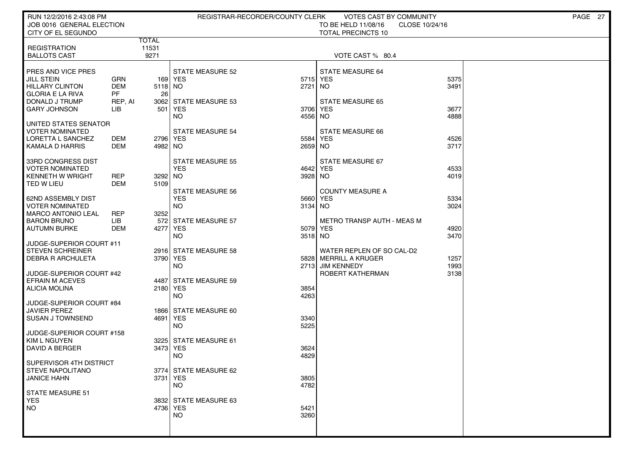| RUN 12/2/2016 2:43:08 PM                          |                          |               |                         | REGISTRAR-RECORDER/COUNTY CLERK | VOTES CAST BY COMMUNITY                          |                | PAGE 27 |
|---------------------------------------------------|--------------------------|---------------|-------------------------|---------------------------------|--------------------------------------------------|----------------|---------|
| JOB 0016 GENERAL ELECTION<br>CITY OF EL SEGUNDO   |                          |               |                         |                                 | TO BE HELD 11/08/16<br><b>TOTAL PRECINCTS 10</b> | CLOSE 10/24/16 |         |
|                                                   |                          | TOTAL         |                         |                                 |                                                  |                |         |
| <b>REGISTRATION</b><br><b>BALLOTS CAST</b>        |                          | 11531<br>9271 |                         |                                 | VOTE CAST % 80.4                                 |                |         |
|                                                   |                          |               |                         |                                 |                                                  |                |         |
| PRES AND VICE PRES                                |                          |               | <b>STATE MEASURE 52</b> |                                 | <b>STATE MEASURE 64</b>                          |                |         |
| <b>JILL STEIN</b>                                 | GRN<br><b>DEM</b>        |               | 169 YES                 |                                 | 5715 YES                                         | 5375<br>3491   |         |
| HILLARY CLINTON<br><b>GLORIA E LA RIVA</b>        | <b>PF</b>                | 5118 NO<br>26 |                         | 2721                            | <b>NO</b>                                        |                |         |
| DONALD J TRUMP                                    | REP, AI                  |               | 3062 STATE MEASURE 53   |                                 | <b>STATE MEASURE 65</b>                          |                |         |
| <b>GARY JOHNSON</b>                               | LIB                      |               | 501 YES                 |                                 | 3706 YES                                         | 3677           |         |
| UNITED STATES SENATOR                             |                          |               | NO                      | 4556 NO                         |                                                  | 4888           |         |
| <b>VOTER NOMINATED</b>                            |                          |               | <b>STATE MEASURE 54</b> |                                 | <b>STATE MEASURE 66</b>                          |                |         |
| LORETTA L SANCHEZ                                 | DEM                      | 2796 YES      |                         |                                 | 5584 YES                                         | 4526           |         |
| KAMALA D HARRIS                                   | DEM                      | 4982 NO       |                         | 2659 NO                         |                                                  | 3717           |         |
| 33RD CONGRESS DIST                                |                          |               | <b>STATE MEASURE 55</b> |                                 | STATE MEASURE 67                                 |                |         |
| <b>VOTER NOMINATED</b><br><b>KENNETH W WRIGHT</b> |                          | 3292 NO       | <b>YES</b>              | 3928 NO                         | 4642 YES                                         | 4533           |         |
| TED W LIEU                                        | <b>REP</b><br><b>DEM</b> | 5109          |                         |                                 |                                                  | 4019           |         |
|                                                   |                          |               | <b>STATE MEASURE 56</b> |                                 | <b>COUNTY MEASURE A</b>                          |                |         |
| 62ND ASSEMBLY DIST<br><b>VOTER NOMINATED</b>      |                          |               | <b>YES</b><br><b>NO</b> | 5660                            | <b>YES</b>                                       | 5334<br>3024   |         |
| <b>MARCO ANTONIO LEAL</b>                         | <b>REP</b>               | 3252          |                         | 3134 NO                         |                                                  |                |         |
| <b>BARON BRUNO</b>                                | <b>LIB</b>               |               | 572 STATE MEASURE 57    |                                 | METRO TRANSP AUTH - MEAS M                       |                |         |
| <b>AUTUMN BURKE</b>                               | DEM                      | 4277 YES      |                         | 3518 NO                         | 5079 YES                                         | 4920<br>3470   |         |
| JUDGE-SUPERIOR COURT #11                          |                          |               | <b>NO</b>               |                                 |                                                  |                |         |
| <b>STEVEN SCHREINER</b>                           |                          |               | 2916 STATE MEASURE 58   |                                 | WATER REPLEN OF SO CAL-D2                        |                |         |
| DEBRA R ARCHULETA                                 |                          | 3790 YES      | <b>NO</b>               | 2713                            | 5828   MERRILL A KRUGER                          | 1257<br>1993   |         |
| JUDGE-SUPERIOR COURT #42                          |                          |               |                         |                                 | <b>JIM KENNEDY</b><br>ROBERT KATHERMAN           | 3138           |         |
| <b>EFRAIN M ACEVES</b>                            |                          |               | 4487 STATE MEASURE 59   |                                 |                                                  |                |         |
| ALICIA MOLINA                                     |                          | 2180 YES      | <b>NO</b>               | 3854<br>4263                    |                                                  |                |         |
| JUDGE-SUPERIOR COURT #84                          |                          |               |                         |                                 |                                                  |                |         |
| <b>JAVIER PEREZ</b>                               |                          |               | 1866 STATE MEASURE 60   |                                 |                                                  |                |         |
| SUSAN J TOWNSEND                                  |                          | 4691   YES    | <b>NO</b>               | 3340<br>5225                    |                                                  |                |         |
| JUDGE-SUPERIOR COURT #158                         |                          |               |                         |                                 |                                                  |                |         |
| <b>KIM L NGUYEN</b>                               |                          |               | 3225 STATE MEASURE 61   |                                 |                                                  |                |         |
| DAVID A BERGER                                    |                          | 3473 YES      | <b>NO</b>               | 3624<br>4829                    |                                                  |                |         |
| SUPERVISOR 4TH DISTRICT                           |                          |               |                         |                                 |                                                  |                |         |
| STEVE NAPOLITANO                                  |                          |               | 3774 STATE MEASURE 62   |                                 |                                                  |                |         |
| <b>JANICE HAHN</b>                                |                          | 3731 YES      | <b>NO</b>               | 3805<br>4782                    |                                                  |                |         |
| STATE MEASURE 51                                  |                          |               |                         |                                 |                                                  |                |         |
| <b>YES</b>                                        |                          |               | 3832 STATE MEASURE 63   |                                 |                                                  |                |         |
| NO                                                |                          | 4736 YES      | NO.                     | 5421<br>3260                    |                                                  |                |         |
|                                                   |                          |               |                         |                                 |                                                  |                |         |
|                                                   |                          |               |                         |                                 |                                                  |                |         |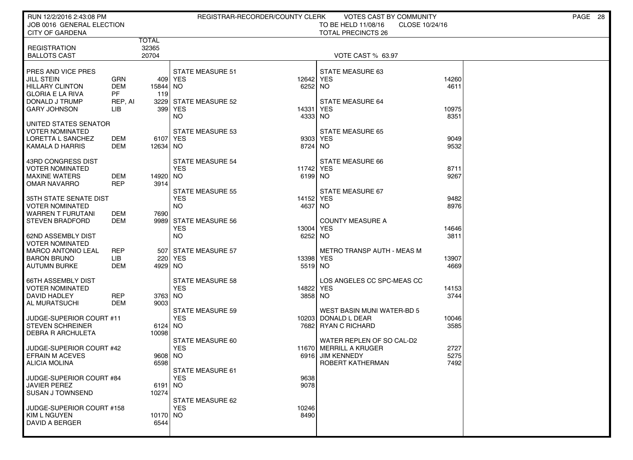| RUN 12/2/2016 2:43:08 PM<br>JOB 0016 GENERAL ELECTION                                                                          |                                           |                            | REGISTRAR-RECORDER/COUNTY CLERK                                        |                                 | VOTES CAST BY COMMUNITY<br>TO BE HELD 11/08/16<br>CLOSE 10/24/16                              |                        | PAGE 28 |
|--------------------------------------------------------------------------------------------------------------------------------|-------------------------------------------|----------------------------|------------------------------------------------------------------------|---------------------------------|-----------------------------------------------------------------------------------------------|------------------------|---------|
| <b>CITY OF GARDENA</b>                                                                                                         |                                           |                            |                                                                        |                                 | <b>TOTAL PRECINCTS 26</b>                                                                     |                        |         |
| <b>REGISTRATION</b><br><b>BALLOTS CAST</b>                                                                                     |                                           | TOTAL<br>32365<br>20704    |                                                                        |                                 | VOTE CAST % 63.97                                                                             |                        |         |
| PRES AND VICE PRES<br>JILL STEIN<br><b>HILLARY CLINTON</b><br><b>GLORIA E LA RIVA</b><br>DONALD J TRUMP<br><b>GARY JOHNSON</b> | GRN<br><b>DEM</b><br>PF<br>REP, AI<br>LІB | 15844 NO<br>119            | <b>STATE MEASURE 51</b><br>409 YES<br>3229 STATE MEASURE 52<br>399 YES | 12642<br>6252<br>14331          | STATE MEASURE 63<br><b>YES</b><br><b>NO</b><br><b>STATE MEASURE 64</b><br><b>YES</b>          | 14260<br>4611<br>10975 |         |
| UNITED STATES SENATOR<br><b>VOTER NOMINATED</b><br>LORETTA L SANCHEZ<br>KAMALA D HARRIS                                        | DEM<br>DEM                                | 6107 YES<br>12634 NO       | <b>NO</b><br><b>STATE MEASURE 53</b>                                   | 4333<br>8724 NO                 | <b>NO</b><br><b>STATE MEASURE 65</b><br>9303 YES                                              | 8351<br>9049<br>9532   |         |
| 43RD CONGRESS DIST<br><b>VOTER NOMINATED</b><br><b>MAXINE WATERS</b><br><b>OMAR NAVARRO</b>                                    | DEM<br><b>REP</b>                         | 14920 NO<br>3914           | STATE MEASURE 54<br><b>YES</b><br><b>STATE MEASURE 55</b>              | 11742 YES<br>6199 NO            | STATE MEASURE 66<br>STATE MEASURE 67                                                          | 8711<br>9267           |         |
| 35TH STATE SENATE DIST<br><b>VOTER NOMINATED</b><br><b>WARREN T FURUTANI</b><br><b>STEVEN BRADFORD</b>                         | DEM<br>DEM                                | 7690                       | <b>YES</b><br><b>NO</b><br>9989 STATE MEASURE 56<br><b>YES</b>         | 14152 YES<br>4637<br>13004      | <b>NO</b><br><b>COUNTY MEASURE A</b><br><b>YES</b>                                            | 9482<br>8976<br>14646  |         |
| 62ND ASSEMBLY DIST<br><b>VOTER NOMINATED</b><br><b>MARCO ANTONIO LEAL</b><br><b>BARON BRUNO</b>                                | REP<br>LIB                                | 507                        | <b>NO</b><br>  STATE MEASURE 57<br>220 YES                             | 6252<br>13398 YES               | <b>NO</b><br><b>METRO TRANSP AUTH - MEAS M</b>                                                | 3811<br>13907<br>4669  |         |
| <b>AUTUMN BURKE</b><br><b>66TH ASSEMBLY DIST</b><br><b>VOTER NOMINATED</b><br>DAVID HADLEY<br>AL MURATSUCHI                    | <b>DEM</b><br>REP<br><b>DEM</b>           | 4929 NO<br>3763 NO<br>9003 | <b>STATE MEASURE 58</b><br><b>YES</b>                                  | 5519 NO<br>14822 YES<br>3858 NO | LOS ANGELES CC SPC-MEAS CC                                                                    | 14153<br>3744          |         |
| JUDGE-SUPERIOR COURT #11<br><b>STEVEN SCHREINER</b><br><b>DEBRA R ARCHULETA</b>                                                |                                           | 6124 NO<br>10098           | <b>STATE MEASURE 59</b><br><b>YES</b>                                  | 10203                           | WEST BASIN MUNI WATER-BD 5<br>DONALD L DEAR<br>7682 RYAN C RICHARD                            | 10046<br>3585          |         |
| JUDGE-SUPERIOR COURT #42<br><b>EFRAIN M ACEVES</b><br><b>ALICIA MOLINA</b>                                                     |                                           | 9608 NO<br>6598            | STATE MEASURE 60<br><b>YES</b><br>STATE MEASURE 61                     | 6916                            | WATER REPLEN OF SO CAL-D2<br>11670 MERRILL A KRUGER<br><b>JIM KENNEDY</b><br>ROBERT KATHERMAN | 2727<br>5275<br>7492   |         |
| JUDGE-SUPERIOR COURT #84<br><b>JAVIER PEREZ</b><br><b>SUSAN J TOWNSEND</b>                                                     |                                           | 6191 NO<br>10274           | <b>YES</b><br>STATE MEASURE 62                                         | 9638<br>9078                    |                                                                                               |                        |         |
| JUDGE-SUPERIOR COURT #158<br>KIM L NGUYEN<br>DAVID A BERGER                                                                    |                                           | 10170 NO<br>6544           | <b>YES</b>                                                             | 10246<br>8490                   |                                                                                               |                        |         |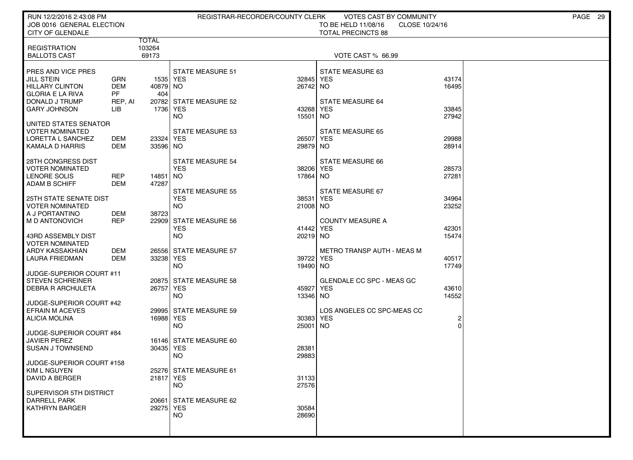| RUN 12/2/2016 2:43:08 PM<br>JOB 0016 GENERAL ELECTION |                      |                 |                                      | REGISTRAR-RECORDER/COUNTY CLERK | VOTES CAST BY COMMUNITY<br>TO BE HELD 11/08/16<br>CLOSE 10/24/16 |                | PAGE 29 |
|-------------------------------------------------------|----------------------|-----------------|--------------------------------------|---------------------------------|------------------------------------------------------------------|----------------|---------|
| <b>CITY OF GLENDALE</b>                               |                      |                 |                                      |                                 | <b>TOTAL PRECINCTS 88</b>                                        |                |         |
| <b>REGISTRATION</b>                                   |                      | TOTAL<br>103264 |                                      |                                 |                                                                  |                |         |
| <b>BALLOTS CAST</b>                                   |                      | 69173           |                                      |                                 | VOTE CAST % 66.99                                                |                |         |
| PRES AND VICE PRES                                    |                      |                 | <b>STATE MEASURE 51</b>              |                                 | STATE MEASURE 63                                                 |                |         |
| <b>JILL STEIN</b>                                     | GRN                  | 1535 YES        |                                      | 32845                           | <b>YES</b>                                                       | 43174          |         |
| <b>HILLARY CLINTON</b>                                | <b>DEM</b>           | 40879 NO        |                                      | 26742 NO                        |                                                                  | 16495          |         |
| <b>GLORIA E LA RIVA</b><br>DONALD J TRUMP             | <b>PF</b><br>REP, AI | 404             | 20782 STATE MEASURE 52               |                                 | STATE MEASURE 64                                                 |                |         |
| <b>GARY JOHNSON</b>                                   | LIB                  | 1736 YES        |                                      | 43268                           | <b>YES</b>                                                       | 33845          |         |
| UNITED STATES SENATOR                                 |                      |                 | NO                                   | 15501                           | NO.                                                              | 27942          |         |
| <b>VOTER NOMINATED</b>                                |                      |                 | <b>STATE MEASURE 53</b>              |                                 | <b>STATE MEASURE 65</b>                                          |                |         |
| LORETTA L SANCHEZ                                     | DEM                  | 23324 YES       |                                      | 26507<br>29879 NO               | YES                                                              | 29988          |         |
| KAMALA D HARRIS                                       | DEM                  | 33596 NO        |                                      |                                 |                                                                  | 28914          |         |
| <b>28TH CONGRESS DIST</b>                             |                      |                 | STATE MEASURE 54                     |                                 | STATE MEASURE 66                                                 |                |         |
| <b>VOTER NOMINATED</b><br>LENORE SOLIS                | <b>REP</b>           | 14851           | <b>YES</b><br><b>NO</b>              | 38206 YES<br>17864 NO           |                                                                  | 28573<br>27281 |         |
| <b>ADAM B SCHIFF</b>                                  | <b>DEM</b>           | 47287           |                                      |                                 |                                                                  |                |         |
| 25TH STATE SENATE DIST                                |                      |                 | STATE MEASURE 55<br><b>YES</b>       | 38531                           | STATE MEASURE 67<br><b>YES</b>                                   | 34964          |         |
| <b>VOTER NOMINATED</b>                                |                      |                 | <b>NO</b>                            | 21008 NO                        |                                                                  | 23252          |         |
| A J PORTANTINO                                        | <b>DEM</b>           | 38723           |                                      |                                 |                                                                  |                |         |
| I M D ANTONOVICH                                      | <b>REP</b>           |                 | 22909 STATE MEASURE 56<br><b>YES</b> | 41442 YES                       | <b>COUNTY MEASURE A</b>                                          | 42301          |         |
| 43RD ASSEMBLY DIST                                    |                      |                 | <b>NO</b>                            | 20219 NO                        |                                                                  | 15474          |         |
| <b>VOTER NOMINATED</b><br>ARDY KASSAKHIAN             | DEM                  |                 | 26556 STATE MEASURE 57               |                                 | <b>METRO TRANSP AUTH - MEAS M</b>                                |                |         |
| LAURA FRIEDMAN                                        | DEM                  | 33238 YES       |                                      | 39722 YES                       |                                                                  | 40517          |         |
|                                                       |                      |                 | <b>NO</b>                            | 19490 NO                        |                                                                  | 17749          |         |
| JUDGE-SUPERIOR COURT #11<br><b>STEVEN SCHREINER</b>   |                      |                 | 20875 STATE MEASURE 58               |                                 | GLENDALE CC SPC - MEAS GC                                        |                |         |
| <b>DEBRA R ARCHULETA</b>                              |                      | 26757 YES       |                                      | 45927                           | <b>YES</b>                                                       | 43610          |         |
| JUDGE-SUPERIOR COURT #42                              |                      |                 | <b>NO</b>                            | 13346 NO                        |                                                                  | 14552          |         |
| <b>EFRAIN M ACEVES</b>                                |                      |                 | 29995 STATE MEASURE 59               |                                 | LOS ANGELES CC SPC-MEAS CC                                       |                |         |
| ALICIA MOLINA                                         |                      | 16988 YES       |                                      | 30383                           | <b>YES</b>                                                       |                |         |
| JUDGE-SUPERIOR COURT #84                              |                      |                 | <b>NO</b>                            | 25001                           | NO.                                                              |                |         |
| <b>JAVIER PEREZ</b>                                   |                      |                 | 16146 STATE MEASURE 60               |                                 |                                                                  |                |         |
| <b>SUSAN J TOWNSEND</b>                               |                      | 30435 YES       |                                      | 28381                           |                                                                  |                |         |
| JUDGE-SUPERIOR COURT #158                             |                      |                 | <b>NO</b>                            | 29883                           |                                                                  |                |         |
| ∥ KIM L NGUYEN                                        |                      |                 | 25276 STATE MEASURE 61               |                                 |                                                                  |                |         |
| DAVID A BERGER                                        |                      | 21817 YES       | <b>NO</b>                            | 31133<br>27576                  |                                                                  |                |         |
| SUPERVISOR 5TH DISTRICT                               |                      |                 |                                      |                                 |                                                                  |                |         |
| <b>DARRELL PARK</b><br><b>KATHRYN BARGER</b>          |                      | 29275 YES       | 20661 STATE MEASURE 62               | 30584                           |                                                                  |                |         |
|                                                       |                      |                 | NO.                                  | 28690                           |                                                                  |                |         |
|                                                       |                      |                 |                                      |                                 |                                                                  |                |         |
|                                                       |                      |                 |                                      |                                 |                                                                  |                |         |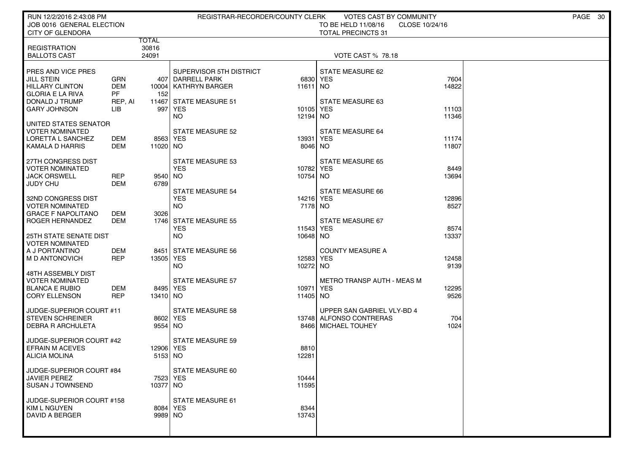| RUN 12/2/2016 2:43:08 PM<br>JOB 0016 GENERAL ELECTION<br><b>CITY OF GLENDORA</b>                               |                                           |                                | REGISTRAR-RECORDER/COUNTY CLERK                                                               |                           | VOTES CAST BY COMMUNITY<br>TO BE HELD 11/08/16<br>CLOSE 10/24/16<br><b>TOTAL PRECINCTS 31</b> |                | PAGE 30 |
|----------------------------------------------------------------------------------------------------------------|-------------------------------------------|--------------------------------|-----------------------------------------------------------------------------------------------|---------------------------|-----------------------------------------------------------------------------------------------|----------------|---------|
| <b>REGISTRATION</b><br><b>BALLOTS CAST</b>                                                                     |                                           | <b>TOTAL</b><br>30816<br>24091 |                                                                                               |                           | <b>VOTE CAST % 78.18</b>                                                                      |                |         |
| PRES AND VICE PRES<br><b>JILL STEIN</b><br><b>HILLARY CLINTON</b><br><b>GLORIA E LA RIVA</b><br>DONALD J TRUMP | GRN<br><b>DEM</b><br><b>PF</b><br>REP, AI | 152<br>997                     | SUPERVISOR 5TH DISTRICT<br>407 DARRELL PARK<br>10004 KATHRYN BARGER<br>11467 STATE MEASURE 51 | 6830<br>11611 NO<br>10105 | STATE MEASURE 62<br><b>YES</b><br>STATE MEASURE 63                                            | 7604<br>14822  |         |
| <b>GARY JOHNSON</b><br>UNITED STATES SENATOR<br><b>VOTER NOMINATED</b>                                         | LІB                                       |                                | <b>YES</b><br><b>NO</b><br>STATE MEASURE 52                                                   | 12194 NO                  | YES<br><b>STATE MEASURE 64</b>                                                                | 11103<br>11346 |         |
| LORETTA L SANCHEZ<br><b>KAMALA D HARRIS</b>                                                                    | DEM<br>DEM                                | 8563 YES<br>11020 NO           |                                                                                               | 13931<br>8046 NO          | <b>YES</b>                                                                                    | 11174<br>11807 |         |
| 27TH CONGRESS DIST<br><b>VOTER NOMINATED</b><br><b>JACK ORSWELL</b><br><b>JUDY CHU</b>                         | <b>REP</b><br><b>DEM</b>                  | 9540 NO<br>6789                | <b>STATE MEASURE 53</b><br><b>YES</b>                                                         | 10782<br>10754 NO         | STATE MEASURE 65<br>YES                                                                       | 8449<br>13694  |         |
| 32ND CONGRESS DIST<br><b>VOTER NOMINATED</b><br><b>GRACE F NAPOLITANO</b>                                      | DEM                                       | 3026                           | <b>STATE MEASURE 54</b><br><b>YES</b><br><b>NO</b>                                            | 14216 YES<br>7178 NO      | STATE MEASURE 66                                                                              | 12896<br>8527  |         |
| ROGER HERNANDEZ<br><b>25TH STATE SENATE DIST</b><br><b>VOTER NOMINATED</b>                                     | DEM                                       |                                | 1746 STATE MEASURE 55<br><b>YES</b><br><b>NO</b>                                              | 11543<br>10648 NO         | STATE MEASURE 67<br><b>YES</b>                                                                | 8574<br>13337  |         |
| A J PORTANTINO<br>M D ANTONOVICH<br>48TH ASSEMBLY DIST                                                         | DEM<br><b>REP</b>                         | 13505 YES                      | 8451 STATE MEASURE 56<br><b>NO</b>                                                            | 12583 YES<br>10272 NO     | <b>COUNTY MEASURE A</b>                                                                       | 12458<br>9139  |         |
| <b>VOTER NOMINATED</b><br><b>BLANCA E RUBIO</b><br><b>CORY ELLENSON</b>                                        | DEM<br><b>REP</b>                         | 8495   YES<br>13410 NO         | <b>STATE MEASURE 57</b>                                                                       | 10971<br>11405 NO         | METRO TRANSP AUTH - MEAS M<br>YES                                                             | 12295<br>9526  |         |
| JUDGE-SUPERIOR COURT #11<br><b>STEVEN SCHREINER</b><br><b>DEBRA R ARCHULETA</b>                                |                                           | 8602 YES<br>9554 NO            | <b>STATE MEASURE 58</b>                                                                       | 137481                    | UPPER SAN GABRIEL VLY-BD 4<br>ALFONSO CONTRERAS<br>8466   MICHAEL TOUHEY                      | 704<br>1024    |         |
| JUDGE-SUPERIOR COURT #42<br><b>EFRAIN M ACEVES</b><br>ALICIA MOLINA                                            |                                           | 12906 YES<br>5153 NO           | STATE MEASURE 59                                                                              | 8810<br>12281             |                                                                                               |                |         |
| JUDGE-SUPERIOR COURT #84<br><b>JAVIER PEREZ</b><br><b>SUSAN J TOWNSEND</b>                                     |                                           | 7523 YES<br>10377 NO           | STATE MEASURE 60                                                                              | 10444<br>11595            |                                                                                               |                |         |
| JUDGE-SUPERIOR COURT #158<br>KIM L NGUYEN<br><b>DAVID A BERGER</b>                                             |                                           | 8084 YES<br>9989 NO            | STATE MEASURE 61                                                                              | 8344<br>13743             |                                                                                               |                |         |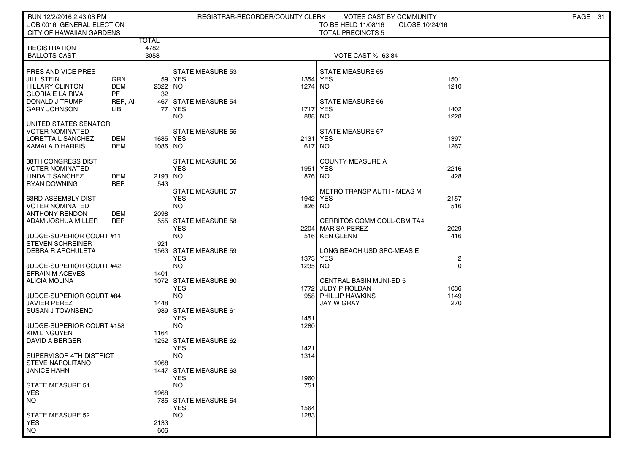| RUN 12/2/2016 2:43:08 PM                            |                   |               | REGISTRAR-RECORDER/COUNTY CLERK       |              | VOTES CAST BY COMMUNITY                 |              | PAGE 31 |
|-----------------------------------------------------|-------------------|---------------|---------------------------------------|--------------|-----------------------------------------|--------------|---------|
| JOB 0016 GENERAL ELECTION                           |                   |               |                                       |              | TO BE HELD 11/08/16<br>CLOSE 10/24/16   |              |         |
| <b>CITY OF HAWAIIAN GARDENS</b>                     |                   |               |                                       |              | <b>TOTAL PRECINCTS 5</b>                |              |         |
| <b>REGISTRATION</b>                                 |                   | TOTAL<br>4782 |                                       |              |                                         |              |         |
| <b>BALLOTS CAST</b>                                 |                   | 3053          |                                       |              | VOTE CAST % 63.84                       |              |         |
|                                                     |                   |               |                                       |              |                                         |              |         |
| PRES AND VICE PRES                                  |                   |               | <b>STATE MEASURE 53</b>               |              | <b>STATE MEASURE 65</b>                 |              |         |
| JILL STEIN<br><b>HILLARY CLINTON</b>                | GRN<br><b>DEM</b> | 2322 NO       | 59 YES                                | 1354<br>1274 | <b>YES</b><br>NO.                       | 1501<br>1210 |         |
| <b>GLORIA E LA RIVA</b>                             | <b>PF</b>         | 32            |                                       |              |                                         |              |         |
| DONALD J TRUMP                                      | REP, AI           | 467           | STATE MEASURE 54                      |              | STATE MEASURE 66                        |              |         |
| GARY JOHNSON                                        | LIB               | 77            | YES                                   | 1717         | <b>YES</b>                              | 1402         |         |
|                                                     |                   |               | NO.                                   | 888          | NO.                                     | 1228         |         |
| UNITED STATES SENATOR<br><b>VOTER NOMINATED</b>     |                   |               | <b>STATE MEASURE 55</b>               |              | STATE MEASURE 67                        |              |         |
| LORETTA L SANCHEZ                                   | DEM               | 1685   YES    |                                       | 2131         | <b>YES</b>                              | 1397         |         |
| <b>KAMALA D HARRIS</b>                              | DEM               | 1086 NO       |                                       |              | 617 NO                                  | 1267         |         |
|                                                     |                   |               |                                       |              |                                         |              |         |
| 38TH CONGRESS DIST<br><b>VOTER NOMINATED</b>        |                   |               | <b>STATE MEASURE 56</b><br><b>YES</b> | 1951         | <b>COUNTY MEASURE A</b><br><b>YES</b>   | 2216         |         |
| <b>LINDA T SANCHEZ</b>                              | DEM               | 2193 NO       |                                       |              | 876 NO                                  | 428          |         |
| <b>RYAN DOWNING</b>                                 | <b>REP</b>        | 543           |                                       |              |                                         |              |         |
|                                                     |                   |               | STATE MEASURE 57                      |              | <b>METRO TRANSP AUTH - MEAS M</b>       |              |         |
| <b>63RD ASSEMBLY DIST</b>                           |                   |               | <b>YES</b>                            | 1942         | <b>YES</b>                              | 2157         |         |
| VOTER NOMINATED<br><b>ANTHONY RENDON</b>            | DEM               | 2098          | NO.                                   | 826          | NO                                      | 516          |         |
| ADAM JOSHUA MILLER                                  | REP               |               | 555 STATE MEASURE 58                  |              | CERRITOS COMM COLL-GBM TA4              |              |         |
|                                                     |                   |               | YES                                   | 2204         | <b>MARISA PEREZ</b>                     | 2029         |         |
| JUDGE-SUPERIOR COURT #11                            |                   |               | <b>NO</b>                             | 516          | <b>KEN GLENN</b>                        | 416          |         |
| <b>STEVEN SCHREINER</b><br><b>DEBRA R ARCHULETA</b> |                   | 921<br>1563   | STATE MEASURE 59                      |              | LONG BEACH USD SPC-MEAS E               |              |         |
|                                                     |                   |               | <b>YES</b>                            | 1373         | <b>YES</b>                              | 2            |         |
| JUDGE-SUPERIOR COURT #42                            |                   |               | NO.                                   | 1235         | NO.                                     | ∩            |         |
| <b>EFRAIN M ACEVES</b>                              |                   | 1401          |                                       |              |                                         |              |         |
| <b>ALICIA MOLINA</b>                                |                   |               | 1072 STATE MEASURE 60                 |              | <b>CENTRAL BASIN MUNI-BD 5</b>          |              |         |
| JUDGE-SUPERIOR COURT #84                            |                   |               | <b>YES</b><br><b>NO</b>               | 1772<br>958  | JUDY P ROLDAN<br><b>PHILLIP HAWKINS</b> | 1036<br>1149 |         |
| <b>JAVIER PEREZ</b>                                 |                   | 1448          |                                       |              | <b>JAY W GRAY</b>                       | 270          |         |
| <b>SUSAN J TOWNSEND</b>                             |                   |               | 989 STATE MEASURE 61                  |              |                                         |              |         |
|                                                     |                   |               | <b>YES</b>                            | 1451         |                                         |              |         |
| JUDGE-SUPERIOR COURT #158                           |                   |               | NO.                                   | 1280         |                                         |              |         |
| <b>KIM L NGUYEN</b><br>DAVID A BERGER               |                   | 1164          | 1252 STATE MEASURE 62                 |              |                                         |              |         |
|                                                     |                   |               | <b>YES</b>                            | 1421         |                                         |              |         |
| SUPERVISOR 4TH DISTRICT                             |                   |               | <b>NO</b>                             | 1314         |                                         |              |         |
| <b>STEVE NAPOLITANO</b>                             |                   | 1068          |                                       |              |                                         |              |         |
| JANICE HAHN                                         |                   |               | 1447 STATE MEASURE 63<br><b>YES</b>   | 1960         |                                         |              |         |
| <b>STATE MEASURE 51</b>                             |                   |               | <b>NO</b>                             | 751          |                                         |              |         |
| <b>YES</b>                                          |                   | 1968          |                                       |              |                                         |              |         |
| <b>NO</b>                                           |                   | 785           | STATE MEASURE 64                      |              |                                         |              |         |
|                                                     |                   |               | <b>YES</b>                            | 1564         |                                         |              |         |
| <b>STATE MEASURE 52</b><br><b>YES</b>               |                   |               | <b>NO</b>                             | 1283         |                                         |              |         |
| <b>NO</b>                                           |                   | 2133<br>606   |                                       |              |                                         |              |         |
|                                                     |                   |               |                                       |              |                                         |              |         |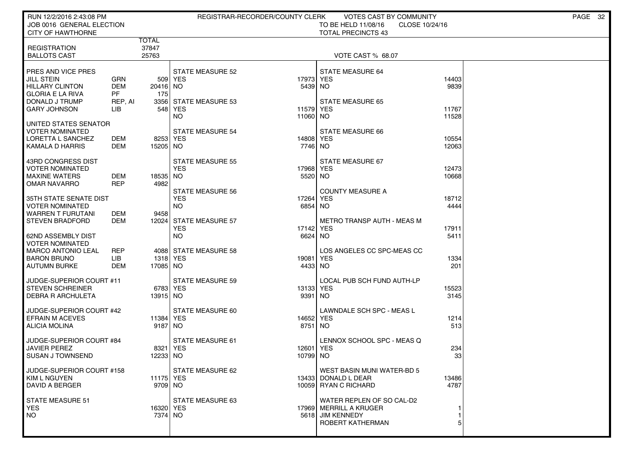| RUN 12/2/2016 2:43:08 PM                              |                      |           |                                       | REGISTRAR-RECORDER/COUNTY CLERK | VOTES CAST BY COMMUNITY                          |                | PAGE 32 |
|-------------------------------------------------------|----------------------|-----------|---------------------------------------|---------------------------------|--------------------------------------------------|----------------|---------|
| JOB 0016 GENERAL ELECTION<br><b>CITY OF HAWTHORNE</b> |                      |           |                                       |                                 | TO BE HELD 11/08/16<br><b>TOTAL PRECINCTS 43</b> | CLOSE 10/24/16 |         |
|                                                       |                      | TOTAL     |                                       |                                 |                                                  |                |         |
| <b>REGISTRATION</b>                                   |                      | 37847     |                                       |                                 |                                                  |                |         |
| <b>BALLOTS CAST</b>                                   |                      | 25763     |                                       |                                 | VOTE CAST % 68.07                                |                |         |
| PRES AND VICE PRES                                    |                      |           | <b>STATE MEASURE 52</b>               |                                 | STATE MEASURE 64                                 |                |         |
| <b>JILL STEIN</b>                                     | GRN                  |           | 509   YES                             | 17973                           | <b>YES</b>                                       | 14403          |         |
| <b>HILLARY CLINTON</b>                                | <b>DEM</b>           | 20416 NO  |                                       | 5439 NO                         |                                                  | 9839           |         |
| <b>GLORIA E LA RIVA</b><br>DONALD J TRUMP             | <b>PF</b><br>REP. AI | 175       | 3356 STATE MEASURE 53                 |                                 | <b>STATE MEASURE 65</b>                          |                |         |
| <b>GARY JOHNSON</b>                                   | LІВ                  |           | 548   YES                             | 11579                           | YES                                              | 11767          |         |
|                                                       |                      |           | NO.                                   | 11060                           | NO.                                              | 11528          |         |
| UNITED STATES SENATOR                                 |                      |           |                                       |                                 |                                                  |                |         |
| VOTER NOMINATED<br>LORETTA L SANCHEZ                  | DEM                  | 8253 YES  | <b>STATE MEASURE 54</b>               | 14808                           | <b>STATE MEASURE 66</b><br>YES                   | 10554          |         |
| KAMALA D HARRIS                                       | DEM                  | 15205 NO  |                                       | 7746 NO                         |                                                  | 12063          |         |
|                                                       |                      |           |                                       |                                 |                                                  |                |         |
| 43RD CONGRESS DIST<br>VOTER NOMINATED                 |                      |           | STATE MEASURE 55<br><b>YES</b>        | 17968 YES                       | STATE MEASURE 67                                 | 12473          |         |
| <b>MAXINE WATERS</b>                                  | DEM                  | 18535 NO  |                                       | 5520 NO                         |                                                  | 10668          |         |
| <b>OMAR NAVARRO</b>                                   | <b>REP</b>           | 4982      |                                       |                                 |                                                  |                |         |
|                                                       |                      |           | <b>STATE MEASURE 56</b><br><b>YES</b> | 17264                           | <b>COUNTY MEASURE A</b><br><b>YES</b>            | 18712          |         |
| 35TH STATE SENATE DIST<br>VOTER NOMINATED             |                      |           | NO.                                   | 6854                            | NO.                                              | 4444           |         |
| <b>WARREN T FURUTANI</b>                              | DEM                  | 9458      |                                       |                                 |                                                  |                |         |
| <b>STEVEN BRADFORD</b>                                | DEM                  |           | 12024 STATE MEASURE 57                |                                 | <b>METRO TRANSP AUTH - MEAS M</b>                |                |         |
| <b>62ND ASSEMBLY DIST</b>                             |                      |           | <b>YES</b><br>NO.                     | 17142<br>6624                   | YES<br>NO.                                       | 17911<br>5411  |         |
| <b>VOTER NOMINATED</b>                                |                      |           |                                       |                                 |                                                  |                |         |
| <b>MARCO ANTONIO LEAL</b>                             | REP                  |           | 4088 STATE MEASURE 58                 |                                 | LOS ANGELES CC SPC-MEAS CC                       |                |         |
| <b>BARON BRUNO</b>                                    | LІВ<br>DEM           | 1318 YES  |                                       | 19081                           | <b>YES</b>                                       | 1334           |         |
| <b>AUTUMN BURKE</b>                                   |                      | 17085 NO  |                                       | 4433 NO                         |                                                  | 201            |         |
| JUDGE-SUPERIOR COURT #11                              |                      |           | <b>STATE MEASURE 59</b>               |                                 | LOCAL PUB SCH FUND AUTH-LP                       |                |         |
| <b>STEVEN SCHREINER</b>                               |                      | 6783 YES  |                                       | 13133 YES                       |                                                  | 15523          |         |
| <b>DEBRA R ARCHULETA</b>                              |                      | 13915 NO  |                                       | 9391                            | NO.                                              | 3145           |         |
| JUDGE-SUPERIOR COURT #42                              |                      |           | STATE MEASURE 60                      |                                 | LAWNDALE SCH SPC - MEAS L                        |                |         |
| <b>EFRAIN M ACEVES</b>                                |                      | 11384 YES |                                       | 14652                           | <b>YES</b>                                       | 1214           |         |
| <b>ALICIA MOLINA</b>                                  |                      | 9187 NO   |                                       | 8751                            | NO.                                              | 513            |         |
| JUDGE-SUPERIOR COURT #84                              |                      |           | <b>STATE MEASURE 61</b>               |                                 | LENNOX SCHOOL SPC - MEAS Q                       |                |         |
| <b>JAVIER PEREZ</b>                                   |                      | 8321      | YES                                   | 12601                           | <b>YES</b>                                       | 234            |         |
| <b>SUSAN J TOWNSEND</b>                               |                      | 12233 NO  |                                       | 10799                           | NO.                                              | 33             |         |
| JUDGE-SUPERIOR COURT #158                             |                      |           | STATE MEASURE 62                      |                                 | WEST BASIN MUNI WATER-BD 5                       |                |         |
| KIM L NGUYEN                                          |                      | 11175 YES |                                       |                                 | 13433 DONALD L DEAR                              | 13486          |         |
| DAVID A BERGER                                        |                      | 9709 NO   |                                       |                                 | 10059 RYAN C RICHARD                             | 4787           |         |
| <b>STATE MEASURE 51</b>                               |                      |           | STATE MEASURE 63                      |                                 | WATER REPLEN OF SO CAL-D2                        |                |         |
| <b>YES</b>                                            |                      | 16320 YES |                                       |                                 | 17969 MERRILL A KRUGER                           |                |         |
| NO.                                                   |                      | 7374 NO   |                                       |                                 | 5618 JIM KENNEDY                                 |                |         |
|                                                       |                      |           |                                       |                                 | ROBERT KATHERMAN                                 |                |         |
|                                                       |                      |           |                                       |                                 |                                                  |                |         |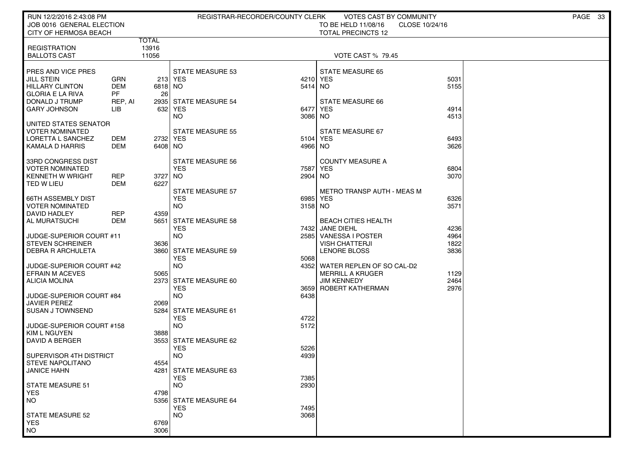| RUN 12/2/2016 2:43:08 PM<br>JOB 0016 GENERAL ELECTION                          |                          |                         |                                                    | REGISTRAR-RECORDER/COUNTY CLERK | VOTES CAST BY COMMUNITY<br>TO BE HELD 11/08/16            | CLOSE 10/24/16       | PAGE<br>-33 |
|--------------------------------------------------------------------------------|--------------------------|-------------------------|----------------------------------------------------|---------------------------------|-----------------------------------------------------------|----------------------|-------------|
| CITY OF HERMOSA BEACH                                                          |                          |                         |                                                    |                                 | <b>TOTAL PRECINCTS 12</b>                                 |                      |             |
| <b>REGISTRATION</b><br><b>BALLOTS CAST</b>                                     |                          | TOTAL<br>13916<br>11056 |                                                    |                                 | <b>VOTE CAST % 79.45</b>                                  |                      |             |
| PRES AND VICE PRES<br><b>JILL STEIN</b>                                        | GRN                      |                         | <b>STATE MEASURE 53</b><br>213 YES                 | 4210                            | <b>STATE MEASURE 65</b><br><b>YES</b>                     | 5031                 |             |
| <b>HILLARY CLINTON</b><br><b>GLORIA E LA RIVA</b>                              | <b>DEM</b><br><b>PF</b>  | 6818 NO<br>26           |                                                    | 5414                            | NO                                                        | 5155                 |             |
| DONALD J TRUMP<br><b>GARY JOHNSON</b>                                          | REP, AI<br>LІВ           |                         | 2935 STATE MEASURE 54<br>632 YES<br><b>NO</b>      | 6477<br>3086                    | STATE MEASURE 66<br><b>YES</b><br>NO.                     | 4914<br>4513         |             |
| UNITED STATES SENATOR<br>VOTER NOMINATED<br>LORETTA L SANCHEZ                  | DEM                      | 2732 YES                | <b>STATE MEASURE 55</b>                            | 5104                            | STATE MEASURE 67<br><b>YES</b>                            | 6493                 |             |
| KAMALA D HARRIS                                                                | <b>DEM</b>               | 6408 NO                 |                                                    | 4966                            | NO                                                        | 3626                 |             |
| 33RD CONGRESS DIST<br>VOTER NOMINATED<br><b>KENNETH W WRIGHT</b><br>TED W LIEU | <b>REP</b><br><b>DEM</b> | 3727 NO<br>6227         | STATE MEASURE 56<br><b>YES</b>                     | 7587<br>2904                    | <b>COUNTY MEASURE A</b><br><b>YES</b><br>NO.              | 6804<br>3070         |             |
| <b>66TH ASSEMBLY DIST</b><br>VOTER NOMINATED                                   |                          |                         | <b>STATE MEASURE 57</b><br><b>YES</b><br><b>NO</b> | 6985<br>3158 NO                 | <b>METRO TRANSP AUTH - MEAS M</b><br><b>YES</b>           | 6326<br>3571         |             |
| DAVID HADLEY<br>AL MURATSUCHI                                                  | <b>REP</b><br><b>DEM</b> | 4359<br>5651            | STATE MEASURE 58<br><b>YES</b>                     | 7432                            | <b>BEACH CITIES HEALTH</b><br><b>JANE DIEHL</b>           | 4236                 |             |
| JUDGE-SUPERIOR COURT #11<br><b>STEVEN SCHREINER</b><br>DEBRA R ARCHULETA       |                          | 3636                    | <b>NO</b><br>3860 STATE MEASURE 59<br><b>YES</b>   | 2585                            | VANESSA I POSTER<br><b>VISH CHATTERJI</b><br>LENORE BLOSS | 4964<br>1822<br>3836 |             |
| <b>JUDGE-SUPERIOR COURT #42</b><br><b>EFRAIN M ACEVES</b>                      |                          | 5065                    | <b>NO</b>                                          | 5068<br>4352                    | WATER REPLEN OF SO CAL-D2<br><b>MERRILL A KRUGER</b>      | 1129                 |             |
| <b>ALICIA MOLINA</b><br>JUDGE-SUPERIOR COURT #84                               |                          |                         | 2373 STATE MEASURE 60<br><b>YES</b><br><b>NO</b>   | 3659<br>6438                    | <b>JIM KENNEDY</b><br>ROBERT KATHERMAN                    | 2464<br>2976         |             |
| <b>JAVIER PEREZ</b><br><b>SUSAN J TOWNSEND</b>                                 |                          | 2069                    | 5284 STATE MEASURE 61<br><b>YES</b>                | 4722                            |                                                           |                      |             |
| JUDGE-SUPERIOR COURT #158<br><b>KIM L NGUYEN</b>                               |                          | 3888                    | <b>NO</b>                                          | 5172                            |                                                           |                      |             |
| DAVID A BERGER<br>SUPERVISOR 4TH DISTRICT                                      |                          |                         | 3553 STATE MEASURE 62<br><b>YES</b><br><b>NO</b>   | 5226<br>4939                    |                                                           |                      |             |
| <b>STEVE NAPOLITANO</b><br>JANICE HAHN                                         |                          | 4554                    | 4281 STATE MEASURE 63                              |                                 |                                                           |                      |             |
| <b>STATE MEASURE 51</b>                                                        |                          |                         | <b>YES</b><br><b>NO</b>                            | 7385<br>2930                    |                                                           |                      |             |
| <b>YES</b><br><b>NO</b>                                                        |                          | 4798                    | 5356 STATE MEASURE 64<br><b>YES</b>                | 7495                            |                                                           |                      |             |
| <b>STATE MEASURE 52</b><br><b>YES</b><br><b>NO</b>                             |                          | 6769<br>3006            | <b>NO</b>                                          | 3068                            |                                                           |                      |             |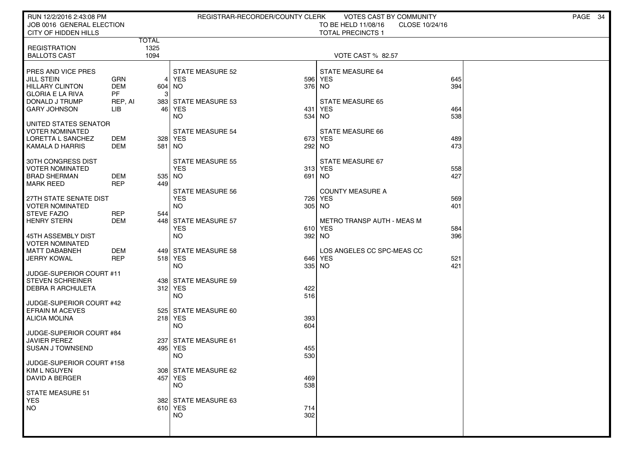| RUN 12/2/2016 2:43:08 PM                            |                          |                      | REGISTRAR-RECORDER/COUNTY CLERK       |            | <b>VOTES CAST BY COMMUNITY</b>                                    |            | PAGE 34 |
|-----------------------------------------------------|--------------------------|----------------------|---------------------------------------|------------|-------------------------------------------------------------------|------------|---------|
| JOB 0016 GENERAL ELECTION<br>CITY OF HIDDEN HILLS   |                          |                      |                                       |            | TO BE HELD 11/08/16<br>CLOSE 10/24/16<br><b>TOTAL PRECINCTS 1</b> |            |         |
| <b>REGISTRATION</b>                                 |                          | <b>TOTAL</b><br>1325 |                                       |            |                                                                   |            |         |
| <b>BALLOTS CAST</b>                                 |                          | 1094                 |                                       |            | VOTE CAST % 82.57                                                 |            |         |
|                                                     |                          |                      |                                       |            |                                                                   |            |         |
| PRES AND VICE PRES<br>JILL STEIN                    | GRN                      | 4                    | <b>STATE MEASURE 52</b><br><b>YES</b> |            | STATE MEASURE 64<br>596 YES                                       | 645        |         |
| <b>HILLARY CLINTON</b>                              | <b>DEM</b>               | 604 NO               |                                       | 376 NO     |                                                                   | 394        |         |
| <b>GLORIA E LA RIVA</b><br>DONALD J TRUMP           | <b>PF</b><br>REP, AI     |                      | 383 STATE MEASURE 53                  |            | <b>STATE MEASURE 65</b>                                           |            |         |
| <b>GARY JOHNSON</b>                                 | <b>LIB</b>               |                      | 46 YES                                | 431        | <b>YES</b>                                                        | 464        |         |
|                                                     |                          |                      | <b>NO</b>                             | 534        | <b>NO</b>                                                         | 538        |         |
| UNITED STATES SENATOR<br><b>VOTER NOMINATED</b>     |                          |                      | <b>STATE MEASURE 54</b>               |            | STATE MEASURE 66                                                  |            |         |
| LORETTA L SANCHEZ                                   | DEM                      |                      | 328 YES                               |            | 673 YES                                                           | 489        |         |
| KAMALA D HARRIS                                     | <b>DEM</b>               | 581   NO             |                                       | 292 NO     |                                                                   | 473        |         |
| 30TH CONGRESS DIST                                  |                          |                      | <b>STATE MEASURE 55</b>               |            | STATE MEASURE 67                                                  |            |         |
| <b>VOTER NOMINATED</b>                              |                          |                      | <b>YES</b>                            |            | 313 YES                                                           | 558        |         |
| <b>BRAD SHERMAN</b><br><b>MARK REED</b>             | <b>DEM</b><br><b>REP</b> | 535 NO<br>449        |                                       | 691 NO     |                                                                   | 427        |         |
|                                                     |                          |                      | <b>STATE MEASURE 56</b>               |            | <b>COUNTY MEASURE A</b>                                           |            |         |
| 27TH STATE SENATE DIST<br><b>VOTER NOMINATED</b>    |                          |                      | <b>YES</b><br><b>NO</b>               | 726        | YES<br>305 NO                                                     | 569<br>401 |         |
| <b>STEVE FAZIO</b>                                  | <b>REP</b>               | 544                  |                                       |            |                                                                   |            |         |
| <b>HENRY STERN</b>                                  | <b>DEM</b>               |                      | 448 STATE MEASURE 57<br><b>YES</b>    |            | METRO TRANSP AUTH - MEAS M<br>610 YES                             |            |         |
| 45TH ASSEMBLY DIST                                  |                          |                      | <b>NO</b>                             |            | 392 NO                                                            | 584<br>396 |         |
| <b>VOTER NOMINATED</b>                              |                          |                      |                                       |            |                                                                   |            |         |
| <b>MATT DABABNEH</b><br><b>JERRY KOWAL</b>          | <b>DEM</b><br><b>REP</b> |                      | 449 STATE MEASURE 58<br>518 YES       |            | LOS ANGELES CC SPC-MEAS CC<br>646 YES                             | 521        |         |
|                                                     |                          |                      | <b>NO</b>                             |            | 335 NO                                                            | 421        |         |
| JUDGE-SUPERIOR COURT #11<br><b>STEVEN SCHREINER</b> |                          |                      |                                       |            |                                                                   |            |         |
| DEBRA R ARCHULETA                                   |                          |                      | 438 STATE MEASURE 59<br>312 YES       | 422        |                                                                   |            |         |
|                                                     |                          |                      | <b>NO</b>                             | 516        |                                                                   |            |         |
| JUDGE-SUPERIOR COURT #42<br><b>EFRAIN M ACEVES</b>  |                          |                      | 525 STATE MEASURE 60                  |            |                                                                   |            |         |
| <b>ALICIA MOLINA</b>                                |                          |                      | 218 YES                               | 393        |                                                                   |            |         |
| JUDGE-SUPERIOR COURT #84                            |                          |                      | <b>NO</b>                             | 604        |                                                                   |            |         |
| <b>JAVIER PEREZ</b>                                 |                          |                      | 237 STATE MEASURE 61                  |            |                                                                   |            |         |
| <b>SUSAN J TOWNSEND</b>                             |                          | 4951                 | YES                                   | 455        |                                                                   |            |         |
| JUDGE-SUPERIOR COURT #158                           |                          |                      | <b>NO</b>                             | 530        |                                                                   |            |         |
| KIM L NGUYEN                                        |                          |                      | 308 STATE MEASURE 62                  |            |                                                                   |            |         |
| <b>DAVID A BERGER</b>                               |                          |                      | 457 YES<br>NO.                        | 469<br>538 |                                                                   |            |         |
| STATE MEASURE 51                                    |                          |                      |                                       |            |                                                                   |            |         |
| <b>YES</b>                                          |                          |                      | 382 STATE MEASURE 63                  |            |                                                                   |            |         |
| NO.                                                 |                          |                      | 610 YES<br><b>NO</b>                  | 714<br>302 |                                                                   |            |         |
|                                                     |                          |                      |                                       |            |                                                                   |            |         |
|                                                     |                          |                      |                                       |            |                                                                   |            |         |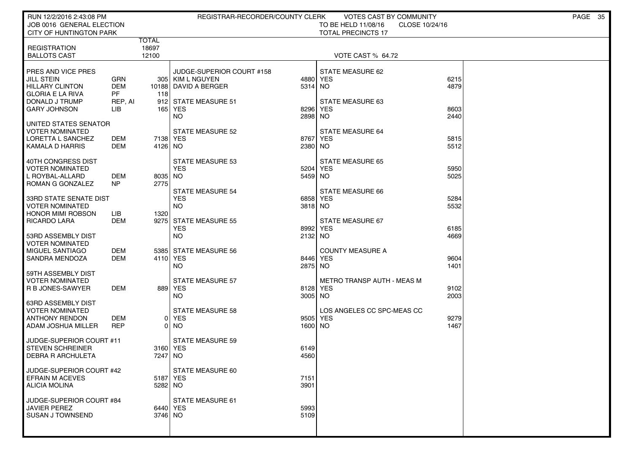| RUN 12/2/2016 2:43:08 PM<br>JOB 0016 GENERAL ELECTION<br><b>CITY OF HUNTINGTON PARK</b>                                               |                                                  |                         | REGISTRAR-RECORDER/COUNTY CLERK                                                                          |                                | <b>VOTES CAST BY COMMUNITY</b><br>TO BE HELD 11/08/16<br>CLOSE 10/24/16<br><b>TOTAL PRECINCTS 17</b> |                      | PAGE 35 |
|---------------------------------------------------------------------------------------------------------------------------------------|--------------------------------------------------|-------------------------|----------------------------------------------------------------------------------------------------------|--------------------------------|------------------------------------------------------------------------------------------------------|----------------------|---------|
| <b>REGISTRATION</b><br><b>BALLOTS CAST</b>                                                                                            |                                                  | TOTAL<br>18697<br>12100 |                                                                                                          |                                | VOTE CAST % 64.72                                                                                    |                      |         |
| PRES AND VICE PRES<br><b>JILL STEIN</b><br><b>HILLARY CLINTON</b><br><b>GLORIA E LA RIVA</b><br>DONALD J TRUMP<br><b>GARY JOHNSON</b> | GRN<br><b>DEM</b><br><b>PF</b><br>REP, AI<br>LІВ | 118                     | JUDGE-SUPERIOR COURT #158<br>305 KIM L NGUYEN<br>10188 DAVID A BERGER<br>912 STATE MEASURE 51<br>165 YES | 4880<br>5314 NO<br>8296        | STATE MEASURE 62<br><b>YES</b><br><b>STATE MEASURE 63</b><br><b>YES</b>                              | 6215<br>4879<br>8603 |         |
| UNITED STATES SENATOR<br><b>VOTER NOMINATED</b><br>LORETTA L SANCHEZ<br>KAMALA D HARRIS                                               | DEM<br>DEM                                       | 7138 YES<br>4126 NO     | <b>NO</b><br>STATE MEASURE 52                                                                            | 2898 NO<br>8767<br>2380 NO     | <b>STATE MEASURE 64</b><br><b>YES</b>                                                                | 2440<br>5815<br>5512 |         |
| 40TH CONGRESS DIST<br><b>VOTER NOMINATED</b><br>L ROYBAL-ALLARD<br>ROMAN G GONZALEZ                                                   | DEM<br>NP                                        | 8035 NO<br>2775         | STATE MEASURE 53<br><b>YES</b><br><b>STATE MEASURE 54</b>                                                | 5204<br>5459 NO                | <b>STATE MEASURE 65</b><br>YES<br>STATE MEASURE 66                                                   | 5950<br>5025         |         |
| <b>33RD STATE SENATE DIST</b><br><b>VOTER NOMINATED</b><br><b>HONOR MIMI ROBSON</b><br><b>RICARDO LARA</b>                            | LIB<br><b>DEM</b>                                | 1320                    | <b>YES</b><br><b>NO</b><br>9275 STATE MEASURE 55<br><b>YES</b>                                           | 6858<br>3818 NO<br>8992        | YES<br>STATE MEASURE 67<br><b>YES</b>                                                                | 5284<br>5532<br>6185 |         |
| 53RD ASSEMBLY DIST<br><b>VOTER NOMINATED</b><br>MIGUEL SANTIAGO<br>SANDRA MENDOZA                                                     | <b>DEM</b><br>DEM                                | 4110 YES                | <b>NO</b><br>5385 STATE MEASURE 56<br><b>NO</b>                                                          | 2132 NO<br>8446 YES<br>2875 NO | <b>COUNTY MEASURE A</b>                                                                              | 4669<br>9604<br>1401 |         |
| 59TH ASSEMBLY DIST<br><b>VOTER NOMINATED</b><br>R B JONES-SAWYER<br><b>63RD ASSEMBLY DIST</b>                                         | DEM                                              |                         | <b>STATE MEASURE 57</b><br>889 YES<br><b>NO</b>                                                          | 8128 YES<br>3005 NO            | METRO TRANSP AUTH - MEAS M                                                                           | 9102<br>2003         |         |
| <b>VOTER NOMINATED</b><br><b>ANTHONY RENDON</b><br>ADAM JOSHUA MILLER                                                                 | <b>DEM</b><br><b>REP</b>                         |                         | <b>STATE MEASURE 58</b><br>0 YES<br>$0$ NO                                                               | 9505<br>1600 NO                | LOS ANGELES CC SPC-MEAS CC<br><b>YES</b>                                                             | 9279<br>1467         |         |
| JUDGE-SUPERIOR COURT #11<br><b>STEVEN SCHREINER</b><br><b>DEBRA R ARCHULETA</b>                                                       |                                                  | 3160 YES<br>7247 NO     | <b>STATE MEASURE 59</b>                                                                                  | 6149<br>4560                   |                                                                                                      |                      |         |
| JUDGE-SUPERIOR COURT #42<br><b>EFRAIN M ACEVES</b><br><b>ALICIA MOLINA</b>                                                            |                                                  | 5187 YES<br>5282 NO     | STATE MEASURE 60                                                                                         | 7151<br>3901                   |                                                                                                      |                      |         |
| JUDGE-SUPERIOR COURT #84<br>JAVIER PEREZ<br><b>SUSAN J TOWNSEND</b>                                                                   |                                                  | 6440 YES<br>3746 NO     | <b>STATE MEASURE 61</b>                                                                                  | 5993<br>5109                   |                                                                                                      |                      |         |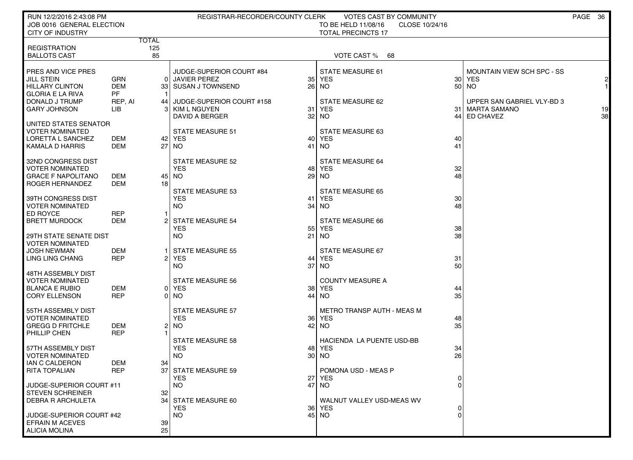| <b>TOTAL</b><br>125<br><b>REGISTRATION</b><br>85<br>VOTE CAST %<br><b>BALLOTS CAST</b><br>68<br>JUDGE-SUPERIOR COURT #84<br><b>STATE MEASURE 61</b><br>MOUNTAIN VIEW SCH SPC - SS<br><b>JILL STEIN</b><br>GRN<br>0 JAVIER PEREZ<br><b>YES</b><br>35 <sub>1</sub><br>30 <sup>°</sup><br>YES<br><b>DEM</b><br>26<br><b>HILLARY CLINTON</b><br>33 SUSAN J TOWNSEND<br>NO.<br>50<br><b>NO</b><br>1<br><b>GLORIA E LA RIVA</b><br>PF<br>DONALD J TRUMP<br>REP, AI<br>JUDGE-SUPERIOR COURT #158<br>STATE MEASURE 62<br>UPPER SAN GABRIEL VLY-BD 3<br>44<br><b>GARY JOHNSON</b><br><b>YES</b><br>3<br>KIM L NGUYEN<br>31<br>31   MARTA SAMANO<br>LIB<br>32<br>DAVID A BERGER<br>NO.<br>44 ED CHAVEZ<br>  UNITED STATES SENATOR<br><b>STATE MEASURE 51</b><br>STATE MEASURE 63<br>40<br><b>YES</b><br>DEM<br>42   YES<br>40<br><b>DEM</b><br>41<br>NO.<br>41<br>27   NO<br>32ND CONGRESS DIST<br><b>STATE MEASURE 52</b><br>STATE MEASURE 64<br><b>VOTER NOMINATED</b><br><b>YES</b><br>32<br>YES.<br>48<br>29<br><b>GRACE F NAPOLITANO</b><br>48<br>DEM<br>45 l<br>NO.<br>NO.<br>ROGER HERNANDEZ<br>DEM<br>18<br><b>STATE MEASURE 53</b><br>STATE MEASURE 65<br>30 <sub>2</sub><br>YES<br>41<br>YES<br><b>NO</b><br>34<br>48<br>NO.<br><b>REP</b><br>DEM<br>$\overline{2}$<br><b>STATE MEASURE 54</b><br>STATE MEASURE 66<br>YES<br>55<br>YES<br>38<br>NO.<br>21<br><b>NO</b><br>38<br>29TH STATE SENATE DIST<br><b>VOTER NOMINATED</b><br><b>JOSH NEWMAN</b><br>DEM<br><b>STATE MEASURE 55</b><br>STATE MEASURE 67<br><b>REP</b><br><b>YES</b><br>31<br>LING LING CHANG<br>2 <br>44<br>YES<br>37<br>50<br>NO.<br>NO.<br>48TH ASSEMBLY DIST<br><b>STATE MEASURE 56</b><br><b>COUNTY MEASURE A</b><br><b>DEM</b><br><b>YES</b><br>38 <sup>1</sup><br>YES<br>44<br>01<br><b>REP</b><br>44<br>35<br>NO.<br>NO.<br>0<br>55TH ASSEMBLY DIST<br><b>STATE MEASURE 57</b><br>METRO TRANSP AUTH - MEAS M<br><b>VOTER NOMINATED</b><br><b>YES</b><br>36 <sup>1</sup><br>YES<br>48<br><b>NO</b><br>42<br>35<br><b>GREGG D FRITCHLE</b><br>DEM<br>21<br>NO.<br><b>REP</b><br>PHILLIP CHEN<br><b>STATE MEASURE 58</b><br>HACIENDA LA PUENTE USD-BB<br><b>YES</b><br>48<br>YES<br>34<br><b>NO</b><br>30<br>26<br>NO.<br>DEM<br>34<br>REP<br>POMONA USD - MEAS P<br>37 STATE MEASURE 59<br>YES.<br>27 <sub>l</sub><br>YES.<br>$\overline{0}$<br>NO.<br>47 NO<br>JUDGE-SUPERIOR COURT #11<br>$\Omega$<br>STEVEN SCHREINER<br>32<br><b>DEBRA R ARCHULETA</b><br>34 STATE MEASURE 60<br>WALNUT VALLEY USD-MEAS WV<br><b>YES</b><br><b>36</b><br>YES | RUN 12/2/2016 2:43:08 PM<br>JOB 0016 GENERAL ELECTION<br><b>CITY OF INDUSTRY</b> |  | REGISTRAR-RECORDER/COUNTY CLERK | <b>VOTES CAST BY COMMUNITY</b><br>TO BE HELD 11/08/16<br>CLOSE 10/24/16<br><b>TOTAL PRECINCTS 17</b> |  | PAGE 36 |
|----------------------------------------------------------------------------------------------------------------------------------------------------------------------------------------------------------------------------------------------------------------------------------------------------------------------------------------------------------------------------------------------------------------------------------------------------------------------------------------------------------------------------------------------------------------------------------------------------------------------------------------------------------------------------------------------------------------------------------------------------------------------------------------------------------------------------------------------------------------------------------------------------------------------------------------------------------------------------------------------------------------------------------------------------------------------------------------------------------------------------------------------------------------------------------------------------------------------------------------------------------------------------------------------------------------------------------------------------------------------------------------------------------------------------------------------------------------------------------------------------------------------------------------------------------------------------------------------------------------------------------------------------------------------------------------------------------------------------------------------------------------------------------------------------------------------------------------------------------------------------------------------------------------------------------------------------------------------------------------------------------------------------------------------------------------------------------------------------------------------------------------------------------------------------------------------------------------------------------------------------------------------------------------------------------------------------------------------------------------------------------------------------------------------------------------------------------------------------------------------------------------------------|----------------------------------------------------------------------------------|--|---------------------------------|------------------------------------------------------------------------------------------------------|--|---------|
|                                                                                                                                                                                                                                                                                                                                                                                                                                                                                                                                                                                                                                                                                                                                                                                                                                                                                                                                                                                                                                                                                                                                                                                                                                                                                                                                                                                                                                                                                                                                                                                                                                                                                                                                                                                                                                                                                                                                                                                                                                                                                                                                                                                                                                                                                                                                                                                                                                                                                                                            |                                                                                  |  |                                 |                                                                                                      |  |         |
|                                                                                                                                                                                                                                                                                                                                                                                                                                                                                                                                                                                                                                                                                                                                                                                                                                                                                                                                                                                                                                                                                                                                                                                                                                                                                                                                                                                                                                                                                                                                                                                                                                                                                                                                                                                                                                                                                                                                                                                                                                                                                                                                                                                                                                                                                                                                                                                                                                                                                                                            |                                                                                  |  |                                 |                                                                                                      |  |         |
| 2<br>19<br>38                                                                                                                                                                                                                                                                                                                                                                                                                                                                                                                                                                                                                                                                                                                                                                                                                                                                                                                                                                                                                                                                                                                                                                                                                                                                                                                                                                                                                                                                                                                                                                                                                                                                                                                                                                                                                                                                                                                                                                                                                                                                                                                                                                                                                                                                                                                                                                                                                                                                                                              |                                                                                  |  |                                 |                                                                                                      |  |         |
|                                                                                                                                                                                                                                                                                                                                                                                                                                                                                                                                                                                                                                                                                                                                                                                                                                                                                                                                                                                                                                                                                                                                                                                                                                                                                                                                                                                                                                                                                                                                                                                                                                                                                                                                                                                                                                                                                                                                                                                                                                                                                                                                                                                                                                                                                                                                                                                                                                                                                                                            | PRES AND VICE PRES                                                               |  |                                 |                                                                                                      |  |         |
|                                                                                                                                                                                                                                                                                                                                                                                                                                                                                                                                                                                                                                                                                                                                                                                                                                                                                                                                                                                                                                                                                                                                                                                                                                                                                                                                                                                                                                                                                                                                                                                                                                                                                                                                                                                                                                                                                                                                                                                                                                                                                                                                                                                                                                                                                                                                                                                                                                                                                                                            |                                                                                  |  |                                 |                                                                                                      |  |         |
|                                                                                                                                                                                                                                                                                                                                                                                                                                                                                                                                                                                                                                                                                                                                                                                                                                                                                                                                                                                                                                                                                                                                                                                                                                                                                                                                                                                                                                                                                                                                                                                                                                                                                                                                                                                                                                                                                                                                                                                                                                                                                                                                                                                                                                                                                                                                                                                                                                                                                                                            |                                                                                  |  |                                 |                                                                                                      |  |         |
|                                                                                                                                                                                                                                                                                                                                                                                                                                                                                                                                                                                                                                                                                                                                                                                                                                                                                                                                                                                                                                                                                                                                                                                                                                                                                                                                                                                                                                                                                                                                                                                                                                                                                                                                                                                                                                                                                                                                                                                                                                                                                                                                                                                                                                                                                                                                                                                                                                                                                                                            |                                                                                  |  |                                 |                                                                                                      |  |         |
|                                                                                                                                                                                                                                                                                                                                                                                                                                                                                                                                                                                                                                                                                                                                                                                                                                                                                                                                                                                                                                                                                                                                                                                                                                                                                                                                                                                                                                                                                                                                                                                                                                                                                                                                                                                                                                                                                                                                                                                                                                                                                                                                                                                                                                                                                                                                                                                                                                                                                                                            |                                                                                  |  |                                 |                                                                                                      |  |         |
|                                                                                                                                                                                                                                                                                                                                                                                                                                                                                                                                                                                                                                                                                                                                                                                                                                                                                                                                                                                                                                                                                                                                                                                                                                                                                                                                                                                                                                                                                                                                                                                                                                                                                                                                                                                                                                                                                                                                                                                                                                                                                                                                                                                                                                                                                                                                                                                                                                                                                                                            |                                                                                  |  |                                 |                                                                                                      |  |         |
|                                                                                                                                                                                                                                                                                                                                                                                                                                                                                                                                                                                                                                                                                                                                                                                                                                                                                                                                                                                                                                                                                                                                                                                                                                                                                                                                                                                                                                                                                                                                                                                                                                                                                                                                                                                                                                                                                                                                                                                                                                                                                                                                                                                                                                                                                                                                                                                                                                                                                                                            |                                                                                  |  |                                 |                                                                                                      |  |         |
|                                                                                                                                                                                                                                                                                                                                                                                                                                                                                                                                                                                                                                                                                                                                                                                                                                                                                                                                                                                                                                                                                                                                                                                                                                                                                                                                                                                                                                                                                                                                                                                                                                                                                                                                                                                                                                                                                                                                                                                                                                                                                                                                                                                                                                                                                                                                                                                                                                                                                                                            | <b>VOTER NOMINATED</b>                                                           |  |                                 |                                                                                                      |  |         |
|                                                                                                                                                                                                                                                                                                                                                                                                                                                                                                                                                                                                                                                                                                                                                                                                                                                                                                                                                                                                                                                                                                                                                                                                                                                                                                                                                                                                                                                                                                                                                                                                                                                                                                                                                                                                                                                                                                                                                                                                                                                                                                                                                                                                                                                                                                                                                                                                                                                                                                                            | LORETTA L SANCHEZ                                                                |  |                                 |                                                                                                      |  |         |
|                                                                                                                                                                                                                                                                                                                                                                                                                                                                                                                                                                                                                                                                                                                                                                                                                                                                                                                                                                                                                                                                                                                                                                                                                                                                                                                                                                                                                                                                                                                                                                                                                                                                                                                                                                                                                                                                                                                                                                                                                                                                                                                                                                                                                                                                                                                                                                                                                                                                                                                            | KAMALA D HARRIS                                                                  |  |                                 |                                                                                                      |  |         |
|                                                                                                                                                                                                                                                                                                                                                                                                                                                                                                                                                                                                                                                                                                                                                                                                                                                                                                                                                                                                                                                                                                                                                                                                                                                                                                                                                                                                                                                                                                                                                                                                                                                                                                                                                                                                                                                                                                                                                                                                                                                                                                                                                                                                                                                                                                                                                                                                                                                                                                                            |                                                                                  |  |                                 |                                                                                                      |  |         |
|                                                                                                                                                                                                                                                                                                                                                                                                                                                                                                                                                                                                                                                                                                                                                                                                                                                                                                                                                                                                                                                                                                                                                                                                                                                                                                                                                                                                                                                                                                                                                                                                                                                                                                                                                                                                                                                                                                                                                                                                                                                                                                                                                                                                                                                                                                                                                                                                                                                                                                                            |                                                                                  |  |                                 |                                                                                                      |  |         |
|                                                                                                                                                                                                                                                                                                                                                                                                                                                                                                                                                                                                                                                                                                                                                                                                                                                                                                                                                                                                                                                                                                                                                                                                                                                                                                                                                                                                                                                                                                                                                                                                                                                                                                                                                                                                                                                                                                                                                                                                                                                                                                                                                                                                                                                                                                                                                                                                                                                                                                                            |                                                                                  |  |                                 |                                                                                                      |  |         |
|                                                                                                                                                                                                                                                                                                                                                                                                                                                                                                                                                                                                                                                                                                                                                                                                                                                                                                                                                                                                                                                                                                                                                                                                                                                                                                                                                                                                                                                                                                                                                                                                                                                                                                                                                                                                                                                                                                                                                                                                                                                                                                                                                                                                                                                                                                                                                                                                                                                                                                                            |                                                                                  |  |                                 |                                                                                                      |  |         |
|                                                                                                                                                                                                                                                                                                                                                                                                                                                                                                                                                                                                                                                                                                                                                                                                                                                                                                                                                                                                                                                                                                                                                                                                                                                                                                                                                                                                                                                                                                                                                                                                                                                                                                                                                                                                                                                                                                                                                                                                                                                                                                                                                                                                                                                                                                                                                                                                                                                                                                                            |                                                                                  |  |                                 |                                                                                                      |  |         |
|                                                                                                                                                                                                                                                                                                                                                                                                                                                                                                                                                                                                                                                                                                                                                                                                                                                                                                                                                                                                                                                                                                                                                                                                                                                                                                                                                                                                                                                                                                                                                                                                                                                                                                                                                                                                                                                                                                                                                                                                                                                                                                                                                                                                                                                                                                                                                                                                                                                                                                                            | 39TH CONGRESS DIST                                                               |  |                                 |                                                                                                      |  |         |
|                                                                                                                                                                                                                                                                                                                                                                                                                                                                                                                                                                                                                                                                                                                                                                                                                                                                                                                                                                                                                                                                                                                                                                                                                                                                                                                                                                                                                                                                                                                                                                                                                                                                                                                                                                                                                                                                                                                                                                                                                                                                                                                                                                                                                                                                                                                                                                                                                                                                                                                            | <b>VOTER NOMINATED</b>                                                           |  |                                 |                                                                                                      |  |         |
|                                                                                                                                                                                                                                                                                                                                                                                                                                                                                                                                                                                                                                                                                                                                                                                                                                                                                                                                                                                                                                                                                                                                                                                                                                                                                                                                                                                                                                                                                                                                                                                                                                                                                                                                                                                                                                                                                                                                                                                                                                                                                                                                                                                                                                                                                                                                                                                                                                                                                                                            | ED ROYCE                                                                         |  |                                 |                                                                                                      |  |         |
|                                                                                                                                                                                                                                                                                                                                                                                                                                                                                                                                                                                                                                                                                                                                                                                                                                                                                                                                                                                                                                                                                                                                                                                                                                                                                                                                                                                                                                                                                                                                                                                                                                                                                                                                                                                                                                                                                                                                                                                                                                                                                                                                                                                                                                                                                                                                                                                                                                                                                                                            | <b>BRETT MURDOCK</b>                                                             |  |                                 |                                                                                                      |  |         |
|                                                                                                                                                                                                                                                                                                                                                                                                                                                                                                                                                                                                                                                                                                                                                                                                                                                                                                                                                                                                                                                                                                                                                                                                                                                                                                                                                                                                                                                                                                                                                                                                                                                                                                                                                                                                                                                                                                                                                                                                                                                                                                                                                                                                                                                                                                                                                                                                                                                                                                                            |                                                                                  |  |                                 |                                                                                                      |  |         |
|                                                                                                                                                                                                                                                                                                                                                                                                                                                                                                                                                                                                                                                                                                                                                                                                                                                                                                                                                                                                                                                                                                                                                                                                                                                                                                                                                                                                                                                                                                                                                                                                                                                                                                                                                                                                                                                                                                                                                                                                                                                                                                                                                                                                                                                                                                                                                                                                                                                                                                                            |                                                                                  |  |                                 |                                                                                                      |  |         |
|                                                                                                                                                                                                                                                                                                                                                                                                                                                                                                                                                                                                                                                                                                                                                                                                                                                                                                                                                                                                                                                                                                                                                                                                                                                                                                                                                                                                                                                                                                                                                                                                                                                                                                                                                                                                                                                                                                                                                                                                                                                                                                                                                                                                                                                                                                                                                                                                                                                                                                                            |                                                                                  |  |                                 |                                                                                                      |  |         |
|                                                                                                                                                                                                                                                                                                                                                                                                                                                                                                                                                                                                                                                                                                                                                                                                                                                                                                                                                                                                                                                                                                                                                                                                                                                                                                                                                                                                                                                                                                                                                                                                                                                                                                                                                                                                                                                                                                                                                                                                                                                                                                                                                                                                                                                                                                                                                                                                                                                                                                                            |                                                                                  |  |                                 |                                                                                                      |  |         |
|                                                                                                                                                                                                                                                                                                                                                                                                                                                                                                                                                                                                                                                                                                                                                                                                                                                                                                                                                                                                                                                                                                                                                                                                                                                                                                                                                                                                                                                                                                                                                                                                                                                                                                                                                                                                                                                                                                                                                                                                                                                                                                                                                                                                                                                                                                                                                                                                                                                                                                                            |                                                                                  |  |                                 |                                                                                                      |  |         |
|                                                                                                                                                                                                                                                                                                                                                                                                                                                                                                                                                                                                                                                                                                                                                                                                                                                                                                                                                                                                                                                                                                                                                                                                                                                                                                                                                                                                                                                                                                                                                                                                                                                                                                                                                                                                                                                                                                                                                                                                                                                                                                                                                                                                                                                                                                                                                                                                                                                                                                                            |                                                                                  |  |                                 |                                                                                                      |  |         |
|                                                                                                                                                                                                                                                                                                                                                                                                                                                                                                                                                                                                                                                                                                                                                                                                                                                                                                                                                                                                                                                                                                                                                                                                                                                                                                                                                                                                                                                                                                                                                                                                                                                                                                                                                                                                                                                                                                                                                                                                                                                                                                                                                                                                                                                                                                                                                                                                                                                                                                                            | <b>VOTER NOMINATED</b>                                                           |  |                                 |                                                                                                      |  |         |
|                                                                                                                                                                                                                                                                                                                                                                                                                                                                                                                                                                                                                                                                                                                                                                                                                                                                                                                                                                                                                                                                                                                                                                                                                                                                                                                                                                                                                                                                                                                                                                                                                                                                                                                                                                                                                                                                                                                                                                                                                                                                                                                                                                                                                                                                                                                                                                                                                                                                                                                            | <b>BLANCA E RUBIO</b>                                                            |  |                                 |                                                                                                      |  |         |
|                                                                                                                                                                                                                                                                                                                                                                                                                                                                                                                                                                                                                                                                                                                                                                                                                                                                                                                                                                                                                                                                                                                                                                                                                                                                                                                                                                                                                                                                                                                                                                                                                                                                                                                                                                                                                                                                                                                                                                                                                                                                                                                                                                                                                                                                                                                                                                                                                                                                                                                            | <b>CORY ELLENSON</b>                                                             |  |                                 |                                                                                                      |  |         |
|                                                                                                                                                                                                                                                                                                                                                                                                                                                                                                                                                                                                                                                                                                                                                                                                                                                                                                                                                                                                                                                                                                                                                                                                                                                                                                                                                                                                                                                                                                                                                                                                                                                                                                                                                                                                                                                                                                                                                                                                                                                                                                                                                                                                                                                                                                                                                                                                                                                                                                                            |                                                                                  |  |                                 |                                                                                                      |  |         |
|                                                                                                                                                                                                                                                                                                                                                                                                                                                                                                                                                                                                                                                                                                                                                                                                                                                                                                                                                                                                                                                                                                                                                                                                                                                                                                                                                                                                                                                                                                                                                                                                                                                                                                                                                                                                                                                                                                                                                                                                                                                                                                                                                                                                                                                                                                                                                                                                                                                                                                                            |                                                                                  |  |                                 |                                                                                                      |  |         |
|                                                                                                                                                                                                                                                                                                                                                                                                                                                                                                                                                                                                                                                                                                                                                                                                                                                                                                                                                                                                                                                                                                                                                                                                                                                                                                                                                                                                                                                                                                                                                                                                                                                                                                                                                                                                                                                                                                                                                                                                                                                                                                                                                                                                                                                                                                                                                                                                                                                                                                                            |                                                                                  |  |                                 |                                                                                                      |  |         |
|                                                                                                                                                                                                                                                                                                                                                                                                                                                                                                                                                                                                                                                                                                                                                                                                                                                                                                                                                                                                                                                                                                                                                                                                                                                                                                                                                                                                                                                                                                                                                                                                                                                                                                                                                                                                                                                                                                                                                                                                                                                                                                                                                                                                                                                                                                                                                                                                                                                                                                                            |                                                                                  |  |                                 |                                                                                                      |  |         |
|                                                                                                                                                                                                                                                                                                                                                                                                                                                                                                                                                                                                                                                                                                                                                                                                                                                                                                                                                                                                                                                                                                                                                                                                                                                                                                                                                                                                                                                                                                                                                                                                                                                                                                                                                                                                                                                                                                                                                                                                                                                                                                                                                                                                                                                                                                                                                                                                                                                                                                                            |                                                                                  |  |                                 |                                                                                                      |  |         |
|                                                                                                                                                                                                                                                                                                                                                                                                                                                                                                                                                                                                                                                                                                                                                                                                                                                                                                                                                                                                                                                                                                                                                                                                                                                                                                                                                                                                                                                                                                                                                                                                                                                                                                                                                                                                                                                                                                                                                                                                                                                                                                                                                                                                                                                                                                                                                                                                                                                                                                                            | 57TH ASSEMBLY DIST                                                               |  |                                 |                                                                                                      |  |         |
|                                                                                                                                                                                                                                                                                                                                                                                                                                                                                                                                                                                                                                                                                                                                                                                                                                                                                                                                                                                                                                                                                                                                                                                                                                                                                                                                                                                                                                                                                                                                                                                                                                                                                                                                                                                                                                                                                                                                                                                                                                                                                                                                                                                                                                                                                                                                                                                                                                                                                                                            | <b>VOTER NOMINATED</b>                                                           |  |                                 |                                                                                                      |  |         |
|                                                                                                                                                                                                                                                                                                                                                                                                                                                                                                                                                                                                                                                                                                                                                                                                                                                                                                                                                                                                                                                                                                                                                                                                                                                                                                                                                                                                                                                                                                                                                                                                                                                                                                                                                                                                                                                                                                                                                                                                                                                                                                                                                                                                                                                                                                                                                                                                                                                                                                                            | I IAN C CALDERON                                                                 |  |                                 |                                                                                                      |  |         |
|                                                                                                                                                                                                                                                                                                                                                                                                                                                                                                                                                                                                                                                                                                                                                                                                                                                                                                                                                                                                                                                                                                                                                                                                                                                                                                                                                                                                                                                                                                                                                                                                                                                                                                                                                                                                                                                                                                                                                                                                                                                                                                                                                                                                                                                                                                                                                                                                                                                                                                                            | RITA TOPALIAN                                                                    |  |                                 |                                                                                                      |  |         |
|                                                                                                                                                                                                                                                                                                                                                                                                                                                                                                                                                                                                                                                                                                                                                                                                                                                                                                                                                                                                                                                                                                                                                                                                                                                                                                                                                                                                                                                                                                                                                                                                                                                                                                                                                                                                                                                                                                                                                                                                                                                                                                                                                                                                                                                                                                                                                                                                                                                                                                                            |                                                                                  |  |                                 |                                                                                                      |  |         |
|                                                                                                                                                                                                                                                                                                                                                                                                                                                                                                                                                                                                                                                                                                                                                                                                                                                                                                                                                                                                                                                                                                                                                                                                                                                                                                                                                                                                                                                                                                                                                                                                                                                                                                                                                                                                                                                                                                                                                                                                                                                                                                                                                                                                                                                                                                                                                                                                                                                                                                                            |                                                                                  |  |                                 |                                                                                                      |  |         |
|                                                                                                                                                                                                                                                                                                                                                                                                                                                                                                                                                                                                                                                                                                                                                                                                                                                                                                                                                                                                                                                                                                                                                                                                                                                                                                                                                                                                                                                                                                                                                                                                                                                                                                                                                                                                                                                                                                                                                                                                                                                                                                                                                                                                                                                                                                                                                                                                                                                                                                                            |                                                                                  |  |                                 |                                                                                                      |  |         |
|                                                                                                                                                                                                                                                                                                                                                                                                                                                                                                                                                                                                                                                                                                                                                                                                                                                                                                                                                                                                                                                                                                                                                                                                                                                                                                                                                                                                                                                                                                                                                                                                                                                                                                                                                                                                                                                                                                                                                                                                                                                                                                                                                                                                                                                                                                                                                                                                                                                                                                                            |                                                                                  |  |                                 |                                                                                                      |  |         |
| NO.<br>45 NO<br>JUDGE-SUPERIOR COURT #42<br>0                                                                                                                                                                                                                                                                                                                                                                                                                                                                                                                                                                                                                                                                                                                                                                                                                                                                                                                                                                                                                                                                                                                                                                                                                                                                                                                                                                                                                                                                                                                                                                                                                                                                                                                                                                                                                                                                                                                                                                                                                                                                                                                                                                                                                                                                                                                                                                                                                                                                              |                                                                                  |  |                                 |                                                                                                      |  |         |
| 39                                                                                                                                                                                                                                                                                                                                                                                                                                                                                                                                                                                                                                                                                                                                                                                                                                                                                                                                                                                                                                                                                                                                                                                                                                                                                                                                                                                                                                                                                                                                                                                                                                                                                                                                                                                                                                                                                                                                                                                                                                                                                                                                                                                                                                                                                                                                                                                                                                                                                                                         | <b>EFRAIN M ACEVES</b>                                                           |  |                                 |                                                                                                      |  |         |
| 25                                                                                                                                                                                                                                                                                                                                                                                                                                                                                                                                                                                                                                                                                                                                                                                                                                                                                                                                                                                                                                                                                                                                                                                                                                                                                                                                                                                                                                                                                                                                                                                                                                                                                                                                                                                                                                                                                                                                                                                                                                                                                                                                                                                                                                                                                                                                                                                                                                                                                                                         | ALICIA MOLINA                                                                    |  |                                 |                                                                                                      |  |         |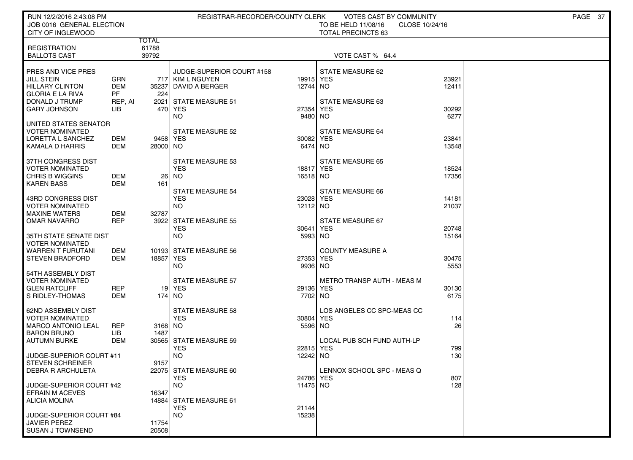| RUN 12/2/2016 2:43:08 PM<br>JOB 0016 GENERAL ELECTION |                   |                       | PAGE 37<br>REGISTRAR-RECORDER/COUNTY CLERK<br>VOTES CAST BY COMMUNITY<br>TO BE HELD 11/08/16<br>CLOSE 10/24/16 |                       |                                   |                |  |  |
|-------------------------------------------------------|-------------------|-----------------------|----------------------------------------------------------------------------------------------------------------|-----------------------|-----------------------------------|----------------|--|--|
| CITY OF INGLEWOOD                                     |                   |                       |                                                                                                                |                       | <b>TOTAL PRECINCTS 63</b>         |                |  |  |
| <b>REGISTRATION</b>                                   |                   | <b>TOTAL</b><br>61788 |                                                                                                                |                       |                                   |                |  |  |
| <b>BALLOTS CAST</b>                                   |                   | 39792                 |                                                                                                                |                       | VOTE CAST % 64.4                  |                |  |  |
|                                                       |                   |                       |                                                                                                                |                       |                                   |                |  |  |
| PRES AND VICE PRES<br>JILL STEIN                      | <b>GRN</b>        |                       | JUDGE-SUPERIOR COURT #158<br>717 KIM L NGUYEN                                                                  | 19915 YES             | STATE MEASURE 62                  | 23921          |  |  |
| <b>HILLARY CLINTON</b>                                | <b>DEM</b>        | 35237                 | DAVID A BERGER                                                                                                 | 12744                 | <b>NO</b>                         | 12411          |  |  |
| <b>GLORIA E LA RIVA</b><br>DONALD J TRUMP             | PF<br>REP, AI     | 224<br>2021           | STATE MEASURE 51                                                                                               |                       | STATE MEASURE 63                  |                |  |  |
| GARY JOHNSON                                          | LІВ               |                       | 470 YES                                                                                                        | 27354                 | <b>YES</b>                        | 30292          |  |  |
|                                                       |                   |                       | <b>NO</b>                                                                                                      | 9480                  | <b>NO</b>                         | 6277           |  |  |
| UNITED STATES SENATOR<br><b>VOTER NOMINATED</b>       |                   |                       | <b>STATE MEASURE 52</b>                                                                                        |                       | STATE MEASURE 64                  |                |  |  |
| LORETTA L SANCHEZ                                     | DEM               | 9458 YES              |                                                                                                                | 30082 YES             |                                   | 23841          |  |  |
| KAMALA D HARRIS                                       | DEM               | 28000 NO              |                                                                                                                | 6474 NO               |                                   | 13548          |  |  |
| 37TH CONGRESS DIST                                    |                   |                       | <b>STATE MEASURE 53</b>                                                                                        |                       | <b>STATE MEASURE 65</b>           |                |  |  |
| <b>VOTER NOMINATED</b>                                |                   |                       | <b>YES</b>                                                                                                     | 18817 YES             |                                   | 18524          |  |  |
| CHRIS B WIGGINS<br><b>KAREN BASS</b>                  | DEM<br><b>DEM</b> | 26<br>161             | NO                                                                                                             | 16518 NO              |                                   | 17356          |  |  |
|                                                       |                   |                       | <b>STATE MEASURE 54</b>                                                                                        |                       | STATE MEASURE 66                  |                |  |  |
| 43RD CONGRESS DIST<br>VOTER NOMINATED                 |                   |                       | <b>YES</b><br><b>NO</b>                                                                                        | 23028 YES<br>12112 NO |                                   | 14181<br>21037 |  |  |
| <b>MAXINE WATERS</b>                                  | DEM               | 32787                 |                                                                                                                |                       |                                   |                |  |  |
| OMAR NAVARRO                                          | <b>REP</b>        |                       | 3922 STATE MEASURE 55                                                                                          |                       | STATE MEASURE 67                  |                |  |  |
| 35TH STATE SENATE DIST                                |                   |                       | YES<br><b>NO</b>                                                                                               | 30641<br>5993         | <b>YES</b><br><b>NO</b>           | 20748<br>15164 |  |  |
| <b>VOTER NOMINATED</b>                                |                   |                       |                                                                                                                |                       |                                   |                |  |  |
| <b>WARREN T FURUTANI</b><br><b>STEVEN BRADFORD</b>    | DEM<br>DEM        | 18857                 | 10193 STATE MEASURE 56<br>YES                                                                                  | 27353 YES             | <b>COUNTY MEASURE A</b>           | 30475          |  |  |
|                                                       |                   |                       | <b>NO</b>                                                                                                      | 9936 NO               |                                   | 5553           |  |  |
| 54TH ASSEMBLY DIST                                    |                   |                       |                                                                                                                |                       |                                   |                |  |  |
| VOTER NOMINATED<br><b>GLEN RATCLIFF</b>               | <b>REP</b>        |                       | <b>STATE MEASURE 57</b><br>19 YES                                                                              | 29136 YES             | <b>METRO TRANSP AUTH - MEAS M</b> | 30130          |  |  |
| S RIDLEY-THOMAS                                       | DEM               | 174   NO              |                                                                                                                | 7702                  | <b>NO</b>                         | 6175           |  |  |
| <b>62ND ASSEMBLY DIST</b>                             |                   |                       | <b>STATE MEASURE 58</b>                                                                                        |                       | LOS ANGELES CC SPC-MEAS CC        |                |  |  |
| VOTER NOMINATED                                       |                   |                       | <b>YES</b>                                                                                                     | 30804                 | <b>YES</b>                        | 114            |  |  |
| <b>MARCO ANTONIO LEAL</b>                             | <b>REP</b>        | 3168 NO               |                                                                                                                | 5596 NO               |                                   | 26             |  |  |
| <b>BARON BRUNO</b><br><b>AUTUMN BURKE</b>             | LІВ<br><b>DEM</b> | 1487                  | 30565 STATE MEASURE 59                                                                                         |                       | LOCAL PUB SCH FUND AUTH-LP        |                |  |  |
|                                                       |                   |                       | <b>YES</b>                                                                                                     | 22815 YES             |                                   | 799            |  |  |
| JUDGE-SUPERIOR COURT #11<br><b>STEVEN SCHREINER</b>   |                   | 9157                  | <b>NO</b>                                                                                                      | 12242                 | <b>NO</b>                         | 130            |  |  |
| DEBRA R ARCHULETA                                     |                   |                       | 22075   STATE MEASURE 60                                                                                       |                       | LENNOX SCHOOL SPC - MEAS Q        |                |  |  |
| <b>JUDGE-SUPERIOR COURT #42</b>                       |                   |                       | <b>YES</b><br><b>NO</b>                                                                                        | 24786 YES<br>11475 NO |                                   | 807<br>128     |  |  |
| <b>EFRAIN M ACEVES</b>                                |                   | 16347                 |                                                                                                                |                       |                                   |                |  |  |
| <b>ALICIA MOLINA</b>                                  |                   |                       | 14884 STATE MEASURE 61                                                                                         |                       |                                   |                |  |  |
| <b>JUDGE-SUPERIOR COURT #84</b>                       |                   |                       | <b>YES</b><br><b>NO</b>                                                                                        | 21144<br>15238        |                                   |                |  |  |
| <b>JAVIER PEREZ</b>                                   |                   | 11754                 |                                                                                                                |                       |                                   |                |  |  |
| <b>SUSAN J TOWNSEND</b>                               |                   | 20508                 |                                                                                                                |                       |                                   |                |  |  |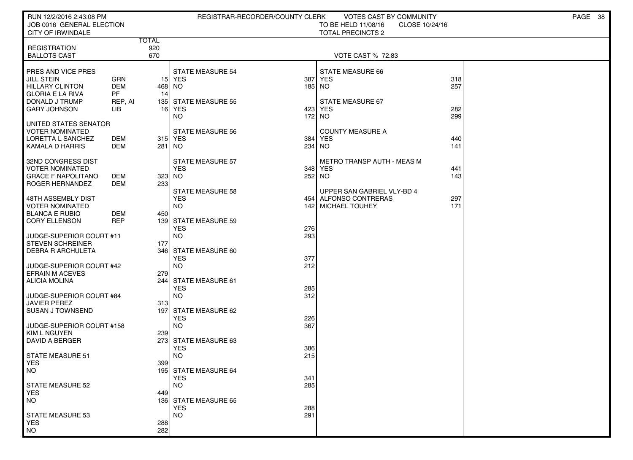| RUN 12/2/2016 2:43:08 PM                           |            |              | REGISTRAR-RECORDER/COUNTY CLERK    |        | <b>VOTES CAST BY COMMUNITY</b>              |            | PAGE 38 |
|----------------------------------------------------|------------|--------------|------------------------------------|--------|---------------------------------------------|------------|---------|
| JOB 0016 GENERAL ELECTION                          |            |              |                                    |        | TO BE HELD 11/08/16<br>CLOSE 10/24/16       |            |         |
| CITY OF IRWINDALE                                  |            | <b>TOTAL</b> |                                    |        | <b>TOTAL PRECINCTS 2</b>                    |            |         |
| <b>REGISTRATION</b>                                |            | 920          |                                    |        |                                             |            |         |
| <b>BALLOTS CAST</b>                                |            | 670          |                                    |        | <b>VOTE CAST % 72.83</b>                    |            |         |
| <b>PRES AND VICE PRES</b>                          |            |              | <b>STATE MEASURE 54</b>            |        | STATE MEASURE 66                            |            |         |
| <b>JILL STEIN</b>                                  | GRN        |              | 15 YES                             | 387    | <b>YES</b>                                  | 318        |         |
| HILLARY CLINTON                                    | <b>DEM</b> | 468 NO       |                                    | 185    | NO.                                         | 257        |         |
| <b>GLORIA E LA RIVA</b>                            | <b>PF</b>  | 14           |                                    |        |                                             |            |         |
| DONALD J TRUMP                                     | REP, AI    |              | 135 STATE MEASURE 55               |        | STATE MEASURE 67                            |            |         |
| <b>GARY JOHNSON</b>                                | LІВ        |              | 16 YES                             |        | 423 YES                                     | 282        |         |
|                                                    |            |              | NO                                 | 172 NO |                                             | 299        |         |
| UNITED STATES SENATOR                              |            |              |                                    |        |                                             |            |         |
| VOTER NOMINATED<br>LORETTA L SANCHEZ               | DEM        |              | <b>STATE MEASURE 56</b><br>315 YES | 384    | <b>COUNTY MEASURE A</b><br>YES              | 440        |         |
| KAMALA D HARRIS                                    | DEM        | 281   NO     |                                    |        | 234 NO                                      | 141        |         |
|                                                    |            |              |                                    |        |                                             |            |         |
| 32ND CONGRESS DIST                                 |            |              | <b>STATE MEASURE 57</b>            |        | METRO TRANSP AUTH - MEAS M                  |            |         |
| <b>VOTER NOMINATED</b>                             |            |              | <b>YES</b>                         |        | 348 YES                                     | 441        |         |
| <b>GRACE F NAPOLITANO</b>                          | DEM        | 323 NO       |                                    | 252 NO |                                             | 143        |         |
| ROGER HERNANDEZ                                    | DEM        | 233          |                                    |        |                                             |            |         |
|                                                    |            |              | <b>STATE MEASURE 58</b>            |        | UPPER SAN GABRIEL VLY-BD 4                  |            |         |
| 48TH ASSEMBLY DIST<br>VOTER NOMINATED              |            |              | <b>YES</b><br><b>NO</b>            |        | 454 ALFONSO CONTRERAS<br>142 MICHAEL TOUHEY | 297<br>171 |         |
| <b>BLANCA E RUBIO</b>                              | DEM        | 450          |                                    |        |                                             |            |         |
| <b>CORY ELLENSON</b>                               | <b>REP</b> |              | 139 STATE MEASURE 59               |        |                                             |            |         |
|                                                    |            |              | <b>YES</b>                         | 276    |                                             |            |         |
| JUDGE-SUPERIOR COURT #11                           |            |              | <b>NO</b>                          | 293    |                                             |            |         |
| <b>STEVEN SCHREINER</b>                            |            | 177          |                                    |        |                                             |            |         |
| <b>DEBRA R ARCHULETA</b>                           |            |              | 346 STATE MEASURE 60               |        |                                             |            |         |
|                                                    |            |              | <b>YES</b>                         | 377    |                                             |            |         |
| JUDGE-SUPERIOR COURT #42<br><b>EFRAIN M ACEVES</b> |            | 279          | <b>NO</b>                          | 212    |                                             |            |         |
| ALICIA MOLINA                                      |            |              | 244 STATE MEASURE 61               |        |                                             |            |         |
|                                                    |            |              | <b>YES</b>                         | 285    |                                             |            |         |
| JUDGE-SUPERIOR COURT #84                           |            |              | <b>NO</b>                          | 312    |                                             |            |         |
| <b>JAVIER PEREZ</b>                                |            | 313          |                                    |        |                                             |            |         |
| <b>SUSAN J TOWNSEND</b>                            |            |              | 197 STATE MEASURE 62               |        |                                             |            |         |
|                                                    |            |              | <b>YES</b>                         | 226    |                                             |            |         |
| JUDGE-SUPERIOR COURT #158<br>  KIM L NGUYEN        |            | <b>2391</b>  | <b>NO</b>                          | 367    |                                             |            |         |
| DAVID A BERGER                                     |            |              | 273 STATE MEASURE 63               |        |                                             |            |         |
|                                                    |            |              | <b>YES</b>                         | 386    |                                             |            |         |
| <b>STATE MEASURE 51</b>                            |            |              | <b>NO</b>                          | 215    |                                             |            |         |
| YES                                                |            | 399          |                                    |        |                                             |            |         |
| NO                                                 |            |              | 195 STATE MEASURE 64               |        |                                             |            |         |
|                                                    |            |              | <b>YES</b>                         | 341    |                                             |            |         |
| STATE MEASURE 52<br><b>YES</b>                     |            | 449          | <b>NO</b>                          | 285    |                                             |            |         |
| NO <sub>1</sub>                                    |            |              | 136 STATE MEASURE 65               |        |                                             |            |         |
|                                                    |            |              | <b>YES</b>                         | 288    |                                             |            |         |
| <b>STATE MEASURE 53</b>                            |            |              | <b>NO</b>                          | 291    |                                             |            |         |
| <b>YES</b>                                         |            | 288          |                                    |        |                                             |            |         |
| <b>NO</b>                                          |            | 282          |                                    |        |                                             |            |         |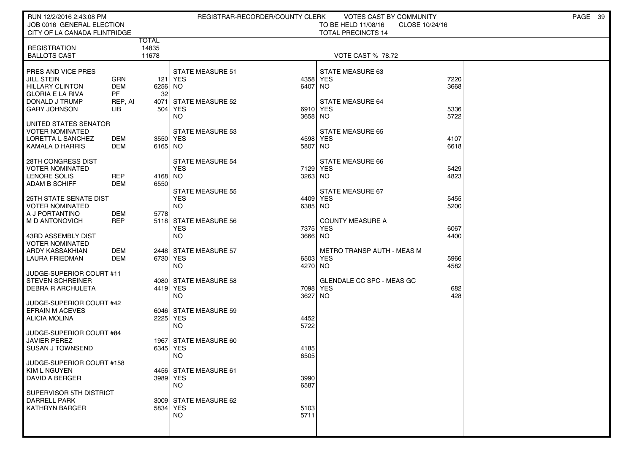| RUN 12/2/2016 2:43:08 PM                       |               |                |                                       | REGISTRAR-RECORDER/COUNTY CLERK | VOTES CAST BY COMMUNITY           |                | PAGE 39 |
|------------------------------------------------|---------------|----------------|---------------------------------------|---------------------------------|-----------------------------------|----------------|---------|
| JOB 0016 GENERAL ELECTION                      |               |                |                                       |                                 | TO BE HELD 11/08/16               | CLOSE 10/24/16 |         |
| CITY OF LA CANADA FLINTRIDGE                   |               |                |                                       |                                 | <b>TOTAL PRECINCTS 14</b>         |                |         |
| <b>REGISTRATION</b>                            |               | TOTAL<br>14835 |                                       |                                 |                                   |                |         |
| <b>BALLOTS CAST</b>                            |               | 11678          |                                       |                                 | <b>VOTE CAST % 78.72</b>          |                |         |
|                                                |               |                |                                       |                                 |                                   |                |         |
| <b>PRES AND VICE PRES</b>                      |               |                | <b>STATE MEASURE 51</b>               |                                 | STATE MEASURE 63                  |                |         |
| <b>JILL STEIN</b>                              | GRN           | 121            | YES                                   |                                 | 4358 YES                          | 7220           |         |
| <b>HILLARY CLINTON</b>                         | DEM           | 6256 NO        |                                       | 6407                            | NO.                               | 3668           |         |
| <b>GLORIA E LA RIVA</b><br>  DONALD J TRUMP    | PF<br>REP, AI | 32<br>4071     | <b>STATE MEASURE 52</b>               |                                 | <b>STATE MEASURE 64</b>           |                |         |
| <b>GARY JOHNSON</b>                            | LІВ           | 504            | YES                                   |                                 | 6910 YES                          | 5336           |         |
|                                                |               |                | NO.                                   | 3658 NO                         |                                   | 5722           |         |
| UNITED STATES SENATOR                          |               |                |                                       |                                 |                                   |                |         |
| <b>VOTER NOMINATED</b>                         |               |                | <b>STATE MEASURE 53</b>               |                                 | <b>STATE MEASURE 65</b>           |                |         |
| I LORETTA L SANCHEZ                            | DEM           | 3550 YES       |                                       |                                 | 4598 YES                          | 4107           |         |
| KAMALA D HARRIS                                | DEM           | 6165 NO        |                                       | 5807                            | NO                                | 6618           |         |
| 28TH CONGRESS DIST                             |               |                | STATE MEASURE 54                      |                                 | STATE MEASURE 66                  |                |         |
| I VOTER NOMINATED                              |               |                | <b>YES</b>                            |                                 | 7129 YES                          | 5429           |         |
| LENORE SOLIS                                   | <b>REP</b>    | 4168 NO        |                                       | 3263 NO                         |                                   | 4823           |         |
| ADAM B SCHIFF                                  | DEM           | 6550           |                                       |                                 |                                   |                |         |
| 25TH STATE SENATE DIST                         |               |                | <b>STATE MEASURE 55</b><br><b>YES</b> |                                 | STATE MEASURE 67<br>4409 YES      | 5455           |         |
| VOTER NOMINATED                                |               |                | NO.                                   | 6385 NO                         |                                   | 5200           |         |
| A J PORTANTINO                                 | <b>DEM</b>    | 5778           |                                       |                                 |                                   |                |         |
| <b>MD ANTONOVICH</b>                           | <b>REP</b>    |                | 5118 STATE MEASURE 56                 |                                 | <b>COUNTY MEASURE A</b>           |                |         |
|                                                |               |                | <b>YES</b>                            | 7375                            | <b>YES</b>                        | 6067           |         |
| 43RD ASSEMBLY DIST                             |               |                | NO.                                   | 3666 NO                         |                                   | 4400           |         |
| <b>VOTER NOMINATED</b><br>ARDY KASSAKHIAN      | DEM           |                | 2448 STATE MEASURE 57                 |                                 | <b>METRO TRANSP AUTH - MEAS M</b> |                |         |
| <b>LAURA FRIEDMAN</b>                          | <b>DEM</b>    | 6730 YES       |                                       |                                 | 6503 YES                          | 5966           |         |
|                                                |               |                | NO.                                   | 4270 NO                         |                                   | 4582           |         |
| JUDGE-SUPERIOR COURT #11                       |               |                |                                       |                                 |                                   |                |         |
| <b>STEVEN SCHREINER</b>                        |               |                | 4080 STATE MEASURE 58                 |                                 | <b>GLENDALE CC SPC - MEAS GC</b>  |                |         |
| <b>DEBRA R ARCHULETA</b>                       |               | 4419 YES       |                                       |                                 | 7098 YES                          | 682<br>428     |         |
| JUDGE-SUPERIOR COURT #42                       |               |                | NO.                                   | 3627                            | NO.                               |                |         |
| <b>EFRAIN M ACEVES</b>                         |               |                | 6046 STATE MEASURE 59                 |                                 |                                   |                |         |
| ALICIA MOLINA                                  |               | 2225 YES       |                                       | 4452                            |                                   |                |         |
|                                                |               |                | NO.                                   | 5722                            |                                   |                |         |
| JUDGE-SUPERIOR COURT #84                       |               |                |                                       |                                 |                                   |                |         |
| <b>JAVIER PEREZ</b><br>I SUSAN J TOWNSEND      |               | 6345 YES       | 1967 STATE MEASURE 60                 | 4185                            |                                   |                |         |
|                                                |               |                | NO.                                   | 6505                            |                                   |                |         |
| JUDGE-SUPERIOR COURT #158                      |               |                |                                       |                                 |                                   |                |         |
| <b>KIM L NGUYEN</b>                            |               |                | 4456 STATE MEASURE 61                 |                                 |                                   |                |         |
| DAVID A BERGER                                 |               | 3989 YES       |                                       | 3990                            |                                   |                |         |
|                                                |               |                | <b>NO</b>                             | 6587                            |                                   |                |         |
| SUPERVISOR 5TH DISTRICT<br><b>DARRELL PARK</b> |               |                | 3009 STATE MEASURE 62                 |                                 |                                   |                |         |
| <b>KATHRYN BARGER</b>                          |               | 5834 YES       |                                       | 5103                            |                                   |                |         |
|                                                |               |                | <b>NO</b>                             | 5711                            |                                   |                |         |
|                                                |               |                |                                       |                                 |                                   |                |         |
|                                                |               |                |                                       |                                 |                                   |                |         |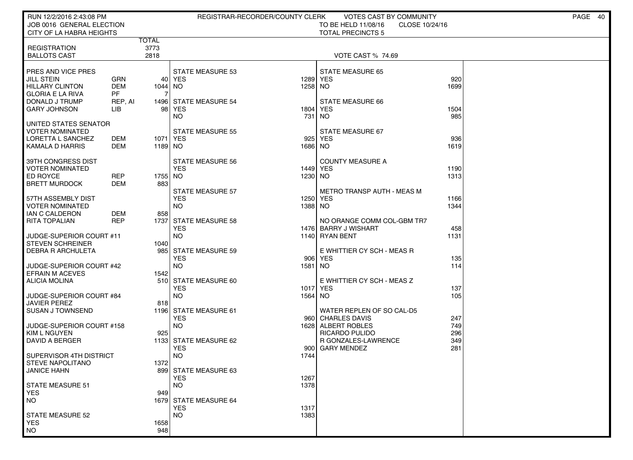| RUN 12/2/2016 2:43:08 PM<br>JOB 0016 GENERAL ELECTION<br>CITY OF LA HABRA HEIGHTS |                          |                |                                     | REGISTRAR-RECORDER/COUNTY CLERK | VOTES CAST BY COMMUNITY<br>TO BE HELD 11/08/16<br>CLOSE 10/24/16<br><b>TOTAL PRECINCTS 5</b> |      | PAGE<br>40 |
|-----------------------------------------------------------------------------------|--------------------------|----------------|-------------------------------------|---------------------------------|----------------------------------------------------------------------------------------------|------|------------|
|                                                                                   |                          | TOTAL          |                                     |                                 |                                                                                              |      |            |
| <b>REGISTRATION</b><br><b>BALLOTS CAST</b>                                        |                          | 3773<br>2818   |                                     |                                 | <b>VOTE CAST % 74.69</b>                                                                     |      |            |
| PRES AND VICE PRES                                                                |                          |                | <b>STATE MEASURE 53</b>             |                                 | <b>STATE MEASURE 65</b>                                                                      |      |            |
| <b>JILL STEIN</b>                                                                 | GRN                      |                | 40 YES                              | 1289                            | <b>YES</b>                                                                                   | 920  |            |
| <b>HILLARY CLINTON</b>                                                            | <b>DEM</b><br><b>PF</b>  | 1044 NO        |                                     | 1258 NO                         |                                                                                              | 1699 |            |
| <b>GLORIA E LA RIVA</b><br>DONALD J TRUMP                                         | REP, AI                  |                | 1496 STATE MEASURE 54               |                                 | STATE MEASURE 66                                                                             |      |            |
| <b>GARY JOHNSON</b>                                                               | LІВ                      |                | 98 YES                              | 1804                            | YES                                                                                          | 1504 |            |
|                                                                                   |                          |                | <b>NO</b>                           | 731                             | NO.                                                                                          | 985  |            |
| UNITED STATES SENATOR                                                             |                          |                |                                     |                                 |                                                                                              |      |            |
| VOTER NOMINATED<br>LORETTA L SANCHEZ                                              | DEM                      | 1071   YES     | <b>STATE MEASURE 55</b>             | 925                             | STATE MEASURE 67<br>YES                                                                      | 936  |            |
| KAMALA D HARRIS                                                                   | <b>DEM</b>               | 1189 NO        |                                     | 1686 NO                         |                                                                                              | 1619 |            |
|                                                                                   |                          |                |                                     |                                 |                                                                                              |      |            |
| 39TH CONGRESS DIST                                                                |                          |                | <b>STATE MEASURE 56</b>             |                                 | <b>COUNTY MEASURE A</b>                                                                      |      |            |
| VOTER NOMINATED                                                                   |                          |                | <b>YES</b>                          | 1449 YES                        |                                                                                              | 1190 |            |
| ED ROYCE<br><b>BRETT MURDOCK</b>                                                  | <b>REP</b><br><b>DEM</b> | 1755 NO<br>883 |                                     | 1230 NO                         |                                                                                              | 1313 |            |
|                                                                                   |                          |                | <b>STATE MEASURE 57</b>             |                                 | <b>METRO TRANSP AUTH - MEAS M</b>                                                            |      |            |
| 57TH ASSEMBLY DIST                                                                |                          |                | <b>YES</b>                          | 1250                            | <b>YES</b>                                                                                   | 1166 |            |
| <b>VOTER NOMINATED</b>                                                            |                          |                | <b>NO</b>                           | 1388 NO                         |                                                                                              | 1344 |            |
| <b>IAN C CALDERON</b>                                                             | DEM                      | 858            |                                     |                                 |                                                                                              |      |            |
| <b>RITA TOPALIAN</b>                                                              | <b>REP</b>               |                | 1737 STATE MEASURE 58<br><b>YES</b> |                                 | NO ORANGE COMM COL-GBM TR7<br>1476   BARRY J WISHART                                         | 458  |            |
| JUDGE-SUPERIOR COURT #11                                                          |                          |                | <b>NO</b>                           | 1140                            | <b>RYAN BENT</b>                                                                             | 1131 |            |
| <b>STEVEN SCHREINER</b>                                                           |                          | 1040           |                                     |                                 |                                                                                              |      |            |
| <b>DEBRA R ARCHULETA</b>                                                          |                          | 985            | <b>STATE MEASURE 59</b>             |                                 | E WHITTIER CY SCH - MEAS R                                                                   |      |            |
|                                                                                   |                          |                | <b>YES</b>                          | 906                             | YES                                                                                          | 135  |            |
| JUDGE-SUPERIOR COURT #42<br><b>EFRAIN M ACEVES</b>                                |                          | 1542           | <b>NO</b>                           | 1581                            | NO.                                                                                          | 114  |            |
| <b>ALICIA MOLINA</b>                                                              |                          |                | 510 STATE MEASURE 60                |                                 | E WHITTIER CY SCH - MEAS Z                                                                   |      |            |
|                                                                                   |                          |                | <b>YES</b>                          |                                 | 1017 YES                                                                                     | 137  |            |
| JUDGE-SUPERIOR COURT #84                                                          |                          |                | <b>NO</b>                           | 1564                            | NO.                                                                                          | 105  |            |
| <b>JAVIER PEREZ</b><br><b>SUSAN J TOWNSEND</b>                                    |                          | 818            | 1196 STATE MEASURE 61               |                                 | WATER REPLEN OF SO CAL-D5                                                                    |      |            |
|                                                                                   |                          |                | <b>YES</b>                          |                                 | 960 CHARLES DAVIS                                                                            | 247  |            |
| JUDGE-SUPERIOR COURT #158                                                         |                          |                | <b>NO</b>                           |                                 | 1628 ALBERT ROBLES                                                                           | 749  |            |
| KIM L NGUYEN                                                                      |                          | 925            |                                     |                                 | RICARDO PULIDO                                                                               | 296  |            |
| DAVID A BERGER                                                                    |                          |                | 1133 STATE MEASURE 62               |                                 | R GONZALES-LAWRENCE                                                                          | 349  |            |
| SUPERVISOR 4TH DISTRICT                                                           |                          |                | <b>YES</b><br><b>NO</b>             | 900<br>1744                     | <b>GARY MENDEZ</b>                                                                           | 281  |            |
| <b>STEVE NAPOLITANO</b>                                                           |                          | 1372           |                                     |                                 |                                                                                              |      |            |
| JANICE HAHN                                                                       |                          |                | 899 STATE MEASURE 63                |                                 |                                                                                              |      |            |
|                                                                                   |                          |                | <b>YES</b>                          | 1267                            |                                                                                              |      |            |
| <b>STATE MEASURE 51</b>                                                           |                          |                | <b>NO</b>                           | 1378                            |                                                                                              |      |            |
| <b>YES</b><br><b>NO</b>                                                           |                          | 949            | 1679 STATE MEASURE 64               |                                 |                                                                                              |      |            |
|                                                                                   |                          |                | <b>YES</b>                          | 1317                            |                                                                                              |      |            |
| <b>STATE MEASURE 52</b>                                                           |                          |                | <b>NO</b>                           | 1383                            |                                                                                              |      |            |
| <b>YES</b>                                                                        |                          | 1658           |                                     |                                 |                                                                                              |      |            |
| <b>NO</b>                                                                         |                          | 948            |                                     |                                 |                                                                                              |      |            |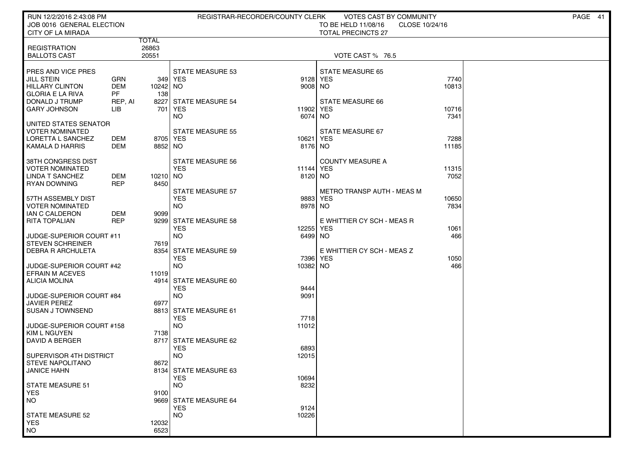| RUN 12/2/2016 2:43:08 PM                        |                      |                     |                                     | REGISTRAR-RECORDER/COUNTY CLERK | VOTES CAST BY COMMUNITY                          |                | PAGE 41 |
|-------------------------------------------------|----------------------|---------------------|-------------------------------------|---------------------------------|--------------------------------------------------|----------------|---------|
| JOB 0016 GENERAL ELECTION<br>CITY OF LA MIRADA  |                      |                     |                                     |                                 | TO BE HELD 11/08/16<br><b>TOTAL PRECINCTS 27</b> | CLOSE 10/24/16 |         |
|                                                 |                      | TOTAL               |                                     |                                 |                                                  |                |         |
| <b>REGISTRATION</b>                             |                      | 26863               |                                     |                                 |                                                  |                |         |
| <b>BALLOTS CAST</b>                             |                      | 20551               |                                     |                                 | VOTE CAST % 76.5                                 |                |         |
| PRES AND VICE PRES                              |                      |                     | <b>STATE MEASURE 53</b>             |                                 | <b>STATE MEASURE 65</b>                          |                |         |
| <b>JILL STEIN</b>                               | GRN                  |                     | 349 YES                             | 9128 YES                        |                                                  | 7740           |         |
| HILLARY CLINTON                                 | <b>DEM</b>           | 10242 NO            |                                     | 9008 NO                         |                                                  | 10813          |         |
| <b>GLORIA E LA RIVA</b><br>DONALD J TRUMP       | <b>PF</b><br>REP, AI | 138                 | 8227 STATE MEASURE 54               |                                 | STATE MEASURE 66                                 |                |         |
| <b>GARY JOHNSON</b>                             | LIB                  |                     | 701   YES                           | 11902                           | <b>YES</b>                                       | 10716          |         |
|                                                 |                      |                     | NO                                  | 6074 NO                         |                                                  | 7341           |         |
| UNITED STATES SENATOR                           |                      |                     |                                     |                                 |                                                  |                |         |
| <b>VOTER NOMINATED</b>                          |                      |                     | <b>STATE MEASURE 55</b>             |                                 | STATE MEASURE 67                                 |                |         |
| LORETTA L SANCHEZ<br>KAMALA D HARRIS            | DEM<br>DEM           | 8705 YES<br>8852 NO |                                     | 10621<br>8176 NO                | YES                                              | 7288<br>11185  |         |
|                                                 |                      |                     |                                     |                                 |                                                  |                |         |
| 38TH CONGRESS DIST                              |                      |                     | STATE MEASURE 56                    |                                 | <b>COUNTY MEASURE A</b>                          |                |         |
| <b>VOTER NOMINATED</b>                          |                      |                     | <b>YES</b>                          | 11144 YES                       |                                                  | 11315          |         |
| LINDA T SANCHEZ<br><b>RYAN DOWNING</b>          | DEM<br><b>REP</b>    | 10210 NO<br>8450    |                                     | 8120 NO                         |                                                  | 7052           |         |
|                                                 |                      |                     | <b>STATE MEASURE 57</b>             |                                 | METRO TRANSP AUTH - MEAS M                       |                |         |
| 57TH ASSEMBLY DIST                              |                      |                     | <b>YES</b>                          | 9883                            | YES                                              | 10650          |         |
| <b>VOTER NOMINATED</b>                          |                      |                     | <b>NO</b>                           | 8978 NO                         |                                                  | 7834           |         |
| IAN C CALDERON<br><b>RITA TOPALIAN</b>          | DEM<br><b>REP</b>    | 9099                |                                     |                                 |                                                  |                |         |
|                                                 |                      |                     | 9299 STATE MEASURE 58<br><b>YES</b> | 12255                           | E WHITTIER CY SCH - MEAS R<br><b>YES</b>         | 1061           |         |
| JUDGE-SUPERIOR COURT #11                        |                      |                     | <b>NO</b>                           | 6499 NO                         |                                                  | 466            |         |
| <b>STEVEN SCHREINER</b>                         |                      | 7619                |                                     |                                 |                                                  |                |         |
| <b>DEBRA R ARCHULETA</b>                        |                      | 8354                | <b>STATE MEASURE 59</b>             |                                 | E WHITTIER CY SCH - MEAS Z                       |                |         |
| JUDGE-SUPERIOR COURT #42                        |                      |                     | <b>YES</b><br><b>NO</b>             | 10382 NO                        | 7396 YES                                         | 1050<br>466    |         |
| <b>EFRAIN M ACEVES</b>                          |                      | 11019               |                                     |                                 |                                                  |                |         |
| ALICIA MOLINA                                   |                      |                     | 4914 STATE MEASURE 60               |                                 |                                                  |                |         |
|                                                 |                      |                     | <b>YES</b>                          | 9444                            |                                                  |                |         |
| JUDGE-SUPERIOR COURT #84<br><b>JAVIER PEREZ</b> |                      | 6977                | <b>NO</b>                           | 9091                            |                                                  |                |         |
| <b>SUSAN J TOWNSEND</b>                         |                      |                     | 8813 STATE MEASURE 61               |                                 |                                                  |                |         |
|                                                 |                      |                     | <b>YES</b>                          | 7718                            |                                                  |                |         |
| JUDGE-SUPERIOR COURT #158                       |                      |                     | <b>NO</b>                           | 11012                           |                                                  |                |         |
| KIM L NGUYEN                                    |                      | 7138                | 8717 STATE MEASURE 62               |                                 |                                                  |                |         |
| DAVID A BERGER                                  |                      |                     | <b>YES</b>                          | 6893                            |                                                  |                |         |
| SUPERVISOR 4TH DISTRICT                         |                      |                     | <b>NO</b>                           | 12015                           |                                                  |                |         |
| STEVE NAPOLITANO                                |                      | 8672                |                                     |                                 |                                                  |                |         |
| <b>JANICE HAHN</b>                              |                      |                     | 8134 STATE MEASURE 63               |                                 |                                                  |                |         |
| <b>STATE MEASURE 51</b>                         |                      |                     | <b>YES</b><br><b>NO</b>             | 10694<br>8232                   |                                                  |                |         |
| <b>YES</b>                                      |                      | 9100                |                                     |                                 |                                                  |                |         |
| NO                                              |                      |                     | 9669 STATE MEASURE 64               |                                 |                                                  |                |         |
|                                                 |                      |                     | <b>YES</b>                          | 9124                            |                                                  |                |         |
| <b>STATE MEASURE 52</b>                         |                      |                     | <b>NO</b>                           | 10226                           |                                                  |                |         |
| <b>YES</b><br>NO <sub>1</sub>                   |                      | 12032<br>6523       |                                     |                                 |                                                  |                |         |
|                                                 |                      |                     |                                     |                                 |                                                  |                |         |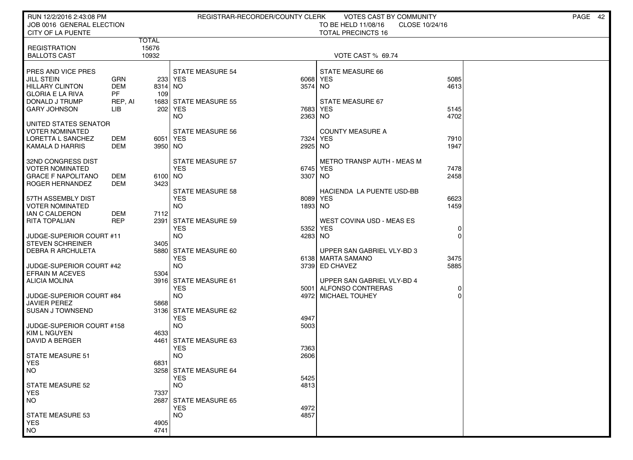| RUN 12/2/2016 2:43:08 PM<br>JOB 0016 GENERAL ELECTION |                |                       | REGISTRAR-RECORDER/COUNTY CLERK       |          | VOTES CAST BY COMMUNITY<br>TO BE HELD 11/08/16<br>CLOSE 10/24/16 |          | PAGE 42 |
|-------------------------------------------------------|----------------|-----------------------|---------------------------------------|----------|------------------------------------------------------------------|----------|---------|
| CITY OF LA PUENTE                                     |                |                       |                                       |          | <b>TOTAL PRECINCTS 16</b>                                        |          |         |
| <b>REGISTRATION</b>                                   |                | <b>TOTAL</b><br>15676 |                                       |          |                                                                  |          |         |
| <b>BALLOTS CAST</b>                                   |                | 10932                 |                                       |          | VOTE CAST % 69.74                                                |          |         |
|                                                       |                |                       |                                       |          |                                                                  |          |         |
| PRES AND VICE PRES<br><b>JILL STEIN</b>               | <b>GRN</b>     |                       | <b>STATE MEASURE 54</b><br>233 YES    | 6068     | <b>STATE MEASURE 66</b><br><b>YES</b>                            | 5085     |         |
| <b>HILLARY CLINTON</b>                                | <b>DEM</b>     | 8314 NO               |                                       | 3574     | NO.                                                              | 4613     |         |
| <b>GLORIA E LA RIVA</b>                               | PF.            | 109                   |                                       |          |                                                                  |          |         |
| DONALD J TRUMP<br><b>GARY JOHNSON</b>                 | REP, AI<br>LIB |                       | 1683 STATE MEASURE 55<br>202 YES      | 7683     | STATE MEASURE 67<br><b>YES</b>                                   | 5145     |         |
|                                                       |                |                       | <b>NO</b>                             | 2363     | NO.                                                              | 4702     |         |
| UNITED STATES SENATOR                                 |                |                       |                                       |          |                                                                  |          |         |
| <b>VOTER NOMINATED</b><br>LORETTA L SANCHEZ           | DEM            | 6051 YES              | <b>STATE MEASURE 56</b>               | 7324     | <b>COUNTY MEASURE A</b><br><b>YES</b>                            | 7910     |         |
| KAMALA D HARRIS                                       | DEM            | 3950 NO               |                                       | 2925     | NO.                                                              | 1947     |         |
|                                                       |                |                       |                                       |          |                                                                  |          |         |
| 32ND CONGRESS DIST<br><b>VOTER NOMINATED</b>          |                |                       | <b>STATE MEASURE 57</b><br><b>YES</b> | 6745 YES | <b>METRO TRANSP AUTH - MEAS M</b>                                | 7478     |         |
| <b>GRACE F NAPOLITANO</b>                             | DEM            | 6100 NO               |                                       | 3307 NO  |                                                                  | 2458     |         |
| ROGER HERNANDEZ                                       | DEM            | 3423                  |                                       |          |                                                                  |          |         |
| 57TH ASSEMBLY DIST                                    |                |                       | <b>STATE MEASURE 58</b><br><b>YES</b> | 8089     | HACIENDA LA PUENTE USD-BB<br><b>YES</b>                          | 6623     |         |
| <b>VOTER NOMINATED</b>                                |                |                       | <b>NO</b>                             | 1893     | NO <sub>1</sub>                                                  | 1459     |         |
| IAN C CALDERON                                        | DEM            | 7112                  |                                       |          |                                                                  |          |         |
| <b>RITA TOPALIAN</b>                                  | <b>REP</b>     | 2391                  | <b>STATE MEASURE 59</b><br><b>YES</b> | 5352     | <b>WEST COVINA USD - MEAS ES</b><br><b>YES</b>                   | 0        |         |
| JUDGE-SUPERIOR COURT #11                              |                |                       | <b>NO</b>                             | 4283     | <b>NO</b>                                                        | $\Omega$ |         |
| <b>STEVEN SCHREINER</b>                               |                | 3405                  |                                       |          |                                                                  |          |         |
| <b>DEBRA R ARCHULETA</b>                              |                |                       | 5880 STATE MEASURE 60<br><b>YES</b>   |          | UPPER SAN GABRIEL VLY-BD 3<br>6138 MARTA SAMANO                  | 3475     |         |
| JUDGE-SUPERIOR COURT #42                              |                |                       | <b>NO</b>                             |          | 3739 ED CHAVEZ                                                   | 5885     |         |
| <b>EFRAIN M ACEVES</b>                                |                | 5304                  |                                       |          |                                                                  |          |         |
| <b>ALICIA MOLINA</b>                                  |                |                       | 3916 STATE MEASURE 61<br><b>YES</b>   |          | UPPER SAN GABRIEL VLY-BD 4<br>5001 ALFONSO CONTRERAS             | 0        |         |
| JUDGE-SUPERIOR COURT #84                              |                |                       | <b>NO</b>                             |          | 4972 MICHAEL TOUHEY                                              | $\Omega$ |         |
| <b>JAVIER PEREZ</b>                                   |                | 5868                  |                                       |          |                                                                  |          |         |
| <b>SUSAN J TOWNSEND</b>                               |                |                       | 3136 STATE MEASURE 62<br><b>YES</b>   | 4947     |                                                                  |          |         |
| JUDGE-SUPERIOR COURT #158                             |                |                       | <b>NO</b>                             | 5003     |                                                                  |          |         |
| KIM L NGUYEN                                          |                | 4633                  |                                       |          |                                                                  |          |         |
| DAVID A BERGER                                        |                | 4461                  | STATE MEASURE 63<br><b>YES</b>        | 7363     |                                                                  |          |         |
| STATE MEASURE 51                                      |                |                       | <b>NO</b>                             | 2606     |                                                                  |          |         |
| <b>YES</b>                                            |                | 6831                  |                                       |          |                                                                  |          |         |
| NO.                                                   |                |                       | 3258 STATE MEASURE 64<br><b>YES</b>   | 5425     |                                                                  |          |         |
| <b>STATE MEASURE 52</b>                               |                |                       | <b>NO</b>                             | 4813     |                                                                  |          |         |
| <b>YES</b><br><b>NO</b>                               |                | 7337                  |                                       |          |                                                                  |          |         |
|                                                       |                | 2687                  | STATE MEASURE 65<br><b>YES</b>        | 4972     |                                                                  |          |         |
| <b>STATE MEASURE 53</b>                               |                |                       | <b>NO</b>                             | 4857     |                                                                  |          |         |
| <b>YES</b>                                            |                | 4905                  |                                       |          |                                                                  |          |         |
| <b>NO</b>                                             |                | 4741                  |                                       |          |                                                                  |          |         |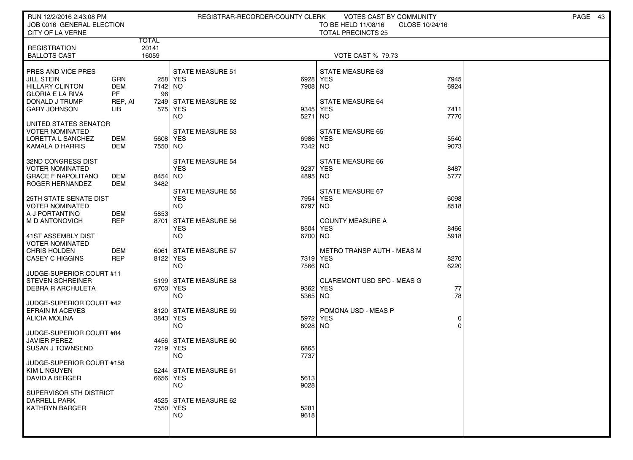| RUN 12/2/2016 2:43:08 PM<br>JOB 0016 GENERAL ELECTION                                                                                                                    | REGISTRAR-RECORDER/COUNTY CLERK                                     | VOTES CAST BY COMMUNITY<br>TO BE HELD 11/08/16<br>CLOSE 10/24/16 | PAGE 43 |
|--------------------------------------------------------------------------------------------------------------------------------------------------------------------------|---------------------------------------------------------------------|------------------------------------------------------------------|---------|
| CITY OF LA VERNE                                                                                                                                                         |                                                                     | <b>TOTAL PRECINCTS 25</b>                                        |         |
| TOTAL<br>20141<br><b>REGISTRATION</b><br><b>BALLOTS CAST</b><br>16059                                                                                                    |                                                                     | <b>VOTE CAST % 79.73</b>                                         |         |
| PRES AND VICE PRES<br><b>JILL STEIN</b><br><b>GRN</b><br><b>DEM</b><br><b>HILLARY CLINTON</b><br><b>PF</b><br><b>GLORIA E LA RIVA</b><br>96                              | <b>STATE MEASURE 51</b><br>258 YES<br>7142 NO<br>7908 NO            | STATE MEASURE 63<br>7945<br>6928 YES<br>6924                     |         |
| DONALD J TRUMP<br>REP, AI<br><b>GARY JOHNSON</b><br>LIB                                                                                                                  | 7249 STATE MEASURE 52<br>575 YES<br>9345<br>NO.<br>5271             | <b>STATE MEASURE 64</b><br><b>YES</b><br>7411<br>NO.<br>7770     |         |
| UNITED STATES SENATOR<br><b>VOTER NOMINATED</b><br>LORETTA L SANCHEZ<br>DEM<br>KAMALA D HARRIS<br>DEM                                                                    | <b>STATE MEASURE 53</b><br>5608 YES<br>7550 NO<br>7342 NO           | <b>STATE MEASURE 65</b><br>5540<br>6986 YES<br>9073              |         |
| 32ND CONGRESS DIST<br><b>VOTER NOMINATED</b><br><b>GRACE F NAPOLITANO</b><br>DEM<br><b>DEM</b><br>3482<br>ROGER HERNANDEZ                                                | <b>STATE MEASURE 54</b><br><b>YES</b><br>9237<br>8454 NO            | <b>STATE MEASURE 66</b><br>YES<br>8487<br>4895 NO<br>5777        |         |
| <b>25TH STATE SENATE DIST</b><br><b>VOTER NOMINATED</b>                                                                                                                  | <b>STATE MEASURE 55</b><br><b>YES</b><br><b>NO</b><br>6797          | STATE MEASURE 67<br>7954 YES<br>6098<br>8518<br>NO.              |         |
| <b>REP</b><br>M D ANTONOVICH<br>41ST ASSEMBLY DIST                                                                                                                       | 8701 STATE MEASURE 56<br><b>YES</b><br>8504<br><b>NO</b><br>6700 NO | <b>COUNTY MEASURE A</b><br><b>YES</b><br>8466<br>5918            |         |
| <b>DEM</b><br><b>CHRIS HOLDEN</b><br><b>REP</b><br><b>CASEY C HIGGINS</b>                                                                                                | 6061 STATE MEASURE 57<br>8122 YES<br><b>NO</b><br>7566 NO           | <b>METRO TRANSP AUTH - MEAS M</b><br>7319 YES<br>8270<br>6220    |         |
| <b>STEVEN SCHREINER</b><br><b>DEBRA R ARCHULETA</b>                                                                                                                      | 5199 STATE MEASURE 58<br>6703 YES<br><b>NO</b><br>5365 NO           | <b>CLAREMONT USD SPC - MEAS G</b><br>77<br>9362 YES<br>78        |         |
| <b>EFRAIN M ACEVES</b><br>ALICIA MOLINA                                                                                                                                  | 8120 STATE MEASURE 59<br>3843 YES<br>5972<br><b>NO</b><br>8028 NO   | POMONA USD - MEAS P<br><b>YES</b><br>0<br>O                      |         |
| <b>JAVIER PEREZ</b><br><b>SUSAN J TOWNSEND</b>                                                                                                                           | 4456 STATE MEASURE 60<br>7219 YES<br>6865<br>7737<br><b>NO</b>      |                                                                  |         |
| KIM L NGUYEN<br><b>DAVID A BERGER</b>                                                                                                                                    | 5244 STATE MEASURE 61<br>6656 YES<br>5613<br>9028<br><b>NO</b>      |                                                                  |         |
| SUPERVISOR 5TH DISTRICT<br><b>DARRELL PARK</b><br><b>KATHRYN BARGER</b>                                                                                                  | 4525 STATE MEASURE 62<br>7550 YES<br>5281<br><b>NO</b><br>9618      |                                                                  |         |
| 5853<br>A J PORTANTINO<br>DEM<br><b>VOTER NOMINATED</b><br>JUDGE-SUPERIOR COURT #11<br>JUDGE-SUPERIOR COURT #42<br>JUDGE-SUPERIOR COURT #84<br>JUDGE-SUPERIOR COURT #158 |                                                                     |                                                                  |         |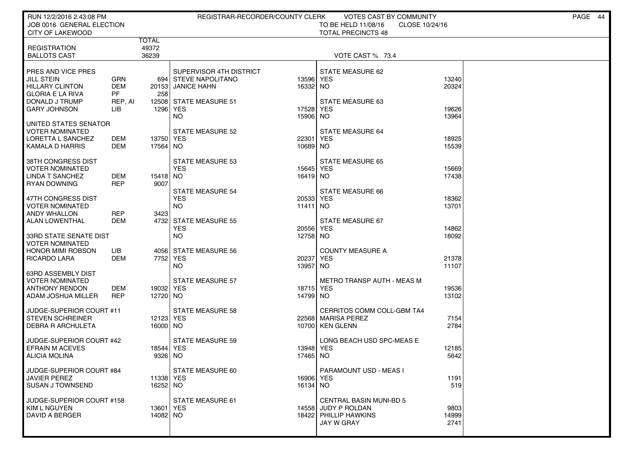| RUN 12/2/2016 2:43:08 PM                             |                         |            | REGISTRAR-RECORDER/COUNTY CLERK |           | VOTES CAST BY COMMUNITY                                            |       | PAGE 44 |
|------------------------------------------------------|-------------------------|------------|---------------------------------|-----------|--------------------------------------------------------------------|-------|---------|
| JOB 0016 GENERAL ELECTION<br><b>CITY OF LAKEWOOD</b> |                         |            |                                 |           | TO BE HELD 11/08/16<br>CLOSE 10/24/16<br><b>TOTAL PRECINCTS 48</b> |       |         |
|                                                      |                         | TOTAL      |                                 |           |                                                                    |       |         |
| <b>REGISTRATION</b>                                  |                         | 49372      |                                 |           |                                                                    |       |         |
| <b>BALLOTS CAST</b>                                  |                         | 36239      |                                 |           | VOTE CAST % 73.4                                                   |       |         |
| PRES AND VICE PRES                                   |                         |            | SUPERVISOR 4TH DISTRICT         |           | STATE MEASURE 62                                                   |       |         |
| JILL STEIN                                           | <b>GRN</b>              |            | 694 STEVE NAPOLITANO            | 13596 YES |                                                                    | 13240 |         |
| <b>HILLARY CLINTON</b><br><b>GLORIA E LA RIVA</b>    | <b>DEM</b><br><b>PF</b> | 258        | 20153 JANICE HAHN               | 16332 NO  |                                                                    | 20324 |         |
| DONALD J TRUMP                                       | REP, AI                 |            | 12508 STATE MEASURE 51          |           | <b>STATE MEASURE 63</b>                                            |       |         |
| <b>GARY JOHNSON</b>                                  | LIB                     | 1296   YES |                                 | 17528 YES |                                                                    | 19626 |         |
| UNITED STATES SENATOR                                |                         |            | <b>NO</b>                       | 15906 NO  |                                                                    | 13964 |         |
| <b>VOTER NOMINATED</b>                               |                         |            | <b>STATE MEASURE 52</b>         |           | <b>STATE MEASURE 64</b>                                            |       |         |
| LORETTA L SANCHEZ                                    | DEM                     | 13750 YES  |                                 | 22301     | YES                                                                | 18925 |         |
| <b>KAMALA D HARRIS</b>                               | DEM                     | 17564 NO   |                                 | 10689 NO  |                                                                    | 15539 |         |
| 38TH CONGRESS DIST                                   |                         |            | <b>STATE MEASURE 53</b>         |           | STATE MEASURE 65                                                   |       |         |
| <b>VOTER NOMINATED</b>                               |                         |            | <b>YES</b>                      | 15645 YES |                                                                    | 15669 |         |
| LINDA T SANCHEZ                                      | DEM                     | 15418 NO   |                                 | 16419 NO  |                                                                    | 17438 |         |
| <b>RYAN DOWNING</b>                                  | <b>REP</b>              | 9007       | <b>STATE MEASURE 54</b>         |           | <b>STATE MEASURE 66</b>                                            |       |         |
| 47TH CONGRESS DIST                                   |                         |            | <b>YES</b>                      | 20533     | YES                                                                | 18362 |         |
| <b>VOTER NOMINATED</b>                               |                         |            | <b>NO</b>                       | 11411 NO  |                                                                    | 13701 |         |
| <b>ANDY WHALLON</b><br><b>ALAN LOWENTHAL</b>         | REP<br><b>DEM</b>       | 3423       | 4732 STATE MEASURE 55           |           | STATE MEASURE 67                                                   |       |         |
|                                                      |                         |            | <b>YES</b>                      | 20556     | YES                                                                | 14862 |         |
| 33RD STATE SENATE DIST                               |                         |            | <b>NO</b>                       | 12758 NO  |                                                                    | 18092 |         |
| <b>VOTER NOMINATED</b><br><b>HONOR MIMI ROBSON</b>   | LІВ                     |            | 4056 STATE MEASURE 56           |           | <b>COUNTY MEASURE A</b>                                            |       |         |
| RICARDO LARA                                         | <b>DEM</b>              | 7752 YES   |                                 | 20237     | YES                                                                | 21378 |         |
|                                                      |                         |            | NO.                             | 13957     | NO                                                                 | 11107 |         |
| 63RD ASSEMBLY DIST<br><b>VOTER NOMINATED</b>         |                         |            | <b>STATE MEASURE 57</b>         |           | <b>METRO TRANSP AUTH - MEAS M</b>                                  |       |         |
| <b>ANTHONY RENDON</b>                                | DEM                     | 19032 YES  |                                 | 18715 YES |                                                                    | 19536 |         |
| ADAM JOSHUA MILLER                                   | <b>REP</b>              | 12720 NO   |                                 | 14799 NO  |                                                                    | 13102 |         |
|                                                      |                         |            | <b>STATE MEASURE 58</b>         |           | CERRITOS COMM COLL-GBM TA4                                         |       |         |
| JUDGE-SUPERIOR COURT #11<br><b>STEVEN SCHREINER</b>  |                         | 12123 YES  |                                 |           | 22568 MARISA PEREZ                                                 | 7154  |         |
| <b>DEBRA R ARCHULETA</b>                             |                         | 16000 NO   |                                 |           | 10700 KEN GLENN                                                    | 2784  |         |
|                                                      |                         |            |                                 |           |                                                                    |       |         |
| JUDGE-SUPERIOR COURT #42<br><b>EFRAIN M ACEVES</b>   |                         | 18544 YES  | <b>STATE MEASURE 59</b>         | 13948 YES | LONG BEACH USD SPC-MEAS E                                          | 12185 |         |
| <b>ALICIA MOLINA</b>                                 |                         | 9326 NO    |                                 | 17465     | <b>NO</b>                                                          | 5642  |         |
|                                                      |                         |            |                                 |           |                                                                    |       |         |
| JUDGE-SUPERIOR COURT #84<br><b>JAVIER PEREZ</b>      |                         | 11338 YES  | STATE MEASURE 60                | 16906 YES | PARAMOUNT USD - MEAS I                                             | 1191  |         |
| <b>SUSAN J TOWNSEND</b>                              |                         | 16252 NO   |                                 | 16134 NO  |                                                                    | 519   |         |
|                                                      |                         |            |                                 |           |                                                                    |       |         |
| JUDGE-SUPERIOR COURT #158<br>KIM L NGUYEN            |                         | 13601 YES  | STATE MEASURE 61                |           | <b>CENTRAL BASIN MUNI-BD 5</b><br>14558 JUDY P ROLDAN              | 9803  |         |
| DAVID A BERGER                                       |                         | 14082 NO   |                                 |           | 18422 PHILLIP HAWKINS                                              | 14999 |         |
|                                                      |                         |            |                                 |           | <b>JAY W GRAY</b>                                                  | 2741  |         |
|                                                      |                         |            |                                 |           |                                                                    |       |         |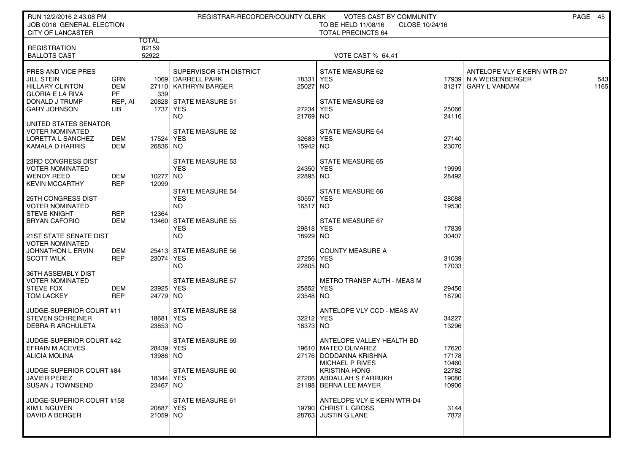| RUN 12/2/2016 2:43:08 PM<br>JOB 0016 GENERAL ELECTION                                                   |                                           |                         | REGISTRAR-RECORDER/COUNTY CLERK                                                                |                       | VOTES CAST BY COMMUNITY<br>TO BE HELD 11/08/16<br>CLOSE 10/24/16<br><b>TOTAL PRECINCTS 64</b>   |                         |                                                                             | PAGE 45 |             |
|---------------------------------------------------------------------------------------------------------|-------------------------------------------|-------------------------|------------------------------------------------------------------------------------------------|-----------------------|-------------------------------------------------------------------------------------------------|-------------------------|-----------------------------------------------------------------------------|---------|-------------|
| <b>CITY OF LANCASTER</b><br><b>REGISTRATION</b><br><b>BALLOTS CAST</b>                                  |                                           | TOTAL<br>82159<br>52922 |                                                                                                |                       | <b>VOTE CAST % 64.41</b>                                                                        |                         |                                                                             |         |             |
| PRES AND VICE PRES<br>JILL STEIN<br><b>HILLARY CLINTON</b><br><b>GLORIA E LA RIVA</b><br>DONALD J TRUMP | GRN<br><b>DEM</b><br><b>PF</b><br>REP, AI | 339                     | SUPERVISOR 5TH DISTRICT<br>1069 DARRELL PARK<br>27110 KATHRYN BARGER<br>20828 STATE MEASURE 51 | 18331<br>25027 NO     | STATE MEASURE 62<br>YES<br>STATE MEASURE 63                                                     |                         | ANTELOPE VLY E KERN WTR-D7<br>17939 N A WEISENBERGER<br>31217 GARY L VANDAM |         | 543<br>1165 |
| <b>GARY JOHNSON</b><br>UNITED STATES SENATOR                                                            | LIB                                       | 1737 l                  | <b>YES</b><br>NO.                                                                              | 27234<br>21769 NO     | YES                                                                                             | 25066<br>24116          |                                                                             |         |             |
| <b>VOTER NOMINATED</b><br>LORETTA L SANCHEZ<br><b>KAMALA D HARRIS</b>                                   | DEM<br>DEM                                | 17524 YES<br>26836 NO   | STATE MEASURE 52                                                                               | 32683 YES<br>15942 NO | STATE MEASURE 64                                                                                | 27140<br>23070          |                                                                             |         |             |
| 23RD CONGRESS DIST<br><b>VOTER NOMINATED</b><br><b>WENDY REED</b><br><b>KEVIN MCCARTHY</b>              | <b>DEM</b><br><b>REP</b>                  | 10277 NO<br>12099       | STATE MEASURE 53<br><b>YES</b>                                                                 | 24350 YES<br>22895 NO | STATE MEASURE 65                                                                                | 19999<br>28492          |                                                                             |         |             |
| <b>25TH CONGRESS DIST</b><br><b>VOTER NOMINATED</b><br><b>STEVE KNIGHT</b>                              | <b>REP</b>                                | 12364                   | <b>STATE MEASURE 54</b><br><b>YES</b><br>NO.                                                   | 30557<br>16517 NO     | <b>STATE MEASURE 66</b><br>YES                                                                  | 28088<br>19530          |                                                                             |         |             |
| <b>BRYAN CAFORIO</b><br>21ST STATE SENATE DIST<br><b>VOTER NOMINATED</b>                                | DEM                                       |                         | 13460 STATE MEASURE 55<br><b>YES</b><br>NO.                                                    | 29818 YES<br>18929 NO | <b>STATE MEASURE 67</b>                                                                         | 17839<br>30407          |                                                                             |         |             |
| JOHNATHON L ERVIN<br><b>SCOTT WILK</b>                                                                  | DEM<br><b>REP</b>                         | 23074 YES               | 25413 STATE MEASURE 56<br>NO.                                                                  | 27256 YES<br>22805 NO | <b>COUNTY MEASURE A</b>                                                                         | 31039<br>17033          |                                                                             |         |             |
| 36TH ASSEMBLY DIST<br><b>VOTER NOMINATED</b><br><b>STEVE FOX</b><br><b>TOM LACKEY</b>                   | DEM<br><b>REP</b>                         | 23925 YES<br>24779 NO   | <b>STATE MEASURE 57</b>                                                                        | 25852<br>23548 NO     | METRO TRANSP AUTH - MEAS M<br>YES                                                               | 29456<br>18790          |                                                                             |         |             |
| JUDGE-SUPERIOR COURT #11<br><b>STEVEN SCHREINER</b><br><b>DEBRA R ARCHULETA</b>                         |                                           | 18681   YES<br>23853 NO | <b>STATE MEASURE 58</b>                                                                        | 32212 YES<br>16373 NO | ANTELOPE VLY CCD - MEAS AV                                                                      | 34227<br>13296          |                                                                             |         |             |
| JUDGE-SUPERIOR COURT #42<br><b>EFRAIN M ACEVES</b><br><b>ALICIA MOLINA</b>                              |                                           | 28439 YES<br>13986 NO   | <b>STATE MEASURE 59</b>                                                                        | 27176                 | ANTELOPE VALLEY HEALTH BD<br>19610 MATEO OLIVAREZ<br>DODDANNA KRISHNA<br><b>MICHAEL P RIVES</b> | 17620<br>17178<br>10460 |                                                                             |         |             |
| JUDGE-SUPERIOR COURT #84<br>JAVIER PEREZ<br><b>SUSAN J TOWNSEND</b>                                     |                                           | 18344 YES<br>23467 NO   | STATE MEASURE 60                                                                               |                       | <b>KRISTINA HONG</b><br>27206 ABDALLAH S FARRUKH<br>21198 BERNA LEE MAYER                       | 22782<br>19080<br>10906 |                                                                             |         |             |
| JUDGE-SUPERIOR COURT #158<br>KIM L NGUYEN<br>DAVID A BERGER                                             |                                           | 20887 YES<br>21059 NO   | STATE MEASURE 61                                                                               |                       | ANTELOPE VLY E KERN WTR-D4<br>19790 CHRIST L GROSS<br>28763 JUSTIN G LANE                       | 3144<br>7872            |                                                                             |         |             |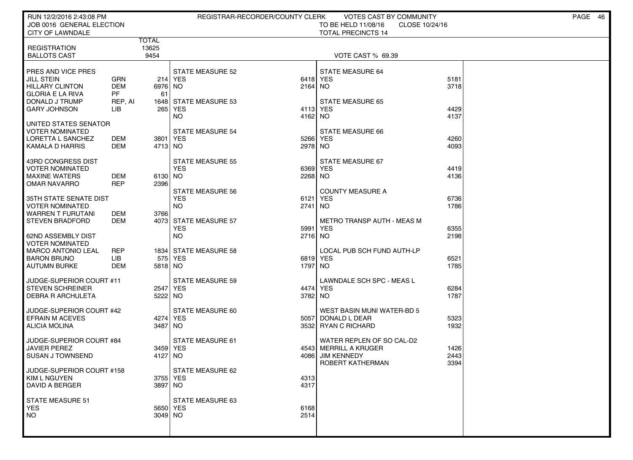| RUN 12/2/2016 2:43:08 PM<br>JOB 0016 GENERAL ELECTION<br>CITY OF LAWNDALE                                                             |                                                         |                       | REGISTRAR-RECORDER/COUNTY CLERK                                                           |                                | VOTES CAST BY COMMUNITY<br>TO BE HELD 11/08/16<br>CLOSE 10/24/16<br><b>TOTAL PRECINCTS 14</b>   |                      | PAGE 46 |
|---------------------------------------------------------------------------------------------------------------------------------------|---------------------------------------------------------|-----------------------|-------------------------------------------------------------------------------------------|--------------------------------|-------------------------------------------------------------------------------------------------|----------------------|---------|
| <b>REGISTRATION</b><br><b>BALLOTS CAST</b>                                                                                            | <b>TOTAL</b><br>13625                                   | 9454                  |                                                                                           |                                | <b>VOTE CAST % 69.39</b>                                                                        |                      |         |
| PRES AND VICE PRES<br><b>JILL STEIN</b><br><b>HILLARY CLINTON</b><br><b>GLORIA E LA RIVA</b><br>DONALD J TRUMP<br><b>GARY JOHNSON</b> | <b>GRN</b><br><b>DEM</b><br><b>PF</b><br>REP, AI<br>LІВ | 6976 NO<br>61         | <b>STATE MEASURE 52</b><br>214 YES<br>1648 STATE MEASURE 53<br>265 YES                    | 6418<br>$2164$ NO<br>4113 YES  | STATE MEASURE 64<br><b>YES</b><br><b>STATE MEASURE 65</b>                                       | 5181<br>3718<br>4429 |         |
| UNITED STATES SENATOR<br>VOTER NOMINATED<br>LORETTA L SANCHEZ<br>KAMALA D HARRIS                                                      | DEM<br>DEM                                              | 3801   YES<br>4713 NO | <b>NO</b><br><b>STATE MEASURE 54</b>                                                      | 4162<br>5266<br>2978 NO        | <b>NO</b><br>STATE MEASURE 66<br>YES                                                            | 4137<br>4260<br>4093 |         |
| 43RD CONGRESS DIST<br><b>VOTER NOMINATED</b><br><b>MAXINE WATERS</b><br>OMAR NAVARRO                                                  | <b>DEM</b><br><b>REP</b>                                | 6130 NO<br>2396       | <b>STATE MEASURE 55</b><br><b>YES</b>                                                     | 6369<br>2268 NO                | STATE MEASURE 67<br><b>YES</b>                                                                  | 4419<br>4136         |         |
| 35TH STATE SENATE DIST<br><b>VOTER NOMINATED</b><br><b>WARREN T FURUTANI</b><br><b>STEVEN BRADFORD</b>                                | DEM<br>DEM                                              | 3766                  | <b>STATE MEASURE 56</b><br><b>YES</b><br><b>NO</b><br>4073 STATE MEASURE 57<br><b>YES</b> | 6121<br>2741<br>5991           | <b>COUNTY MEASURE A</b><br><b>YES</b><br>NO.<br><b>METRO TRANSP AUTH - MEAS M</b><br><b>YES</b> | 6736<br>1786<br>6355 |         |
| <b>62ND ASSEMBLY DIST</b><br><b>VOTER NOMINATED</b><br><b>MARCO ANTONIO LEAL</b><br><b>BARON BRUNO</b><br><b>AUTUMN BURKE</b>         | <b>REP</b><br>LІВ<br><b>DEM</b>                         | 5818 NO               | <b>NO</b><br>1834 STATE MEASURE 58<br>575 YES                                             | 2716 NO<br>6819 YES<br>1797 NO | LOCAL PUB SCH FUND AUTH-LP                                                                      | 2198<br>6521<br>1785 |         |
| JUDGE-SUPERIOR COURT #11<br><b>STEVEN SCHREINER</b><br><b>DEBRA R ARCHULETA</b>                                                       |                                                         | 2547 YES<br>5222 NO   | <b>STATE MEASURE 59</b>                                                                   | 4474 YES<br>3782 NO            | LAWNDALE SCH SPC - MEAS L                                                                       | 6284<br>1787         |         |
| JUDGE-SUPERIOR COURT #42<br><b>EFRAIN M ACEVES</b><br><b>ALICIA MOLINA</b>                                                            |                                                         | 4274 YES<br>3487 NO   | STATE MEASURE 60                                                                          | 5057                           | WEST BASIN MUNI WATER-BD 5<br>DONALD L DEAR<br>3532 RYAN C RICHARD                              | 5323<br>1932         |         |
| JUDGE-SUPERIOR COURT #84<br><b>JAVIER PEREZ</b><br><b>SUSAN J TOWNSEND</b>                                                            |                                                         | 3459 YES<br>4127 NO   | <b>STATE MEASURE 61</b>                                                                   | 4086                           | WATER REPLEN OF SO CAL-D2<br>4543 MERRILL A KRUGER<br><b>JIM KENNEDY</b><br>ROBERT KATHERMAN    | 1426<br>2443<br>3394 |         |
| JUDGE-SUPERIOR COURT #158<br>KIM L NGUYEN<br><b>DAVID A BERGER</b>                                                                    |                                                         | 3755 YES<br>3897 NO   | STATE MEASURE 62                                                                          | 4313<br>4317                   |                                                                                                 |                      |         |
| STATE MEASURE 51<br>YES.<br>NO.                                                                                                       |                                                         | 5650 YES<br>3049 NO   | STATE MEASURE 63                                                                          | 6168<br>2514                   |                                                                                                 |                      |         |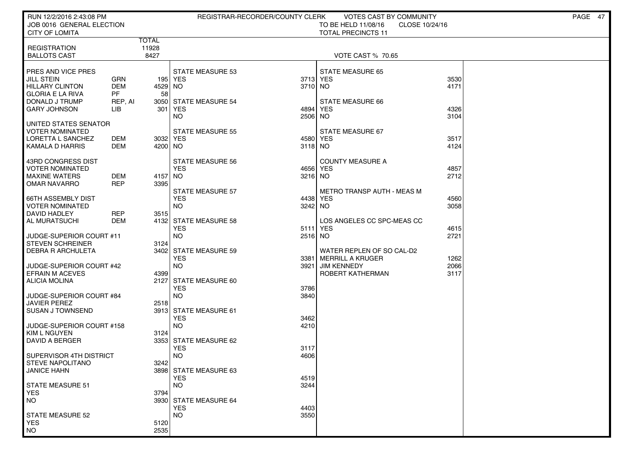| RUN 12/2/2016 2:43:08 PM<br>JOB 0016 GENERAL ELECTION |            |                       |                                       | REGISTRAR-RECORDER/COUNTY CLERK | VOTES CAST BY COMMUNITY<br>TO BE HELD 11/08/16  | CLOSE 10/24/16 | PAGE 47 |
|-------------------------------------------------------|------------|-----------------------|---------------------------------------|---------------------------------|-------------------------------------------------|----------------|---------|
| <b>CITY OF LOMITA</b>                                 |            |                       |                                       |                                 | <b>TOTAL PRECINCTS 11</b>                       |                |         |
| <b>REGISTRATION</b>                                   |            | <b>TOTAL</b><br>11928 |                                       |                                 |                                                 |                |         |
| <b>BALLOTS CAST</b>                                   |            | 8427                  |                                       |                                 | <b>VOTE CAST % 70.65</b>                        |                |         |
|                                                       |            |                       |                                       |                                 |                                                 |                |         |
| PRES AND VICE PRES<br><b>JILL STEIN</b>               | GRN        |                       | <b>STATE MEASURE 53</b><br>195   YES  | 3713 YES                        | <b>STATE MEASURE 65</b>                         | 3530           |         |
| <b>HILLARY CLINTON</b>                                | <b>DEM</b> | 4529 NO               |                                       | 3710 NO                         |                                                 | 4171           |         |
| <b>GLORIA E LA RIVA</b>                               | PF.        | 58                    |                                       |                                 |                                                 |                |         |
| DONALD J TRUMP                                        | REP, AI    | 3050                  | STATE MEASURE 54                      |                                 | STATE MEASURE 66                                |                |         |
| <b>GARY JOHNSON</b>                                   | LІВ        | 301                   | YES<br>NO.                            | 4894<br>2506                    | YES<br>NO.                                      | 4326<br>3104   |         |
| UNITED STATES SENATOR                                 |            |                       |                                       |                                 |                                                 |                |         |
| VOTER NOMINATED                                       |            |                       | <b>STATE MEASURE 55</b>               |                                 | STATE MEASURE 67                                |                |         |
| LORETTA L SANCHEZ                                     | DEM        | 3032 YES              |                                       | 4580 YES                        |                                                 | 3517           |         |
| KAMALA D HARRIS                                       | DEM        | 4200 NO               |                                       | 3118 NO                         |                                                 | 4124           |         |
| 43RD CONGRESS DIST                                    |            |                       | <b>STATE MEASURE 56</b>               |                                 | <b>COUNTY MEASURE A</b>                         |                |         |
| <b>VOTER NOMINATED</b>                                |            |                       | <b>YES</b>                            | 4656                            | YES                                             | 4857           |         |
| <b>MAXINE WATERS</b>                                  | <b>DEM</b> | 4157 NO               |                                       | 3216 NO                         |                                                 | 2712           |         |
| <b>OMAR NAVARRO</b>                                   | <b>REP</b> | 3395                  |                                       |                                 |                                                 |                |         |
| <b>66TH ASSEMBLY DIST</b>                             |            |                       | <b>STATE MEASURE 57</b><br><b>YES</b> | 4438                            | <b>METRO TRANSP AUTH - MEAS M</b><br><b>YES</b> | 4560           |         |
| <b>VOTER NOMINATED</b>                                |            |                       | <b>NO</b>                             | 3242 NO                         |                                                 | 3058           |         |
| DAVID HADLEY                                          | <b>REP</b> | 3515                  |                                       |                                 |                                                 |                |         |
| AL MURATSUCHI                                         | <b>DEM</b> |                       | 4132 STATE MEASURE 58                 |                                 | LOS ANGELES CC SPC-MEAS CC                      |                |         |
|                                                       |            |                       | <b>YES</b>                            | 5111 YES                        |                                                 | 4615           |         |
| JUDGE-SUPERIOR COURT #11                              |            |                       | <b>NO</b>                             | 2516 NO                         |                                                 | 2721           |         |
| <b>STEVEN SCHREINER</b><br><b>DEBRA R ARCHULETA</b>   |            | 3124                  | 3402 STATE MEASURE 59                 |                                 | WATER REPLEN OF SO CAL-D2                       |                |         |
|                                                       |            |                       | <b>YES</b>                            | 3381                            | MERRILL A KRUGER                                | 1262           |         |
| JUDGE-SUPERIOR COURT #42                              |            |                       | <b>NO</b>                             | 3921                            | <b>JIM KENNEDY</b>                              | 2066           |         |
| <b>EFRAIN M ACEVES</b>                                |            | 4399                  |                                       |                                 | ROBERT KATHERMAN                                | 3117           |         |
| <b>ALICIA MOLINA</b>                                  |            | 2127                  | STATE MEASURE 60<br><b>YES</b>        | 3786                            |                                                 |                |         |
| JUDGE-SUPERIOR COURT #84                              |            |                       | <b>NO</b>                             | 3840                            |                                                 |                |         |
| <b>JAVIER PEREZ</b>                                   |            | 2518                  |                                       |                                 |                                                 |                |         |
| <b>SUSAN J TOWNSEND</b>                               |            |                       | 3913 STATE MEASURE 61                 |                                 |                                                 |                |         |
|                                                       |            |                       | <b>YES</b>                            | 3462                            |                                                 |                |         |
| JUDGE-SUPERIOR COURT #158<br>KIM L NGUYEN             |            |                       | <b>NO</b>                             | 4210                            |                                                 |                |         |
| DAVID A BERGER                                        |            | 3124                  | 3353 STATE MEASURE 62                 |                                 |                                                 |                |         |
|                                                       |            |                       | <b>YES</b>                            | 3117                            |                                                 |                |         |
| SUPERVISOR 4TH DISTRICT                               |            |                       | <b>NO</b>                             | 4606                            |                                                 |                |         |
| <b>STEVE NAPOLITANO</b>                               |            | 3242                  |                                       |                                 |                                                 |                |         |
| <b>JANICE HAHN</b>                                    |            |                       | 3898 STATE MEASURE 63<br><b>YES</b>   | 4519                            |                                                 |                |         |
| <b>STATE MEASURE 51</b>                               |            |                       | <b>NO</b>                             | 3244                            |                                                 |                |         |
| <b>YES</b>                                            |            | 3794                  |                                       |                                 |                                                 |                |         |
| <b>NO</b>                                             |            |                       | 3930 STATE MEASURE 64                 |                                 |                                                 |                |         |
|                                                       |            |                       | <b>YES</b>                            | 4403                            |                                                 |                |         |
| <b>STATE MEASURE 52</b><br><b>YES</b>                 |            | 5120                  | <b>NO</b>                             | 3550                            |                                                 |                |         |
| <b>NO</b>                                             |            | 2535                  |                                       |                                 |                                                 |                |         |
|                                                       |            |                       |                                       |                                 |                                                 |                |         |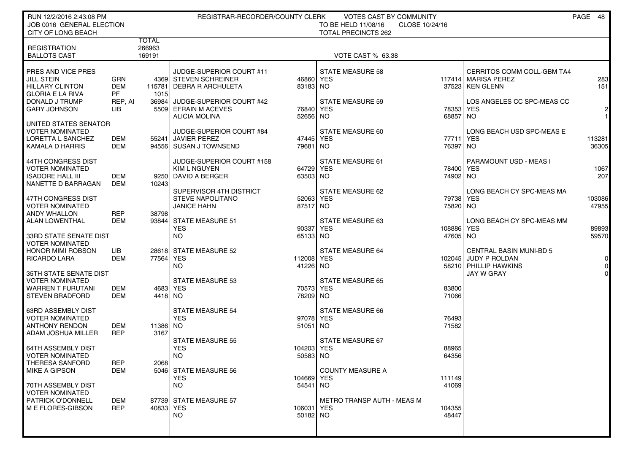| RUN 12/2/2016 2:43:08 PM                            |            |                        | REGISTRAR-RECORDER/COUNTY CLERK       |            | <b>VOTES CAST BY COMMUNITY</b>        |                |                                                        | PAGE 48        |
|-----------------------------------------------------|------------|------------------------|---------------------------------------|------------|---------------------------------------|----------------|--------------------------------------------------------|----------------|
| JOB 0016 GENERAL ELECTION                           |            |                        |                                       |            | TO BE HELD 11/08/16<br>CLOSE 10/24/16 |                |                                                        |                |
| CITY OF LONG BEACH                                  |            |                        |                                       |            | <b>TOTAL PRECINCTS 262</b>            |                |                                                        |                |
| <b>REGISTRATION</b>                                 |            | <b>TOTAL</b><br>266963 |                                       |            |                                       |                |                                                        |                |
| <b>BALLOTS CAST</b>                                 |            | 169191                 |                                       |            | VOTE CAST % 63.38                     |                |                                                        |                |
|                                                     |            |                        |                                       |            |                                       |                |                                                        |                |
| PRES AND VICE PRES                                  |            |                        | JUDGE-SUPERIOR COURT #11              |            | <b>STATE MEASURE 58</b>               |                | CERRITOS COMM COLL-GBM TA4                             |                |
| <b>JILL STEIN</b>                                   | GRN        |                        | 4369 STEVEN SCHREINER                 | 46860      | YES                                   |                | 117414 MARISA PEREZ                                    | 283            |
| HILLARY CLINTON                                     | <b>DEM</b> | 115781                 | DEBRA R ARCHULETA                     | 83183 NO   |                                       |                | 37523 KEN GLENN                                        | 151            |
| <b>GLORIA E LA RIVA</b>                             | <b>PF</b>  | 1015                   |                                       |            |                                       |                |                                                        |                |
| DONALD J TRUMP                                      | REP, AI    |                        | 36984 JUDGE-SUPERIOR COURT #42        |            | <b>STATE MEASURE 59</b>               |                | LOS ANGELES CC SPC-MEAS CC                             |                |
| <b>GARY JOHNSON</b>                                 | LІВ        |                        | 5509 EFRAIN M ACEVES                  | 76840 YES  |                                       | 78353 YES      |                                                        | $\mathbf{2}$   |
|                                                     |            |                        | <b>ALICIA MOLINA</b>                  | 52656 NO   |                                       | 68857          | I NO                                                   | 1              |
| UNITED STATES SENATOR                               |            |                        |                                       |            |                                       |                |                                                        |                |
| <b>VOTER NOMINATED</b>                              |            |                        | JUDGE-SUPERIOR COURT #84              |            | STATE MEASURE 60                      |                | LONG BEACH USD SPC-MEAS E                              |                |
| LORETTA L SANCHEZ                                   | DEM        |                        | 55241 JAVIER PEREZ                    | 47445      | <b>YES</b>                            | 77711          | <b>YES</b>                                             | 113281         |
| KAMALA D HARRIS                                     | DEM        |                        | 94556 SUSAN J TOWNSEND                | 79681      | <b>NO</b>                             | 76397          | NO.                                                    | 36305          |
| 44TH CONGRESS DIST                                  |            |                        | JUDGE-SUPERIOR COURT #158             |            | <b>STATE MEASURE 61</b>               |                | PARAMOUNT USD - MEAS I                                 |                |
| <b>VOTER NOMINATED</b>                              |            |                        | <b>KIM L NGUYEN</b>                   | 64729 YES  |                                       | 78400          | YES                                                    | 1067           |
| <b>ISADORE HALL III</b>                             | DEM        |                        | 9250 DAVID A BERGER                   | 63503   NO |                                       | 74902 NO       |                                                        | 207            |
| NANETTE D BARRAGAN                                  | DEM        | 10243                  |                                       |            |                                       |                |                                                        |                |
|                                                     |            |                        | SUPERVISOR 4TH DISTRICT               |            | STATE MEASURE 62                      |                | LONG BEACH CY SPC-MEAS MA                              |                |
| 47TH CONGRESS DIST                                  |            |                        | <b>STEVE NAPOLITANO</b>               | 52063 YES  |                                       | 79738          | <b>YES</b>                                             | 103086         |
| <b>VOTER NOMINATED</b>                              |            |                        | <b>JANICE HAHN</b>                    | 87517 NO   |                                       | 75820 NO       |                                                        | 47955          |
| <b>ANDY WHALLON</b>                                 | <b>REP</b> | 38798                  |                                       |            |                                       |                |                                                        |                |
| <b>ALAN LOWENTHAL</b>                               | <b>DEM</b> |                        | 93844 STATE MEASURE 51                |            | <b>STATE MEASURE 63</b>               |                | LONG BEACH CY SPC-MEAS MM                              |                |
|                                                     |            |                        | <b>YES</b>                            | 90337 YES  |                                       | 108886         | YES                                                    | 89893          |
| 33RD STATE SENATE DIST                              |            |                        | <b>NO</b>                             | 65133 NO   |                                       | 47605 NO       |                                                        | 59570          |
| <b>VOTER NOMINATED</b>                              |            |                        |                                       |            |                                       |                |                                                        |                |
| <b>HONOR MIMI ROBSON</b><br><b>RICARDO LARA</b>     | LIB<br>DEM | 77564 YES              | 28618 STATE MEASURE 52                | 112008 YES | <b>STATE MEASURE 64</b>               |                | <b>CENTRAL BASIN MUNI-BD 5</b><br>102045 JUDY P ROLDAN | $\overline{0}$ |
|                                                     |            |                        | NO.                                   | 41226      | <b>NO</b>                             |                | 58210 PHILLIP HAWKINS                                  | $\overline{0}$ |
| 35TH STATE SENATE DIST                              |            |                        |                                       |            |                                       |                | JAY W GRAY                                             | $\Omega$       |
| <b>VOTER NOMINATED</b>                              |            |                        | <b>STATE MEASURE 53</b>               |            | <b>STATE MEASURE 65</b>               |                |                                                        |                |
| <b>WARREN T FURUTANI</b>                            | DEM        |                        | 4683 YES                              | 70573 YES  |                                       | 83800          |                                                        |                |
| <b>STEVEN BRADFORD</b>                              | DEM        | 4418 NO                |                                       | 78209 NO   |                                       | 71066          |                                                        |                |
|                                                     |            |                        |                                       |            |                                       |                |                                                        |                |
| 63RD ASSEMBLY DIST                                  |            |                        | <b>STATE MEASURE 54</b>               |            | STATE MEASURE 66                      |                |                                                        |                |
| <b>VOTER NOMINATED</b>                              |            |                        | <b>YES</b>                            | 97078 YES  |                                       | 76493          |                                                        |                |
| <b>ANTHONY RENDON</b>                               | DEM        | 11386 NO               |                                       | 51051 NO   |                                       | 71582          |                                                        |                |
| ADAM JOSHUA MILLER                                  | <b>REP</b> | 3167                   |                                       |            |                                       |                |                                                        |                |
|                                                     |            |                        | <b>STATE MEASURE 55</b><br><b>YES</b> | 104203 YES | STATE MEASURE 67                      |                |                                                        |                |
| <b>64TH ASSEMBLY DIST</b><br><b>VOTER NOMINATED</b> |            |                        | <b>NO</b>                             | 50583 NO   |                                       | 88965<br>64356 |                                                        |                |
| THERESA SANFORD                                     | <b>REP</b> | 2068                   |                                       |            |                                       |                |                                                        |                |
| MIKE A GIPSON                                       | DEM        |                        | 5046 STATE MEASURE 56                 |            | <b>COUNTY MEASURE A</b>               |                |                                                        |                |
|                                                     |            |                        | <b>YES</b>                            | 104669 YES |                                       | 111149         |                                                        |                |
| 70TH ASSEMBLY DIST                                  |            |                        | NO.                                   | 54541 NO   |                                       | 41069          |                                                        |                |
| <b>VOTER NOMINATED</b>                              |            |                        |                                       |            |                                       |                |                                                        |                |
| <b>PATRICK O'DONNELL</b>                            | DEM        |                        | 87739 STATE MEASURE 57                |            | <b>METRO TRANSP AUTH - MEAS M</b>     |                |                                                        |                |
| M E FLORES-GIBSON                                   | <b>REP</b> | 40833 YES              |                                       | 106031 YES |                                       | 104355         |                                                        |                |
|                                                     |            |                        | NO.                                   | 50182 NO   |                                       | 48447          |                                                        |                |
|                                                     |            |                        |                                       |            |                                       |                |                                                        |                |
|                                                     |            |                        |                                       |            |                                       |                |                                                        |                |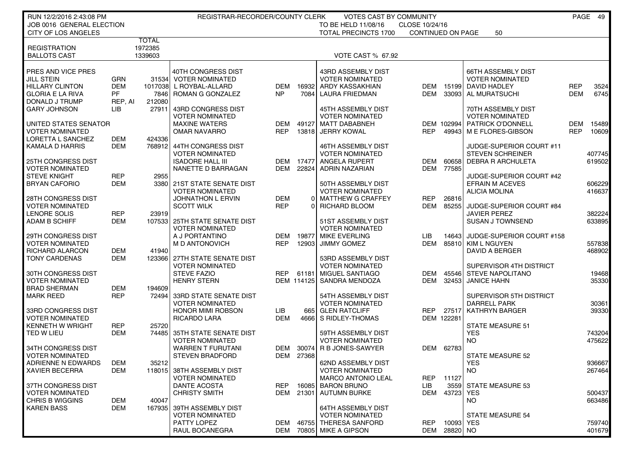| RUN 12/2/2016 2:43:08 PM  |            |              | REGISTRAR-RECORDER/COUNTY CLERK |            |            | <b>VOTES CAST BY COMMUNITY</b> |                          |              |                           |            | PAGE 49 |
|---------------------------|------------|--------------|---------------------------------|------------|------------|--------------------------------|--------------------------|--------------|---------------------------|------------|---------|
| JOB 0016 GENERAL ELECTION |            |              |                                 |            |            | TO BE HELD 11/08/16            | CLOSE 10/24/16           |              |                           |            |         |
| CITY OF LOS ANGELES       |            | <b>TOTAL</b> |                                 |            |            | <b>TOTAL PRECINCTS 1700</b>    | <b>CONTINUED ON PAGE</b> |              | 50                        |            |         |
| <b>REGISTRATION</b>       |            | 1972385      |                                 |            |            |                                |                          |              |                           |            |         |
| <b>BALLOTS CAST</b>       |            | 1339603      |                                 |            |            | VOTE CAST % 67.92              |                          |              |                           |            |         |
|                           |            |              |                                 |            |            |                                |                          |              |                           |            |         |
| PRES AND VICE PRES        |            |              | 40TH CONGRESS DIST              |            |            | 43RD ASSEMBLY DIST             |                          |              | <b>66TH ASSEMBLY DIST</b> |            |         |
| <b>JILL STEIN</b>         | <b>GRN</b> |              | 31534 VOTER NOMINATED           |            |            | <b>VOTER NOMINATED</b>         |                          |              | <b>VOTER NOMINATED</b>    |            |         |
| <b>HILLARY CLINTON</b>    | <b>DEM</b> |              | 1017038 L ROYBAL-ALLARD         | DEM        | 16932      | ARDY KASSAKHIAN                | DEM                      | 15199        | DAVID HADLEY              | <b>REP</b> | 3524    |
| <b>GLORIA E LA RIVA</b>   | <b>PF</b>  |              | 7846 ROMAN G GONZALEZ           | <b>NP</b>  | 7084       | LAURA FRIEDMAN                 | DEM                      | 33093        | AL MURATSUCHI             | DEM        | 6745    |
| DONALD J TRUMP            | REP, AI    | 212080       |                                 |            |            |                                |                          |              |                           |            |         |
| <b>GARY JOHNSON</b>       | LIB        | 27911        | 43RD CONGRESS DIST              |            |            | 45TH ASSEMBLY DIST             |                          |              | 70TH ASSEMBLY DIST        |            |         |
|                           |            |              | <b>VOTER NOMINATED</b>          |            |            | <b>VOTER NOMINATED</b>         |                          |              | <b>VOTER NOMINATED</b>    |            |         |
| UNITED STATES SENATOR     |            |              | <b>MAXINE WATERS</b>            | DEM        | 49127      | <b>MATT DABABNEH</b>           |                          | DEM 102994   | PATRICK O'DONNELL         | DEM        | 15489   |
| <b>VOTER NOMINATED</b>    |            |              | <b>OMAR NAVARRO</b>             | <b>REP</b> | 13818      | <b>JERRY KOWAL</b>             | <b>REP</b>               | 49943        | M E FLORES-GIBSON         | <b>REP</b> | 10609   |
| LORETTA L SANCHEZ         | DEM        | 424336       |                                 |            |            |                                |                          |              |                           |            |         |
| KAMALA D HARRIS           | <b>DEM</b> |              | 768912 44TH CONGRESS DIST       |            |            | 46TH ASSEMBLY DIST             |                          |              | JUDGE-SUPERIOR COURT #11  |            |         |
|                           |            |              | <b>VOTER NOMINATED</b>          |            |            | <b>VOTER NOMINATED</b>         |                          |              | <b>STEVEN SCHREINER</b>   |            | 407745  |
| 25TH CONGRESS DIST        |            |              | <b>ISADORE HALL III</b>         | DEM        | 17477      | <b>ANGELA RUPERT</b>           | DEM                      | 60658        | <b>DEBRA R ARCHULETA</b>  |            | 619502  |
| <b>VOTER NOMINATED</b>    |            |              | NANETTE D BARRAGAN              | DEM        | 22824      | <b>ADRIN NAZARIAN</b>          | DEM                      | 77585        |                           |            |         |
| <b>STEVE KNIGHT</b>       | <b>REP</b> | 2955         |                                 |            |            |                                |                          |              | JUDGE-SUPERIOR COURT #42  |            |         |
| <b>BRYAN CAFORIO</b>      | DEM        |              | 3380 21ST STATE SENATE DIST     |            |            | 50TH ASSEMBLY DIST             |                          |              | <b>EFRAIN M ACEVES</b>    |            | 606229  |
|                           |            |              | <b>VOTER NOMINATED</b>          |            |            | <b>VOTER NOMINATED</b>         |                          |              | <b>ALICIA MOLINA</b>      |            | 416637  |
| 28TH CONGRESS DIST        |            |              | <b>JOHNATHON L ERVIN</b>        | <b>DEM</b> | $\Omega$   | MATTHEW G CRAFFEY              | <b>REP</b>               | 26816        |                           |            |         |
| <b>VOTER NOMINATED</b>    |            |              | <b>SCOTT WILK</b>               | <b>REP</b> |            | RICHARD BLOOM                  | <b>DEM</b>               | 85255        | JUDGE-SUPERIOR COURT #84  |            |         |
| LENORE SOLIS              | <b>REP</b> | 23919        |                                 |            |            |                                |                          |              | <b>JAVIER PEREZ</b>       |            | 382224  |
| <b>ADAM B SCHIFF</b>      | DEM        |              | 107533 25TH STATE SENATE DIST   |            |            | 51ST ASSEMBLY DIST             |                          |              | <b>SUSAN J TOWNSEND</b>   |            | 633895  |
|                           |            |              | <b>VOTER NOMINATED</b>          |            |            | <b>VOTER NOMINATED</b>         |                          |              |                           |            |         |
| 29TH CONGRESS DIST        |            |              | A J PORTANTINO                  | DEM        | 19877      | <b>MIKE EVERLING</b>           | LIB                      | 14643        | JUDGE-SUPERIOR COURT #158 |            |         |
| <b>VOTER NOMINATED</b>    |            |              | M D ANTONOVICH                  | <b>REP</b> | 12903      | <b>JIMMY GOMEZ</b>             | DEM                      | 85810        | <b>KIM L NGUYEN</b>       |            | 557838  |
| <b>RICHARD ALARCON</b>    | DEM        | 41940        |                                 |            |            |                                |                          |              | DAVID A BERGER            |            | 468902  |
| <b>TONY CARDENAS</b>      | <b>DEM</b> |              | 123366 27TH STATE SENATE DIST   |            |            | 53RD ASSEMBLY DIST             |                          |              |                           |            |         |
|                           |            |              | <b>VOTER NOMINATED</b>          |            |            | <b>VOTER NOMINATED</b>         |                          |              | SUPERVISOR 4TH DISTRICT   |            |         |
| 30TH CONGRESS DIST        |            |              | <b>STEVE FAZIO</b>              | <b>REP</b> | 61181      | MIGUEL SANTIAGO                | DEM                      | 45546        | <b>STEVE NAPOLITANO</b>   |            | 19468   |
| <b>VOTER NOMINATED</b>    |            |              | <b>HENRY STERN</b>              |            | DEM 114125 | SANDRA MENDOZA                 | DEM                      | 32453        | <b>JANICE HAHN</b>        |            | 35330   |
| <b>BRAD SHERMAN</b>       | <b>DEM</b> | 194609       |                                 |            |            |                                |                          |              |                           |            |         |
| <b>MARK REED</b>          | <b>REP</b> |              | 72494 33RD STATE SENATE DIST    |            |            | 54TH ASSEMBLY DIST             |                          |              | SUPERVISOR 5TH DISTRICT   |            |         |
|                           |            |              | <b>VOTER NOMINATED</b>          |            |            | <b>VOTER NOMINATED</b>         |                          |              | DARRELL PARK              |            | 30361   |
| 33RD CONGRESS DIST        |            |              | HONOR MIMI ROBSON               | LIB.       | 665        | <b>GLEN RATCLIFF</b>           | <b>REP</b>               | 27517        | <b>KATHRYN BARGER</b>     |            | 39330   |
| <b>VOTER NOMINATED</b>    |            |              | <b>RICARDO LARA</b>             | <b>DEM</b> | 4666       | S RIDLEY-THOMAS                |                          | DEM 122281   |                           |            |         |
| <b>KENNETH W WRIGHT</b>   | <b>REP</b> | 25720        |                                 |            |            |                                |                          |              | STATE MEASURE 51          |            |         |
| TED W LIEU                | DEM        | 744851       | 35TH STATE SENATE DIST          |            |            | 59TH ASSEMBLY DIST             |                          |              | <b>YES</b>                |            | 743204  |
|                           |            |              | <b>VOTER NOMINATED</b>          |            |            | VOTER NOMINATED                |                          |              | NO.                       |            | 475622  |
| 34TH CONGRESS DIST        |            |              | <b>WARREN T FURUTANI</b>        | DEM        | 30074      | R B JONES-SAWYER               | DEM                      | 62783        |                           |            |         |
| <b>VOTER NOMINATED</b>    |            |              | <b>STEVEN BRADFORD</b>          |            | DEM 27368  |                                |                          |              | <b>STATE MEASURE 52</b>   |            |         |
| ADRIENNE N EDWARDS        | DEM        | 35212        |                                 |            |            | 62ND ASSEMBLY DIST             |                          |              | <b>YES</b>                |            | 936667  |
| <b>XAVIER BECERRA</b>     | DEM        |              | 118015 38TH ASSEMBLY DIST       |            |            | VOTER NOMINATED                |                          |              | NO                        |            | 267464  |
|                           |            |              | <b>VOTER NOMINATED</b>          |            |            | <b>MARCO ANTONIO LEAL</b>      | REP                      | 11127        |                           |            |         |
| 37TH CONGRESS DIST        |            |              | DANTE ACOSTA                    | <b>REP</b> | 16085      | <b>BARON BRUNO</b>             | LIB.                     | 3559         | <b>STATE MEASURE 53</b>   |            |         |
| <b>VOTER NOMINATED</b>    |            |              | <b>CHRISTY SMITH</b>            |            | DEM 21301  | <b>AUTUMN BURKE</b>            | DEM                      | 43723        | <b>YES</b>                |            | 500437  |
| <b>CHRIS B WIGGINS</b>    | DEM        | 40047        |                                 |            |            |                                |                          |              | NO.                       |            | 663486  |
| <b>KAREN BASS</b>         | DEM        | 167935       | 39TH ASSEMBLY DIST              |            |            | 64TH ASSEMBLY DIST             |                          |              |                           |            |         |
|                           |            |              | <b>VOTER NOMINATED</b>          |            |            | <b>VOTER NOMINATED</b>         |                          |              | <b>STATE MEASURE 54</b>   |            |         |
|                           |            |              | PATTY LOPEZ                     | DEM        | 46755      | <b>THERESA SANFORD</b>         | REP                      | 10093        | <b>YES</b>                |            | 759740  |
|                           |            |              | RAUL BOCANEGRA                  |            |            | DEM 70805 MIKE A GIPSON        |                          | DEM 28820 NO |                           |            | 401679  |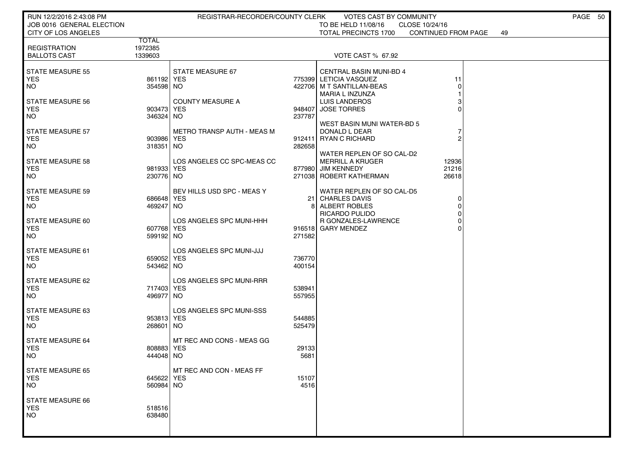| RUN 12/2/2016 2:43:08 PM                         |                           | REGISTRAR-RECORDER/COUNTY CLERK |                  | VOTES CAST BY COMMUNITY                                                                                  | PAGE 50 |
|--------------------------------------------------|---------------------------|---------------------------------|------------------|----------------------------------------------------------------------------------------------------------|---------|
| JOB 0016 GENERAL ELECTION<br>CITY OF LOS ANGELES |                           |                                 |                  | TO BE HELD 11/08/16<br>CLOSE 10/24/16<br><b>TOTAL PRECINCTS 1700</b><br><b>CONTINUED FROM PAGE</b><br>49 |         |
|                                                  | <b>TOTAL</b>              |                                 |                  |                                                                                                          |         |
| <b>REGISTRATION</b>                              | 1972385                   |                                 |                  |                                                                                                          |         |
| <b>BALLOTS CAST</b>                              | 1339603                   |                                 |                  | <b>VOTE CAST % 67.92</b>                                                                                 |         |
| <b>STATE MEASURE 55</b>                          |                           | STATE MEASURE 67                |                  | <b>CENTRAL BASIN MUNI-BD 4</b>                                                                           |         |
| <b>YES</b>                                       | 861192 YES                |                                 |                  | 775399 LETICIA VASQUEZ<br>11                                                                             |         |
| <b>NO</b>                                        | 354598 NO                 |                                 |                  | 422706 M T SANTILLAN-BEAS<br>0                                                                           |         |
|                                                  |                           |                                 |                  | MARIA L INZUNZA                                                                                          |         |
| <b>STATE MEASURE 56</b><br><b>YES</b>            | 903473 YES                | <b>COUNTY MEASURE A</b>         |                  | LUIS LANDEROS<br>3<br>0<br>948407 JOSE TORRES                                                            |         |
| <b>NO</b>                                        | 346324 NO                 |                                 | 237787           |                                                                                                          |         |
|                                                  |                           |                                 |                  | WEST BASIN MUNI WATER-BD 5                                                                               |         |
| <b>STATE MEASURE 57</b>                          |                           | METRO TRANSP AUTH - MEAS M      |                  | DONALD L DEAR                                                                                            |         |
| <b>YES</b>                                       | 903986 YES                |                                 |                  | 912411 RYAN C RICHARD<br>2                                                                               |         |
| <b>NO</b>                                        | 318351 NO                 |                                 | 282658           |                                                                                                          |         |
| <b>STATE MEASURE 58</b>                          |                           | LOS ANGELES CC SPC-MEAS CC      |                  | WATER REPLEN OF SO CAL-D2<br><b>MERRILL A KRUGER</b><br>12936                                            |         |
| <b>YES</b>                                       | 981933 YES                |                                 |                  | 877980 JIM KENNEDY<br>21216                                                                              |         |
| <b>NO</b>                                        | 230776 NO                 |                                 |                  | 271038 ROBERT KATHERMAN<br>26618                                                                         |         |
|                                                  |                           |                                 |                  |                                                                                                          |         |
| <b>STATE MEASURE 59</b><br><b>YES</b>            | 686648 YES                | BEV HILLS USD SPC - MEAS Y      |                  | WATER REPLEN OF SO CAL-D5<br>21 CHARLES DAVIS<br>0                                                       |         |
| <b>NO</b>                                        | 469247 NO                 |                                 |                  | 8 ALBERT ROBLES<br>0                                                                                     |         |
|                                                  |                           |                                 |                  | 0<br>RICARDO PULIDO                                                                                      |         |
| STATE MEASURE 60                                 |                           | LOS ANGELES SPC MUNI-HHH        |                  | <b>R GONZALES-LAWRENCE</b><br>0                                                                          |         |
| <b>YES</b>                                       | 607768 YES                |                                 |                  | 916518 GARY MENDEZ                                                                                       |         |
| <b>NO</b>                                        | 599192 NO                 |                                 | 271582           |                                                                                                          |         |
| STATE MEASURE 61                                 |                           | LOS ANGELES SPC MUNI-JJJ        |                  |                                                                                                          |         |
| <b>YES</b>                                       | 659052 YES                |                                 | 736770           |                                                                                                          |         |
| <b>NO</b>                                        | 543462 NO                 |                                 | 400154           |                                                                                                          |         |
| STATE MEASURE 62                                 |                           | LOS ANGELES SPC MUNI-RRR        |                  |                                                                                                          |         |
| <b>YES</b>                                       | 717403 YES                |                                 | 538941           |                                                                                                          |         |
| <b>NO</b>                                        | 496977 NO                 |                                 | 557955           |                                                                                                          |         |
|                                                  |                           |                                 |                  |                                                                                                          |         |
| <b>STATE MEASURE 63</b>                          |                           | LOS ANGELES SPC MUNI-SSS        |                  |                                                                                                          |         |
| <b>YES</b><br><b>NO</b>                          | 953813 YES<br>268601   NO |                                 | 544885<br>525479 |                                                                                                          |         |
|                                                  |                           |                                 |                  |                                                                                                          |         |
| <b>STATE MEASURE 64</b>                          |                           | MT REC AND CONS - MEAS GG       |                  |                                                                                                          |         |
| <b>YES</b>                                       | 808883 YES                |                                 | 29133            |                                                                                                          |         |
| <b>NO</b>                                        | 444048  NO                |                                 | 5681             |                                                                                                          |         |
| <b>STATE MEASURE 65</b>                          |                           | MT REC AND CON - MEAS FF        |                  |                                                                                                          |         |
| <b>YES</b>                                       | 645622 YES                |                                 | 15107            |                                                                                                          |         |
| <b>NO</b>                                        | 560984  NO                |                                 | 4516             |                                                                                                          |         |
|                                                  |                           |                                 |                  |                                                                                                          |         |
| <b>STATE MEASURE 66</b><br><b>YES</b>            | 518516                    |                                 |                  |                                                                                                          |         |
| <b>NO</b>                                        | 638480                    |                                 |                  |                                                                                                          |         |
|                                                  |                           |                                 |                  |                                                                                                          |         |
|                                                  |                           |                                 |                  |                                                                                                          |         |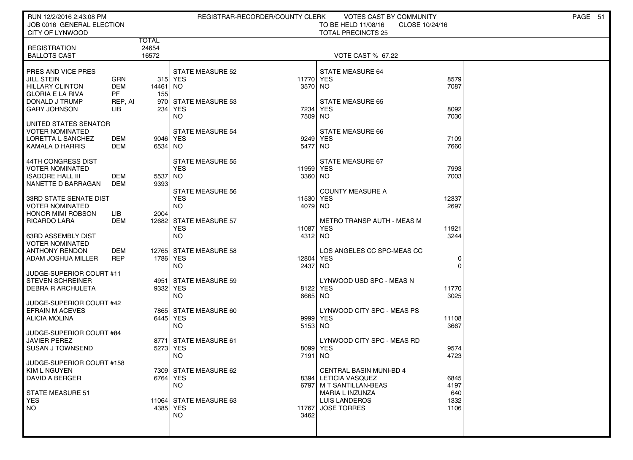| RUN 12/2/2016 2:43:08 PM                        |                   |                 |                                    | REGISTRAR-RECORDER/COUNTY CLERK | VOTES CAST BY COMMUNITY                  |                | PAGE 51 |
|-------------------------------------------------|-------------------|-----------------|------------------------------------|---------------------------------|------------------------------------------|----------------|---------|
| JOB 0016 GENERAL ELECTION                       |                   |                 |                                    |                                 | TO BE HELD 11/08/16                      | CLOSE 10/24/16 |         |
| <b>CITY OF LYNWOOD</b>                          |                   | TOTAL           |                                    |                                 | <b>TOTAL PRECINCTS 25</b>                |                |         |
| <b>REGISTRATION</b>                             |                   | 24654           |                                    |                                 |                                          |                |         |
| <b>BALLOTS CAST</b>                             |                   | 16572           |                                    |                                 | <b>VOTE CAST % 67.22</b>                 |                |         |
|                                                 |                   |                 |                                    |                                 |                                          |                |         |
| PRES AND VICE PRES<br>JILL STEIN                | <b>GRN</b>        |                 | <b>STATE MEASURE 52</b><br>315 YES | 11770                           | <b>STATE MEASURE 64</b><br><b>YES</b>    | 8579           |         |
| <b>HILLARY CLINTON</b>                          | <b>DEM</b>        | 14461   NO      |                                    | 3570                            | NO                                       | 7087           |         |
| <b>GLORIA E LA RIVA</b>                         | <b>PF</b>         | 155             |                                    |                                 |                                          |                |         |
| DONALD J TRUMP                                  | REP, AI           |                 | 970 STATE MEASURE 53               |                                 | STATE MEASURE 65                         |                |         |
| <b>GARY JOHNSON</b>                             | LIB               | 234             | YES<br><b>NO</b>                   | 7234<br>7509                    | <b>YES</b><br>NO.                        | 8092<br>7030   |         |
| UNITED STATES SENATOR                           |                   |                 |                                    |                                 |                                          |                |         |
| <b>VOTER NOMINATED</b>                          |                   |                 | <b>STATE MEASURE 54</b>            |                                 | <b>STATE MEASURE 66</b>                  |                |         |
| <b>LORETTA L SANCHEZ</b>                        | DEM               | 9046 YES        |                                    | 9249                            | <b>YES</b>                               | 7109           |         |
| KAMALA D HARRIS                                 | DEM               | 6534 NO         |                                    | 5477                            | NO                                       | 7660           |         |
| 44TH CONGRESS DIST                              |                   |                 | STATE MEASURE 55                   |                                 | STATE MEASURE 67                         |                |         |
| <b>VOTER NOMINATED</b>                          |                   |                 | <b>YES</b>                         | 11959 YES                       |                                          | 7993           |         |
| <b>ISADORE HALL III</b><br>NANETTE D BARRAGAN   | <b>DEM</b><br>DEM | 5537 NO<br>9393 |                                    | 3360 NO                         |                                          | 7003           |         |
|                                                 |                   |                 | <b>STATE MEASURE 56</b>            |                                 | <b>COUNTY MEASURE A</b>                  |                |         |
| <b>33RD STATE SENATE DIST</b>                   |                   |                 | <b>YES</b>                         | 11530                           | <b>YES</b>                               | 12337          |         |
| <b>VOTER NOMINATED</b>                          |                   |                 | NO.                                | 4079                            | NO.                                      | 2697           |         |
| <b>HONOR MIMI ROBSON</b><br><b>RICARDO LARA</b> | LIB<br><b>DEM</b> | 2004            | 12682 STATE MEASURE 57             |                                 | <b>METRO TRANSP AUTH - MEAS M</b>        |                |         |
|                                                 |                   |                 | <b>YES</b>                         | 11087                           | <b>YES</b>                               | 11921          |         |
| 63RD ASSEMBLY DIST                              |                   |                 | <b>NO</b>                          | 4312 NO                         |                                          | 3244           |         |
| <b>VOTER NOMINATED</b>                          |                   |                 |                                    |                                 |                                          |                |         |
| <b>ANTHONY RENDON</b><br>ADAM JOSHUA MILLER     | DEM<br><b>REP</b> | 1786 YES        | 12765 STATE MEASURE 58             | 12804                           | LOS ANGELES CC SPC-MEAS CC<br><b>YES</b> | 0              |         |
|                                                 |                   |                 | NO.                                | 2437                            | NO.                                      | $\Omega$       |         |
| JUDGE-SUPERIOR COURT #11                        |                   |                 |                                    |                                 |                                          |                |         |
| <b>STEVEN SCHREINER</b>                         |                   | 4951            | STATE MEASURE 59                   |                                 | LYNWOOD USD SPC - MEAS N                 |                |         |
| <b>DEBRA R ARCHULETA</b>                        |                   | 9332 YES        | <b>NO</b>                          | 8122<br>6665                    | <b>YES</b><br>NO                         | 11770<br>3025  |         |
| JUDGE-SUPERIOR COURT #42                        |                   |                 |                                    |                                 |                                          |                |         |
| <b>EFRAIN M ACEVES</b>                          |                   |                 | 7865 STATE MEASURE 60              |                                 | LYNWOOD CITY SPC - MEAS PS               |                |         |
| ALICIA MOLINA                                   |                   | 6445 YES        |                                    | 9999                            | <b>YES</b>                               | 11108          |         |
| JUDGE-SUPERIOR COURT #84                        |                   |                 | NO.                                | 5153 NO                         |                                          | 3667           |         |
| <b>JAVIER PEREZ</b>                             |                   |                 | 8771 STATE MEASURE 61              |                                 | LYNWOOD CITY SPC - MEAS RD               |                |         |
| <b>SUSAN J TOWNSEND</b>                         |                   | 5273 YES        |                                    | 8099                            | <b>YES</b>                               | 9574           |         |
| JUDGE-SUPERIOR COURT #158                       |                   |                 | NO.                                | 7191                            | NO.                                      | 4723           |         |
| KIM L NGUYEN                                    |                   |                 | 7309 STATE MEASURE 62              |                                 | CENTRAL BASIN MUNI-BD 4                  |                |         |
| <b>DAVID A BERGER</b>                           |                   | 6764 YES        |                                    |                                 | 8394 LETICIA VASQUEZ                     | 6845           |         |
|                                                 |                   |                 | <b>NO</b>                          |                                 | 6797 M T SANTILLAN-BEAS                  | 4197           |         |
| <b>STATE MEASURE 51</b><br><b>YES</b>           |                   |                 | 11064 STATE MEASURE 63             |                                 | MARIA L INZUNZA<br><b>LUIS LANDEROS</b>  | 640<br>1332    |         |
| NO                                              |                   | 4385 YES        |                                    | 11767                           | <b>JOSE TORRES</b>                       | 1106           |         |
|                                                 |                   |                 | <b>NO</b>                          | 3462                            |                                          |                |         |
|                                                 |                   |                 |                                    |                                 |                                          |                |         |
|                                                 |                   |                 |                                    |                                 |                                          |                |         |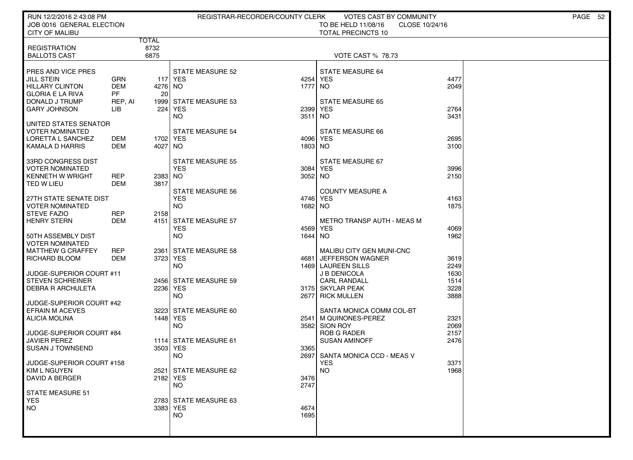| RUN 12/2/2016 2:43:08 PM<br>JOB 0016 GENERAL ELECTION                                                                          |                                                  |                       | REGISTRAR-RECORDER/COUNTY CLERK                                           |                         | VOTES CAST BY COMMUNITY<br>TO BE HELD 11/08/16                                                         | CLOSE 10/24/16               | PAGE 52 |
|--------------------------------------------------------------------------------------------------------------------------------|--------------------------------------------------|-----------------------|---------------------------------------------------------------------------|-------------------------|--------------------------------------------------------------------------------------------------------|------------------------------|---------|
| <b>CITY OF MALIBU</b>                                                                                                          |                                                  |                       |                                                                           |                         | <b>TOTAL PRECINCTS 10</b>                                                                              |                              |         |
| <b>REGISTRATION</b><br><b>BALLOTS CAST</b>                                                                                     |                                                  | TOTAL<br>8732<br>6875 |                                                                           |                         | <b>VOTE CAST % 78.73</b>                                                                               |                              |         |
| PRES AND VICE PRES<br><b>JILL STEIN</b><br>HILLARY CLINTON<br><b>GLORIA E LA RIVA</b><br>DONALD J TRUMP<br><b>GARY JOHNSON</b> | GRN<br><b>DEM</b><br><b>PF</b><br>REP, AI<br>LІВ | 4276 NO<br>20<br>224  | <b>STATE MEASURE 52</b><br>117 YES<br>1999 STATE MEASURE 53<br><b>YES</b> | 4254<br>1777<br>2399    | <b>STATE MEASURE 64</b><br><b>YES</b><br>NO.<br><b>STATE MEASURE 65</b><br><b>YES</b>                  | 4477<br>2049<br>2764         |         |
| UNITED STATES SENATOR<br><b>VOTER NOMINATED</b><br>LORETTA L SANCHEZ<br>KAMALA D HARRIS                                        | <b>DEM</b><br>DEM                                | 1702 YES<br>4027 NO   | <b>NO</b><br><b>STATE MEASURE 54</b>                                      | 3511<br>4096<br>1803 NO | NO.<br>STATE MEASURE 66<br><b>YES</b>                                                                  | 3431<br>2695<br>3100         |         |
| 33RD CONGRESS DIST<br><b>VOTER NOMINATED</b><br><b>KENNETH W WRIGHT</b><br>TED W LIEU                                          | <b>REP</b><br><b>DEM</b>                         | 2383 NO<br>3817       | <b>STATE MEASURE 55</b><br><b>YES</b><br><b>STATE MEASURE 56</b>          | 3084<br>3052 NO         | STATE MEASURE 67<br><b>YES</b><br><b>COUNTY MEASURE A</b>                                              | 3996<br>2150                 |         |
| 27TH STATE SENATE DIST<br><b>VOTER NOMINATED</b><br><b>STEVE FAZIO</b><br>HENRY STERN                                          | <b>REP</b><br><b>DEM</b>                         | 2158                  | <b>YES</b><br><b>NO</b><br>4151 STATE MEASURE 57<br><b>YES</b>            | 4746<br>1682<br>4569    | <b>YES</b><br>NO.<br><b>METRO TRANSP AUTH - MEAS M</b><br><b>YES</b>                                   | 4163<br>1875<br>4069         |         |
| 50TH ASSEMBLY DIST<br><b>VOTER NOMINATED</b><br><b>MATTHEW G CRAFFEY</b><br>RICHARD BLOOM<br>JUDGE-SUPERIOR COURT #11          | <b>REP</b><br><b>DEM</b>                         | 2361<br>3723 YES      | <b>NO</b><br><b>STATE MEASURE 58</b><br><b>NO</b>                         | 1644<br>4681            | <b>NO</b><br>MALIBU CITY GEN MUNI-CNC<br>JEFFERSON WAGNER<br>1469 LAUREEN SILLS<br><b>J B DENICOLA</b> | 1962<br>3619<br>2249<br>1630 |         |
| <b>STEVEN SCHREINER</b><br><b>DEBRA R ARCHULETA</b>                                                                            |                                                  | 2236 YES              | 2456 STATE MEASURE 59<br><b>NO</b>                                        | 2677                    | <b>CARL RANDALL</b><br>3175 SKYLAR PEAK<br><b>RICK MULLEN</b>                                          | 1514<br>3228<br>3888         |         |
| JUDGE-SUPERIOR COURT #42<br><b>EFRAIN M ACEVES</b><br>ALICIA MOLINA<br>JUDGE-SUPERIOR COURT #84                                |                                                  | 1448   YES            | 3223 STATE MEASURE 60<br><b>NO</b>                                        | 2541<br>3582            | SANTA MONICA COMM COL-BT<br>M QUINONES-PEREZ<br>SION ROY<br><b>ROB G RADER</b>                         | 2321<br>2069<br>2157         |         |
| <b>JAVIER PEREZ</b><br><b>SUSAN J TOWNSEND</b><br>JUDGE-SUPERIOR COURT #158                                                    |                                                  | 3503 YES              | 1114 STATE MEASURE 61<br><b>NO</b>                                        | 3365<br>2697            | <b>SUSAN AMINOFF</b><br>SANTA MONICA CCD - MEAS V<br><b>YES</b>                                        | 2476<br>3371                 |         |
| KIM L NGUYEN<br>DAVID A BERGER                                                                                                 |                                                  | 2182 YES              | 2521 STATE MEASURE 62<br><b>NO</b>                                        | 3476<br>2747            | NO.                                                                                                    | 1968                         |         |
| STATE MEASURE 51<br><b>YES</b><br><b>NO</b>                                                                                    |                                                  | 3383 YES              | 2783 STATE MEASURE 63<br><b>NO</b>                                        | 4674<br>1695            |                                                                                                        |                              |         |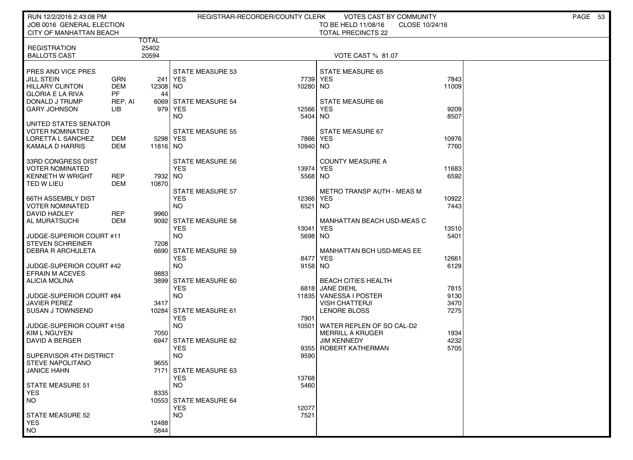| RUN 12/2/2016 2:43:08 PM                          |            |          |                                     | REGISTRAR-RECORDER/COUNTY CLERK | VOTES CAST BY COMMUNITY                       |               | PAGE 53 |
|---------------------------------------------------|------------|----------|-------------------------------------|---------------------------------|-----------------------------------------------|---------------|---------|
| JOB 0016 GENERAL ELECTION                         |            |          |                                     |                                 | TO BE HELD 11/08/16<br>CLOSE 10/24/16         |               |         |
| CITY OF MANHATTAN BEACH                           |            |          |                                     |                                 | <b>TOTAL PRECINCTS 22</b>                     |               |         |
|                                                   |            | TOTAL    |                                     |                                 |                                               |               |         |
| <b>REGISTRATION</b>                               |            | 25402    |                                     |                                 |                                               |               |         |
| <b>BALLOTS CAST</b>                               |            | 20594    |                                     |                                 | VOTE CAST % 81.07                             |               |         |
| PRES AND VICE PRES                                |            |          | <b>STATE MEASURE 53</b>             |                                 | <b>STATE MEASURE 65</b>                       |               |         |
| JILL STEIN                                        | GRN        | 241      | <b>YES</b>                          | 7739                            | <b>YES</b>                                    | 7843          |         |
| <b>HILLARY CLINTON</b>                            | <b>DEM</b> | 12308 NO |                                     | 10280                           | NO.                                           | 11009         |         |
| <b>GLORIA E LA RIVA</b>                           | PF         | 44       |                                     |                                 |                                               |               |         |
| DONALD J TRUMP                                    | REP, AI    |          | 6069 STATE MEASURE 54               |                                 | STATE MEASURE 66                              |               |         |
| GARY JOHNSON                                      | LIB        |          | 979 YES                             | 12566                           | <b>YES</b>                                    | 9209<br>8507  |         |
| UNITED STATES SENATOR                             |            |          | NO                                  | 5404                            | NO.                                           |               |         |
| <b>VOTER NOMINATED</b>                            |            |          | <b>STATE MEASURE 55</b>             |                                 | STATE MEASURE 67                              |               |         |
| LORETTA L SANCHEZ                                 | DEM        | 5298 YES |                                     | 7866                            | <b>YES</b>                                    | 10976         |         |
| KAMALA D HARRIS                                   | DEM        | 11816 NO |                                     | 10940 NO                        |                                               | 7760          |         |
|                                                   |            |          |                                     |                                 |                                               |               |         |
| 33RD CONGRESS DIST                                |            |          | STATE MEASURE 56                    |                                 | <b>COUNTY MEASURE A</b>                       |               |         |
| <b>VOTER NOMINATED</b><br><b>KENNETH W WRIGHT</b> | REP        | 7932 NO  | <b>YES</b>                          | 13974<br>5568                   | <b>YES</b><br>NO                              | 11683<br>6592 |         |
| TED W LIEU                                        | <b>DEM</b> | 10870    |                                     |                                 |                                               |               |         |
|                                                   |            |          | <b>STATE MEASURE 57</b>             |                                 | <b>METRO TRANSP AUTH - MEAS M</b>             |               |         |
| <b>66TH ASSEMBLY DIST</b>                         |            |          | <b>YES</b>                          | 12366                           | <b>YES</b>                                    | 10922         |         |
| <b>VOTER NOMINATED</b>                            |            |          | NO                                  | 6521                            | NO.                                           | 7443          |         |
| <b>DAVID HADLEY</b>                               | REP        | 9960     |                                     |                                 |                                               |               |         |
| AL MURATSUCHI                                     | DEM        |          | 9092 STATE MEASURE 58               |                                 | <b>MANHATTAN BEACH USD-MEAS C</b>             |               |         |
| JUDGE-SUPERIOR COURT #11                          |            |          | YES<br>NO.                          | 13041<br>5698                   | <b>YES</b><br>NO.                             | 13510<br>5401 |         |
| <b>STEVEN SCHREINER</b>                           |            | 7208     |                                     |                                 |                                               |               |         |
| <b>DEBRA R ARCHULETA</b>                          |            | 6690     | <b>STATE MEASURE 59</b>             |                                 | <b>MANHATTAN BCH USD-MEAS EE</b>              |               |         |
|                                                   |            |          | <b>YES</b>                          | 8477                            | <b>YES</b>                                    | 12661         |         |
| JUDGE-SUPERIOR COURT #42                          |            |          | NO.                                 | 9158 NO                         |                                               | 6129          |         |
| <b>EFRAIN M ACEVES</b>                            |            | 9883     |                                     |                                 |                                               |               |         |
| <b>ALICIA MOLINA</b>                              |            |          | 3899 STATE MEASURE 60<br><b>YES</b> |                                 | <b>BEACH CITIES HEALTH</b><br>6818 JANE DIEHL | 7815          |         |
| JUDGE-SUPERIOR COURT #84                          |            |          | <b>NO</b>                           | 11835                           | VANESSA I POSTER                              | 9130          |         |
| <b>JAVIER PEREZ</b>                               |            | 3417     |                                     |                                 | <b>VISH CHATTERJI</b>                         | 3470          |         |
| <b>SUSAN J TOWNSEND</b>                           |            |          | 10284 STATE MEASURE 61              |                                 | LENORE BLOSS                                  | 7275          |         |
|                                                   |            |          | <b>YES</b>                          | 7901                            |                                               |               |         |
| JUDGE-SUPERIOR COURT #158                         |            |          | <b>NO</b>                           | 10501                           | WATER REPLEN OF SO CAL-D2                     |               |         |
| <b>KIM L NGUYEN</b>                               |            | 7050     |                                     |                                 | <b>MERRILL A KRUGER</b><br><b>JIM KENNEDY</b> | 1934          |         |
| DAVID A BERGER                                    |            |          | 6947 STATE MEASURE 62<br><b>YES</b> | 9355                            | ROBERT KATHERMAN                              | 4232<br>5705  |         |
| SUPERVISOR 4TH DISTRICT                           |            |          | <b>NO</b>                           | 9590                            |                                               |               |         |
| <b>STEVE NAPOLITANO</b>                           |            | 9655     |                                     |                                 |                                               |               |         |
| JANICE HAHN                                       |            |          | 7171 STATE MEASURE 63               |                                 |                                               |               |         |
|                                                   |            |          | <b>YES</b>                          | 13768                           |                                               |               |         |
| <b>STATE MEASURE 51</b>                           |            |          | <b>NO</b>                           | 5460                            |                                               |               |         |
| <b>YES</b><br><b>NO</b>                           |            | 8335     | 10553 STATE MEASURE 64              |                                 |                                               |               |         |
|                                                   |            |          | <b>YES</b>                          | 12077                           |                                               |               |         |
| <b>STATE MEASURE 52</b>                           |            |          | <b>NO</b>                           | 7521                            |                                               |               |         |
| <b>YES</b>                                        |            | 12488    |                                     |                                 |                                               |               |         |
| <b>NO</b>                                         |            | 5844     |                                     |                                 |                                               |               |         |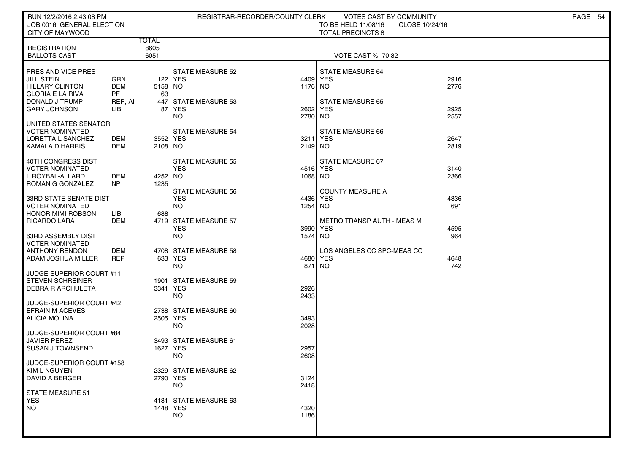| RUN 12/2/2016 2:43:08 PM<br>JOB 0016 GENERAL ELECTION                                   |                                |                     |                                                    | REGISTRAR-RECORDER/COUNTY CLERK | VOTES CAST BY COMMUNITY<br>TO BE HELD 11/08/16      | CLOSE 10/24/16 | PAGE 54 |
|-----------------------------------------------------------------------------------------|--------------------------------|---------------------|----------------------------------------------------|---------------------------------|-----------------------------------------------------|----------------|---------|
| CITY OF MAYWOOD                                                                         |                                | TOTAL               |                                                    |                                 | <b>TOTAL PRECINCTS 8</b>                            |                |         |
| <b>REGISTRATION</b><br><b>BALLOTS CAST</b>                                              |                                | 8605<br>6051        |                                                    |                                 | <b>VOTE CAST % 70.32</b>                            |                |         |
| PRES AND VICE PRES<br><b>JILL STEIN</b><br>HILLARY CLINTON<br><b>GLORIA E LA RIVA</b>   | GRN<br><b>DEM</b><br><b>PF</b> | $5158$ NO<br>63     | STATE MEASURE 52<br>122 YES                        | 1176 NO                         | STATE MEASURE 64<br>4409 YES                        | 2916<br>2776   |         |
| DONALD J TRUMP<br><b>GARY JOHNSON</b>                                                   | REP, AI<br>LIB                 | 447<br>87           | STATE MEASURE 53<br>YES<br>NO                      | 2602<br>2780 NO                 | <b>STATE MEASURE 65</b><br><b>YES</b>               | 2925<br>2557   |         |
| UNITED STATES SENATOR<br><b>VOTER NOMINATED</b><br>LORETTA L SANCHEZ<br>KAMALA D HARRIS | DEM<br>DEM                     | 3552 YES<br>2108 NO | STATE MEASURE 54                                   | 3211<br>2149 NO                 | STATE MEASURE 66<br><b>YES</b>                      | 2647<br>2819   |         |
| 40TH CONGRESS DIST<br><b>VOTER NOMINATED</b><br>L ROYBAL-ALLARD<br>ROMAN G GONZALEZ     | DEM<br>N <sub>P</sub>          | 4252 NO<br>1235     | <b>STATE MEASURE 55</b><br><b>YES</b>              | 1068 NO                         | STATE MEASURE 67<br>4516 YES                        | 3140<br>2366   |         |
| 33RD STATE SENATE DIST<br><b>VOTER NOMINATED</b><br><b>HONOR MIMI ROBSON</b>            | LІВ                            | 688                 | <b>STATE MEASURE 56</b><br><b>YES</b><br><b>NO</b> | 4436<br>1254 NO                 | <b>COUNTY MEASURE A</b><br><b>YES</b>               | 4836<br>691    |         |
| <b>RICARDO LARA</b><br>63RD ASSEMBLY DIST                                               | DEM                            |                     | 4719 STATE MEASURE 57<br><b>YES</b><br><b>NO</b>   | 1574 NO                         | <b>METRO TRANSP AUTH - MEAS M</b><br>3990 YES       | 4595<br>964    |         |
| <b>VOTER NOMINATED</b><br><b>ANTHONY RENDON</b><br>ADAM JOSHUA MILLER                   | <b>DEM</b><br><b>REP</b>       |                     | 4708 STATE MEASURE 58<br>633 YES<br><b>NO</b>      | 871                             | LOS ANGELES CC SPC-MEAS CC<br>4680 YES<br><b>NO</b> | 4648<br>742    |         |
| JUDGE-SUPERIOR COURT #11<br><b>STEVEN SCHREINER</b><br><b>DEBRA R ARCHULETA</b>         |                                | 3341 YES            | 1901 STATE MEASURE 59<br><b>NO</b>                 | 2926<br>2433                    |                                                     |                |         |
| JUDGE-SUPERIOR COURT #42<br><b>EFRAIN M ACEVES</b><br>ALICIA MOLINA                     |                                | 2505 YES            | 2738 STATE MEASURE 60<br><b>NO</b>                 | 3493<br>2028                    |                                                     |                |         |
| JUDGE-SUPERIOR COURT #84<br><b>JAVIER PEREZ</b><br>SUSAN J TOWNSEND                     |                                | 1627   YES          | 3493 STATE MEASURE 61<br><b>NO</b>                 | 2957<br>2608                    |                                                     |                |         |
| JUDGE-SUPERIOR COURT #158<br>  KIM L NGUYEN<br>DAVID A BERGER                           |                                | 2790 YES            | 2329 STATE MEASURE 62<br><b>NO</b>                 | 3124<br>2418                    |                                                     |                |         |
| STATE MEASURE 51<br><b>YES</b><br><b>NO</b>                                             |                                | 1448 YES            | 4181 STATE MEASURE 63<br><b>NO</b>                 | 4320<br>1186                    |                                                     |                |         |
|                                                                                         |                                |                     |                                                    |                                 |                                                     |                |         |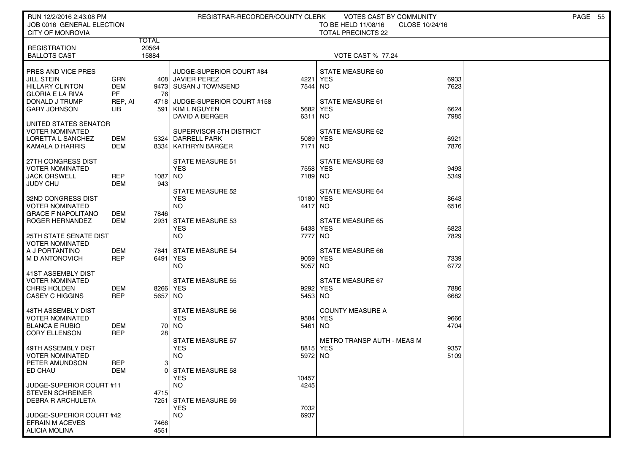| RUN 12/2/2016 2:43:08 PM<br>JOB 0016 GENERAL ELECTION<br><b>CITY OF MONROVIA</b>                        |                                           |                                | REGISTRAR-RECORDER/COUNTY CLERK                                                                         |                  | VOTES CAST BY COMMUNITY<br>TO BE HELD 11/08/16<br>CLOSE 10/24/16<br><b>TOTAL PRECINCTS 22</b> |              | PAGE 55 |
|---------------------------------------------------------------------------------------------------------|-------------------------------------------|--------------------------------|---------------------------------------------------------------------------------------------------------|------------------|-----------------------------------------------------------------------------------------------|--------------|---------|
| <b>REGISTRATION</b><br><b>BALLOTS CAST</b>                                                              |                                           | <b>TOTAL</b><br>20564<br>15884 |                                                                                                         |                  | <b>VOTE CAST % 77.24</b>                                                                      |              |         |
| PRES AND VICE PRES<br>JILL STEIN<br><b>HILLARY CLINTON</b><br><b>GLORIA E LA RIVA</b><br>DONALD J TRUMP | GRN<br><b>DEM</b><br><b>PF</b><br>REP, AI | 76                             | JUDGE-SUPERIOR COURT #84<br>408 JAVIER PEREZ<br>9473 SUSAN J TOWNSEND<br>4718 JUDGE-SUPERIOR COURT #158 | 4221<br>7544     | STATE MEASURE 60<br><b>YES</b><br>NO.<br>STATE MEASURE 61                                     | 6933<br>7623 |         |
| <b>GARY JOHNSON</b>                                                                                     | LIB                                       | 591                            | KIM L NGUYEN<br>DAVID A BERGER                                                                          | 5682<br>6311     | <b>YES</b><br>NO.                                                                             | 6624<br>7985 |         |
| UNITED STATES SENATOR<br>VOTER NOMINATED<br>LORETTA L SANCHEZ<br>KAMALA D HARRIS                        | DEM<br>DEM                                |                                | SUPERVISOR 5TH DISTRICT<br>5324 DARRELL PARK<br>8334   KATHRYN BARGER                                   | 7171             | STATE MEASURE 62<br>5089 YES<br>NO                                                            | 6921<br>7876 |         |
| 27TH CONGRESS DIST<br><b>VOTER NOMINATED</b><br><b>JACK ORSWELL</b><br>JUDY CHU                         | <b>REP</b><br>DEM                         | 1087 NO<br>943                 | <b>STATE MEASURE 51</b><br><b>YES</b>                                                                   | 7558<br>7189 NO  | STATE MEASURE 63<br><b>YES</b>                                                                | 9493<br>5349 |         |
| 32ND CONGRESS DIST<br><b>VOTER NOMINATED</b><br>GRACE F NAPOLITANO                                      | DEM                                       | 7846                           | <b>STATE MEASURE 52</b><br><b>YES</b><br><b>NO</b>                                                      | 10180<br>4417 NO | STATE MEASURE 64<br><b>YES</b>                                                                | 8643<br>6516 |         |
| ROGER HERNANDEZ<br><b>25TH STATE SENATE DIST</b>                                                        | DEM                                       | 2931                           | <b>STATE MEASURE 53</b><br><b>YES</b><br><b>NO</b>                                                      | 6438<br>7777     | <b>STATE MEASURE 65</b><br><b>YES</b><br>NO                                                   | 6823<br>7829 |         |
| <b>VOTER NOMINATED</b><br>A J PORTANTINO<br>M D ANTONOVICH                                              | DEM<br><b>REP</b>                         | 7841<br>6491 YES               | <b>STATE MEASURE 54</b><br><b>NO</b>                                                                    | 5057             | STATE MEASURE 66<br>9059 YES<br>NO                                                            | 7339<br>6772 |         |
| 41ST ASSEMBLY DIST<br><b>VOTER NOMINATED</b><br><b>CHRIS HOLDEN</b><br>CASEY C HIGGINS                  | DEM<br><b>REP</b>                         | 8266 YES<br>5657 NO            | <b>STATE MEASURE 55</b>                                                                                 | 9292<br>5453 NO  | STATE MEASURE 67<br><b>YES</b>                                                                | 7886<br>6682 |         |
| 48TH ASSEMBLY DIST<br><b>VOTER NOMINATED</b><br><b>BLANCA E RUBIO</b><br><b>CORY ELLENSON</b>           | DEM<br>REP                                | 28                             | <b>STATE MEASURE 56</b><br><b>YES</b><br>70 NO                                                          | 9584<br>5461     | <b>COUNTY MEASURE A</b><br><b>YES</b><br>NO.                                                  | 9666<br>4704 |         |
| 49TH ASSEMBLY DIST<br><b>VOTER NOMINATED</b><br>PETER AMUNDSON                                          | REP                                       | $\mathbf{3}$                   | <b>STATE MEASURE 57</b><br><b>YES</b><br><b>NO</b>                                                      | 8815<br>5972     | <b>METRO TRANSP AUTH - MEAS M</b><br><b>YES</b><br>NO.                                        | 9357<br>5109 |         |
| ED CHAU<br>JUDGE-SUPERIOR COURT #11<br><b>STEVEN SCHREINER</b>                                          | DEM                                       | 4715                           | 0 STATE MEASURE 58<br><b>YES</b><br>NO.                                                                 | 10457<br>4245    |                                                                                               |              |         |
| <b>DEBRA R ARCHULETA</b>                                                                                |                                           | 7251                           | <b>STATE MEASURE 59</b><br><b>YES</b>                                                                   | 7032             |                                                                                               |              |         |
| JUDGE-SUPERIOR COURT #42<br><b>EFRAIN M ACEVES</b><br><b>ALICIA MOLINA</b>                              |                                           | 7466<br>4551                   | <b>NO</b>                                                                                               | 6937             |                                                                                               |              |         |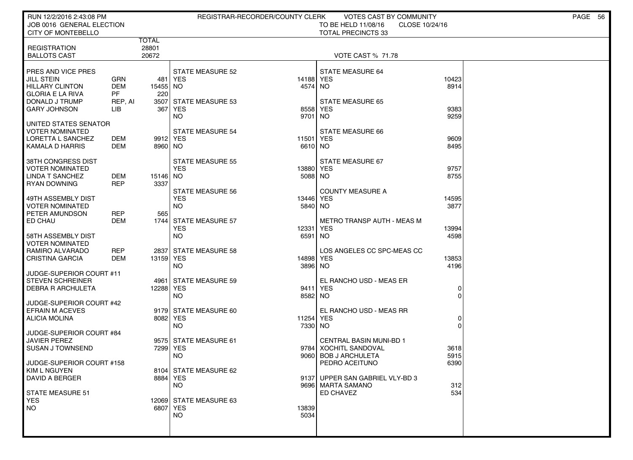| RUN 12/2/2016 2:43:08 PM<br>JOB 0016 GENERAL ELECTION                                                                                                                                                               | REGISTRAR-RECORDER/COUNTY CLERK                                                                | VOTES CAST BY COMMUNITY<br>TO BE HELD 11/08/16<br>CLOSE 10/24/16                                                              | PAGE 56 |
|---------------------------------------------------------------------------------------------------------------------------------------------------------------------------------------------------------------------|------------------------------------------------------------------------------------------------|-------------------------------------------------------------------------------------------------------------------------------|---------|
| CITY OF MONTEBELLO                                                                                                                                                                                                  |                                                                                                | <b>TOTAL PRECINCTS 33</b>                                                                                                     |         |
| TOTAL<br>28801<br><b>REGISTRATION</b><br><b>BALLOTS CAST</b><br>20672                                                                                                                                               |                                                                                                | VOTE CAST % 71.78                                                                                                             |         |
| PRES AND VICE PRES<br>JILL STEIN<br><b>GRN</b><br>481<br><b>DEM</b><br><b>HILLARY CLINTON</b><br>15455 NO<br><b>GLORIA E LA RIVA</b><br>PF<br>220<br>DONALD J TRUMP<br>REP, AI<br><b>GARY JOHNSON</b><br>LIB<br>367 | <b>STATE MEASURE 52</b><br><b>YES</b><br>14188<br>4574<br>3507 STATE MEASURE 53<br>YES<br>8558 | STATE MEASURE 64<br>10423<br><b>YES</b><br>NO.<br>8914<br><b>STATE MEASURE 65</b><br>9383<br><b>YES</b>                       |         |
| UNITED STATES SENATOR                                                                                                                                                                                               | <b>NO</b><br>9701                                                                              | 9259<br>NO.                                                                                                                   |         |
| <b>VOTER NOMINATED</b><br>LORETTA L SANCHEZ<br>DEM<br>KAMALA D HARRIS<br>DEM                                                                                                                                        | STATE MEASURE 54<br>9912 YES<br>11501<br>8960 NO<br>6610 NO                                    | STATE MEASURE 66<br><b>YES</b><br>9609<br>8495                                                                                |         |
| 38TH CONGRESS DIST<br><b>VOTER NOMINATED</b><br><b>LINDA T SANCHEZ</b><br>DEM<br>15146 NO<br><b>REP</b><br><b>RYAN DOWNING</b><br>3337                                                                              | <b>STATE MEASURE 55</b><br><b>YES</b><br>13880<br>5088                                         | STATE MEASURE 67<br><b>YES</b><br>9757<br>NO<br>8755                                                                          |         |
| 49TH ASSEMBLY DIST<br><b>VOTER NOMINATED</b><br>PETER AMUNDSON<br>565<br>REP                                                                                                                                        | <b>STATE MEASURE 56</b><br><b>YES</b><br>13446<br><b>NO</b><br>5840                            | <b>COUNTY MEASURE A</b><br><b>YES</b><br>14595<br>NO<br>3877                                                                  |         |
| ED CHAU<br>DEM<br>58TH ASSEMBLY DIST<br><b>VOTER NOMINATED</b>                                                                                                                                                      | 1744 STATE MEASURE 57<br><b>YES</b><br>12331<br><b>NO</b><br>6591                              | METRO TRANSP AUTH - MEAS M<br><b>YES</b><br>13994<br>4598<br>NO.                                                              |         |
| <b>REP</b><br>RAMIRO ALVARADO<br>2837<br><b>CRISTINA GARCIA</b><br>DEM                                                                                                                                              | <b>STATE MEASURE 58</b><br>13159 YES<br>14898<br><b>NO</b><br>3896                             | LOS ANGELES CC SPC-MEAS CC<br><b>YES</b><br>13853<br><b>NO</b><br>4196                                                        |         |
| JUDGE-SUPERIOR COURT #11<br><b>STEVEN SCHREINER</b><br>4961<br><b>DEBRA R ARCHULETA</b>                                                                                                                             | <b>STATE MEASURE 59</b><br>12288 YES<br>9411<br><b>NO</b><br>8582                              | EL RANCHO USD - MEAS ER<br><b>YES</b><br>0<br>NO<br>$\Omega$                                                                  |         |
| JUDGE-SUPERIOR COURT #42<br><b>EFRAIN M ACEVES</b><br><b>ALICIA MOLINA</b><br>JUDGE-SUPERIOR COURT #84                                                                                                              | 9179 STATE MEASURE 60<br>8082 YES<br>11254<br><b>NO</b><br>7330                                | EL RANCHO USD - MEAS RR<br><b>YES</b><br>0<br>NO.<br>$\Omega$                                                                 |         |
| <b>JAVIER PEREZ</b><br><b>SUSAN J TOWNSEND</b><br>JUDGE-SUPERIOR COURT #158                                                                                                                                         | 9575 STATE MEASURE 61<br>7299   YES<br>9784<br><b>NO</b><br>9060                               | <b>CENTRAL BASIN MUNI-BD 1</b><br><b>XOCHITL SANDOVAL</b><br>3618<br><b>BOB J ARCHULETA</b><br>5915<br>PEDRO ACEITUNO<br>6390 |         |
| KIM L NGUYEN<br><b>DAVID A BERGER</b><br>STATE MEASURE 51                                                                                                                                                           | 8104 STATE MEASURE 62<br>8884 YES<br>NO.                                                       | 9137 UPPER SAN GABRIEL VLY-BD 3<br>9696 MARTA SAMANO<br>312<br><b>ED CHAVEZ</b><br>534                                        |         |
| <b>YES</b><br>NO.                                                                                                                                                                                                   | 12069 STATE MEASURE 63<br>6807 YES<br>13839<br><b>NO</b><br>5034                               |                                                                                                                               |         |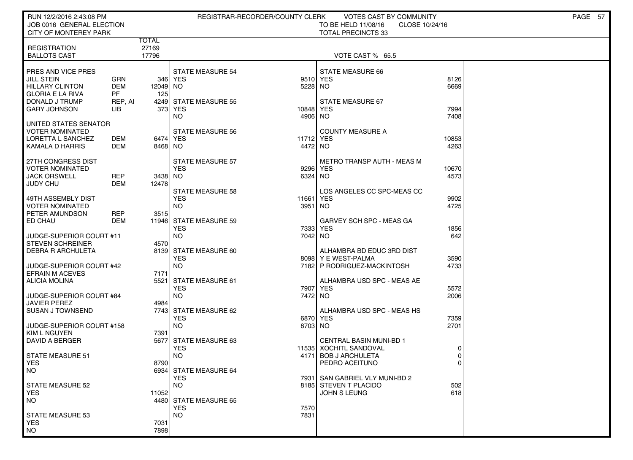| JOB 0016 GENERAL ELECTION<br>TO BE HELD 11/08/16<br>CLOSE 10/24/16<br><b>CITY OF MONTEREY PARK</b><br><b>TOTAL PRECINCTS 33</b><br>TOTAL<br>27169<br><b>REGISTRATION</b><br>17796<br><b>BALLOTS CAST</b><br>VOTE CAST % 65.5<br>PRES AND VICE PRES<br><b>STATE MEASURE 54</b><br><b>STATE MEASURE 66</b><br>JILL STEIN<br><b>GRN</b><br>346 l<br>YES<br>9510 YES<br>8126<br><b>DEM</b><br>5228 NO<br>6669<br><b>HILLARY CLINTON</b><br>12049 NO<br>PF<br><b>GLORIA E LA RIVA</b><br>125<br>DONALD J TRUMP<br>4249 STATE MEASURE 55<br>STATE MEASURE 67<br>REP, AI<br><b>GARY JOHNSON</b><br>LIB<br>3731<br><b>YES</b><br>10848<br><b>YES</b><br>7994<br>NO.<br>4906 NO<br>7408<br>UNITED STATES SENATOR<br><b>VOTER NOMINATED</b><br><b>COUNTY MEASURE A</b><br>STATE MEASURE 56<br>LORETTA L SANCHEZ<br>DEM<br>6474 YES<br>11712 YES<br>10853<br>4472 NO<br>4263<br>KAMALA D HARRIS<br>DEM<br>8468 NO<br><b>METRO TRANSP AUTH - MEAS M</b><br>27TH CONGRESS DIST<br>STATE MEASURE 57<br><b>YES</b><br>VOTER NOMINATED<br>9296 YES<br>10670<br>JACK ORSWELL<br>REP<br>3438 NO<br>6324 NO<br>4573<br><b>DEM</b><br>JUDY CHU<br>12478<br><b>STATE MEASURE 58</b><br>LOS ANGELES CC SPC-MEAS CC<br>49TH ASSEMBLY DIST<br><b>YES</b><br><b>YES</b><br>11661<br>9902<br>VOTER NOMINATED<br>NO.<br>3951 NO<br>4725<br>PETER AMUNDSON<br>REP<br>3515<br>ED CHAU<br>DEM<br>11946 STATE MEASURE 59<br>GARVEY SCH SPC - MEAS GA<br><b>YES</b><br>7333<br><b>YES</b><br>1856<br><b>NO</b><br>642<br>JUDGE-SUPERIOR COURT #11<br>7042 NO<br><b>STEVEN SCHREINER</b><br>4570<br><b>DEBRA R ARCHULETA</b><br>8139<br>STATE MEASURE 60<br>ALHAMBRA BD EDUC 3RD DIST<br><b>YES</b><br>8098 Y E WEST-PALMA<br>3590<br>JUDGE-SUPERIOR COURT #42<br>NO.<br>7182 P RODRIGUEZ-MACKINTOSH<br>4733<br><b>EFRAIN M ACEVES</b><br>7171<br><b>ALICIA MOLINA</b><br>5521<br><b>STATE MEASURE 61</b><br>ALHAMBRA USD SPC - MEAS AE<br><b>YES</b><br>7907 YES<br>5572<br><b>NO</b><br>JUDGE-SUPERIOR COURT #84<br>7472 NO<br>2006<br><b>JAVIER PEREZ</b><br>4984<br>7743 STATE MEASURE 62<br>ALHAMBRA USD SPC - MEAS HS<br><b>SUSAN J TOWNSEND</b><br>6870 YES<br><b>YES</b><br>7359<br>JUDGE-SUPERIOR COURT #158<br>NO.<br>8703 NO<br>2701<br><b>KIM L NGUYEN</b><br>7391<br><b>DAVID A BERGER</b><br>5677<br><b>STATE MEASURE 63</b><br><b>CENTRAL BASIN MUNI-BD 1</b><br><b>YES</b><br>11535   XOCHITL SANDOVAL<br>0<br><b>NO</b><br><b>STATE MEASURE 51</b><br><b>BOB J ARCHULETA</b><br>$\Omega$<br>4171<br><b>YES</b><br>8790<br>PEDRO ACEITUNO<br>0<br>6934 STATE MEASURE 64<br><b>NO</b><br><b>YES</b><br>7931 SAN GABRIEL VLY MUNI-BD 2<br>STATE MEASURE 52<br><b>NO</b><br>8185 STEVEN T PLACIDO<br>502<br>618<br><b>YES</b><br>11052<br>JOHN S LEUNG<br><b>NO</b><br>4480<br><b>STATE MEASURE 65</b><br>YES.<br>7570<br><b>NO</b><br>STATE MEASURE 53<br>7831<br>7031 | RUN 12/2/2016 2:43:08 PM |      | REGISTRAR-RECORDER/COUNTY CLERK | VOTES CAST BY COMMUNITY | PAGE 57 |
|-----------------------------------------------------------------------------------------------------------------------------------------------------------------------------------------------------------------------------------------------------------------------------------------------------------------------------------------------------------------------------------------------------------------------------------------------------------------------------------------------------------------------------------------------------------------------------------------------------------------------------------------------------------------------------------------------------------------------------------------------------------------------------------------------------------------------------------------------------------------------------------------------------------------------------------------------------------------------------------------------------------------------------------------------------------------------------------------------------------------------------------------------------------------------------------------------------------------------------------------------------------------------------------------------------------------------------------------------------------------------------------------------------------------------------------------------------------------------------------------------------------------------------------------------------------------------------------------------------------------------------------------------------------------------------------------------------------------------------------------------------------------------------------------------------------------------------------------------------------------------------------------------------------------------------------------------------------------------------------------------------------------------------------------------------------------------------------------------------------------------------------------------------------------------------------------------------------------------------------------------------------------------------------------------------------------------------------------------------------------------------------------------------------------------------------------------------------------------------------------------------------------------------------------------------------------------------------------------------------------------------------------------------------------------------------------------------------------------------------------------------------------------------------------------------------------------------------------------------|--------------------------|------|---------------------------------|-------------------------|---------|
|                                                                                                                                                                                                                                                                                                                                                                                                                                                                                                                                                                                                                                                                                                                                                                                                                                                                                                                                                                                                                                                                                                                                                                                                                                                                                                                                                                                                                                                                                                                                                                                                                                                                                                                                                                                                                                                                                                                                                                                                                                                                                                                                                                                                                                                                                                                                                                                                                                                                                                                                                                                                                                                                                                                                                                                                                                                     |                          |      |                                 |                         |         |
|                                                                                                                                                                                                                                                                                                                                                                                                                                                                                                                                                                                                                                                                                                                                                                                                                                                                                                                                                                                                                                                                                                                                                                                                                                                                                                                                                                                                                                                                                                                                                                                                                                                                                                                                                                                                                                                                                                                                                                                                                                                                                                                                                                                                                                                                                                                                                                                                                                                                                                                                                                                                                                                                                                                                                                                                                                                     |                          |      |                                 |                         |         |
|                                                                                                                                                                                                                                                                                                                                                                                                                                                                                                                                                                                                                                                                                                                                                                                                                                                                                                                                                                                                                                                                                                                                                                                                                                                                                                                                                                                                                                                                                                                                                                                                                                                                                                                                                                                                                                                                                                                                                                                                                                                                                                                                                                                                                                                                                                                                                                                                                                                                                                                                                                                                                                                                                                                                                                                                                                                     |                          |      |                                 |                         |         |
|                                                                                                                                                                                                                                                                                                                                                                                                                                                                                                                                                                                                                                                                                                                                                                                                                                                                                                                                                                                                                                                                                                                                                                                                                                                                                                                                                                                                                                                                                                                                                                                                                                                                                                                                                                                                                                                                                                                                                                                                                                                                                                                                                                                                                                                                                                                                                                                                                                                                                                                                                                                                                                                                                                                                                                                                                                                     |                          |      |                                 |                         |         |
|                                                                                                                                                                                                                                                                                                                                                                                                                                                                                                                                                                                                                                                                                                                                                                                                                                                                                                                                                                                                                                                                                                                                                                                                                                                                                                                                                                                                                                                                                                                                                                                                                                                                                                                                                                                                                                                                                                                                                                                                                                                                                                                                                                                                                                                                                                                                                                                                                                                                                                                                                                                                                                                                                                                                                                                                                                                     |                          |      |                                 |                         |         |
|                                                                                                                                                                                                                                                                                                                                                                                                                                                                                                                                                                                                                                                                                                                                                                                                                                                                                                                                                                                                                                                                                                                                                                                                                                                                                                                                                                                                                                                                                                                                                                                                                                                                                                                                                                                                                                                                                                                                                                                                                                                                                                                                                                                                                                                                                                                                                                                                                                                                                                                                                                                                                                                                                                                                                                                                                                                     |                          |      |                                 |                         |         |
|                                                                                                                                                                                                                                                                                                                                                                                                                                                                                                                                                                                                                                                                                                                                                                                                                                                                                                                                                                                                                                                                                                                                                                                                                                                                                                                                                                                                                                                                                                                                                                                                                                                                                                                                                                                                                                                                                                                                                                                                                                                                                                                                                                                                                                                                                                                                                                                                                                                                                                                                                                                                                                                                                                                                                                                                                                                     |                          |      |                                 |                         |         |
|                                                                                                                                                                                                                                                                                                                                                                                                                                                                                                                                                                                                                                                                                                                                                                                                                                                                                                                                                                                                                                                                                                                                                                                                                                                                                                                                                                                                                                                                                                                                                                                                                                                                                                                                                                                                                                                                                                                                                                                                                                                                                                                                                                                                                                                                                                                                                                                                                                                                                                                                                                                                                                                                                                                                                                                                                                                     |                          |      |                                 |                         |         |
|                                                                                                                                                                                                                                                                                                                                                                                                                                                                                                                                                                                                                                                                                                                                                                                                                                                                                                                                                                                                                                                                                                                                                                                                                                                                                                                                                                                                                                                                                                                                                                                                                                                                                                                                                                                                                                                                                                                                                                                                                                                                                                                                                                                                                                                                                                                                                                                                                                                                                                                                                                                                                                                                                                                                                                                                                                                     |                          |      |                                 |                         |         |
|                                                                                                                                                                                                                                                                                                                                                                                                                                                                                                                                                                                                                                                                                                                                                                                                                                                                                                                                                                                                                                                                                                                                                                                                                                                                                                                                                                                                                                                                                                                                                                                                                                                                                                                                                                                                                                                                                                                                                                                                                                                                                                                                                                                                                                                                                                                                                                                                                                                                                                                                                                                                                                                                                                                                                                                                                                                     |                          |      |                                 |                         |         |
|                                                                                                                                                                                                                                                                                                                                                                                                                                                                                                                                                                                                                                                                                                                                                                                                                                                                                                                                                                                                                                                                                                                                                                                                                                                                                                                                                                                                                                                                                                                                                                                                                                                                                                                                                                                                                                                                                                                                                                                                                                                                                                                                                                                                                                                                                                                                                                                                                                                                                                                                                                                                                                                                                                                                                                                                                                                     |                          |      |                                 |                         |         |
|                                                                                                                                                                                                                                                                                                                                                                                                                                                                                                                                                                                                                                                                                                                                                                                                                                                                                                                                                                                                                                                                                                                                                                                                                                                                                                                                                                                                                                                                                                                                                                                                                                                                                                                                                                                                                                                                                                                                                                                                                                                                                                                                                                                                                                                                                                                                                                                                                                                                                                                                                                                                                                                                                                                                                                                                                                                     |                          |      |                                 |                         |         |
|                                                                                                                                                                                                                                                                                                                                                                                                                                                                                                                                                                                                                                                                                                                                                                                                                                                                                                                                                                                                                                                                                                                                                                                                                                                                                                                                                                                                                                                                                                                                                                                                                                                                                                                                                                                                                                                                                                                                                                                                                                                                                                                                                                                                                                                                                                                                                                                                                                                                                                                                                                                                                                                                                                                                                                                                                                                     |                          |      |                                 |                         |         |
|                                                                                                                                                                                                                                                                                                                                                                                                                                                                                                                                                                                                                                                                                                                                                                                                                                                                                                                                                                                                                                                                                                                                                                                                                                                                                                                                                                                                                                                                                                                                                                                                                                                                                                                                                                                                                                                                                                                                                                                                                                                                                                                                                                                                                                                                                                                                                                                                                                                                                                                                                                                                                                                                                                                                                                                                                                                     |                          |      |                                 |                         |         |
|                                                                                                                                                                                                                                                                                                                                                                                                                                                                                                                                                                                                                                                                                                                                                                                                                                                                                                                                                                                                                                                                                                                                                                                                                                                                                                                                                                                                                                                                                                                                                                                                                                                                                                                                                                                                                                                                                                                                                                                                                                                                                                                                                                                                                                                                                                                                                                                                                                                                                                                                                                                                                                                                                                                                                                                                                                                     |                          |      |                                 |                         |         |
|                                                                                                                                                                                                                                                                                                                                                                                                                                                                                                                                                                                                                                                                                                                                                                                                                                                                                                                                                                                                                                                                                                                                                                                                                                                                                                                                                                                                                                                                                                                                                                                                                                                                                                                                                                                                                                                                                                                                                                                                                                                                                                                                                                                                                                                                                                                                                                                                                                                                                                                                                                                                                                                                                                                                                                                                                                                     |                          |      |                                 |                         |         |
|                                                                                                                                                                                                                                                                                                                                                                                                                                                                                                                                                                                                                                                                                                                                                                                                                                                                                                                                                                                                                                                                                                                                                                                                                                                                                                                                                                                                                                                                                                                                                                                                                                                                                                                                                                                                                                                                                                                                                                                                                                                                                                                                                                                                                                                                                                                                                                                                                                                                                                                                                                                                                                                                                                                                                                                                                                                     |                          |      |                                 |                         |         |
|                                                                                                                                                                                                                                                                                                                                                                                                                                                                                                                                                                                                                                                                                                                                                                                                                                                                                                                                                                                                                                                                                                                                                                                                                                                                                                                                                                                                                                                                                                                                                                                                                                                                                                                                                                                                                                                                                                                                                                                                                                                                                                                                                                                                                                                                                                                                                                                                                                                                                                                                                                                                                                                                                                                                                                                                                                                     |                          |      |                                 |                         |         |
|                                                                                                                                                                                                                                                                                                                                                                                                                                                                                                                                                                                                                                                                                                                                                                                                                                                                                                                                                                                                                                                                                                                                                                                                                                                                                                                                                                                                                                                                                                                                                                                                                                                                                                                                                                                                                                                                                                                                                                                                                                                                                                                                                                                                                                                                                                                                                                                                                                                                                                                                                                                                                                                                                                                                                                                                                                                     |                          |      |                                 |                         |         |
|                                                                                                                                                                                                                                                                                                                                                                                                                                                                                                                                                                                                                                                                                                                                                                                                                                                                                                                                                                                                                                                                                                                                                                                                                                                                                                                                                                                                                                                                                                                                                                                                                                                                                                                                                                                                                                                                                                                                                                                                                                                                                                                                                                                                                                                                                                                                                                                                                                                                                                                                                                                                                                                                                                                                                                                                                                                     |                          |      |                                 |                         |         |
|                                                                                                                                                                                                                                                                                                                                                                                                                                                                                                                                                                                                                                                                                                                                                                                                                                                                                                                                                                                                                                                                                                                                                                                                                                                                                                                                                                                                                                                                                                                                                                                                                                                                                                                                                                                                                                                                                                                                                                                                                                                                                                                                                                                                                                                                                                                                                                                                                                                                                                                                                                                                                                                                                                                                                                                                                                                     |                          |      |                                 |                         |         |
|                                                                                                                                                                                                                                                                                                                                                                                                                                                                                                                                                                                                                                                                                                                                                                                                                                                                                                                                                                                                                                                                                                                                                                                                                                                                                                                                                                                                                                                                                                                                                                                                                                                                                                                                                                                                                                                                                                                                                                                                                                                                                                                                                                                                                                                                                                                                                                                                                                                                                                                                                                                                                                                                                                                                                                                                                                                     |                          |      |                                 |                         |         |
|                                                                                                                                                                                                                                                                                                                                                                                                                                                                                                                                                                                                                                                                                                                                                                                                                                                                                                                                                                                                                                                                                                                                                                                                                                                                                                                                                                                                                                                                                                                                                                                                                                                                                                                                                                                                                                                                                                                                                                                                                                                                                                                                                                                                                                                                                                                                                                                                                                                                                                                                                                                                                                                                                                                                                                                                                                                     |                          |      |                                 |                         |         |
|                                                                                                                                                                                                                                                                                                                                                                                                                                                                                                                                                                                                                                                                                                                                                                                                                                                                                                                                                                                                                                                                                                                                                                                                                                                                                                                                                                                                                                                                                                                                                                                                                                                                                                                                                                                                                                                                                                                                                                                                                                                                                                                                                                                                                                                                                                                                                                                                                                                                                                                                                                                                                                                                                                                                                                                                                                                     |                          |      |                                 |                         |         |
|                                                                                                                                                                                                                                                                                                                                                                                                                                                                                                                                                                                                                                                                                                                                                                                                                                                                                                                                                                                                                                                                                                                                                                                                                                                                                                                                                                                                                                                                                                                                                                                                                                                                                                                                                                                                                                                                                                                                                                                                                                                                                                                                                                                                                                                                                                                                                                                                                                                                                                                                                                                                                                                                                                                                                                                                                                                     |                          |      |                                 |                         |         |
|                                                                                                                                                                                                                                                                                                                                                                                                                                                                                                                                                                                                                                                                                                                                                                                                                                                                                                                                                                                                                                                                                                                                                                                                                                                                                                                                                                                                                                                                                                                                                                                                                                                                                                                                                                                                                                                                                                                                                                                                                                                                                                                                                                                                                                                                                                                                                                                                                                                                                                                                                                                                                                                                                                                                                                                                                                                     |                          |      |                                 |                         |         |
|                                                                                                                                                                                                                                                                                                                                                                                                                                                                                                                                                                                                                                                                                                                                                                                                                                                                                                                                                                                                                                                                                                                                                                                                                                                                                                                                                                                                                                                                                                                                                                                                                                                                                                                                                                                                                                                                                                                                                                                                                                                                                                                                                                                                                                                                                                                                                                                                                                                                                                                                                                                                                                                                                                                                                                                                                                                     |                          |      |                                 |                         |         |
|                                                                                                                                                                                                                                                                                                                                                                                                                                                                                                                                                                                                                                                                                                                                                                                                                                                                                                                                                                                                                                                                                                                                                                                                                                                                                                                                                                                                                                                                                                                                                                                                                                                                                                                                                                                                                                                                                                                                                                                                                                                                                                                                                                                                                                                                                                                                                                                                                                                                                                                                                                                                                                                                                                                                                                                                                                                     |                          |      |                                 |                         |         |
|                                                                                                                                                                                                                                                                                                                                                                                                                                                                                                                                                                                                                                                                                                                                                                                                                                                                                                                                                                                                                                                                                                                                                                                                                                                                                                                                                                                                                                                                                                                                                                                                                                                                                                                                                                                                                                                                                                                                                                                                                                                                                                                                                                                                                                                                                                                                                                                                                                                                                                                                                                                                                                                                                                                                                                                                                                                     |                          |      |                                 |                         |         |
|                                                                                                                                                                                                                                                                                                                                                                                                                                                                                                                                                                                                                                                                                                                                                                                                                                                                                                                                                                                                                                                                                                                                                                                                                                                                                                                                                                                                                                                                                                                                                                                                                                                                                                                                                                                                                                                                                                                                                                                                                                                                                                                                                                                                                                                                                                                                                                                                                                                                                                                                                                                                                                                                                                                                                                                                                                                     |                          |      |                                 |                         |         |
|                                                                                                                                                                                                                                                                                                                                                                                                                                                                                                                                                                                                                                                                                                                                                                                                                                                                                                                                                                                                                                                                                                                                                                                                                                                                                                                                                                                                                                                                                                                                                                                                                                                                                                                                                                                                                                                                                                                                                                                                                                                                                                                                                                                                                                                                                                                                                                                                                                                                                                                                                                                                                                                                                                                                                                                                                                                     |                          |      |                                 |                         |         |
|                                                                                                                                                                                                                                                                                                                                                                                                                                                                                                                                                                                                                                                                                                                                                                                                                                                                                                                                                                                                                                                                                                                                                                                                                                                                                                                                                                                                                                                                                                                                                                                                                                                                                                                                                                                                                                                                                                                                                                                                                                                                                                                                                                                                                                                                                                                                                                                                                                                                                                                                                                                                                                                                                                                                                                                                                                                     |                          |      |                                 |                         |         |
|                                                                                                                                                                                                                                                                                                                                                                                                                                                                                                                                                                                                                                                                                                                                                                                                                                                                                                                                                                                                                                                                                                                                                                                                                                                                                                                                                                                                                                                                                                                                                                                                                                                                                                                                                                                                                                                                                                                                                                                                                                                                                                                                                                                                                                                                                                                                                                                                                                                                                                                                                                                                                                                                                                                                                                                                                                                     |                          |      |                                 |                         |         |
|                                                                                                                                                                                                                                                                                                                                                                                                                                                                                                                                                                                                                                                                                                                                                                                                                                                                                                                                                                                                                                                                                                                                                                                                                                                                                                                                                                                                                                                                                                                                                                                                                                                                                                                                                                                                                                                                                                                                                                                                                                                                                                                                                                                                                                                                                                                                                                                                                                                                                                                                                                                                                                                                                                                                                                                                                                                     |                          |      |                                 |                         |         |
|                                                                                                                                                                                                                                                                                                                                                                                                                                                                                                                                                                                                                                                                                                                                                                                                                                                                                                                                                                                                                                                                                                                                                                                                                                                                                                                                                                                                                                                                                                                                                                                                                                                                                                                                                                                                                                                                                                                                                                                                                                                                                                                                                                                                                                                                                                                                                                                                                                                                                                                                                                                                                                                                                                                                                                                                                                                     |                          |      |                                 |                         |         |
|                                                                                                                                                                                                                                                                                                                                                                                                                                                                                                                                                                                                                                                                                                                                                                                                                                                                                                                                                                                                                                                                                                                                                                                                                                                                                                                                                                                                                                                                                                                                                                                                                                                                                                                                                                                                                                                                                                                                                                                                                                                                                                                                                                                                                                                                                                                                                                                                                                                                                                                                                                                                                                                                                                                                                                                                                                                     |                          |      |                                 |                         |         |
|                                                                                                                                                                                                                                                                                                                                                                                                                                                                                                                                                                                                                                                                                                                                                                                                                                                                                                                                                                                                                                                                                                                                                                                                                                                                                                                                                                                                                                                                                                                                                                                                                                                                                                                                                                                                                                                                                                                                                                                                                                                                                                                                                                                                                                                                                                                                                                                                                                                                                                                                                                                                                                                                                                                                                                                                                                                     |                          |      |                                 |                         |         |
|                                                                                                                                                                                                                                                                                                                                                                                                                                                                                                                                                                                                                                                                                                                                                                                                                                                                                                                                                                                                                                                                                                                                                                                                                                                                                                                                                                                                                                                                                                                                                                                                                                                                                                                                                                                                                                                                                                                                                                                                                                                                                                                                                                                                                                                                                                                                                                                                                                                                                                                                                                                                                                                                                                                                                                                                                                                     |                          |      |                                 |                         |         |
|                                                                                                                                                                                                                                                                                                                                                                                                                                                                                                                                                                                                                                                                                                                                                                                                                                                                                                                                                                                                                                                                                                                                                                                                                                                                                                                                                                                                                                                                                                                                                                                                                                                                                                                                                                                                                                                                                                                                                                                                                                                                                                                                                                                                                                                                                                                                                                                                                                                                                                                                                                                                                                                                                                                                                                                                                                                     |                          |      |                                 |                         |         |
|                                                                                                                                                                                                                                                                                                                                                                                                                                                                                                                                                                                                                                                                                                                                                                                                                                                                                                                                                                                                                                                                                                                                                                                                                                                                                                                                                                                                                                                                                                                                                                                                                                                                                                                                                                                                                                                                                                                                                                                                                                                                                                                                                                                                                                                                                                                                                                                                                                                                                                                                                                                                                                                                                                                                                                                                                                                     |                          |      |                                 |                         |         |
|                                                                                                                                                                                                                                                                                                                                                                                                                                                                                                                                                                                                                                                                                                                                                                                                                                                                                                                                                                                                                                                                                                                                                                                                                                                                                                                                                                                                                                                                                                                                                                                                                                                                                                                                                                                                                                                                                                                                                                                                                                                                                                                                                                                                                                                                                                                                                                                                                                                                                                                                                                                                                                                                                                                                                                                                                                                     |                          |      |                                 |                         |         |
|                                                                                                                                                                                                                                                                                                                                                                                                                                                                                                                                                                                                                                                                                                                                                                                                                                                                                                                                                                                                                                                                                                                                                                                                                                                                                                                                                                                                                                                                                                                                                                                                                                                                                                                                                                                                                                                                                                                                                                                                                                                                                                                                                                                                                                                                                                                                                                                                                                                                                                                                                                                                                                                                                                                                                                                                                                                     |                          |      |                                 |                         |         |
|                                                                                                                                                                                                                                                                                                                                                                                                                                                                                                                                                                                                                                                                                                                                                                                                                                                                                                                                                                                                                                                                                                                                                                                                                                                                                                                                                                                                                                                                                                                                                                                                                                                                                                                                                                                                                                                                                                                                                                                                                                                                                                                                                                                                                                                                                                                                                                                                                                                                                                                                                                                                                                                                                                                                                                                                                                                     |                          |      |                                 |                         |         |
|                                                                                                                                                                                                                                                                                                                                                                                                                                                                                                                                                                                                                                                                                                                                                                                                                                                                                                                                                                                                                                                                                                                                                                                                                                                                                                                                                                                                                                                                                                                                                                                                                                                                                                                                                                                                                                                                                                                                                                                                                                                                                                                                                                                                                                                                                                                                                                                                                                                                                                                                                                                                                                                                                                                                                                                                                                                     |                          |      |                                 |                         |         |
|                                                                                                                                                                                                                                                                                                                                                                                                                                                                                                                                                                                                                                                                                                                                                                                                                                                                                                                                                                                                                                                                                                                                                                                                                                                                                                                                                                                                                                                                                                                                                                                                                                                                                                                                                                                                                                                                                                                                                                                                                                                                                                                                                                                                                                                                                                                                                                                                                                                                                                                                                                                                                                                                                                                                                                                                                                                     |                          |      |                                 |                         |         |
|                                                                                                                                                                                                                                                                                                                                                                                                                                                                                                                                                                                                                                                                                                                                                                                                                                                                                                                                                                                                                                                                                                                                                                                                                                                                                                                                                                                                                                                                                                                                                                                                                                                                                                                                                                                                                                                                                                                                                                                                                                                                                                                                                                                                                                                                                                                                                                                                                                                                                                                                                                                                                                                                                                                                                                                                                                                     | <b>YES</b>               |      |                                 |                         |         |
|                                                                                                                                                                                                                                                                                                                                                                                                                                                                                                                                                                                                                                                                                                                                                                                                                                                                                                                                                                                                                                                                                                                                                                                                                                                                                                                                                                                                                                                                                                                                                                                                                                                                                                                                                                                                                                                                                                                                                                                                                                                                                                                                                                                                                                                                                                                                                                                                                                                                                                                                                                                                                                                                                                                                                                                                                                                     | <b>NO</b>                | 7898 |                                 |                         |         |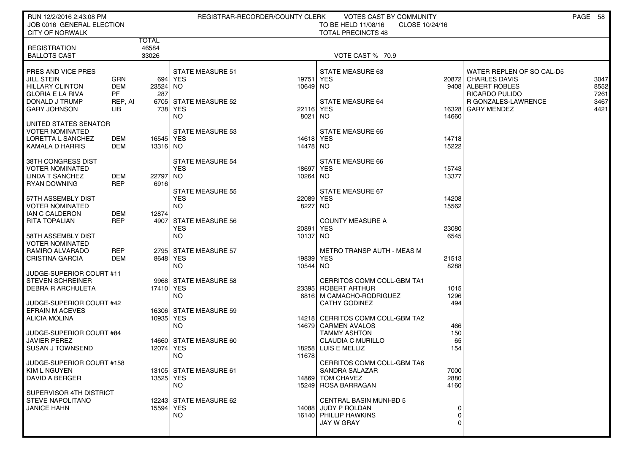| JOB 0016 GENERAL ELECTION<br>CLOSE 10/24/16<br><b>CITY OF NORWALK</b><br><b>TOTAL PRECINCTS 48</b><br><b>TOTAL</b> | RUN 12/2/2016 2:43:08 PM |       | REGISTRAR-RECORDER/COUNTY CLERK | VOTES CAST BY COMMUNITY |  | PAGE 58      |
|--------------------------------------------------------------------------------------------------------------------|--------------------------|-------|---------------------------------|-------------------------|--|--------------|
|                                                                                                                    |                          |       |                                 | TO BE HELD 11/08/16     |  |              |
|                                                                                                                    |                          |       |                                 |                         |  |              |
| 33026<br><b>BALLOTS CAST</b><br>VOTE CAST % 70.9                                                                   | <b>REGISTRATION</b>      | 46584 |                                 |                         |  |              |
|                                                                                                                    |                          |       |                                 |                         |  |              |
| PRES AND VICE PRES<br>STATE MEASURE 51<br>STATE MEASURE 63<br>WATER REPLEN OF SO CAL-D5                            |                          |       |                                 |                         |  |              |
| <b>JILL STEIN</b><br><b>GRN</b><br>694   YES<br>19751<br>YES<br>20872 CHARLES DAVIS<br><b>DEM</b><br>10649 NO      |                          |       |                                 |                         |  | 3047<br>8552 |
| <b>HILLARY CLINTON</b><br>23524 NO<br>9408 ALBERT ROBLES<br><b>GLORIA E LA RIVA</b><br>PF<br>RICARDO PULIDO<br>287 |                          |       |                                 |                         |  | 7261         |
| DONALD J TRUMP<br>6705 STATE MEASURE 52<br><b>STATE MEASURE 64</b><br><b>R GONZALES-LAWRENCE</b><br>REP, AI        |                          |       |                                 |                         |  | 3467         |
| <b>GARY JOHNSON</b><br>738 YES<br>22116 YES<br>16328<br><b>GARY MENDEZ</b><br>LIB                                  |                          |       |                                 |                         |  | 4421         |
| NO.<br>14660<br>8021<br>NO.<br>UNITED STATES SENATOR                                                               |                          |       |                                 |                         |  |              |
| <b>VOTER NOMINATED</b><br>STATE MEASURE 53<br>STATE MEASURE 65                                                     |                          |       |                                 |                         |  |              |
| LORETTA L SANCHEZ<br>DEM<br>16545 YES<br>14618 YES<br>14718                                                        |                          |       |                                 |                         |  |              |
| 14478 NO<br>15222<br>KAMALA D HARRIS<br>DEM<br>13316 NO                                                            |                          |       |                                 |                         |  |              |
| 38TH CONGRESS DIST<br>STATE MEASURE 54<br>STATE MEASURE 66                                                         |                          |       |                                 |                         |  |              |
| <b>VOTER NOMINATED</b><br><b>YES</b><br>18697<br>YES<br>15743                                                      |                          |       |                                 |                         |  |              |
| LINDA T SANCHEZ<br>DEM<br>22797 NO<br>10264 NO<br>13377<br><b>REP</b><br>6916<br>RYAN DOWNING                      |                          |       |                                 |                         |  |              |
| <b>STATE MEASURE 55</b><br>STATE MEASURE 67                                                                        |                          |       |                                 |                         |  |              |
| 57TH ASSEMBLY DIST<br><b>YES</b><br>22089<br>YES<br>14208                                                          |                          |       |                                 |                         |  |              |
| 8227<br>15562<br><b>VOTER NOMINATED</b><br>NO.<br>NO.<br><b>IAN C CALDERON</b><br>DEM<br>12874                     |                          |       |                                 |                         |  |              |
| <b>REP</b><br><b>RITA TOPALIAN</b><br><b>STATE MEASURE 56</b><br><b>COUNTY MEASURE A</b><br>49071                  |                          |       |                                 |                         |  |              |
| <b>YES</b><br>20891<br>YES<br>23080                                                                                |                          |       |                                 |                         |  |              |
| 6545<br>58TH ASSEMBLY DIST<br>NO<br>10137 NO<br><b>VOTER NOMINATED</b>                                             |                          |       |                                 |                         |  |              |
| RAMIRO ALVARADO<br>REP<br>2795 STATE MEASURE 57<br><b>METRO TRANSP AUTH - MEAS M</b>                               |                          |       |                                 |                         |  |              |
| <b>CRISTINA GARCIA</b><br>DEM<br>8648 YES<br>19839 YES<br>21513                                                    |                          |       |                                 |                         |  |              |
| 8288<br>NO.<br>10544 NO<br>JUDGE-SUPERIOR COURT #11                                                                |                          |       |                                 |                         |  |              |
| <b>STEVEN SCHREINER</b><br>9968 STATE MEASURE 58<br>CERRITOS COMM COLL-GBM TA1                                     |                          |       |                                 |                         |  |              |
| <b>DEBRA R ARCHULETA</b><br>17410 YES<br>23395<br>ROBERT ARTHUR<br>1015                                            |                          |       |                                 |                         |  |              |
| 1296<br>NO.<br>6816   M CAMACHO-RODRIGUEZ<br>JUDGE-SUPERIOR COURT #42<br><b>CATHY GODINEZ</b><br>494               |                          |       |                                 |                         |  |              |
| <b>EFRAIN M ACEVES</b><br>16306 STATE MEASURE 59                                                                   |                          |       |                                 |                         |  |              |
| <b>ALICIA MOLINA</b><br>10935 YES<br>14218 CERRITOS COMM COLL-GBM TA2                                              |                          |       |                                 |                         |  |              |
| NO.<br>14679 CARMEN AVALOS<br>466<br><b>TAMMY ASHTON</b><br>150<br>JUDGE-SUPERIOR COURT #84                        |                          |       |                                 |                         |  |              |
| <b>JAVIER PEREZ</b><br>14660 STATE MEASURE 60<br><b>CLAUDIA C MURILLO</b><br>65                                    |                          |       |                                 |                         |  |              |
| <b>SUSAN J TOWNSEND</b><br>12074 YES<br>18258 LUIS E MELLIZ<br>154                                                 |                          |       |                                 |                         |  |              |
| NO.<br>11678<br>JUDGE-SUPERIOR COURT #158<br>CERRITOS COMM COLL-GBM TA6                                            |                          |       |                                 |                         |  |              |
| 13105 STATE MEASURE 61<br>KIM L NGUYEN<br>SANDRA SALAZAR<br>7000                                                   |                          |       |                                 |                         |  |              |
| DAVID A BERGER<br>13525 YES<br>2880<br>14869 TOM CHAVEZ                                                            |                          |       |                                 |                         |  |              |
| 4160<br>NO.<br>15249 ROSA BARRAGAN<br>SUPERVISOR 4TH DISTRICT                                                      |                          |       |                                 |                         |  |              |
| STEVE NAPOLITANO<br>12243 STATE MEASURE 62<br><b>CENTRAL BASIN MUNI-BD 5</b>                                       |                          |       |                                 |                         |  |              |
| 15594 YES<br><b>JANICE HAHN</b><br>14088 JUDY P ROLDAN                                                             |                          |       |                                 |                         |  |              |
| NO.<br>16140 PHILLIP HAWKINS<br>0<br>JAY W GRAY<br>$\Omega$                                                        |                          |       |                                 |                         |  |              |
|                                                                                                                    |                          |       |                                 |                         |  |              |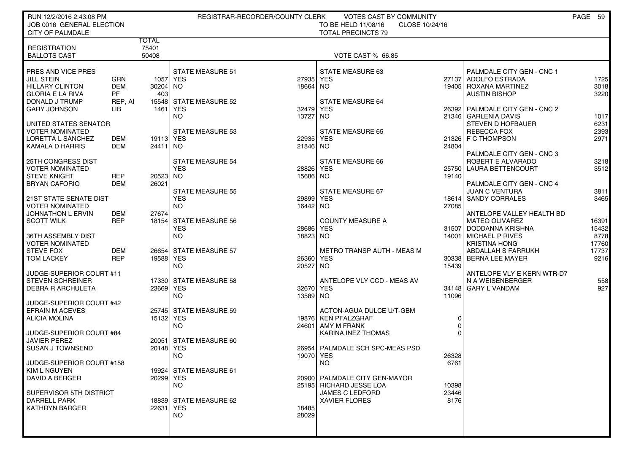| RUN 12/2/2016 2:43:08 PM                                |            |                       |                         | REGISTRAR-RECORDER/COUNTY CLERK | <b>VOTES CAST BY COMMUNITY</b>        |                |                                           | PAGE 59      |
|---------------------------------------------------------|------------|-----------------------|-------------------------|---------------------------------|---------------------------------------|----------------|-------------------------------------------|--------------|
| JOB 0016 GENERAL ELECTION                               |            |                       |                         |                                 | TO BE HELD 11/08/16<br>CLOSE 10/24/16 |                |                                           |              |
| <b>CITY OF PALMDALE</b>                                 |            |                       |                         |                                 | <b>TOTAL PRECINCTS 79</b>             |                |                                           |              |
| <b>REGISTRATION</b>                                     |            | <b>TOTAL</b><br>75401 |                         |                                 |                                       |                |                                           |              |
| <b>BALLOTS CAST</b>                                     |            | 50408                 |                         |                                 | <b>VOTE CAST % 66.85</b>              |                |                                           |              |
|                                                         |            |                       |                         |                                 |                                       |                |                                           |              |
| PRES AND VICE PRES                                      |            |                       | <b>STATE MEASURE 51</b> |                                 | <b>STATE MEASURE 63</b>               |                | PALMDALE CITY GEN - CNC 1                 |              |
| JILL STEIN                                              | GRN        |                       | 1057 YES                | 27935 YES                       |                                       | 27137          | ADOLFO ESTRADA                            | 1725         |
| <b>HILLARY CLINTON</b>                                  | <b>DEM</b> | 30204 NO              |                         | 18664 NO                        |                                       |                | 19405   ROXANA MARTINEZ                   | 3018         |
| <b>GLORIA E LA RIVA</b>                                 | PF         | 403                   |                         |                                 |                                       |                | <b>AUSTIN BISHOP</b>                      | 3220         |
| DONALD J TRUMP                                          | REP, AI    |                       | 15548 STATE MEASURE 52  |                                 | <b>STATE MEASURE 64</b>               |                |                                           |              |
| <b>GARY JOHNSON</b>                                     | LIB.       | 1461                  | <b>YES</b>              | 32479 YES                       |                                       | 26392          | PALMDALE CITY GEN - CNC 2                 |              |
|                                                         |            |                       | NO.                     | 13727                           | NO                                    |                | 21346 GARLENIA DAVIS<br>STEVEN D HOFBAUER | 1017<br>6231 |
| UNITED STATES SENATOR<br><b>VOTER NOMINATED</b>         |            |                       | <b>STATE MEASURE 53</b> |                                 | <b>STATE MEASURE 65</b>               |                | <b>REBECCA FOX</b>                        | 2393         |
| LORETTA L SANCHEZ                                       | DEM        | 19113 YES             |                         | 22935 YES                       |                                       |                | 21326 F C THOMPSON                        | 2971         |
| KAMALA D HARRIS                                         | <b>DEM</b> | 24411 NO              |                         | 21846 NO                        |                                       | 24804          |                                           |              |
|                                                         |            |                       |                         |                                 |                                       |                | PALMDALE CITY GEN - CNC 3                 |              |
| 25TH CONGRESS DIST                                      |            |                       | <b>STATE MEASURE 54</b> |                                 | <b>STATE MEASURE 66</b>               |                | ROBERT E ALVARADO                         | 3218         |
| <b>VOTER NOMINATED</b>                                  |            |                       | <b>YES</b>              | 28826                           | <b>YES</b>                            |                | 25750 LAURA BETTENCOURT                   | 3512         |
| <b>STEVE KNIGHT</b>                                     | REP        | 20523 NO              |                         | 15686 NO                        |                                       | 19140          |                                           |              |
| <b>BRYAN CAFORIO</b>                                    | <b>DEM</b> | 26021                 |                         |                                 |                                       |                | PALMDALE CITY GEN - CNC 4                 |              |
|                                                         |            |                       | <b>STATE MEASURE 55</b> |                                 | STATE MEASURE 67                      |                | <b>JUAN C VENTURA</b>                     | 3811         |
| <b>21ST STATE SENATE DIST</b><br><b>VOTER NOMINATED</b> |            |                       | <b>YES</b><br><b>NO</b> | 29899 YES<br>16442 NO           |                                       | 18614<br>27085 | <b>SANDY CORRALES</b>                     | 3465         |
| JOHNATHON L ERVIN                                       | DEM        | 27674                 |                         |                                 |                                       |                | ANTELOPE VALLEY HEALTH BD                 |              |
| <b>SCOTT WILK</b>                                       | <b>REP</b> |                       | 18154 STATE MEASURE 56  |                                 | <b>COUNTY MEASURE A</b>               |                | <b>MATEO OLIVAREZ</b>                     | 16391        |
|                                                         |            |                       | <b>YES</b>              | 28686 YES                       |                                       | 31507          | DODDANNA KRISHNA                          | 15432        |
| 36TH ASSEMBLY DIST                                      |            |                       | <b>NO</b>               | 18823 NO                        |                                       | 14001          | <b>MICHAEL P RIVES</b>                    | 8778         |
| <b>VOTER NOMINATED</b>                                  |            |                       |                         |                                 |                                       |                | <b>KRISTINA HONG</b>                      | 17760        |
| <b>STEVE FOX</b>                                        | <b>DEM</b> |                       | 26654 STATE MEASURE 57  |                                 | <b>METRO TRANSP AUTH - MEAS M</b>     |                | ABDALLAH S FARRUKH                        | 17737        |
| <b>TOM LACKEY</b>                                       | <b>REP</b> | 19588 YES             |                         | 26360 YES                       |                                       |                | 30338 BERNA LEE MAYER                     | 9216         |
| JUDGE-SUPERIOR COURT #11                                |            |                       | <b>NO</b>               | 20527 NO                        |                                       | 15439          | ANTELOPE VLY E KERN WTR-D7                |              |
| <b>STEVEN SCHREINER</b>                                 |            |                       | 17330 STATE MEASURE 58  |                                 | ANTELOPE VLY CCD - MEAS AV            |                | N A WEISENBERGER                          | 558          |
| <b>DEBRA R ARCHULETA</b>                                |            | 23669 YES             |                         | 32670 YES                       |                                       | 34148          | <b>GARY L VANDAM</b>                      | 927          |
|                                                         |            |                       | <b>NO</b>               | 13589 NO                        |                                       | 11096          |                                           |              |
| JUDGE-SUPERIOR COURT #42                                |            |                       |                         |                                 |                                       |                |                                           |              |
| <b>EFRAIN M ACEVES</b>                                  |            |                       | 25745 STATE MEASURE 59  |                                 | ACTON-AGUA DULCE U/T-GBM              |                |                                           |              |
| <b>ALICIA MOLINA</b>                                    |            | 15132 YES             |                         |                                 | 19876 KEN PFALZGRAF                   | 0              |                                           |              |
|                                                         |            |                       | <b>NO</b>               |                                 | 24601   AMY M FRANK                   | $\mathbf 0$    |                                           |              |
| JUDGE-SUPERIOR COURT #84                                |            |                       |                         |                                 | KARINA INEZ THOMAS                    | $\Omega$       |                                           |              |
| <b>JAVIER PEREZ</b><br>SUSAN J TOWNSEND                 |            | 20148 YES             | 20051 STATE MEASURE 60  |                                 | 26954 PALMDALE SCH SPC-MEAS PSD       |                |                                           |              |
|                                                         |            |                       | NO.                     | 19070 YES                       |                                       | 26328          |                                           |              |
| JUDGE-SUPERIOR COURT #158                               |            |                       |                         |                                 | <b>NO</b>                             | 6761           |                                           |              |
| <b>KIM L NGUYEN</b>                                     |            |                       | 19924 STATE MEASURE 61  |                                 |                                       |                |                                           |              |
| <b>DAVID A BERGER</b>                                   |            | 20299 YES             |                         |                                 | 20900   PALMDALE CITY GEN-MAYOR       |                |                                           |              |
|                                                         |            |                       | NO.                     |                                 | 25195 RICHARD JESSE LOA               | 10398          |                                           |              |
| SUPERVISOR 5TH DISTRICT                                 |            |                       |                         |                                 | <b>JAMES C LEDFORD</b>                | 23446          |                                           |              |
| <b>DARRELL PARK</b>                                     |            |                       | 18839 STATE MEASURE 62  |                                 | <b>XAVIER FLORES</b>                  | 8176           |                                           |              |
| <b>KATHRYN BARGER</b>                                   |            | 22631 YES             | <b>NO</b>               | 18485<br>28029                  |                                       |                |                                           |              |
|                                                         |            |                       |                         |                                 |                                       |                |                                           |              |
|                                                         |            |                       |                         |                                 |                                       |                |                                           |              |
|                                                         |            |                       |                         |                                 |                                       |                |                                           |              |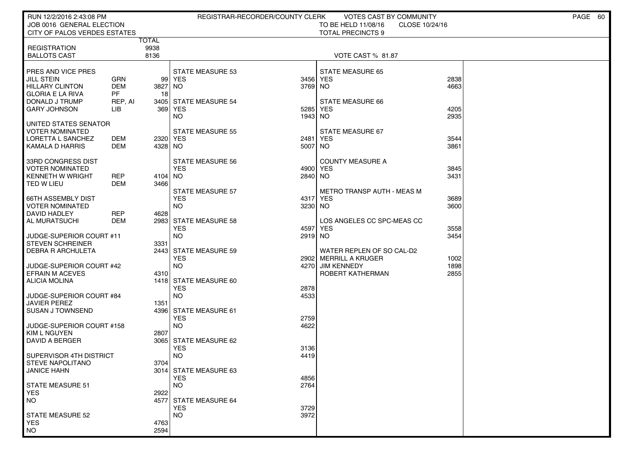| RUN 12/2/2016 2:43:08 PM                      |                         |                      | REGISTRAR-RECORDER/COUNTY CLERK     |              | VOTES CAST BY COMMUNITY                  |                | PAGE 60 |
|-----------------------------------------------|-------------------------|----------------------|-------------------------------------|--------------|------------------------------------------|----------------|---------|
| JOB 0016 GENERAL ELECTION                     |                         |                      |                                     |              | TO BE HELD 11/08/16                      | CLOSE 10/24/16 |         |
| CITY OF PALOS VERDES ESTATES                  |                         |                      |                                     |              | <b>TOTAL PRECINCTS 9</b>                 |                |         |
| <b>REGISTRATION</b>                           |                         | <b>TOTAL</b><br>9938 |                                     |              |                                          |                |         |
| <b>BALLOTS CAST</b>                           |                         | 8136                 |                                     |              | VOTE CAST % 81.87                        |                |         |
|                                               |                         |                      |                                     |              |                                          |                |         |
| <b>PRES AND VICE PRES</b>                     |                         |                      | <b>STATE MEASURE 53</b>             |              | <b>STATE MEASURE 65</b>                  |                |         |
| JILL STEIN                                    | GRN                     | 99 I                 | YES                                 | 3456         | <b>YES</b>                               | 2838           |         |
| HILLARY CLINTON<br>l GLORIA E LA RIVA         | <b>DEM</b><br><b>PF</b> | 3827<br>18           | NO.                                 | 3769         | NO.                                      | 4663           |         |
| DONALD J TRUMP                                | REP, AI                 |                      | 3405 STATE MEASURE 54               |              | <b>STATE MEASURE 66</b>                  |                |         |
| <b>GARY JOHNSON</b>                           | ЦB                      | 369                  | YES                                 | 5285         | <b>YES</b>                               | 4205           |         |
|                                               |                         |                      | <b>NO</b>                           | 1943         | NO.                                      | 2935           |         |
| UNITED STATES SENATOR<br>  VOTER NOMINATED    |                         |                      | STATE MEASURE 55                    |              | STATE MEASURE 67                         |                |         |
| LORETTA L SANCHEZ                             | DEM                     | 2320 YES             |                                     | 2481         | <b>YES</b>                               | 3544           |         |
| KAMALA D HARRIS                               | DEM                     | 4328 NO              |                                     | 5007         | NO.                                      | 3861           |         |
|                                               |                         |                      |                                     |              |                                          |                |         |
| 33RD CONGRESS DIST                            |                         |                      | STATE MEASURE 56                    |              | <b>COUNTY MEASURE A</b>                  |                |         |
| <b>VOTER NOMINATED</b><br>  KENNETH W WRIGHT  | <b>REP</b>              | 4104 NO              | <b>YES</b>                          | 4900<br>2840 | YES<br>NO.                               | 3845<br>3431   |         |
| TED W LIEU                                    | DEM                     | 3466                 |                                     |              |                                          |                |         |
|                                               |                         |                      | <b>STATE MEASURE 57</b>             |              | <b>METRO TRANSP AUTH - MEAS M</b>        |                |         |
| I 66TH ASSEMBLY DIST                          |                         |                      | <b>YES</b>                          | 4317         | YES                                      | 3689           |         |
| I VOTER NOMINATED                             |                         |                      | NO.                                 | 3230         | NO.                                      | 3600           |         |
| DAVID HADLEY                                  | <b>REP</b>              | 4628                 |                                     |              |                                          |                |         |
| AL MURATSUCHI                                 | <b>DEM</b>              |                      | 2983 STATE MEASURE 58<br><b>YES</b> | 4597         | LOS ANGELES CC SPC-MEAS CC<br><b>YES</b> | 3558           |         |
| UUDGE-SUPERIOR COURT #11                      |                         |                      | <b>NO</b>                           | 2919         | NO.                                      | 3454           |         |
| <b>STEVEN SCHREINER</b>                       |                         | 3331                 |                                     |              |                                          |                |         |
| ∣ DEBRA R ARCHULETA                           |                         | 2443                 | <b>STATE MEASURE 59</b>             |              | WATER REPLEN OF SO CAL-D2                |                |         |
|                                               |                         |                      | <b>YES</b>                          | 2902         | MERRILL A KRUGER                         | 1002           |         |
| JUDGE-SUPERIOR COURT #42<br>EFRAIN M ACEVES   |                         | 4310                 | NO.                                 | 4270         | <b>JIM KENNEDY</b><br>ROBERT KATHERMAN   | 1898<br>2855   |         |
| <b>ALICIA MOLINA</b>                          |                         |                      | 1418 STATE MEASURE 60               |              |                                          |                |         |
|                                               |                         |                      | <b>YES</b>                          | 2878         |                                          |                |         |
| ∣ JUDGE-SUPERIOR COURT #84                    |                         |                      | <b>NO</b>                           | 4533         |                                          |                |         |
| JAVIER PEREZ                                  |                         | 1351                 |                                     |              |                                          |                |         |
| <b>SUSAN J TOWNSEND</b>                       |                         | 43961                | STATE MEASURE 61<br><b>YES</b>      | 2759         |                                          |                |         |
| JUDGE-SUPERIOR COURT #158                     |                         |                      | NO.                                 | 4622         |                                          |                |         |
| KIM L NGUYEN                                  |                         | 2807                 |                                     |              |                                          |                |         |
| DAVID A BERGER                                |                         |                      | 3065 STATE MEASURE 62               |              |                                          |                |         |
|                                               |                         |                      | <b>YES</b>                          | 3136         |                                          |                |         |
| SUPERVISOR 4TH DISTRICT<br>I STEVE NAPOLITANO |                         | 3704                 | <b>NO</b>                           | 4419         |                                          |                |         |
| JANICE HAHN                                   |                         |                      | 3014 STATE MEASURE 63               |              |                                          |                |         |
|                                               |                         |                      | <b>YES</b>                          | 4856         |                                          |                |         |
| STATE MEASURE 51                              |                         |                      | NO.                                 | 2764         |                                          |                |         |
| <b>YES</b>                                    |                         | 2922                 |                                     |              |                                          |                |         |
| NO <sub>1</sub>                               |                         | 4577                 | STATE MEASURE 64<br><b>YES</b>      | 3729         |                                          |                |         |
| <b>STATE MEASURE 52</b>                       |                         |                      | <b>NO</b>                           | 3972         |                                          |                |         |
| <b>YES</b>                                    |                         | 4763                 |                                     |              |                                          |                |         |
| <b>NO</b>                                     |                         | 2594                 |                                     |              |                                          |                |         |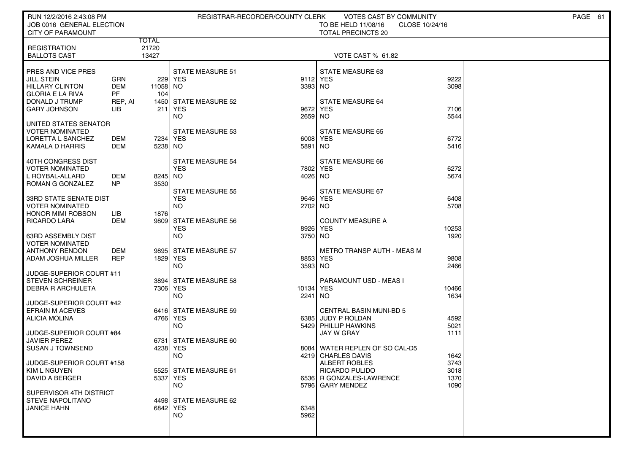| RUN 12/2/2016 2:43:08 PM                              |                         |                       |                                | REGISTRAR-RECORDER/COUNTY CLERK | VOTES CAST BY COMMUNITY                          |                | PAGE 61 |
|-------------------------------------------------------|-------------------------|-----------------------|--------------------------------|---------------------------------|--------------------------------------------------|----------------|---------|
| JOB 0016 GENERAL ELECTION<br><b>CITY OF PARAMOUNT</b> |                         |                       |                                |                                 | TO BE HELD 11/08/16<br><b>TOTAL PRECINCTS 20</b> | CLOSE 10/24/16 |         |
| <b>REGISTRATION</b>                                   |                         | TOTAL<br>21720        |                                |                                 |                                                  |                |         |
| <b>BALLOTS CAST</b>                                   |                         | 13427                 |                                |                                 | VOTE CAST % 61.82                                |                |         |
| PRES AND VICE PRES                                    |                         |                       | <b>STATE MEASURE 51</b>        |                                 | <b>STATE MEASURE 63</b>                          |                |         |
| JILL STEIN                                            | <b>GRN</b>              |                       | 229 YES                        | 9112                            | <b>YES</b>                                       | 9222           |         |
| <b>HILLARY CLINTON</b><br><b>GLORIA E LA RIVA</b>     | <b>DEM</b><br><b>PF</b> | 11058 NO<br>104       |                                | 3393 NO                         |                                                  | 3098           |         |
| DONALD J TRUMP                                        | REP, AI                 |                       | 1450 STATE MEASURE 52          |                                 | STATE MEASURE 64                                 |                |         |
| <b>GARY JOHNSON</b>                                   | LIB                     | 211                   | YES <sup></sup>                | 9672                            | <b>YES</b>                                       | 7106           |         |
| UNITED STATES SENATOR                                 |                         |                       | <b>NO</b>                      | 2659                            | NO.                                              | 5544           |         |
| <b>VOTER NOMINATED</b>                                |                         |                       | <b>STATE MEASURE 53</b>        |                                 | <b>STATE MEASURE 65</b>                          |                |         |
| LORETTA L SANCHEZ<br>KAMALA D HARRIS                  | DEM<br>DEM              | 7234   YES<br>5238 NO |                                | 6008<br>5891                    | <b>YES</b><br>NO.                                | 6772<br>5416   |         |
|                                                       |                         |                       |                                |                                 |                                                  |                |         |
| 40TH CONGRESS DIST<br><b>VOTER NOMINATED</b>          |                         |                       | STATE MEASURE 54<br><b>YES</b> | 7802                            | STATE MEASURE 66<br><b>YES</b>                   | 6272           |         |
| L ROYBAL-ALLARD                                       | DEM                     | 8245 NO               |                                | 4026                            | NO.                                              | 5674           |         |
| ROMAN G GONZALEZ                                      | <b>NP</b>               | 3530                  | <b>STATE MEASURE 55</b>        |                                 | STATE MEASURE 67                                 |                |         |
| 33RD STATE SENATE DIST                                |                         |                       | <b>YES</b>                     | 9646                            | <b>YES</b>                                       | 6408           |         |
| <b>VOTER NOMINATED</b><br><b>HONOR MIMI ROBSON</b>    | LIB                     | 1876                  | <b>NO</b>                      | 2702 NO                         |                                                  | 5708           |         |
| <b>RICARDO LARA</b>                                   | <b>DEM</b>              |                       | 9809 STATE MEASURE 56          |                                 | <b>COUNTY MEASURE A</b>                          |                |         |
|                                                       |                         |                       | <b>YES</b>                     | 8926                            | <b>YES</b>                                       | 10253          |         |
| <b>63RD ASSEMBLY DIST</b><br><b>VOTER NOMINATED</b>   |                         |                       | NO.                            | 3750                            | NO                                               | 1920           |         |
| <b>ANTHONY RENDON</b>                                 | <b>DEM</b>              |                       | 9895 STATE MEASURE 57          |                                 | <b>METRO TRANSP AUTH - MEAS M</b>                |                |         |
| ADAM JOSHUA MILLER                                    | <b>REP</b>              | 1829 YES              | NO.                            | 8853<br>3593                    | <b>YES</b><br>NO                                 | 9808<br>2466   |         |
| JUDGE-SUPERIOR COURT #11                              |                         |                       |                                |                                 |                                                  |                |         |
| <b>STEVEN SCHREINER</b><br><b>DEBRA R ARCHULETA</b>   |                         | 7306 YES              | 3894 STATE MEASURE 58          | 10134                           | PARAMOUNT USD - MEAS I<br><b>YES</b>             | 10466          |         |
|                                                       |                         |                       | <b>NO</b>                      | 2241                            | NO.                                              | 1634           |         |
| JUDGE-SUPERIOR COURT #42<br><b>EFRAIN M ACEVES</b>    |                         |                       | 6416 STATE MEASURE 59          |                                 | <b>CENTRAL BASIN MUNI-BD 5</b>                   |                |         |
| ALICIA MOLINA                                         |                         | 4766 YES              |                                | 6385                            | JUDY P ROLDAN                                    | 4592           |         |
|                                                       |                         |                       | NO.                            | 5429                            | <b>PHILLIP HAWKINS</b>                           | 5021           |         |
| JUDGE-SUPERIOR COURT #84<br><b>JAVIER PEREZ</b>       |                         |                       | 6731 STATE MEASURE 60          |                                 | <b>JAY W GRAY</b>                                | 1111           |         |
| <b>SUSAN J TOWNSEND</b>                               |                         | 4238 YES              |                                | 8084                            | WATER REPLEN OF SO CAL-D5                        |                |         |
| JUDGE-SUPERIOR COURT #158                             |                         |                       | NO.                            | 4219                            | <b>CHARLES DAVIS</b><br><b>ALBERT ROBLES</b>     | 1642<br>3743   |         |
| KIM L NGUYEN                                          |                         |                       | 5525 STATE MEASURE 61          |                                 | RICARDO PULIDO                                   | 3018           |         |
| <b>DAVID A BERGER</b>                                 |                         | 5337 YES              | <b>NO</b>                      |                                 | 6536 R GONZALES-LAWRENCE<br>5796 GARY MENDEZ     | 1370<br>1090   |         |
| SUPERVISOR 4TH DISTRICT                               |                         |                       |                                |                                 |                                                  |                |         |
| <b>STEVE NAPOLITANO</b><br><b>JANICE HAHN</b>         |                         | 6842 YES              | 4498 STATE MEASURE 62          | 6348                            |                                                  |                |         |
|                                                       |                         |                       | <b>NO</b>                      | 5962                            |                                                  |                |         |
|                                                       |                         |                       |                                |                                 |                                                  |                |         |
|                                                       |                         |                       |                                |                                 |                                                  |                |         |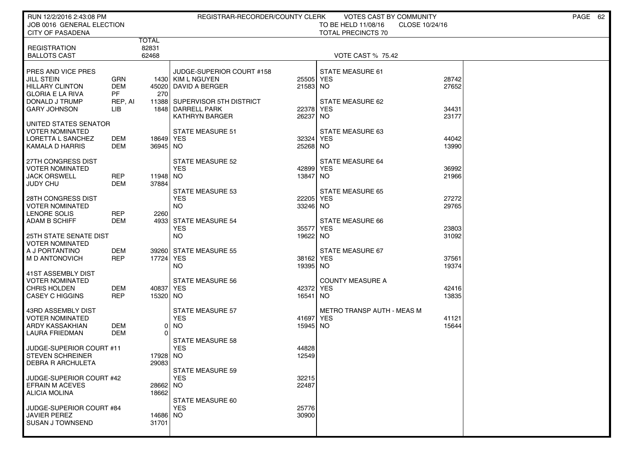| RUN 12/2/2016 2:43:08 PM<br>JOB 0016 GENERAL ELECTION                                                   |                                           |                         | REGISTRAR-RECORDER/COUNTY CLERK                                                                         |                       | VOTES CAST BY COMMUNITY<br>TO BE HELD 11/08/16<br>CLOSE 10/24/16 |                         | PAGE 62 |
|---------------------------------------------------------------------------------------------------------|-------------------------------------------|-------------------------|---------------------------------------------------------------------------------------------------------|-----------------------|------------------------------------------------------------------|-------------------------|---------|
| <b>CITY OF PASADENA</b>                                                                                 |                                           |                         |                                                                                                         |                       | <b>TOTAL PRECINCTS 70</b>                                        |                         |         |
| <b>REGISTRATION</b><br><b>BALLOTS CAST</b>                                                              |                                           | TOTAL<br>82831<br>62468 |                                                                                                         |                       | <b>VOTE CAST % 75.42</b>                                         |                         |         |
| PRES AND VICE PRES<br>JILL STEIN<br><b>HILLARY CLINTON</b><br><b>GLORIA E LA RIVA</b><br>DONALD J TRUMP | GRN<br><b>DEM</b><br><b>PF</b><br>REP, AI | 270                     | JUDGE-SUPERIOR COURT #158<br>1430 KIM L NGUYEN<br>45020 DAVID A BERGER<br>11388 SUPERVISOR 5TH DISTRICT | 25505<br>21583 NO     | STATE MEASURE 61<br><b>YES</b><br>STATE MEASURE 62               | 28742<br>27652<br>34431 |         |
| <b>GARY JOHNSON</b><br>UNITED STATES SENATOR                                                            | LІВ                                       |                         | 1848 DARRELL PARK<br><b>KATHRYN BARGER</b>                                                              | 22378<br>26237        | <b>YES</b><br>NO.                                                | 23177                   |         |
| <b>VOTER NOMINATED</b><br>LORETTA L SANCHEZ<br><b>KAMALA D HARRIS</b>                                   | <b>DEM</b><br>DEM                         | 18649 YES<br>36945 NO   | <b>STATE MEASURE 51</b>                                                                                 | 32324<br>25268 NO     | STATE MEASURE 63<br><b>YES</b>                                   | 44042<br>13990          |         |
| 27TH CONGRESS DIST<br><b>VOTER NOMINATED</b><br><b>JACK ORSWELL</b><br><b>JUDY CHU</b>                  | <b>REP</b><br>DEM                         | 11948 NO<br>37884       | STATE MEASURE 52<br><b>YES</b>                                                                          | 42899<br>13847        | STATE MEASURE 64<br>YES<br>  NO                                  | 36992<br>21966          |         |
| 28TH CONGRESS DIST<br><b>VOTER NOMINATED</b><br>LENORE SOLIS<br><b>ADAM B SCHIFF</b>                    | <b>REP</b><br><b>DEM</b>                  | 2260                    | <b>STATE MEASURE 53</b><br><b>YES</b><br><b>NO</b><br>4933 STATE MEASURE 54                             | 22205<br>33246 NO     | STATE MEASURE 65<br><b>YES</b><br>STATE MEASURE 66               | 27272<br>29765          |         |
| <b>25TH STATE SENATE DIST</b><br><b>VOTER NOMINATED</b>                                                 |                                           |                         | <b>YES</b><br><b>NO</b>                                                                                 | 35577<br>19622 NO     | <b>YES</b>                                                       | 23803<br>31092          |         |
| A J PORTANTINO<br>M D ANTONOVICH                                                                        | <b>DEM</b><br><b>REP</b>                  | 17724 YES               | 39260 STATE MEASURE 55<br><b>NO</b>                                                                     | 38162 YES<br>19395 NO | STATE MEASURE 67                                                 | 37561<br>19374          |         |
| 41ST ASSEMBLY DIST<br><b>VOTER NOMINATED</b><br><b>CHRIS HOLDEN</b><br><b>CASEY C HIGGINS</b>           | <b>DEM</b><br><b>REP</b>                  | 40837   YES<br>15320 NO | <b>STATE MEASURE 56</b>                                                                                 | 42372<br>16541        | <b>COUNTY MEASURE A</b><br><b>YES</b><br>NO                      | 42416<br>13835          |         |
| 43RD ASSEMBLY DIST<br><b>VOTER NOMINATED</b><br>ARDY KASSAKHIAN<br><b>LAURA FRIEDMAN</b>                | <b>DEM</b><br><b>DEM</b>                  | ΩI                      | <b>STATE MEASURE 57</b><br><b>YES</b><br>0 NO                                                           | 41697<br>15945 NO     | METRO TRANSP AUTH - MEAS M<br><b>YES</b>                         | 41121<br>15644          |         |
| JUDGE-SUPERIOR COURT #11<br><b>STEVEN SCHREINER</b><br><b>DEBRA R ARCHULETA</b>                         |                                           | 17928 NO<br>29083       | <b>STATE MEASURE 58</b><br><b>YES</b><br><b>STATE MEASURE 59</b>                                        | 44828<br>12549        |                                                                  |                         |         |
| JUDGE-SUPERIOR COURT #42<br><b>EFRAIN M ACEVES</b><br><b>ALICIA MOLINA</b>                              |                                           | 28662 NO<br>18662       | <b>YES</b><br>STATE MEASURE 60                                                                          | 32215<br>22487        |                                                                  |                         |         |
| JUDGE-SUPERIOR COURT #84<br><b>JAVIER PEREZ</b><br><b>SUSAN J TOWNSEND</b>                              |                                           | 14686 NO<br>31701       | <b>YES</b>                                                                                              | 25776<br>30900        |                                                                  |                         |         |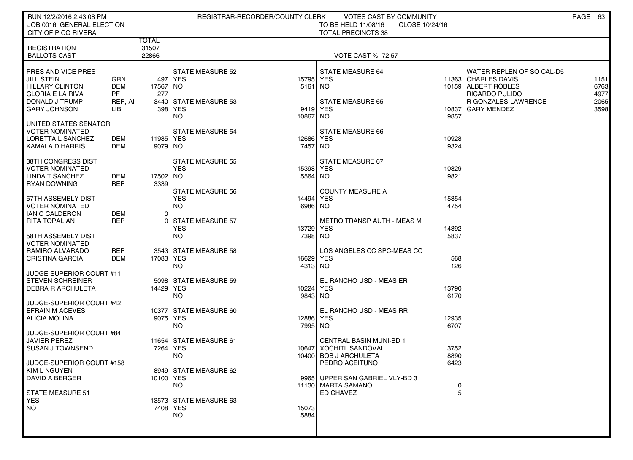| RUN 12/2/2016 2:43:08 PM<br>JOB 0016 GENERAL ELECTION                                                                                 |                                                  |                         |                                                                          | REGISTRAR-RECORDER/COUNTY CLERK  | VOTES CAST BY COMMUNITY<br>TO BE HELD 11/08/16<br>CLOSE 10/24/16                                    |                       |                                                                                                                                        | PAGE 63                              |
|---------------------------------------------------------------------------------------------------------------------------------------|--------------------------------------------------|-------------------------|--------------------------------------------------------------------------|----------------------------------|-----------------------------------------------------------------------------------------------------|-----------------------|----------------------------------------------------------------------------------------------------------------------------------------|--------------------------------------|
| <b>CITY OF PICO RIVERA</b>                                                                                                            |                                                  |                         |                                                                          |                                  | <b>TOTAL PRECINCTS 38</b>                                                                           |                       |                                                                                                                                        |                                      |
| <b>REGISTRATION</b><br><b>BALLOTS CAST</b>                                                                                            |                                                  | TOTAL<br>31507<br>22866 |                                                                          |                                  | <b>VOTE CAST % 72.57</b>                                                                            |                       |                                                                                                                                        |                                      |
| PRES AND VICE PRES<br><b>JILL STEIN</b><br><b>HILLARY CLINTON</b><br><b>GLORIA E LA RIVA</b><br>DONALD J TRUMP<br><b>GARY JOHNSON</b> | GRN<br><b>DEM</b><br><b>PF</b><br>REP, AI<br>LІВ | 17567 NO<br>277         | <b>STATE MEASURE 52</b><br>497   YES<br>3440 STATE MEASURE 53<br>398 YES | 15795 YES<br>$5161$ NO           | <b>STATE MEASURE 64</b><br><b>STATE MEASURE 65</b><br>9419 YES                                      | 10837                 | WATER REPLEN OF SO CAL-D5<br>11363 CHARLES DAVIS<br>10159 ALBERT ROBLES<br>RICARDO PULIDO<br>R GONZALES-LAWRENCE<br><b>GARY MENDEZ</b> | 1151<br>6763<br>4977<br>2065<br>3598 |
| UNITED STATES SENATOR<br><b>VOTER NOMINATED</b><br>LORETTA L SANCHEZ<br>KAMALA D HARRIS                                               | DEM<br>DEM                                       | 11985 YES<br>9079 NO    | NO.<br>STATE MEASURE 54                                                  | 10867 NO<br>12686 YES<br>7457 NO | STATE MEASURE 66                                                                                    | 9857<br>10928<br>9324 |                                                                                                                                        |                                      |
| 38TH CONGRESS DIST<br><b>VOTER NOMINATED</b><br>LINDA T SANCHEZ<br><b>RYAN DOWNING</b>                                                | DEM<br><b>REP</b>                                | 17502 NO<br>3339        | STATE MEASURE 55<br><b>YES</b><br><b>STATE MEASURE 56</b>                | 15398 YES<br>5564 NO             | STATE MEASURE 67<br><b>COUNTY MEASURE A</b>                                                         | 10829<br>9821         |                                                                                                                                        |                                      |
| 57TH ASSEMBLY DIST<br><b>VOTER NOMINATED</b><br>IAN C CALDERON                                                                        | DEM                                              | Οl                      | <b>YES</b><br>NO.                                                        | 14494 YES<br>6986 NO             |                                                                                                     | 15854<br>4754         |                                                                                                                                        |                                      |
| <b>RITA TOPALIAN</b><br>58TH ASSEMBLY DIST                                                                                            | <b>REP</b>                                       |                         | 0 STATE MEASURE 57<br><b>YES</b><br><b>NO</b>                            | 13729 YES<br>7398 NO             | <b>METRO TRANSP AUTH - MEAS M</b>                                                                   | 14892<br>5837         |                                                                                                                                        |                                      |
| <b>VOTER NOMINATED</b><br>RAMIRO ALVARADO<br><b>CRISTINA GARCIA</b>                                                                   | <b>REP</b><br><b>DEM</b>                         | 17083 YES               | 3543 STATE MEASURE 58<br><b>NO</b>                                       | 16629 YES<br>4313 NO             | LOS ANGELES CC SPC-MEAS CC                                                                          | 568<br>126            |                                                                                                                                        |                                      |
| JUDGE-SUPERIOR COURT #11<br><b>STEVEN SCHREINER</b><br><b>DEBRA R ARCHULETA</b><br>JUDGE-SUPERIOR COURT #42                           |                                                  | 14429 YES               | 5098 STATE MEASURE 59<br><b>NO</b>                                       | 10224 YES<br>9843 NO             | EL RANCHO USD - MEAS ER                                                                             | 13790<br>6170         |                                                                                                                                        |                                      |
| <b>EFRAIN M ACEVES</b><br><b>ALICIA MOLINA</b><br>JUDGE-SUPERIOR COURT #84                                                            |                                                  |                         | 10377 STATE MEASURE 60<br>9075 YES<br><b>NO</b>                          | 12886 YES<br>7995 NO             | EL RANCHO USD - MEAS RR                                                                             | 12935<br>6707         |                                                                                                                                        |                                      |
| <b>JAVIER PEREZ</b><br><b>SUSAN J TOWNSEND</b><br>JUDGE-SUPERIOR COURT #158                                                           |                                                  |                         | 11654 STATE MEASURE 61<br>7264   YES<br><b>NO</b>                        |                                  | <b>CENTRAL BASIN MUNI-BD 1</b><br>10647 XOCHITL SANDOVAL<br>10400 BOB J ARCHULETA<br>PEDRO ACEITUNO | 3752<br>8890<br>6423  |                                                                                                                                        |                                      |
| KIM L NGUYEN<br><b>DAVID A BERGER</b><br><b>STATE MEASURE 51</b>                                                                      |                                                  | 10100 YES               | 8949 STATE MEASURE 62<br><b>NO</b>                                       |                                  | 9965 UPPER SAN GABRIEL VLY-BD 3<br>11130 MARTA SAMANO<br>ED CHAVEZ                                  | 0                     |                                                                                                                                        |                                      |
| <b>YES</b><br>NO.                                                                                                                     |                                                  |                         | 13573 STATE MEASURE 63<br>7408   YES<br><b>NO</b>                        | 15073<br>5884                    |                                                                                                     |                       |                                                                                                                                        |                                      |
|                                                                                                                                       |                                                  |                         |                                                                          |                                  |                                                                                                     |                       |                                                                                                                                        |                                      |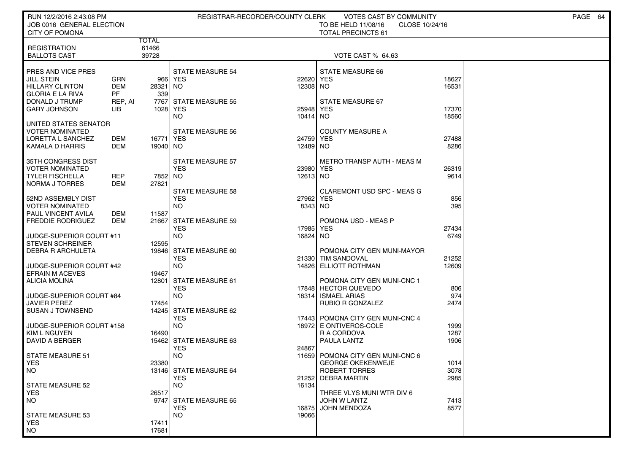| JOB 0016 GENERAL ELECTION<br>CLOSE 10/24/16<br><b>CITY OF POMONA</b><br><b>TOTAL PRECINCTS 61</b><br><b>TOTAL</b><br>61466<br><b>REGISTRATION</b><br>39728<br><b>BALLOTS CAST</b><br>VOTE CAST % 64.63<br>PRES AND VICE PRES<br><b>STATE MEASURE 54</b><br>STATE MEASURE 66<br>GRN<br>18627<br>JILL STEIN<br>966 YES<br>22620<br>YES<br><b>HILLARY CLINTON</b><br>DEM<br>28321<br>12308<br>16531<br>NO.<br>NO.<br><b>GLORIA E LA RIVA</b><br>PF<br>339<br>DONALD J TRUMP<br>7767<br><b>STATE MEASURE 55</b><br>STATE MEASURE 67<br>REP, AI<br><b>GARY JOHNSON</b><br>1028 YES<br>25948<br>YES<br>17370<br>LIB<br>NO.<br>10414<br>NO.<br>18560<br>UNITED STATES SENATOR<br>VOTER NOMINATED<br><b>STATE MEASURE 56</b><br><b>COUNTY MEASURE A</b><br>LORETTA L SANCHEZ<br>DEM<br>16771<br>YES<br>24759<br>YES<br>27488<br>KAMALA D HARRIS<br>DEM<br>19040 NO<br>12489<br>8286<br>NO.<br>35TH CONGRESS DIST<br>STATE MEASURE 57<br>METRO TRANSP AUTH - MEAS M<br><b>YES</b><br>VOTER NOMINATED<br>23980<br>YES<br>26319<br><b>TYLER FISCHELLA</b><br>REP<br>7852<br>NO<br>12613 NO<br>9614<br>NORMA J TORRES<br>DEM<br>27821<br><b>STATE MEASURE 58</b><br><b>CLAREMONT USD SPC - MEAS G</b><br><b>YES</b><br>27962<br>YES<br>856<br>52ND ASSEMBLY DIST<br>395<br>VOTER NOMINATED<br>NO.<br>8343<br>NO.<br>PAUL VINCENT AVILA<br>DEM<br>11587<br><b>FREDDIE RODRIGUEZ</b><br>DEM<br>21667<br><b>STATE MEASURE 59</b><br>POMONA USD - MEAS P<br><b>YES</b><br>17985<br><b>YES</b><br>27434<br><b>NO</b><br>JUDGE-SUPERIOR COURT #11<br>16824<br>NO.<br>6749<br><b>STEVEN SCHREINER</b><br>12595<br>DEBRA R ARCHULETA<br>19846 STATE MEASURE 60<br>POMONA CITY GEN MUNI-MAYOR<br><b>YES</b><br>21252<br>21330<br>TIM SANDOVAL<br>JUDGE-SUPERIOR COURT #42<br>NO.<br>12609<br>14826<br>ELLIOTT ROTHMAN<br><b>EFRAIN M ACEVES</b><br>19467<br><b>ALICIA MOLINA</b><br>12801<br><b>STATE MEASURE 61</b><br>POMONA CITY GEN MUNI-CNC 1<br><b>YES</b><br>17848 HECTOR QUEVEDO<br>806<br>974<br>NO.<br><b>ISMAEL ARIAS</b><br><b>JUDGE-SUPERIOR COURT #84</b><br>18314<br>JAVIER PEREZ<br>17454<br>RUBIO R GONZALEZ<br>2474<br>STATE MEASURE 62<br><b>SUSAN J TOWNSEND</b><br>14245<br><b>YES</b><br>17443 POMONA CITY GEN MUNI-CNC 4<br><b>NO</b><br>JUDGE-SUPERIOR COURT #158<br>18972<br>E ONTIVEROS-COLE<br>1999<br><b>KIM L NGUYEN</b><br>16490<br>R A CORDOVA<br>1287<br>DAVID A BERGER<br>15462 STATE MEASURE 63<br>PAULA LANTZ<br>1906<br><b>YES</b><br>24867<br><b>NO</b><br><b>STATE MEASURE 51</b><br>11659<br>POMONA CITY GEN MUNI-CNC 6<br>23380<br><b>GEORGE OKEKENWEJE</b><br><b>YES</b><br>1014<br>13146 STATE MEASURE 64<br>ROBERT TORRES<br>3078<br><b>NO</b><br><b>YES</b><br><b>DEBRA MARTIN</b><br>2985<br>21252<br><b>NO</b><br>16134<br><b>STATE MEASURE 52</b><br>26517<br>THREE VLYS MUNI WTR DIV 6<br>YES.<br>NO.<br>9747<br><b>STATE MEASURE 65</b><br>JOHN W LANTZ<br>7413<br><b>YES</b><br>8577<br>16875<br><b>JOHN MENDOZA</b><br><b>NO</b><br>19066<br><b>STATE MEASURE 53</b><br><b>YES</b><br>17411<br>17681 | RUN 12/2/2016 2:43:08 PM |  | REGISTRAR-RECORDER/COUNTY CLERK | VOTES CAST BY COMMUNITY |  | PAGE 64 |
|------------------------------------------------------------------------------------------------------------------------------------------------------------------------------------------------------------------------------------------------------------------------------------------------------------------------------------------------------------------------------------------------------------------------------------------------------------------------------------------------------------------------------------------------------------------------------------------------------------------------------------------------------------------------------------------------------------------------------------------------------------------------------------------------------------------------------------------------------------------------------------------------------------------------------------------------------------------------------------------------------------------------------------------------------------------------------------------------------------------------------------------------------------------------------------------------------------------------------------------------------------------------------------------------------------------------------------------------------------------------------------------------------------------------------------------------------------------------------------------------------------------------------------------------------------------------------------------------------------------------------------------------------------------------------------------------------------------------------------------------------------------------------------------------------------------------------------------------------------------------------------------------------------------------------------------------------------------------------------------------------------------------------------------------------------------------------------------------------------------------------------------------------------------------------------------------------------------------------------------------------------------------------------------------------------------------------------------------------------------------------------------------------------------------------------------------------------------------------------------------------------------------------------------------------------------------------------------------------------------------------------------------------------------------------------------------------------------------------------------------------------------------------------------------------------------------------------------------------------------------------------------------------------------------------------------------------------------------------------------------------------------------------------|--------------------------|--|---------------------------------|-------------------------|--|---------|
|                                                                                                                                                                                                                                                                                                                                                                                                                                                                                                                                                                                                                                                                                                                                                                                                                                                                                                                                                                                                                                                                                                                                                                                                                                                                                                                                                                                                                                                                                                                                                                                                                                                                                                                                                                                                                                                                                                                                                                                                                                                                                                                                                                                                                                                                                                                                                                                                                                                                                                                                                                                                                                                                                                                                                                                                                                                                                                                                                                                                                                    |                          |  |                                 | TO BE HELD 11/08/16     |  |         |
|                                                                                                                                                                                                                                                                                                                                                                                                                                                                                                                                                                                                                                                                                                                                                                                                                                                                                                                                                                                                                                                                                                                                                                                                                                                                                                                                                                                                                                                                                                                                                                                                                                                                                                                                                                                                                                                                                                                                                                                                                                                                                                                                                                                                                                                                                                                                                                                                                                                                                                                                                                                                                                                                                                                                                                                                                                                                                                                                                                                                                                    |                          |  |                                 |                         |  |         |
|                                                                                                                                                                                                                                                                                                                                                                                                                                                                                                                                                                                                                                                                                                                                                                                                                                                                                                                                                                                                                                                                                                                                                                                                                                                                                                                                                                                                                                                                                                                                                                                                                                                                                                                                                                                                                                                                                                                                                                                                                                                                                                                                                                                                                                                                                                                                                                                                                                                                                                                                                                                                                                                                                                                                                                                                                                                                                                                                                                                                                                    |                          |  |                                 |                         |  |         |
|                                                                                                                                                                                                                                                                                                                                                                                                                                                                                                                                                                                                                                                                                                                                                                                                                                                                                                                                                                                                                                                                                                                                                                                                                                                                                                                                                                                                                                                                                                                                                                                                                                                                                                                                                                                                                                                                                                                                                                                                                                                                                                                                                                                                                                                                                                                                                                                                                                                                                                                                                                                                                                                                                                                                                                                                                                                                                                                                                                                                                                    |                          |  |                                 |                         |  |         |
|                                                                                                                                                                                                                                                                                                                                                                                                                                                                                                                                                                                                                                                                                                                                                                                                                                                                                                                                                                                                                                                                                                                                                                                                                                                                                                                                                                                                                                                                                                                                                                                                                                                                                                                                                                                                                                                                                                                                                                                                                                                                                                                                                                                                                                                                                                                                                                                                                                                                                                                                                                                                                                                                                                                                                                                                                                                                                                                                                                                                                                    |                          |  |                                 |                         |  |         |
|                                                                                                                                                                                                                                                                                                                                                                                                                                                                                                                                                                                                                                                                                                                                                                                                                                                                                                                                                                                                                                                                                                                                                                                                                                                                                                                                                                                                                                                                                                                                                                                                                                                                                                                                                                                                                                                                                                                                                                                                                                                                                                                                                                                                                                                                                                                                                                                                                                                                                                                                                                                                                                                                                                                                                                                                                                                                                                                                                                                                                                    |                          |  |                                 |                         |  |         |
|                                                                                                                                                                                                                                                                                                                                                                                                                                                                                                                                                                                                                                                                                                                                                                                                                                                                                                                                                                                                                                                                                                                                                                                                                                                                                                                                                                                                                                                                                                                                                                                                                                                                                                                                                                                                                                                                                                                                                                                                                                                                                                                                                                                                                                                                                                                                                                                                                                                                                                                                                                                                                                                                                                                                                                                                                                                                                                                                                                                                                                    |                          |  |                                 |                         |  |         |
|                                                                                                                                                                                                                                                                                                                                                                                                                                                                                                                                                                                                                                                                                                                                                                                                                                                                                                                                                                                                                                                                                                                                                                                                                                                                                                                                                                                                                                                                                                                                                                                                                                                                                                                                                                                                                                                                                                                                                                                                                                                                                                                                                                                                                                                                                                                                                                                                                                                                                                                                                                                                                                                                                                                                                                                                                                                                                                                                                                                                                                    |                          |  |                                 |                         |  |         |
|                                                                                                                                                                                                                                                                                                                                                                                                                                                                                                                                                                                                                                                                                                                                                                                                                                                                                                                                                                                                                                                                                                                                                                                                                                                                                                                                                                                                                                                                                                                                                                                                                                                                                                                                                                                                                                                                                                                                                                                                                                                                                                                                                                                                                                                                                                                                                                                                                                                                                                                                                                                                                                                                                                                                                                                                                                                                                                                                                                                                                                    |                          |  |                                 |                         |  |         |
|                                                                                                                                                                                                                                                                                                                                                                                                                                                                                                                                                                                                                                                                                                                                                                                                                                                                                                                                                                                                                                                                                                                                                                                                                                                                                                                                                                                                                                                                                                                                                                                                                                                                                                                                                                                                                                                                                                                                                                                                                                                                                                                                                                                                                                                                                                                                                                                                                                                                                                                                                                                                                                                                                                                                                                                                                                                                                                                                                                                                                                    |                          |  |                                 |                         |  |         |
|                                                                                                                                                                                                                                                                                                                                                                                                                                                                                                                                                                                                                                                                                                                                                                                                                                                                                                                                                                                                                                                                                                                                                                                                                                                                                                                                                                                                                                                                                                                                                                                                                                                                                                                                                                                                                                                                                                                                                                                                                                                                                                                                                                                                                                                                                                                                                                                                                                                                                                                                                                                                                                                                                                                                                                                                                                                                                                                                                                                                                                    |                          |  |                                 |                         |  |         |
|                                                                                                                                                                                                                                                                                                                                                                                                                                                                                                                                                                                                                                                                                                                                                                                                                                                                                                                                                                                                                                                                                                                                                                                                                                                                                                                                                                                                                                                                                                                                                                                                                                                                                                                                                                                                                                                                                                                                                                                                                                                                                                                                                                                                                                                                                                                                                                                                                                                                                                                                                                                                                                                                                                                                                                                                                                                                                                                                                                                                                                    |                          |  |                                 |                         |  |         |
|                                                                                                                                                                                                                                                                                                                                                                                                                                                                                                                                                                                                                                                                                                                                                                                                                                                                                                                                                                                                                                                                                                                                                                                                                                                                                                                                                                                                                                                                                                                                                                                                                                                                                                                                                                                                                                                                                                                                                                                                                                                                                                                                                                                                                                                                                                                                                                                                                                                                                                                                                                                                                                                                                                                                                                                                                                                                                                                                                                                                                                    |                          |  |                                 |                         |  |         |
|                                                                                                                                                                                                                                                                                                                                                                                                                                                                                                                                                                                                                                                                                                                                                                                                                                                                                                                                                                                                                                                                                                                                                                                                                                                                                                                                                                                                                                                                                                                                                                                                                                                                                                                                                                                                                                                                                                                                                                                                                                                                                                                                                                                                                                                                                                                                                                                                                                                                                                                                                                                                                                                                                                                                                                                                                                                                                                                                                                                                                                    |                          |  |                                 |                         |  |         |
|                                                                                                                                                                                                                                                                                                                                                                                                                                                                                                                                                                                                                                                                                                                                                                                                                                                                                                                                                                                                                                                                                                                                                                                                                                                                                                                                                                                                                                                                                                                                                                                                                                                                                                                                                                                                                                                                                                                                                                                                                                                                                                                                                                                                                                                                                                                                                                                                                                                                                                                                                                                                                                                                                                                                                                                                                                                                                                                                                                                                                                    |                          |  |                                 |                         |  |         |
|                                                                                                                                                                                                                                                                                                                                                                                                                                                                                                                                                                                                                                                                                                                                                                                                                                                                                                                                                                                                                                                                                                                                                                                                                                                                                                                                                                                                                                                                                                                                                                                                                                                                                                                                                                                                                                                                                                                                                                                                                                                                                                                                                                                                                                                                                                                                                                                                                                                                                                                                                                                                                                                                                                                                                                                                                                                                                                                                                                                                                                    |                          |  |                                 |                         |  |         |
|                                                                                                                                                                                                                                                                                                                                                                                                                                                                                                                                                                                                                                                                                                                                                                                                                                                                                                                                                                                                                                                                                                                                                                                                                                                                                                                                                                                                                                                                                                                                                                                                                                                                                                                                                                                                                                                                                                                                                                                                                                                                                                                                                                                                                                                                                                                                                                                                                                                                                                                                                                                                                                                                                                                                                                                                                                                                                                                                                                                                                                    |                          |  |                                 |                         |  |         |
|                                                                                                                                                                                                                                                                                                                                                                                                                                                                                                                                                                                                                                                                                                                                                                                                                                                                                                                                                                                                                                                                                                                                                                                                                                                                                                                                                                                                                                                                                                                                                                                                                                                                                                                                                                                                                                                                                                                                                                                                                                                                                                                                                                                                                                                                                                                                                                                                                                                                                                                                                                                                                                                                                                                                                                                                                                                                                                                                                                                                                                    |                          |  |                                 |                         |  |         |
|                                                                                                                                                                                                                                                                                                                                                                                                                                                                                                                                                                                                                                                                                                                                                                                                                                                                                                                                                                                                                                                                                                                                                                                                                                                                                                                                                                                                                                                                                                                                                                                                                                                                                                                                                                                                                                                                                                                                                                                                                                                                                                                                                                                                                                                                                                                                                                                                                                                                                                                                                                                                                                                                                                                                                                                                                                                                                                                                                                                                                                    |                          |  |                                 |                         |  |         |
|                                                                                                                                                                                                                                                                                                                                                                                                                                                                                                                                                                                                                                                                                                                                                                                                                                                                                                                                                                                                                                                                                                                                                                                                                                                                                                                                                                                                                                                                                                                                                                                                                                                                                                                                                                                                                                                                                                                                                                                                                                                                                                                                                                                                                                                                                                                                                                                                                                                                                                                                                                                                                                                                                                                                                                                                                                                                                                                                                                                                                                    |                          |  |                                 |                         |  |         |
|                                                                                                                                                                                                                                                                                                                                                                                                                                                                                                                                                                                                                                                                                                                                                                                                                                                                                                                                                                                                                                                                                                                                                                                                                                                                                                                                                                                                                                                                                                                                                                                                                                                                                                                                                                                                                                                                                                                                                                                                                                                                                                                                                                                                                                                                                                                                                                                                                                                                                                                                                                                                                                                                                                                                                                                                                                                                                                                                                                                                                                    |                          |  |                                 |                         |  |         |
|                                                                                                                                                                                                                                                                                                                                                                                                                                                                                                                                                                                                                                                                                                                                                                                                                                                                                                                                                                                                                                                                                                                                                                                                                                                                                                                                                                                                                                                                                                                                                                                                                                                                                                                                                                                                                                                                                                                                                                                                                                                                                                                                                                                                                                                                                                                                                                                                                                                                                                                                                                                                                                                                                                                                                                                                                                                                                                                                                                                                                                    |                          |  |                                 |                         |  |         |
|                                                                                                                                                                                                                                                                                                                                                                                                                                                                                                                                                                                                                                                                                                                                                                                                                                                                                                                                                                                                                                                                                                                                                                                                                                                                                                                                                                                                                                                                                                                                                                                                                                                                                                                                                                                                                                                                                                                                                                                                                                                                                                                                                                                                                                                                                                                                                                                                                                                                                                                                                                                                                                                                                                                                                                                                                                                                                                                                                                                                                                    |                          |  |                                 |                         |  |         |
|                                                                                                                                                                                                                                                                                                                                                                                                                                                                                                                                                                                                                                                                                                                                                                                                                                                                                                                                                                                                                                                                                                                                                                                                                                                                                                                                                                                                                                                                                                                                                                                                                                                                                                                                                                                                                                                                                                                                                                                                                                                                                                                                                                                                                                                                                                                                                                                                                                                                                                                                                                                                                                                                                                                                                                                                                                                                                                                                                                                                                                    |                          |  |                                 |                         |  |         |
|                                                                                                                                                                                                                                                                                                                                                                                                                                                                                                                                                                                                                                                                                                                                                                                                                                                                                                                                                                                                                                                                                                                                                                                                                                                                                                                                                                                                                                                                                                                                                                                                                                                                                                                                                                                                                                                                                                                                                                                                                                                                                                                                                                                                                                                                                                                                                                                                                                                                                                                                                                                                                                                                                                                                                                                                                                                                                                                                                                                                                                    |                          |  |                                 |                         |  |         |
|                                                                                                                                                                                                                                                                                                                                                                                                                                                                                                                                                                                                                                                                                                                                                                                                                                                                                                                                                                                                                                                                                                                                                                                                                                                                                                                                                                                                                                                                                                                                                                                                                                                                                                                                                                                                                                                                                                                                                                                                                                                                                                                                                                                                                                                                                                                                                                                                                                                                                                                                                                                                                                                                                                                                                                                                                                                                                                                                                                                                                                    |                          |  |                                 |                         |  |         |
|                                                                                                                                                                                                                                                                                                                                                                                                                                                                                                                                                                                                                                                                                                                                                                                                                                                                                                                                                                                                                                                                                                                                                                                                                                                                                                                                                                                                                                                                                                                                                                                                                                                                                                                                                                                                                                                                                                                                                                                                                                                                                                                                                                                                                                                                                                                                                                                                                                                                                                                                                                                                                                                                                                                                                                                                                                                                                                                                                                                                                                    |                          |  |                                 |                         |  |         |
|                                                                                                                                                                                                                                                                                                                                                                                                                                                                                                                                                                                                                                                                                                                                                                                                                                                                                                                                                                                                                                                                                                                                                                                                                                                                                                                                                                                                                                                                                                                                                                                                                                                                                                                                                                                                                                                                                                                                                                                                                                                                                                                                                                                                                                                                                                                                                                                                                                                                                                                                                                                                                                                                                                                                                                                                                                                                                                                                                                                                                                    |                          |  |                                 |                         |  |         |
|                                                                                                                                                                                                                                                                                                                                                                                                                                                                                                                                                                                                                                                                                                                                                                                                                                                                                                                                                                                                                                                                                                                                                                                                                                                                                                                                                                                                                                                                                                                                                                                                                                                                                                                                                                                                                                                                                                                                                                                                                                                                                                                                                                                                                                                                                                                                                                                                                                                                                                                                                                                                                                                                                                                                                                                                                                                                                                                                                                                                                                    |                          |  |                                 |                         |  |         |
|                                                                                                                                                                                                                                                                                                                                                                                                                                                                                                                                                                                                                                                                                                                                                                                                                                                                                                                                                                                                                                                                                                                                                                                                                                                                                                                                                                                                                                                                                                                                                                                                                                                                                                                                                                                                                                                                                                                                                                                                                                                                                                                                                                                                                                                                                                                                                                                                                                                                                                                                                                                                                                                                                                                                                                                                                                                                                                                                                                                                                                    |                          |  |                                 |                         |  |         |
|                                                                                                                                                                                                                                                                                                                                                                                                                                                                                                                                                                                                                                                                                                                                                                                                                                                                                                                                                                                                                                                                                                                                                                                                                                                                                                                                                                                                                                                                                                                                                                                                                                                                                                                                                                                                                                                                                                                                                                                                                                                                                                                                                                                                                                                                                                                                                                                                                                                                                                                                                                                                                                                                                                                                                                                                                                                                                                                                                                                                                                    |                          |  |                                 |                         |  |         |
|                                                                                                                                                                                                                                                                                                                                                                                                                                                                                                                                                                                                                                                                                                                                                                                                                                                                                                                                                                                                                                                                                                                                                                                                                                                                                                                                                                                                                                                                                                                                                                                                                                                                                                                                                                                                                                                                                                                                                                                                                                                                                                                                                                                                                                                                                                                                                                                                                                                                                                                                                                                                                                                                                                                                                                                                                                                                                                                                                                                                                                    |                          |  |                                 |                         |  |         |
|                                                                                                                                                                                                                                                                                                                                                                                                                                                                                                                                                                                                                                                                                                                                                                                                                                                                                                                                                                                                                                                                                                                                                                                                                                                                                                                                                                                                                                                                                                                                                                                                                                                                                                                                                                                                                                                                                                                                                                                                                                                                                                                                                                                                                                                                                                                                                                                                                                                                                                                                                                                                                                                                                                                                                                                                                                                                                                                                                                                                                                    |                          |  |                                 |                         |  |         |
|                                                                                                                                                                                                                                                                                                                                                                                                                                                                                                                                                                                                                                                                                                                                                                                                                                                                                                                                                                                                                                                                                                                                                                                                                                                                                                                                                                                                                                                                                                                                                                                                                                                                                                                                                                                                                                                                                                                                                                                                                                                                                                                                                                                                                                                                                                                                                                                                                                                                                                                                                                                                                                                                                                                                                                                                                                                                                                                                                                                                                                    |                          |  |                                 |                         |  |         |
|                                                                                                                                                                                                                                                                                                                                                                                                                                                                                                                                                                                                                                                                                                                                                                                                                                                                                                                                                                                                                                                                                                                                                                                                                                                                                                                                                                                                                                                                                                                                                                                                                                                                                                                                                                                                                                                                                                                                                                                                                                                                                                                                                                                                                                                                                                                                                                                                                                                                                                                                                                                                                                                                                                                                                                                                                                                                                                                                                                                                                                    |                          |  |                                 |                         |  |         |
|                                                                                                                                                                                                                                                                                                                                                                                                                                                                                                                                                                                                                                                                                                                                                                                                                                                                                                                                                                                                                                                                                                                                                                                                                                                                                                                                                                                                                                                                                                                                                                                                                                                                                                                                                                                                                                                                                                                                                                                                                                                                                                                                                                                                                                                                                                                                                                                                                                                                                                                                                                                                                                                                                                                                                                                                                                                                                                                                                                                                                                    |                          |  |                                 |                         |  |         |
|                                                                                                                                                                                                                                                                                                                                                                                                                                                                                                                                                                                                                                                                                                                                                                                                                                                                                                                                                                                                                                                                                                                                                                                                                                                                                                                                                                                                                                                                                                                                                                                                                                                                                                                                                                                                                                                                                                                                                                                                                                                                                                                                                                                                                                                                                                                                                                                                                                                                                                                                                                                                                                                                                                                                                                                                                                                                                                                                                                                                                                    |                          |  |                                 |                         |  |         |
|                                                                                                                                                                                                                                                                                                                                                                                                                                                                                                                                                                                                                                                                                                                                                                                                                                                                                                                                                                                                                                                                                                                                                                                                                                                                                                                                                                                                                                                                                                                                                                                                                                                                                                                                                                                                                                                                                                                                                                                                                                                                                                                                                                                                                                                                                                                                                                                                                                                                                                                                                                                                                                                                                                                                                                                                                                                                                                                                                                                                                                    |                          |  |                                 |                         |  |         |
|                                                                                                                                                                                                                                                                                                                                                                                                                                                                                                                                                                                                                                                                                                                                                                                                                                                                                                                                                                                                                                                                                                                                                                                                                                                                                                                                                                                                                                                                                                                                                                                                                                                                                                                                                                                                                                                                                                                                                                                                                                                                                                                                                                                                                                                                                                                                                                                                                                                                                                                                                                                                                                                                                                                                                                                                                                                                                                                                                                                                                                    |                          |  |                                 |                         |  |         |
|                                                                                                                                                                                                                                                                                                                                                                                                                                                                                                                                                                                                                                                                                                                                                                                                                                                                                                                                                                                                                                                                                                                                                                                                                                                                                                                                                                                                                                                                                                                                                                                                                                                                                                                                                                                                                                                                                                                                                                                                                                                                                                                                                                                                                                                                                                                                                                                                                                                                                                                                                                                                                                                                                                                                                                                                                                                                                                                                                                                                                                    |                          |  |                                 |                         |  |         |
|                                                                                                                                                                                                                                                                                                                                                                                                                                                                                                                                                                                                                                                                                                                                                                                                                                                                                                                                                                                                                                                                                                                                                                                                                                                                                                                                                                                                                                                                                                                                                                                                                                                                                                                                                                                                                                                                                                                                                                                                                                                                                                                                                                                                                                                                                                                                                                                                                                                                                                                                                                                                                                                                                                                                                                                                                                                                                                                                                                                                                                    |                          |  |                                 |                         |  |         |
|                                                                                                                                                                                                                                                                                                                                                                                                                                                                                                                                                                                                                                                                                                                                                                                                                                                                                                                                                                                                                                                                                                                                                                                                                                                                                                                                                                                                                                                                                                                                                                                                                                                                                                                                                                                                                                                                                                                                                                                                                                                                                                                                                                                                                                                                                                                                                                                                                                                                                                                                                                                                                                                                                                                                                                                                                                                                                                                                                                                                                                    |                          |  |                                 |                         |  |         |
|                                                                                                                                                                                                                                                                                                                                                                                                                                                                                                                                                                                                                                                                                                                                                                                                                                                                                                                                                                                                                                                                                                                                                                                                                                                                                                                                                                                                                                                                                                                                                                                                                                                                                                                                                                                                                                                                                                                                                                                                                                                                                                                                                                                                                                                                                                                                                                                                                                                                                                                                                                                                                                                                                                                                                                                                                                                                                                                                                                                                                                    |                          |  |                                 |                         |  |         |
|                                                                                                                                                                                                                                                                                                                                                                                                                                                                                                                                                                                                                                                                                                                                                                                                                                                                                                                                                                                                                                                                                                                                                                                                                                                                                                                                                                                                                                                                                                                                                                                                                                                                                                                                                                                                                                                                                                                                                                                                                                                                                                                                                                                                                                                                                                                                                                                                                                                                                                                                                                                                                                                                                                                                                                                                                                                                                                                                                                                                                                    |                          |  |                                 |                         |  |         |
|                                                                                                                                                                                                                                                                                                                                                                                                                                                                                                                                                                                                                                                                                                                                                                                                                                                                                                                                                                                                                                                                                                                                                                                                                                                                                                                                                                                                                                                                                                                                                                                                                                                                                                                                                                                                                                                                                                                                                                                                                                                                                                                                                                                                                                                                                                                                                                                                                                                                                                                                                                                                                                                                                                                                                                                                                                                                                                                                                                                                                                    |                          |  |                                 |                         |  |         |
|                                                                                                                                                                                                                                                                                                                                                                                                                                                                                                                                                                                                                                                                                                                                                                                                                                                                                                                                                                                                                                                                                                                                                                                                                                                                                                                                                                                                                                                                                                                                                                                                                                                                                                                                                                                                                                                                                                                                                                                                                                                                                                                                                                                                                                                                                                                                                                                                                                                                                                                                                                                                                                                                                                                                                                                                                                                                                                                                                                                                                                    | <b>NO</b>                |  |                                 |                         |  |         |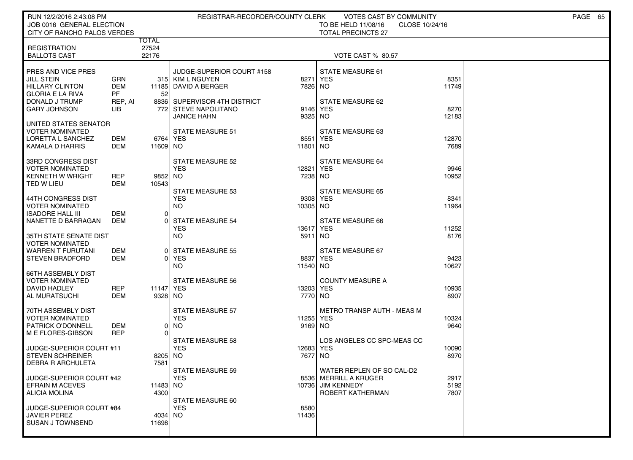| RUN 12/2/2016 2:43:08 PM                       |            |                        | REGISTRAR-RECORDER/COUNTY CLERK                      |               | VOTES CAST BY COMMUNITY               |                | PAGE 65 |
|------------------------------------------------|------------|------------------------|------------------------------------------------------|---------------|---------------------------------------|----------------|---------|
| JOB 0016 GENERAL ELECTION                      |            |                        |                                                      |               | TO BE HELD 11/08/16                   | CLOSE 10/24/16 |         |
| CITY OF RANCHO PALOS VERDES                    |            | <b>TOTAL</b>           |                                                      |               | <b>TOTAL PRECINCTS 27</b>             |                |         |
| <b>REGISTRATION</b>                            |            | 27524                  |                                                      |               |                                       |                |         |
| <b>BALLOTS CAST</b>                            |            | 22176                  |                                                      |               | <b>VOTE CAST % 80.57</b>              |                |         |
|                                                |            |                        |                                                      |               |                                       |                |         |
| <b>PRES AND VICE PRES</b><br>  JILL STEIN      | GRN        |                        | JUDGE-SUPERIOR COURT #158<br>315   KIM L NGUYEN      | 8271          | <b>STATE MEASURE 61</b><br><b>YES</b> | 8351           |         |
| <b>HILLARY CLINTON</b>                         | DEM        | 11185                  | DAVID A BERGER                                       | 7826 NO       |                                       | 11749          |         |
| GLORIA E LA RIVA                               | <b>PF</b>  | 52                     |                                                      |               |                                       |                |         |
| DONALD J TRUMP<br><b>GARY JOHNSON</b>          | REP, AI    |                        | 8836 SUPERVISOR 4TH DISTRICT<br>772 STEVE NAPOLITANO | 9146          | STATE MEASURE 62<br><b>YES</b>        | 8270           |         |
|                                                | LІВ        |                        | <b>JANICE HAHN</b>                                   | 9325          | NO.                                   | 12183          |         |
| UNITED STATES SENATOR                          |            |                        |                                                      |               |                                       |                |         |
| I VOTER NOMINATED                              |            |                        | STATE MEASURE 51                                     |               | STATE MEASURE 63                      |                |         |
| I LORETTA L SANCHEZ<br>  KAMALA D HARRIS       | DEM<br>DEM | 6764   YES<br>11609 NO |                                                      | 8551<br>11801 | <b>YES</b><br>NO.                     | 12870<br>7689  |         |
|                                                |            |                        |                                                      |               |                                       |                |         |
| 33RD CONGRESS DIST                             |            |                        | STATE MEASURE 52                                     |               | STATE MEASURE 64                      |                |         |
| I VOTER NOMINATED                              |            |                        | <b>YES</b>                                           | 12821         | <b>YES</b>                            | 9946           |         |
| <b>KENNETH W WRIGHT</b><br>  TED W LIEU        | REP<br>DEM | 9852 NO<br>10543       |                                                      | 7238          | NO.                                   | 10952          |         |
|                                                |            |                        | <b>STATE MEASURE 53</b>                              |               | <b>STATE MEASURE 65</b>               |                |         |
| I 44TH CONGRESS DIST                           |            |                        | <b>YES</b>                                           | 9308          | YES                                   | 8341           |         |
| I VOTER NOMINATED                              |            |                        | NO.                                                  | 10305 NO      |                                       | 11964          |         |
| ISADORE HALL III<br>  NANETTE D BARRAGAN       | DEM<br>DEM | $\Omega$<br>$\Omega$   | <b>STATE MEASURE 54</b>                              |               | STATE MEASURE 66                      |                |         |
|                                                |            |                        | <b>YES</b>                                           | 13617         | <b>YES</b>                            | 11252          |         |
| I 35TH STATE SENATE DIST                       |            |                        | <b>NO</b>                                            | 5911          | NO.                                   | 8176           |         |
| VOTER NOMINATED<br>  WARREN T FURUTANI         | DEM        | 0                      | <b>STATE MEASURE 55</b>                              |               | STATE MEASURE 67                      |                |         |
| <b>STEVEN BRADFORD</b>                         | DEM        | $\Omega$               | YES                                                  | 8837          | <b>YES</b>                            | 9423           |         |
|                                                |            |                        | NO.                                                  | 11540 NO      |                                       | 10627          |         |
| 66TH ASSEMBLY DIST                             |            |                        |                                                      |               |                                       |                |         |
| <b>VOTER NOMINATED</b><br>  DAVID HADLEY       | REP        | 11147 YES              | <b>STATE MEASURE 56</b>                              | 13203         | <b>COUNTY MEASURE A</b><br><b>YES</b> | 10935          |         |
| AL MURATSUCHI                                  | DEM        | 9328 NO                |                                                      | 7770          | NO.                                   | 8907           |         |
|                                                |            |                        |                                                      |               |                                       |                |         |
| 70TH ASSEMBLY DIST                             |            |                        | <b>STATE MEASURE 57</b><br><b>YES</b>                | 11255         | METRO TRANSP AUTH - MEAS M            |                |         |
| VOTER NOMINATED<br>I PATRICK O'DONNELL         | DEM        | 0                      | NO.                                                  | 9169 NO       | YES                                   | 10324<br>9640  |         |
| ME FLORES-GIBSON                               | <b>REP</b> | $\Omega$               |                                                      |               |                                       |                |         |
|                                                |            |                        | <b>STATE MEASURE 58</b>                              |               | LOS ANGELES CC SPC-MEAS CC            |                |         |
| JUDGE-SUPERIOR COURT #11<br>I STEVEN SCHREINER |            | 8205 NO                | <b>YES</b>                                           | 12683<br>7677 | <b>YES</b><br>NO.                     | 10090<br>8970  |         |
| I DEBRA R ARCHULETA                            |            | 7581                   |                                                      |               |                                       |                |         |
|                                                |            |                        | STATE MEASURE 59                                     |               | WATER REPLEN OF SO CAL-D2             |                |         |
| <b>JUDGE-SUPERIOR COURT #42</b>                |            |                        | <b>YES</b>                                           |               | 8536 MERRILL A KRUGER                 | 2917           |         |
| <b>EFRAIN M ACEVES</b><br>  ALICIA MOLINA      |            | 11483 NO<br>4300       |                                                      | 10736         | JIM KENNEDY<br>ROBERT KATHERMAN       | 5192<br>7807   |         |
|                                                |            |                        | STATE MEASURE 60                                     |               |                                       |                |         |
| JUDGE-SUPERIOR COURT #84                       |            |                        | <b>YES</b>                                           | 8580          |                                       |                |         |
| JAVIER PEREZ<br>I SUSAN J TOWNSEND             |            | 4034 NO                |                                                      | 11436         |                                       |                |         |
|                                                |            | 11698                  |                                                      |               |                                       |                |         |
|                                                |            |                        |                                                      |               |                                       |                |         |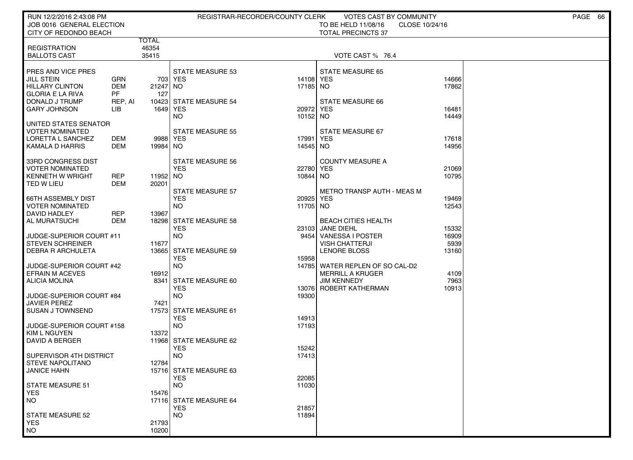| RUN 12/2/2016 2:43:08 PM<br>JOB 0016 GENERAL ELECTION |            |                |                                | REGISTRAR-RECORDER/COUNTY CLERK | VOTES CAST BY COMMUNITY<br>TO BE HELD 11/08/16 | CLOSE 10/24/16 | PAGE 66 |
|-------------------------------------------------------|------------|----------------|--------------------------------|---------------------------------|------------------------------------------------|----------------|---------|
| CITY OF REDONDO BEACH                                 |            |                |                                |                                 | <b>TOTAL PRECINCTS 37</b>                      |                |         |
| <b>REGISTRATION</b>                                   |            | TOTAL<br>46354 |                                |                                 |                                                |                |         |
| <b>BALLOTS CAST</b>                                   |            | 35415          |                                |                                 | VOTE CAST % 76.4                               |                |         |
|                                                       |            |                |                                |                                 |                                                |                |         |
| PRES AND VICE PRES                                    |            |                | <b>STATE MEASURE 53</b>        |                                 | <b>STATE MEASURE 65</b>                        |                |         |
| <b>JILL STEIN</b>                                     | GRN        |                | 703 YES                        | 14108 YES                       |                                                | 14666          |         |
| <b>HILLARY CLINTON</b>                                | <b>DEM</b> | 21247 NO       |                                | 17185 NO                        |                                                | 17862          |         |
| <b>GLORIA E LA RIVA</b>                               | <b>PF</b>  | 127            |                                |                                 |                                                |                |         |
| DONALD J TRUMP                                        | REP, AI    |                | 10423 STATE MEASURE 54         |                                 | STATE MEASURE 66                               |                |         |
| <b>GARY JOHNSON</b>                                   | LІВ        | 1649   YES     |                                | 20972 YES                       |                                                | 16481          |         |
|                                                       |            |                | <b>NO</b>                      | 10152 NO                        |                                                | 14449          |         |
| UNITED STATES SENATOR<br>VOTER NOMINATED              |            |                | <b>STATE MEASURE 55</b>        |                                 | STATE MEASURE 67                               |                |         |
| LORETTA L SANCHEZ                                     | DEM        | 9988 YES       |                                | 17991 <b>YES</b>                |                                                | 17618          |         |
| KAMALA D HARRIS                                       | DEM        | 19984 NO       |                                | 14545 NO                        |                                                | 14956          |         |
|                                                       |            |                |                                |                                 |                                                |                |         |
| 33RD CONGRESS DIST                                    |            |                | STATE MEASURE 56               |                                 | <b>COUNTY MEASURE A</b>                        |                |         |
| VOTER NOMINATED                                       |            |                | <b>YES</b>                     | 22780 YES                       |                                                | 21069          |         |
| <b>KENNETH W WRIGHT</b>                               | <b>REP</b> | 11952 NO       |                                | 10844 NO                        |                                                | 10795          |         |
| TED W LIEU                                            | DEM        | 20201          |                                |                                 |                                                |                |         |
|                                                       |            |                | STATE MEASURE 57               |                                 | <b>METRO TRANSP AUTH - MEAS M</b>              |                |         |
| <b>66TH ASSEMBLY DIST</b>                             |            |                | <b>YES</b><br><b>NO</b>        | 20925                           | YES                                            | 19469          |         |
| VOTER NOMINATED<br>DAVID HADLEY                       | <b>REP</b> | 13967          |                                | 11705 NO                        |                                                | 12543          |         |
| <b>AL MURATSUCHI</b>                                  | DEM        |                | 18298 STATE MEASURE 58         |                                 | <b>BEACH CITIES HEALTH</b>                     |                |         |
|                                                       |            |                | <b>YES</b>                     |                                 | 23103 JANE DIEHL                               | 15332          |         |
| JUDGE-SUPERIOR COURT #11                              |            |                | <b>NO</b>                      | 9454                            | <b>VANESSA I POSTER</b>                        | 16909          |         |
| <b>STEVEN SCHREINER</b>                               |            | 11677          |                                |                                 | <b>VISH CHATTERJI</b>                          | 5939           |         |
| DEBRA R ARCHULETA                                     |            |                | 13665 STATE MEASURE 59         |                                 | LENORE BLOSS                                   | 13160          |         |
|                                                       |            |                | <b>YES</b>                     | 15958                           |                                                |                |         |
| <b>JUDGE-SUPERIOR COURT #42</b>                       |            |                | <b>NO</b>                      | 14785                           | WATER REPLEN OF SO CAL-D2                      |                |         |
| <b>EFRAIN M ACEVES</b>                                |            | 16912          |                                |                                 | <b>MERRILL A KRUGER</b>                        | 4109           |         |
| <b>ALICIA MOLINA</b>                                  |            | 8341           | STATE MEASURE 60<br><b>YES</b> | 130761                          | <b>JIM KENNEDY</b><br>ROBERT KATHERMAN         | 7963<br>10913  |         |
| JUDGE-SUPERIOR COURT #84                              |            |                | <b>NO</b>                      | 19300                           |                                                |                |         |
| <b>JAVIER PEREZ</b>                                   |            | 7421           |                                |                                 |                                                |                |         |
| <b>SUSAN J TOWNSEND</b>                               |            |                | 17573 STATE MEASURE 61         |                                 |                                                |                |         |
|                                                       |            |                | <b>YES</b>                     | 14913                           |                                                |                |         |
| JUDGE-SUPERIOR COURT #158                             |            |                | <b>NO</b>                      | 17193                           |                                                |                |         |
| KIM L NGUYEN                                          |            | 13372          |                                |                                 |                                                |                |         |
| DAVID A BERGER                                        |            |                | 11968 STATE MEASURE 62         |                                 |                                                |                |         |
| SUPERVISOR 4TH DISTRICT                               |            |                | <b>YES</b><br><b>NO</b>        | 15242<br>17413                  |                                                |                |         |
| <b>STEVE NAPOLITANO</b>                               |            | 12784          |                                |                                 |                                                |                |         |
| JANICE HAHN                                           |            |                | 15716 STATE MEASURE 63         |                                 |                                                |                |         |
|                                                       |            |                | <b>YES</b>                     | 22085                           |                                                |                |         |
| <b>STATE MEASURE 51</b>                               |            |                | <b>NO</b>                      | 11030                           |                                                |                |         |
| <b>YES</b>                                            |            | 15476          |                                |                                 |                                                |                |         |
| <b>NO</b>                                             |            |                | 17116 STATE MEASURE 64         |                                 |                                                |                |         |
|                                                       |            |                | <b>YES</b>                     | 21857                           |                                                |                |         |
| <b>STATE MEASURE 52</b>                               |            |                | <b>NO</b>                      | 11894                           |                                                |                |         |
| <b>YES</b><br><b>NO</b>                               |            | 21793<br>10200 |                                |                                 |                                                |                |         |
|                                                       |            |                |                                |                                 |                                                |                |         |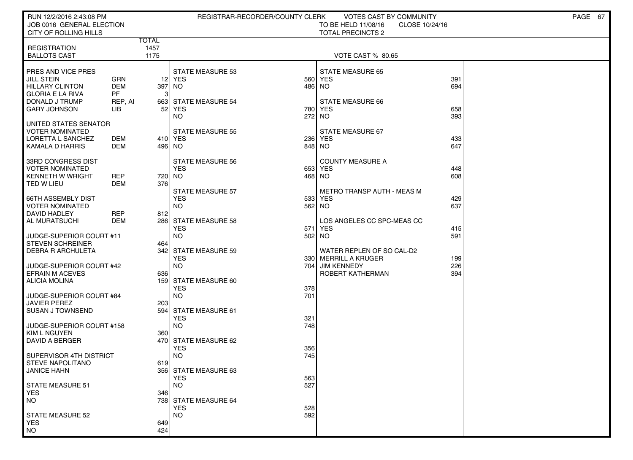| RUN 12/2/2016 2:43:08 PM<br>JOB 0016 GENERAL ELECTION |                |              | REGISTRAR-RECORDER/COUNTY CLERK    |     | VOTES CAST BY COMMUNITY<br>TO BE HELD 11/08/16<br>CLOSE 10/24/16 |            | PAGE 67 |
|-------------------------------------------------------|----------------|--------------|------------------------------------|-----|------------------------------------------------------------------|------------|---------|
| CITY OF ROLLING HILLS                                 |                |              |                                    |     | <b>TOTAL PRECINCTS 2</b>                                         |            |         |
|                                                       |                | <b>TOTAL</b> |                                    |     |                                                                  |            |         |
| <b>REGISTRATION</b><br><b>BALLOTS CAST</b>            |                | 1457<br>1175 |                                    |     | VOTE CAST % 80.65                                                |            |         |
|                                                       |                |              |                                    |     |                                                                  |            |         |
| PRES AND VICE PRES                                    |                |              | <b>STATE MEASURE 53</b>            |     | <b>STATE MEASURE 65</b>                                          |            |         |
| <b>JILL STEIN</b>                                     | <b>GRN</b>     |              | 12 YES                             | 560 | <b>YES</b>                                                       | 391        |         |
| <b>HILLARY CLINTON</b>                                | <b>DEM</b>     | 397 NO       |                                    | 486 | NO.                                                              | 694        |         |
| <b>GLORIA E LA RIVA</b>                               | <b>PF</b>      | 3            |                                    |     |                                                                  |            |         |
| DONALD J TRUMP<br><b>GARY JOHNSON</b>                 | REP, AI<br>LІВ | 52           | 663 STATE MEASURE 54<br>YES        | 780 | STATE MEASURE 66<br>YES                                          | 658        |         |
|                                                       |                |              | NO.                                | 272 | NO.                                                              | 393        |         |
| UNITED STATES SENATOR                                 |                |              |                                    |     |                                                                  |            |         |
| <b>VOTER NOMINATED</b>                                |                |              | <b>STATE MEASURE 55</b>            |     | STATE MEASURE 67                                                 |            |         |
| LORETTA L SANCHEZ                                     | DEM            |              | 410 YES                            | 236 | <b>YES</b>                                                       | 433        |         |
| KAMALA D HARRIS                                       | DEM            | 496 NO       |                                    |     | 848 NO                                                           | 647        |         |
| 33RD CONGRESS DIST                                    |                |              | <b>STATE MEASURE 56</b>            |     | <b>COUNTY MEASURE A</b>                                          |            |         |
| <b>VOTER NOMINATED</b>                                |                |              | <b>YES</b>                         |     | 653 YES                                                          | 448        |         |
| <b>KENNETH W WRIGHT</b>                               | <b>REP</b>     | 720 NO       |                                    |     | 468 NO                                                           | 608        |         |
| TED W LIEU                                            | DEM            | 376          |                                    |     |                                                                  |            |         |
|                                                       |                |              | <b>STATE MEASURE 57</b>            |     | <b>METRO TRANSP AUTH - MEAS M</b>                                |            |         |
| <b>66TH ASSEMBLY DIST</b><br><b>VOTER NOMINATED</b>   |                |              | <b>YES</b><br><b>NO</b>            | 533 | YES<br>562 NO                                                    | 429<br>637 |         |
| DAVID HADLEY                                          | <b>REP</b>     | 812          |                                    |     |                                                                  |            |         |
| AL MURATSUCHI                                         | <b>DEM</b>     |              | 286 STATE MEASURE 58               |     | LOS ANGELES CC SPC-MEAS CC                                       |            |         |
|                                                       |                |              | <b>YES</b>                         | 571 | <b>YES</b>                                                       | 415        |         |
| JUDGE-SUPERIOR COURT #11                              |                |              | <b>NO</b>                          | 502 | NO <sub>1</sub>                                                  | 591        |         |
| <b>STEVEN SCHREINER</b>                               |                | 464          |                                    |     |                                                                  |            |         |
| <b>DEBRA R ARCHULETA</b>                              |                |              | 342 STATE MEASURE 59<br><b>YES</b> |     | WATER REPLEN OF SO CAL-D2<br>330   MERRILL A KRUGER              | 199        |         |
| JUDGE-SUPERIOR COURT #42                              |                |              | <b>NO</b>                          | 704 | <b>JIM KENNEDY</b>                                               | 226        |         |
| <b>EFRAIN M ACEVES</b>                                |                | 636          |                                    |     | ROBERT KATHERMAN                                                 | 394        |         |
| <b>ALICIA MOLINA</b>                                  |                |              | 159 STATE MEASURE 60               |     |                                                                  |            |         |
|                                                       |                |              | <b>YES</b>                         | 378 |                                                                  |            |         |
| JUDGE-SUPERIOR COURT #84<br><b>JAVIER PEREZ</b>       |                | 203          | <b>NO</b>                          | 701 |                                                                  |            |         |
| <b>SUSAN J TOWNSEND</b>                               |                |              | 594 STATE MEASURE 61               |     |                                                                  |            |         |
|                                                       |                |              | <b>YES</b>                         | 321 |                                                                  |            |         |
| JUDGE-SUPERIOR COURT #158                             |                |              | <b>NO</b>                          | 748 |                                                                  |            |         |
| KIM L NGUYEN                                          |                | 360          |                                    |     |                                                                  |            |         |
| DAVID A BERGER                                        |                |              | 470 STATE MEASURE 62<br><b>YES</b> | 356 |                                                                  |            |         |
| SUPERVISOR 4TH DISTRICT                               |                |              | <b>NO</b>                          | 745 |                                                                  |            |         |
| <b>STEVE NAPOLITANO</b>                               |                | 619          |                                    |     |                                                                  |            |         |
| <b>JANICE HAHN</b>                                    |                |              | 356 STATE MEASURE 63               |     |                                                                  |            |         |
|                                                       |                |              | <b>YES</b>                         | 563 |                                                                  |            |         |
| STATE MEASURE 51                                      |                |              | <b>NO</b>                          | 527 |                                                                  |            |         |
| <b>YES</b><br><b>NO</b>                               |                | 346          | 738 STATE MEASURE 64               |     |                                                                  |            |         |
|                                                       |                |              | <b>YES</b>                         | 528 |                                                                  |            |         |
| <b>STATE MEASURE 52</b>                               |                |              | <b>NO</b>                          | 592 |                                                                  |            |         |
| <b>YES</b>                                            |                | 649          |                                    |     |                                                                  |            |         |
| <b>NO</b>                                             |                | 424          |                                    |     |                                                                  |            |         |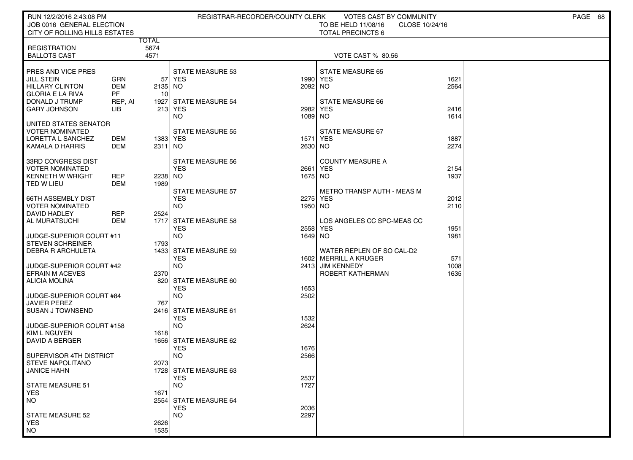| RUN 12/2/2016 2:43:08 PM                            |                   |                      | REGISTRAR-RECORDER/COUNTY CLERK |                 | VOTES CAST BY COMMUNITY               |              | PAGE 68 |
|-----------------------------------------------------|-------------------|----------------------|---------------------------------|-----------------|---------------------------------------|--------------|---------|
| JOB 0016 GENERAL ELECTION                           |                   |                      |                                 |                 | TO BE HELD 11/08/16<br>CLOSE 10/24/16 |              |         |
| CITY OF ROLLING HILLS ESTATES                       |                   |                      |                                 |                 | <b>TOTAL PRECINCTS 6</b>              |              |         |
| <b>REGISTRATION</b>                                 |                   | <b>TOTAL</b><br>5674 |                                 |                 |                                       |              |         |
| <b>BALLOTS CAST</b>                                 |                   | 4571                 |                                 |                 | VOTE CAST % 80.56                     |              |         |
|                                                     |                   |                      |                                 |                 |                                       |              |         |
| <b>PRES AND VICE PRES</b>                           |                   |                      | <b>STATE MEASURE 53</b>         |                 | <b>STATE MEASURE 65</b>               |              |         |
| <b>JILL STEIN</b>                                   | GRN<br><b>DEM</b> | 57                   | YES                             | 1990            | <b>YES</b>                            | 1621         |         |
| <b>HILLARY CLINTON</b><br>l GLORIA E LA RIVA        | <b>PF</b>         | 2135<br>10           | NO                              | 2092 NO         |                                       | 2564         |         |
| DONALD J TRUMP                                      | REP, AI           | 1927                 | <b>STATE MEASURE 54</b>         |                 | STATE MEASURE 66                      |              |         |
| <b>GARY JOHNSON</b>                                 | LIB               |                      | 213 YES                         | 2982            | <b>YES</b>                            | 2416         |         |
|                                                     |                   |                      | <b>NO</b>                       | 1089 NO         |                                       | 1614         |         |
| UNITED STATES SENATOR                               |                   |                      |                                 |                 |                                       |              |         |
| VOTER NOMINATED                                     |                   |                      | STATE MEASURE 55                |                 | STATE MEASURE 67                      |              |         |
| I LORETTA L SANCHEZ<br><b>KAMALA D HARRIS</b>       | DEM<br>DEM        | 1383 YES<br>2311 NO  |                                 | 1571<br>2630 NO | YES                                   | 1887<br>2274 |         |
|                                                     |                   |                      |                                 |                 |                                       |              |         |
| 33RD CONGRESS DIST                                  |                   |                      | STATE MEASURE 56                |                 | <b>COUNTY MEASURE A</b>               |              |         |
| I VOTER NOMINATED                                   |                   |                      | <b>YES</b>                      | 2661            | YES                                   | 2154         |         |
| KENNETH W WRIGHT                                    | REP               | 2238                 | NO.                             | 1675 NO         |                                       | 1937         |         |
| TED W LIEU                                          | <b>DEM</b>        | 1989                 | <b>STATE MEASURE 57</b>         |                 | <b>METRO TRANSP AUTH - MEAS M</b>     |              |         |
| I 66TH ASSEMBLY DIST                                |                   |                      | <b>YES</b>                      | 2275            | YES                                   | 2012         |         |
| I VOTER NOMINATED                                   |                   |                      | NO.                             | 1950 NO         |                                       | 2110         |         |
| DAVID HADLEY                                        | REP               | 2524                 |                                 |                 |                                       |              |         |
| AL MURATSUCHI                                       | DEM               | 1717                 | <b>STATE MEASURE 58</b>         |                 | LOS ANGELES CC SPC-MEAS CC            |              |         |
|                                                     |                   |                      | <b>YES</b>                      | 2558            | YES                                   | 1951         |         |
| JUDGE-SUPERIOR COURT #11<br><b>STEVEN SCHREINER</b> |                   | 1793                 | NO.                             | 1649 NO         |                                       | 1981         |         |
| <b>DEBRA R ARCHULETA</b>                            |                   | 1433                 | <b>STATE MEASURE 59</b>         |                 | WATER REPLEN OF SO CAL-D2             |              |         |
|                                                     |                   |                      | <b>YES</b>                      |                 | 1602   MERRILL A KRUGER               | 571          |         |
| JUDGE-SUPERIOR COURT #42                            |                   |                      | NO.                             |                 | 2413 JIM KENNEDY                      | 1008         |         |
| EFRAIN M ACEVES                                     |                   | 2370                 |                                 |                 | ROBERT KATHERMAN                      | 1635         |         |
| ALICIA MOLINA                                       |                   | 820                  | STATE MEASURE 60<br><b>YES</b>  | 1653            |                                       |              |         |
| JUDGE-SUPERIOR COURT #84                            |                   |                      | <b>NO</b>                       | 2502            |                                       |              |         |
| <b>JAVIER PEREZ</b>                                 |                   | 767                  |                                 |                 |                                       |              |         |
| I SUSAN J TOWNSEND                                  |                   |                      | 2416 STATE MEASURE 61           |                 |                                       |              |         |
|                                                     |                   |                      | <b>YES</b>                      | 1532            |                                       |              |         |
| JUDGE-SUPERIOR COURT #158                           |                   |                      | <b>NO</b>                       | 2624            |                                       |              |         |
| <b>KIM L NGUYEN</b><br>I DAVID A BERGER             |                   | 1618                 | 1656 STATE MEASURE 62           |                 |                                       |              |         |
|                                                     |                   |                      | <b>YES</b>                      | 1676            |                                       |              |         |
| SUPERVISOR 4TH DISTRICT                             |                   |                      | NO.                             | 2566            |                                       |              |         |
| STEVE NAPOLITANO                                    |                   | 2073                 |                                 |                 |                                       |              |         |
| <b>JANICE HAHN</b>                                  |                   |                      | 1728 STATE MEASURE 63           |                 |                                       |              |         |
| STATE MEASURE 51                                    |                   |                      | <b>YES</b><br>NO.               | 2537<br>1727    |                                       |              |         |
| <b>YES</b>                                          |                   | 1671                 |                                 |                 |                                       |              |         |
| <b>NO</b>                                           |                   | 2554                 | <b>STATE MEASURE 64</b>         |                 |                                       |              |         |
|                                                     |                   |                      | <b>YES</b>                      | 2036            |                                       |              |         |
| STATE MEASURE 52                                    |                   |                      | <b>NO</b>                       | 2297            |                                       |              |         |
| <b>YES</b>                                          |                   | 2626                 |                                 |                 |                                       |              |         |
| <b>NO</b>                                           |                   | 1535                 |                                 |                 |                                       |              |         |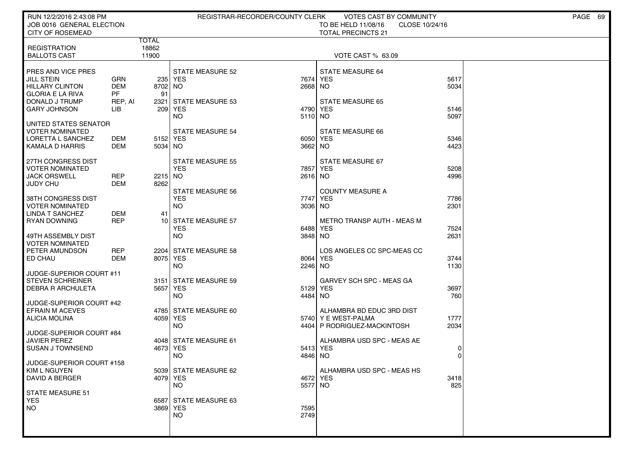| RUN 12/2/2016 2:43:08 PM<br>JOB 0016 GENERAL ELECTION<br><b>CITY OF ROSEMEAD</b>                                                      |                                                  |                                | REGISTRAR-RECORDER/COUNTY CLERK                                   |                         | VOTES CAST BY COMMUNITY<br>TO BE HELD 11/08/16<br>CLOSE 10/24/16<br><b>TOTAL PRECINCTS 21</b> |                      | PAGE 69 |
|---------------------------------------------------------------------------------------------------------------------------------------|--------------------------------------------------|--------------------------------|-------------------------------------------------------------------|-------------------------|-----------------------------------------------------------------------------------------------|----------------------|---------|
| <b>REGISTRATION</b><br><b>BALLOTS CAST</b>                                                                                            |                                                  | <b>TOTAL</b><br>18862<br>11900 |                                                                   |                         | VOTE CAST % 63.09                                                                             |                      |         |
| PRES AND VICE PRES<br><b>JILL STEIN</b><br><b>HILLARY CLINTON</b><br><b>GLORIA E LA RIVA</b><br>DONALD J TRUMP<br><b>GARY JOHNSON</b> | GRN<br><b>DEM</b><br><b>PF</b><br>REP, AI<br>LІВ | 8702 NO<br>91<br>2321          | <b>STATE MEASURE 52</b><br>235 YES<br>STATE MEASURE 53<br>209 YES | 7674<br>2668 NO<br>4790 | STATE MEASURE 64<br><b>YES</b><br><b>STATE MEASURE 65</b><br><b>YES</b>                       | 5617<br>5034<br>5146 |         |
| UNITED STATES SENATOR<br>VOTER NOMINATED<br>LORETTA L SANCHEZ<br>KAMALA D HARRIS                                                      | DEM<br>DEM                                       | 5152 YES<br>5034 NO            | NO.<br><b>STATE MEASURE 54</b>                                    | 5110 NO<br>3662 NO      | STATE MEASURE 66<br>6050 YES                                                                  | 5097<br>5346<br>4423 |         |
| 27TH CONGRESS DIST<br><b>VOTER NOMINATED</b><br><b>JACK ORSWELL</b><br><b>JUDY CHU</b>                                                | <b>REP</b><br><b>DEM</b>                         | 2215 NO<br>8262                | <b>STATE MEASURE 55</b><br><b>YES</b><br><b>STATE MEASURE 56</b>  | 7857<br>2616 NO         | STATE MEASURE 67<br>YES<br><b>COUNTY MEASURE A</b>                                            | 5208<br>4996         |         |
| 38TH CONGRESS DIST<br><b>VOTER NOMINATED</b><br>LINDA T SANCHEZ<br><b>RYAN DOWNING</b>                                                | <b>DEM</b><br><b>REP</b>                         | 41                             | <b>YES</b><br><b>NO</b><br>10 STATE MEASURE 57<br><b>YES</b>      | 7747<br>3036 NO         | <b>YES</b><br><b>METRO TRANSP AUTH - MEAS M</b>                                               | 7786<br>2301         |         |
| 49TH ASSEMBLY DIST<br><b>VOTER NOMINATED</b><br>PETER AMUNDSON<br>ED CHAU                                                             | <b>REP</b><br><b>DEM</b>                         | 8075 YES                       | <b>NO</b><br>2204 STATE MEASURE 58                                | 6488<br>3848 NO<br>8064 | YES<br>LOS ANGELES CC SPC-MEAS CC<br>YES                                                      | 7524<br>2631<br>3744 |         |
| JUDGE-SUPERIOR COURT #11<br><b>STEVEN SCHREINER</b><br><b>DEBRA R ARCHULETA</b>                                                       |                                                  | 5657 YES                       | NO.<br>3151 STATE MEASURE 59<br><b>NO</b>                         | 2246 NO<br>4484         | GARVEY SCH SPC - MEAS GA<br>5129 YES<br>NO.                                                   | 1130<br>3697<br>760  |         |
| JUDGE-SUPERIOR COURT #42<br><b>EFRAIN M ACEVES</b><br><b>ALICIA MOLINA</b><br>JUDGE-SUPERIOR COURT #84                                |                                                  | 4059 YES                       | 4785 STATE MEASURE 60<br>NO.                                      |                         | ALHAMBRA BD EDUC 3RD DIST<br>5740 Y E WEST-PALMA<br>4404 P RODRIGUEZ-MACKINTOSH               | 1777<br>2034         |         |
| <b>JAVIER PEREZ</b><br><b>SUSAN J TOWNSEND</b><br>JUDGE-SUPERIOR COURT #158                                                           |                                                  | 4673 YES                       | 4048 STATE MEASURE 61<br>NO                                       | 4846                    | ALHAMBRA USD SPC - MEAS AE<br>5413 YES<br>NO.                                                 | 0<br>$\Omega$        |         |
| KIM L NGUYEN<br>DAVID A BERGER<br>STATE MEASURE 51                                                                                    |                                                  | 4079 YES                       | 5039 STATE MEASURE 62<br>NO.                                      | 5577 NO                 | ALHAMBRA USD SPC - MEAS HS<br>4672 YES                                                        | 3418<br>825          |         |
| <b>YES</b><br><b>NO</b>                                                                                                               |                                                  | 3869 YES                       | 6587 STATE MEASURE 63<br><b>NO</b>                                | 7595<br>2749            |                                                                                               |                      |         |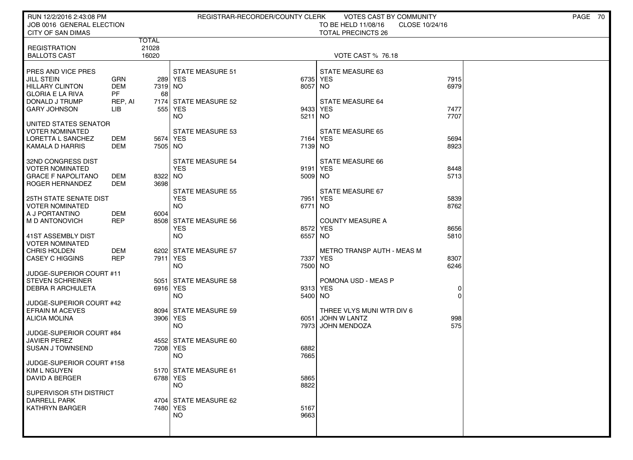| RUN 12/2/2016 2:43:08 PM<br>JOB 0016 GENERAL ELECTION |                      |                 |                                    | REGISTRAR-RECORDER/COUNTY CLERK | VOTES CAST BY COMMUNITY<br>TO BE HELD 11/08/16 | CLOSE 10/24/16 | PAGE 70 |  |
|-------------------------------------------------------|----------------------|-----------------|------------------------------------|---------------------------------|------------------------------------------------|----------------|---------|--|
| <b>CITY OF SAN DIMAS</b>                              |                      |                 |                                    |                                 | <b>TOTAL PRECINCTS 26</b>                      |                |         |  |
| <b>REGISTRATION</b>                                   |                      | TOTAL<br>21028  |                                    |                                 |                                                |                |         |  |
| <b>BALLOTS CAST</b>                                   |                      | 16020           |                                    |                                 | <b>VOTE CAST % 76.18</b>                       |                |         |  |
|                                                       |                      |                 |                                    |                                 |                                                |                |         |  |
| PRES AND VICE PRES<br><b>JILL STEIN</b>               | GRN                  |                 | <b>STATE MEASURE 51</b><br>289 YES | 6735                            | STATE MEASURE 63<br>YES                        | 7915           |         |  |
| HILLARY CLINTON                                       | <b>DEM</b>           | 7319 NO         |                                    | 8057                            | <b>NO</b>                                      | 6979           |         |  |
| <b>GLORIA E LA RIVA</b><br>DONALD J TRUMP             | <b>PF</b><br>REP, AI | 68              | 7174 STATE MEASURE 52              |                                 | <b>STATE MEASURE 64</b>                        |                |         |  |
| <b>GARY JOHNSON</b>                                   | LIB                  |                 | 555 YES                            |                                 | 9433 YES                                       | 7477           |         |  |
|                                                       |                      |                 | NO                                 | 5211                            | <b>NO</b>                                      | 7707           |         |  |
| UNITED STATES SENATOR<br><b>VOTER NOMINATED</b>       |                      |                 | <b>STATE MEASURE 53</b>            |                                 | <b>STATE MEASURE 65</b>                        |                |         |  |
| LORETTA L SANCHEZ                                     | DEM                  | 5674 YES        |                                    |                                 | 7164 YES                                       | 5694           |         |  |
| KAMALA D HARRIS                                       | DEM                  | 7505 NO         |                                    | 7139 NO                         |                                                | 8923           |         |  |
| 32ND CONGRESS DIST                                    |                      |                 | <b>STATE MEASURE 54</b>            |                                 | <b>STATE MEASURE 66</b>                        |                |         |  |
| <b>VOTER NOMINATED</b>                                |                      |                 | <b>YES</b>                         |                                 | 9191 YES                                       | 8448           |         |  |
| <b>GRACE F NAPOLITANO</b><br>ROGER HERNANDEZ          | DEM<br><b>DEM</b>    | 8322 NO<br>3698 |                                    | 5009 NO                         |                                                | 5713           |         |  |
|                                                       |                      |                 | <b>STATE MEASURE 55</b>            |                                 | STATE MEASURE 67                               |                |         |  |
| <b>25TH STATE SENATE DIST</b>                         |                      |                 | <b>YES</b>                         | 7951                            | <b>YES</b>                                     | 5839           |         |  |
| <b>VOTER NOMINATED</b><br>  A J PORTANTINO            | DEM                  | 6004            | <b>NO</b>                          | 6771                            | NO.                                            | 8762           |         |  |
| M D ANTONOVICH                                        | <b>REP</b>           |                 | 8508 STATE MEASURE 56              |                                 | <b>COUNTY MEASURE A</b>                        |                |         |  |
|                                                       |                      |                 | <b>YES</b>                         |                                 | 8572 YES                                       | 8656           |         |  |
| 41ST ASSEMBLY DIST<br><b>VOTER NOMINATED</b>          |                      |                 | <b>NO</b>                          | 6557                            | <b>NO</b>                                      | 5810           |         |  |
| <b>CHRIS HOLDEN</b>                                   | <b>DEM</b>           |                 | 6202 STATE MEASURE 57              |                                 | METRO TRANSP AUTH - MEAS M                     |                |         |  |
| <b>CASEY C HIGGINS</b>                                | <b>REP</b>           | 7911 YES        | <b>NO</b>                          | 7337<br>7500 NO                 | <b>YES</b>                                     | 8307<br>6246   |         |  |
| JUDGE-SUPERIOR COURT #11                              |                      |                 |                                    |                                 |                                                |                |         |  |
| <b>STEVEN SCHREINER</b>                               |                      |                 | 5051 STATE MEASURE 58              |                                 | POMONA USD - MEAS P                            |                |         |  |
| <b>DEBRA R ARCHULETA</b>                              |                      | 6916 YES        | <b>NO</b>                          | 5400 NO                         | 9313 YES                                       | 0<br>$\Omega$  |         |  |
| JUDGE-SUPERIOR COURT #42                              |                      |                 |                                    |                                 |                                                |                |         |  |
| <b>EFRAIN M ACEVES</b>                                |                      |                 | 8094 STATE MEASURE 59              |                                 | THREE VLYS MUNI WTR DIV 6                      |                |         |  |
| <b>ALICIA MOLINA</b>                                  |                      | 3906 YES        | <b>NO</b>                          | 6051                            | JOHN W LANTZ<br>7973 JOHN MENDOZA              | 998<br>575     |         |  |
| JUDGE-SUPERIOR COURT #84                              |                      |                 |                                    |                                 |                                                |                |         |  |
| <b>JAVIER PEREZ</b><br><b>SUSAN J TOWNSEND</b>        |                      | 7208 YES        | 4552 STATE MEASURE 60              | 6882                            |                                                |                |         |  |
|                                                       |                      |                 | <b>NO</b>                          | 7665                            |                                                |                |         |  |
| JUDGE-SUPERIOR COURT #158                             |                      |                 |                                    |                                 |                                                |                |         |  |
| KIM L NGUYEN<br>DAVID A BERGER                        |                      | 6788 YES        | 5170 STATE MEASURE 61              | 5865                            |                                                |                |         |  |
|                                                       |                      |                 | <b>NO</b>                          | 8822                            |                                                |                |         |  |
| SUPERVISOR 5TH DISTRICT<br><b>DARRELL PARK</b>        |                      |                 | 4704 STATE MEASURE 62              |                                 |                                                |                |         |  |
| <b>KATHRYN BARGER</b>                                 |                      | 7480 YES        |                                    | 5167                            |                                                |                |         |  |
|                                                       |                      |                 | <b>NO</b>                          | 9663                            |                                                |                |         |  |
|                                                       |                      |                 |                                    |                                 |                                                |                |         |  |
|                                                       |                      |                 |                                    |                                 |                                                |                |         |  |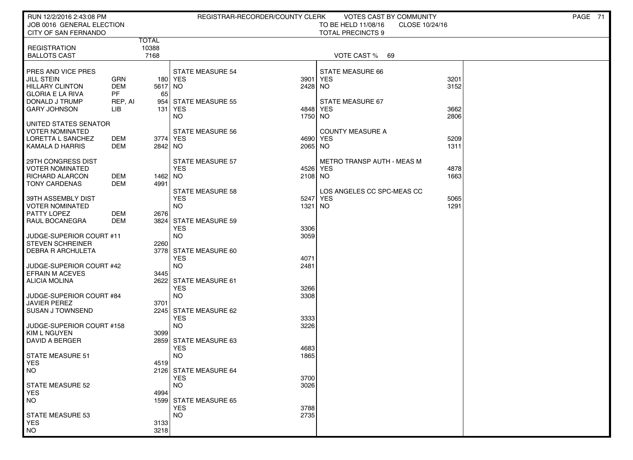| RUN 12/2/2016 2:43:08 PM<br>JOB 0016 GENERAL ELECTION                                                                          |                                                        |                               | REGISTRAR-RECORDER/COUNTY CLERK                                             |                            | <b>VOTES CAST BY COMMUNITY</b><br>TO BE HELD 11/08/16<br>CLOSE 10/24/16 |                      | PAGE 71 |
|--------------------------------------------------------------------------------------------------------------------------------|--------------------------------------------------------|-------------------------------|-----------------------------------------------------------------------------|----------------------------|-------------------------------------------------------------------------|----------------------|---------|
| CITY OF SAN FERNANDO                                                                                                           |                                                        |                               |                                                                             |                            | <b>TOTAL PRECINCTS 9</b>                                                |                      |         |
| <b>REGISTRATION</b><br><b>BALLOTS CAST</b>                                                                                     |                                                        | <b>TOTAL</b><br>10388<br>7168 |                                                                             |                            | VOTE CAST %<br>69                                                       |                      |         |
| PRES AND VICE PRES<br><b>JILL STEIN</b><br>HILLARY CLINTON<br><b>GLORIA E LA RIVA</b><br>DONALD J TRUMP<br><b>GARY JOHNSON</b> | <b>GRN</b><br><b>DEM</b><br><b>PF</b><br>REP, AI<br>ЦB | 5617 NO<br>65<br>954<br>131   | <b>STATE MEASURE 54</b><br>180 YES<br><b>STATE MEASURE 55</b><br>YES        | 3901<br>2428<br>4848 YES   | STATE MEASURE 66<br><b>YES</b><br>NO.<br>STATE MEASURE 67               | 3201<br>3152<br>3662 |         |
| UNITED STATES SENATOR<br>VOTER NOMINATED<br>LORETTA L SANCHEZ<br>KAMALA D HARRIS                                               | DEM<br>DEM                                             | 3774 YES<br>2842 NO           | NO.<br>STATE MEASURE 56                                                     | 1750 NO<br>4690<br>2065 NO | <b>COUNTY MEASURE A</b><br>YES                                          | 2806<br>5209<br>1311 |         |
| 29TH CONGRESS DIST<br><b>VOTER NOMINATED</b><br><b>RICHARD ALARCON</b><br><b>TONY CARDENAS</b>                                 | DEM<br>DEM                                             | 1462 NO<br>4991               | <b>STATE MEASURE 57</b><br><b>YES</b>                                       | 4526<br>2108 NO            | METRO TRANSP AUTH - MEAS M<br>YES                                       | 4878<br>1663         |         |
| 39TH ASSEMBLY DIST<br><b>VOTER NOMINATED</b><br>PATTY LOPEZ<br>RAUL BOCANEGRA                                                  | DEM<br><b>DEM</b>                                      | 2676                          | <b>STATE MEASURE 58</b><br><b>YES</b><br><b>NO</b><br>3824 STATE MEASURE 59 | 5247<br>1321               | LOS ANGELES CC SPC-MEAS CC<br>YES<br>NO.                                | 5065<br>1291         |         |
| JUDGE-SUPERIOR COURT #11<br><b>STEVEN SCHREINER</b><br><b>DEBRA R ARCHULETA</b>                                                |                                                        | 2260                          | <b>YES</b><br><b>NO</b><br>3778 STATE MEASURE 60<br><b>YES</b>              | 3306<br>3059<br>4071       |                                                                         |                      |         |
| JUDGE-SUPERIOR COURT #42<br><b>EFRAIN M ACEVES</b><br><b>ALICIA MOLINA</b>                                                     |                                                        | 3445                          | <b>NO</b><br>2622 STATE MEASURE 61<br><b>YES</b>                            | 2481<br>3266               |                                                                         |                      |         |
| JUDGE-SUPERIOR COURT #84<br><b>JAVIER PEREZ</b><br><b>SUSAN J TOWNSEND</b>                                                     |                                                        | 3701                          | <b>NO</b><br>2245 STATE MEASURE 62<br><b>YES</b>                            | 3308<br>3333               |                                                                         |                      |         |
| JUDGE-SUPERIOR COURT #158<br>  KIM L NGUYEN<br>DAVID A BERGER                                                                  |                                                        | 3099                          | <b>NO</b><br>2859 STATE MEASURE 63<br><b>YES</b>                            | 3226<br>4683               |                                                                         |                      |         |
| <b>STATE MEASURE 51</b><br>  YES<br>  NO                                                                                       |                                                        | 4519                          | <b>NO</b><br>2126 STATE MEASURE 64<br><b>YES</b>                            | 1865<br>3700               |                                                                         |                      |         |
| STATE MEASURE 52<br><b>YES</b><br>NO                                                                                           |                                                        | 4994                          | <b>NO</b><br>1599 STATE MEASURE 65<br><b>YES</b>                            | 3026<br>3788               |                                                                         |                      |         |
| <b>STATE MEASURE 53</b><br><b>YES</b><br>NO <sub>1</sub>                                                                       |                                                        | 3133<br>3218                  | <b>NO</b>                                                                   | 2735                       |                                                                         |                      |         |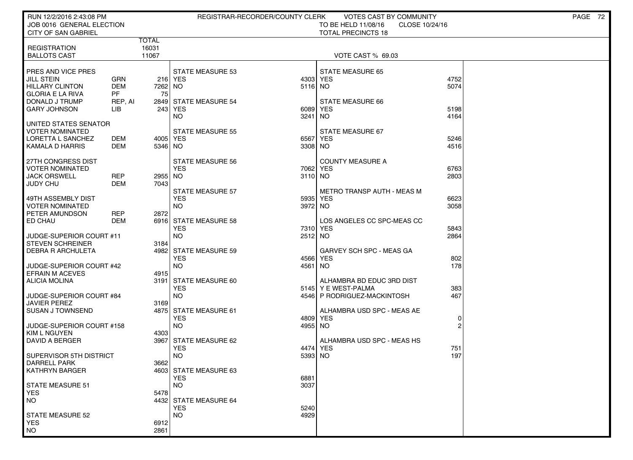| RUN 12/2/2016 2:43:08 PM<br>JOB 0016 GENERAL ELECTION |            |                |                                     | REGISTRAR-RECORDER/COUNTY CLERK | <b>VOTES CAST BY COMMUNITY</b><br>TO BE HELD 11/08/16<br>CLOSE 10/24/16 |                | PAGE 72 |
|-------------------------------------------------------|------------|----------------|-------------------------------------|---------------------------------|-------------------------------------------------------------------------|----------------|---------|
| <b>CITY OF SAN GABRIEL</b>                            |            |                |                                     |                                 | <b>TOTAL PRECINCTS 18</b>                                               |                |         |
|                                                       |            | <b>TOTAL</b>   |                                     |                                 |                                                                         |                |         |
| <b>REGISTRATION</b><br><b>BALLOTS CAST</b>            |            | 16031<br>11067 |                                     |                                 | <b>VOTE CAST % 69.03</b>                                                |                |         |
|                                                       |            |                |                                     |                                 |                                                                         |                |         |
| PRES AND VICE PRES                                    |            |                | <b>STATE MEASURE 53</b>             |                                 | <b>STATE MEASURE 65</b>                                                 |                |         |
| JILL STEIN                                            | GRN        |                | 216 YES                             | 4303                            | <b>YES</b>                                                              | 4752           |         |
| <b>HILLARY CLINTON</b>                                | <b>DEM</b> | 7262 NO        |                                     | 5116 NO                         |                                                                         | 5074           |         |
| <b>GLORIA E LA RIVA</b>                               | <b>PF</b>  | 75             |                                     |                                 |                                                                         |                |         |
| DONALD J TRUMP                                        | REP, AI    |                | 2849 STATE MEASURE 54               |                                 | <b>STATE MEASURE 66</b>                                                 |                |         |
| <b>GARY JOHNSON</b>                                   | LIB        |                | 243 YES                             | 6089                            | <b>YES</b>                                                              | 5198           |         |
|                                                       |            |                | NO.                                 | 3241                            | NO.                                                                     | 4164           |         |
| UNITED STATES SENATOR                                 |            |                |                                     |                                 |                                                                         |                |         |
| VOTER NOMINATED                                       |            |                | <b>STATE MEASURE 55</b>             |                                 | STATE MEASURE 67                                                        |                |         |
| LORETTA L SANCHEZ                                     | DEM        | 4005 YES       |                                     | 6567                            | <b>YES</b>                                                              | 5246           |         |
| KAMALA D HARRIS                                       | DEM        | 5346 NO        |                                     | 3308 NO                         |                                                                         | 4516           |         |
| 27TH CONGRESS DIST                                    |            |                | <b>STATE MEASURE 56</b>             |                                 | <b>COUNTY MEASURE A</b>                                                 |                |         |
| <b>VOTER NOMINATED</b>                                |            |                | <b>YES</b>                          | 7062                            | <b>YES</b>                                                              | 6763           |         |
| <b>JACK ORSWELL</b>                                   | <b>REP</b> | 2955 NO        |                                     | 3110 NO                         |                                                                         | 2803           |         |
| JUDY CHU                                              | DEM        | 7043           |                                     |                                 |                                                                         |                |         |
|                                                       |            |                | <b>STATE MEASURE 57</b>             |                                 | METRO TRANSP AUTH - MEAS M                                              |                |         |
| 49TH ASSEMBLY DIST                                    |            |                | <b>YES</b>                          | 5935                            | <b>YES</b>                                                              | 6623           |         |
| <b>VOTER NOMINATED</b>                                |            |                | <b>NO</b>                           | 3972 NO                         |                                                                         | 3058           |         |
| PETER AMUNDSON                                        | REP        | 2872           |                                     |                                 |                                                                         |                |         |
| ED CHAU                                               | DEM        |                | 6916 STATE MEASURE 58<br><b>YES</b> |                                 | LOS ANGELES CC SPC-MEAS CC                                              | 5843           |         |
| JUDGE-SUPERIOR COURT #11                              |            |                | <b>NO</b>                           | 2512 NO                         | 7310 YES                                                                | 2864           |         |
| <b>STEVEN SCHREINER</b>                               |            | 3184           |                                     |                                 |                                                                         |                |         |
| DEBRA R ARCHULETA                                     |            |                | 4982 STATE MEASURE 59               |                                 | GARVEY SCH SPC - MEAS GA                                                |                |         |
|                                                       |            |                | <b>YES</b>                          | 4566                            | <b>YES</b>                                                              | 802            |         |
| JUDGE-SUPERIOR COURT #42                              |            |                | <b>NO</b>                           | 4561                            | NO.                                                                     | 178            |         |
| <b>EFRAIN M ACEVES</b>                                |            | 4915           |                                     |                                 |                                                                         |                |         |
| <b>ALICIA MOLINA</b>                                  |            | 3191           | STATE MEASURE 60                    |                                 | ALHAMBRA BD EDUC 3RD DIST                                               |                |         |
|                                                       |            |                | <b>YES</b>                          |                                 | 5145 Y E WEST-PALMA                                                     | 383            |         |
| JUDGE-SUPERIOR COURT #84                              |            |                | <b>NO</b>                           |                                 | 4546 P RODRIGUEZ-MACKINTOSH                                             | 467            |         |
| JAVIER PEREZ                                          |            | 3169           |                                     |                                 |                                                                         |                |         |
| <b>SUSAN J TOWNSEND</b>                               |            |                | 4875 STATE MEASURE 61<br><b>YES</b> | 4809                            | ALHAMBRA USD SPC - MEAS AE<br><b>YES</b>                                | 0              |         |
| JUDGE-SUPERIOR COURT #158                             |            |                | <b>NO</b>                           | 4955 NO                         |                                                                         | $\overline{2}$ |         |
| <b>KIM L NGUYEN</b>                                   |            | 4303           |                                     |                                 |                                                                         |                |         |
| <b>DAVID A BERGER</b>                                 |            | 3967           | STATE MEASURE 62                    |                                 | ALHAMBRA USD SPC - MEAS HS                                              |                |         |
|                                                       |            |                | <b>YES</b>                          | 4474                            | <b>YES</b>                                                              | 751            |         |
| SUPERVISOR 5TH DISTRICT                               |            |                | <b>NO</b>                           | 5393                            | NO.                                                                     | 197            |         |
| DARRELL PARK                                          |            | 3662           |                                     |                                 |                                                                         |                |         |
| KATHRYN BARGER                                        |            |                | 4603 STATE MEASURE 63               |                                 |                                                                         |                |         |
|                                                       |            |                | <b>YES</b>                          | 6881                            |                                                                         |                |         |
| <b>STATE MEASURE 51</b>                               |            |                | <b>NO</b>                           | 3037                            |                                                                         |                |         |
| <b>YES</b><br>NO.                                     |            | 5478           | 4432 STATE MEASURE 64               |                                 |                                                                         |                |         |
|                                                       |            |                | <b>YES</b>                          | 5240                            |                                                                         |                |         |
| <b>STATE MEASURE 52</b>                               |            |                | <b>NO</b>                           | 4929                            |                                                                         |                |         |
| <b>YES</b>                                            |            | 6912           |                                     |                                 |                                                                         |                |         |
| <b>NO</b>                                             |            | 2861           |                                     |                                 |                                                                         |                |         |
|                                                       |            |                |                                     |                                 |                                                                         |                |         |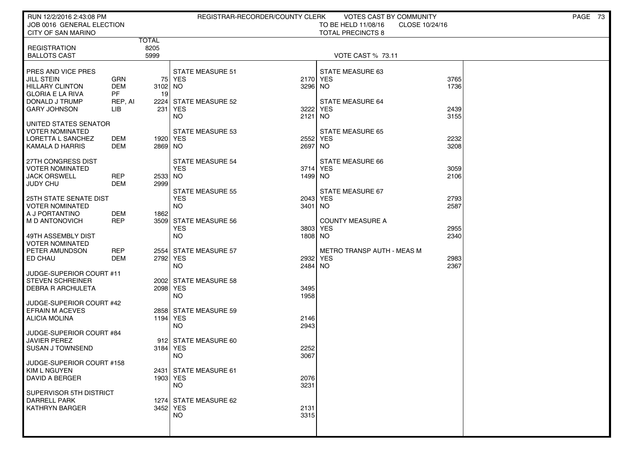| RUN 12/2/2016 2:43:08 PM<br>JOB 0016 GENERAL ELECTION<br>CITY OF SAN MARINO                                    |                                                  |                     | REGISTRAR-RECORDER/COUNTY CLERK                            |                     | VOTES CAST BY COMMUNITY<br>TO BE HELD 11/08/16<br>CLOSE 10/24/16<br><b>TOTAL PRECINCTS 8</b> |              | PAGE 73 |
|----------------------------------------------------------------------------------------------------------------|--------------------------------------------------|---------------------|------------------------------------------------------------|---------------------|----------------------------------------------------------------------------------------------|--------------|---------|
|                                                                                                                |                                                  | <b>TOTAL</b>        |                                                            |                     |                                                                                              |              |         |
| <b>REGISTRATION</b><br><b>BALLOTS CAST</b>                                                                     |                                                  | 8205<br>5999        |                                                            |                     | <b>VOTE CAST % 73.11</b>                                                                     |              |         |
| PRES AND VICE PRES<br><b>JILL STEIN</b><br><b>HILLARY CLINTON</b><br><b>GLORIA E LA RIVA</b><br>DONALD J TRUMP | <b>GRN</b><br><b>DEM</b><br><b>PF</b><br>REP, AI | 3102 NO<br>19       | <b>STATE MEASURE 51</b><br>75 YES<br>2224 STATE MEASURE 52 | 2170 YES<br>3296 NO | STATE MEASURE 63<br><b>STATE MEASURE 64</b>                                                  | 3765<br>1736 |         |
| <b>GARY JOHNSON</b>                                                                                            | LІВ                                              |                     | 231 YES<br>NO.                                             | 3222<br>2121        | YES<br>NO.                                                                                   | 2439<br>3155 |         |
| UNITED STATES SENATOR<br><b>VOTER NOMINATED</b><br>LORETTA L SANCHEZ<br><b>KAMALA D HARRIS</b>                 | DEM<br>DEM                                       | 1920 YES<br>2869 NO | STATE MEASURE 53                                           | 2552<br>2697 NO     | <b>STATE MEASURE 65</b><br>YES                                                               | 2232<br>3208 |         |
| 27TH CONGRESS DIST<br><b>VOTER NOMINATED</b><br><b>JACK ORSWELL</b><br><b>JUDY CHU</b>                         | <b>REP</b><br><b>DEM</b>                         | 2533 NO<br>2999     | <b>STATE MEASURE 54</b><br><b>YES</b>                      | 3714 YES<br>1499 NO | STATE MEASURE 66                                                                             | 3059<br>2106 |         |
| <b>25TH STATE SENATE DIST</b><br><b>VOTER NOMINATED</b><br>A J PORTANTINO                                      | DEM                                              | 1862                | <b>STATE MEASURE 55</b><br><b>YES</b><br><b>NO</b>         | 2043<br>3401 NO     | <b>STATE MEASURE 67</b><br>YES                                                               | 2793<br>2587 |         |
| M D ANTONOVICH<br>49TH ASSEMBLY DIST                                                                           | <b>REP</b>                                       |                     | 3509 STATE MEASURE 56<br><b>YES</b><br><b>NO</b>           | 3803<br>1808 NO     | <b>COUNTY MEASURE A</b><br>YES                                                               | 2955<br>2340 |         |
| <b>VOTER NOMINATED</b><br>PETER AMUNDSON<br>ED CHAU                                                            | <b>REP</b><br>DEM                                | 2792 YES            | 2554 STATE MEASURE 57<br>NO.                               | 2932 YES<br>2484 NO | <b>METRO TRANSP AUTH - MEAS M</b>                                                            | 2983<br>2367 |         |
| JUDGE-SUPERIOR COURT #11<br><b>STEVEN SCHREINER</b><br><b>DEBRA R ARCHULETA</b>                                |                                                  | 2098 YES            | 2002 STATE MEASURE 58<br><b>NO</b>                         | 3495<br>1958        |                                                                                              |              |         |
| JUDGE-SUPERIOR COURT #42<br><b>EFRAIN M ACEVES</b><br><b>ALICIA MOLINA</b>                                     |                                                  | 1194 YES            | 2858 STATE MEASURE 59<br><b>NO</b>                         | 2146<br>2943        |                                                                                              |              |         |
| JUDGE-SUPERIOR COURT #84<br><b>JAVIER PEREZ</b><br><b>SUSAN J TOWNSEND</b>                                     |                                                  | 3184 YES            | 912 STATE MEASURE 60<br><b>NO</b>                          | 2252<br>3067        |                                                                                              |              |         |
| JUDGE-SUPERIOR COURT #158<br>KIM L NGUYEN<br>DAVID A BERGER                                                    |                                                  | 1903 YES            | 2431   STATE MEASURE 61<br>NO.                             | 2076<br>3231        |                                                                                              |              |         |
| SUPERVISOR 5TH DISTRICT<br>DARRELL PARK<br><b>KATHRYN BARGER</b>                                               |                                                  | 3452 YES            | 1274 STATE MEASURE 62<br><b>NO</b>                         | 2131<br>3315        |                                                                                              |              |         |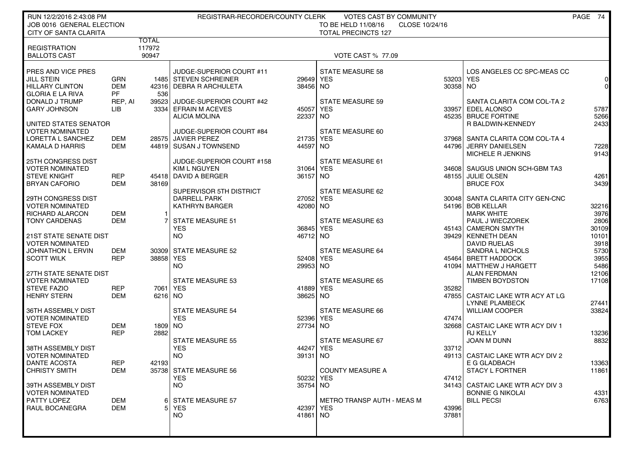| RUN 12/2/2016 2:43:08 PM<br>JOB 0016 GENERAL ELECTION                                        |                                       |                 | REGISTRAR-RECORDER/COUNTY CLERK                                              |                       | VOTES CAST BY COMMUNITY<br>TO BE HELD 11/08/16<br>CLOSE 10/24/16 |                       |                                                                                                   | PAGE 74                        |
|----------------------------------------------------------------------------------------------|---------------------------------------|-----------------|------------------------------------------------------------------------------|-----------------------|------------------------------------------------------------------|-----------------------|---------------------------------------------------------------------------------------------------|--------------------------------|
| <b>CITY OF SANTA CLARITA</b>                                                                 |                                       | <b>TOTAL</b>    |                                                                              |                       | <b>TOTAL PRECINCTS 127</b>                                       |                       |                                                                                                   |                                |
| <b>REGISTRATION</b><br><b>BALLOTS CAST</b>                                                   |                                       | 117972<br>90947 |                                                                              |                       | <b>VOTE CAST % 77.09</b>                                         |                       |                                                                                                   |                                |
| PRES AND VICE PRES<br><b>JILL STEIN</b><br><b>HILLARY CLINTON</b><br><b>GLORIA E LA RIVA</b> | <b>GRN</b><br><b>DEM</b><br><b>PF</b> | 536             | JUDGE-SUPERIOR COURT #11<br>1485 STEVEN SCHREINER<br>42316 DEBRA R ARCHULETA | 29649<br>38456        | <b>STATE MEASURE 58</b><br><b>YES</b><br>NO.                     | 53203 YES<br>30358 NO | LOS ANGELES CC SPC-MEAS CC                                                                        | 0<br>$\overline{0}$            |
| DONALD J TRUMP<br><b>GARY JOHNSON</b>                                                        | REP, AI<br>LIB                        | 39523           | JUDGE-SUPERIOR COURT #42<br>3334 EFRAIN M ACEVES<br>ALICIA MOLINA            | 45057<br>22337        | <b>STATE MEASURE 59</b><br><b>YES</b><br>NO.                     |                       | SANTA CLARITA COM COL-TA 2<br>33957 EDEL ALONSO<br>45235   BRUCE FORTINE                          | 5787<br>5266                   |
| UNITED STATES SENATOR<br><b>VOTER NOMINATED</b><br>LORETTA L SANCHEZ<br>KAMALA D HARRIS      | DEM<br>DEM                            |                 | JUDGE-SUPERIOR COURT #84<br>28575 JAVIER PEREZ<br>44819 SUSAN J TOWNSEND     | 21735<br>44597        | STATE MEASURE 60<br><b>YES</b><br>NO.                            |                       | R BALDWIN-KENNEDY<br>37968 SANTA CLARITA COM COL-TA 4<br>44796 JERRY DANIELSEN                    | 2433<br>7228                   |
| 25TH CONGRESS DIST<br><b>VOTER NOMINATED</b><br><b>STEVE KNIGHT</b>                          | <b>REP</b>                            |                 | JUDGE-SUPERIOR COURT #158<br><b>KIM L NGUYEN</b><br>45418 DAVID A BERGER     | 31064 YES<br>36157    | STATE MEASURE 61<br>NO.                                          |                       | MICHELE R JENKINS<br>34608 SAUGUS UNION SCH-GBM TA3<br>48155 JULIE OLSEN                          | 9143<br>4261                   |
| <b>BRYAN CAFORIO</b><br>29TH CONGRESS DIST<br><b>VOTER NOMINATED</b>                         | <b>DEM</b>                            | 38169           | SUPERVISOR 5TH DISTRICT<br><b>DARRELL PARK</b><br><b>KATHRYN BARGER</b>      | 27052<br>42080        | STATE MEASURE 62<br><b>YES</b><br><b>NO</b>                      |                       | <b>BRUCE FOX</b><br>30048   SANTA CLARITA CITY GEN-CNC<br>54196 BOB KELLAR                        | 3439<br>32216                  |
| RICHARD ALARCON<br><b>TONY CARDENAS</b>                                                      | DEM<br><b>DEM</b>                     |                 | <b>STATE MEASURE 51</b><br><b>YES</b>                                        | 36845 YES             | STATE MEASURE 63                                                 |                       | <b>MARK WHITE</b><br>PAUL J WIECZOREK<br>45143 CAMERON SMYTH                                      | 3976<br>2806<br>30109          |
| <b>21ST STATE SENATE DIST</b><br><b>VOTER NOMINATED</b><br><b>JOHNATHON L ERVIN</b>          | DEM<br><b>REP</b>                     | 38858 YES       | <b>NO</b><br>30309 STATE MEASURE 52                                          | 46712                 | <b>NO</b><br><b>STATE MEASURE 64</b>                             |                       | 39429 KENNETH DEAN<br><b>DAVID RUELAS</b><br>SANDRA L NICHOLS                                     | 10101<br>3918<br>5730          |
| <b>SCOTT WILK</b><br>27TH STATE SENATE DIST<br><b>VOTER NOMINATED</b>                        |                                       |                 | <b>NO</b><br><b>STATE MEASURE 53</b>                                         | 52408 YES<br>29953    | <b>NO</b><br><b>STATE MEASURE 65</b>                             |                       | 45464 BRETT HADDOCK<br>41094   MATTHEW J HARGETT<br><b>ALAN FERDMAN</b><br><b>TIMBEN BOYDSTON</b> | 3955<br>5486<br>12106<br>17108 |
| <b>STEVE FAZIO</b><br><b>HENRY STERN</b>                                                     | <b>REP</b><br><b>DEM</b>              | $6216$ NO       | 7061 YES                                                                     | 41889<br>38625        | <b>YES</b><br><b>NO</b>                                          | 35282                 | 47855 CASTAIC LAKE WTR ACY AT LG<br><b>LYNNE PLAMBECK</b>                                         | 27441                          |
| 36TH ASSEMBLY DIST<br><b>VOTER NOMINATED</b><br><b>STEVE FOX</b><br><b>TOM LACKEY</b>        | DEM<br><b>REP</b>                     | 1809 NO<br>2882 | <b>STATE MEASURE 54</b><br><b>YES</b>                                        | 52396<br>27734        | <b>STATE MEASURE 66</b><br><b>YES</b><br><b>NO</b>               | 47474                 | <b>WILLIAM COOPER</b><br>32668 CASTAIC LAKE WTR ACY DIV 1<br><b>RJ KELLY</b>                      | 33824<br>13236                 |
| 38TH ASSEMBLY DIST<br><b>VOTER NOMINATED</b>                                                 |                                       |                 | STATE MEASURE 55<br><b>YES</b><br><b>NO</b>                                  | 44247<br>39131        | <b>STATE MEASURE 67</b><br><b>YES</b><br>NO.                     | 33712<br>49113        | JOAN M DUNN<br>CASTAIC LAKE WTR ACY DIV 2                                                         | 8832                           |
| <b>DANTE ACOSTA</b><br><b>CHRISTY SMITH</b><br>39TH ASSEMBLY DIST                            | <b>REP</b><br>DEM                     | 42193           | 35738  STATE MEASURE 56<br><b>YES</b><br>NO.                                 | 50232 YES<br>35754 NO | <b>COUNTY MEASURE A</b>                                          | 47412                 | E G GLADBACH<br><b>STACY L FORTNER</b><br>34143 CASTAIC LAKE WTR ACY DIV 3                        | 13363<br>11861                 |
| <b>VOTER NOMINATED</b><br>PATTY LOPEZ<br>RAUL BOCANEGRA                                      | DEM<br>DEM                            | 6 I<br>51       | <b>STATE MEASURE 57</b><br>YES<br>NO.                                        | 42397 YES<br>41861 NO | METRO TRANSP AUTH - MEAS M                                       | 43996<br>37881        | <b>BONNIE G NIKOLAI</b><br><b>BILL PECSI</b>                                                      | 4331<br>6763                   |
|                                                                                              |                                       |                 |                                                                              |                       |                                                                  |                       |                                                                                                   |                                |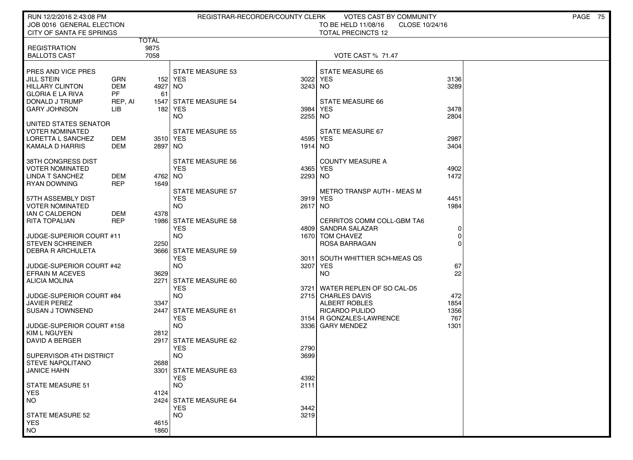| RUN 12/2/2016 2:43:08 PM<br>JOB 0016 GENERAL ELECTION                                  |                                       |                       |                                                    | REGISTRAR-RECORDER/COUNTY CLERK | <b>VOTES CAST BY COMMUNITY</b><br>TO BE HELD 11/08/16<br>CLOSE 10/24/16 |                     | PAGE 75 |
|----------------------------------------------------------------------------------------|---------------------------------------|-----------------------|----------------------------------------------------|---------------------------------|-------------------------------------------------------------------------|---------------------|---------|
| CITY OF SANTA FE SPRINGS                                                               |                                       |                       |                                                    |                                 | <b>TOTAL PRECINCTS 12</b>                                               |                     |         |
| <b>REGISTRATION</b><br><b>BALLOTS CAST</b>                                             |                                       | TOTAL<br>9875<br>7058 |                                                    |                                 | VOTE CAST % 71.47                                                       |                     |         |
| PRES AND VICE PRES<br>JILL STEIN<br><b>HILLARY CLINTON</b><br><b>GLORIA E LA RIVA</b>  | <b>GRN</b><br><b>DEM</b><br><b>PF</b> | 4927<br>61            | <b>STATE MEASURE 53</b><br>152 YES<br>NO.          | 3022<br>3243 NO                 | <b>STATE MEASURE 65</b><br><b>YES</b>                                   | 3136<br>3289        |         |
| DONALD J TRUMP<br>GARY JOHNSON                                                         | REP, AI<br>LIB                        | 1547<br>182           | <b>STATE MEASURE 54</b><br>YES<br>NO.              | 3984<br>2255 NO                 | STATE MEASURE 66<br>YES                                                 | 3478<br>2804        |         |
| UNITED STATES SENATOR<br>VOTER NOMINATED<br>LORETTA L SANCHEZ<br>KAMALA D HARRIS       | DEM<br>DEM                            | 3510 YES<br>2897 NO   | <b>STATE MEASURE 55</b>                            | 1914 NO                         | STATE MEASURE 67<br>4595 YES                                            | 2987<br>3404        |         |
| 38TH CONGRESS DIST<br><b>VOTER NOMINATED</b><br><b>LINDA T SANCHEZ</b><br>RYAN DOWNING | DEM<br><b>REP</b>                     | 4762 NO<br>1649       | <b>STATE MEASURE 56</b><br><b>YES</b>              | 2293 NO                         | <b>COUNTY MEASURE A</b><br>4365 YES                                     | 4902<br>1472        |         |
| 57TH ASSEMBLY DIST<br><b>VOTER NOMINATED</b><br><b>IAN C CALDERON</b>                  | DEM                                   | 4378                  | <b>STATE MEASURE 57</b><br><b>YES</b><br><b>NO</b> | 2617 NO                         | <b>METRO TRANSP AUTH - MEAS M</b><br>3919 YES                           | 4451<br>1984        |         |
| <b>RITA TOPALIAN</b><br>JUDGE-SUPERIOR COURT #11                                       | <b>REP</b>                            |                       | 1986 STATE MEASURE 58<br><b>YES</b><br><b>NO</b>   |                                 | CERRITOS COMM COLL-GBM TA6<br>4809 SANDRA SALAZAR<br>1670 TOM CHAVEZ    | 0<br>$\Omega$       |         |
| <b>STEVEN SCHREINER</b><br>DEBRA R ARCHULETA                                           |                                       | 2250<br>3666          | <b>STATE MEASURE 59</b><br><b>YES</b>              |                                 | ROSA BARRAGAN<br>3011 SOUTH WHITTIER SCH-MEAS QS                        | $\Omega$            |         |
| JUDGE-SUPERIOR COURT #42<br><b>EFRAIN M ACEVES</b><br><b>ALICIA MOLINA</b>             |                                       | 3629<br>2271          | <b>NO</b><br><b>STATE MEASURE 60</b>               | 3207                            | YES<br>NO.                                                              | 67<br>22            |         |
| JUDGE-SUPERIOR COURT #84<br>JAVIER PEREZ                                               |                                       | 3347                  | <b>YES</b><br><b>NO</b>                            |                                 | 3721 WATER REPLEN OF SO CAL-D5<br>2715 CHARLES DAVIS<br>ALBERT ROBLES   | 472<br>1854         |         |
| <b>SUSAN J TOWNSEND</b><br>JUDGE-SUPERIOR COURT #158                                   |                                       | 2447                  | STATE MEASURE 61<br><b>YES</b><br><b>NO</b>        |                                 | RICARDO PULIDO<br>3154 R GONZALES-LAWRENCE<br>3336 GARY MENDEZ          | 1356<br>767<br>1301 |         |
| KIM L NGUYEN<br>DAVID A BERGER                                                         |                                       | 2812<br>2917          | STATE MEASURE 62                                   |                                 |                                                                         |                     |         |
| SUPERVISOR 4TH DISTRICT<br><b>STEVE NAPOLITANO</b>                                     |                                       | 2688                  | <b>YES</b><br><b>NO</b>                            | 2790<br>3699                    |                                                                         |                     |         |
| JANICE HAHN<br><b>STATE MEASURE 51</b>                                                 |                                       |                       | 3301   STATE MEASURE 63<br><b>YES</b><br><b>NO</b> | 4392<br>2111                    |                                                                         |                     |         |
| <b>YES</b><br>NO.                                                                      |                                       | 4124                  | 2424 STATE MEASURE 64<br><b>YES</b>                | 3442                            |                                                                         |                     |         |
| <b>STATE MEASURE 52</b><br><b>YES</b><br><b>NO</b>                                     |                                       | 4615<br>1860          | <b>NO</b>                                          | 3219                            |                                                                         |                     |         |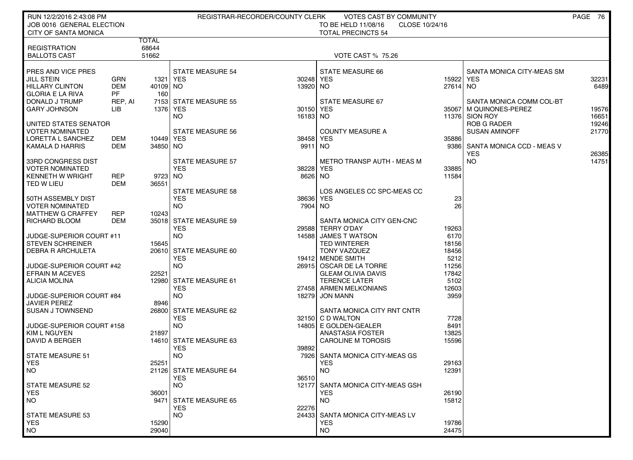| RUN 12/2/2016 2:43:08 PM<br>JOB 0016 GENERAL ELECTION |                   | PAGE 76<br>REGISTRAR-RECORDER/COUNTY CLERK<br>VOTES CAST BY COMMUNITY<br>TO BE HELD 11/08/16<br>CLOSE 10/24/16 |                                      |                      |                                                |                |                                  |       |
|-------------------------------------------------------|-------------------|----------------------------------------------------------------------------------------------------------------|--------------------------------------|----------------------|------------------------------------------------|----------------|----------------------------------|-------|
| <b>CITY OF SANTA MONICA</b>                           |                   |                                                                                                                |                                      |                      | <b>TOTAL PRECINCTS 54</b>                      |                |                                  |       |
|                                                       |                   | <b>TOTAL</b>                                                                                                   |                                      |                      |                                                |                |                                  |       |
| <b>REGISTRATION</b>                                   |                   | 68644                                                                                                          |                                      |                      |                                                |                |                                  |       |
| <b>BALLOTS CAST</b>                                   |                   | 51662                                                                                                          |                                      |                      | <b>VOTE CAST % 75.26</b>                       |                |                                  |       |
|                                                       |                   |                                                                                                                | <b>STATE MEASURE 54</b>              |                      |                                                |                |                                  |       |
| PRES AND VICE PRES<br><b>JILL STEIN</b>               | GRN               | 1321 YES                                                                                                       |                                      | 30248 YES            | STATE MEASURE 66                               | 15922          | SANTA MONICA CITY-MEAS SM<br>YES | 32231 |
| <b>HILLARY CLINTON</b>                                | <b>DEM</b>        | 40109 NO                                                                                                       |                                      | 13920 NO             |                                                | 27614 NO       |                                  | 6489  |
| <b>GLORIA E LA RIVA</b>                               | <b>PF</b>         | 160                                                                                                            |                                      |                      |                                                |                |                                  |       |
| DONALD J TRUMP                                        | REP, AI           |                                                                                                                | 7153 STATE MEASURE 55                |                      | STATE MEASURE 67                               |                | SANTA MONICA COMM COL-BT         |       |
| <b>GARY JOHNSON</b>                                   | LIB               |                                                                                                                | 1376 YES                             | 30150 YES            |                                                |                | 35067 M QUINONES-PEREZ           | 19576 |
|                                                       |                   |                                                                                                                | NO.                                  | 16183 NO             |                                                |                | 11376 SION ROY                   | 16651 |
| UNITED STATES SENATOR                                 |                   |                                                                                                                |                                      |                      |                                                |                | <b>ROB G RADER</b>               | 19246 |
| <b>VOTER NOMINATED</b>                                |                   |                                                                                                                | <b>STATE MEASURE 56</b>              |                      | <b>COUNTY MEASURE A</b>                        |                | <b>SUSAN AMINOFF</b>             | 21770 |
| LORETTA L SANCHEZ                                     | DEM               | 10449 YES                                                                                                      |                                      | 38458 YES            |                                                | 35886          |                                  |       |
| KAMALA D HARRIS                                       | DEM               | 34850 NO                                                                                                       |                                      | 9911 NO              |                                                | 9386           | SANTA MONICA CCD - MEAS V        |       |
|                                                       |                   |                                                                                                                |                                      |                      |                                                |                | <b>YES</b>                       | 26385 |
| 33RD CONGRESS DIST                                    |                   |                                                                                                                | STATE MEASURE 57                     |                      | METRO TRANSP AUTH - MEAS M                     |                | NO.                              | 14751 |
| <b>VOTER NOMINATED</b><br><b>KENNETH W WRIGHT</b>     |                   | 9723 NO                                                                                                        | <b>YES</b>                           | 38228 YES<br>8626 NO |                                                | 33885<br>11584 |                                  |       |
| TED W LIEU                                            | REP<br><b>DEM</b> | 36551                                                                                                          |                                      |                      |                                                |                |                                  |       |
|                                                       |                   |                                                                                                                | <b>STATE MEASURE 58</b>              |                      | LOS ANGELES CC SPC-MEAS CC                     |                |                                  |       |
| 50TH ASSEMBLY DIST                                    |                   |                                                                                                                | <b>YES</b>                           | 38636                | YES                                            | 23             |                                  |       |
| <b>VOTER NOMINATED</b>                                |                   |                                                                                                                | <b>NO</b>                            | 7904                 | NO.                                            | 26             |                                  |       |
| <b>MATTHEW G CRAFFEY</b>                              | REP               | 10243                                                                                                          |                                      |                      |                                                |                |                                  |       |
| RICHARD BLOOM                                         | DEM               |                                                                                                                | 35018 STATE MEASURE 59               |                      | SANTA MONICA CITY GEN-CNC                      |                |                                  |       |
|                                                       |                   |                                                                                                                | <b>YES</b>                           |                      | 29588 TERRY O'DAY                              | 19263          |                                  |       |
| JUDGE-SUPERIOR COURT #11                              |                   |                                                                                                                | <b>NO</b>                            |                      | 14588 JAMES T WATSON                           | 6170           |                                  |       |
| <b>STEVEN SCHREINER</b>                               |                   | 15645                                                                                                          |                                      |                      | <b>TED WINTERER</b>                            | 18156          |                                  |       |
| <b>DEBRA R ARCHULETA</b>                              |                   |                                                                                                                | 20610 STATE MEASURE 60               |                      | TONY VAZQUEZ                                   | 18456          |                                  |       |
|                                                       |                   |                                                                                                                | <b>YES</b>                           |                      | 19412 MENDE SMITH                              | 5212           |                                  |       |
| JUDGE-SUPERIOR COURT #42                              |                   |                                                                                                                | <b>NO</b>                            |                      | 26915 OSCAR DE LA TORRE                        | 11256          |                                  |       |
| <b>EFRAIN M ACEVES</b>                                |                   | 22521                                                                                                          |                                      |                      | <b>GLEAM OLIVIA DAVIS</b>                      | 17842          |                                  |       |
| <b>ALICIA MOLINA</b>                                  |                   |                                                                                                                | 12980 STATE MEASURE 61<br><b>YES</b> |                      | <b>TERENCE LATER</b><br>27458 ARMEN MELKONIANS | 5102<br>12603  |                                  |       |
| JUDGE-SUPERIOR COURT #84                              |                   |                                                                                                                | <b>NO</b>                            |                      | 18279 JON MANN                                 | 3959           |                                  |       |
| <b>JAVIER PEREZ</b>                                   |                   | 8946                                                                                                           |                                      |                      |                                                |                |                                  |       |
| SUSAN J TOWNSEND                                      |                   |                                                                                                                | 26800 STATE MEASURE 62               |                      | SANTA MONICA CITY RNT CNTR                     |                |                                  |       |
|                                                       |                   |                                                                                                                | <b>YES</b>                           |                      | 32150 C D WALTON                               | 7728           |                                  |       |
| JUDGE-SUPERIOR COURT #158                             |                   |                                                                                                                | <b>NO</b>                            |                      | 14805 E GOLDEN-GEALER                          | 8491           |                                  |       |
| <b>KIM L NGUYEN</b>                                   |                   | 21897                                                                                                          |                                      |                      | ANASTASIA FOSTER                               | 13825          |                                  |       |
| DAVID A BERGER                                        |                   |                                                                                                                | 14610 STATE MEASURE 63               |                      | <b>CAROLINE M TOROSIS</b>                      | 15596          |                                  |       |
|                                                       |                   |                                                                                                                | <b>YES</b>                           | 39892                |                                                |                |                                  |       |
| <b>STATE MEASURE 51</b>                               |                   |                                                                                                                | <b>NO</b>                            | 7926                 | SANTA MONICA CITY-MEAS GS                      |                |                                  |       |
| <b>YES</b>                                            |                   | 25251                                                                                                          |                                      |                      | <b>YES</b>                                     | 29163          |                                  |       |
| NO                                                    |                   |                                                                                                                | 21126 STATE MEASURE 64               |                      | NO.                                            | 12391          |                                  |       |
| STATE MEASURE 52                                      |                   |                                                                                                                | <b>YES</b><br>NO.                    | 36510                | 12177 SANTA MONICA CITY-MEAS GSH               |                |                                  |       |
| <b>YES</b>                                            |                   | 36001                                                                                                          |                                      |                      | <b>YES</b>                                     | 26190          |                                  |       |
| NO.                                                   |                   | 9471                                                                                                           | STATE MEASURE 65                     |                      | NO.                                            | 15812          |                                  |       |
|                                                       |                   |                                                                                                                | <b>YES</b>                           | 22276                |                                                |                |                                  |       |
| <b>STATE MEASURE 53</b>                               |                   |                                                                                                                | NO.                                  |                      | 24433 SANTA MONICA CITY-MEAS LV                |                |                                  |       |
| <b>YES</b>                                            |                   | 15290                                                                                                          |                                      |                      | <b>YES</b>                                     | 19786          |                                  |       |
| <b>NO</b>                                             |                   | 29040                                                                                                          |                                      |                      | NO.                                            | 24475          |                                  |       |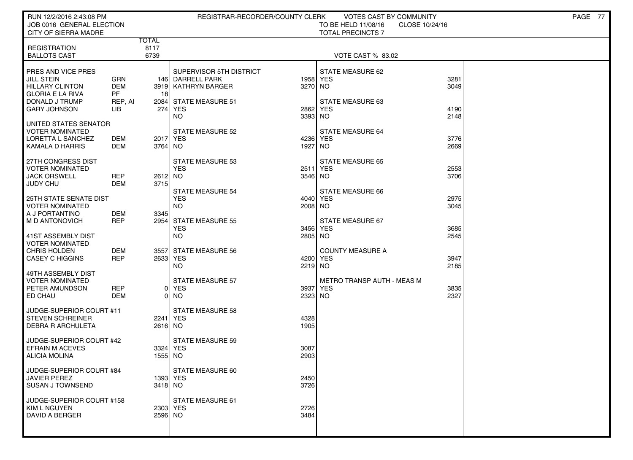| RUN 12/2/2016 2:43:08 PM<br>JOB 0016 GENERAL ELECTION<br>CITY OF SIERRA MADRE                                  |                                           |                 | REGISTRAR-RECORDER/COUNTY CLERK                                                             |                     | VOTES CAST BY COMMUNITY<br>TO BE HELD 11/08/16<br>CLOSE 10/24/16<br><b>TOTAL PRECINCTS 7</b> |              | PAGE 77 |
|----------------------------------------------------------------------------------------------------------------|-------------------------------------------|-----------------|---------------------------------------------------------------------------------------------|---------------------|----------------------------------------------------------------------------------------------|--------------|---------|
| <b>REGISTRATION</b><br><b>BALLOTS CAST</b>                                                                     | TOTAL<br>8117<br>6739                     |                 |                                                                                             |                     | VOTE CAST % 83.02                                                                            |              |         |
| PRES AND VICE PRES<br><b>JILL STEIN</b><br><b>HILLARY CLINTON</b><br><b>GLORIA E LA RIVA</b><br>DONALD J TRUMP | GRN<br><b>DEM</b><br><b>PF</b><br>REP, AI | 18              | SUPERVISOR 5TH DISTRICT<br>146 DARRELL PARK<br>3919 KATHRYN BARGER<br>2084 STATE MEASURE 51 | 1958 YES<br>3270 NO | STATE MEASURE 62<br><b>STATE MEASURE 63</b>                                                  | 3281<br>3049 |         |
| <b>GARY JOHNSON</b><br>UNITED STATES SENATOR                                                                   | LIB                                       |                 | 274 YES<br><b>NO</b>                                                                        | 2862<br>3393 NO     | YES                                                                                          | 4190<br>2148 |         |
| <b>VOTER NOMINATED</b><br>LORETTA L SANCHEZ<br>KAMALA D HARRIS                                                 | DEM<br><b>DEM</b>                         | 3764 NO         | STATE MEASURE 52<br>2017 YES                                                                | 4236 YES<br>1927    | STATE MEASURE 64<br>  NO                                                                     | 3776<br>2669 |         |
| 27TH CONGRESS DIST<br><b>VOTER NOMINATED</b><br><b>JACK ORSWELL</b><br><b>JUDY CHU</b>                         | <b>REP</b><br><b>DEM</b>                  | 2612 NO<br>3715 | <b>STATE MEASURE 53</b><br><b>YES</b>                                                       | 2511<br>3546 NO     | <b>STATE MEASURE 65</b><br>YES                                                               | 2553<br>3706 |         |
| <b>25TH STATE SENATE DIST</b><br><b>VOTER NOMINATED</b><br>A J PORTANTINO                                      | <b>DEM</b>                                | 3345            | <b>STATE MEASURE 54</b><br><b>YES</b><br><b>NO</b>                                          | 4040 YES<br>2008 NO | STATE MEASURE 66                                                                             | 2975<br>3045 |         |
| I M D ANTONOVICH<br>l 41ST ASSEMBLY DIST<br><b>VOTER NOMINATED</b>                                             | <b>REP</b>                                |                 | 2954 STATE MEASURE 55<br><b>YES</b><br><b>NO</b>                                            | 3456<br>2805 NO     | STATE MEASURE 67<br>YES                                                                      | 3685<br>2545 |         |
| <b>CHRIS HOLDEN</b><br><b>CASEY C HIGGINS</b>                                                                  | DEM<br><b>REP</b>                         |                 | 3557 STATE MEASURE 56<br>2633 YES<br><b>NO</b>                                              | 4200 YES<br>2219 NO | <b>COUNTY MEASURE A</b>                                                                      | 3947<br>2185 |         |
| 49TH ASSEMBLY DIST<br>VOTER NOMINATED<br>PETER AMUNDSON<br>ED CHAU                                             | <b>REP</b><br><b>DEM</b>                  |                 | <b>STATE MEASURE 57</b><br>0 YES<br>0 NO                                                    | 3937<br>2323 NO     | METRO TRANSP AUTH - MEAS M<br>YES                                                            | 3835<br>2327 |         |
| JUDGE-SUPERIOR COURT #11<br><b>STEVEN SCHREINER</b><br><b>DEBRA R ARCHULETA</b>                                |                                           | 2616 NO         | <b>STATE MEASURE 58</b><br>2241 YES                                                         | 4328<br>1905        |                                                                                              |              |         |
| JUDGE-SUPERIOR COURT #42<br><b>EFRAIN M ACEVES</b><br><b>ALICIA MOLINA</b>                                     |                                           | 1555 NO         | <b>STATE MEASURE 59</b><br>3324 YES                                                         | 3087<br>2903        |                                                                                              |              |         |
| JUDGE-SUPERIOR COURT #84<br><b>JAVIER PEREZ</b><br><b>SUSAN J TOWNSEND</b>                                     |                                           | 3418 NO         | STATE MEASURE 60<br>1393 YES                                                                | 2450<br>3726        |                                                                                              |              |         |
| JUDGE-SUPERIOR COURT #158<br>  KIM L NGUYEN<br><b>DAVID A BERGER</b>                                           |                                           | 2596 NO         | STATE MEASURE 61<br>2303 YES                                                                | 2726<br>3484        |                                                                                              |              |         |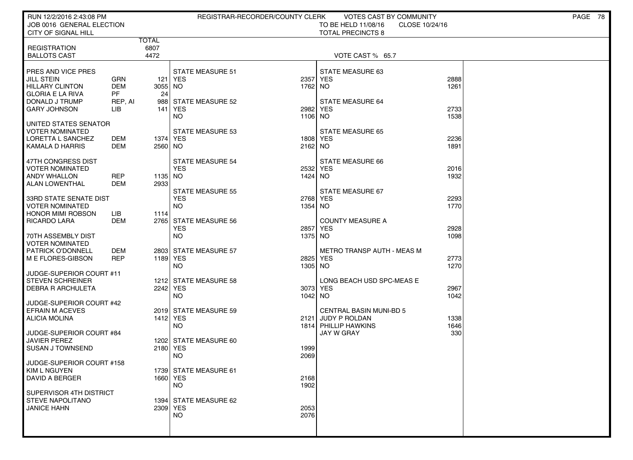| RUN 12/2/2016 2:43:08 PM<br>JOB 0016 GENERAL ELECTION                                                                          |                                                  |                     | REGISTRAR-RECORDER/COUNTY CLERK                                       |                             | VOTES CAST BY COMMUNITY<br>TO BE HELD 11/08/16<br>CLOSE 10/24/16                                  |                      | PAGE 78 |
|--------------------------------------------------------------------------------------------------------------------------------|--------------------------------------------------|---------------------|-----------------------------------------------------------------------|-----------------------------|---------------------------------------------------------------------------------------------------|----------------------|---------|
| CITY OF SIGNAL HILL                                                                                                            |                                                  | TOTAL               |                                                                       |                             | <b>TOTAL PRECINCTS 8</b>                                                                          |                      |         |
| <b>REGISTRATION</b><br><b>BALLOTS CAST</b>                                                                                     |                                                  | 6807<br>4472        |                                                                       |                             | VOTE CAST % 65.7                                                                                  |                      |         |
| PRES AND VICE PRES<br><b>JILL STEIN</b><br>HILLARY CLINTON<br><b>GLORIA E LA RIVA</b><br>DONALD J TRUMP<br><b>GARY JOHNSON</b> | GRN<br><b>DEM</b><br><b>PF</b><br>REP, AI<br>LІВ | 3055 NO<br>24       | <b>STATE MEASURE 51</b><br>121 YES<br>988 STATE MEASURE 52<br>141 YES | 2357 YES<br>1762 NO<br>2982 | STATE MEASURE 63<br><b>STATE MEASURE 64</b><br><b>YES</b>                                         | 2888<br>1261<br>2733 |         |
| UNITED STATES SENATOR                                                                                                          |                                                  |                     | <b>NO</b>                                                             | 1106 NO                     |                                                                                                   | 1538                 |         |
| <b>VOTER NOMINATED</b><br>LORETTA L SANCHEZ<br>KAMALA D HARRIS                                                                 | DEM<br>DEM                                       | 1374 YES<br>2560 NO | <b>STATE MEASURE 53</b>                                               | 1808 YES<br>2162 NO         | <b>STATE MEASURE 65</b>                                                                           | 2236<br>1891         |         |
| 47TH CONGRESS DIST<br><b>VOTER NOMINATED</b><br><b>ANDY WHALLON</b><br><b>ALAN LOWENTHAL</b>                                   | <b>REP</b><br>DEM                                | 1135 NO<br>2933     | STATE MEASURE 54<br><b>YES</b>                                        | 2532 YES<br>1424 NO         | STATE MEASURE 66                                                                                  | 2016<br>1932         |         |
| 33RD STATE SENATE DIST<br><b>VOTER NOMINATED</b><br><b>HONOR MIMI ROBSON</b>                                                   | LІВ                                              | 1114                | <b>STATE MEASURE 55</b><br><b>YES</b><br><b>NO</b>                    | 2768 YES<br>1354 NO         | STATE MEASURE 67                                                                                  | 2293<br>1770         |         |
| RICARDO LARA<br>70TH ASSEMBLY DIST<br><b>VOTER NOMINATED</b>                                                                   | <b>DEM</b>                                       |                     | 2765 STATE MEASURE 56<br><b>YES</b><br><b>NO</b>                      | 2857<br>1375 NO             | <b>COUNTY MEASURE A</b><br>YES                                                                    | 2928<br>1098         |         |
| <b>PATRICK O'DONNELL</b><br>M E FLORES-GIBSON                                                                                  | DEM<br><b>REP</b>                                | 1189 YES            | 2803 STATE MEASURE 57<br><b>NO</b>                                    | 2825 YES<br>1305 NO         | <b>METRO TRANSP AUTH - MEAS M</b>                                                                 | 2773<br>1270         |         |
| JUDGE-SUPERIOR COURT #11<br><b>STEVEN SCHREINER</b><br><b>DEBRA R ARCHULETA</b>                                                |                                                  | 2242 YES            | 1212 STATE MEASURE 58<br><b>NO</b>                                    | 3073 YES<br>1042 NO         | LONG BEACH USD SPC-MEAS E                                                                         | 2967<br>1042         |         |
| JUDGE-SUPERIOR COURT #42<br><b>EFRAIN M ACEVES</b><br>ALICIA MOLINA<br>JUDGE-SUPERIOR COURT #84                                |                                                  | 1412 YES            | 2019 STATE MEASURE 59<br><b>NO</b>                                    |                             | <b>CENTRAL BASIN MUNI-BD 5</b><br>2121 JUDY P ROLDAN<br>1814 PHILLIP HAWKINS<br><b>JAY W GRAY</b> | 1338<br>1646<br>330  |         |
| <b>JAVIER PEREZ</b><br>SUSAN J TOWNSEND                                                                                        |                                                  | 2180 YES            | 1202 STATE MEASURE 60<br><b>NO</b>                                    | 1999<br>2069                |                                                                                                   |                      |         |
| JUDGE-SUPERIOR COURT #158<br>KIM L NGUYEN<br>DAVID A BERGER                                                                    |                                                  | 1660 YES            | 1739 STATE MEASURE 61<br><b>NO</b>                                    | 2168<br>1902                |                                                                                                   |                      |         |
| SUPERVISOR 4TH DISTRICT<br>STEVE NAPOLITANO<br><b>JANICE HAHN</b>                                                              |                                                  | 2309 YES            | 1394 STATE MEASURE 62<br><b>NO</b>                                    | 2053<br>2076                |                                                                                                   |                      |         |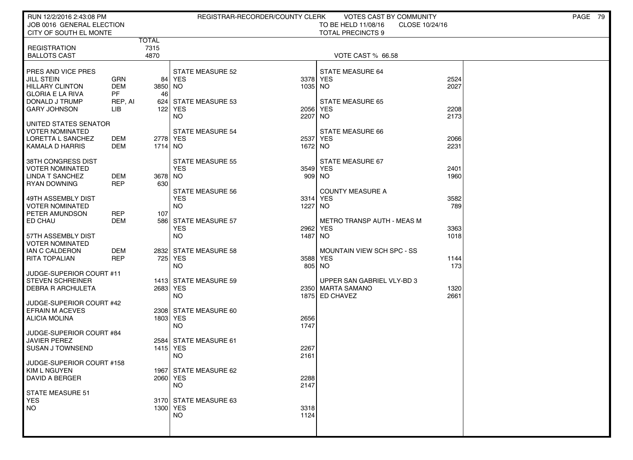| RUN 12/2/2016 2:43:08 PM<br>JOB 0016 GENERAL ELECTION                                                                                 |                                                  |                       |                                                                     | REGISTRAR-RECORDER/COUNTY CLERK | <b>VOTES CAST BY COMMUNITY</b><br>TO BE HELD 11/08/16               | CLOSE 10/24/16       | PAGE 79 |
|---------------------------------------------------------------------------------------------------------------------------------------|--------------------------------------------------|-----------------------|---------------------------------------------------------------------|---------------------------------|---------------------------------------------------------------------|----------------------|---------|
| CITY OF SOUTH EL MONTE                                                                                                                |                                                  |                       |                                                                     |                                 | <b>TOTAL PRECINCTS 9</b>                                            |                      |         |
| <b>REGISTRATION</b><br><b>BALLOTS CAST</b>                                                                                            |                                                  | TOTAL<br>7315<br>4870 |                                                                     |                                 | VOTE CAST % 66.58                                                   |                      |         |
| PRES AND VICE PRES<br><b>JILL STEIN</b><br><b>HILLARY CLINTON</b><br><b>GLORIA E LA RIVA</b><br>DONALD J TRUMP<br><b>GARY JOHNSON</b> | GRN<br><b>DEM</b><br><b>PF</b><br>REP, AI<br>LІВ | 84 I<br>3850 NO<br>46 | <b>STATE MEASURE 52</b><br>  YES<br>624 STATE MEASURE 53<br>122 YES | 1035 NO                         | <b>STATE MEASURE 64</b><br>3378 YES<br>STATE MEASURE 65<br>2056 YES | 2524<br>2027<br>2208 |         |
| UNITED STATES SENATOR<br><b>VOTER NOMINATED</b><br>LORETTA L SANCHEZ<br>KAMALA D HARRIS                                               | DEM<br>DEM                                       | 2778 YES<br>1714   NO | <b>NO</b><br><b>STATE MEASURE 54</b>                                | 2207<br>1672 NO                 | <b>NO</b><br><b>STATE MEASURE 66</b><br>2537 YES                    | 2173<br>2066<br>2231 |         |
| 38TH CONGRESS DIST<br><b>VOTER NOMINATED</b><br><b>LINDA T SANCHEZ</b><br><b>RYAN DOWNING</b>                                         | DEM<br><b>REP</b>                                | 3678 NO<br>630        | <b>STATE MEASURE 55</b><br><b>YES</b>                               |                                 | STATE MEASURE 67<br>3549 YES<br>909 NO                              | 2401<br>1960         |         |
| 49TH ASSEMBLY DIST<br><b>VOTER NOMINATED</b><br>PETER AMUNDSON                                                                        | <b>REP</b>                                       | 107                   | <b>STATE MEASURE 56</b><br><b>YES</b><br><b>NO</b>                  | 1227                            | <b>COUNTY MEASURE A</b><br>3314 YES<br>NO.                          | 3582<br>789          |         |
| ED CHAU<br>57TH ASSEMBLY DIST<br><b>VOTER NOMINATED</b>                                                                               | DEM                                              |                       | 586 STATE MEASURE 57<br><b>YES</b><br><b>NO</b>                     | 2962<br>1487                    | <b>METRO TRANSP AUTH - MEAS M</b><br><b>YES</b><br><b>NO</b>        | 3363<br>1018         |         |
| IAN C CALDERON<br><b>RITA TOPALIAN</b>                                                                                                | DEM<br>REP                                       |                       | 2832 STATE MEASURE 58<br>725 YES<br><b>NO</b>                       |                                 | MOUNTAIN VIEW SCH SPC - SS<br>3588 YES<br>805 NO                    | 1144<br>173          |         |
| JUDGE-SUPERIOR COURT #11<br><b>STEVEN SCHREINER</b><br><b>DEBRA R ARCHULETA</b>                                                       |                                                  | 2683 YES              | 1413 STATE MEASURE 59<br><b>NO</b>                                  |                                 | UPPER SAN GABRIEL VLY-BD 3<br>2350 MARTA SAMANO<br>1875 ED CHAVEZ   | 1320<br>2661         |         |
| JUDGE-SUPERIOR COURT #42<br><b>EFRAIN M ACEVES</b><br><b>ALICIA MOLINA</b>                                                            |                                                  | 1803   YES            | 2308 STATE MEASURE 60<br><b>NO</b>                                  | 2656<br>1747                    |                                                                     |                      |         |
| JUDGE-SUPERIOR COURT #84<br><b>JAVIER PEREZ</b><br><b>SUSAN J TOWNSEND</b>                                                            |                                                  | 1415 YES              | 2584 STATE MEASURE 61<br><b>NO</b>                                  | 2267<br>2161                    |                                                                     |                      |         |
| JUDGE-SUPERIOR COURT #158<br>KIM L NGUYEN<br><b>DAVID A BERGER</b>                                                                    |                                                  | 2060 YES              | 1967 STATE MEASURE 62<br><b>NO</b>                                  | 2288<br>2147                    |                                                                     |                      |         |
| STATE MEASURE 51<br>YES<br>NO.                                                                                                        |                                                  | 1300 YES              | 3170 STATE MEASURE 63<br><b>NO</b>                                  | 3318<br>1124                    |                                                                     |                      |         |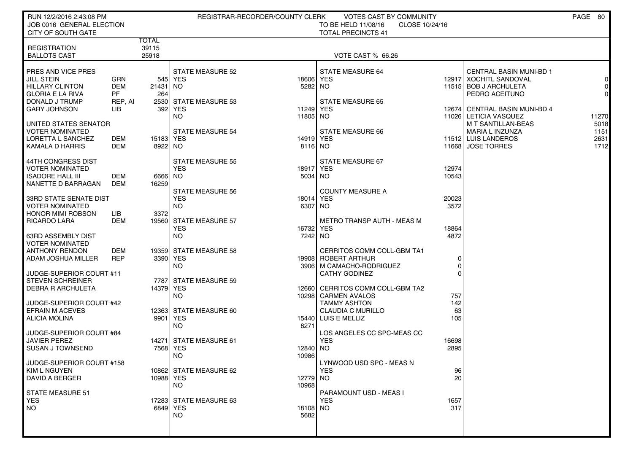| RUN 12/2/2016 2:43:08 PM                           |                          |           |                                    | REGISTRAR-RECORDER/COUNTY CLERK | VOTES CAST BY COMMUNITY                           |                |                                                  | PAGE 80             |
|----------------------------------------------------|--------------------------|-----------|------------------------------------|---------------------------------|---------------------------------------------------|----------------|--------------------------------------------------|---------------------|
| JOB 0016 GENERAL ELECTION                          |                          |           |                                    |                                 | TO BE HELD 11/08/16<br>CLOSE 10/24/16             |                |                                                  |                     |
| <b>CITY OF SOUTH GATE</b>                          |                          | TOTAL     |                                    |                                 | <b>TOTAL PRECINCTS 41</b>                         |                |                                                  |                     |
| <b>REGISTRATION</b>                                |                          | 39115     |                                    |                                 |                                                   |                |                                                  |                     |
| <b>BALLOTS CAST</b>                                |                          | 25918     |                                    |                                 | VOTE CAST % 66.26                                 |                |                                                  |                     |
|                                                    |                          |           |                                    |                                 |                                                   |                |                                                  |                     |
| PRES AND VICE PRES                                 |                          |           | <b>STATE MEASURE 52</b>            |                                 | <b>STATE MEASURE 64</b>                           |                | CENTRAL BASIN MUNI-BD 1                          |                     |
| <b>JILL STEIN</b><br><b>HILLARY CLINTON</b>        | <b>GRN</b><br><b>DEM</b> | 21431 NO  | 545   YES                          | 18606 YES<br>5282 NO            |                                                   | 129171         | <b>XOCHITL SANDOVAL</b><br>11515 BOB J ARCHULETA | 0<br>$\overline{0}$ |
| <b>GLORIA E LA RIVA</b>                            | <b>PF</b>                | 264       |                                    |                                 |                                                   |                | PEDRO ACEITUNO                                   | $\Omega$            |
| DONALD J TRUMP                                     | REP, AI                  |           | 2530 STATE MEASURE 53              |                                 | <b>STATE MEASURE 65</b>                           |                |                                                  |                     |
| <b>GARY JOHNSON</b>                                | LIB                      | 392 l     | <b>YES</b>                         | 11249 YES                       |                                                   |                | 12674 CENTRAL BASIN MUNI-BD 4                    |                     |
|                                                    |                          |           | NO.                                | 11805 NO                        |                                                   |                | 11026 LETICIA VASQUEZ                            | 11270               |
| UNITED STATES SENATOR<br><b>VOTER NOMINATED</b>    |                          |           | <b>STATE MEASURE 54</b>            |                                 | STATE MEASURE 66                                  |                | M T SANTILLAN-BEAS<br>MARIA L INZUNZA            | 5018<br>1151        |
| LORETTA L SANCHEZ                                  | DEM                      | 15183 YES |                                    | 14919 YES                       |                                                   |                | 11512 LUIS LANDEROS                              | 2631                |
| KAMALA D HARRIS                                    | DEM                      | 8922 NO   |                                    | 8116 NO                         |                                                   |                | 11668 JOSE TORRES                                | 1712                |
|                                                    |                          |           |                                    |                                 |                                                   |                |                                                  |                     |
| 44TH CONGRESS DIST                                 |                          |           | STATE MEASURE 55                   |                                 | STATE MEASURE 67                                  |                |                                                  |                     |
| <b>VOTER NOMINATED</b><br><b>ISADORE HALL III</b>  | DEM                      | 6666 NO   | <b>YES</b>                         | 18917 YES<br>5034 NO            |                                                   | 12974<br>10543 |                                                  |                     |
| NANETTE D BARRAGAN                                 | DEM                      | 16259     |                                    |                                 |                                                   |                |                                                  |                     |
|                                                    |                          |           | <b>STATE MEASURE 56</b>            |                                 | <b>COUNTY MEASURE A</b>                           |                |                                                  |                     |
| 33RD STATE SENATE DIST                             |                          |           | <b>YES</b>                         | 18014 YES                       |                                                   | 20023          |                                                  |                     |
| <b>VOTER NOMINATED</b><br><b>HONOR MIMI ROBSON</b> |                          |           | NO.                                | 6307 NO                         |                                                   | 3572           |                                                  |                     |
| <b>RICARDO LARA</b>                                | LIB.<br><b>DEM</b>       | 3372      | 19560 STATE MEASURE 57             |                                 | <b>METRO TRANSP AUTH - MEAS M</b>                 |                |                                                  |                     |
|                                                    |                          |           | <b>YES</b>                         | 16732 YES                       |                                                   | 18864          |                                                  |                     |
| 63RD ASSEMBLY DIST                                 |                          |           | NO.                                | 7242 NO                         |                                                   | 4872           |                                                  |                     |
| <b>VOTER NOMINATED</b>                             |                          |           |                                    |                                 |                                                   |                |                                                  |                     |
| <b>ANTHONY RENDON</b>                              | DEM                      |           | 19359 STATE MEASURE 58             |                                 | CERRITOS COMM COLL-GBM TA1                        |                |                                                  |                     |
| ADAM JOSHUA MILLER                                 | <b>REP</b>               |           | 3390 YES<br>NO.                    |                                 | 19908 ROBERT ARTHUR<br>3906   M CAMACHO-RODRIGUEZ | 0<br>0         |                                                  |                     |
| JUDGE-SUPERIOR COURT #11                           |                          |           |                                    |                                 | <b>CATHY GODINEZ</b>                              | $\Omega$       |                                                  |                     |
| <b>STEVEN SCHREINER</b>                            |                          |           | 7787 STATE MEASURE 59              |                                 |                                                   |                |                                                  |                     |
| <b>DEBRA R ARCHULETA</b>                           |                          | 14379 YES |                                    |                                 | 12660 CERRITOS COMM COLL-GBM TA2                  |                |                                                  |                     |
|                                                    |                          |           | NO.                                |                                 | 10298 CARMEN AVALOS                               | 757            |                                                  |                     |
| JUDGE-SUPERIOR COURT #42<br><b>EFRAIN M ACEVES</b> |                          |           | 12363 STATE MEASURE 60             |                                 | <b>TAMMY ASHTON</b><br>CLAUDIA C MURILLO          | 142<br>63      |                                                  |                     |
| ALICIA MOLINA                                      |                          |           | 9901   YES                         |                                 | 15440 LUIS E MELLIZ                               | 105            |                                                  |                     |
|                                                    |                          |           | NO.                                | 8271                            |                                                   |                |                                                  |                     |
| JUDGE-SUPERIOR COURT #84                           |                          |           |                                    |                                 | LOS ANGELES CC SPC-MEAS CC                        |                |                                                  |                     |
| <b>JAVIER PEREZ</b>                                |                          |           | 14271 STATE MEASURE 61<br>7568 YES |                                 | <b>YES</b>                                        | 16698          |                                                  |                     |
| <b>SUSAN J TOWNSEND</b>                            |                          |           | NO.                                | 12840 NO<br>10986               |                                                   | 2895           |                                                  |                     |
| JUDGE-SUPERIOR COURT #158                          |                          |           |                                    |                                 | LYNWOOD USD SPC - MEAS N                          |                |                                                  |                     |
| KIM L NGUYEN                                       |                          |           | 10862 STATE MEASURE 62             |                                 | YES                                               | 96             |                                                  |                     |
| <b>DAVID A BERGER</b>                              |                          | 10988 YES |                                    | 12779                           | <b>NO</b>                                         | 20             |                                                  |                     |
| <b>STATE MEASURE 51</b>                            |                          |           | NO.                                | 10968                           |                                                   |                |                                                  |                     |
| <b>YES</b>                                         |                          |           | 17283 STATE MEASURE 63             |                                 | PARAMOUNT USD - MEAS I<br><b>YES</b>              | 1657           |                                                  |                     |
| NO.                                                |                          |           | 6849 YES                           | 18108 NO                        |                                                   | 317            |                                                  |                     |
|                                                    |                          |           | NO.                                | 5682                            |                                                   |                |                                                  |                     |
|                                                    |                          |           |                                    |                                 |                                                   |                |                                                  |                     |
|                                                    |                          |           |                                    |                                 |                                                   |                |                                                  |                     |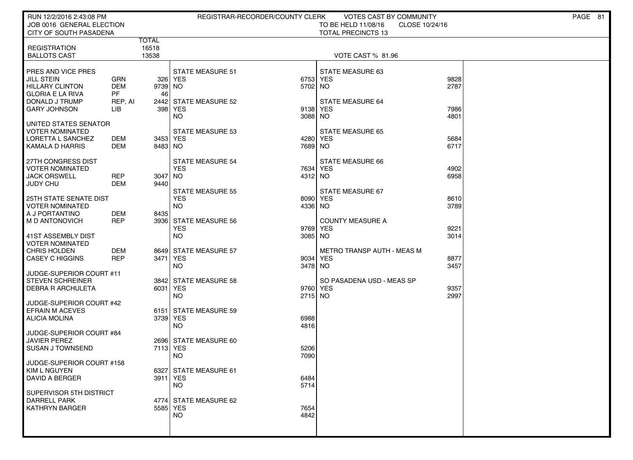| RUN 12/2/2016 2:43:08 PM<br>JOB 0016 GENERAL ELECTION |                          |                |                                    | REGISTRAR-RECORDER/COUNTY CLERK | VOTES CAST BY COMMUNITY<br>TO BE HELD 11/08/16 | CLOSE 10/24/16 | PAGE 81 |
|-------------------------------------------------------|--------------------------|----------------|------------------------------------|---------------------------------|------------------------------------------------|----------------|---------|
| CITY OF SOUTH PASADENA                                |                          |                |                                    |                                 | <b>TOTAL PRECINCTS 13</b>                      |                |         |
| <b>REGISTRATION</b>                                   |                          | TOTAL<br>16518 |                                    |                                 |                                                |                |         |
| <b>BALLOTS CAST</b>                                   |                          | 13538          |                                    |                                 | VOTE CAST % 81.96                              |                |         |
|                                                       |                          |                |                                    |                                 |                                                |                |         |
| PRES AND VICE PRES<br><b>JILL STEIN</b>               | GRN                      |                | <b>STATE MEASURE 51</b><br>326 YES |                                 | STATE MEASURE 63<br>6753 YES                   | 9828           |         |
| HILLARY CLINTON                                       | <b>DEM</b>               | 9739 NO        |                                    | 5702 NO                         |                                                | 2787           |         |
| <b>GLORIA E LA RIVA</b>                               | <b>PF</b>                | 46             |                                    |                                 |                                                |                |         |
| DONALD J TRUMP<br><b>GARY JOHNSON</b>                 | REP, AI<br>LIB           |                | 2442 STATE MEASURE 52<br>398 YES   |                                 | STATE MEASURE 64<br>9138 YES                   | 7986           |         |
|                                                       |                          |                | NO                                 | 3088 NO                         |                                                | 4801           |         |
| UNITED STATES SENATOR<br><b>VOTER NOMINATED</b>       |                          |                | STATE MEASURE 53                   |                                 | <b>STATE MEASURE 65</b>                        |                |         |
| LORETTA L SANCHEZ                                     | DEM                      | 3453 YES       |                                    |                                 | 4280 YES                                       | 5684           |         |
| KAMALA D HARRIS                                       | DEM                      | 8483 NO        |                                    | 7689 NO                         |                                                | 6717           |         |
| 27TH CONGRESS DIST                                    |                          |                | <b>STATE MEASURE 54</b>            |                                 | <b>STATE MEASURE 66</b>                        |                |         |
| <b>VOTER NOMINATED</b>                                |                          |                | <b>YES</b>                         |                                 | 7634 YES                                       | 4902           |         |
| <b>JACK ORSWELL</b>                                   | <b>REP</b><br><b>DEM</b> | 3047 NO        |                                    | 4312 NO                         |                                                | 6958           |         |
| <b>JUDY CHU</b>                                       |                          | 9440           | <b>STATE MEASURE 55</b>            |                                 | STATE MEASURE 67                               |                |         |
| <b>25TH STATE SENATE DIST</b>                         |                          |                | <b>YES</b>                         |                                 | 8090 YES                                       | 8610           |         |
| <b>VOTER NOMINATED</b><br>  A J PORTANTINO            | DEM                      | 8435           | <b>NO</b>                          | 4336 NO                         |                                                | 3789           |         |
| M D ANTONOVICH                                        | <b>REP</b>               |                | 3936 STATE MEASURE 56              |                                 | <b>COUNTY MEASURE A</b>                        |                |         |
|                                                       |                          |                | <b>YES</b>                         |                                 | 9769 YES                                       | 9221           |         |
| 41ST ASSEMBLY DIST<br><b>VOTER NOMINATED</b>          |                          |                | <b>NO</b>                          | 3085 NO                         |                                                | 3014           |         |
| <b>CHRIS HOLDEN</b>                                   | <b>DEM</b>               |                | 8649 STATE MEASURE 57              |                                 | <b>METRO TRANSP AUTH - MEAS M</b>              |                |         |
| <b>CASEY C HIGGINS</b>                                | <b>REP</b>               | 3471 YES       |                                    |                                 | 9034 YES                                       | 8877           |         |
| JUDGE-SUPERIOR COURT #11                              |                          |                | <b>NO</b>                          | 3478 NO                         |                                                | 3457           |         |
| <b>STEVEN SCHREINER</b>                               |                          |                | 3842 STATE MEASURE 58              |                                 | SO PASADENA USD - MEAS SP                      |                |         |
| <b>DEBRA R ARCHULETA</b>                              |                          | 6031 YES       | <b>NO</b>                          | 2715 NO                         | 9760 YES                                       | 9357<br>2997   |         |
| JUDGE-SUPERIOR COURT #42                              |                          |                |                                    |                                 |                                                |                |         |
| <b>EFRAIN M ACEVES</b>                                |                          |                | 6151 STATE MEASURE 59              |                                 |                                                |                |         |
| ALICIA MOLINA                                         |                          | 3739 YES       | <b>NO</b>                          | 6988<br>4816                    |                                                |                |         |
| JUDGE-SUPERIOR COURT #84                              |                          |                |                                    |                                 |                                                |                |         |
| <b>JAVIER PEREZ</b>                                   |                          |                | 2696 STATE MEASURE 60              |                                 |                                                |                |         |
| <b>SUSAN J TOWNSEND</b>                               |                          | 7113 YES       | <b>NO</b>                          | 5206<br>7090                    |                                                |                |         |
| JUDGE-SUPERIOR COURT #158                             |                          |                |                                    |                                 |                                                |                |         |
| ∥ KIM L NGUYEN<br>DAVID A BERGER                      |                          | 3911 YES       | 6327 STATE MEASURE 61              | 6484                            |                                                |                |         |
|                                                       |                          |                | <b>NO</b>                          | 5714                            |                                                |                |         |
| SUPERVISOR 5TH DISTRICT                               |                          |                |                                    |                                 |                                                |                |         |
| <b>DARRELL PARK</b><br><b>KATHRYN BARGER</b>          |                          | 5585 YES       | 4774 STATE MEASURE 62              | 7654                            |                                                |                |         |
|                                                       |                          |                | <b>NO</b>                          | 4842                            |                                                |                |         |
|                                                       |                          |                |                                    |                                 |                                                |                |         |
|                                                       |                          |                |                                    |                                 |                                                |                |         |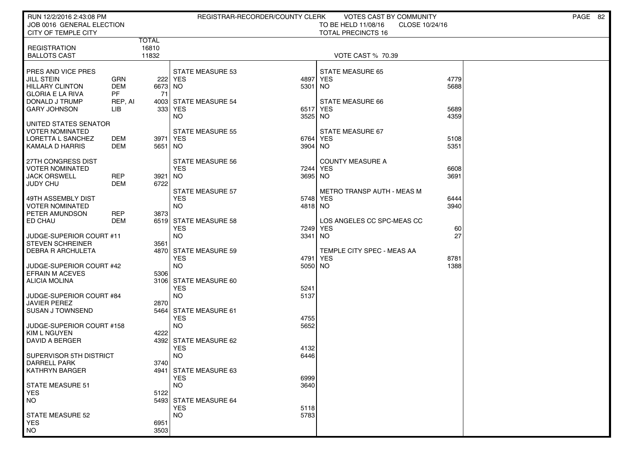| RUN 12/2/2016 2:43:08 PM<br>JOB 0016 GENERAL ELECTION<br>CITY OF TEMPLE CITY                 |                          |                     |                                                    | REGISTRAR-RECORDER/COUNTY CLERK | VOTES CAST BY COMMUNITY<br>TO BE HELD 11/08/16<br>CLOSE 10/24/16<br><b>TOTAL PRECINCTS 16</b> |              | PAGE 82 |
|----------------------------------------------------------------------------------------------|--------------------------|---------------------|----------------------------------------------------|---------------------------------|-----------------------------------------------------------------------------------------------|--------------|---------|
|                                                                                              |                          | <b>TOTAL</b>        |                                                    |                                 |                                                                                               |              |         |
| <b>REGISTRATION</b><br><b>BALLOTS CAST</b>                                                   |                          | 16810<br>11832      |                                                    |                                 | <b>VOTE CAST % 70.39</b>                                                                      |              |         |
| PRES AND VICE PRES<br><b>JILL STEIN</b><br><b>HILLARY CLINTON</b><br><b>GLORIA E LA RIVA</b> | GRN<br><b>DEM</b><br>PF. | 6673 NO<br>71       | <b>STATE MEASURE 53</b><br>222 YES                 | 4897<br>5301                    | <b>STATE MEASURE 65</b><br><b>YES</b><br>NO.                                                  | 4779<br>5688 |         |
| DONALD J TRUMP<br><b>GARY JOHNSON</b>                                                        | REP, AI<br>LІВ           |                     | 4003 STATE MEASURE 54<br>333 YES<br>NO.            | 3525 NO                         | STATE MEASURE 66<br>6517 YES                                                                  | 5689<br>4359 |         |
| UNITED STATES SENATOR<br>VOTER NOMINATED<br>LORETTA L SANCHEZ<br>KAMALA D HARRIS             | DEM<br>DEM               | 3971 YES<br>5651 NO | <b>STATE MEASURE 55</b>                            | 6764<br>3904 NO                 | STATE MEASURE 67<br>YES                                                                       | 5108<br>5351 |         |
| 27TH CONGRESS DIST<br><b>VOTER NOMINATED</b><br><b>JACK ORSWELL</b><br><b>JUDY CHU</b>       | <b>REP</b><br>DEM        | 3921<br>6722        | <b>STATE MEASURE 56</b><br><b>YES</b><br>  NO      | 7244<br>3695 NO                 | <b>COUNTY MEASURE A</b><br>YES                                                                | 6608<br>3691 |         |
| 49TH ASSEMBLY DIST<br><b>VOTER NOMINATED</b><br>PETER AMUNDSON                               | <b>REP</b>               | 3873                | <b>STATE MEASURE 57</b><br><b>YES</b><br><b>NO</b> | 5748<br>4818 NO                 | <b>METRO TRANSP AUTH - MEAS M</b><br><b>YES</b>                                               | 6444<br>3940 |         |
| ED CHAU                                                                                      | <b>DEM</b>               |                     | 6519 STATE MEASURE 58<br><b>YES</b>                |                                 | LOS ANGELES CC SPC-MEAS CC<br>7249 YES                                                        | 60           |         |
| JUDGE-SUPERIOR COURT #11<br><b>STEVEN SCHREINER</b><br><b>DEBRA R ARCHULETA</b>              |                          | 3561                | <b>NO</b><br>4870 STATE MEASURE 59<br><b>YES</b>   | 3341                            | NO <sub>1</sub><br>TEMPLE CITY SPEC - MEAS AA<br>4791 YES                                     | 27<br>8781   |         |
| JUDGE-SUPERIOR COURT #42<br><b>EFRAIN M ACEVES</b>                                           |                          | 5306                | <b>NO</b>                                          | 5050 NO                         |                                                                                               | 1388         |         |
| <b>ALICIA MOLINA</b><br>JUDGE-SUPERIOR COURT #84                                             |                          |                     | 3106 STATE MEASURE 60<br><b>YES</b><br><b>NO</b>   | 5241<br>5137                    |                                                                                               |              |         |
| <b>JAVIER PEREZ</b><br><b>SUSAN J TOWNSEND</b>                                               |                          | 2870                | 5464 STATE MEASURE 61<br><b>YES</b>                | 4755                            |                                                                                               |              |         |
| JUDGE-SUPERIOR COURT #158<br>KIM L NGUYEN<br>DAVID A BERGER                                  |                          | 4222                | <b>NO</b><br>4392 STATE MEASURE 62                 | 5652                            |                                                                                               |              |         |
| SUPERVISOR 5TH DISTRICT<br><b>DARRELL PARK</b>                                               |                          | 3740                | <b>YES</b><br><b>NO</b>                            | 4132<br>6446                    |                                                                                               |              |         |
| KATHRYN BARGER                                                                               |                          |                     | 4941 STATE MEASURE 63<br><b>YES</b>                | 6999                            |                                                                                               |              |         |
| STATE MEASURE 51<br><b>YES</b><br><b>NO</b>                                                  |                          | 5122                | <b>NO</b><br>5493 STATE MEASURE 64                 | 3640                            |                                                                                               |              |         |
| STATE MEASURE 52<br><b>YES</b>                                                               |                          | 6951                | <b>YES</b><br><b>NO</b>                            | 5118<br>5783                    |                                                                                               |              |         |
| <b>NO</b>                                                                                    |                          | 3503                |                                                    |                                 |                                                                                               |              |         |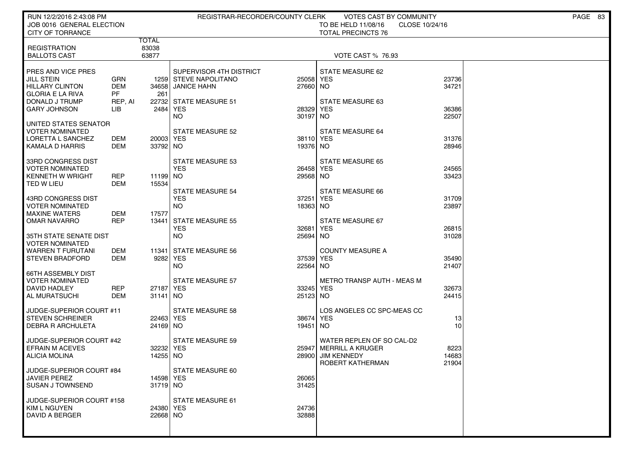| RUN 12/2/2016 2:43:08 PM                             |                          |                       | REGISTRAR-RECORDER/COUNTY CLERK                  |                       | VOTES CAST BY COMMUNITY                                            |                | PAGE 83 |
|------------------------------------------------------|--------------------------|-----------------------|--------------------------------------------------|-----------------------|--------------------------------------------------------------------|----------------|---------|
| JOB 0016 GENERAL ELECTION<br><b>CITY OF TORRANCE</b> |                          |                       |                                                  |                       | TO BE HELD 11/08/16<br>CLOSE 10/24/16<br><b>TOTAL PRECINCTS 76</b> |                |         |
|                                                      |                          | TOTAL                 |                                                  |                       |                                                                    |                |         |
| <b>REGISTRATION</b><br><b>BALLOTS CAST</b>           |                          | 83038<br>63877        |                                                  |                       | <b>VOTE CAST % 76.93</b>                                           |                |         |
|                                                      |                          |                       |                                                  |                       |                                                                    |                |         |
| PRES AND VICE PRES<br>JILL STEIN                     | GRN                      |                       | SUPERVISOR 4TH DISTRICT<br>1259 STEVE NAPOLITANO | 25058 YES             | STATE MEASURE 62                                                   | 23736          |         |
| <b>HILLARY CLINTON</b>                               | <b>DEM</b>               |                       | 34658 JANICE HAHN                                | 27660 NO              |                                                                    | 34721          |         |
| <b>GLORIA E LA RIVA</b><br>DONALD J TRUMP            | <b>PF</b><br>REP, AI     | 261                   | 22732 STATE MEASURE 51                           |                       | STATE MEASURE 63                                                   |                |         |
| <b>GARY JOHNSON</b>                                  | LIB                      | 2484 YES              |                                                  | 28329                 | <b>YES</b>                                                         | 36386          |         |
| UNITED STATES SENATOR                                |                          |                       | <b>NO</b>                                        | 30197                 | NO                                                                 | 22507          |         |
| <b>VOTER NOMINATED</b>                               |                          |                       | <b>STATE MEASURE 52</b>                          |                       | STATE MEASURE 64                                                   |                |         |
| LORETTA L SANCHEZ                                    | DEM                      | 20003 YES             |                                                  | 38110 YES<br>19376 NO |                                                                    | 31376          |         |
| KAMALA D HARRIS                                      | DEM                      | 33792 NO              |                                                  |                       |                                                                    | 28946          |         |
| 33RD CONGRESS DIST                                   |                          |                       | STATE MEASURE 53                                 |                       | STATE MEASURE 65                                                   |                |         |
| <b>VOTER NOMINATED</b><br><b>KENNETH W WRIGHT</b>    | <b>REP</b>               | 11199 NO              | <b>YES</b>                                       | 26458 YES<br>29568 NO |                                                                    | 24565<br>33423 |         |
| TED W LIEU                                           | <b>DEM</b>               | 15534                 |                                                  |                       |                                                                    |                |         |
| 43RD CONGRESS DIST                                   |                          |                       | <b>STATE MEASURE 54</b><br><b>YES</b>            | 37251                 | STATE MEASURE 66<br><b>YES</b>                                     | 31709          |         |
| <b>VOTER NOMINATED</b>                               |                          |                       | NO                                               | 18363 NO              |                                                                    | 23897          |         |
| <b>MAXINE WATERS</b><br><b>OMAR NAVARRO</b>          | <b>DEM</b><br><b>REP</b> | 17577                 | 13441 STATE MEASURE 55                           |                       | STATE MEASURE 67                                                   |                |         |
|                                                      |                          |                       | <b>YES</b>                                       | 32681                 | <b>YES</b>                                                         | 26815          |         |
| 35TH STATE SENATE DIST<br><b>VOTER NOMINATED</b>     |                          |                       | <b>NO</b>                                        | 25694 NO              |                                                                    | 31028          |         |
| <b>WARREN T FURUTANI</b>                             | <b>DEM</b>               |                       | 11341 STATE MEASURE 56                           |                       | <b>COUNTY MEASURE A</b>                                            |                |         |
| <b>STEVEN BRADFORD</b>                               | DEM                      | 9282 YES              |                                                  | 37539 YES             |                                                                    | 35490          |         |
| <b>66TH ASSEMBLY DIST</b>                            |                          |                       | NO                                               | 22564 NO              |                                                                    | 21407          |         |
| <b>VOTER NOMINATED</b>                               |                          |                       | <b>STATE MEASURE 57</b>                          |                       | <b>METRO TRANSP AUTH - MEAS M</b>                                  |                |         |
| DAVID HADLEY<br>AL MURATSUCHI                        | <b>REP</b><br><b>DEM</b> | 27187 YES<br>31141 NO |                                                  | 33245 YES<br>25123 NO |                                                                    | 32673<br>24415 |         |
|                                                      |                          |                       |                                                  |                       |                                                                    |                |         |
| JUDGE-SUPERIOR COURT #11<br><b>STEVEN SCHREINER</b>  |                          | 22463 YES             | <b>STATE MEASURE 58</b>                          | 38674                 | LOS ANGELES CC SPC-MEAS CC<br><b>YES</b>                           | 13             |         |
| <b>DEBRA R ARCHULETA</b>                             |                          | 24169 NO              |                                                  | 19451                 | NO                                                                 | 10             |         |
| JUDGE-SUPERIOR COURT #42                             |                          |                       | <b>STATE MEASURE 59</b>                          |                       | WATER REPLEN OF SO CAL-D2                                          |                |         |
| <b>EFRAIN M ACEVES</b>                               |                          | 32232 YES             |                                                  | 25947                 | MERRILL A KRUGER                                                   | 8223           |         |
| <b>ALICIA MOLINA</b>                                 |                          | 14255 NO              |                                                  | 28900                 | <b>JIM KENNEDY</b><br>ROBERT KATHERMAN                             | 14683<br>21904 |         |
| JUDGE-SUPERIOR COURT #84                             |                          |                       | STATE MEASURE 60                                 |                       |                                                                    |                |         |
| <b>JAVIER PEREZ</b>                                  |                          | 14598 YES             |                                                  | 26065                 |                                                                    |                |         |
| <b>SUSAN J TOWNSEND</b>                              |                          | 31719 NO              |                                                  | 31425                 |                                                                    |                |         |
| JUDGE-SUPERIOR COURT #158                            |                          |                       | <b>STATE MEASURE 61</b>                          |                       |                                                                    |                |         |
| KIM L NGUYEN<br>DAVID A BERGER                       |                          | 24380 YES<br>22668 NO |                                                  | 24736<br>32888        |                                                                    |                |         |
|                                                      |                          |                       |                                                  |                       |                                                                    |                |         |
|                                                      |                          |                       |                                                  |                       |                                                                    |                |         |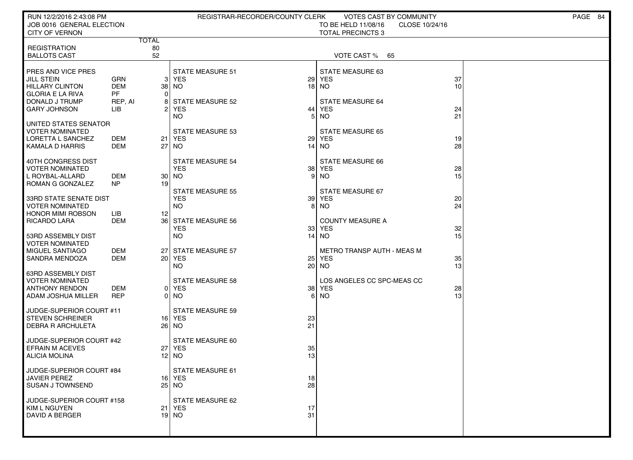| RUN 12/2/2016 2:43:08 PM                           |                          |                 | REGISTRAR-RECORDER/COUNTY CLERK   |    | VOTES CAST BY COMMUNITY               | PAGE 84         |
|----------------------------------------------------|--------------------------|-----------------|-----------------------------------|----|---------------------------------------|-----------------|
| JOB 0016 GENERAL ELECTION                          |                          |                 |                                   |    | TO BE HELD 11/08/16<br>CLOSE 10/24/16 |                 |
| <b>CITY OF VERNON</b>                              | <b>TOTAL</b>             |                 |                                   |    | <b>TOTAL PRECINCTS 3</b>              |                 |
| <b>REGISTRATION</b>                                |                          | 80              |                                   |    |                                       |                 |
| <b>BALLOTS CAST</b>                                |                          | 52              |                                   |    | VOTE CAST % 65                        |                 |
| <b>PRES AND VICE PRES</b>                          |                          |                 | <b>STATE MEASURE 51</b>           |    | STATE MEASURE 63                      |                 |
| <b>JILL STEIN</b>                                  | <b>GRN</b>               | 31              | <b>YES</b>                        |    | <b>29 YES</b>                         | 37              |
| <b>HILLARY CLINTON</b>                             | <b>DEM</b>               |                 | 38   NO                           |    | $18$ NO                               | 10 <sup>1</sup> |
| <b>GLORIA E LA RIVA</b><br>DONALD J TRUMP          | <b>PF</b><br>REP, AI     | 0               | STATE MEASURE 52                  |    | <b>STATE MEASURE 64</b>               |                 |
| <b>GARY JOHNSON</b>                                | LIB                      |                 | <b>YES</b>                        | 44 | <b>YES</b>                            | 24              |
|                                                    |                          |                 | NO.                               | 5  | NO.                                   | 21              |
| UNITED STATES SENATOR<br>VOTER NOMINATED           |                          |                 | <b>STATE MEASURE 53</b>           |    | <b>STATE MEASURE 65</b>               |                 |
| LORETTA L SANCHEZ                                  | DEM                      | 21              | YES                               |    | <b>29 YES</b>                         | 19              |
| KAMALA D HARRIS                                    | DEM                      | 27              | NO.                               |    | 14 NO                                 | 28              |
| 40TH CONGRESS DIST                                 |                          |                 | <b>STATE MEASURE 54</b>           |    | STATE MEASURE 66                      |                 |
| VOTER NOMINATED                                    |                          |                 | <b>YES</b>                        |    | 38 YES                                | 28              |
| L ROYBAL-ALLARD                                    | DEM                      |                 | 30 NO                             |    | 9 NO                                  | 15              |
| ROMAN G GONZALEZ                                   | NP                       | 19              | <b>STATE MEASURE 55</b>           |    | STATE MEASURE 67                      |                 |
| 33RD STATE SENATE DIST                             |                          |                 | <b>YES</b>                        |    | 39 YES                                | 20              |
| VOTER NOMINATED                                    |                          |                 | <b>NO</b>                         |    | 8 NO                                  | 24              |
| <b>HONOR MIMI ROBSON</b>                           | LІВ                      | 12              |                                   |    |                                       |                 |
| RICARDO LARA                                       | DEM                      |                 | 36 STATE MEASURE 56<br><b>YES</b> | 33 | <b>COUNTY MEASURE A</b><br><b>YES</b> | 32              |
| 53RD ASSEMBLY DIST                                 |                          |                 | <b>NO</b>                         |    | $14$ NO                               | 15              |
| <b>VOTER NOMINATED</b>                             |                          |                 |                                   |    |                                       |                 |
| MIGUEL SANTIAGO<br><b>SANDRA MENDOZA</b>           | <b>DEM</b><br><b>DEM</b> | 27              | <b>STATE MEASURE 57</b><br>20 YES |    | METRO TRANSP AUTH - MEAS M<br>25 YES  | 35              |
|                                                    |                          |                 | NO.                               |    | 20 NO                                 | 13              |
| 63RD ASSEMBLY DIST                                 |                          |                 |                                   |    |                                       |                 |
| VOTER NOMINATED<br><b>ANTHONY RENDON</b>           | <b>DEM</b>               |                 | STATE MEASURE 58<br>0 YES         |    | LOS ANGELES CC SPC-MEAS CC<br>38 YES  | 28              |
| ADAM JOSHUA MILLER                                 | <b>REP</b>               |                 | 0 NO                              |    | 6 NO                                  | 13              |
| JUDGE-SUPERIOR COURT #11                           |                          |                 | <b>STATE MEASURE 59</b>           |    |                                       |                 |
| <b>STEVEN SCHREINER</b>                            |                          |                 | 16 YES                            | 23 |                                       |                 |
| DEBRA R ARCHULETA                                  |                          |                 | 26 NO                             | 21 |                                       |                 |
|                                                    |                          |                 | <b>STATE MEASURE 60</b>           |    |                                       |                 |
| JUDGE-SUPERIOR COURT #42<br><b>EFRAIN M ACEVES</b> |                          | 27 <sup>1</sup> | <b>YES</b>                        | 35 |                                       |                 |
| ALICIA MOLINA                                      |                          |                 | 12 NO                             | 13 |                                       |                 |
| JUDGE-SUPERIOR COURT #84                           |                          |                 | STATE MEASURE 61                  |    |                                       |                 |
| <b>JAVIER PEREZ</b>                                |                          |                 | 16 YES                            | 18 |                                       |                 |
| SUSAN J TOWNSEND                                   |                          |                 | 25 NO                             | 28 |                                       |                 |
| JUDGE-SUPERIOR COURT #158                          |                          |                 | STATE MEASURE 62                  |    |                                       |                 |
| <b>KIM L NGUYEN</b>                                |                          |                 | 21 YES                            | 17 |                                       |                 |
| DAVID A BERGER                                     |                          |                 | 19 NO                             | 31 |                                       |                 |
|                                                    |                          |                 |                                   |    |                                       |                 |
|                                                    |                          |                 |                                   |    |                                       |                 |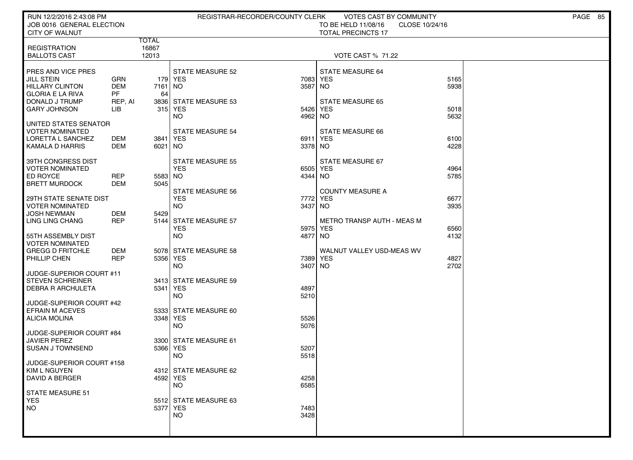| RUN 12/2/2016 2:43:08 PM<br>JOB 0016 GENERAL ELECTION<br><b>CITY OF WALNUT</b>                                                        |                                                   |                                | REGISTRAR-RECORDER/COUNTY CLERK                                                           |                         | VOTES CAST BY COMMUNITY<br>TO BE HELD 11/08/16<br>CLOSE 10/24/16<br><b>TOTAL PRECINCTS 17</b> |                      | PAGE 85 |
|---------------------------------------------------------------------------------------------------------------------------------------|---------------------------------------------------|--------------------------------|-------------------------------------------------------------------------------------------|-------------------------|-----------------------------------------------------------------------------------------------|----------------------|---------|
| <b>REGISTRATION</b><br><b>BALLOTS CAST</b>                                                                                            |                                                   | <b>TOTAL</b><br>16867<br>12013 |                                                                                           |                         | <b>VOTE CAST % 71.22</b>                                                                      |                      |         |
| PRES AND VICE PRES<br><b>JILL STEIN</b><br><b>HILLARY CLINTON</b><br><b>GLORIA E LA RIVA</b><br>DONALD J TRUMP<br><b>GARY JOHNSON</b> | <b>GRN</b><br><b>DEM</b><br>PF.<br>REP, AI<br>LIB | 7161<br>64                     | <b>STATE MEASURE 52</b><br>179   YES<br>  NO<br>3836 STATE MEASURE 53<br>315 YES          | 7083<br>3587<br>5426    | <b>STATE MEASURE 64</b><br><b>YES</b><br>NO<br><b>STATE MEASURE 65</b><br><b>YES</b>          | 5165<br>5938<br>5018 |         |
| UNITED STATES SENATOR<br><b>VOTER NOMINATED</b><br>LORETTA L SANCHEZ<br>KAMALA D HARRIS                                               | DEM<br>DEM                                        | 3841 YES<br>6021 NO            | <b>NO</b><br><b>STATE MEASURE 54</b>                                                      | 4962<br>6911<br>3378 NO | NO.<br>STATE MEASURE 66<br><b>YES</b>                                                         | 5632<br>6100<br>4228 |         |
| 39TH CONGRESS DIST<br><b>VOTER NOMINATED</b><br>ED ROYCE<br><b>BRETT MURDOCK</b>                                                      | <b>REP</b><br>DEM                                 | 5583 NO<br>5045                | <b>STATE MEASURE 55</b><br><b>YES</b>                                                     | 6505<br>4344            | STATE MEASURE 67<br><b>YES</b><br>NO                                                          | 4964<br>5785         |         |
| <b>29TH STATE SENATE DIST</b><br><b>VOTER NOMINATED</b><br><b>JOSH NEWMAN</b><br>LING LING CHANG                                      | DEM<br><b>REP</b>                                 | 5429                           | <b>STATE MEASURE 56</b><br><b>YES</b><br><b>NO</b><br>5144 STATE MEASURE 57<br><b>YES</b> | 7772<br>3437<br>5975    | <b>COUNTY MEASURE A</b><br><b>YES</b><br>NO.<br>METRO TRANSP AUTH - MEAS M<br><b>YES</b>      | 6677<br>3935<br>6560 |         |
| 55TH ASSEMBLY DIST<br><b>VOTER NOMINATED</b><br><b>GREGG D FRITCHLE</b><br>PHILLIP CHEN                                               | DEM<br><b>REP</b>                                 | 5356 YES                       | <b>NO</b><br>5078 STATE MEASURE 58<br><b>NO</b>                                           | 4877<br>7389<br>3407    | <b>NO</b><br>WALNUT VALLEY USD-MEAS WV<br><b>YES</b><br><b>NO</b>                             | 4132<br>4827<br>2702 |         |
| JUDGE-SUPERIOR COURT #11<br><b>STEVEN SCHREINER</b><br><b>DEBRA R ARCHULETA</b>                                                       |                                                   | 5341 YES                       | 3413 STATE MEASURE 59<br><b>NO</b>                                                        | 4897<br>5210            |                                                                                               |                      |         |
| JUDGE-SUPERIOR COURT #42<br><b>EFRAIN M ACEVES</b><br><b>ALICIA MOLINA</b>                                                            |                                                   | 3348 YES                       | 5333 STATE MEASURE 60<br><b>NO</b>                                                        | 5526<br>5076            |                                                                                               |                      |         |
| JUDGE-SUPERIOR COURT #84<br><b>JAVIER PEREZ</b><br><b>SUSAN J TOWNSEND</b><br>JUDGE-SUPERIOR COURT #158                               |                                                   | 5366 YES                       | 3300 STATE MEASURE 61<br><b>NO</b>                                                        | 5207<br>5518            |                                                                                               |                      |         |
| KIM L NGUYEN<br><b>DAVID A BERGER</b>                                                                                                 |                                                   | 4592 YES                       | 4312 STATE MEASURE 62<br><b>NO</b>                                                        | 4258<br>6585            |                                                                                               |                      |         |
| STATE MEASURE 51<br><b>YES</b><br>NO                                                                                                  |                                                   | 5377 YES                       | 5512 STATE MEASURE 63<br><b>NO</b>                                                        | 7483<br>3428            |                                                                                               |                      |         |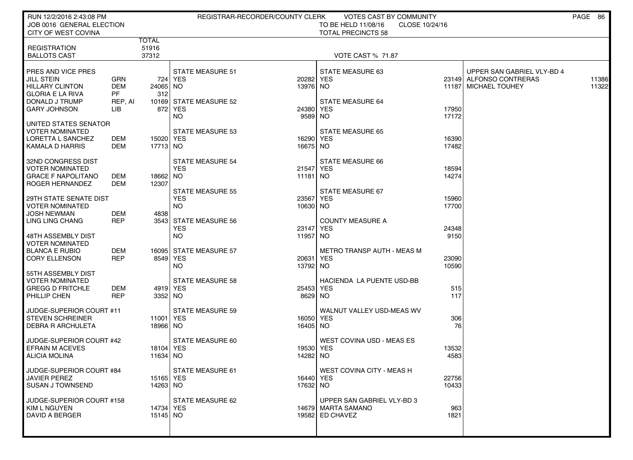| RUN 12/2/2016 2:43:08 PM<br>JOB 0016 GENERAL ELECTION<br>CITY OF WEST COVINA                   |                                       | REGISTRAR-RECORDER/COUNTY CLERK<br>VOTES CAST BY COMMUNITY<br>TO BE HELD 11/08/16<br>CLOSE 10/24/16<br><b>TOTAL PRECINCTS 58</b> |                                                  |                       |                                                                       |                |                                                 |                |
|------------------------------------------------------------------------------------------------|---------------------------------------|----------------------------------------------------------------------------------------------------------------------------------|--------------------------------------------------|-----------------------|-----------------------------------------------------------------------|----------------|-------------------------------------------------|----------------|
| <b>REGISTRATION</b><br><b>BALLOTS CAST</b>                                                     |                                       | TOTAL<br>51916<br>37312                                                                                                          |                                                  |                       |                                                                       |                |                                                 |                |
| PRES AND VICE PRES                                                                             |                                       |                                                                                                                                  | <b>STATE MEASURE 51</b>                          |                       | <b>VOTE CAST % 71.87</b><br>STATE MEASURE 63                          |                | UPPER SAN GABRIEL VLY-BD 4                      |                |
| <b>JILL STEIN</b><br><b>HILLARY CLINTON</b><br><b>GLORIA E LA RIVA</b>                         | <b>GRN</b><br><b>DEM</b><br><b>PF</b> | 24065 NO<br>312                                                                                                                  | 724   YES                                        | 20282 YES<br>13976 NO |                                                                       |                | 23149 ALFONSO CONTRERAS<br>11187 MICHAEL TOUHEY | 11386<br>11322 |
| DONALD J TRUMP<br><b>GARY JOHNSON</b>                                                          | REP, AI<br>LIB.                       |                                                                                                                                  | 10169 STATE MEASURE 52<br>872 YES<br>NO.         | 24380 YES<br>9589 NO  | <b>STATE MEASURE 64</b>                                               | 17950<br>17172 |                                                 |                |
| UNITED STATES SENATOR<br><b>VOTER NOMINATED</b><br>LORETTA L SANCHEZ<br><b>KAMALA D HARRIS</b> | DEM<br>DEM                            | 15020 YES<br>17713 NO                                                                                                            | <b>STATE MEASURE 53</b>                          | 16290 YES<br>16675 NO | <b>STATE MEASURE 65</b>                                               | 16390<br>17482 |                                                 |                |
| 32ND CONGRESS DIST<br><b>VOTER NOMINATED</b><br><b>GRACE F NAPOLITANO</b><br>ROGER HERNANDEZ   | DEM<br>DEM                            | 18662 NO<br>12307                                                                                                                | STATE MEASURE 54<br><b>YES</b>                   | 21547 YES<br>11181 NO | STATE MEASURE 66                                                      | 18594<br>14274 |                                                 |                |
| 29TH STATE SENATE DIST<br><b>VOTER NOMINATED</b><br><b>JOSH NEWMAN</b>                         | DEM                                   | 4838                                                                                                                             | <b>STATE MEASURE 55</b><br><b>YES</b><br>NO.     | 23567 YES<br>10630 NO | STATE MEASURE 67                                                      | 15960<br>17700 |                                                 |                |
| LING LING CHANG<br>48TH ASSEMBLY DIST                                                          | <b>REP</b>                            |                                                                                                                                  | 3543 STATE MEASURE 56<br><b>YES</b><br><b>NO</b> | 23147 YES<br>11957 NO | <b>COUNTY MEASURE A</b>                                               | 24348<br>9150  |                                                 |                |
| <b>VOTER NOMINATED</b><br><b>BLANCA E RUBIO</b><br><b>CORY ELLENSON</b>                        | DEM<br><b>REP</b>                     |                                                                                                                                  | 16095 STATE MEASURE 57<br>8549 YES<br>NO.        | 20631 YES<br>13792 NO | METRO TRANSP AUTH - MEAS M                                            | 23090<br>10590 |                                                 |                |
| 55TH ASSEMBLY DIST<br><b>VOTER NOMINATED</b><br><b>GREGG D FRITCHLE</b><br>PHILLIP CHEN        | DEM<br><b>REP</b>                     | 3352 NO                                                                                                                          | <b>STATE MEASURE 58</b><br>4919 YES              | 25453 YES<br>8629 NO  | HACIENDA LA PUENTE USD-BB                                             | 515<br>117     |                                                 |                |
| JUDGE-SUPERIOR COURT #11<br><b>STEVEN SCHREINER</b><br><b>DEBRA R ARCHULETA</b>                |                                       | 11001   YES<br>18966 NO                                                                                                          | <b>STATE MEASURE 59</b>                          | 16050 YES<br>16405 NO | WALNUT VALLEY USD-MEAS WV                                             | 306<br>76      |                                                 |                |
| JUDGE-SUPERIOR COURT #42<br><b>EFRAIN M ACEVES</b><br><b>ALICIA MOLINA</b>                     |                                       | 18104 YES<br>11634 NO                                                                                                            | STATE MEASURE 60                                 | 19530 YES<br>14282 NO | WEST COVINA USD - MEAS ES                                             | 13532<br>4583  |                                                 |                |
| JUDGE-SUPERIOR COURT #84<br><b>JAVIER PEREZ</b><br><b>SUSAN J TOWNSEND</b>                     |                                       | 15165 YES<br>14263 NO                                                                                                            | STATE MEASURE 61                                 | 16440 YES<br>17632 NO | WEST COVINA CITY - MEAS H                                             | 22756<br>10433 |                                                 |                |
| JUDGE-SUPERIOR COURT #158<br>KIM L NGUYEN<br>DAVID A BERGER                                    |                                       | 14734   YES<br>15145 NO                                                                                                          | STATE MEASURE 62                                 |                       | UPPER SAN GABRIEL VLY-BD 3<br>14679   MARTA SAMANO<br>19582 ED CHAVEZ | 963<br>1821    |                                                 |                |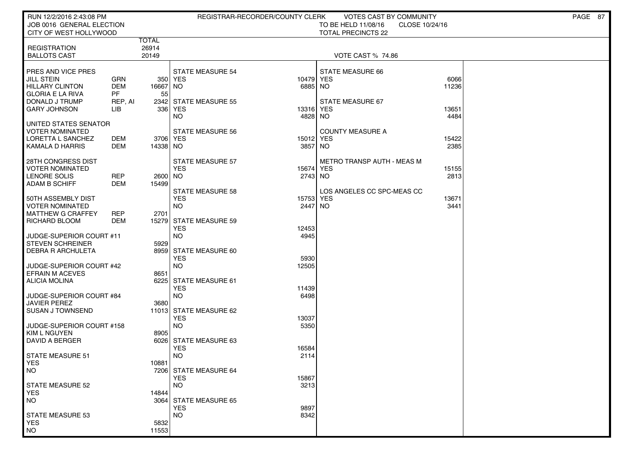| RUN 12/2/2016 2:43:08 PM                                                                                                              | REGISTRAR-RECORDER/COUNTY CLERK<br><b>VOTES CAST BY COMMUNITY</b><br>JOB 0016 GENERAL ELECTION<br>TO BE HELD 11/08/16<br>CLOSE 10/24/16 |                                |                                                                        |                               |                                                                 | PAGE 87                |  |
|---------------------------------------------------------------------------------------------------------------------------------------|-----------------------------------------------------------------------------------------------------------------------------------------|--------------------------------|------------------------------------------------------------------------|-------------------------------|-----------------------------------------------------------------|------------------------|--|
| CITY OF WEST HOLLYWOOD                                                                                                                |                                                                                                                                         |                                |                                                                        |                               | <b>TOTAL PRECINCTS 22</b>                                       |                        |  |
| <b>REGISTRATION</b><br><b>BALLOTS CAST</b>                                                                                            |                                                                                                                                         | <b>TOTAL</b><br>26914<br>20149 |                                                                        |                               | <b>VOTE CAST % 74.86</b>                                        |                        |  |
| PRES AND VICE PRES<br><b>JILL STEIN</b><br><b>HILLARY CLINTON</b><br><b>GLORIA E LA RIVA</b><br>DONALD J TRUMP<br><b>GARY JOHNSON</b> | <b>GRN</b><br>DEM<br><b>PF</b><br>REP, AI<br>LІВ                                                                                        | 16667 NO<br>55                 | <b>STATE MEASURE 54</b><br>350 YES<br>2342 STATE MEASURE 55<br>336 YES | 10479<br>6885 NO<br>13316 YES | STATE MEASURE 66<br><b>YES</b><br>STATE MEASURE 67              | 6066<br>11236<br>13651 |  |
| UNITED STATES SENATOR<br><b>VOTER NOMINATED</b><br>LORETTA L SANCHEZ<br>KAMALA D HARRIS                                               | DEM<br>DEM                                                                                                                              | 3706 YES<br>14338 NO           | NO<br><b>STATE MEASURE 56</b>                                          | 4828 NO<br>15012<br>3857      | <b>COUNTY MEASURE A</b><br>YES<br>NO                            | 4484<br>15422<br>2385  |  |
| 28TH CONGRESS DIST<br><b>VOTER NOMINATED</b><br>LENORE SOLIS<br><b>ADAM B SCHIFF</b>                                                  | <b>REP</b><br>DEM                                                                                                                       | 2600 NO<br>15499               | <b>STATE MEASURE 57</b><br><b>YES</b><br>STATE MEASURE 58              | 15674<br>2743 NO              | METRO TRANSP AUTH - MEAS M<br>YES<br>LOS ANGELES CC SPC-MEAS CC | 15155<br>2813          |  |
| 50TH ASSEMBLY DIST<br><b>VOTER NOMINATED</b><br><b>MATTHEW G CRAFFEY</b><br>RICHARD BLOOM                                             | <b>REP</b><br><b>DEM</b>                                                                                                                | 2701                           | <b>YES</b><br><b>NO</b><br>15279 STATE MEASURE 59<br><b>YES</b>        | 15753<br>2447<br>12453        | <b>YES</b><br>NO                                                | 13671<br>3441          |  |
| JUDGE-SUPERIOR COURT #11<br><b>STEVEN SCHREINER</b><br><b>DEBRA R ARCHULETA</b>                                                       |                                                                                                                                         | 5929                           | <b>NO</b><br>8959 STATE MEASURE 60                                     | 4945                          |                                                                 |                        |  |
| JUDGE-SUPERIOR COURT #42<br><b>EFRAIN M ACEVES</b><br><b>ALICIA MOLINA</b>                                                            |                                                                                                                                         | 8651                           | <b>YES</b><br><b>NO</b><br>6225 STATE MEASURE 61                       | 5930<br>12505                 |                                                                 |                        |  |
| JUDGE-SUPERIOR COURT #84<br><b>JAVIER PEREZ</b><br><b>SUSAN J TOWNSEND</b>                                                            |                                                                                                                                         | 3680                           | <b>YES</b><br><b>NO</b><br>11013 STATE MEASURE 62                      | 11439<br>6498                 |                                                                 |                        |  |
| JUDGE-SUPERIOR COURT #158<br>KIM L NGUYEN                                                                                             |                                                                                                                                         | 8905                           | <b>YES</b><br><b>NO</b>                                                | 13037<br>5350                 |                                                                 |                        |  |
| DAVID A BERGER<br><b>STATE MEASURE 51</b><br><b>YES</b>                                                                               |                                                                                                                                         | 10881                          | 6026 STATE MEASURE 63<br><b>YES</b><br><b>NO</b>                       | 16584<br>2114                 |                                                                 |                        |  |
| NO.<br>STATE MEASURE 52<br><b>YES</b>                                                                                                 |                                                                                                                                         | 14844                          | 7206 STATE MEASURE 64<br><b>YES</b><br><b>NO</b>                       | 15867<br>3213                 |                                                                 |                        |  |
| NO.<br><b>STATE MEASURE 53</b><br><b>YES</b>                                                                                          |                                                                                                                                         | 5832                           | 3064 STATE MEASURE 65<br><b>YES</b><br><b>NO</b>                       | 9897<br>8342                  |                                                                 |                        |  |
| NO                                                                                                                                    |                                                                                                                                         | 11553                          |                                                                        |                               |                                                                 |                        |  |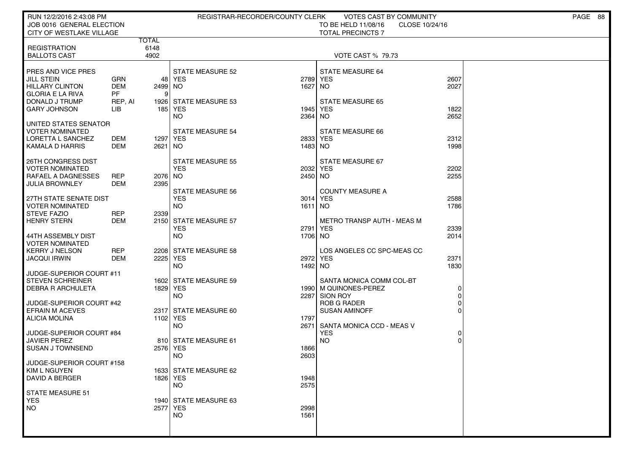| RUN 12/2/2016 2:43:08 PM<br>JOB 0016 GENERAL ELECTION<br>CITY OF WESTLAKE VILLAGE                                                     |                                                  | PAGE 88<br>REGISTRAR-RECORDER/COUNTY CLERK<br>VOTES CAST BY COMMUNITY<br>TO BE HELD 11/08/16<br>CLOSE 10/24/16<br><b>TOTAL PRECINCTS 7</b> |                                                                           |                              |                                                                                |                              |  |  |
|---------------------------------------------------------------------------------------------------------------------------------------|--------------------------------------------------|--------------------------------------------------------------------------------------------------------------------------------------------|---------------------------------------------------------------------------|------------------------------|--------------------------------------------------------------------------------|------------------------------|--|--|
|                                                                                                                                       |                                                  | TOTAL                                                                                                                                      |                                                                           |                              |                                                                                |                              |  |  |
| <b>REGISTRATION</b><br><b>BALLOTS CAST</b>                                                                                            |                                                  | 6148<br>4902                                                                                                                               |                                                                           |                              | <b>VOTE CAST % 79.73</b>                                                       |                              |  |  |
| PRES AND VICE PRES<br><b>JILL STEIN</b><br><b>HILLARY CLINTON</b><br><b>GLORIA E LA RIVA</b><br>DONALD J TRUMP<br><b>GARY JOHNSON</b> | GRN<br><b>DEM</b><br><b>PF</b><br>REP, AI<br>LІВ | 48<br>2499 NO<br>.9                                                                                                                        | <b>STATE MEASURE 52</b><br>YES<br>1926 STATE MEASURE 53<br>185 YES<br>NO. | 2789<br>1627<br>1945<br>2364 | STATE MEASURE 64<br><b>YES</b><br>NO.<br><b>STATE MEASURE 65</b><br>YES<br>NO. | 2607<br>2027<br>1822<br>2652 |  |  |
| UNITED STATES SENATOR<br>VOTER NOMINATED<br>LORETTA L SANCHEZ<br><b>KAMALA D HARRIS</b>                                               | DEM<br>DEM                                       | 1297   YES<br>2621 NO                                                                                                                      | <b>STATE MEASURE 54</b>                                                   | 1483 NO                      | STATE MEASURE 66<br>2833 YES                                                   | 2312<br>1998                 |  |  |
| 26TH CONGRESS DIST<br><b>VOTER NOMINATED</b><br>RAFAEL A DAGNESSES<br><b>JULIA BROWNLEY</b>                                           | <b>REP</b><br><b>DEM</b>                         | 2076 NO<br>2395                                                                                                                            | <b>STATE MEASURE 55</b><br><b>YES</b><br><b>STATE MEASURE 56</b>          | 2450 NO                      | STATE MEASURE 67<br>2032 YES<br><b>COUNTY MEASURE A</b>                        | 2202<br>2255                 |  |  |
| 27TH STATE SENATE DIST<br><b>VOTER NOMINATED</b><br><b>STEVE FAZIO</b><br><b>HENRY STERN</b>                                          | <b>REP</b><br>DEM                                | 2339                                                                                                                                       | <b>YES</b><br><b>NO</b><br>2150 STATE MEASURE 57                          | 3014<br>1611 NO              | <b>YES</b><br><b>METRO TRANSP AUTH - MEAS M</b>                                | 2588<br>1786                 |  |  |
| 44TH ASSEMBLY DIST<br><b>VOTER NOMINATED</b>                                                                                          |                                                  |                                                                                                                                            | <b>YES</b><br>NO.                                                         | 2791<br>1706 NO              | YES                                                                            | 2339<br>2014                 |  |  |
| <b>KERRY J NELSON</b><br><b>JACQUI IRWIN</b>                                                                                          | <b>REP</b><br><b>DEM</b>                         | 2225 YES                                                                                                                                   | 2208 STATE MEASURE 58<br>NO.                                              | 1492 NO                      | LOS ANGELES CC SPC-MEAS CC<br>2972 YES                                         | 2371<br>1830                 |  |  |
| JUDGE-SUPERIOR COURT #11<br><b>STEVEN SCHREINER</b><br><b>DEBRA R ARCHULETA</b>                                                       |                                                  | 1829   YES                                                                                                                                 | 1602 STATE MEASURE 59<br><b>NO</b>                                        | 2287                         | SANTA MONICA COMM COL-BT<br>1990 M QUINONES-PEREZ<br>SION ROY                  | 0<br>0                       |  |  |
| JUDGE-SUPERIOR COURT #42<br><b>EFRAIN M ACEVES</b><br><b>ALICIA MOLINA</b>                                                            |                                                  | 1102 YES                                                                                                                                   | 2317 STATE MEASURE 60                                                     | 1797<br>2671                 | <b>ROB G RADER</b><br><b>SUSAN AMINOFF</b>                                     | 0                            |  |  |
| JUDGE-SUPERIOR COURT #84<br><b>JAVIER PEREZ</b><br><b>SUSAN J TOWNSEND</b>                                                            |                                                  | 2576 YES                                                                                                                                   | NO.<br>810 STATE MEASURE 61                                               | 1866                         | SANTA MONICA CCD - MEAS V<br><b>YES</b><br><b>NO</b>                           | 0<br>$\Omega$                |  |  |
| JUDGE-SUPERIOR COURT #158<br>KIM L NGUYEN<br>DAVID A BERGER                                                                           |                                                  | 1826 YES                                                                                                                                   | NO<br>1633 STATE MEASURE 62<br>NO.                                        | 2603<br>1948<br>2575         |                                                                                |                              |  |  |
| STATE MEASURE 51<br><b>YES</b><br><b>NO</b>                                                                                           |                                                  | 2577 YES                                                                                                                                   | 1940 STATE MEASURE 63<br><b>NO</b>                                        | 2998<br>1561                 |                                                                                |                              |  |  |
|                                                                                                                                       |                                                  |                                                                                                                                            |                                                                           |                              |                                                                                |                              |  |  |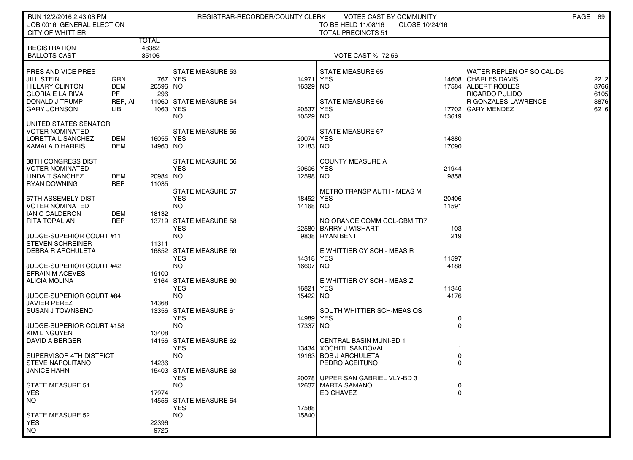| RUN 12/2/2016 2:43:08 PM<br>JOB 0016 GENERAL ELECTION<br><b>CITY OF WHITTIER</b>              |                                | REGISTRAR-RECORDER/COUNTY CLERK<br>VOTES CAST BY COMMUNITY<br>TO BE HELD 11/08/16<br>CLOSE 10/24/16<br><b>TOTAL PRECINCTS 51</b> |                                                    |                       |                                                                       |                  |                                                                                            | PAGE 89              |
|-----------------------------------------------------------------------------------------------|--------------------------------|----------------------------------------------------------------------------------------------------------------------------------|----------------------------------------------------|-----------------------|-----------------------------------------------------------------------|------------------|--------------------------------------------------------------------------------------------|----------------------|
|                                                                                               | TOTAL                          |                                                                                                                                  |                                                    |                       |                                                                       |                  |                                                                                            |                      |
| <b>REGISTRATION</b><br><b>BALLOTS CAST</b>                                                    | 48382<br>35106                 |                                                                                                                                  |                                                    |                       | <b>VOTE CAST % 72.56</b>                                              |                  |                                                                                            |                      |
| PRES AND VICE PRES<br><b>JILL STEIN</b><br><b>HILLARY CLINTON</b><br><b>GLORIA E LA RIVA</b>  | GRN<br><b>DEM</b><br><b>PF</b> | 20596 NO<br>296                                                                                                                  | <b>STATE MEASURE 53</b><br>767 YES                 | 14971 YES<br>16329 NO | <b>STATE MEASURE 65</b>                                               | 14608            | WATER REPLEN OF SO CAL-D5<br><b>CHARLES DAVIS</b><br>17584 ALBERT ROBLES<br>RICARDO PULIDO | 2212<br>8766<br>6105 |
| DONALD J TRUMP<br><b>GARY JOHNSON</b>                                                         | REP, AI<br>LIB                 | 1063 YES                                                                                                                         | 11060 STATE MEASURE 54<br>NO.                      | 20537 YES<br>10529 NO | STATE MEASURE 66                                                      | 17702<br>13619   | R GONZALES-LAWRENCE<br><b>GARY MENDEZ</b>                                                  | 3876<br>6216         |
| UNITED STATES SENATOR<br><b>VOTER NOMINATED</b><br>LORETTA L SANCHEZ<br>KAMALA D HARRIS       | DEM<br>DEM                     | 16055 YES<br>14960   NO                                                                                                          | <b>STATE MEASURE 55</b>                            | 20074 YES<br>12183 NO | STATE MEASURE 67                                                      | 14880<br>17090   |                                                                                            |                      |
| 38TH CONGRESS DIST<br><b>VOTER NOMINATED</b><br><b>LINDA T SANCHEZ</b><br><b>RYAN DOWNING</b> | DEM<br><b>REP</b>              | 20984 NO<br>11035                                                                                                                | STATE MEASURE 56<br><b>YES</b>                     | 20606 YES<br>12598 NO | <b>COUNTY MEASURE A</b>                                               | 21944<br>9858    |                                                                                            |                      |
| 57TH ASSEMBLY DIST<br><b>VOTER NOMINATED</b><br>IAN C CALDERON                                | DEM                            | 18132                                                                                                                            | <b>STATE MEASURE 57</b><br><b>YES</b><br><b>NO</b> | 18452 YES<br>14168 NO | METRO TRANSP AUTH - MEAS M                                            | 20406<br>11591   |                                                                                            |                      |
| <b>RITA TOPALIAN</b><br>JUDGE-SUPERIOR COURT #11                                              | <b>REP</b>                     |                                                                                                                                  | 13719 STATE MEASURE 58<br><b>YES</b><br><b>NO</b>  |                       | NO ORANGE COMM COL-GBM TR7<br>22580 BARRY J WISHART<br>9838 RYAN BENT | 103<br>219       |                                                                                            |                      |
| <b>STEVEN SCHREINER</b><br><b>DEBRA R ARCHULETA</b>                                           |                                | 11311                                                                                                                            | 16852 STATE MEASURE 59<br><b>YES</b>               | 14318 YES             | E WHITTIER CY SCH - MEAS R                                            | 11597            |                                                                                            |                      |
| JUDGE-SUPERIOR COURT #42<br><b>EFRAIN M ACEVES</b><br><b>ALICIA MOLINA</b>                    |                                | 19100                                                                                                                            | <b>NO</b><br>9164 STATE MEASURE 60                 | 16607 NO              | E WHITTIER CY SCH - MEAS Z                                            | 4188             |                                                                                            |                      |
| JUDGE-SUPERIOR COURT #84<br><b>JAVIER PEREZ</b>                                               |                                | 14368                                                                                                                            | <b>YES</b><br><b>NO</b>                            | 16821 YES<br>15422 NO |                                                                       | 11346<br>4176    |                                                                                            |                      |
| SUSAN J TOWNSEND                                                                              |                                |                                                                                                                                  | 13356 STATE MEASURE 61<br><b>YES</b>               | 14989 YES             | SOUTH WHITTIER SCH-MEAS QS                                            | 0                |                                                                                            |                      |
| JUDGE-SUPERIOR COURT #158<br><b>KIM L NGUYEN</b><br>DAVID A BERGER                            |                                | 13408                                                                                                                            | <b>NO</b><br>14156 STATE MEASURE 62                | 17337 NO              | <b>CENTRAL BASIN MUNI-BD 1</b>                                        | $\mathbf 0$      |                                                                                            |                      |
| SUPERVISOR 4TH DISTRICT<br><b>STEVE NAPOLITANO</b>                                            |                                | 14236                                                                                                                            | <b>YES</b><br><b>NO</b>                            |                       | 13434   XOCHITL SANDOVAL<br>19163 BOB J ARCHULETA<br>PEDRO ACEITUNO   | 0<br>0           |                                                                                            |                      |
| JANICE HAHN<br><b>STATE MEASURE 51</b><br><b>YES</b>                                          |                                | 17974                                                                                                                            | 15403 STATE MEASURE 63<br><b>YES</b><br><b>NO</b>  |                       | 20078 UPPER SAN GABRIEL VLY-BD 3<br>12637   MARTA SAMANO<br>ED CHAVEZ | 0<br>$\mathbf 0$ |                                                                                            |                      |
| <b>NO</b>                                                                                     |                                |                                                                                                                                  | 14556 STATE MEASURE 64<br><b>YES</b>               | 17588                 |                                                                       |                  |                                                                                            |                      |
| STATE MEASURE 52<br><b>YES</b><br><b>NO</b>                                                   |                                | 22396<br>9725                                                                                                                    | <b>NO</b>                                          | 15840                 |                                                                       |                  |                                                                                            |                      |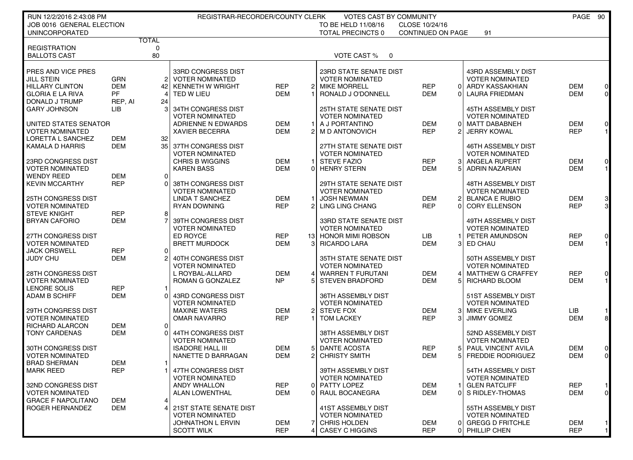| RUN 12/2/2016 2:43:08 PM<br>REGISTRAR-RECORDER/COUNTY CLERK<br><b>VOTES CAST BY COMMUNITY</b> |            |                 |                         |                |                 |                          | PAGE 90           |                |                           |            |                  |
|-----------------------------------------------------------------------------------------------|------------|-----------------|-------------------------|----------------|-----------------|--------------------------|-------------------|----------------|---------------------------|------------|------------------|
| JOB 0016 GENERAL ELECTION                                                                     |            |                 |                         |                |                 | TO BE HELD 11/08/16      | CLOSE 10/24/16    |                |                           |            |                  |
| <b>UNINCORPORATED</b>                                                                         |            |                 |                         |                |                 | <b>TOTAL PRECINCTS 0</b> | CONTINUED ON PAGE |                | 91                        |            |                  |
|                                                                                               |            | <b>TOTAL</b>    |                         |                |                 |                          |                   |                |                           |            |                  |
| <b>REGISTRATION</b><br><b>BALLOTS CAST</b>                                                    |            | 0<br>80         |                         |                |                 | VOTE CAST %              |                   |                |                           |            |                  |
|                                                                                               |            |                 |                         |                |                 | $\overline{\mathbf{0}}$  |                   |                |                           |            |                  |
| PRES AND VICE PRES                                                                            |            |                 | 33RD CONGRESS DIST      |                |                 | 23RD STATE SENATE DIST   |                   |                | 43RD ASSEMBLY DIST        |            |                  |
| <b>JILL STEIN</b>                                                                             | <b>GRN</b> |                 | 2 VOTER NOMINATED       |                |                 | <b>VOTER NOMINATED</b>   |                   |                | <b>VOTER NOMINATED</b>    |            |                  |
| <b>HILLARY CLINTON</b>                                                                        | <b>DEM</b> |                 | 42 KENNETH W WRIGHT     | <b>REP</b>     | 2               | <b>MIKE MORRELL</b>      | <b>REP</b>        | 0              | ARDY KASSAKHIAN           | <b>DEM</b> | $\overline{0}$   |
| <b>GLORIA E LA RIVA</b>                                                                       | <b>PF</b>  | 41              | TED W LIEU              | <b>DEM</b>     |                 | RONALD J O'DONNELL       | <b>DEM</b>        | Οl             | <b>LAURA FRIEDMAN</b>     | <b>DEM</b> | $\circ$          |
| DONALD J TRUMP                                                                                | REP, AI    | 24              |                         |                |                 |                          |                   |                |                           |            |                  |
| <b>GARY JOHNSON</b>                                                                           | LIB        |                 | 34TH CONGRESS DIST      |                |                 | 25TH STATE SENATE DIST   |                   |                | 45TH ASSEMBLY DIST        |            |                  |
|                                                                                               |            |                 | <b>VOTER NOMINATED</b>  |                |                 | <b>VOTER NOMINATED</b>   |                   |                | <b>VOTER NOMINATED</b>    |            |                  |
| UNITED STATES SENATOR                                                                         |            |                 | ADRIENNE N EDWARDS      | <b>DEM</b>     |                 | A J PORTANTINO           | <b>DEM</b>        | $\Omega$       | <b>MATT DABABNEH</b>      | <b>DEM</b> | $\overline{0}$   |
| <b>VOTER NOMINATED</b>                                                                        |            |                 | <b>XAVIER BECERRA</b>   | <b>DEM</b>     | 2               | M D ANTONOVICH           | <b>REP</b>        | 2              | <b>JERRY KOWAL</b>        | <b>REP</b> | $1 \vert$        |
| LORETTA L SANCHEZ                                                                             | <b>DEM</b> | 32              |                         |                |                 |                          |                   |                |                           |            |                  |
| KAMALA D HARRIS                                                                               | <b>DEM</b> |                 | 35 37TH CONGRESS DIST   |                |                 | 27TH STATE SENATE DIST   |                   |                | 46TH ASSEMBLY DIST        |            |                  |
|                                                                                               |            |                 | <b>VOTER NOMINATED</b>  |                |                 | <b>VOTER NOMINATED</b>   |                   |                | <b>VOTER NOMINATED</b>    |            |                  |
| 23RD CONGRESS DIST                                                                            |            |                 | <b>CHRIS B WIGGINS</b>  | <b>DEM</b>     |                 | <b>STEVE FAZIO</b>       | <b>REP</b>        | 3              | <b>ANGELA RUPERT</b>      | <b>DEM</b> | $\overline{0}$   |
| <b>VOTER NOMINATED</b>                                                                        |            |                 | <b>KAREN BASS</b>       | <b>DEM</b>     | 0               | <b>HENRY STERN</b>       | <b>DEM</b>        |                | <b>ADRIN NAZARIAN</b>     | <b>DEM</b> | $1 \blacksquare$ |
| <b>WENDY REED</b>                                                                             | <b>DEM</b> | 0               |                         |                |                 |                          |                   |                |                           |            |                  |
| <b>KEVIN MCCARTHY</b>                                                                         | <b>REP</b> | $\Omega$        | 38TH CONGRESS DIST      |                |                 | 29TH STATE SENATE DIST   |                   |                | 48TH ASSEMBLY DIST        |            |                  |
|                                                                                               |            |                 | <b>VOTER NOMINATED</b>  |                |                 | <b>VOTER NOMINATED</b>   |                   |                | <b>VOTER NOMINATED</b>    |            |                  |
| 25TH CONGRESS DIST                                                                            |            |                 | LINDA T SANCHEZ         | <b>DEM</b>     |                 | <b>JOSH NEWMAN</b>       | <b>DEM</b>        | $\overline{2}$ | <b>BLANCA E RUBIO</b>     | <b>DEM</b> | 3                |
| <b>VOTER NOMINATED</b>                                                                        |            |                 | <b>RYAN DOWNING</b>     | <b>REP</b>     | 2               | <b>LING LING CHANG</b>   | <b>REP</b>        | $\Omega$       | <b>CORY ELLENSON</b>      | <b>REP</b> | 3 <sup>l</sup>   |
| <b>STEVE KNIGHT</b>                                                                           | <b>REP</b> | 8               |                         |                |                 |                          |                   |                |                           |            |                  |
| <b>BRYAN CAFORIO</b>                                                                          | <b>DEM</b> |                 | 39TH CONGRESS DIST      |                |                 | 33RD STATE SENATE DIST   |                   |                | 49TH ASSEMBLY DIST        |            |                  |
|                                                                                               |            |                 | <b>VOTER NOMINATED</b>  |                |                 | <b>VOTER NOMINATED</b>   |                   |                | <b>VOTER NOMINATED</b>    |            |                  |
| 27TH CONGRESS DIST                                                                            |            |                 | ED ROYCE                | <b>REP</b>     | 13 <sup>1</sup> | <b>HONOR MIMI ROBSON</b> | <b>LIB</b>        |                | PETER AMUNDSON            | <b>REP</b> | $\overline{0}$   |
| <b>VOTER NOMINATED</b>                                                                        |            |                 | <b>BRETT MURDOCK</b>    | <b>DEM</b>     | 3               | <b>RICARDO LARA</b>      | <b>DEM</b>        | 3              | ED CHAU                   | <b>DEM</b> | $\mathbf{1}$     |
| <b>JACK ORSWELL</b>                                                                           | <b>REP</b> | 0 l             |                         |                |                 |                          |                   |                |                           |            |                  |
| JUDY CHU                                                                                      | <b>DEM</b> |                 | 40TH CONGRESS DIST      |                |                 | 35TH STATE SENATE DIST   |                   |                | 50TH ASSEMBLY DIST        |            |                  |
|                                                                                               |            |                 | <b>VOTER NOMINATED</b>  |                |                 | <b>VOTER NOMINATED</b>   |                   |                | <b>VOTER NOMINATED</b>    |            |                  |
| 28TH CONGRESS DIST                                                                            |            |                 | L ROYBAL-ALLARD         | <b>DEM</b>     | 4               | <b>WARREN T FURUTANI</b> | <b>DEM</b>        | 4              | <b>MATTHEW G CRAFFEY</b>  | <b>REP</b> | $\overline{0}$   |
| <b>VOTER NOMINATED</b>                                                                        |            |                 | ROMAN G GONZALEZ        | N <sub>P</sub> |                 | <b>STEVEN BRADFORD</b>   | DEM               | 5              | RICHARD BLOOM             | <b>DEM</b> | 1                |
| LENORE SOLIS                                                                                  | <b>REP</b> | -1              |                         |                |                 |                          |                   |                |                           |            |                  |
| <b>ADAM B SCHIFF</b>                                                                          | <b>DEM</b> | $\Omega$        | 43RD CONGRESS DIST      |                |                 | 36TH ASSEMBLY DIST       |                   |                | 51ST ASSEMBLY DIST        |            |                  |
|                                                                                               |            |                 | <b>VOTER NOMINATED</b>  |                |                 | <b>VOTER NOMINATED</b>   |                   |                | <b>VOTER NOMINATED</b>    |            |                  |
| 29TH CONGRESS DIST                                                                            |            |                 | <b>MAXINE WATERS</b>    | <b>DEM</b>     | 2               | <b>STEVE FOX</b>         | <b>DEM</b>        | 3              | <b>MIKE EVERLING</b>      | LIB        | 1 <sub>l</sub>   |
| <b>VOTER NOMINATED</b>                                                                        |            |                 | <b>OMAR NAVARRO</b>     | <b>REP</b>     |                 | <b>TOM LACKEY</b>        | <b>REP</b>        | 3              | <b>JIMMY GOMEZ</b>        | <b>DEM</b> | $\bf{8}$         |
| RICHARD ALARCON                                                                               | <b>DEM</b> | $\overline{0}$  |                         |                |                 |                          |                   |                |                           |            |                  |
| <b>TONY CARDENAS</b>                                                                          | <b>DEM</b> | $\Omega$        | 44TH CONGRESS DIST      |                |                 | 38TH ASSEMBLY DIST       |                   |                | 52ND ASSEMBLY DIST        |            |                  |
|                                                                                               |            |                 | <b>VOTER NOMINATED</b>  |                |                 | <b>VOTER NOMINATED</b>   |                   |                | <b>VOTER NOMINATED</b>    |            |                  |
| 30TH CONGRESS DIST                                                                            |            |                 | <b>ISADORE HALL III</b> | <b>DEM</b>     | 5               | <b>DANTE ACOSTA</b>      | <b>REP</b>        | 5              | <b>PAUL VINCENT AVILA</b> | <b>DEM</b> | $\overline{0}$   |
| <b>VOTER NOMINATED</b>                                                                        |            |                 | NANETTE D BARRAGAN      | <b>DEM</b>     |                 | <b>CHRISTY SMITH</b>     | <b>DEM</b>        |                | <b>FREDDIE RODRIGUEZ</b>  | <b>DEM</b> | $\overline{0}$   |
| <b>BRAD SHERMAN</b>                                                                           | <b>DEM</b> | $\mathbf{1}$    |                         |                |                 |                          |                   |                |                           |            |                  |
| MARK REED                                                                                     | <b>REP</b> |                 | 1   47TH CONGRESS DIST  |                |                 | 39TH ASSEMBLY DIST       |                   |                | 54TH ASSEMBLY DIST        |            |                  |
|                                                                                               |            |                 | <b>VOTER NOMINATED</b>  |                |                 | <b>VOTER NOMINATED</b>   |                   |                | <b>VOTER NOMINATED</b>    |            |                  |
| 32ND CONGRESS DIST                                                                            |            |                 | <b>ANDY WHALLON</b>     | <b>REP</b>     | 0               | PATTY LOPEZ              | <b>DEM</b>        | $\mathbf 1$    | <b>GLEN RATCLIFF</b>      | <b>REP</b> | 1                |
| <b>VOTER NOMINATED</b>                                                                        |            |                 | <b>ALAN LOWENTHAL</b>   | <b>DEM</b>     | 0               | RAUL BOCANEGRA           | <b>DEM</b>        | $\overline{0}$ | S RIDLEY-THOMAS           | <b>DEM</b> | $\circ$          |
| <b>GRACE F NAPOLITANO</b>                                                                     | DEM        | $\vert 4 \vert$ |                         |                |                 |                          |                   |                |                           |            |                  |
| ROGER HERNANDEZ                                                                               | <b>DEM</b> | $\vert 4 \vert$ | 21ST STATE SENATE DIST  |                |                 | 41ST ASSEMBLY DIST       |                   |                | 55TH ASSEMBLY DIST        |            |                  |
|                                                                                               |            |                 | <b>VOTER NOMINATED</b>  |                |                 | <b>VOTER NOMINATED</b>   |                   |                | <b>VOTER NOMINATED</b>    |            |                  |
|                                                                                               |            |                 | JOHNATHON L ERVIN       | <b>DEM</b>     | 7               | <b>CHRIS HOLDEN</b>      | DEM               | 0              | <b>GREGG D FRITCHLE</b>   | <b>DEM</b> | 1                |
|                                                                                               |            |                 | <b>SCOTT WILK</b>       | <b>REP</b>     | 4               | <b>CASEY C HIGGINS</b>   | <b>REP</b>        | $\Omega$       | PHILLIP CHEN              | <b>REP</b> | 1                |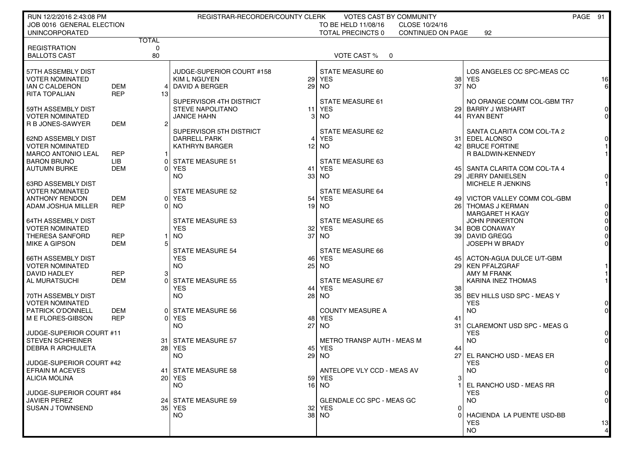| RUN 12/2/2016 2:43:08 PM                           |                    |                | REGISTRAR-RECORDER/COUNTY CLERK                    |                                             | <b>VOTES CAST BY COMMUNITY</b>      |          |                                                     | PAGE 91                          |
|----------------------------------------------------|--------------------|----------------|----------------------------------------------------|---------------------------------------------|-------------------------------------|----------|-----------------------------------------------------|----------------------------------|
| JOB 0016 GENERAL ELECTION<br><b>UNINCORPORATED</b> |                    |                |                                                    | TO BE HELD 11/08/16<br>TOTAL PRECINCTS 0    | CLOSE 10/24/16<br>CONTINUED ON PAGE |          | 92                                                  |                                  |
|                                                    |                    | <b>TOTAL</b>   |                                                    |                                             |                                     |          |                                                     |                                  |
| <b>REGISTRATION</b>                                |                    | 0              |                                                    |                                             |                                     |          |                                                     |                                  |
| <b>BALLOTS CAST</b>                                |                    | 80             |                                                    | VOTE CAST % 0                               |                                     |          |                                                     |                                  |
| 57TH ASSEMBLY DIST                                 |                    |                | JUDGE-SUPERIOR COURT #158                          | <b>STATE MEASURE 60</b>                     |                                     |          | LOS ANGELES CC SPC-MEAS CC                          |                                  |
| <b>VOTER NOMINATED</b>                             |                    |                | KIM L NGUYEN                                       | <b>29 YES</b>                               |                                     | 38       | <b>YES</b>                                          | 16                               |
| IAN C CALDERON                                     | <b>DEM</b>         | $\vert$        | DAVID A BERGER                                     | 29 NO                                       |                                     |          | $37$ NO                                             | $6 \mid$                         |
| <b>RITA TOPALIAN</b>                               | <b>REP</b>         | 13 l           |                                                    |                                             |                                     |          |                                                     |                                  |
| 59TH ASSEMBLY DIST                                 |                    |                | SUPERVISOR 4TH DISTRICT<br><b>STEVE NAPOLITANO</b> | <b>STATE MEASURE 61</b><br><b>YES</b><br>11 |                                     |          | NO ORANGE COMM COL-GBM TR7<br>29 BARRY J WISHART    | $\Omega$                         |
| <b>VOTER NOMINATED</b>                             |                    |                | <b>JANICE HAHN</b>                                 | <b>NO</b><br>3                              |                                     |          | 44 RYAN BENT                                        | $\Omega$                         |
| R B JONES-SAWYER                                   | <b>DEM</b>         | $\overline{2}$ |                                                    |                                             |                                     |          |                                                     |                                  |
|                                                    |                    |                | SUPERVISOR 5TH DISTRICT                            | STATE MEASURE 62                            |                                     |          | SANTA CLARITA COM COL-TA 2                          |                                  |
| 62ND ASSEMBLY DIST                                 |                    |                | <b>DARRELL PARK</b>                                | <b>YES</b><br>4                             |                                     |          | 31 EDEL ALONSO                                      | $\Omega$                         |
| <b>VOTER NOMINATED</b>                             |                    |                | <b>KATHRYN BARGER</b>                              | 12<br><b>NO</b>                             |                                     |          | 42 BRUCE FORTINE                                    |                                  |
| <b>MARCO ANTONIO LEAL</b><br><b>BARON BRUNO</b>    | <b>REP</b><br>LIB. | -1<br>$\Omega$ | <b>STATE MEASURE 51</b>                            | STATE MEASURE 63                            |                                     |          | R BALDWIN-KENNEDY                                   |                                  |
| <b>AUTUMN BURKE</b>                                | <b>DEM</b>         | ΩI             | <b>YES</b>                                         | <b>YES</b><br>41                            |                                     |          | 45 SANTA CLARITA COM COL-TA 4                       |                                  |
|                                                    |                    |                | NO.                                                | 33 NO                                       |                                     | 29 l     | <b>JERRY DANIELSEN</b>                              | $\Omega$                         |
| 63RD ASSEMBLY DIST                                 |                    |                |                                                    |                                             |                                     |          | MICHELE R JENKINS                                   |                                  |
| <b>VOTER NOMINATED</b>                             |                    |                | <b>STATE MEASURE 52</b>                            | <b>STATE MEASURE 64</b>                     |                                     |          |                                                     |                                  |
| <b>ANTHONY RENDON</b><br>ADAM JOSHUA MILLER        | DEM<br><b>REP</b>  | 01<br>01       | <b>YES</b><br><b>NO</b>                            | 54<br>YES<br>19 NO                          |                                     |          | 49 VICTOR VALLEY COMM COL-GBM<br>26 THOMAS J KERMAN | 0                                |
|                                                    |                    |                |                                                    |                                             |                                     |          | <b>MARGARET H KAGY</b>                              | $\overline{0}$                   |
| <b>64TH ASSEMBLY DIST</b>                          |                    |                | <b>STATE MEASURE 53</b>                            | STATE MEASURE 65                            |                                     |          | <b>JOHN PINKERTON</b>                               | $\overline{0}$                   |
| <b>VOTER NOMINATED</b>                             |                    |                | <b>YES</b>                                         | 32<br>YES                                   |                                     |          | 34 BOB CONAWAY                                      | $\Omega$                         |
| <b>THERESA SANFORD</b>                             | <b>REP</b>         |                | <b>NO</b>                                          | <b>NO</b><br>37                             |                                     | 39 I     | <b>DAVID GREGG</b>                                  | $\Omega$                         |
| <b>MIKE A GIPSON</b>                               | <b>DEM</b>         | 5 <sup>1</sup> |                                                    |                                             |                                     |          | <b>JOSEPH W BRADY</b>                               |                                  |
| <b>66TH ASSEMBLY DIST</b>                          |                    |                | <b>STATE MEASURE 54</b><br>YES.                    | <b>STATE MEASURE 66</b><br>46 YES           |                                     |          | 45 ACTON-AGUA DULCE U/T-GBM                         |                                  |
| <b>VOTER NOMINATED</b>                             |                    |                | NO.                                                | 25<br>NO.                                   |                                     | 29 l     | KEN PFALZGRAF                                       |                                  |
| <b>DAVID HADLEY</b>                                | <b>REP</b>         | 3              |                                                    |                                             |                                     |          | AMY M FRANK                                         |                                  |
| AL MURATSUCHI                                      | <b>DEM</b>         | $\Omega$       | <b>STATE MEASURE 55</b>                            | <b>STATE MEASURE 67</b>                     |                                     |          | KARINA INEZ THOMAS                                  | $\mathbf 1$                      |
|                                                    |                    |                | YES.                                               | 44 YES                                      |                                     | 38       |                                                     |                                  |
| 70TH ASSEMBLY DIST<br><b>VOTER NOMINATED</b>       |                    |                | NO.                                                | 28 NO                                       |                                     | 35       | BEV HILLS USD SPC - MEAS Y<br><b>YES</b>            |                                  |
| <b>PATRICK O'DONNELL</b>                           | <b>DEM</b>         | 01             | STATE MEASURE 56                                   | <b>COUNTY MEASURE A</b>                     |                                     |          | <b>NO</b>                                           | $\Omega$<br>$\Omega$             |
| M E FLORES-GIBSON                                  | <b>REP</b>         | Οl             | <b>YES</b>                                         | 48 YES                                      |                                     | 41       |                                                     |                                  |
|                                                    |                    |                | NO.                                                | 27<br><b>NO</b>                             |                                     | 31       | <b>CLAREMONT USD SPC - MEAS G</b>                   |                                  |
| JUDGE-SUPERIOR COURT #11                           |                    |                |                                                    |                                             |                                     |          | <b>YES</b>                                          | $\Omega$                         |
| <b>STEVEN SCHREINER</b>                            |                    |                | 31 STATE MEASURE 57                                | METRO TRANSP AUTH - MEAS M                  |                                     |          | <b>NO</b>                                           | $\Omega$                         |
| <b>DEBRA R ARCHULETA</b>                           |                    |                | 28 YES<br><b>NO</b>                                | 45 YES<br>29<br><b>NO</b>                   |                                     | 44<br>27 | EL RANCHO USD - MEAS ER                             |                                  |
| JUDGE-SUPERIOR COURT #42                           |                    |                |                                                    |                                             |                                     |          | <b>YES</b>                                          | $\circ$                          |
| <b>EFRAIN M ACEVES</b>                             |                    |                | 41 STATE MEASURE 58                                | ANTELOPE VLY CCD - MEAS AV                  |                                     |          | NO.                                                 | 0                                |
| <b>ALICIA MOLINA</b>                               |                    |                | 20 YES                                             | 59 YES                                      |                                     | 3        |                                                     |                                  |
|                                                    |                    |                | NO.                                                | 16 NO                                       |                                     |          | EL RANCHO USD - MEAS RR                             |                                  |
| JUDGE-SUPERIOR COURT #84<br><b>JAVIER PEREZ</b>    |                    |                | 24 STATE MEASURE 59                                | GLENDALE CC SPC - MEAS GC                   |                                     |          | <b>YES</b><br>NO.                                   | $\overline{0}$<br>$\overline{0}$ |
| <b>SUSAN J TOWNSEND</b>                            |                    |                | 35 YES                                             | 32 YES                                      |                                     | $\Omega$ |                                                     |                                  |
|                                                    |                    |                | NO.                                                | 38 NO                                       |                                     | $\Omega$ | HACIENDA LA PUENTE USD-BB                           |                                  |
|                                                    |                    |                |                                                    |                                             |                                     |          | YES.                                                | 13                               |
|                                                    |                    |                |                                                    |                                             |                                     |          | <b>NO</b>                                           | $\overline{4}$                   |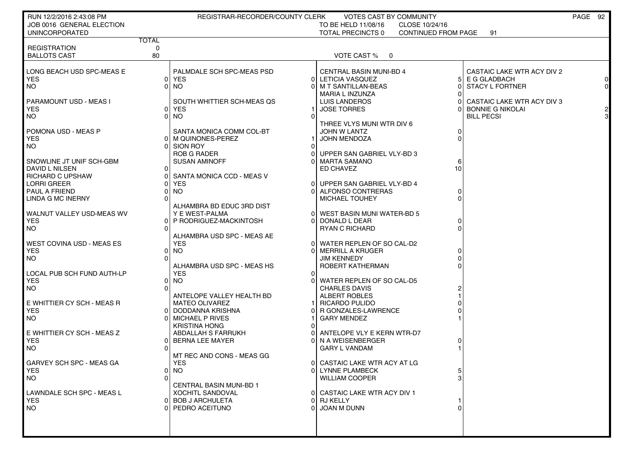| RUN 12/2/2016 2:43:08 PM     |              | REGISTRAR-RECORDER/COUNTY CLERK |          | VOTES CAST BY COMMUNITY                |                     |                            | PAGE 92 |
|------------------------------|--------------|---------------------------------|----------|----------------------------------------|---------------------|----------------------------|---------|
| JOB 0016 GENERAL ELECTION    |              |                                 |          | TO BE HELD 11/08/16<br>CLOSE 10/24/16  |                     |                            |         |
| <b>UNINCORPORATED</b>        |              |                                 |          | TOTAL PRECINCTS 0                      | CONTINUED FROM PAGE | 91                         |         |
|                              | <b>TOTAL</b> |                                 |          |                                        |                     |                            |         |
| <b>REGISTRATION</b>          | 0            |                                 |          |                                        |                     |                            |         |
| <b>BALLOTS CAST</b>          | 80           |                                 |          | VOTE CAST %<br>$\overline{\mathbf{0}}$ |                     |                            |         |
|                              |              |                                 |          |                                        |                     |                            |         |
| LONG BEACH USD SPC-MEAS E    |              | PALMDALE SCH SPC-MEAS PSD       |          | <b>CENTRAL BASIN MUNI-BD 4</b>         |                     | CASTAIC LAKE WTR ACY DIV 2 |         |
| YES.                         |              | 0 YES                           | ΟI       | LETICIA VASQUEZ                        | 5                   | E G GLADBACH               |         |
| I NO                         | 01           | NO.                             |          | M T SANTILLAN-BEAS                     |                     | <b>STACY L FORTNER</b>     | 0       |
|                              |              |                                 |          | MARIA L INZUNZA                        |                     |                            |         |
| PARAMOUNT USD - MEAS I       |              | SOUTH WHITTIER SCH-MEAS QS      |          | <b>LUIS LANDEROS</b>                   |                     | CASTAIC LAKE WTR ACY DIV 3 |         |
| YES.                         |              | 0 YES                           |          | <b>JOSE TORRES</b>                     |                     | <b>BONNIE G NIKOLAI</b>    |         |
| I NO                         | ΩL           | NO.                             | ∩        |                                        |                     | <b>BILL PECSI</b>          |         |
|                              |              |                                 |          | THREE VLYS MUNI WTR DIV 6              |                     |                            |         |
| POMONA USD - MEAS P          |              | SANTA MONICA COMM COL-BT        |          | <b>JOHN W LANTZ</b>                    | 0                   |                            |         |
| l YES                        |              | 0   M QUINONES-PEREZ            |          | <b>JOHN MENDOZA</b>                    |                     |                            |         |
| I NO                         |              | <b>SION ROY</b>                 |          |                                        |                     |                            |         |
|                              |              | <b>ROB G RADER</b>              |          | UPPER SAN GABRIEL VLY-BD 3             |                     |                            |         |
| I SNOWLINE JT UNIF SCH-GBM   |              | <b>SUSAN AMINOFF</b>            |          | MARTA SAMANO                           | 6                   |                            |         |
| DAVID L NILSEN               |              |                                 |          | ED CHAVEZ                              | 10                  |                            |         |
| RICHARD C UPSHAW             |              | SANTA MONICA CCD - MEAS V       |          |                                        |                     |                            |         |
| LORRI GREER                  |              | <b>YES</b>                      | ΟI       | UPPER SAN GABRIEL VLY-BD 4             |                     |                            |         |
| PAUL A FRIEND                |              | NO.                             | ΩI       | ALFONSO CONTRERAS                      |                     |                            |         |
| <b>LINDA G MC INERNY</b>     |              |                                 |          | <b>MICHAEL TOUHEY</b>                  |                     |                            |         |
|                              |              | ALHAMBRA BD EDUC 3RD DIST       |          |                                        |                     |                            |         |
| WALNUT VALLEY USD-MEAS WV    |              | Y E WEST-PALMA                  |          | WEST BASIN MUNI WATER-BD 5             |                     |                            |         |
| <b>YES</b>                   |              | P RODRIGUEZ-MACKINTOSH          |          | DONALD L DEAR                          |                     |                            |         |
| <b>NO</b>                    |              |                                 |          | <b>RYAN C RICHARD</b>                  |                     |                            |         |
|                              |              | ALHAMBRA USD SPC - MEAS AE      |          |                                        |                     |                            |         |
| WEST COVINA USD - MEAS ES    |              | <b>YES</b>                      |          | 0 WATER REPLEN OF SO CAL-D2            |                     |                            |         |
| <b>YES</b>                   | 01           | <b>NO</b>                       |          | <b>MERRILL A KRUGER</b>                |                     |                            |         |
| I NO                         |              |                                 |          | JIM KENNEDY                            |                     |                            |         |
|                              |              | ALHAMBRA USD SPC - MEAS HS      |          | ROBERT KATHERMAN                       |                     |                            |         |
| LOCAL PUB SCH FUND AUTH-LP   |              | <b>YES</b>                      | 0        |                                        |                     |                            |         |
| <b>YES</b>                   | 01           | <b>NO</b>                       |          | WATER REPLEN OF SO CAL-D5              |                     |                            |         |
| <b>NO</b>                    |              |                                 |          |                                        |                     |                            |         |
|                              |              | ANTELOPE VALLEY HEALTH BD       |          | <b>CHARLES DAVIS</b><br>ALBERT ROBLES  |                     |                            |         |
|                              |              |                                 |          |                                        |                     |                            |         |
| I E WHITTIER CY SCH - MEAS R |              | <b>MATEO OLIVAREZ</b>           |          | RICARDO PULIDO                         |                     |                            |         |
| <b>YES</b>                   |              | DODDANNA KRISHNA                |          | R GONZALES-LAWRENCE                    |                     |                            |         |
| I NO                         |              | MICHAEL P RIVES                 |          | <b>GARY MENDEZ</b>                     |                     |                            |         |
|                              |              | <b>KRISTINA HONG</b>            |          |                                        |                     |                            |         |
| E WHITTIER CY SCH - MEAS Z   |              | ABDALLAH S FARRUKH              |          | ANTELOPE VLY E KERN WTR-D7             |                     |                            |         |
| <b>YES</b>                   |              | <b>BERNA LEE MAYER</b>          |          | N A WEISENBERGER                       |                     |                            |         |
| I NO                         |              |                                 |          | <b>GARY L VANDAM</b>                   |                     |                            |         |
|                              |              | MT REC AND CONS - MEAS GG       |          |                                        |                     |                            |         |
| GARVEY SCH SPC - MEAS GA     |              | <b>YES</b>                      |          | 0 CASTAIC LAKE WTR ACY AT LG           |                     |                            |         |
| YES                          |              | 01 NO                           |          | 0 LYNNE PLAMBECK                       | 5                   |                            |         |
| <b>NO</b>                    | ΩI           |                                 |          | <b>WILLIAM COOPER</b>                  | 3                   |                            |         |
|                              |              | <b>CENTRAL BASIN MUNI-BD 1</b>  |          |                                        |                     |                            |         |
| LAWNDALE SCH SPC - MEAS L    |              | <b>XOCHITL SANDOVAL</b>         |          | 0 CASTAIC LAKE WTR ACY DIV 1           |                     |                            |         |
| <b>YES</b>                   |              | 0 BOB J ARCHULETA               |          | 0 RJ KELLY                             |                     |                            |         |
| <b>NO</b>                    | ΩI           | PEDRO ACEITUNO                  | $\Omega$ | JOAN M DUNN                            | 0                   |                            |         |
|                              |              |                                 |          |                                        |                     |                            |         |
|                              |              |                                 |          |                                        |                     |                            |         |
|                              |              |                                 |          |                                        |                     |                            |         |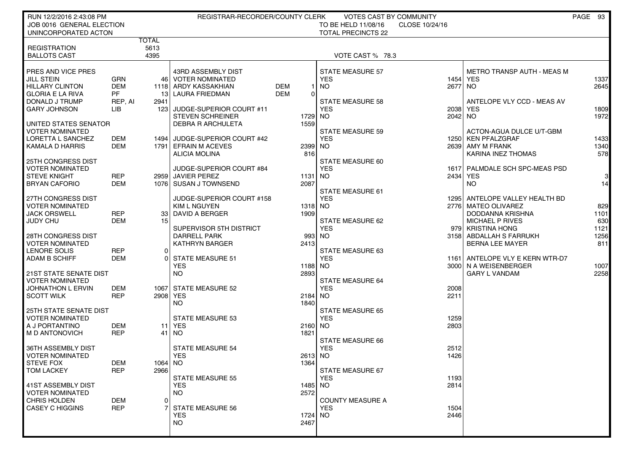| RUN 12/2/2016 2:43:08 PM                            |            |                 | REGISTRAR-RECORDER/COUNTY CLERK               |                 | VOTES CAST BY COMMUNITY                          |                |                                   | PAGE 93              |
|-----------------------------------------------------|------------|-----------------|-----------------------------------------------|-----------------|--------------------------------------------------|----------------|-----------------------------------|----------------------|
| JOB 0016 GENERAL ELECTION<br>UNINCORPORATED ACTON   |            |                 |                                               |                 | TO BE HELD 11/08/16<br><b>TOTAL PRECINCTS 22</b> | CLOSE 10/24/16 |                                   |                      |
|                                                     |            | TOTAL           |                                               |                 |                                                  |                |                                   |                      |
| <b>REGISTRATION</b><br><b>BALLOTS CAST</b>          |            | 5613<br>4395    |                                               |                 | VOTE CAST % 78.3                                 |                |                                   |                      |
|                                                     |            |                 |                                               |                 |                                                  |                |                                   |                      |
| PRES AND VICE PRES                                  |            |                 | 43RD ASSEMBLY DIST                            |                 | <b>STATE MEASURE 57</b>                          |                | <b>METRO TRANSP AUTH - MEAS M</b> |                      |
| <b>JILL STEIN</b>                                   | GRN        |                 | 46   VOTER NOMINATED                          |                 | <b>YES</b>                                       | 1454           | <b>YES</b>                        | 1337                 |
| <b>HILLARY CLINTON</b>                              | <b>DEM</b> |                 | 1118 ARDY KASSAKHIAN                          | <b>DEM</b>      | <b>NO</b>                                        | 2677           | <b>NO</b>                         | 2645                 |
| <b>GLORIA E LA RIVA</b>                             | <b>PF</b>  |                 | 13 LAURA FRIEDMAN                             | DEM<br>0        |                                                  |                |                                   |                      |
| DONALD J TRUMP                                      | REP, AI    | 2941            |                                               |                 | <b>STATE MEASURE 58</b>                          |                | ANTELOPE VLY CCD - MEAS AV        |                      |
| <b>GARY JOHNSON</b>                                 | LІB        |                 | 123 JUDGE-SUPERIOR COURT #11                  |                 | <b>YES</b>                                       | 2038           | YES                               | 1809                 |
|                                                     |            |                 | <b>STEVEN SCHREINER</b>                       | 1729            | <b>NO</b>                                        | 2042 NO        |                                   | 1972                 |
| UNITED STATES SENATOR                               |            |                 | <b>DEBRA R ARCHULETA</b>                      | 1559            |                                                  |                |                                   |                      |
| <b>VOTER NOMINATED</b>                              |            |                 |                                               |                 | <b>STATE MEASURE 59</b>                          |                | ACTON-AGUA DULCE U/T-GBM          |                      |
| LORETTA L SANCHEZ                                   | DEM        |                 | 1494 JUDGE-SUPERIOR COURT #42                 |                 | <b>YES</b>                                       |                | 1250 KEN PFALZGRAF                | 1433                 |
| KAMALA D HARRIS                                     | DEM        |                 | 1791 EFRAIN M ACEVES                          | 2399 NO         |                                                  |                | 2639 AMY M FRANK                  | 1340                 |
|                                                     |            |                 | <b>ALICIA MOLINA</b>                          | 816             |                                                  |                | <b>KARINA INEZ THOMAS</b>         | 578                  |
| <b>25TH CONGRESS DIST</b><br><b>VOTER NOMINATED</b> |            |                 |                                               |                 | STATE MEASURE 60                                 |                |                                   |                      |
| <b>STEVE KNIGHT</b>                                 | <b>REP</b> |                 | JUDGE-SUPERIOR COURT #84<br>2959 JAVIER PEREZ |                 | <b>YES</b>                                       |                | 1617 PALMDALE SCH SPC-MEAS PSD    |                      |
| <b>BRYAN CAFORIO</b>                                | <b>DEM</b> |                 | 1076 SUSAN J TOWNSEND                         | 1131<br>2087    | NO.                                              | 2434           | YES<br>NO.                        | 3 <sub>l</sub><br>14 |
|                                                     |            |                 |                                               |                 | <b>STATE MEASURE 61</b>                          |                |                                   |                      |
| 27TH CONGRESS DIST                                  |            |                 | JUDGE-SUPERIOR COURT #158                     |                 | <b>YES</b>                                       |                | 1295 ANTELOPE VALLEY HEALTH BD    |                      |
| <b>VOTER NOMINATED</b>                              |            |                 | <b>KIM L NGUYEN</b>                           | 1318 NO         |                                                  |                | 2776 MATEO OLIVAREZ               | 829                  |
| <b>JACK ORSWELL</b>                                 | <b>REP</b> |                 | 33 DAVID A BERGER                             | 1909            |                                                  |                | DODDANNA KRISHNA                  | 1101                 |
| JUDY CHU                                            | <b>DEM</b> | 15 <sup>1</sup> |                                               |                 | STATE MEASURE 62                                 |                | <b>MICHAEL P RIVES</b>            | 630                  |
|                                                     |            |                 | SUPERVISOR 5TH DISTRICT                       |                 | <b>YES</b>                                       |                | 979 KRISTINA HONG                 | 1121                 |
| 28TH CONGRESS DIST                                  |            |                 | <b>DARRELL PARK</b>                           | 993             | <b>NO</b>                                        |                | 3158 ABDALLAH S FARRUKH           | 1256                 |
| <b>VOTER NOMINATED</b>                              |            |                 | <b>KATHRYN BARGER</b>                         | 2413            |                                                  |                | <b>BERNA LEE MAYER</b>            | 811                  |
| LENORE SOLIS                                        | <b>REP</b> | 01              |                                               |                 | STATE MEASURE 63                                 |                |                                   |                      |
| <b>ADAM B SCHIFF</b>                                | DEM        | ΩI              | <b>STATE MEASURE 51</b>                       |                 | <b>YES</b>                                       | 1161           | ANTELOPE VLY E KERN WTR-D7        |                      |
|                                                     |            |                 | <b>YES</b>                                    | 1188 NO         |                                                  |                | 3000 N A WEISENBERGER             | 1007                 |
| <b>21ST STATE SENATE DIST</b>                       |            |                 | NO.                                           | 2893            |                                                  |                | <b>GARY L VANDAM</b>              | 2258                 |
| <b>VOTER NOMINATED</b>                              |            |                 |                                               |                 | <b>STATE MEASURE 64</b>                          |                |                                   |                      |
| <b>JOHNATHON L ERVIN</b>                            | DEM        |                 | 1067 STATE MEASURE 52                         |                 | <b>YES</b>                                       | 2008           |                                   |                      |
| <b>SCOTT WILK</b>                                   | <b>REP</b> | 2908 YES        |                                               | 2184            | <b>NO</b>                                        | 2211           |                                   |                      |
|                                                     |            |                 | <b>NO</b>                                     | 1840            |                                                  |                |                                   |                      |
| <b>25TH STATE SENATE DIST</b>                       |            |                 |                                               |                 | <b>STATE MEASURE 65</b>                          |                |                                   |                      |
| <b>VOTER NOMINATED</b>                              |            |                 | <b>STATE MEASURE 53</b>                       |                 | <b>YES</b>                                       | 1259           |                                   |                      |
| A J PORTANTINO                                      | DEM        |                 | <b>11 YES</b>                                 | 2160 NO         |                                                  | 2803           |                                   |                      |
| M D ANTONOVICH                                      | <b>REP</b> | 41              | NO                                            | 1821            |                                                  |                |                                   |                      |
|                                                     |            |                 |                                               |                 | <b>STATE MEASURE 66</b>                          |                |                                   |                      |
| 36TH ASSEMBLY DIST                                  |            |                 | <b>STATE MEASURE 54</b>                       |                 | <b>YES</b>                                       | 2512           |                                   |                      |
| <b>VOTER NOMINATED</b><br><b>STEVE FOX</b>          | DEM        | 1064 NO         | <b>YES</b>                                    | 2613 NO<br>1364 |                                                  | 1426           |                                   |                      |
|                                                     |            |                 |                                               |                 | STATE MEASURE 67                                 |                |                                   |                      |
| TOM LACKEY                                          | <b>REP</b> | 29661           | <b>STATE MEASURE 55</b>                       |                 | <b>YES</b>                                       | 1193           |                                   |                      |
| 41ST ASSEMBLY DIST                                  |            |                 | <b>YES</b>                                    | 1485            | NO.                                              | 2814           |                                   |                      |
| <b>VOTER NOMINATED</b>                              |            |                 | NO.                                           | 2572            |                                                  |                |                                   |                      |
| <b>CHRIS HOLDEN</b>                                 | DEM        | $\Omega$        |                                               |                 | <b>COUNTY MEASURE A</b>                          |                |                                   |                      |
| <b>CASEY C HIGGINS</b>                              | <b>REP</b> |                 | <b>STATE MEASURE 56</b>                       |                 | <b>YES</b>                                       | 1504           |                                   |                      |
|                                                     |            |                 | <b>YES</b>                                    | 1724            | NO.                                              | 2446           |                                   |                      |
|                                                     |            |                 | <b>NO</b>                                     | 2467            |                                                  |                |                                   |                      |
|                                                     |            |                 |                                               |                 |                                                  |                |                                   |                      |
|                                                     |            |                 |                                               |                 |                                                  |                |                                   |                      |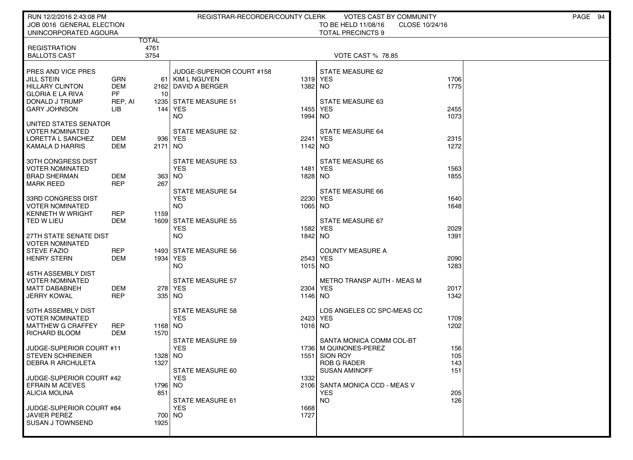| RUN 12/2/2016 2:43:08 PM                                                                                                              |                                                   |                 | REGISTRAR-RECORDER/COUNTY CLERK                                                                  |                     | VOTES CAST BY COMMUNITY                                                                                |                          | PAGE 94 |
|---------------------------------------------------------------------------------------------------------------------------------------|---------------------------------------------------|-----------------|--------------------------------------------------------------------------------------------------|---------------------|--------------------------------------------------------------------------------------------------------|--------------------------|---------|
| JOB 0016 GENERAL ELECTION<br>UNINCORPORATED AGOURA                                                                                    |                                                   |                 |                                                                                                  |                     | TO BE HELD 11/08/16<br>CLOSE 10/24/16<br><b>TOTAL PRECINCTS 9</b>                                      |                          |         |
|                                                                                                                                       | <b>TOTAL</b>                                      |                 |                                                                                                  |                     |                                                                                                        |                          |         |
| <b>REGISTRATION</b><br><b>BALLOTS CAST</b>                                                                                            |                                                   | 4761<br>3754    |                                                                                                  |                     | <b>VOTE CAST % 78.85</b>                                                                               |                          |         |
| PRES AND VICE PRES<br><b>JILL STEIN</b><br><b>HILLARY CLINTON</b><br><b>GLORIA E LA RIVA</b><br>DONALD J TRUMP<br><b>GARY JOHNSON</b> | <b>GRN</b><br><b>DEM</b><br>PF.<br>REP, AI<br>LIB | 61<br>10<br>144 | JUDGE-SUPERIOR COURT #158<br>KIM L NGUYEN<br>2162 DAVID A BERGER<br>1235 STATE MEASURE 51<br>YES | 1382 NO<br>1455     | STATE MEASURE 62<br>1319 YES<br>STATE MEASURE 63<br><b>YES</b>                                         | 1706<br>1775<br>2455     |         |
|                                                                                                                                       |                                                   |                 | <b>NO</b>                                                                                        | 1994                | <b>NO</b>                                                                                              | 1073                     |         |
| UNITED STATES SENATOR<br><b>VOTER NOMINATED</b><br>LORETTA L SANCHEZ<br>KAMALA D HARRIS                                               | DEM<br>DEM                                        | 2171            | <b>STATE MEASURE 52</b><br>936 YES<br>  NO                                                       | 2241<br>1142 NO     | <b>STATE MEASURE 64</b><br><b>YES</b>                                                                  | 2315<br>1272             |         |
| 30TH CONGRESS DIST<br><b>VOTER NOMINATED</b><br><b>BRAD SHERMAN</b><br><b>MARK REED</b>                                               | DEM<br><b>REP</b>                                 | $363$ NO<br>267 | <b>STATE MEASURE 53</b><br><b>YES</b>                                                            | 1481<br>1828 NO     | <b>STATE MEASURE 65</b><br>YES                                                                         | 1563<br>1855             |         |
| 33RD CONGRESS DIST<br><b>VOTER NOMINATED</b><br><b>KENNETH W WRIGHT</b>                                                               | <b>REP</b>                                        | 1159            | <b>STATE MEASURE 54</b><br><b>YES</b><br><b>NO</b>                                               | 1065 NO             | <b>STATE MEASURE 66</b><br>2230 YES                                                                    | 1640<br>1648             |         |
| TED W LIEU<br>27TH STATE SENATE DIST                                                                                                  | DEM                                               |                 | 1609 STATE MEASURE 55<br><b>YES</b><br><b>NO</b>                                                 | 1842 NO             | STATE MEASURE 67<br>1582 YES                                                                           | 2029<br>1391             |         |
| <b>VOTER NOMINATED</b><br><b>STEVE FAZIO</b><br><b>HENRY STERN</b>                                                                    | <b>REP</b><br><b>DEM</b>                          | 1934 YES        | 1493 STATE MEASURE 56<br><b>NO</b>                                                               | 1015 NO             | <b>COUNTY MEASURE A</b><br>2543 YES                                                                    | 2090<br>1283             |         |
| 45TH ASSEMBLY DIST<br>VOTER NOMINATED<br><b>MATT DABABNEH</b><br><b>JERRY KOWAL</b>                                                   | DEM<br><b>REP</b>                                 | 335 NO          | <b>STATE MEASURE 57</b><br>278 YES                                                               | 1146 NO             | <b>METRO TRANSP AUTH - MEAS M</b><br>2304 YES                                                          | 2017<br>1342             |         |
| 50TH ASSEMBLY DIST<br><b>VOTER NOMINATED</b><br><b>MATTHEW G CRAFFEY</b><br>RICHARD BLOOM                                             | <b>REP</b><br>DEM                                 | 1168 NO<br>1570 | <b>STATE MEASURE 58</b><br><b>YES</b>                                                            | 2423 YES<br>1016 NO | LOS ANGELES CC SPC-MEAS CC                                                                             | 1709<br>1202             |         |
| JUDGE-SUPERIOR COURT #11<br><b>STEVEN SCHREINER</b><br><b>DEBRA R ARCHULETA</b>                                                       |                                                   | 1328 NO<br>1327 | <b>STATE MEASURE 59</b><br><b>YES</b><br>STATE MEASURE 60                                        | 1551                | SANTA MONICA COMM COL-BT<br>1736   M QUINONES-PEREZ<br>SION ROY<br><b>ROB G RADER</b><br>SUSAN AMINOFF | 156<br>105<br>143<br>151 |         |
| JUDGE-SUPERIOR COURT #42<br><b>EFRAIN M ACEVES</b><br><b>ALICIA MOLINA</b>                                                            |                                                   | 1796 NO<br>851  | <b>YES</b><br>STATE MEASURE 61                                                                   | 1332                | 2106 SANTA MONICA CCD - MEAS V<br><b>YES</b><br><b>NO</b>                                              | 205<br>126               |         |
| JUDGE-SUPERIOR COURT #84<br>JAVIER PEREZ<br>SUSAN J TOWNSEND                                                                          |                                                   | 700 NO<br>1925  | <b>YES</b>                                                                                       | 1668<br>1727        |                                                                                                        |                          |         |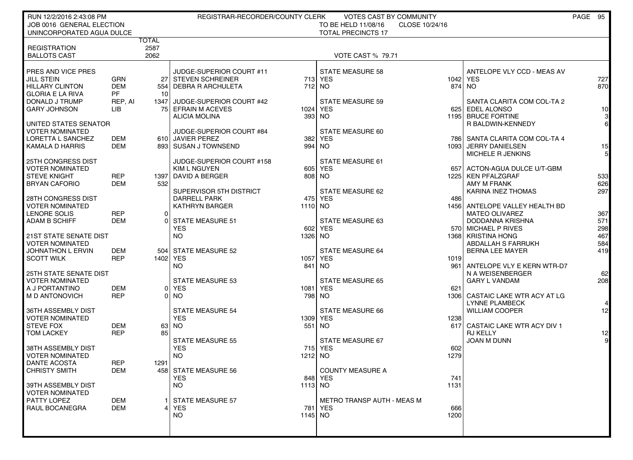| RUN 12/2/2016 2:43:08 PM<br>JOB 0016 GENERAL ELECTION<br>UNINCORPORATED AGUA DULCE           |                                       |                              | REGISTRAR-RECORDER/COUNTY CLERK                                          |           | <b>VOTES CAST BY COMMUNITY</b><br>TO BE HELD 11/08/16<br>CLOSE 10/24/16<br><b>TOTAL PRECINCTS 17</b> |             |                                                                                   | PAGE 95 |                      |
|----------------------------------------------------------------------------------------------|---------------------------------------|------------------------------|--------------------------------------------------------------------------|-----------|------------------------------------------------------------------------------------------------------|-------------|-----------------------------------------------------------------------------------|---------|----------------------|
| <b>REGISTRATION</b><br><b>BALLOTS CAST</b>                                                   |                                       | <b>TOTAL</b><br>2587<br>2062 |                                                                          |           | <b>VOTE CAST % 79.71</b>                                                                             |             |                                                                                   |         |                      |
| PRES AND VICE PRES<br><b>JILL STEIN</b><br><b>HILLARY CLINTON</b><br><b>GLORIA E LA RIVA</b> | <b>GRN</b><br><b>DEM</b><br><b>PF</b> | 10                           | JUDGE-SUPERIOR COURT #11<br>27 STEVEN SCHREINER<br>554 DEBRA R ARCHULETA |           | <b>STATE MEASURE 58</b><br>713 YES<br>712 NO                                                         | 1042        | ANTELOPE VLY CCD - MEAS AV<br><b>YES</b><br>874 INO                               |         | 727<br>870           |
| DONALD J TRUMP<br><b>GARY JOHNSON</b>                                                        | REP, AI<br>LIB                        |                              | 1347 JUDGE-SUPERIOR COURT #42<br>75 EFRAIN M ACEVES<br>ALICIA MOLINA     |           | <b>STATE MEASURE 59</b><br>1024 YES<br>393 NO                                                        | 625         | SANTA CLARITA COM COL-TA 2<br><b>EDEL ALONSO</b><br>1195 BRUCE FORTINE            |         | 10 <sup>1</sup><br>3 |
| UNITED STATES SENATOR<br><b>VOTER NOMINATED</b><br>LORETTA L SANCHEZ                         | DEM                                   |                              | JUDGE-SUPERIOR COURT #84<br>610 JAVIER PEREZ                             | 382       | STATE MEASURE 60<br><b>YES</b>                                                                       |             | R BALDWIN-KENNEDY<br>786   SANTA CLARITA COM COL-TA 4                             |         | $6 \mid$             |
| <b>KAMALA D HARRIS</b><br>25TH CONGRESS DIST<br><b>VOTER NOMINATED</b>                       | <b>DEM</b>                            |                              | 893 SUSAN J TOWNSEND<br>JUDGE-SUPERIOR COURT #158<br><b>KIM L NGUYEN</b> | 994       | NO.<br>STATE MEASURE 61<br>605 YES                                                                   | 10931       | JERRY DANIELSEN<br>MICHELE R JENKINS<br>657 ACTON-AGUA DULCE U/T-GBM              |         | 15<br>5 <sub>l</sub> |
| <b>STEVE KNIGHT</b><br><b>BRYAN CAFORIO</b>                                                  | <b>REP</b><br><b>DEM</b>              | 532                          | 1397 DAVID A BERGER<br>SUPERVISOR 5TH DISTRICT                           |           | 808 NO<br>STATE MEASURE 62                                                                           |             | 1225   KEN PFALZGRAF<br>AMY M FRANK<br><b>KARINA INEZ THOMAS</b>                  |         | 533<br>626<br>297    |
| 28TH CONGRESS DIST<br><b>VOTER NOMINATED</b><br>LENORE SOLIS                                 | <b>REP</b>                            | 0                            | <b>DARRELL PARK</b><br><b>KATHRYN BARGER</b>                             | 1110 NO   | 475 YES                                                                                              | 486         | 1456 ANTELOPE VALLEY HEALTH BD<br><b>MATEO OLIVAREZ</b>                           |         | 367                  |
| <b>ADAM B SCHIFF</b><br>21ST STATE SENATE DIST                                               | <b>DEM</b>                            | 0                            | <b>STATE MEASURE 51</b><br><b>YES</b><br>NO.                             | 1326 NO   | STATE MEASURE 63<br>602 YES                                                                          |             | <b>DODDANNA KRISHNA</b><br>570 MICHAEL P RIVES<br>1368 KRISTINA HONG              |         | 571<br>298<br>467    |
| <b>VOTER NOMINATED</b><br><b>JOHNATHON L ERVIN</b><br><b>SCOTT WILK</b>                      | DEM<br><b>REP</b>                     | 504<br>1402 YES              | <b>STATE MEASURE 52</b>                                                  |           | <b>STATE MEASURE 64</b><br>1057 YES                                                                  | 1019        | ABDALLAH S FARRUKH<br><b>BERNA LEE MAYER</b>                                      |         | 584<br>419           |
| <b>25TH STATE SENATE DIST</b><br><b>VOTER NOMINATED</b><br>A J PORTANTINO                    | <b>DEM</b>                            |                              | <b>NO</b><br><b>STATE MEASURE 53</b><br>0 YES                            | 841       | <b>NO</b><br><b>STATE MEASURE 65</b><br>1081 YES                                                     | 621         | 961 ANTELOPE VLY E KERN WTR-D7<br>N A WEISENBERGER<br><b>GARY L VANDAM</b>        |         | 62<br>208            |
| M D ANTONOVICH<br>36TH ASSEMBLY DIST                                                         | <b>REP</b>                            |                              | 0 NO<br><b>STATE MEASURE 54</b>                                          |           | 798 NO<br><b>STATE MEASURE 66</b>                                                                    |             | 1306 CASTAIC LAKE WTR ACY AT LG<br><b>LYNNE PLAMBECK</b><br><b>WILLIAM COOPER</b> |         | 12 <sub>1</sub>      |
| <b>VOTER NOMINATED</b><br><b>STEVE FOX</b><br><b>TOM LACKEY</b>                              | <b>DEM</b><br><b>REP</b>              | 85                           | <b>YES</b><br>63 NO                                                      |           | 1309 YES<br>$551$ NO                                                                                 | 1238        | 617 CASTAIC LAKE WTR ACY DIV 1<br><b>RJ KELLY</b>                                 |         | 12                   |
| 38TH ASSEMBLY DIST<br><b>VOTER NOMINATED</b>                                                 |                                       |                              | <b>STATE MEASURE 55</b><br><b>YES</b><br><b>NO</b>                       | 1212 NO   | <b>STATE MEASURE 67</b><br>715 YES                                                                   | 602<br>1279 | JOAN M DUNN                                                                       |         | 9 <sup>1</sup>       |
| DANTE ACOSTA<br><b>CHRISTY SMITH</b><br>39TH ASSEMBLY DIST                                   | <b>REP</b><br>DEM                     | 1291                         | 458 STATE MEASURE 56<br><b>YES</b><br><b>NO</b>                          | $1113$ NO | <b>COUNTY MEASURE A</b><br>848 YES                                                                   | 741<br>1131 |                                                                                   |         |                      |
| <b>VOTER NOMINATED</b><br>PATTY LOPEZ<br>RAUL BOCANEGRA                                      | <b>DEM</b><br><b>DEM</b>              |                              | STATE MEASURE 57<br><b>YES</b>                                           |           | <b>METRO TRANSP AUTH - MEAS M</b><br>781 YES                                                         | 666         |                                                                                   |         |                      |
|                                                                                              |                                       |                              | <b>NO</b>                                                                | 1145 NO   |                                                                                                      | 1200        |                                                                                   |         |                      |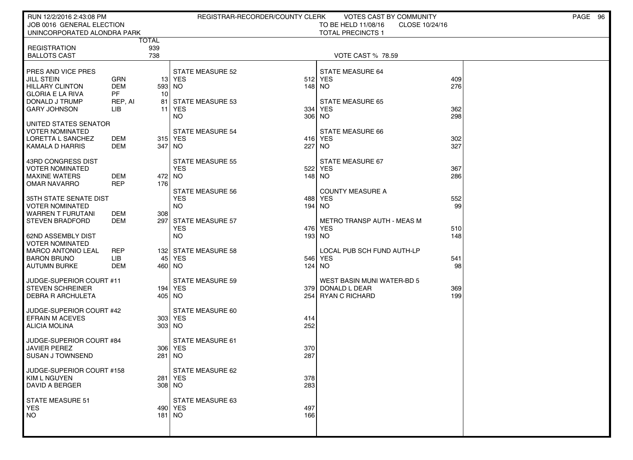| RUN 12/2/2016 2:43:08 PM                  |                     |     | REGISTRAR-RECORDER/COUNTY CLERK |               | VOTES CAST BY COMMUNITY               |            | PAGE 96 |
|-------------------------------------------|---------------------|-----|---------------------------------|---------------|---------------------------------------|------------|---------|
| JOB 0016 GENERAL ELECTION                 |                     |     |                                 |               | TO BE HELD 11/08/16<br>CLOSE 10/24/16 |            |         |
| UNINCORPORATED ALONDRA PARK               |                     |     |                                 |               | <b>TOTAL PRECINCTS 1</b>              |            |         |
| <b>REGISTRATION</b>                       | <b>TOTAL</b><br>939 |     |                                 |               |                                       |            |         |
| <b>BALLOTS CAST</b>                       | 738                 |     |                                 |               | <b>VOTE CAST % 78.59</b>              |            |         |
|                                           |                     |     |                                 |               |                                       |            |         |
| <b>PRES AND VICE PRES</b>                 |                     |     | <b>STATE MEASURE 52</b>         |               | STATE MEASURE 64                      |            |         |
| JILL STEIN                                | <b>GRN</b>          |     | 13   YES                        |               | 512 YES                               | 409        |         |
| <b>HILLARY CLINTON</b>                    | DEM                 |     | 593 NO                          | 148 NO        |                                       | 276        |         |
| GLORIA E LA RIVA                          | <b>PF</b>           | 10  |                                 |               |                                       |            |         |
| DONALD J TRUMP                            | REP, AI             | 81  | <b>STATE MEASURE 53</b>         |               | <b>STATE MEASURE 65</b>               |            |         |
| <b>GARY JOHNSON</b>                       | ЦB                  | 11  | YES                             | 334           | <b>YES</b>                            | 362        |         |
|                                           |                     |     | NO.                             | 306           | NO.                                   | 298        |         |
| UNITED STATES SENATOR                     |                     |     |                                 |               |                                       |            |         |
| <b>VOTER NOMINATED</b>                    |                     |     | <b>STATE MEASURE 54</b>         |               | <b>STATE MEASURE 66</b>               |            |         |
| LORETTA L SANCHEZ<br>  KAMALA D HARRIS    | DEM<br>DEM          |     | 315 YES<br>347 NO               | 227           | 416 YES<br>NO.                        | 302<br>327 |         |
|                                           |                     |     |                                 |               |                                       |            |         |
| 43RD CONGRESS DIST                        |                     |     | STATE MEASURE 55                |               | STATE MEASURE 67                      |            |         |
| VOTER NOMINATED                           |                     |     | <b>YES</b>                      | 522           | YES                                   | 367        |         |
| MAXINE WATERS                             | DEM                 |     | 472 INO                         | 148 NO        |                                       | 286        |         |
| <b>OMAR NAVARRO</b>                       | <b>REP</b>          | 176 |                                 |               |                                       |            |         |
|                                           |                     |     | <b>STATE MEASURE 56</b>         |               | <b>COUNTY MEASURE A</b>               |            |         |
| 35TH STATE SENATE DIST                    |                     |     | <b>YES</b>                      | 488           | YES                                   | 552        |         |
| VOTER NOMINATED                           |                     |     | <b>NO</b>                       | 194 NO        |                                       | 99         |         |
| WARREN T FURUTANI                         | DEM                 | 308 |                                 |               |                                       |            |         |
| <b>STEVEN BRADFORD</b>                    | DEM                 | 297 | <b>STATE MEASURE 57</b>         |               | METRO TRANSP AUTH - MEAS M            |            |         |
|                                           |                     |     | <b>YES</b><br><b>NO</b>         | 476<br>193 NO | YES                                   | 510<br>148 |         |
| I 62ND ASSEMBLY DIST<br>  VOTER NOMINATED |                     |     |                                 |               |                                       |            |         |
| MARCO ANTONIO LEAL                        | <b>REP</b>          |     | 132 STATE MEASURE 58            |               | LOCAL PUB SCH FUND AUTH-LP            |            |         |
| <b>BARON BRUNO</b>                        | <b>LIB</b>          |     | 45 YES                          |               | 546 YES                               | 541        |         |
| AUTUMN BURKE                              | DEM                 |     | 460 NO                          | 124 NO        |                                       | 98         |         |
|                                           |                     |     |                                 |               |                                       |            |         |
| JUDGE-SUPERIOR COURT #11                  |                     |     | <b>STATE MEASURE 59</b>         |               | WEST BASIN MUNI WATER-BD 5            |            |         |
| <b>STEVEN SCHREINER</b>                   |                     |     | 194   YES                       |               | 379 DONALD L DEAR                     | 369        |         |
| <b>DEBRA R ARCHULETA</b>                  |                     |     | 405 NO                          |               | 254 RYAN C RICHARD                    | 199        |         |
|                                           |                     |     |                                 |               |                                       |            |         |
| JUDGE-SUPERIOR COURT #42                  |                     |     | STATE MEASURE 60                |               |                                       |            |         |
| EFRAIN M ACEVES<br>  ALICIA MOLINA        |                     |     | 303 YES<br>303 NO               | 414<br>252    |                                       |            |         |
|                                           |                     |     |                                 |               |                                       |            |         |
| JUDGE-SUPERIOR COURT #84                  |                     |     | <b>STATE MEASURE 61</b>         |               |                                       |            |         |
| <b>JAVIER PEREZ</b>                       |                     |     | 306 YES                         | 370           |                                       |            |         |
| <b>SUSAN J TOWNSEND</b>                   |                     | 281 | NO.                             | 287           |                                       |            |         |
|                                           |                     |     |                                 |               |                                       |            |         |
| JUDGE-SUPERIOR COURT #158                 |                     |     | STATE MEASURE 62                |               |                                       |            |         |
| KIM L NGUYEN                              |                     |     | 281 YES                         | 378           |                                       |            |         |
| <b>DAVID A BERGER</b>                     |                     |     | 308 NO                          | 283           |                                       |            |         |
|                                           |                     |     |                                 |               |                                       |            |         |
| STATE MEASURE 51<br><b>YES</b>            |                     |     | STATE MEASURE 63<br>490 YES     | 497           |                                       |            |         |
| NO <sub>1</sub>                           |                     |     | 181   NO                        | 166           |                                       |            |         |
|                                           |                     |     |                                 |               |                                       |            |         |
|                                           |                     |     |                                 |               |                                       |            |         |
|                                           |                     |     |                                 |               |                                       |            |         |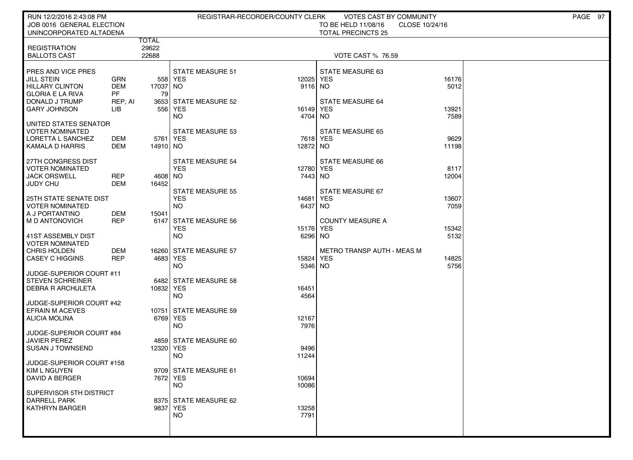| RUN 12/2/2016 2:43:08 PM                         |            |                |                                       | REGISTRAR-RECORDER/COUNTY CLERK | VOTES CAST BY COMMUNITY           |                | PAGE 97 |
|--------------------------------------------------|------------|----------------|---------------------------------------|---------------------------------|-----------------------------------|----------------|---------|
| JOB 0016 GENERAL ELECTION                        |            |                |                                       |                                 | TO BE HELD 11/08/16               | CLOSE 10/24/16 |         |
| UNINCORPORATED ALTADENA                          |            |                |                                       |                                 | <b>TOTAL PRECINCTS 25</b>         |                |         |
| <b>REGISTRATION</b>                              |            | TOTAL<br>29622 |                                       |                                 |                                   |                |         |
| <b>BALLOTS CAST</b>                              |            | 22688          |                                       |                                 | <b>VOTE CAST % 76.59</b>          |                |         |
|                                                  |            |                |                                       |                                 |                                   |                |         |
| <b>PRES AND VICE PRES</b>                        |            |                | <b>STATE MEASURE 51</b>               |                                 | STATE MEASURE 63                  |                |         |
| <b>JILL STEIN</b>                                | <b>GRN</b> |                | 558 YES                               | 12025 YES                       |                                   | 16176          |         |
| <b>HILLARY CLINTON</b>                           | DEM        | 17037 NO       |                                       | 9116 NO                         |                                   | 5012           |         |
| GLORIA E LA RIVA                                 | PF         | 79             |                                       |                                 |                                   |                |         |
| DONALD J TRUMP                                   | REP, AI    |                | 3653 STATE MEASURE 52                 |                                 | <b>STATE MEASURE 64</b>           |                |         |
| <b>GARY JOHNSON</b>                              | LIB        |                | 556 YES                               | 16149                           | YES                               | 13921          |         |
|                                                  |            |                | NO.                                   | 4704 NO                         |                                   | 7589           |         |
| UNITED STATES SENATOR<br>VOTER NOMINATED         |            |                | <b>STATE MEASURE 53</b>               |                                 | <b>STATE MEASURE 65</b>           |                |         |
| LORETTA L SANCHEZ                                | DEM        | 5761   YES     |                                       | 7618 YES                        |                                   | 9629           |         |
| KAMALA D HARRIS                                  | DEM        | 14910 NO       |                                       | 12872 NO                        |                                   | 11198          |         |
|                                                  |            |                |                                       |                                 |                                   |                |         |
| 27TH CONGRESS DIST                               |            |                | STATE MEASURE 54                      |                                 | STATE MEASURE 66                  |                |         |
| I VOTER NOMINATED                                |            |                | <b>YES</b>                            | 12780 YES                       |                                   | 8117           |         |
| <b>JACK ORSWELL</b>                              | REP        | 4608 NO        |                                       | 7443 NO                         |                                   | 12004          |         |
| I JUDY CHU                                       | DEM        | 16452          |                                       |                                 |                                   |                |         |
|                                                  |            |                | <b>STATE MEASURE 55</b><br><b>YES</b> |                                 | STATE MEASURE 67                  |                |         |
| 25TH STATE SENATE DIST<br><b>VOTER NOMINATED</b> |            |                | <b>NO</b>                             | 14681<br>6437                   | <b>YES</b><br>NO.                 | 13607<br>7059  |         |
| A J PORTANTINO                                   | DEM        | 15041          |                                       |                                 |                                   |                |         |
| I M D ANTONOVICH                                 | REP        | 6147           | STATE MEASURE 56                      |                                 | <b>COUNTY MEASURE A</b>           |                |         |
|                                                  |            |                | <b>YES</b>                            | 15176                           | YES                               | 15342          |         |
| 41ST ASSEMBLY DIST                               |            |                | NO.                                   | 6296 NO                         |                                   | 5132           |         |
| VOTER NOMINATED                                  |            |                |                                       |                                 |                                   |                |         |
| CHRIS HOLDEN                                     | DEM        |                | 16260 STATE MEASURE 57                |                                 | <b>METRO TRANSP AUTH - MEAS M</b> |                |         |
| CASEY C HIGGINS                                  | <b>REP</b> | 4683 YES       |                                       | 15824 YES                       |                                   | 14825          |         |
| JUDGE-SUPERIOR COURT #11                         |            |                | <b>NO</b>                             | 5346 NO                         |                                   | 5756           |         |
| STEVEN SCHREINER                                 |            |                | 6482 STATE MEASURE 58                 |                                 |                                   |                |         |
| I DEBRA R ARCHULETA                              |            | 10832 YES      |                                       | 16451                           |                                   |                |         |
|                                                  |            |                | NO.                                   | 4564                            |                                   |                |         |
| JUDGE-SUPERIOR COURT #42                         |            |                |                                       |                                 |                                   |                |         |
| <b>EFRAIN M ACEVES</b>                           |            | 10751          | STATE MEASURE 59                      |                                 |                                   |                |         |
| ALICIA MOLINA                                    |            | 6769 YES       |                                       | 12167                           |                                   |                |         |
|                                                  |            |                | NO                                    | 7976                            |                                   |                |         |
| JUDGE-SUPERIOR COURT #84                         |            |                |                                       |                                 |                                   |                |         |
| JAVIER PEREZ<br>I SUSAN J TOWNSEND               |            |                | 4859 STATE MEASURE 60                 |                                 |                                   |                |         |
|                                                  |            | 12320 YES      | NO                                    | 9496<br>11244                   |                                   |                |         |
| JUDGE-SUPERIOR COURT #158                        |            |                |                                       |                                 |                                   |                |         |
| KIM L NGUYEN                                     |            |                | 9709 STATE MEASURE 61                 |                                 |                                   |                |         |
| DAVID A BERGER                                   |            | 7672 YES       |                                       | 10694                           |                                   |                |         |
|                                                  |            |                | <b>NO</b>                             | 10086                           |                                   |                |         |
| SUPERVISOR 5TH DISTRICT                          |            |                |                                       |                                 |                                   |                |         |
| <b>DARRELL PARK</b>                              |            |                | 8375 STATE MEASURE 62                 |                                 |                                   |                |         |
| <b>KATHRYN BARGER</b>                            |            | 9837 YES       |                                       | 13258                           |                                   |                |         |
|                                                  |            |                | <b>NO</b>                             | 7791                            |                                   |                |         |
|                                                  |            |                |                                       |                                 |                                   |                |         |
|                                                  |            |                |                                       |                                 |                                   |                |         |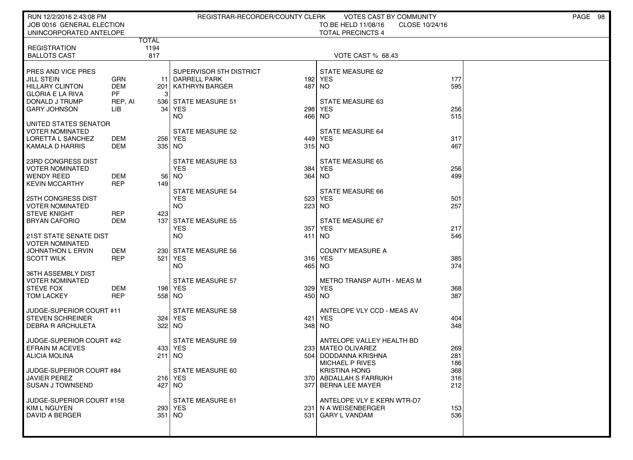| RUN 12/2/2016 2:43:08 PM                                                                   |                                       | REGISTRAR-RECORDER/COUNTY CLERK                                                           |     | VOTES CAST BY COMMUNITY                                                                         |                   | PAGE 98 |
|--------------------------------------------------------------------------------------------|---------------------------------------|-------------------------------------------------------------------------------------------|-----|-------------------------------------------------------------------------------------------------|-------------------|---------|
| JOB 0016 GENERAL ELECTION<br>UNINCORPORATED ANTELOPE                                       |                                       |                                                                                           |     | TO BE HELD 11/08/16<br>CLOSE 10/24/16<br><b>TOTAL PRECINCTS 4</b>                               |                   |         |
|                                                                                            | TOTAL                                 |                                                                                           |     |                                                                                                 |                   |         |
| <b>REGISTRATION</b><br><b>BALLOTS CAST</b>                                                 | 1194<br>817                           |                                                                                           |     | VOTE CAST % 68.43                                                                               |                   |         |
| PRES AND VICE PRES<br>JILL STEIN<br><b>HILLARY CLINTON</b><br><b>GLORIA E LA RIVA</b>      | <b>GRN</b><br><b>DEM</b><br><b>PF</b> | SUPERVISOR 5TH DISTRICT<br><b>DARRELL PARK</b><br>11<br><b>KATHRYN BARGER</b><br>201<br>3 |     | STATE MEASURE 62<br>192 YES<br>487 NO                                                           | 177<br>595        |         |
| DONALD J TRUMP<br><b>GARY JOHNSON</b>                                                      | REP, AI<br>LIB                        | 536 STATE MEASURE 51<br>34<br>YES<br>NO.                                                  | 298 | STATE MEASURE 63<br><b>YES</b><br>466 NO                                                        | 256<br>515        |         |
| UNITED STATES SENATOR<br><b>VOTER NOMINATED</b><br>LORETTA L SANCHEZ<br>KAMALA D HARRIS    | DEM<br><b>DEM</b>                     | <b>STATE MEASURE 52</b><br>256   YES<br>335   NO                                          | 449 | STATE MEASURE 64<br>YES<br>315 NO                                                               | 317<br>467        |         |
| 23RD CONGRESS DIST<br><b>VOTER NOMINATED</b><br><b>WENDY REED</b><br><b>KEVIN MCCARTHY</b> | DEM<br><b>REP</b>                     | <b>STATE MEASURE 53</b><br><b>YES</b><br>56 l<br>NO.<br>149                               | 384 | <b>STATE MEASURE 65</b><br>YES<br>364 NO                                                        | 256<br>499        |         |
| 25TH CONGRESS DIST<br><b>VOTER NOMINATED</b><br><b>STEVE KNIGHT</b>                        | REP                                   | <b>STATE MEASURE 54</b><br><b>YES</b><br><b>NO</b><br>423                                 |     | <b>STATE MEASURE 66</b><br>523 YES<br>223 NO                                                    | 501<br>257        |         |
| <b>BRYAN CAFORIO</b><br><b>21ST STATE SENATE DIST</b>                                      | DEM                                   | 137<br><b>STATE MEASURE 55</b><br><b>YES</b><br><b>NO</b>                                 | 357 | STATE MEASURE 67<br><b>YES</b><br>411 NO                                                        | 217<br>546        |         |
| <b>VOTER NOMINATED</b><br>JOHNATHON L ERVIN<br><b>SCOTT WILK</b>                           | DEM<br><b>REP</b>                     | 230 STATE MEASURE 56<br>521<br>YES<br>NO.                                                 | 316 | <b>COUNTY MEASURE A</b><br>YES<br>465 NO                                                        | 385<br>374        |         |
| 36TH ASSEMBLY DIST<br><b>VOTER NOMINATED</b><br><b>STEVE FOX</b><br><b>TOM LACKEY</b>      | DEM<br><b>REP</b>                     | <b>STATE MEASURE 57</b><br>198 YES<br>558   NO                                            | 329 | METRO TRANSP AUTH - MEAS M<br>YES<br>450 NO                                                     | 368<br>387        |         |
| JUDGE-SUPERIOR COURT #11<br><b>STEVEN SCHREINER</b><br>DEBRA R ARCHULETA                   |                                       | <b>STATE MEASURE 58</b><br>324   YES<br>322<br>NO.                                        | 421 | ANTELOPE VLY CCD - MEAS AV<br>YES<br>348 NO                                                     | 404<br>348        |         |
| JUDGE-SUPERIOR COURT #42<br><b>EFRAIN M ACEVES</b><br><b>ALICIA MOLINA</b>                 |                                       | <b>STATE MEASURE 59</b><br>433   YES<br>211<br>NO                                         | 504 | ANTELOPE VALLEY HEALTH BD<br>233   MATEO OLIVAREZ<br>DODDANNA KRISHNA<br><b>MICHAEL P RIVES</b> | 269<br>281<br>186 |         |
| JUDGE-SUPERIOR COURT #84<br><b>JAVIER PEREZ</b><br><b>SUSAN J TOWNSEND</b>                 |                                       | STATE MEASURE 60<br>216 YES<br>427   NO                                                   |     | <b>KRISTINA HONG</b><br>370 ABDALLAH S FARRUKH<br>377 BERNA LEE MAYER                           | 368<br>316<br>212 |         |
| JUDGE-SUPERIOR COURT #158<br>KIM L NGUYEN<br>DAVID A BERGER                                |                                       | <b>STATE MEASURE 61</b><br>293  YES<br>351   NO                                           |     | ANTELOPE VLY E KERN WTR-D7<br>231   N A WEISENBERGER<br>531 GARY L VANDAM                       | 153<br>536        |         |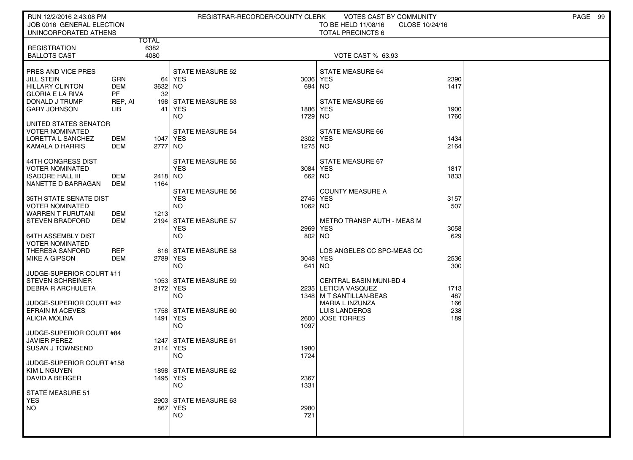| RUN 12/2/2016 2:43:08 PM                            |                   |          |                         | REGISTRAR-RECORDER/COUNTY CLERK | VOTES CAST BY COMMUNITY                                |                | PAGE 99 |
|-----------------------------------------------------|-------------------|----------|-------------------------|---------------------------------|--------------------------------------------------------|----------------|---------|
| JOB 0016 GENERAL ELECTION                           |                   |          |                         |                                 | TO BE HELD 11/08/16                                    | CLOSE 10/24/16 |         |
| UNINCORPORATED ATHENS                               |                   | TOTAL    |                         |                                 | <b>TOTAL PRECINCTS 6</b>                               |                |         |
| <b>REGISTRATION</b>                                 |                   | 6382     |                         |                                 |                                                        |                |         |
| <b>BALLOTS CAST</b>                                 |                   | 4080     |                         |                                 | VOTE CAST % 63.93                                      |                |         |
|                                                     |                   |          |                         |                                 |                                                        |                |         |
| PRES AND VICE PRES                                  |                   |          | <b>STATE MEASURE 52</b> |                                 | STATE MEASURE 64                                       |                |         |
| <b>JILL STEIN</b><br><b>HILLARY CLINTON</b>         | GRN<br><b>DEM</b> | 3632 NO  | 64 YES                  | 3036 YES<br>694 NO              |                                                        | 2390<br>1417   |         |
| <b>GLORIA E LA RIVA</b>                             | PF                | 32       |                         |                                 |                                                        |                |         |
| DONALD J TRUMP                                      | REP, AI           |          | 198 STATE MEASURE 53    |                                 | <b>STATE MEASURE 65</b>                                |                |         |
| <b>GARY JOHNSON</b>                                 | LІВ               | 41       | <b>YES</b>              |                                 | 1886 YES                                               | 1900           |         |
|                                                     |                   |          | <b>NO</b>               | 1729 NO                         |                                                        | 1760           |         |
| UNITED STATES SENATOR                               |                   |          |                         |                                 |                                                        |                |         |
| <b>VOTER NOMINATED</b><br>LORETTA L SANCHEZ         | DEM               | 1047 YES | <b>STATE MEASURE 54</b> | 2302 YES                        | <b>STATE MEASURE 66</b>                                | 1434           |         |
| KAMALA D HARRIS                                     | DEM               | 2777 NO  |                         | 1275 NO                         |                                                        | 2164           |         |
|                                                     |                   |          |                         |                                 |                                                        |                |         |
| 44TH CONGRESS DIST                                  |                   |          | <b>STATE MEASURE 55</b> |                                 | STATE MEASURE 67                                       |                |         |
| <b>VOTER NOMINATED</b>                              |                   |          | <b>YES</b>              | 3084 YES                        |                                                        | 1817           |         |
| <b>ISADORE HALL III</b>                             | DEM               | 2418 NO  |                         | 662 NO                          |                                                        | 1833           |         |
| NANETTE D BARRAGAN                                  | DEM               | 1164     | <b>STATE MEASURE 56</b> |                                 | <b>COUNTY MEASURE A</b>                                |                |         |
| 35TH STATE SENATE DIST                              |                   |          | <b>YES</b>              | 2745 YES                        |                                                        | 3157           |         |
| <b>VOTER NOMINATED</b>                              |                   |          | <b>NO</b>               | 1062 NO                         |                                                        | 507            |         |
| <b>WARREN T FURUTANI</b>                            | DEM               | 1213     |                         |                                 |                                                        |                |         |
| <b>STEVEN BRADFORD</b>                              | DEM               |          | 2194 STATE MEASURE 57   |                                 | <b>METRO TRANSP AUTH - MEAS M</b>                      |                |         |
|                                                     |                   |          | <b>YES</b><br><b>NO</b> | 2969 YES<br>802 NO              |                                                        | 3058<br>629    |         |
| 64TH ASSEMBLY DIST<br><b>VOTER NOMINATED</b>        |                   |          |                         |                                 |                                                        |                |         |
| THERESA SANFORD                                     | <b>REP</b>        |          | 816 STATE MEASURE 58    |                                 | LOS ANGELES CC SPC-MEAS CC                             |                |         |
| <b>MIKE A GIPSON</b>                                | DEM               | 2789 YES |                         | 3048 YES                        |                                                        | 2536           |         |
|                                                     |                   |          | <b>NO</b>               | 641                             | <b>NO</b>                                              | 300            |         |
| JUDGE-SUPERIOR COURT #11                            |                   |          |                         |                                 |                                                        |                |         |
| <b>STEVEN SCHREINER</b><br><b>DEBRA R ARCHULETA</b> |                   | 2172 YES | 1053 STATE MEASURE 59   |                                 | <b>CENTRAL BASIN MUNI-BD 4</b><br>2235 LETICIA VASQUEZ | 1713           |         |
|                                                     |                   |          | <b>NO</b>               |                                 | 1348 M T SANTILLAN-BEAS                                | 487            |         |
| JUDGE-SUPERIOR COURT #42                            |                   |          |                         |                                 | MARIA L INZUNZA                                        | 166            |         |
| <b>EFRAIN M ACEVES</b>                              |                   |          | 1758 STATE MEASURE 60   |                                 | LUIS LANDEROS                                          | 238            |         |
| <b>ALICIA MOLINA</b>                                |                   | 1491 YES |                         | 2600                            | <b>JOSE TORRES</b>                                     | 189            |         |
|                                                     |                   |          | <b>NO</b>               | 1097                            |                                                        |                |         |
| JUDGE-SUPERIOR COURT #84<br>JAVIER PEREZ            |                   |          | 1247 STATE MEASURE 61   |                                 |                                                        |                |         |
| <b>SUSAN J TOWNSEND</b>                             |                   | 2114 YES |                         | 1980                            |                                                        |                |         |
|                                                     |                   |          | <b>NO</b>               | 1724                            |                                                        |                |         |
| JUDGE-SUPERIOR COURT #158                           |                   |          |                         |                                 |                                                        |                |         |
| <b>KIM L NGUYEN</b>                                 |                   |          | 1898 STATE MEASURE 62   |                                 |                                                        |                |         |
| <b>DAVID A BERGER</b>                               |                   | 1495 YES | <b>NO</b>               | 2367<br>1331                    |                                                        |                |         |
| <b>STATE MEASURE 51</b>                             |                   |          |                         |                                 |                                                        |                |         |
| <b>YES</b>                                          |                   |          | 2903 STATE MEASURE 63   |                                 |                                                        |                |         |
| NO.                                                 |                   |          | 867 YES                 | 2980                            |                                                        |                |         |
|                                                     |                   |          | <b>NO</b>               | 721                             |                                                        |                |         |
|                                                     |                   |          |                         |                                 |                                                        |                |         |
|                                                     |                   |          |                         |                                 |                                                        |                |         |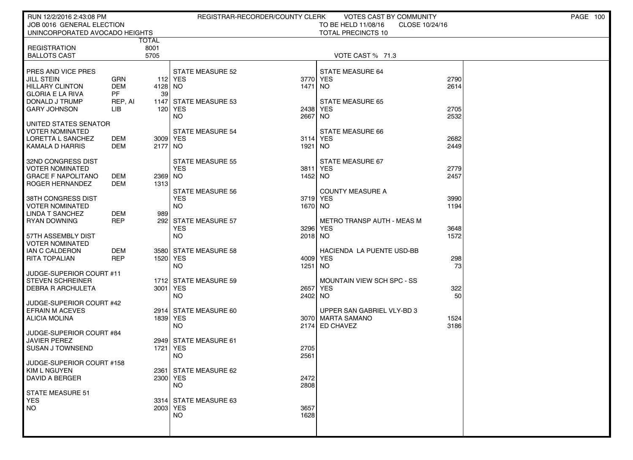| RUN 12/2/2016 2:43:08 PM                     |                   |              |                         | REGISTRAR-RECORDER/COUNTY CLERK | VOTES CAST BY COMMUNITY                         |      | PAGE 100 |
|----------------------------------------------|-------------------|--------------|-------------------------|---------------------------------|-------------------------------------------------|------|----------|
| JOB 0016 GENERAL ELECTION                    |                   |              |                         |                                 | TO BE HELD 11/08/16<br>CLOSE 10/24/16           |      |          |
| UNINCORPORATED AVOCADO HEIGHTS               |                   |              |                         |                                 | <b>TOTAL PRECINCTS 10</b>                       |      |          |
|                                              |                   | TOTAL        |                         |                                 |                                                 |      |          |
| <b>REGISTRATION</b><br><b>BALLOTS CAST</b>   |                   | 8001<br>5705 |                         |                                 | VOTE CAST % 71.3                                |      |          |
|                                              |                   |              |                         |                                 |                                                 |      |          |
| <b>PRES AND VICE PRES</b>                    |                   |              | <b>STATE MEASURE 52</b> |                                 | STATE MEASURE 64                                |      |          |
| <b>JILL STEIN</b>                            | GRN               |              | 112 YES                 | 3770 YES                        |                                                 | 2790 |          |
| <b>HILLARY CLINTON</b>                       | <b>DEM</b>        | 4128 NO      |                         | 1471 NO                         |                                                 | 2614 |          |
| <b>GLORIA E LA RIVA</b>                      | <b>PF</b>         | 39           |                         |                                 |                                                 |      |          |
| DONALD J TRUMP                               | REP, AI           | 1147         | <b>STATE MEASURE 53</b> |                                 | <b>STATE MEASURE 65</b>                         |      |          |
| <b>GARY JOHNSON</b>                          | LIB               | 120          | YES                     | 2438 YES                        |                                                 | 2705 |          |
|                                              |                   |              | NO.                     | 2667                            | NO.                                             | 2532 |          |
| I UNITED STATES SENATOR<br>  VOTER NOMINATED |                   |              | <b>STATE MEASURE 54</b> |                                 | <b>STATE MEASURE 66</b>                         |      |          |
| LORETTA L SANCHEZ                            | DEM               | 3009 YES     |                         | 3114 YES                        |                                                 | 2682 |          |
| KAMALA D HARRIS                              | DEM               | 2177 NO      |                         | 1921                            | NO.                                             | 2449 |          |
|                                              |                   |              |                         |                                 |                                                 |      |          |
| 32ND CONGRESS DIST                           |                   |              | <b>STATE MEASURE 55</b> |                                 | STATE MEASURE 67                                |      |          |
| <b>VOTER NOMINATED</b>                       |                   |              | <b>YES</b>              | 3811 YES                        |                                                 | 2779 |          |
| GRACE F NAPOLITANO                           | DEM               | 2369 NO      |                         | 1452 NO                         |                                                 | 2457 |          |
| ROGER HERNANDEZ                              | <b>DEM</b>        | 1313         | <b>STATE MEASURE 56</b> |                                 | <b>COUNTY MEASURE A</b>                         |      |          |
| I 38TH CONGRESS DIST                         |                   |              | <b>YES</b>              | 3719 YES                        |                                                 | 3990 |          |
| <b>VOTER NOMINATED</b>                       |                   |              | <b>NO</b>               | 1670 NO                         |                                                 | 1194 |          |
| <b>LINDA T SANCHEZ</b>                       | DEM               | 989          |                         |                                 |                                                 |      |          |
| <b>RYAN DOWNING</b>                          | <b>REP</b>        | 292          | <b>STATE MEASURE 57</b> |                                 | <b>METRO TRANSP AUTH - MEAS M</b>               |      |          |
|                                              |                   |              | <b>YES</b>              | 3296 YES                        |                                                 | 3648 |          |
| 57TH ASSEMBLY DIST                           |                   |              | NO.                     | 2018 NO                         |                                                 | 1572 |          |
| <b>VOTER NOMINATED</b>                       |                   |              |                         |                                 |                                                 |      |          |
| I IAN C CALDERON<br>  RITA TOPALIAN          | DEM<br><b>REP</b> | 1520 YES     | 3580 STATE MEASURE 58   | 4009 YES                        | HACIENDA LA PUENTE USD-BB                       | 298  |          |
|                                              |                   |              | <b>NO</b>               | 1251                            | NO <sub>1</sub>                                 | 73   |          |
| JUDGE-SUPERIOR COURT #11                     |                   |              |                         |                                 |                                                 |      |          |
| STEVEN SCHREINER                             |                   | 1712         | <b>STATE MEASURE 59</b> |                                 | MOUNTAIN VIEW SCH SPC - SS                      |      |          |
| <b>DEBRA R ARCHULETA</b>                     |                   | 3001         | YES                     | 2657                            | YES                                             | 322  |          |
|                                              |                   |              | <b>NO</b>               | 2402 NO                         |                                                 | 50   |          |
| JUDGE-SUPERIOR COURT #42                     |                   |              |                         |                                 |                                                 |      |          |
| EFRAIN M ACEVES<br>  ALICIA MOLINA           |                   | 1839 YES     | 2914 STATE MEASURE 60   |                                 | UPPER SAN GABRIEL VLY-BD 3<br>3070 MARTA SAMANO | 1524 |          |
|                                              |                   |              | <b>NO</b>               |                                 | 2174 ED CHAVEZ                                  | 3186 |          |
| JUDGE-SUPERIOR COURT #84                     |                   |              |                         |                                 |                                                 |      |          |
| JAVIER PEREZ                                 |                   |              | 2949 STATE MEASURE 61   |                                 |                                                 |      |          |
| <b>SUSAN J TOWNSEND</b>                      |                   | 1721         | YES                     | 2705                            |                                                 |      |          |
|                                              |                   |              | NO.                     | 2561                            |                                                 |      |          |
| JUDGE-SUPERIOR COURT #158<br>KIM L NGUYEN    |                   |              | 2361 STATE MEASURE 62   |                                 |                                                 |      |          |
| <b>DAVID A BERGER</b>                        |                   | 2300 YES     |                         | 2472                            |                                                 |      |          |
|                                              |                   |              | <b>NO</b>               | 2808                            |                                                 |      |          |
| STATE MEASURE 51                             |                   |              |                         |                                 |                                                 |      |          |
| <b>YES</b>                                   |                   |              | 3314 STATE MEASURE 63   |                                 |                                                 |      |          |
| NO                                           |                   | 2003 YES     |                         | 3657                            |                                                 |      |          |
|                                              |                   |              | NO.                     | 1628                            |                                                 |      |          |
|                                              |                   |              |                         |                                 |                                                 |      |          |
|                                              |                   |              |                         |                                 |                                                 |      |          |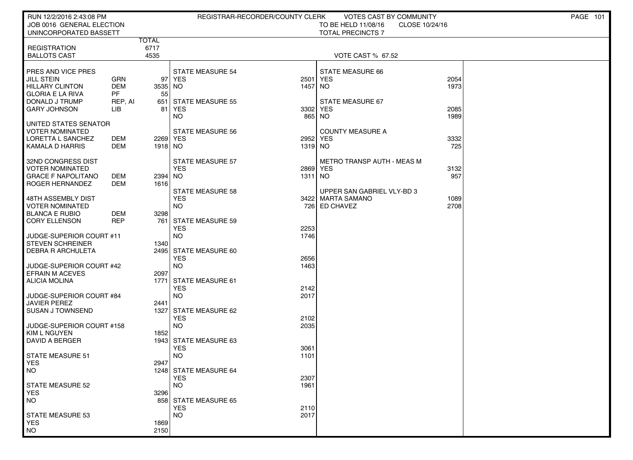| RUN 12/2/2016 2:43:08 PM                            |                |                     |                                       | REGISTRAR-RECORDER/COUNTY CLERK | VOTES CAST BY COMMUNITY                         |                | PAGE 101 |
|-----------------------------------------------------|----------------|---------------------|---------------------------------------|---------------------------------|-------------------------------------------------|----------------|----------|
| JOB 0016 GENERAL ELECTION<br>UNINCORPORATED BASSETT |                |                     |                                       |                                 | TO BE HELD 11/08/16<br><b>TOTAL PRECINCTS 7</b> | CLOSE 10/24/16 |          |
|                                                     |                | TOTAL               |                                       |                                 |                                                 |                |          |
| <b>REGISTRATION</b>                                 |                | 6717                |                                       |                                 |                                                 |                |          |
| <b>BALLOTS CAST</b>                                 |                | 4535                |                                       |                                 | <b>VOTE CAST % 67.52</b>                        |                |          |
| PRES AND VICE PRES                                  |                |                     | <b>STATE MEASURE 54</b>               |                                 | <b>STATE MEASURE 66</b>                         |                |          |
| <b>JILL STEIN</b>                                   | GRN            | 97                  | <b>YES</b>                            | 2501                            | <b>YES</b>                                      | 2054           |          |
| <b>HILLARY CLINTON</b>                              | <b>DEM</b>     | 3535 NO             |                                       | 1457                            | NO.                                             | 1973           |          |
| <b>GLORIA E LA RIVA</b>                             | <b>PF</b>      | 55                  |                                       |                                 |                                                 |                |          |
| DONALD J TRUMP<br><b>GARY JOHNSON</b>               | REP, AI<br>LIB | 651<br>81           | <b>STATE MEASURE 55</b><br>YES        | 3302                            | STATE MEASURE 67<br>YES                         | 2085           |          |
|                                                     |                |                     | <b>NO</b>                             | 865                             | <b>NO</b>                                       | 1989           |          |
| UNITED STATES SENATOR                               |                |                     |                                       |                                 |                                                 |                |          |
| VOTER NOMINATED                                     |                |                     | <b>STATE MEASURE 56</b>               |                                 | <b>COUNTY MEASURE A</b>                         |                |          |
| LORETTA L SANCHEZ<br>KAMALA D HARRIS                | DEM<br>DEM     | 2269 YES<br>1918 NO |                                       | 2952 YES<br>1319 NO             |                                                 | 3332<br>725    |          |
|                                                     |                |                     |                                       |                                 |                                                 |                |          |
| 32ND CONGRESS DIST                                  |                |                     | <b>STATE MEASURE 57</b>               |                                 | <b>METRO TRANSP AUTH - MEAS M</b>               |                |          |
| VOTER NOMINATED                                     |                |                     | <b>YES</b>                            | 2869 YES                        |                                                 | 3132           |          |
| <b>GRACE F NAPOLITANO</b><br><b>ROGER HERNANDEZ</b> | DEM<br>DEM     | 2394 NO<br>1616     |                                       | 1311 NO                         |                                                 | 957            |          |
|                                                     |                |                     | <b>STATE MEASURE 58</b>               |                                 | UPPER SAN GABRIEL VLY-BD 3                      |                |          |
| 48TH ASSEMBLY DIST                                  |                |                     | <b>YES</b>                            |                                 | 3422 MARTA SAMANO                               | 1089           |          |
| <b>VOTER NOMINATED</b>                              |                |                     | <b>NO</b>                             |                                 | 726 ED CHAVEZ                                   | 2708           |          |
| <b>BLANCA E RUBIO</b>                               | DEM            | 3298                |                                       |                                 |                                                 |                |          |
| <b>CORY ELLENSON</b>                                | <b>REP</b>     | 761                 | <b>STATE MEASURE 59</b><br><b>YES</b> | 2253                            |                                                 |                |          |
| JUDGE-SUPERIOR COURT #11                            |                |                     | <b>NO</b>                             | 1746                            |                                                 |                |          |
| <b>STEVEN SCHREINER</b>                             |                | 1340                |                                       |                                 |                                                 |                |          |
| <b>DEBRA R ARCHULETA</b>                            |                |                     | 2495 STATE MEASURE 60                 |                                 |                                                 |                |          |
|                                                     |                |                     | <b>YES</b><br><b>NO</b>               | 2656                            |                                                 |                |          |
| JUDGE-SUPERIOR COURT #42<br><b>EFRAIN M ACEVES</b>  |                | 2097                |                                       | 1463                            |                                                 |                |          |
| <b>ALICIA MOLINA</b>                                |                | 1771                | STATE MEASURE 61                      |                                 |                                                 |                |          |
|                                                     |                |                     | <b>YES</b>                            | 2142                            |                                                 |                |          |
| JUDGE-SUPERIOR COURT #84                            |                |                     | <b>NO</b>                             | 2017                            |                                                 |                |          |
| <b>JAVIER PEREZ</b><br><b>SUSAN J TOWNSEND</b>      |                | 2441<br>1327        | STATE MEASURE 62                      |                                 |                                                 |                |          |
|                                                     |                |                     | <b>YES</b>                            | 2102                            |                                                 |                |          |
| JUDGE-SUPERIOR COURT #158                           |                |                     | <b>NO</b>                             | 2035                            |                                                 |                |          |
| KIM L NGUYEN                                        |                | 1852                |                                       |                                 |                                                 |                |          |
| DAVID A BERGER                                      |                |                     | 1943 STATE MEASURE 63                 |                                 |                                                 |                |          |
| STATE MEASURE 51                                    |                |                     | <b>YES</b><br><b>NO</b>               | 3061<br>1101                    |                                                 |                |          |
| <b>YES</b>                                          |                | 2947                |                                       |                                 |                                                 |                |          |
| NO.                                                 |                |                     | 1248 STATE MEASURE 64                 |                                 |                                                 |                |          |
|                                                     |                |                     | <b>YES</b>                            | 2307                            |                                                 |                |          |
| STATE MEASURE 52<br><b>YES</b>                      |                | 3296                | <b>NO</b>                             | 1961                            |                                                 |                |          |
| <b>NO</b>                                           |                |                     | 858 STATE MEASURE 65                  |                                 |                                                 |                |          |
|                                                     |                |                     | <b>YES</b>                            | 2110                            |                                                 |                |          |
| STATE MEASURE 53                                    |                |                     | <b>NO</b>                             | 2017                            |                                                 |                |          |
| <b>YES</b>                                          |                | 1869                |                                       |                                 |                                                 |                |          |
| <b>NO</b>                                           |                | 2150                |                                       |                                 |                                                 |                |          |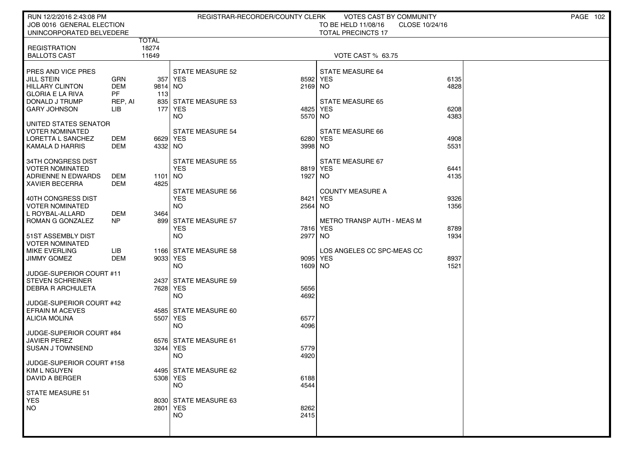| RUN 12/2/2016 2:43:08 PM                        |            |              |                         | REGISTRAR-RECORDER/COUNTY CLERK | VOTES CAST BY COMMUNITY           |                | PAGE 102 |  |
|-------------------------------------------------|------------|--------------|-------------------------|---------------------------------|-----------------------------------|----------------|----------|--|
| JOB 0016 GENERAL ELECTION                       |            |              |                         |                                 | TO BE HELD 11/08/16               | CLOSE 10/24/16 |          |  |
| UNINCORPORATED BELVEDERE                        |            | <b>TOTAL</b> |                         |                                 | <b>TOTAL PRECINCTS 17</b>         |                |          |  |
| <b>REGISTRATION</b>                             |            | 18274        |                         |                                 |                                   |                |          |  |
| <b>BALLOTS CAST</b>                             |            | 11649        |                         |                                 | <b>VOTE CAST % 63.75</b>          |                |          |  |
|                                                 |            |              |                         |                                 |                                   |                |          |  |
| PRES AND VICE PRES                              |            |              | <b>STATE MEASURE 52</b> |                                 | STATE MEASURE 64                  |                |          |  |
| JILL STEIN                                      | GRN        |              | 357 YES                 | 8592                            | <b>YES</b>                        | 6135           |          |  |
| HILLARY CLINTON                                 | <b>DEM</b> | 9814 NO      |                         | 2169 NO                         |                                   | 4828           |          |  |
| <b>GLORIA E LA RIVA</b>                         | PF         | 113          |                         |                                 |                                   |                |          |  |
| <b>DONALD J TRUMP</b>                           | REP, AI    |              | 835 STATE MEASURE 53    |                                 | <b>STATE MEASURE 65</b>           |                |          |  |
| <b>GARY JOHNSON</b>                             | LІВ        | 177          | YES                     | 4825                            | <b>YES</b>                        | 6208           |          |  |
|                                                 |            |              | NO.                     | 5570                            | NO                                | 4383           |          |  |
| UNITED STATES SENATOR<br><b>VOTER NOMINATED</b> |            |              | <b>STATE MEASURE 54</b> |                                 | STATE MEASURE 66                  |                |          |  |
| LORETTA L SANCHEZ                               | DEM        | 6629 YES     |                         | 6280                            | <b>YES</b>                        | 4908           |          |  |
| KAMALA D HARRIS                                 | DEM        | 4332 NO      |                         | 3998                            | NO                                | 5531           |          |  |
|                                                 |            |              |                         |                                 |                                   |                |          |  |
| 34TH CONGRESS DIST                              |            |              | <b>STATE MEASURE 55</b> |                                 | STATE MEASURE 67                  |                |          |  |
| <b>VOTER NOMINATED</b>                          |            |              | <b>YES</b>              |                                 | 8819 YES                          | 6441           |          |  |
| ADRIENNE N EDWARDS                              | DEM        | 1101 NO      |                         | 1927                            | NO.                               | 4135           |          |  |
| <b>XAVIER BECERRA</b>                           | DEM        | 4825         |                         |                                 |                                   |                |          |  |
|                                                 |            |              | <b>STATE MEASURE 56</b> |                                 | <b>COUNTY MEASURE A</b>           |                |          |  |
| 40TH CONGRESS DIST                              |            |              | <b>YES</b>              | 8421                            | <b>YES</b>                        | 9326           |          |  |
| <b>VOTER NOMINATED</b><br>L ROYBAL-ALLARD       | DEM        | 3464         | NO.                     | 2564                            | NO.                               | 1356           |          |  |
| ROMAN G GONZALEZ                                | NP         |              | 899 STATE MEASURE 57    |                                 | <b>METRO TRANSP AUTH - MEAS M</b> |                |          |  |
|                                                 |            |              | <b>YES</b>              | 7816                            | <b>YES</b>                        | 8789           |          |  |
| 51ST ASSEMBLY DIST                              |            |              | <b>NO</b>               | 2977                            | NO                                | 1934           |          |  |
| <b>VOTER NOMINATED</b>                          |            |              |                         |                                 |                                   |                |          |  |
| <b>MIKE EVERLING</b>                            | LІВ        |              | 1166 STATE MEASURE 58   |                                 | LOS ANGELES CC SPC-MEAS CC        |                |          |  |
| <b>JIMMY GOMEZ</b>                              | <b>DEM</b> | 9033 YES     |                         | 9095                            | <b>YES</b>                        | 8937           |          |  |
|                                                 |            |              | NO.                     | 1609                            | NO.                               | 1521           |          |  |
| JUDGE-SUPERIOR COURT #11                        |            |              |                         |                                 |                                   |                |          |  |
| <b>STEVEN SCHREINER</b>                         |            |              | 2437 STATE MEASURE 59   |                                 |                                   |                |          |  |
| <b>DEBRA R ARCHULETA</b>                        |            | 7628 YES     |                         | 5656                            |                                   |                |          |  |
| JUDGE-SUPERIOR COURT #42                        |            |              | NO.                     | 4692                            |                                   |                |          |  |
| <b>EFRAIN M ACEVES</b>                          |            |              | 4585 STATE MEASURE 60   |                                 |                                   |                |          |  |
| ALICIA MOLINA                                   |            | 5507 YES     |                         | 6577                            |                                   |                |          |  |
|                                                 |            |              | NO.                     | 4096                            |                                   |                |          |  |
| JUDGE-SUPERIOR COURT #84                        |            |              |                         |                                 |                                   |                |          |  |
| <b>JAVIER PEREZ</b>                             |            |              | 6576 STATE MEASURE 61   |                                 |                                   |                |          |  |
| <b>SUSAN J TOWNSEND</b>                         |            | 3244 YES     |                         | 5779                            |                                   |                |          |  |
|                                                 |            |              | NO                      | 4920                            |                                   |                |          |  |
| JUDGE-SUPERIOR COURT #158                       |            |              | 4495 STATE MEASURE 62   |                                 |                                   |                |          |  |
| <b>KIM L NGUYEN</b><br><b>DAVID A BERGER</b>    |            | 5308 YES     |                         | 6188                            |                                   |                |          |  |
|                                                 |            |              | <b>NO</b>               | 4544                            |                                   |                |          |  |
| <b>STATE MEASURE 51</b>                         |            |              |                         |                                 |                                   |                |          |  |
| <b>YES</b>                                      |            |              | 8030 STATE MEASURE 63   |                                 |                                   |                |          |  |
| <b>NO</b>                                       |            | 2801 YES     |                         | 8262                            |                                   |                |          |  |
|                                                 |            |              | <b>NO</b>               | 2415                            |                                   |                |          |  |
|                                                 |            |              |                         |                                 |                                   |                |          |  |
|                                                 |            |              |                         |                                 |                                   |                |          |  |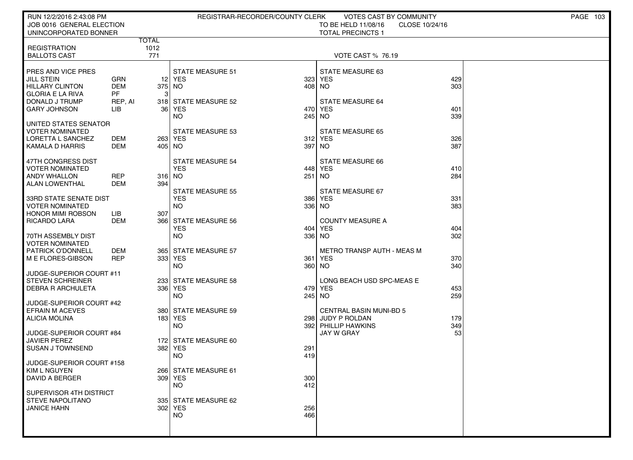| RUN 12/2/2016 2:43:08 PM<br>JOB 0016 GENERAL ELECTION<br>UNINCORPORATED BONNER                                                        |                                                  |                      | REGISTRAR-RECORDER/COUNTY CLERK                                             | VOTES CAST BY COMMUNITY<br>TO BE HELD 11/08/16<br>CLOSE 10/24/16<br><b>TOTAL PRECINCTS 1</b>                 | PAGE 103 |
|---------------------------------------------------------------------------------------------------------------------------------------|--------------------------------------------------|----------------------|-----------------------------------------------------------------------------|--------------------------------------------------------------------------------------------------------------|----------|
| <b>REGISTRATION</b><br><b>BALLOTS CAST</b>                                                                                            |                                                  | TOTAL<br>1012<br>771 |                                                                             | <b>VOTE CAST % 76.19</b>                                                                                     |          |
| PRES AND VICE PRES<br><b>JILL STEIN</b><br><b>HILLARY CLINTON</b><br><b>GLORIA E LA RIVA</b><br>DONALD J TRUMP<br><b>GARY JOHNSON</b> | GRN<br><b>DEM</b><br><b>PF</b><br>REP, AI<br>LIB | 375 NO<br>3          | <b>STATE MEASURE 51</b><br>12 YES<br>318 STATE MEASURE 52<br>36 YES         | STATE MEASURE 63<br>429<br>323 YES<br>303<br>408 NO<br><b>STATE MEASURE 64</b><br>470 YES<br>401             |          |
| UNITED STATES SENATOR<br><b>VOTER NOMINATED</b><br>LORETTA L SANCHEZ<br>KAMALA D HARRIS                                               | DEM<br>DEM                                       | 405 NO               | <b>NO</b><br><b>STATE MEASURE 53</b><br>263 YES<br>397                      | 339<br>245 NO<br><b>STATE MEASURE 65</b><br>312 YES<br>326<br>387<br><b>NO</b>                               |          |
| 47TH CONGRESS DIST<br><b>VOTER NOMINATED</b><br><b>ANDY WHALLON</b><br><b>ALAN LOWENTHAL</b>                                          | <b>REP</b><br><b>DEM</b>                         | 316 NO<br>394        | <b>STATE MEASURE 54</b><br><b>YES</b><br>251<br><b>STATE MEASURE 55</b>     | STATE MEASURE 66<br>448 YES<br>410<br><b>NO</b><br>284<br>STATE MEASURE 67                                   |          |
| 33RD STATE SENATE DIST<br><b>VOTER NOMINATED</b><br>  HONOR MIMI ROBSON<br>  RICARDO LARA                                             | LІВ<br>DEM                                       | 307                  | <b>YES</b><br>386<br><b>NO</b><br>366 STATE MEASURE 56<br><b>YES</b><br>404 | <b>YES</b><br>331<br>336 NO<br>383<br><b>COUNTY MEASURE A</b><br>YES<br>404                                  |          |
| 70TH ASSEMBLY DIST<br>VOTER NOMINATED<br><b>PATRICK O'DONNELL</b><br>  M E FLORES-GIBSON                                              | <b>DEM</b><br><b>REP</b>                         |                      | <b>NO</b><br>336<br>365 STATE MEASURE 57<br>333 YES<br>361<br><b>NO</b>     | 302<br><b>NO</b><br>METRO TRANSP AUTH - MEAS M<br>YES<br>370<br>360 NO<br>340                                |          |
| JUDGE-SUPERIOR COURT #11<br><b>STEVEN SCHREINER</b><br><b>DEBRA R ARCHULETA</b><br>JUDGE-SUPERIOR COURT #42                           |                                                  |                      | 233 STATE MEASURE 58<br>336 YES<br><b>NO</b>                                | LONG BEACH USD SPC-MEAS E<br>479 YES<br>453<br>245 NO<br>259                                                 |          |
| <b>EFRAIN M ACEVES</b><br>ALICIA MOLINA<br>JUDGE-SUPERIOR COURT #84                                                                   |                                                  |                      | 380 STATE MEASURE 59<br>183 YES<br><b>NO</b>                                | <b>CENTRAL BASIN MUNI-BD 5</b><br>298 JUDY P ROLDAN<br>179<br>392 PHILLIP HAWKINS<br>349<br>53<br>JAY W GRAY |          |
| <b>JAVIER PEREZ</b><br>SUSAN J TOWNSEND<br>JUDGE-SUPERIOR COURT #158                                                                  |                                                  |                      | 172 STATE MEASURE 60<br>382 YES<br>291<br><b>NO</b><br>419                  |                                                                                                              |          |
| KIM L NGUYEN<br>DAVID A BERGER<br>SUPERVISOR 4TH DISTRICT                                                                             |                                                  |                      | 266 STATE MEASURE 61<br>309 YES<br>300<br>NO.<br>412                        |                                                                                                              |          |
| STEVE NAPOLITANO<br><b>JANICE HAHN</b>                                                                                                |                                                  |                      | 335 STATE MEASURE 62<br>302 YES<br>256<br>466<br>NO.                        |                                                                                                              |          |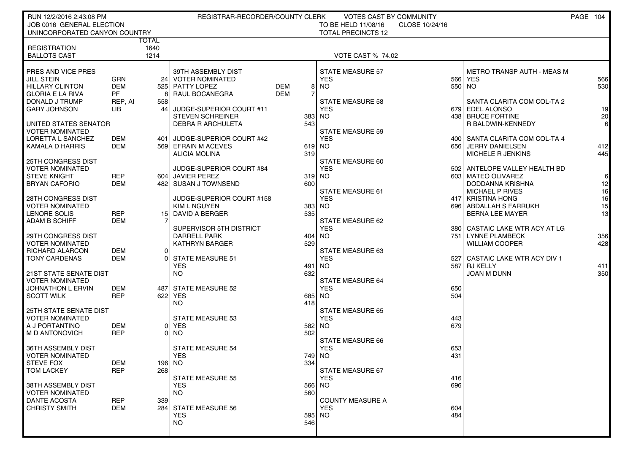| RUN 12/2/2016 2:43:08 PM<br>JOB 0016 GENERAL ELECTION |                   |       | REGISTRAR-RECORDER/COUNTY CLERK       |                 | <b>VOTES CAST BY COMMUNITY</b><br>TO BE HELD 11/08/16 | CLOSE 10/24/16 |                                             | PAGE 104        |
|-------------------------------------------------------|-------------------|-------|---------------------------------------|-----------------|-------------------------------------------------------|----------------|---------------------------------------------|-----------------|
| UNINCORPORATED CANYON COUNTRY                         |                   |       |                                       |                 | <b>TOTAL PRECINCTS 12</b>                             |                |                                             |                 |
|                                                       |                   | TOTAL |                                       |                 |                                                       |                |                                             |                 |
| <b>REGISTRATION</b>                                   |                   | 1640  |                                       |                 |                                                       |                |                                             |                 |
| <b>BALLOTS CAST</b>                                   |                   | 1214  |                                       |                 | <b>VOTE CAST % 74.02</b>                              |                |                                             |                 |
| PRES AND VICE PRES                                    |                   |       | 39TH ASSEMBLY DIST                    |                 | <b>STATE MEASURE 57</b>                               |                | <b>METRO TRANSP AUTH - MEAS M</b>           |                 |
| <b>JILL STEIN</b>                                     | <b>GRN</b>        | 24    | <b>VOTER NOMINATED</b>                |                 | <b>YES</b>                                            | 566            | <b>YES</b>                                  | 566             |
| <b>HILLARY CLINTON</b>                                | <b>DEM</b>        |       | 525 PATTY LOPEZ                       | <b>DEM</b><br>8 | <b>NO</b>                                             |                | 550 NO                                      | 530             |
| <b>GLORIA E LA RIVA</b>                               | <b>PF</b>         |       | RAUL BOCANEGRA                        | <b>DEM</b>      |                                                       |                |                                             |                 |
| DONALD J TRUMP                                        | REP, AI           | 558   |                                       |                 | <b>STATE MEASURE 58</b>                               |                | SANTA CLARITA COM COL-TA 2                  |                 |
| <b>GARY JOHNSON</b>                                   | LІВ               | 44    | JUDGE-SUPERIOR COURT #11              |                 | <b>YES</b>                                            |                | 679 EDEL ALONSO                             | 19              |
|                                                       |                   |       | <b>STEVEN SCHREINER</b>               | 383             | <b>NO</b>                                             |                | 438 BRUCE FORTINE                           | 20 <sup>1</sup> |
| UNITED STATES SENATOR<br><b>VOTER NOMINATED</b>       |                   |       | <b>DEBRA R ARCHULETA</b>              | 543             | <b>STATE MEASURE 59</b>                               |                | R BALDWIN-KENNEDY                           | 6               |
| LORETTA L SANCHEZ                                     | DEM               | 401   | JUDGE-SUPERIOR COURT #42              |                 | <b>YES</b>                                            |                | 400 SANTA CLARITA COM COL-TA 4              |                 |
| KAMALA D HARRIS                                       | <b>DEM</b>        |       | 569 EFRAIN M ACEVES                   | 619             | <b>NO</b>                                             |                | 656 JERRY DANIELSEN                         | 412             |
|                                                       |                   |       | <b>ALICIA MOLINA</b>                  | 319             |                                                       |                | MICHELE R JENKINS                           | 445             |
| 25TH CONGRESS DIST                                    |                   |       |                                       |                 | STATE MEASURE 60                                      |                |                                             |                 |
| <b>VOTER NOMINATED</b>                                |                   |       | JUDGE-SUPERIOR COURT #84              |                 | <b>YES</b>                                            |                | 502 ANTELOPE VALLEY HEALTH BD               |                 |
| <b>STEVE KNIGHT</b>                                   | <b>REP</b>        |       | 604 JAVIER PEREZ                      | 319             | NO.                                                   |                | 603 MATEO OLIVAREZ                          | $6 \mid$        |
| <b>BRYAN CAFORIO</b>                                  | <b>DEM</b>        |       | 482 SUSAN J TOWNSEND                  | 600             | <b>STATE MEASURE 61</b>                               |                | DODDANNA KRISHNA                            | 12              |
| 28TH CONGRESS DIST                                    |                   |       | JUDGE-SUPERIOR COURT #158             |                 | <b>YES</b>                                            |                | <b>MICHAEL P RIVES</b><br>417 KRISTINA HONG | 16<br>16        |
| <b>VOTER NOMINATED</b>                                |                   |       | KIM L NGUYEN                          | 383             | <b>NO</b>                                             |                | 696 ABDALLAH S FARRUKH                      | 15              |
| LENORE SOLIS                                          | <b>REP</b>        |       | 15 DAVID A BERGER                     | 535             |                                                       |                | <b>BERNA LEE MAYER</b>                      | 13              |
| <b>ADAM B SCHIFF</b>                                  | <b>DEM</b>        |       |                                       |                 | <b>STATE MEASURE 62</b>                               |                |                                             |                 |
|                                                       |                   |       | SUPERVISOR 5TH DISTRICT               |                 | <b>YES</b>                                            | 3801           | CASTAIC LAKE WTR ACY AT LG                  |                 |
| 29TH CONGRESS DIST                                    |                   |       | <b>DARRELL PARK</b>                   |                 | 404 NO                                                | 751 l          | <b>LYNNE PLAMBECK</b>                       | 356             |
| <b>VOTER NOMINATED</b>                                |                   |       | <b>KATHRYN BARGER</b>                 | 529             |                                                       |                | <b>WILLIAM COOPER</b>                       | 428             |
| RICHARD ALARCON                                       | <b>DEM</b><br>DEM | 0 I   |                                       |                 | <b>STATE MEASURE 63</b><br><b>YES</b>                 |                |                                             |                 |
| <b>TONY CARDENAS</b>                                  |                   |       | <b>STATE MEASURE 51</b><br><b>YES</b> | 491             | <b>NO</b>                                             | 5271           | CASTAIC LAKE WTR ACY DIV 1<br>587 RJ KELLY  | 411             |
| <b>21ST STATE SENATE DIST</b>                         |                   |       | NO.                                   | 632             |                                                       |                | <b>JOAN M DUNN</b>                          | 350             |
| <b>VOTER NOMINATED</b>                                |                   |       |                                       |                 | <b>STATE MEASURE 64</b>                               |                |                                             |                 |
| <b>JOHNATHON L ERVIN</b>                              | DEM               | 487   | <b>STATE MEASURE 52</b>               |                 | <b>YES</b>                                            | 650            |                                             |                 |
| <b>SCOTT WILK</b>                                     | <b>REP</b>        | 622   | <b>YES</b>                            | 685             | <b>NO</b>                                             | 504            |                                             |                 |
|                                                       |                   |       | <b>NO</b>                             | 418             |                                                       |                |                                             |                 |
| <b>25TH STATE SENATE DIST</b>                         |                   |       |                                       |                 | <b>STATE MEASURE 65</b>                               |                |                                             |                 |
| <b>VOTER NOMINATED</b><br>A J PORTANTINO              | DEM               | 01    | STATE MEASURE 53<br><b>YES</b>        | 582             | <b>YES</b><br><b>NO</b>                               | 443<br>679     |                                             |                 |
| M D ANTONOVICH                                        | <b>REP</b>        | ΩI    | NO                                    | 502             |                                                       |                |                                             |                 |
|                                                       |                   |       |                                       |                 | <b>STATE MEASURE 66</b>                               |                |                                             |                 |
| 36TH ASSEMBLY DIST                                    |                   |       | <b>STATE MEASURE 54</b>               |                 | <b>YES</b>                                            | 653            |                                             |                 |
| <b>VOTER NOMINATED</b>                                |                   |       | <b>YES</b>                            | 749             | <b>NO</b>                                             | 431            |                                             |                 |
| <b>STEVE FOX</b>                                      | <b>DEM</b>        |       | 196 NO                                | 334             |                                                       |                |                                             |                 |
| <b>TOM LACKEY</b>                                     | <b>REP</b>        | 268   |                                       |                 | STATE MEASURE 67                                      |                |                                             |                 |
| 38TH ASSEMBLY DIST                                    |                   |       | <b>STATE MEASURE 55</b><br><b>YES</b> | 566             | <b>YES</b><br><b>NO</b>                               | 416<br>696     |                                             |                 |
| <b>VOTER NOMINATED</b>                                |                   |       | <b>NO</b>                             | 560             |                                                       |                |                                             |                 |
| <b>DANTE ACOSTA</b>                                   | <b>REP</b>        | 339   |                                       |                 | <b>COUNTY MEASURE A</b>                               |                |                                             |                 |
| <b>CHRISTY SMITH</b>                                  | <b>DEM</b>        |       | 284 STATE MEASURE 56                  |                 | <b>YES</b>                                            | 604            |                                             |                 |
|                                                       |                   |       | <b>YES</b>                            |                 | 595 NO                                                | 484            |                                             |                 |
|                                                       |                   |       | <b>NO</b>                             | 546             |                                                       |                |                                             |                 |
|                                                       |                   |       |                                       |                 |                                                       |                |                                             |                 |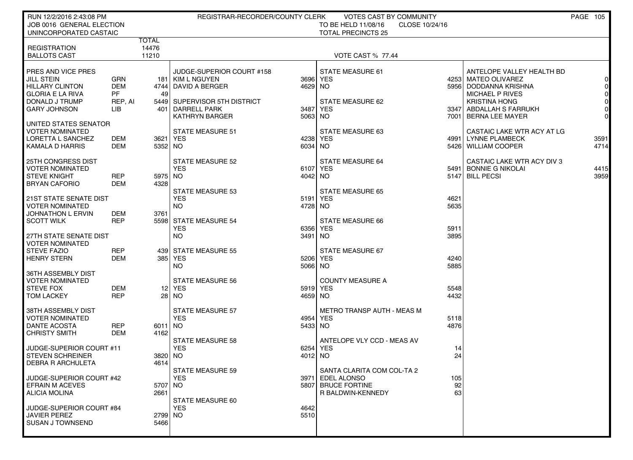| RUN 12/2/2016 2:43:08 PM<br>JOB 0016 GENERAL ELECTION<br>UNINCORPORATED CASTAIC                                                       |                                                  | REGISTRAR-RECORDER/COUNTY CLERK<br>VOTES CAST BY COMMUNITY<br>TO BE HELD 11/08/16<br>CLOSE 10/24/16<br><b>TOTAL PRECINCTS 25</b> |                                                                                                                                                     |                                         |                                                                                      |                              |                                                                                                                                                                                |                                                                      |
|---------------------------------------------------------------------------------------------------------------------------------------|--------------------------------------------------|----------------------------------------------------------------------------------------------------------------------------------|-----------------------------------------------------------------------------------------------------------------------------------------------------|-----------------------------------------|--------------------------------------------------------------------------------------|------------------------------|--------------------------------------------------------------------------------------------------------------------------------------------------------------------------------|----------------------------------------------------------------------|
| <b>REGISTRATION</b><br><b>BALLOTS CAST</b>                                                                                            |                                                  | TOTAL<br>14476<br>11210                                                                                                          |                                                                                                                                                     |                                         | <b>VOTE CAST % 77.44</b>                                                             |                              |                                                                                                                                                                                |                                                                      |
| PRES AND VICE PRES<br><b>JILL STEIN</b><br><b>HILLARY CLINTON</b><br><b>GLORIA E LA RIVA</b><br>DONALD J TRUMP<br><b>GARY JOHNSON</b> | GRN<br><b>DEM</b><br><b>PF</b><br>REP, AI<br>LІВ | 49                                                                                                                               | JUDGE-SUPERIOR COURT #158<br>181   KIM L NGUYEN<br>4744 DAVID A BERGER<br>5449 SUPERVISOR 5TH DISTRICT<br>401 DARRELL PARK<br><b>KATHRYN BARGER</b> | 3696 YES<br>4629 NO<br>3487<br>5063 NO  | <b>STATE MEASURE 61</b><br>STATE MEASURE 62<br><b>YES</b>                            |                              | ANTELOPE VALLEY HEALTH BD<br>4253 MATEO OLIVAREZ<br>5956 DODDANNA KRISHNA<br><b>MICHAEL P RIVES</b><br><b>KRISTINA HONG</b><br>3347 ABDALLAH S FARRUKH<br>7001 BERNA LEE MAYER | $\Omega$<br>$\overline{0}$<br>$\overline{0}$<br>$\Omega$<br>$\Omega$ |
| UNITED STATES SENATOR<br><b>VOTER NOMINATED</b><br>LORETTA L SANCHEZ<br>KAMALA D HARRIS                                               | DEM<br>DEM                                       | 5352 NO                                                                                                                          | <b>STATE MEASURE 51</b><br>3621 YES                                                                                                                 | 4238 YES<br>6034 NO                     | STATE MEASURE 63                                                                     |                              | CASTAIC LAKE WTR ACY AT LG<br>4991 LYNNE PLAMBECK<br>5426   WILLIAM COOPER                                                                                                     | 3591<br>4714                                                         |
| 25TH CONGRESS DIST<br><b>VOTER NOMINATED</b><br><b>STEVE KNIGHT</b><br><b>BRYAN CAFORIO</b>                                           | <b>REP</b><br>DEM                                | 5975 NO<br>43281                                                                                                                 | <b>STATE MEASURE 52</b><br><b>YES</b>                                                                                                               | 6107 YES<br>4042 NO                     | <b>STATE MEASURE 64</b>                                                              |                              | CASTAIC LAKE WTR ACY DIV 3<br>5491 BONNIE G NIKOLAI<br>5147 BILL PECSI                                                                                                         | 4415<br>3959                                                         |
| <b>21ST STATE SENATE DIST</b><br><b>VOTER NOMINATED</b><br><b>JOHNATHON L ERVIN</b><br><b>SCOTT WILK</b><br>27TH STATE SENATE DIST    | DEM<br><b>REP</b>                                | 3761                                                                                                                             | <b>STATE MEASURE 53</b><br><b>YES</b><br><b>NO</b><br>5598 STATE MEASURE 54<br><b>YES</b><br><b>NO</b>                                              | 5191 YES<br>4728 NO<br>6356 YES<br>3491 | <b>STATE MEASURE 65</b><br>STATE MEASURE 66<br><b>NO</b>                             | 4621<br>5635<br>5911<br>3895 |                                                                                                                                                                                |                                                                      |
| <b>VOTER NOMINATED</b><br><b>STEVE FAZIO</b><br><b>HENRY STERN</b><br>36TH ASSEMBLY DIST                                              | <b>REP</b><br>DEM                                |                                                                                                                                  | 439 STATE MEASURE 55<br>385 YES<br><b>NO</b>                                                                                                        | 5206 YES<br>5066 NO                     | STATE MEASURE 67                                                                     | 4240<br>5885                 |                                                                                                                                                                                |                                                                      |
| <b>VOTER NOMINATED</b><br><b>STEVE FOX</b><br><b>TOM LACKEY</b>                                                                       | <b>DEM</b><br><b>REP</b>                         |                                                                                                                                  | <b>STATE MEASURE 56</b><br>12 YES<br>28 NO                                                                                                          | 5919 YES<br>4659 NO                     | <b>COUNTY MEASURE A</b>                                                              | 5548<br>4432                 |                                                                                                                                                                                |                                                                      |
| 38TH ASSEMBLY DIST<br><b>VOTER NOMINATED</b><br><b>DANTE ACOSTA</b><br><b>CHRISTY SMITH</b>                                           | <b>REP</b><br>DEM                                | 6011 NO<br>4162                                                                                                                  | <b>STATE MEASURE 57</b><br><b>YES</b>                                                                                                               | 4954 YES<br>5433 NO                     | METRO TRANSP AUTH - MEAS M                                                           | 5118<br>4876                 |                                                                                                                                                                                |                                                                      |
| JUDGE-SUPERIOR COURT #11<br><b>STEVEN SCHREINER</b><br><b>DEBRA R ARCHULETA</b>                                                       |                                                  | 3820 INO<br>4614                                                                                                                 | <b>STATE MEASURE 58</b><br><b>YES</b>                                                                                                               | 6254 YES<br>4012 NO                     | ANTELOPE VLY CCD - MEAS AV                                                           | 14<br>24                     |                                                                                                                                                                                |                                                                      |
| JUDGE-SUPERIOR COURT #42<br><b>EFRAIN M ACEVES</b><br><b>ALICIA MOLINA</b>                                                            |                                                  | 5707   NO<br>2661                                                                                                                | STATE MEASURE 59<br><b>YES</b>                                                                                                                      | 3971                                    | SANTA CLARITA COM COL-TA 2<br>EDEL ALONSO<br>5807 BRUCE FORTINE<br>R BALDWIN-KENNEDY | 105<br>92<br>63              |                                                                                                                                                                                |                                                                      |
| JUDGE-SUPERIOR COURT #84<br><b>JAVIER PEREZ</b><br><b>SUSAN J TOWNSEND</b>                                                            |                                                  | 2799 NO<br>5466                                                                                                                  | STATE MEASURE 60<br><b>YES</b>                                                                                                                      | 4642<br>5510                            |                                                                                      |                              |                                                                                                                                                                                |                                                                      |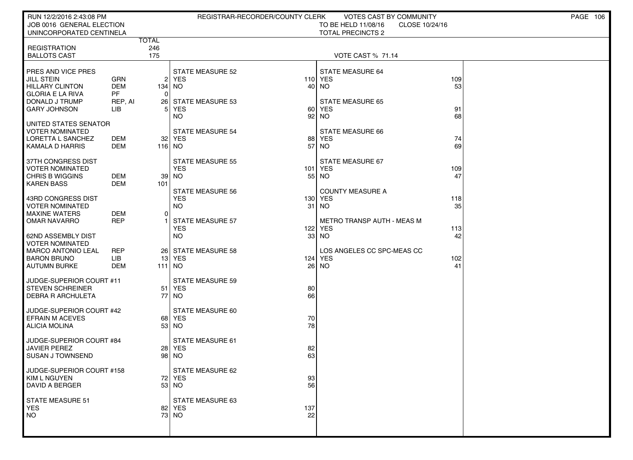| RUN 12/2/2016 2:43:08 PM<br>JOB 0016 GENERAL ELECTION<br>UNINCORPORATED CENTINELA                                                     |                                                         |                            | REGISTRAR-RECORDER/COUNTY CLERK                                          |                 | <b>VOTES CAST BY COMMUNITY</b><br>TO BE HELD 11/08/16<br>CLOSE 10/24/16<br><b>TOTAL PRECINCTS 2</b> |                  | PAGE 106 |
|---------------------------------------------------------------------------------------------------------------------------------------|---------------------------------------------------------|----------------------------|--------------------------------------------------------------------------|-----------------|-----------------------------------------------------------------------------------------------------|------------------|----------|
| <b>REGISTRATION</b><br><b>BALLOTS CAST</b>                                                                                            |                                                         | <b>TOTAL</b><br>246<br>175 |                                                                          |                 | <b>VOTE CAST % 71.14</b>                                                                            |                  |          |
| PRES AND VICE PRES<br><b>JILL STEIN</b><br><b>HILLARY CLINTON</b><br><b>GLORIA E LA RIVA</b><br>DONALD J TRUMP<br><b>GARY JOHNSON</b> | <b>GRN</b><br><b>DEM</b><br><b>PF</b><br>REP, AI<br>LIB | 134   NO<br>$\Omega$<br>51 | <b>STATE MEASURE 52</b><br>2 YES<br>26 STATE MEASURE 53<br>  YES         |                 | <b>STATE MEASURE 64</b><br>110 YES<br>40 NO<br><b>STATE MEASURE 65</b><br>60 YES                    | 109<br>53<br>91  |          |
| UNITED STATES SENATOR<br><b>VOTER NOMINATED</b><br>LORETTA L SANCHEZ<br><b>KAMALA D HARRIS</b>                                        | DEM<br>DEM                                              | 116 NO                     | <b>NO</b><br><b>STATE MEASURE 54</b><br>32 YES                           | 92<br>57        | <b>NO</b><br><b>STATE MEASURE 66</b><br>88 YES<br><b>NO</b>                                         | 68<br>74<br>69   |          |
| 37TH CONGRESS DIST<br><b>VOTER NOMINATED</b><br><b>CHRIS B WIGGINS</b><br><b>KAREN BASS</b>                                           | DEM<br><b>DEM</b>                                       | 39 l<br>101                | <b>STATE MEASURE 55</b><br><b>YES</b><br>  NO<br><b>STATE MEASURE 56</b> |                 | STATE MEASURE 67<br>101 YES<br>55 NO<br><b>COUNTY MEASURE A</b>                                     | 109<br>47        |          |
| 43RD CONGRESS DIST<br><b>VOTER NOMINATED</b><br><b>MAXINE WATERS</b><br><b>OMAR NAVARRO</b>                                           | DEM<br><b>REP</b>                                       | $\Omega$                   | <b>YES</b><br><b>NO</b><br><b>STATE MEASURE 57</b><br><b>YES</b>         | 31<br>122       | 130 YES<br>NO.<br>METRO TRANSP AUTH - MEAS M<br>YES                                                 | 118<br>35<br>113 |          |
| 62ND ASSEMBLY DIST<br><b>VOTER NOMINATED</b><br><b>MARCO ANTONIO LEAL</b><br><b>BARON BRUNO</b><br><b>AUTUMN BURKE</b>                | <b>REP</b><br><b>LIB</b><br>DEM                         | 111 NO                     | <b>NO</b><br>26 STATE MEASURE 58<br>13 YES                               | 33 <sup>1</sup> | NO.<br>LOS ANGELES CC SPC-MEAS CC<br>124 YES<br>26 NO                                               | 42<br>102<br>41  |          |
| JUDGE-SUPERIOR COURT #11<br><b>STEVEN SCHREINER</b><br><b>DEBRA R ARCHULETA</b>                                                       |                                                         |                            | <b>STATE MEASURE 59</b><br>51 YES<br>77 NO                               | 80<br>66        |                                                                                                     |                  |          |
| JUDGE-SUPERIOR COURT #42<br><b>EFRAIN M ACEVES</b><br><b>ALICIA MOLINA</b>                                                            |                                                         |                            | STATE MEASURE 60<br>68 YES<br>53 NO                                      | 70<br>78        |                                                                                                     |                  |          |
| JUDGE-SUPERIOR COURT #84<br><b>JAVIER PEREZ</b><br><b>SUSAN J TOWNSEND</b>                                                            |                                                         |                            | STATE MEASURE 61<br>28 YES<br>98 NO                                      | 82<br>63        |                                                                                                     |                  |          |
| JUDGE-SUPERIOR COURT #158<br>KIM L NGUYEN<br>DAVID A BERGER                                                                           |                                                         |                            | STATE MEASURE 62<br>72 YES<br>53 NO                                      | 93<br>56        |                                                                                                     |                  |          |
| <b>STATE MEASURE 51</b><br><b>YES</b><br><b>NO</b>                                                                                    |                                                         |                            | <b>STATE MEASURE 63</b><br>82 YES<br>73 NO                               | 137<br>22       |                                                                                                     |                  |          |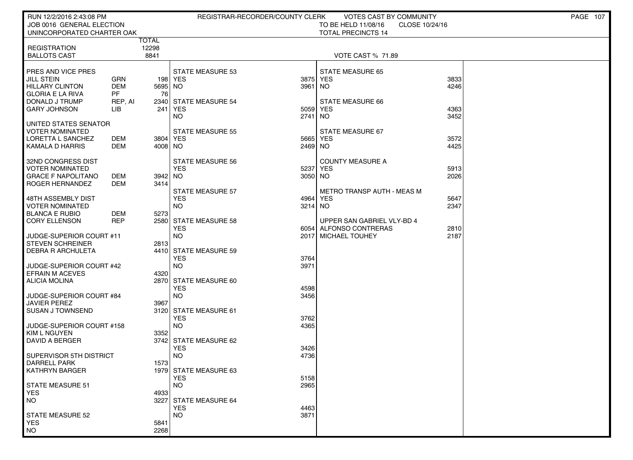| JOB 0016 GENERAL ELECTION<br>TO BE HELD 11/08/16<br>CLOSE 10/24/16                                                                      |  |
|-----------------------------------------------------------------------------------------------------------------------------------------|--|
| UNINCORPORATED CHARTER OAK<br><b>TOTAL PRECINCTS 14</b>                                                                                 |  |
| TOTAL                                                                                                                                   |  |
| 12298<br><b>REGISTRATION</b>                                                                                                            |  |
| 8841<br><b>BALLOTS CAST</b><br><b>VOTE CAST % 71.89</b>                                                                                 |  |
| <b>PRES AND VICE PRES</b><br><b>STATE MEASURE 53</b><br><b>STATE MEASURE 65</b>                                                         |  |
| <b>JILL STEIN</b><br><b>GRN</b><br>198   YES<br>3875<br>YES<br>3833                                                                     |  |
| <b>HILLARY CLINTON</b><br><b>DEM</b><br>5695 NO<br>3961<br>4246<br>NO.<br><b>GLORIA E LA RIVA</b><br><b>PF</b><br>76                    |  |
| I DONALD J TRUMP<br>2340 STATE MEASURE 54<br>STATE MEASURE 66<br>REP, AI                                                                |  |
| <b>GARY JOHNSON</b><br>LІВ<br>241<br>YES<br>5059<br><b>YES</b><br>4363                                                                  |  |
| 3452<br><b>NO</b><br>2741<br>NO.                                                                                                        |  |
| UNITED STATES SENATOR<br><b>VOTER NOMINATED</b><br><b>STATE MEASURE 55</b><br>STATE MEASURE 67                                          |  |
| LORETTA L SANCHEZ<br>DEM<br>3804   YES<br>5665<br>YES<br>3572                                                                           |  |
| KAMALA D HARRIS<br>DEM<br>4008 NO<br>2469<br>NO.<br>4425                                                                                |  |
| 32ND CONGRESS DIST<br>STATE MEASURE 56<br><b>COUNTY MEASURE A</b>                                                                       |  |
| <b>YES</b><br>VOTER NOMINATED<br>5237<br><b>YES</b><br>5913                                                                             |  |
| <b>GRACE F NAPOLITANO</b><br>DEM<br>3942 NO<br>3050<br>NO.<br>2026                                                                      |  |
| ROGER HERNANDEZ<br>DEM<br>3414<br>STATE MEASURE 57<br><b>METRO TRANSP AUTH - MEAS M</b>                                                 |  |
| 48TH ASSEMBLY DIST<br><b>YES</b><br><b>YES</b><br>5647<br>4964                                                                          |  |
| I VOTER NOMINATED<br><b>NO</b><br>3214<br>NO.<br>2347                                                                                   |  |
| <b>BLANCA E RUBIO</b><br>DEM<br>5273                                                                                                    |  |
| <b>REP</b><br>l CORY ELLENSON<br>2580 STATE MEASURE 58<br>UPPER SAN GABRIEL VLY-BD 4<br><b>YES</b><br>ALFONSO CONTRERAS<br>2810<br>6054 |  |
| <b>NO</b><br>2187<br>JUDGE-SUPERIOR COURT #11<br>2017<br><b>MICHAEL TOUHEY</b>                                                          |  |
| <b>STEVEN SCHREINER</b><br>2813                                                                                                         |  |
| 4410 STATE MEASURE 59<br><b>DEBRA R ARCHULETA</b><br><b>YES</b><br>3764                                                                 |  |
| JUDGE-SUPERIOR COURT #42<br><b>NO</b><br>3971                                                                                           |  |
| <b>EFRAIN M ACEVES</b><br>4320                                                                                                          |  |
| ALICIA MOLINA<br>2870 STATE MEASURE 60                                                                                                  |  |
| <b>YES</b><br>4598<br><b>NO</b><br>3456<br>JUDGE-SUPERIOR COURT #84                                                                     |  |
| <b>JAVIER PEREZ</b><br>3967                                                                                                             |  |
| 3120 STATE MEASURE 61<br>I SUSAN J TOWNSEND                                                                                             |  |
| <b>YES</b><br>3762<br>JUDGE-SUPERIOR COURT #158<br><b>NO</b><br>4365                                                                    |  |
| <b>KIM L NGUYEN</b><br>3352                                                                                                             |  |
| DAVID A BERGER<br>3742 STATE MEASURE 62                                                                                                 |  |
| <b>YES</b><br>3426<br><b>NO</b><br>4736<br>SUPERVISOR 5TH DISTRICT                                                                      |  |
| <b>DARRELL PARK</b><br>1573                                                                                                             |  |
| 1979 STATE MEASURE 63<br>  KATHRYN BARGER                                                                                               |  |
| <b>YES</b><br>5158<br>2965<br>l STATE MEASURE 51<br>NO.                                                                                 |  |
| <b>YES</b><br>4933                                                                                                                      |  |
| <b>NO</b><br>3227<br><b>STATE MEASURE 64</b>                                                                                            |  |
| <b>YES</b><br>4463                                                                                                                      |  |
| <b>NO</b><br>3871<br><b>STATE MEASURE 52</b><br><b>YES</b><br>5841                                                                      |  |
| <b>NO</b><br>2268                                                                                                                       |  |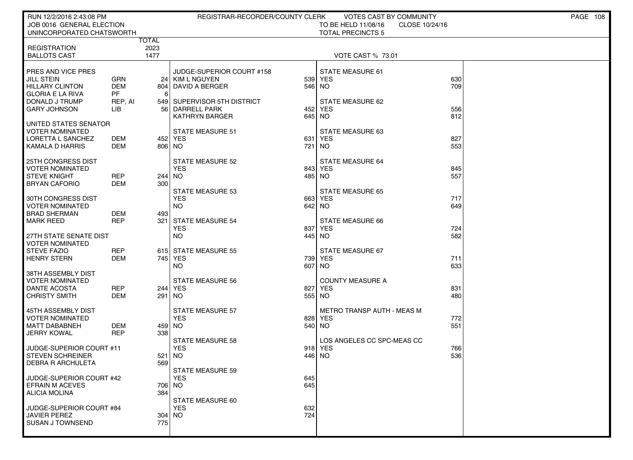| RUN 12/2/2016 2:43:08 PM                         |                |                     | REGISTRAR-RECORDER/COUNTY CLERK                    |               | VOTES CAST BY COMMUNITY               |            | PAGE 108 |
|--------------------------------------------------|----------------|---------------------|----------------------------------------------------|---------------|---------------------------------------|------------|----------|
| JOB 0016 GENERAL ELECTION                        |                |                     |                                                    |               | TO BE HELD 11/08/16<br>CLOSE 10/24/16 |            |          |
| UNINCORPORATED CHATSWORTH                        | TOTAL          |                     |                                                    |               | <b>TOTAL PRECINCTS 5</b>              |            |          |
| <b>REGISTRATION</b>                              | 2023           |                     |                                                    |               |                                       |            |          |
| <b>BALLOTS CAST</b>                              | 1477           |                     |                                                    |               | <b>VOTE CAST % 73.01</b>              |            |          |
| PRES AND VICE PRES                               |                |                     | JUDGE-SUPERIOR COURT #158                          |               | STATE MEASURE 61                      |            |          |
| JILL STEIN                                       | <b>GRN</b>     |                     | 24 KIM L NGUYEN                                    | 539           | <b>YES</b>                            | 630        |          |
| HILLARY CLINTON                                  | <b>DEM</b>     | 804                 | DAVID A BERGER                                     | 546 NO        |                                       | 709        |          |
| <b>GLORIA E LA RIVA</b>                          | PF             | 6                   |                                                    |               |                                       |            |          |
| DONALD J TRUMP<br><b>GARY JOHNSON</b>            | REP, AI<br>LІВ | 56 I                | 549 SUPERVISOR 5TH DISTRICT<br><b>DARRELL PARK</b> | 452           | STATE MEASURE 62<br><b>YES</b>        | 556        |          |
|                                                  |                |                     | <b>KATHRYN BARGER</b>                              | 645           | NO.                                   | 812        |          |
| UNITED STATES SENATOR                            |                |                     |                                                    |               |                                       |            |          |
| <b>VOTER NOMINATED</b>                           |                |                     | <b>STATE MEASURE 51</b>                            |               | STATE MEASURE 63                      |            |          |
| LORETTA L SANCHEZ<br>KAMALA D HARRIS             | DEM<br>DEM     | 452   YES<br>806 NO |                                                    | 631<br>721    | <b>YES</b><br>NO.                     | 827<br>553 |          |
|                                                  |                |                     |                                                    |               |                                       |            |          |
| 25TH CONGRESS DIST                               |                |                     | <b>STATE MEASURE 52</b>                            |               | STATE MEASURE 64                      |            |          |
| <b>VOTER NOMINATED</b><br><b>STEVE KNIGHT</b>    | <b>REP</b>     | 244 NO              | <b>YES</b>                                         | 843<br>485 NO | <b>YES</b>                            | 845<br>557 |          |
| <b>BRYAN CAFORIO</b>                             | <b>DEM</b>     | 300                 |                                                    |               |                                       |            |          |
|                                                  |                |                     | <b>STATE MEASURE 53</b>                            |               | <b>STATE MEASURE 65</b>               |            |          |
| 30TH CONGRESS DIST                               |                |                     | <b>YES</b>                                         | 663           | <b>YES</b>                            | 717<br>649 |          |
| <b>VOTER NOMINATED</b><br><b>BRAD SHERMAN</b>    | DEM            | 493                 | NO.                                                | 642 NO        |                                       |            |          |
| <b>MARK REED</b>                                 | <b>REP</b>     | 321                 | STATE MEASURE 54                                   |               | STATE MEASURE 66                      |            |          |
|                                                  |                |                     | <b>YES</b>                                         | 837           | <b>YES</b>                            | 724        |          |
| 27TH STATE SENATE DIST<br><b>VOTER NOMINATED</b> |                |                     | <b>NO</b>                                          | 445 NO        |                                       | 582        |          |
| <b>STEVE FAZIO</b>                               | <b>REP</b>     |                     | 615 STATE MEASURE 55                               |               | STATE MEASURE 67                      |            |          |
| <b>HENRY STERN</b>                               | <b>DEM</b>     | 745 YES             |                                                    | 739           | <b>YES</b>                            | 711        |          |
| 38TH ASSEMBLY DIST                               |                |                     | NO.                                                | 607           | NO.                                   | 633        |          |
| <b>VOTER NOMINATED</b>                           |                |                     | <b>STATE MEASURE 56</b>                            |               | <b>COUNTY MEASURE A</b>               |            |          |
| <b>DANTE ACOSTA</b>                              | <b>REP</b>     | 244 YES             |                                                    | 827           | <b>YES</b>                            | 831        |          |
| <b>CHRISTY SMITH</b>                             | DEM            | 291                 | NO                                                 | 555 NO        |                                       | 480        |          |
| 45TH ASSEMBLY DIST                               |                |                     | <b>STATE MEASURE 57</b>                            |               | METRO TRANSP AUTH - MEAS M            |            |          |
| <b>VOTER NOMINATED</b>                           |                |                     | <b>YES</b>                                         | 828           | <b>YES</b>                            | 772        |          |
| <b>MATT DABABNEH</b>                             | <b>DEM</b>     | 459 INO             |                                                    | 540 NO        |                                       | 551        |          |
| <b>JERRY KOWAL</b>                               | <b>REP</b>     | 338                 | <b>STATE MEASURE 58</b>                            |               | LOS ANGELES CC SPC-MEAS CC            |            |          |
| JUDGE-SUPERIOR COURT #11                         |                |                     | <b>YES</b>                                         | 918           | <b>YES</b>                            | 766        |          |
| <b>STEVEN SCHREINER</b>                          |                | 521                 | NO                                                 | 446           | <b>NO</b>                             | 536        |          |
| <b>DEBRA R ARCHULETA</b>                         |                | 569                 |                                                    |               |                                       |            |          |
| JUDGE-SUPERIOR COURT #42                         |                |                     | STATE MEASURE 59<br><b>YES</b>                     | 645           |                                       |            |          |
| <b>EFRAIN M ACEVES</b>                           |                | 706 NO              |                                                    | 645           |                                       |            |          |
| <b>ALICIA MOLINA</b>                             |                | 384                 |                                                    |               |                                       |            |          |
| JUDGE-SUPERIOR COURT #84                         |                |                     | STATE MEASURE 60<br><b>YES</b>                     | 632           |                                       |            |          |
| JAVIER PEREZ                                     |                | $304$ NO            |                                                    | 724           |                                       |            |          |
| <b>SUSAN J TOWNSEND</b>                          |                | 775                 |                                                    |               |                                       |            |          |
|                                                  |                |                     |                                                    |               |                                       |            |          |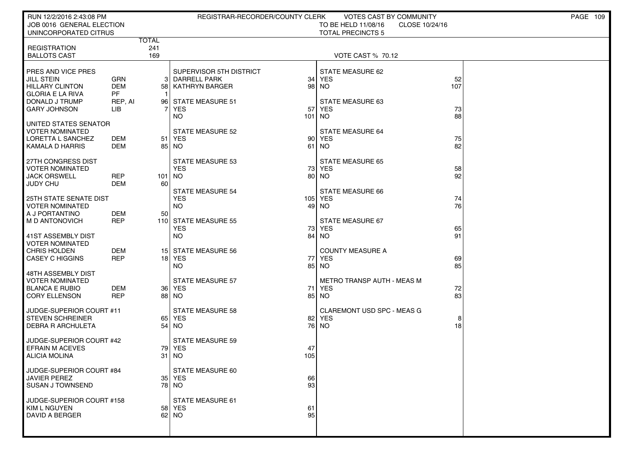| RUN 12/2/2016 2:43:08 PM                                                               |                          |         | REGISTRAR-RECORDER/COUNTY CLERK                                         |           | <b>VOTES CAST BY COMMUNITY</b>                                    |           | PAGE 109 |
|----------------------------------------------------------------------------------------|--------------------------|---------|-------------------------------------------------------------------------|-----------|-------------------------------------------------------------------|-----------|----------|
| JOB 0016 GENERAL ELECTION<br>UNINCORPORATED CITRUS                                     |                          |         |                                                                         |           | TO BE HELD 11/08/16<br>CLOSE 10/24/16<br><b>TOTAL PRECINCTS 5</b> |           |          |
|                                                                                        | <b>TOTAL</b>             |         |                                                                         |           |                                                                   |           |          |
| <b>REGISTRATION</b>                                                                    | 241<br>169               |         |                                                                         |           | <b>VOTE CAST % 70.12</b>                                          |           |          |
| <b>BALLOTS CAST</b>                                                                    |                          |         |                                                                         |           |                                                                   |           |          |
| PRES AND VICE PRES<br><b>JILL STEIN</b><br><b>HILLARY CLINTON</b>                      | GRN<br><b>DEM</b>        | 3<br>58 | SUPERVISOR 5TH DISTRICT<br><b>DARRELL PARK</b><br><b>KATHRYN BARGER</b> |           | STATE MEASURE 62<br>$34$ YES<br>98 NO                             | 52<br>107 |          |
| <b>GLORIA E LA RIVA</b>                                                                | <b>PF</b>                |         |                                                                         |           |                                                                   |           |          |
| DONALD J TRUMP<br><b>GARY JOHNSON</b>                                                  | REP, AI<br><b>LIB</b>    |         | 96 STATE MEASURE 51<br><b>YES</b><br><b>NO</b>                          | 57<br>101 | <b>STATE MEASURE 63</b><br><b>YES</b><br>NO <sub>1</sub>          | 73<br>88  |          |
| UNITED STATES SENATOR<br><b>VOTER NOMINATED</b><br>LORETTA L SANCHEZ                   | DEM                      | 51      | <b>STATE MEASURE 52</b><br>YES                                          | 90        | <b>STATE MEASURE 64</b><br>YES                                    | 75        |          |
| KAMALA D HARRIS                                                                        | <b>DEM</b>               |         | 85   NO                                                                 | 61        | <b>NO</b>                                                         | 82        |          |
| 27TH CONGRESS DIST<br><b>VOTER NOMINATED</b><br><b>JACK ORSWELL</b><br><b>JUDY CHU</b> | <b>REP</b><br><b>DEM</b> | 60      | <b>STATE MEASURE 53</b><br><b>YES</b><br>$101$ NO                       |           | <b>STATE MEASURE 65</b><br>73 YES<br>80 NO                        | 58<br>92  |          |
| <b>25TH STATE SENATE DIST</b><br><b>VOTER NOMINATED</b>                                |                          |         | <b>STATE MEASURE 54</b><br><b>YES</b><br><b>NO</b>                      |           | <b>STATE MEASURE 66</b><br>105 YES<br>49 NO                       | 74<br>76  |          |
| A J PORTANTINO<br>M D ANTONOVICH                                                       | <b>DEM</b><br><b>REP</b> | 50      | 110 STATE MEASURE 55<br><b>YES</b>                                      |           | <b>STATE MEASURE 67</b><br>73 YES                                 | 65        |          |
| 41ST ASSEMBLY DIST<br><b>VOTER NOMINATED</b><br>CHRIS HOLDEN<br><b>CASEY C HIGGINS</b> | <b>DEM</b><br><b>REP</b> |         | <b>NO</b><br>15 STATE MEASURE 56<br>18 YES                              | 77        | 84 NO<br><b>COUNTY MEASURE A</b><br><b>YES</b>                    | 91<br>69  |          |
| 48TH ASSEMBLY DIST                                                                     |                          |         | <b>NO</b>                                                               |           | 85 NO                                                             | 85        |          |
| <b>VOTER NOMINATED</b><br><b>BLANCA E RUBIO</b><br><b>CORY ELLENSON</b>                | DEM<br><b>REP</b>        |         | <b>STATE MEASURE 57</b><br>36 YES<br>88   NO                            | 71        | <b>METRO TRANSP AUTH - MEAS M</b><br><b>YES</b><br>85 NO          | 72<br>83  |          |
|                                                                                        |                          |         |                                                                         |           |                                                                   |           |          |
| JUDGE-SUPERIOR COURT #11<br><b>STEVEN SCHREINER</b><br><b>DEBRA R ARCHULETA</b>        |                          | 54      | <b>STATE MEASURE 58</b><br>65 YES<br>  NO                               |           | CLAREMONT USD SPC - MEAS G<br>82 YES<br>76 NO                     | 8<br>18   |          |
| JUDGE-SUPERIOR COURT #42<br><b>EFRAIN M ACEVES</b><br><b>ALICIA MOLINA</b>             |                          | 31      | <b>STATE MEASURE 59</b><br>79 YES<br>NO.                                | 47<br>105 |                                                                   |           |          |
| JUDGE-SUPERIOR COURT #84<br><b>JAVIER PEREZ</b><br><b>SUSAN J TOWNSEND</b>             |                          |         | STATE MEASURE 60<br>35 YES<br>78   NO                                   | 66<br>93  |                                                                   |           |          |
| JUDGE-SUPERIOR COURT #158<br>KIM L NGUYEN<br>DAVID A BERGER                            |                          |         | STATE MEASURE 61<br>58 YES<br>62 NO                                     | 61<br>95  |                                                                   |           |          |
|                                                                                        |                          |         |                                                                         |           |                                                                   |           |          |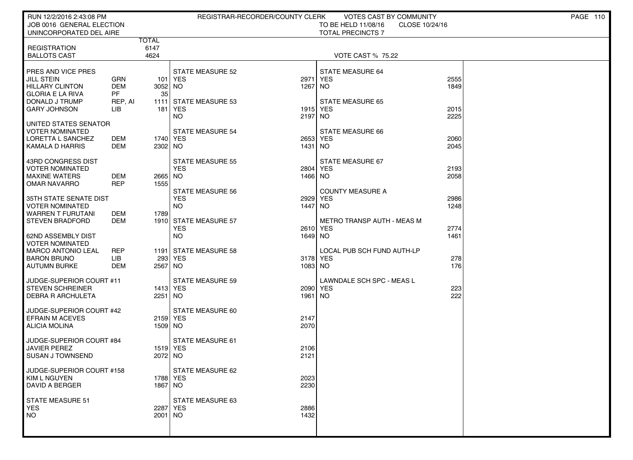| RUN 12/2/2016 2:43:08 PM                            |                         |              |                         | REGISTRAR-RECORDER/COUNTY CLERK | <b>VOTES CAST BY COMMUNITY</b>    |                | PAGE 110 |
|-----------------------------------------------------|-------------------------|--------------|-------------------------|---------------------------------|-----------------------------------|----------------|----------|
| JOB 0016 GENERAL ELECTION                           |                         |              |                         |                                 | TO BE HELD 11/08/16               | CLOSE 10/24/16 |          |
| UNINCORPORATED DEL AIRE                             |                         | <b>TOTAL</b> |                         |                                 | <b>TOTAL PRECINCTS 7</b>          |                |          |
| <b>REGISTRATION</b>                                 |                         | 6147         |                         |                                 |                                   |                |          |
| <b>BALLOTS CAST</b>                                 |                         | 4624         |                         |                                 | <b>VOTE CAST % 75.22</b>          |                |          |
| PRES AND VICE PRES                                  |                         |              | <b>STATE MEASURE 52</b> |                                 | <b>STATE MEASURE 64</b>           |                |          |
| <b>JILL STEIN</b>                                   | GRN                     |              | 101   YES               | 2971                            | <b>YES</b>                        | 2555           |          |
| <b>HILLARY CLINTON</b>                              | <b>DEM</b><br><b>PF</b> | 3052 NO      |                         | 1267                            | NO.                               | 1849           |          |
| <b>GLORIA E LA RIVA</b><br>DONALD J TRUMP           | REP, AI                 | 35           | 1111 STATE MEASURE 53   |                                 | <b>STATE MEASURE 65</b>           |                |          |
| <b>GARY JOHNSON</b>                                 | <b>LIB</b>              | 181          | YES <sup></sup>         |                                 | 1915 YES                          | 2015           |          |
|                                                     |                         |              | <b>NO</b>               | 2197                            | NO                                | 2225           |          |
| UNITED STATES SENATOR<br>VOTER NOMINATED            |                         |              | <b>STATE MEASURE 54</b> |                                 | <b>STATE MEASURE 66</b>           |                |          |
| LORETTA L SANCHEZ                                   | DEM                     | 1740   YES   |                         |                                 | 2653 YES                          | 2060           |          |
| <b>KAMALA D HARRIS</b>                              | DEM                     | 2302 NO      |                         | 1431 NO                         |                                   | 2045           |          |
| 43RD CONGRESS DIST                                  |                         |              | <b>STATE MEASURE 55</b> |                                 | STATE MEASURE 67                  |                |          |
| <b>VOTER NOMINATED</b>                              |                         |              | <b>YES</b>              |                                 | 2804 YES                          | 2193           |          |
| <b>MAXINE WATERS</b>                                | DEM                     | 2665 NO      |                         | 1466 NO                         |                                   | 2058           |          |
| <b>OMAR NAVARRO</b>                                 | <b>REP</b>              | 1555         | <b>STATE MEASURE 56</b> |                                 | <b>COUNTY MEASURE A</b>           |                |          |
| 35TH STATE SENATE DIST                              |                         |              | <b>YES</b>              | 2929                            | <b>YES</b>                        | 2986           |          |
| <b>VOTER NOMINATED</b>                              |                         |              | <b>NO</b>               | 1447                            | NO.                               | 1248           |          |
| <b>WARREN T FURUTANI</b><br><b>STEVEN BRADFORD</b>  | DEM<br><b>DEM</b>       | 1789         | 1910 STATE MEASURE 57   |                                 | <b>METRO TRANSP AUTH - MEAS M</b> |                |          |
|                                                     |                         |              | <b>YES</b>              |                                 | 2610 YES                          | 2774           |          |
| 62ND ASSEMBLY DIST                                  |                         |              | <b>NO</b>               | 1649 NO                         |                                   | 1461           |          |
| <b>VOTER NOMINATED</b><br><b>MARCO ANTONIO LEAL</b> | <b>REP</b>              |              | 1191 STATE MEASURE 58   |                                 | LOCAL PUB SCH FUND AUTH-LP        |                |          |
| <b>BARON BRUNO</b>                                  | <b>LIB</b>              |              | 293 YES                 |                                 | 3178 YES                          | 278            |          |
| <b>AUTUMN BURKE</b>                                 | DEM                     | 2567 NO      |                         | 1083 NO                         |                                   | 176            |          |
| JUDGE-SUPERIOR COURT #11                            |                         |              | <b>STATE MEASURE 59</b> |                                 | LAWNDALE SCH SPC - MEAS L         |                |          |
| <b>STEVEN SCHREINER</b>                             |                         | 1413   YES   |                         |                                 | 2090 YES                          | 223            |          |
| <b>DEBRA R ARCHULETA</b>                            |                         | 2251 NO      |                         | 1961                            | NO.                               | 222            |          |
| JUDGE-SUPERIOR COURT #42                            |                         |              | <b>STATE MEASURE 60</b> |                                 |                                   |                |          |
| <b>EFRAIN M ACEVES</b>                              |                         | 2159 YES     |                         | 2147                            |                                   |                |          |
| <b>ALICIA MOLINA</b>                                |                         | 1509 NO      |                         | 2070                            |                                   |                |          |
| JUDGE-SUPERIOR COURT #84                            |                         |              | <b>STATE MEASURE 61</b> |                                 |                                   |                |          |
| <b>JAVIER PEREZ</b>                                 |                         | 1519 YES     |                         | 2106                            |                                   |                |          |
| <b>SUSAN J TOWNSEND</b>                             |                         | 2072 NO      |                         | 2121                            |                                   |                |          |
| JUDGE-SUPERIOR COURT #158                           |                         |              | STATE MEASURE 62        |                                 |                                   |                |          |
| KIM L NGUYEN                                        |                         | 1788 YES     |                         | 2023                            |                                   |                |          |
| <b>DAVID A BERGER</b>                               |                         | 1867   NO    |                         | 2230                            |                                   |                |          |
|                                                     |                         |              |                         |                                 |                                   |                |          |
| <b>STATE MEASURE 51</b><br><b>YES</b>               |                         | 2287 YES     | STATE MEASURE 63        | 2886                            |                                   |                |          |
| <b>NO</b>                                           |                         | $2001$ NO    |                         | 1432                            |                                   |                |          |
|                                                     |                         |              |                         |                                 |                                   |                |          |
|                                                     |                         |              |                         |                                 |                                   |                |          |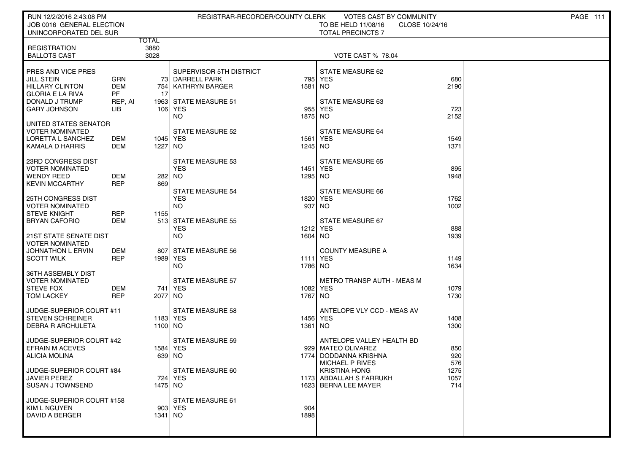| RUN 12/2/2016 2:43:08 PM                   |                   |                     | REGISTRAR-RECORDER/COUNTY CLERK    |                 | VOTES CAST BY COMMUNITY                                           |              | <b>PAGE 111</b> |  |
|--------------------------------------------|-------------------|---------------------|------------------------------------|-----------------|-------------------------------------------------------------------|--------------|-----------------|--|
| JOB 0016 GENERAL ELECTION                  |                   |                     |                                    |                 | TO BE HELD 11/08/16<br>CLOSE 10/24/16<br><b>TOTAL PRECINCTS 7</b> |              |                 |  |
| UNINCORPORATED DEL SUR                     | TOTAL             |                     |                                    |                 |                                                                   |              |                 |  |
| <b>REGISTRATION</b>                        |                   | 3880                |                                    |                 |                                                                   |              |                 |  |
| <b>BALLOTS CAST</b>                        | 3028              |                     |                                    |                 | <b>VOTE CAST % 78.04</b>                                          |              |                 |  |
| PRES AND VICE PRES                         |                   |                     | SUPERVISOR 5TH DISTRICT            |                 | STATE MEASURE 62                                                  |              |                 |  |
| JILL STEIN                                 | GRN               |                     | 73 DARRELL PARK                    |                 | 795 YES                                                           | 680          |                 |  |
| <b>HILLARY CLINTON</b>                     | <b>DEM</b>        | 754                 | KATHRYN BARGER                     | 1581            | <b>NO</b>                                                         | 2190         |                 |  |
| <b>GLORIA E LA RIVA</b>                    | PF                | -17                 |                                    |                 |                                                                   |              |                 |  |
| DONALD J TRUMP<br><b>GARY JOHNSON</b>      | REP, AI<br>LІВ    |                     | 1963 STATE MEASURE 51<br>106 YES   | 955             | <b>STATE MEASURE 63</b><br><b>YES</b>                             | 723          |                 |  |
|                                            |                   |                     | <b>NO</b>                          | 1875 NO         |                                                                   | 2152         |                 |  |
| UNITED STATES SENATOR                      |                   |                     |                                    |                 |                                                                   |              |                 |  |
| <b>VOTER NOMINATED</b>                     |                   |                     | <b>STATE MEASURE 52</b>            |                 | <b>STATE MEASURE 64</b>                                           |              |                 |  |
| LORETTA L SANCHEZ<br>KAMALA D HARRIS       | DEM<br>DEM        | 1045 YES<br>1227 NO |                                    | 1561<br>1245 NO | YES                                                               | 1549<br>1371 |                 |  |
|                                            |                   |                     |                                    |                 |                                                                   |              |                 |  |
| 23RD CONGRESS DIST                         |                   |                     | <b>STATE MEASURE 53</b>            |                 | <b>STATE MEASURE 65</b>                                           |              |                 |  |
| <b>VOTER NOMINATED</b>                     |                   |                     | <b>YES</b>                         |                 | 1451 YES                                                          | 895          |                 |  |
| <b>WENDY REED</b><br><b>KEVIN MCCARTHY</b> | DEM<br><b>REP</b> | 282 NO<br>869       |                                    | 1295 NO         |                                                                   | 1948         |                 |  |
|                                            |                   |                     | <b>STATE MEASURE 54</b>            |                 | <b>STATE MEASURE 66</b>                                           |              |                 |  |
| <b>25TH CONGRESS DIST</b>                  |                   |                     | <b>YES</b>                         |                 | 1820 YES                                                          | 1762         |                 |  |
| <b>VOTER NOMINATED</b>                     |                   |                     | <b>NO</b>                          | 937             | <b>NO</b>                                                         | 1002         |                 |  |
| <b>STEVE KNIGHT</b>                        | <b>REP</b>        | 1155                |                                    |                 |                                                                   |              |                 |  |
| <b>BRYAN CAFORIO</b>                       | <b>DEM</b>        |                     | 513 STATE MEASURE 55<br><b>YES</b> |                 | STATE MEASURE 67<br>1212 YES                                      | 888          |                 |  |
| 21ST STATE SENATE DIST                     |                   |                     | <b>NO</b>                          | 1604 NO         |                                                                   | 1939         |                 |  |
| <b>VOTER NOMINATED</b>                     |                   |                     |                                    |                 |                                                                   |              |                 |  |
| JOHNATHON L ERVIN                          | DEM<br><b>REP</b> | 807                 | STATE MEASURE 56                   |                 | <b>COUNTY MEASURE A</b>                                           |              |                 |  |
| <b>SCOTT WILK</b>                          |                   | 1989   YES          | <b>NO</b>                          | 1786 NO         | <b>1111 YES</b>                                                   | 1149<br>1634 |                 |  |
| 36TH ASSEMBLY DIST                         |                   |                     |                                    |                 |                                                                   |              |                 |  |
| <b>VOTER NOMINATED</b>                     |                   |                     | <b>STATE MEASURE 57</b>            |                 | METRO TRANSP AUTH - MEAS M                                        |              |                 |  |
| <b>STEVE FOX</b>                           | DEM<br><b>REP</b> | 2077 NO             | 741 YES                            | 1767 NO         | 1082 YES                                                          | 1079<br>1730 |                 |  |
| <b>TOM LACKEY</b>                          |                   |                     |                                    |                 |                                                                   |              |                 |  |
| JUDGE-SUPERIOR COURT #11                   |                   |                     | <b>STATE MEASURE 58</b>            |                 | ANTELOPE VLY CCD - MEAS AV                                        |              |                 |  |
| <b>STEVEN SCHREINER</b>                    |                   | 1183 YES            |                                    |                 | 1456 YES                                                          | 1408         |                 |  |
| <b>DEBRA R ARCHULETA</b>                   |                   | 1100 NO             |                                    | 1361            | NO                                                                | 1300         |                 |  |
| JUDGE-SUPERIOR COURT #42                   |                   |                     | <b>STATE MEASURE 59</b>            |                 | ANTELOPE VALLEY HEALTH BD                                         |              |                 |  |
| <b>EFRAIN M ACEVES</b>                     |                   | 1584 YES            |                                    |                 | 929 MATEO OLIVAREZ                                                | 850          |                 |  |
| <b>ALICIA MOLINA</b>                       |                   | 639 NO              |                                    | 1774            | DODDANNA KRISHNA                                                  | 920          |                 |  |
| JUDGE-SUPERIOR COURT #84                   |                   |                     |                                    |                 | <b>MICHAEL P RIVES</b><br><b>KRISTINA HONG</b>                    | 576<br>1275  |                 |  |
| JAVIER PEREZ                               |                   |                     | STATE MEASURE 60<br>724 YES        |                 | 1173 ABDALLAH S FARRUKH                                           | 1057         |                 |  |
| <b>SUSAN J TOWNSEND</b>                    |                   | 1475 NO             |                                    |                 | 1623 BERNA LEE MAYER                                              | 714          |                 |  |
|                                            |                   |                     |                                    |                 |                                                                   |              |                 |  |
| JUDGE-SUPERIOR COURT #158<br>KIM L NGUYEN  |                   |                     | STATE MEASURE 61<br>903 YES        | 904             |                                                                   |              |                 |  |
| DAVID A BERGER                             |                   | 1341 NO             |                                    | 1898            |                                                                   |              |                 |  |
|                                            |                   |                     |                                    |                 |                                                                   |              |                 |  |
|                                            |                   |                     |                                    |                 |                                                                   |              |                 |  |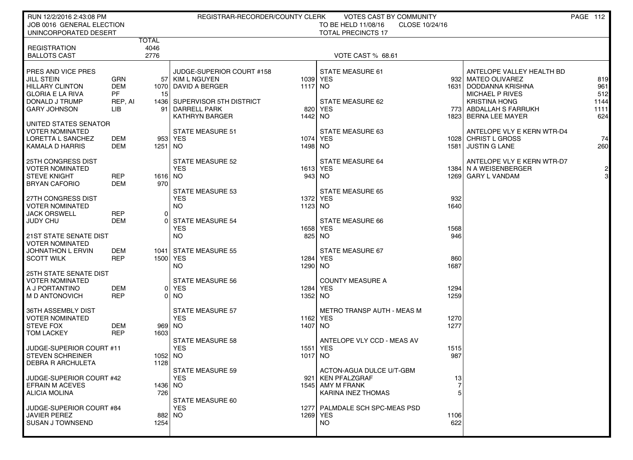| RUN 12/2/2016 2:43:08 PM<br>JOB 0016 GENERAL ELECTION<br>UNINCORPORATED DESERT                                                        |                                                  |                       | REGISTRAR-RECORDER/COUNTY CLERK                                                                                                                 |                           | VOTES CAST BY COMMUNITY<br>TO BE HELD 11/08/16<br>CLOSE 10/24/16<br><b>TOTAL PRECINCTS 17</b> |                           |                                                                                                                                                                                | PAGE 112                                 |
|---------------------------------------------------------------------------------------------------------------------------------------|--------------------------------------------------|-----------------------|-------------------------------------------------------------------------------------------------------------------------------------------------|---------------------------|-----------------------------------------------------------------------------------------------|---------------------------|--------------------------------------------------------------------------------------------------------------------------------------------------------------------------------|------------------------------------------|
| <b>REGISTRATION</b><br><b>BALLOTS CAST</b>                                                                                            |                                                  | TOTAL<br>4046<br>2776 |                                                                                                                                                 |                           | VOTE CAST % 68.61                                                                             |                           |                                                                                                                                                                                |                                          |
| PRES AND VICE PRES<br><b>JILL STEIN</b><br><b>HILLARY CLINTON</b><br><b>GLORIA E LA RIVA</b><br>DONALD J TRUMP<br><b>GARY JOHNSON</b> | GRN<br><b>DEM</b><br><b>PF</b><br>REP, AI<br>LІВ | 15 I                  | JUDGE-SUPERIOR COURT #158<br>57 KIM L NGUYEN<br>1070 DAVID A BERGER<br>1436 SUPERVISOR 5TH DISTRICT<br>91 DARRELL PARK<br><b>KATHRYN BARGER</b> | 1117 NO<br>820<br>1442 NO | <b>STATE MEASURE 61</b><br>1039 YES<br>STATE MEASURE 62<br><b>YES</b>                         |                           | ANTELOPE VALLEY HEALTH BD<br>932 MATEO OLIVAREZ<br>1631   DODDANNA KRISHNA<br><b>MICHAEL P RIVES</b><br><b>KRISTINA HONG</b><br>773 ABDALLAH S FARRUKH<br>1823 BERNA LEE MAYER | 819<br>961<br>512<br>1144<br>1111<br>624 |
| UNITED STATES SENATOR<br><b>VOTER NOMINATED</b><br>LORETTA L SANCHEZ<br>KAMALA D HARRIS                                               | DEM<br><b>DEM</b>                                | $1251$ NO             | STATE MEASURE 51<br>953 YES                                                                                                                     | 1498 NO                   | STATE MEASURE 63<br>1074 YES                                                                  | 1581                      | ANTELOPE VLY E KERN WTR-D4<br>1028 CHRIST L GROSS<br>UUSTIN G LANE                                                                                                             | 74<br>260                                |
| 25TH CONGRESS DIST<br><b>VOTER NOMINATED</b><br><b>STEVE KNIGHT</b><br><b>BRYAN CAFORIO</b>                                           | <b>REP</b><br><b>DEM</b>                         | 1616 NO<br>970        | STATE MEASURE 52<br><b>YES</b>                                                                                                                  | 943 NO                    | <b>STATE MEASURE 64</b><br>1613 YES                                                           |                           | ANTELOPE VLY E KERN WTR-D7<br>1384 N A WEISENBERGER<br>1269 GARY L VANDAM                                                                                                      | $\mathbf{2}$<br> 3                       |
| 27TH CONGRESS DIST<br><b>VOTER NOMINATED</b><br><b>JACK ORSWELL</b><br>JUDY CHU                                                       | <b>REP</b><br><b>DEM</b>                         | 0<br>01               | <b>STATE MEASURE 53</b><br><b>YES</b><br><b>NO</b><br><b>STATE MEASURE 54</b><br><b>YES</b>                                                     | 1123 NO                   | <b>STATE MEASURE 65</b><br>1372 YES<br>STATE MEASURE 66<br>1658 YES                           | 932<br>1640<br>1568       |                                                                                                                                                                                |                                          |
| <b>21ST STATE SENATE DIST</b><br><b>VOTER NOMINATED</b><br>JOHNATHON L ERVIN<br><b>SCOTT WILK</b>                                     | DEM<br><b>REP</b>                                |                       | <b>NO</b><br>1041 STATE MEASURE 55<br>1500 YES<br><b>NO</b>                                                                                     | 825<br>1290 NO            | <b>NO</b><br>STATE MEASURE 67<br>1284 YES                                                     | 946<br>860<br>1687        |                                                                                                                                                                                |                                          |
| <b>25TH STATE SENATE DIST</b><br><b>VOTER NOMINATED</b><br>A J PORTANTINO<br>M D ANTONOVICH                                           | <b>DEM</b><br><b>REP</b>                         |                       | <b>STATE MEASURE 56</b><br>0 YES<br>$0$ NO                                                                                                      | 1284<br>1352 NO           | <b>COUNTY MEASURE A</b><br><b>YES</b>                                                         | 1294<br>1259              |                                                                                                                                                                                |                                          |
| 36TH ASSEMBLY DIST<br><b>VOTER NOMINATED</b><br><b>STEVE FOX</b><br><b>TOM LACKEY</b>                                                 | DEM<br><b>REP</b>                                | 1603                  | <b>STATE MEASURE 57</b><br><b>YES</b><br>969 NO<br><b>STATE MEASURE 58</b>                                                                      | 1407 NO                   | METRO TRANSP AUTH - MEAS M<br>1162 YES<br>ANTELOPE VLY CCD - MEAS AV                          | 1270<br>1277              |                                                                                                                                                                                |                                          |
| JUDGE-SUPERIOR COURT #11<br><b>STEVEN SCHREINER</b><br><b>DEBRA R ARCHULETA</b>                                                       |                                                  | 1052 NO<br>1128       | <b>YES</b><br>STATE MEASURE 59                                                                                                                  | 1017 NO                   | 1551 YES<br>ACTON-AGUA DULCE U/T-GBM                                                          | 1515<br>987               |                                                                                                                                                                                |                                          |
| JUDGE-SUPERIOR COURT #42<br><b>EFRAIN M ACEVES</b><br><b>ALICIA MOLINA</b>                                                            |                                                  | 1436   NO<br>726      | <b>YES</b><br>STATE MEASURE 60                                                                                                                  |                           | 921   KEN PFALZGRAF<br>1545 AMY M FRANK<br>KARINA INEZ THOMAS                                 | 13<br>$\overline{7}$<br>5 |                                                                                                                                                                                |                                          |
| JUDGE-SUPERIOR COURT #84<br><b>JAVIER PEREZ</b><br><b>SUSAN J TOWNSEND</b>                                                            |                                                  | 882   NO<br>1254      | <b>YES</b>                                                                                                                                      |                           | 1277 PALMDALE SCH SPC-MEAS PSD<br>1269 YES<br>NO.                                             | 1106<br>622               |                                                                                                                                                                                |                                          |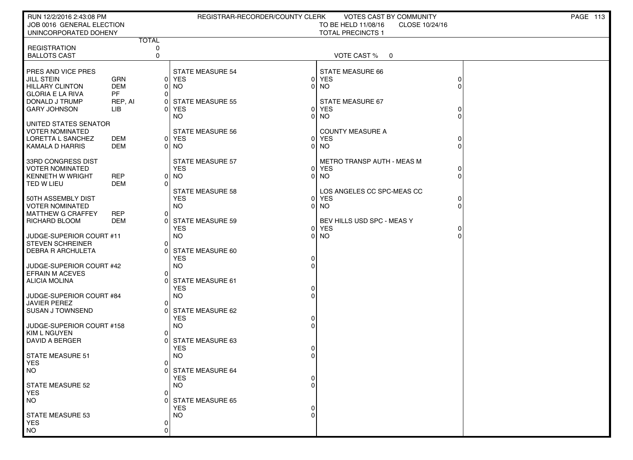| RUN 12/2/2016 2:43:08 PM<br>JOB 0016 GENERAL ELECTION<br>UNINCORPORATED DOHENY                                                        |                                                         |                   | REGISTRAR-RECORDER/COUNTY CLERK                                                                     |                                  | <b>VOTES CAST BY COMMUNITY</b><br>TO BE HELD 11/08/16<br>CLOSE 10/24/16<br><b>TOTAL PRECINCTS 1</b> |               | PAGE 113 |
|---------------------------------------------------------------------------------------------------------------------------------------|---------------------------------------------------------|-------------------|-----------------------------------------------------------------------------------------------------|----------------------------------|-----------------------------------------------------------------------------------------------------|---------------|----------|
|                                                                                                                                       |                                                         | <b>TOTAL</b>      |                                                                                                     |                                  |                                                                                                     |               |          |
| <b>REGISTRATION</b><br><b>BALLOTS CAST</b>                                                                                            |                                                         | 0<br>$\mathbf 0$  |                                                                                                     |                                  | VOTE CAST % 0                                                                                       |               |          |
| PRES AND VICE PRES<br><b>JILL STEIN</b><br><b>HILLARY CLINTON</b><br><b>GLORIA E LA RIVA</b><br>DONALD J TRUMP<br><b>GARY JOHNSON</b> | <b>GRN</b><br><b>DEM</b><br><b>PF</b><br>REP, AI<br>LІВ | 0 <br>0<br>0<br>O | <b>STATE MEASURE 54</b><br>0 YES<br><b>NO</b><br><b>STATE MEASURE 55</b><br><b>YES</b><br><b>NO</b> | ΟI<br>$\Omega$<br>01<br>$\Omega$ | <b>STATE MEASURE 66</b><br><b>YES</b><br><b>NO</b><br>STATE MEASURE 67<br><b>YES</b><br><b>NO</b>   |               |          |
| UNITED STATES SENATOR<br><b>VOTER NOMINATED</b><br>LORETTA L SANCHEZ<br><b>KAMALA D HARRIS</b>                                        | <b>DEM</b><br><b>DEM</b>                                |                   | <b>STATE MEASURE 56</b><br>0 YES<br>0 NO                                                            |                                  | <b>COUNTY MEASURE A</b><br>0 YES<br>$0$ NO                                                          |               |          |
| 33RD CONGRESS DIST<br><b>VOTER NOMINATED</b><br><b>KENNETH W WRIGHT</b><br>TED W LIEU                                                 | <b>REP</b><br><b>DEM</b>                                | 0<br>∩            | <b>STATE MEASURE 57</b><br><b>YES</b><br><b>NO</b>                                                  |                                  | METRO TRANSP AUTH - MEAS M<br>0 YES<br>$0$ NO                                                       | 0<br>$\Omega$ |          |
| 50TH ASSEMBLY DIST<br><b>VOTER NOMINATED</b><br><b>MATTHEW G CRAFFEY</b><br>RICHARD BLOOM                                             | <b>REP</b><br><b>DEM</b>                                | 0                 | <b>STATE MEASURE 58</b><br><b>YES</b><br><b>NO</b><br>0 STATE MEASURE 59<br><b>YES</b>              | $\Omega$<br>$\Omega$             | LOS ANGELES CC SPC-MEAS CC<br><b>YES</b><br>$0$ NO<br>BEV HILLS USD SPC - MEAS Y<br><b>YES</b>      |               |          |
| JUDGE-SUPERIOR COURT #11<br><b>STEVEN SCHREINER</b><br><b>DEBRA R ARCHULETA</b>                                                       |                                                         | 0<br>r            | <b>NO</b><br>STATE MEASURE 60<br><b>YES</b>                                                         | $\Omega$<br>0                    | <b>NO</b>                                                                                           |               |          |
| JUDGE-SUPERIOR COURT #42<br><b>EFRAIN M ACEVES</b><br><b>ALICIA MOLINA</b>                                                            |                                                         | 0                 | <b>NO</b><br><b>STATE MEASURE 61</b><br><b>YES</b>                                                  | 0                                |                                                                                                     |               |          |
| JUDGE-SUPERIOR COURT #84<br><b>JAVIER PEREZ</b><br><b>SUSAN J TOWNSEND</b>                                                            |                                                         | 0<br>O            | <b>NO</b><br>STATE MEASURE 62<br><b>YES</b>                                                         |                                  |                                                                                                     |               |          |
| JUDGE-SUPERIOR COURT #158<br><b>KIM L NGUYEN</b><br><b>DAVID A BERGER</b>                                                             |                                                         | 0                 | <b>NO</b><br>0 STATE MEASURE 63<br><b>YES</b>                                                       | 0                                |                                                                                                     |               |          |
| STATE MEASURE 51<br><b>YES</b><br>NO.                                                                                                 |                                                         | 0                 | <b>NO</b><br>0 STATE MEASURE 64<br><b>YES</b>                                                       |                                  |                                                                                                     |               |          |
| <b>STATE MEASURE 52</b><br><b>YES</b><br><b>NO</b>                                                                                    |                                                         | $\Omega$          | NO.<br><b>STATE MEASURE 65</b><br><b>YES</b>                                                        |                                  |                                                                                                     |               |          |
| <b>STATE MEASURE 53</b><br><b>YES</b><br><b>NO</b>                                                                                    |                                                         | 0<br>0            | <b>NO</b>                                                                                           |                                  |                                                                                                     |               |          |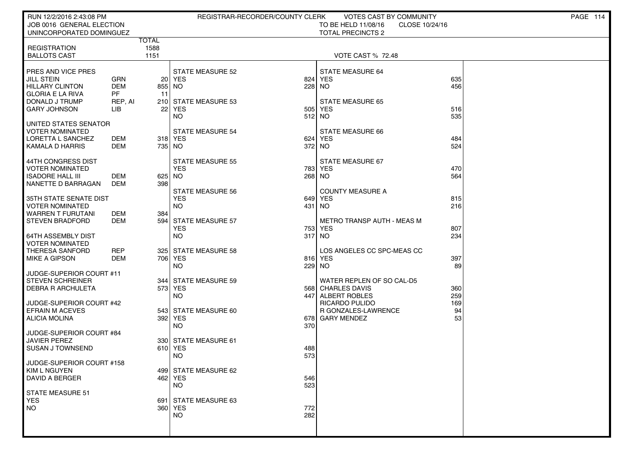| RUN 12/2/2016 2:43:08 PM                            |                          |               | REGISTRAR-RECORDER/COUNTY CLERK    |            | VOTES CAST BY COMMUNITY               |            | PAGE 114 |
|-----------------------------------------------------|--------------------------|---------------|------------------------------------|------------|---------------------------------------|------------|----------|
| JOB 0016 GENERAL ELECTION                           |                          |               |                                    |            | TO BE HELD 11/08/16<br>CLOSE 10/24/16 |            |          |
| UNINCORPORATED DOMINGUEZ                            |                          | <b>TOTAL</b>  |                                    |            | <b>TOTAL PRECINCTS 2</b>              |            |          |
| <b>REGISTRATION</b>                                 |                          | 1588          |                                    |            |                                       |            |          |
| <b>BALLOTS CAST</b>                                 |                          | 1151          |                                    |            | <b>VOTE CAST % 72.48</b>              |            |          |
|                                                     |                          |               |                                    |            |                                       |            |          |
| PRES AND VICE PRES                                  |                          |               | <b>STATE MEASURE 52</b>            |            | STATE MEASURE 64                      |            |          |
| JILL STEIN<br>HILLARY CLINTON                       | <b>GRN</b><br><b>DEM</b> | 855           | 20 YES<br>  NO                     | 824        | YES<br>228 NO                         | 635<br>456 |          |
| <b>GLORIA E LA RIVA</b>                             | PF                       | -11           |                                    |            |                                       |            |          |
| DONALD J TRUMP                                      | REP, AI                  |               | 210 STATE MEASURE 53               |            | <b>STATE MEASURE 65</b>               |            |          |
| <b>GARY JOHNSON</b>                                 | LIB                      | 22            | YES                                | 505        | <b>YES</b>                            | 516        |          |
|                                                     |                          |               | NO.                                |            | 512 NO                                | 535        |          |
| UNITED STATES SENATOR                               |                          |               |                                    |            |                                       |            |          |
| <b>VOTER NOMINATED</b><br>LORETTA L SANCHEZ         | DEM                      |               | <b>STATE MEASURE 54</b><br>318 YES | 624        | STATE MEASURE 66<br>YES               | 484        |          |
| KAMALA D HARRIS                                     | DEM                      | 735   NO      |                                    |            | 372 NO                                | 524        |          |
|                                                     |                          |               |                                    |            |                                       |            |          |
| 44TH CONGRESS DIST                                  |                          |               | <b>STATE MEASURE 55</b>            |            | STATE MEASURE 67                      |            |          |
| <b>VOTER NOMINATED</b>                              |                          |               | <b>YES</b>                         |            | 783 YES                               | 470        |          |
| ISADORE HALL III<br>NANETTE D BARRAGAN              | DEM<br>DEM               | 625 NO<br>398 |                                    |            | 268 NO                                | 564        |          |
|                                                     |                          |               | <b>STATE MEASURE 56</b>            |            | <b>COUNTY MEASURE A</b>               |            |          |
| 35TH STATE SENATE DIST                              |                          |               | <b>YES</b>                         |            | 649 YES                               | 815        |          |
| <b>VOTER NOMINATED</b>                              |                          |               | NO.                                |            | 431   NO                              | 216        |          |
| <b>WARREN T FURUTANI</b>                            | DEM                      | 384           |                                    |            |                                       |            |          |
| <b>STEVEN BRADFORD</b>                              | <b>DEM</b>               | 594           | <b>STATE MEASURE 57</b>            |            | <b>METRO TRANSP AUTH - MEAS M</b>     |            |          |
| 64TH ASSEMBLY DIST                                  |                          |               | <b>YES</b><br>NO.                  |            | 753 YES<br>317 NO                     | 807<br>234 |          |
| <b>VOTER NOMINATED</b>                              |                          |               |                                    |            |                                       |            |          |
| <b>THERESA SANFORD</b>                              | REP                      | 3251          | <b>STATE MEASURE 58</b>            |            | LOS ANGELES CC SPC-MEAS CC            |            |          |
| <b>MIKE A GIPSON</b>                                | DEM                      |               | 706   YES                          |            | 816 YES                               | 397        |          |
|                                                     |                          |               | NO.                                | 229        | NO                                    | 89         |          |
| JUDGE-SUPERIOR COURT #11<br><b>STEVEN SCHREINER</b> |                          | 344 l         | <b>STATE MEASURE 59</b>            |            | WATER REPLEN OF SO CAL-D5             |            |          |
| DEBRA R ARCHULETA                                   |                          |               | 573 YES                            |            | 568 CHARLES DAVIS                     | 360        |          |
|                                                     |                          |               | <b>NO</b>                          | 447        | ALBERT ROBLES                         | 259        |          |
| JUDGE-SUPERIOR COURT #42                            |                          |               |                                    |            | RICARDO PULIDO                        | 169        |          |
| <b>EFRAIN M ACEVES</b>                              |                          |               | 543 STATE MEASURE 60               |            | R GONZALES-LAWRENCE                   | 94         |          |
| ALICIA MOLINA                                       |                          | 392           | YES<br>NO.                         | 678<br>370 | <b>GARY MENDEZ</b>                    | 53         |          |
| JUDGE-SUPERIOR COURT #84                            |                          |               |                                    |            |                                       |            |          |
| <b>JAVIER PEREZ</b>                                 |                          |               | 330 STATE MEASURE 61               |            |                                       |            |          |
| <b>SUSAN J TOWNSEND</b>                             |                          |               | 610 YES                            | 488        |                                       |            |          |
|                                                     |                          |               | NO.                                | 573        |                                       |            |          |
| JUDGE-SUPERIOR COURT #158<br>KIM L NGUYEN           |                          |               | 499 STATE MEASURE 62               |            |                                       |            |          |
| <b>DAVID A BERGER</b>                               |                          |               | 462 YES                            | 546        |                                       |            |          |
|                                                     |                          |               | <b>NO</b>                          | 523        |                                       |            |          |
| <b>STATE MEASURE 51</b>                             |                          |               |                                    |            |                                       |            |          |
| <b>YES</b>                                          |                          | 691           | <b>STATE MEASURE 63</b>            |            |                                       |            |          |
| <b>NO</b>                                           |                          |               | 360 YES                            | 772        |                                       |            |          |
|                                                     |                          |               | <b>NO</b>                          | 282        |                                       |            |          |
|                                                     |                          |               |                                    |            |                                       |            |          |
|                                                     |                          |               |                                    |            |                                       |            |          |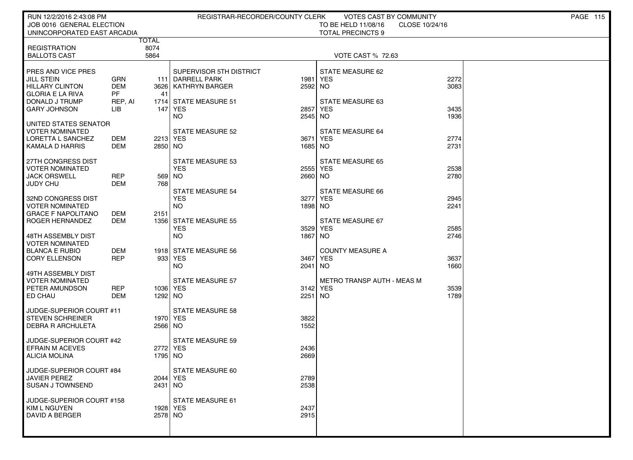| RUN 12/2/2016 2:43:08 PM                                                               |                          |               | REGISTRAR-RECORDER/COUNTY CLERK                    |                     | VOTES CAST BY COMMUNITY                            |              | <b>PAGE 115</b> |
|----------------------------------------------------------------------------------------|--------------------------|---------------|----------------------------------------------------|---------------------|----------------------------------------------------|--------------|-----------------|
| JOB 0016 GENERAL ELECTION                                                              |                          |               |                                                    |                     | TO BE HELD 11/08/16<br>CLOSE 10/24/16              |              |                 |
| UNINCORPORATED EAST ARCADIA                                                            | <b>TOTAL</b>             |               |                                                    |                     | <b>TOTAL PRECINCTS 9</b>                           |              |                 |
| <b>REGISTRATION</b>                                                                    | 8074                     |               |                                                    |                     |                                                    |              |                 |
| <b>BALLOTS CAST</b>                                                                    | 5864                     |               |                                                    |                     | <b>VOTE CAST % 72.63</b>                           |              |                 |
| PRES AND VICE PRES<br><b>JILL STEIN</b>                                                | <b>GRN</b>               |               | SUPERVISOR 5TH DISTRICT<br>111 DARRELL PARK        | 1981                | STATE MEASURE 62<br><b>YES</b>                     | 2272         |                 |
| <b>HILLARY CLINTON</b><br><b>GLORIA E LA RIVA</b>                                      | <b>DEM</b><br>PF.        | -41           | 3626   KATHRYN BARGER                              | 2592 NO             |                                                    | 3083         |                 |
| DONALD J TRUMP<br><b>GARY JOHNSON</b>                                                  | REP, AI<br>LІВ           |               | 1714 STATE MEASURE 51<br>147 YES<br><b>NO</b>      | 2857<br>2545 NO     | STATE MEASURE 63<br><b>YES</b>                     | 3435<br>1936 |                 |
| UNITED STATES SENATOR<br><b>VOTER NOMINATED</b><br>LORETTA L SANCHEZ                   | DEM                      |               | <b>STATE MEASURE 52</b><br>2213 YES                | 3671                | <b>STATE MEASURE 64</b><br><b>YES</b>              | 2774         |                 |
| KAMALA D HARRIS                                                                        | <b>DEM</b>               | 2850 NO       |                                                    | 1685 NO             |                                                    | 2731         |                 |
| 27TH CONGRESS DIST<br><b>VOTER NOMINATED</b><br><b>JACK ORSWELL</b><br><b>JUDY CHU</b> | <b>REP</b><br><b>DEM</b> | 569 NO<br>768 | <b>STATE MEASURE 53</b><br><b>YES</b>              | 2555 YES<br>2660 NO | <b>STATE MEASURE 65</b>                            | 2538<br>2780 |                 |
| 32ND CONGRESS DIST<br>VOTER NOMINATED                                                  |                          |               | <b>STATE MEASURE 54</b><br><b>YES</b><br><b>NO</b> | 1898 NO             | <b>STATE MEASURE 66</b><br>3277 YES                | 2945<br>2241 |                 |
| <b>GRACE F NAPOLITANO</b><br>ROGER HERNANDEZ<br>48TH ASSEMBLY DIST                     | DEM<br>DEM               | 2151          | 1356 STATE MEASURE 55<br><b>YES</b><br><b>NO</b>   | 3529<br>1867        | STATE MEASURE 67<br><b>YES</b><br>NO <sub>1</sub>  | 2585<br>2746 |                 |
| <b>VOTER NOMINATED</b><br><b>BLANCA E RUBIO</b><br><b>CORY ELLENSON</b>                | DEM<br><b>REP</b>        |               | 1918 STATE MEASURE 56<br>933 YES<br><b>NO</b>      | 3467<br>2041        | <b>COUNTY MEASURE A</b><br><b>YES</b><br><b>NO</b> | 3637<br>1660 |                 |
| 49TH ASSEMBLY DIST<br>VOTER NOMINATED<br>PETER AMUNDSON<br>ED CHAU                     | <b>REP</b><br><b>DEM</b> | 1292 NO       | <b>STATE MEASURE 57</b><br>1036 YES                | 3142 YES<br>2251 NO | <b>METRO TRANSP AUTH - MEAS M</b>                  | 3539<br>1789 |                 |
| JUDGE-SUPERIOR COURT #11<br><b>STEVEN SCHREINER</b><br><b>DEBRA R ARCHULETA</b>        |                          | 2566 NO       | <b>STATE MEASURE 58</b><br>1970 YES                | 3822<br>1552        |                                                    |              |                 |
| JUDGE-SUPERIOR COURT #42<br><b>EFRAIN M ACEVES</b><br><b>ALICIA MOLINA</b>             |                          | 1795 INO      | <b>STATE MEASURE 59</b><br>2772 YES                | 2436<br>2669        |                                                    |              |                 |
| JUDGE-SUPERIOR COURT #84<br><b>JAVIER PEREZ</b><br><b>SUSAN J TOWNSEND</b>             |                          | $2431$ NO     | STATE MEASURE 60<br>2044   YES                     | 2789<br>2538        |                                                    |              |                 |
| JUDGE-SUPERIOR COURT #158<br>KIM L NGUYEN<br>DAVID A BERGER                            |                          | 2578 NO       | <b>STATE MEASURE 61</b><br>1928 YES                | 2437<br>2915        |                                                    |              |                 |
|                                                                                        |                          |               |                                                    |                     |                                                    |              |                 |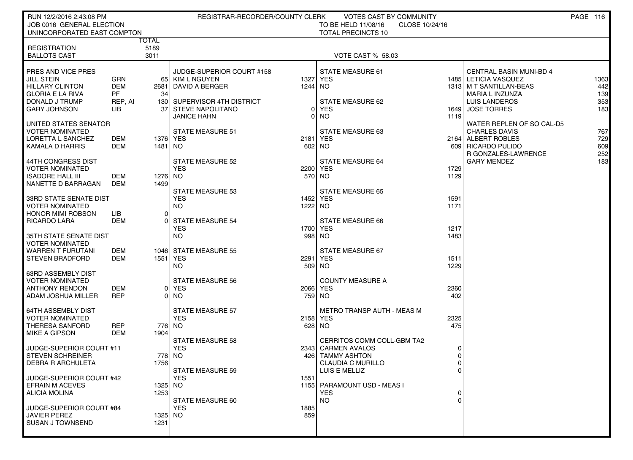| RUN 12/2/2016 2:43:08 PM<br>JOB 0016 GENERAL ELECTION<br>UNINCORPORATED EAST COMPTON                                                  |                                                  |                       | REGISTRAR-RECORDER/COUNTY CLERK                                                                                             |                     | VOTES CAST BY COMMUNITY<br>TO BE HELD 11/08/16<br>CLOSE 10/24/16<br><b>TOTAL PRECINCTS 10</b>                 |                                                                |                                                                                                                                        | PAGE 116                         |
|---------------------------------------------------------------------------------------------------------------------------------------|--------------------------------------------------|-----------------------|-----------------------------------------------------------------------------------------------------------------------------|---------------------|---------------------------------------------------------------------------------------------------------------|----------------------------------------------------------------|----------------------------------------------------------------------------------------------------------------------------------------|----------------------------------|
|                                                                                                                                       | TOTAL                                            |                       |                                                                                                                             |                     |                                                                                                               |                                                                |                                                                                                                                        |                                  |
| <b>REGISTRATION</b><br><b>BALLOTS CAST</b>                                                                                            |                                                  | 5189<br>3011          |                                                                                                                             |                     | <b>VOTE CAST % 58.03</b>                                                                                      |                                                                |                                                                                                                                        |                                  |
| PRES AND VICE PRES<br><b>JILL STEIN</b><br><b>HILLARY CLINTON</b><br><b>GLORIA E LA RIVA</b><br>DONALD J TRUMP<br><b>GARY JOHNSON</b> | GRN<br><b>DEM</b><br><b>PF</b><br>REP, AI<br>LІB | 34                    | JUDGE-SUPERIOR COURT #158<br>65   KIM L NGUYEN<br>2681 DAVID A BERGER<br>130 SUPERVISOR 4TH DISTRICT<br>37 STEVE NAPOLITANO | 1327 YES<br>1244 NO | <b>STATE MEASURE 61</b><br>STATE MEASURE 62<br>0 YES                                                          | 1485                                                           | <b>CENTRAL BASIN MUNI-BD 4</b><br>LETICIA VASQUEZ<br>1313   M T SANTILLAN-BEAS<br>MARIA L INZUNZA<br>LUIS LANDEROS<br>1649 JOSE TORRES | 1363<br>442<br>139<br>353<br>183 |
| UNITED STATES SENATOR                                                                                                                 |                                                  |                       | <b>JANICE HAHN</b>                                                                                                          | 0                   | NO                                                                                                            | 1119                                                           | WATER REPLEN OF SO CAL-D5                                                                                                              |                                  |
| <b>VOTER NOMINATED</b><br>LORETTA L SANCHEZ<br>KAMALA D HARRIS                                                                        | DEM<br>DEM                                       | 1376 YES<br>1481   NO | <b>STATE MEASURE 51</b>                                                                                                     | 2181 YES<br>602 NO  | STATE MEASURE 63                                                                                              |                                                                | <b>CHARLES DAVIS</b><br>2164 ALBERT ROBLES<br>609 RICARDO PULIDO<br>R GONZALES-LAWRENCE                                                | 767<br>729<br>609<br>252         |
| 44TH CONGRESS DIST<br><b>VOTER NOMINATED</b><br><b>ISADORE HALL III</b><br>NANETTE D BARRAGAN                                         | DEM<br>DEM                                       | 1276 NO<br>1499       | <b>STATE MEASURE 52</b><br><b>YES</b>                                                                                       | 2200 YES<br>570 NO  | <b>STATE MEASURE 64</b>                                                                                       | 1729<br>1129                                                   | <b>GARY MENDEZ</b>                                                                                                                     | 183                              |
| <b>33RD STATE SENATE DIST</b><br><b>VOTER NOMINATED</b><br><b>HONOR MIMI ROBSON</b><br><b>RICARDO LARA</b>                            | LІB<br>DEM                                       | $\Omega$              | <b>STATE MEASURE 53</b><br><b>YES</b><br><b>NO</b><br><b>STATE MEASURE 54</b>                                               | 1452 YES<br>1222 NO | STATE MEASURE 65<br>STATE MEASURE 66                                                                          | 1591<br>1171                                                   |                                                                                                                                        |                                  |
| 35TH STATE SENATE DIST<br><b>VOTER NOMINATED</b>                                                                                      |                                                  |                       | <b>YES</b><br>NO.                                                                                                           | 1700 YES<br>998 NO  |                                                                                                               | 1217<br>1483                                                   |                                                                                                                                        |                                  |
| WARREN T FURUTANI<br><b>STEVEN BRADFORD</b>                                                                                           | DEM<br>DEM                                       |                       | 1046 STATE MEASURE 55<br>1551 YES<br><b>NO</b>                                                                              | 2291 YES<br>509 NO  | STATE MEASURE 67                                                                                              | 1511<br>1229                                                   |                                                                                                                                        |                                  |
| <b>63RD ASSEMBLY DIST</b><br><b>VOTER NOMINATED</b><br><b>ANTHONY RENDON</b><br>ADAM JOSHUA MILLER                                    | DEM<br><b>REP</b>                                |                       | <b>STATE MEASURE 56</b><br>0 YES<br>0 NO                                                                                    | 2066 YES<br>759 NO  | <b>COUNTY MEASURE A</b>                                                                                       | 2360<br>402                                                    |                                                                                                                                        |                                  |
| <b>64TH ASSEMBLY DIST</b><br><b>VOTER NOMINATED</b><br>THERESA SANFORD<br><b>MIKE A GIPSON</b>                                        | <b>REP</b><br>DEM                                | 1904                  | <b>STATE MEASURE 57</b><br><b>YES</b><br>776 NO                                                                             | 2158 YES<br>628 NO  | METRO TRANSP AUTH - MEAS M                                                                                    | 2325<br>475                                                    |                                                                                                                                        |                                  |
| JUDGE-SUPERIOR COURT #11<br><b>STEVEN SCHREINER</b><br><b>DEBRA R ARCHULETA</b>                                                       |                                                  | 1756                  | <b>STATE MEASURE 58</b><br><b>YES</b><br>778 NO<br><b>STATE MEASURE 59</b>                                                  | 426                 | CERRITOS COMM COLL-GBM TA2<br>2343 CARMEN AVALOS<br><b>TAMMY ASHTON</b><br>CLAUDIA C MURILLO<br>LUIS E MELLIZ | $\overline{0}$<br>$\overline{0}$<br>$\overline{0}$<br>$\sigma$ |                                                                                                                                        |                                  |
| JUDGE-SUPERIOR COURT #42<br><b>EFRAIN M ACEVES</b><br><b>ALICIA MOLINA</b>                                                            |                                                  | 1325   NO<br>1253     | <b>YES</b><br>STATE MEASURE 60                                                                                              | 1551                | 1155   PARAMOUNT USD - MEAS I<br><b>YES</b><br><b>NO</b>                                                      | 0<br>$\Omega$                                                  |                                                                                                                                        |                                  |
| JUDGE-SUPERIOR COURT #84<br><b>JAVIER PEREZ</b><br><b>SUSAN J TOWNSEND</b>                                                            |                                                  | 1325 NO<br>1231       | <b>YES</b>                                                                                                                  | 1885<br>859         |                                                                                                               |                                                                |                                                                                                                                        |                                  |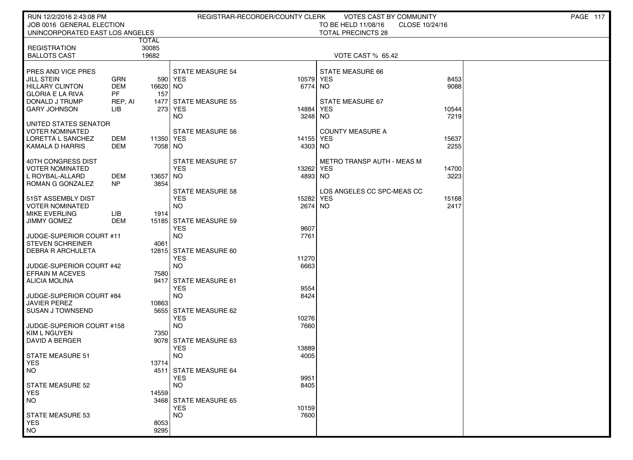| RUN 12/2/2016 2:43:08 PM                  |            |                      |                                      | REGISTRAR-RECORDER/COUNTY CLERK | VOTES CAST BY COMMUNITY               |               | PAGE 117 |
|-------------------------------------------|------------|----------------------|--------------------------------------|---------------------------------|---------------------------------------|---------------|----------|
| JOB 0016 GENERAL ELECTION                 |            |                      |                                      |                                 | TO BE HELD 11/08/16<br>CLOSE 10/24/16 |               |          |
| UNINCORPORATED EAST LOS ANGELES           |            |                      |                                      |                                 | <b>TOTAL PRECINCTS 28</b>             |               |          |
|                                           |            | TOTAL                |                                      |                                 |                                       |               |          |
| <b>REGISTRATION</b>                       |            | 30085<br>19682       |                                      |                                 | VOTE CAST % 65.42                     |               |          |
| <b>BALLOTS CAST</b>                       |            |                      |                                      |                                 |                                       |               |          |
| <b>PRES AND VICE PRES</b>                 |            |                      | <b>STATE MEASURE 54</b>              |                                 | STATE MEASURE 66                      |               |          |
| JILL STEIN                                | <b>GRN</b> |                      | 590 YES                              | 10579 YES                       |                                       | 8453          |          |
| <b>HILLARY CLINTON</b>                    | DEM        | 16620 NO             |                                      | 6774 NO                         |                                       | 9088          |          |
| GLORIA E LA RIVA                          | PF         | 157                  |                                      |                                 |                                       |               |          |
| DONALD J TRUMP                            | REP, AI    | 1477                 | STATE MEASURE 55                     |                                 | <b>STATE MEASURE 67</b>               |               |          |
| <b>GARY JOHNSON</b>                       | LIB        |                      | 273 YES                              | 14884                           | <b>YES</b>                            | 10544         |          |
|                                           |            |                      | NO.                                  | 3248 NO                         |                                       | 7219          |          |
| I UNITED STATES SENATOR                   |            |                      |                                      |                                 |                                       |               |          |
| VOTER NOMINATED                           |            |                      | <b>STATE MEASURE 56</b>              |                                 | <b>COUNTY MEASURE A</b>               |               |          |
| LORETTA L SANCHEZ<br>  KAMALA D HARRIS    | DEM<br>DEM | 11350 YES<br>7058 NO |                                      | 14155 YES                       |                                       | 15637<br>2255 |          |
|                                           |            |                      |                                      | 4303 NO                         |                                       |               |          |
| 40TH CONGRESS DIST                        |            |                      | <b>STATE MEASURE 57</b>              |                                 | METRO TRANSP AUTH - MEAS M            |               |          |
| I VOTER NOMINATED                         |            |                      | <b>YES</b>                           | 13262                           | <b>YES</b>                            | 14700         |          |
| L ROYBAL-ALLARD                           | <b>DEM</b> | 13657 NO             |                                      | 4893 NO                         |                                       | 3223          |          |
| ROMAN G GONZALEZ                          | NP         | 3854                 |                                      |                                 |                                       |               |          |
|                                           |            |                      | <b>STATE MEASURE 58</b>              |                                 | LOS ANGELES CC SPC-MEAS CC            |               |          |
| 51ST ASSEMBLY DIST                        |            |                      | <b>YES</b>                           | 15282                           | YES                                   | 15168         |          |
| VOTER NOMINATED                           |            |                      | <b>NO</b>                            | 2674 NO                         |                                       | 2417          |          |
| <b>MIKE EVERLING</b>                      | LIB        | 1914                 |                                      |                                 |                                       |               |          |
| <b>JIMMY GOMEZ</b>                        | DEM        |                      | 15185 STATE MEASURE 59<br><b>YES</b> | 9607                            |                                       |               |          |
| JUDGE-SUPERIOR COURT #11                  |            |                      | <b>NO</b>                            | 7761                            |                                       |               |          |
| STEVEN SCHREINER                          |            | 4061                 |                                      |                                 |                                       |               |          |
| DEBRA R ARCHULETA                         |            |                      | 12815 STATE MEASURE 60               |                                 |                                       |               |          |
|                                           |            |                      | <b>YES</b>                           | 11270                           |                                       |               |          |
| JUDGE-SUPERIOR COURT #42                  |            |                      | <b>NO</b>                            | 6663                            |                                       |               |          |
| <b>EFRAIN M ACEVES</b>                    |            | 7580                 |                                      |                                 |                                       |               |          |
| ALICIA MOLINA                             |            | 9417                 | STATE MEASURE 61                     |                                 |                                       |               |          |
|                                           |            |                      | <b>YES</b>                           | 9554                            |                                       |               |          |
| JUDGE-SUPERIOR COURT #84                  |            |                      | <b>NO</b>                            | 8424                            |                                       |               |          |
| <b>JAVIER PEREZ</b><br>I SUSAN J TOWNSEND |            | 10863<br>5655        | STATE MEASURE 62                     |                                 |                                       |               |          |
|                                           |            |                      | <b>YES</b>                           | 10276                           |                                       |               |          |
| JUDGE-SUPERIOR COURT #158                 |            |                      | <b>NO</b>                            | 7660                            |                                       |               |          |
| KIM L NGUYEN                              |            | 7350                 |                                      |                                 |                                       |               |          |
| DAVID A BERGER                            |            |                      | 9078 STATE MEASURE 63                |                                 |                                       |               |          |
|                                           |            |                      | <b>YES</b>                           | 13889                           |                                       |               |          |
| STATE MEASURE 51                          |            |                      | <b>NO</b>                            | 4005                            |                                       |               |          |
| <b>YES</b>                                |            | 13714                |                                      |                                 |                                       |               |          |
| NO                                        |            |                      | 4511 STATE MEASURE 64                |                                 |                                       |               |          |
| STATE MEASURE 52                          |            |                      | <b>YES</b><br><b>NO</b>              | 9951<br>8405                    |                                       |               |          |
| <b>YES</b>                                |            | 14559                |                                      |                                 |                                       |               |          |
| NO                                        |            |                      | 3468 STATE MEASURE 65                |                                 |                                       |               |          |
|                                           |            |                      | <b>YES</b>                           | 10159                           |                                       |               |          |
| STATE MEASURE 53                          |            |                      | <b>NO</b>                            | 7600                            |                                       |               |          |
| <b>YES</b>                                |            | 8053                 |                                      |                                 |                                       |               |          |
| NO <sub>1</sub>                           |            | 9295                 |                                      |                                 |                                       |               |          |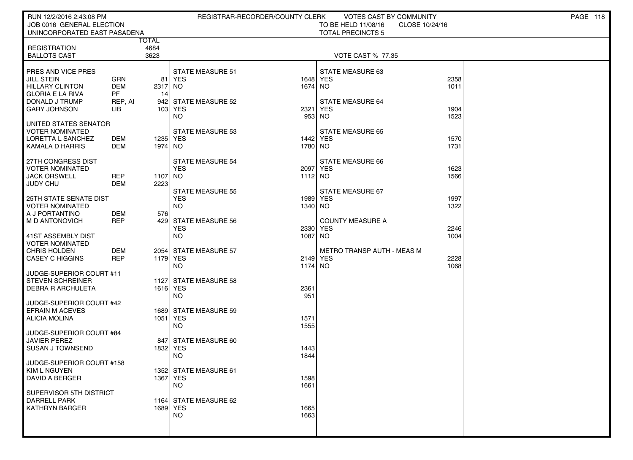| RUN 12/2/2016 2:43:08 PM                         |            |              | REGISTRAR-RECORDER/COUNTY CLERK |                     | <b>VOTES CAST BY COMMUNITY</b> |                | PAGE 118 |
|--------------------------------------------------|------------|--------------|---------------------------------|---------------------|--------------------------------|----------------|----------|
| JOB 0016 GENERAL ELECTION                        |            |              |                                 |                     | TO BE HELD 11/08/16            | CLOSE 10/24/16 |          |
| UNINCORPORATED EAST PASADENA                     |            |              |                                 |                     | <b>TOTAL PRECINCTS 5</b>       |                |          |
|                                                  |            | TOTAL        |                                 |                     |                                |                |          |
| <b>REGISTRATION</b><br><b>BALLOTS CAST</b>       |            | 4684<br>3623 |                                 |                     | <b>VOTE CAST % 77.35</b>       |                |          |
|                                                  |            |              |                                 |                     |                                |                |          |
| <b>PRES AND VICE PRES</b>                        |            |              | <b>STATE MEASURE 51</b>         |                     | STATE MEASURE 63               |                |          |
| <b>JILL STEIN</b>                                | <b>GRN</b> | 81           | YES                             | 1648 YES            |                                | 2358           |          |
| <b>HILLARY CLINTON</b>                           | <b>DEM</b> | 2317 NO      |                                 | 1674 NO             |                                | 1011           |          |
| <b>GLORIA E LA RIVA</b>                          | PF         | -14          |                                 |                     |                                |                |          |
| I DONALD J TRUMP                                 | REP, AI    |              | 942 STATE MEASURE 52            |                     | <b>STATE MEASURE 64</b>        |                |          |
| <b>GARY JOHNSON</b>                              | ЦB         |              | 103 YES                         | 2321                | <b>YES</b>                     | 1904           |          |
|                                                  |            |              | NO.                             | 953 NO              |                                | 1523           |          |
| UNITED STATES SENATOR                            |            |              |                                 |                     |                                |                |          |
| I VOTER NOMINATED<br><b>LORETTA L SANCHEZ</b>    | DEM        | 1235 YES     | <b>STATE MEASURE 53</b>         | 1442 YES            | <b>STATE MEASURE 65</b>        | 1570           |          |
| KAMALA D HARRIS                                  | DEM        | 1974 NO      |                                 | 1780 NO             |                                | 1731           |          |
|                                                  |            |              |                                 |                     |                                |                |          |
| 27TH CONGRESS DIST                               |            |              | <b>STATE MEASURE 54</b>         |                     | STATE MEASURE 66               |                |          |
| <b>VOTER NOMINATED</b>                           |            |              | <b>YES</b>                      | 2097 YES            |                                | 1623           |          |
| <b>JACK ORSWELL</b>                              | <b>REP</b> | 1107 NO      |                                 | 1112 NO             |                                | 1566           |          |
| <b>JUDY CHU</b>                                  | DEM        | 2223         |                                 |                     |                                |                |          |
|                                                  |            |              | <b>STATE MEASURE 55</b>         |                     | STATE MEASURE 67               |                |          |
| 25TH STATE SENATE DIST<br><b>VOTER NOMINATED</b> |            |              | <b>YES</b><br><b>NO</b>         | 1989 YES<br>1340 NO |                                | 1997<br>1322   |          |
| A J PORTANTINO                                   | <b>DEM</b> | 576          |                                 |                     |                                |                |          |
| I M D ANTONOVICH                                 | REP        | 429          | <b>STATE MEASURE 56</b>         |                     | <b>COUNTY MEASURE A</b>        |                |          |
|                                                  |            |              | <b>YES</b>                      | 2330                | YES                            | 2246           |          |
| 41ST ASSEMBLY DIST                               |            |              | NO.                             | 1087 NO             |                                | 1004           |          |
| <b>VOTER NOMINATED</b>                           |            |              |                                 |                     |                                |                |          |
| CHRIS HOLDEN                                     | DEM        |              | 2054 STATE MEASURE 57           |                     | METRO TRANSP AUTH - MEAS M     |                |          |
| I CASEY C HIGGINS                                | REP        | 1179 YES     |                                 | 2149 YES            |                                | 2228           |          |
| JUDGE-SUPERIOR COURT #11                         |            |              | <b>NO</b>                       | 1174 NO             |                                | 1068           |          |
| STEVEN SCHREINER                                 |            |              | 1127 STATE MEASURE 58           |                     |                                |                |          |
| I DEBRA R ARCHULETA                              |            | 1616 YES     |                                 | 2361                |                                |                |          |
|                                                  |            |              | <b>NO</b>                       | 951                 |                                |                |          |
| JUDGE-SUPERIOR COURT #42                         |            |              |                                 |                     |                                |                |          |
| <b>EFRAIN M ACEVES</b>                           |            |              | 1689 STATE MEASURE 59           |                     |                                |                |          |
| ALICIA MOLINA                                    |            | 1051   YES   |                                 | 1571                |                                |                |          |
|                                                  |            |              | NO.                             | 1555                |                                |                |          |
| JUDGE-SUPERIOR COURT #84                         |            |              |                                 |                     |                                |                |          |
| <b>JAVIER PEREZ</b><br>I SUSAN J TOWNSEND        |            | 1832   YES   | 847 STATE MEASURE 60            | 1443                |                                |                |          |
|                                                  |            |              | NO                              | 1844                |                                |                |          |
| JUDGE-SUPERIOR COURT #158                        |            |              |                                 |                     |                                |                |          |
| KIM L NGUYEN                                     |            |              | 1352 STATE MEASURE 61           |                     |                                |                |          |
| DAVID A BERGER                                   |            | 1367 YES     |                                 | 1598                |                                |                |          |
|                                                  |            |              | <b>NO</b>                       | 1661                |                                |                |          |
| SUPERVISOR 5TH DISTRICT                          |            |              |                                 |                     |                                |                |          |
| <b>DARRELL PARK</b>                              |            |              | 1164 STATE MEASURE 62           |                     |                                |                |          |
| <b>KATHRYN BARGER</b>                            |            | 1689 YES     | NO.                             | 1665<br>1663        |                                |                |          |
|                                                  |            |              |                                 |                     |                                |                |          |
|                                                  |            |              |                                 |                     |                                |                |          |
|                                                  |            |              |                                 |                     |                                |                |          |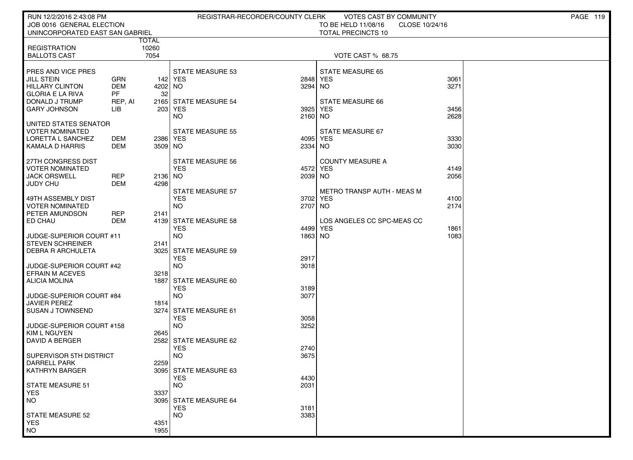| RUN 12/2/2016 2:43:08 PM                            |                         |                       | REGISTRAR-RECORDER/COUNTY CLERK     |         | VOTES CAST BY COMMUNITY           |                | PAGE 119 |
|-----------------------------------------------------|-------------------------|-----------------------|-------------------------------------|---------|-----------------------------------|----------------|----------|
| JOB 0016 GENERAL ELECTION                           |                         |                       |                                     |         | TO BE HELD 11/08/16               | CLOSE 10/24/16 |          |
| UNINCORPORATED EAST SAN GABRIEL                     |                         |                       |                                     |         | <b>TOTAL PRECINCTS 10</b>         |                |          |
| <b>REGISTRATION</b>                                 |                         | <b>TOTAL</b><br>10260 |                                     |         |                                   |                |          |
| <b>BALLOTS CAST</b>                                 |                         | 7054                  |                                     |         | VOTE CAST % 68.75                 |                |          |
|                                                     |                         |                       |                                     |         |                                   |                |          |
| <b>PRES AND VICE PRES</b>                           |                         |                       | <b>STATE MEASURE 53</b>             |         | <b>STATE MEASURE 65</b>           |                |          |
| JILL STEIN                                          | <b>GRN</b>              |                       | 142 YES                             | 2848    | <b>YES</b>                        | 3061           |          |
| <b>HILLARY CLINTON</b>                              | <b>DEM</b><br><b>PF</b> | 4202                  | NO                                  | 3294    | NO.                               | 3271           |          |
| GLORIA E LA RIVA<br>DONALD J TRUMP                  | REP, AI                 | 32                    | 2165 STATE MEASURE 54               |         | STATE MEASURE 66                  |                |          |
| <b>GARY JOHNSON</b>                                 | LIB                     | 203                   | YES                                 | 3925    | <b>YES</b>                        | 3456           |          |
|                                                     |                         |                       | <b>NO</b>                           | 2160    | NO.                               | 2628           |          |
| UNITED STATES SENATOR                               |                         |                       |                                     |         |                                   |                |          |
| VOTER NOMINATED                                     |                         |                       | <b>STATE MEASURE 55</b>             |         | STATE MEASURE 67                  |                |          |
| LORETTA L SANCHEZ                                   | DEM                     | 2386 YES              |                                     | 4095    | <b>YES</b>                        | 3330           |          |
| KAMALA D HARRIS                                     | DEM                     | 3509 NO               |                                     | 2334    | <b>NO</b>                         | 3030           |          |
| 27TH CONGRESS DIST                                  |                         |                       | STATE MEASURE 56                    |         | <b>COUNTY MEASURE A</b>           |                |          |
| VOTER NOMINATED                                     |                         |                       | <b>YES</b>                          | 4572    | <b>YES</b>                        | 4149           |          |
| <b>JACK ORSWELL</b>                                 | REP                     | 2136 NO               |                                     | 2039 NO |                                   | 2056           |          |
| JUDY CHU                                            | <b>DEM</b>              | 4298                  | <b>STATE MEASURE 57</b>             |         | <b>METRO TRANSP AUTH - MEAS M</b> |                |          |
| 49TH ASSEMBLY DIST                                  |                         |                       | <b>YES</b>                          | 3702    | <b>YES</b>                        | 4100           |          |
| I VOTER NOMINATED                                   |                         |                       | NO.                                 | 2707 NO |                                   | 2174           |          |
| <b>PETER AMUNDSON</b>                               | REP                     | 2141                  |                                     |         |                                   |                |          |
| <b>ED CHAU</b>                                      | DEM                     |                       | 4139 STATE MEASURE 58               |         | LOS ANGELES CC SPC-MEAS CC        |                |          |
|                                                     |                         |                       | <b>YES</b>                          | 4499    | <b>YES</b>                        | 1861           |          |
| UUDGE-SUPERIOR COURT #11<br><b>STEVEN SCHREINER</b> |                         | 2141                  | NO.                                 | 1863    | NO.                               | 1083           |          |
| DEBRA R ARCHULETA                                   |                         | 3025                  | <b>STATE MEASURE 59</b>             |         |                                   |                |          |
|                                                     |                         |                       | <b>YES</b>                          | 2917    |                                   |                |          |
| UUDGE-SUPERIOR COURT #42                            |                         |                       | NO.                                 | 3018    |                                   |                |          |
| <b>EFRAIN M ACEVES</b>                              |                         | 3218                  |                                     |         |                                   |                |          |
| ALICIA MOLINA                                       |                         | 1887                  | <b>STATE MEASURE 60</b><br>YES      | 3189    |                                   |                |          |
| JUDGE-SUPERIOR COURT #84                            |                         |                       | <b>NO</b>                           | 3077    |                                   |                |          |
| JAVIER PEREZ                                        |                         | 1814                  |                                     |         |                                   |                |          |
| I SUSAN J TOWNSEND                                  |                         | 3274                  | <b>STATE MEASURE 61</b>             |         |                                   |                |          |
|                                                     |                         |                       | <b>YES</b>                          | 3058    |                                   |                |          |
| JUDGE-SUPERIOR COURT #158<br><b>KIM L NGUYEN</b>    |                         | 2645                  | NO.                                 | 3252    |                                   |                |          |
| l DAVID A BERGER                                    |                         |                       | 2582 STATE MEASURE 62               |         |                                   |                |          |
|                                                     |                         |                       | <b>YES</b>                          | 2740    |                                   |                |          |
| SUPERVISOR 5TH DISTRICT                             |                         |                       | <b>NO</b>                           | 3675    |                                   |                |          |
| DARRELL PARK                                        |                         | 2259                  |                                     |         |                                   |                |          |
| KATHRYN BARGER                                      |                         |                       | 3095 STATE MEASURE 63<br><b>YES</b> | 4430    |                                   |                |          |
| STATE MEASURE 51                                    |                         |                       | <b>NO</b>                           | 2031    |                                   |                |          |
| <b>YES</b>                                          |                         | 3337                  |                                     |         |                                   |                |          |
| NO <sub>1</sub>                                     |                         | 3095                  | <b>STATE MEASURE 64</b>             |         |                                   |                |          |
|                                                     |                         |                       | <b>YES</b>                          | 3181    |                                   |                |          |
| STATE MEASURE 52<br><b>YES</b>                      |                         | 4351                  | <b>NO</b>                           | 3383    |                                   |                |          |
| <b>NO</b>                                           |                         | 1955                  |                                     |         |                                   |                |          |
|                                                     |                         |                       |                                     |         |                                   |                |          |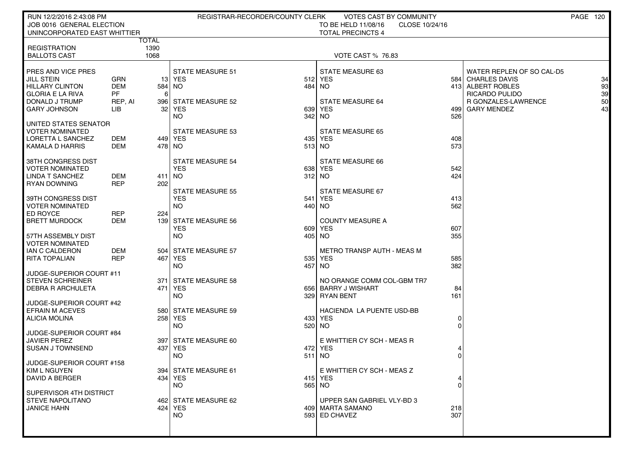| RUN 12/2/2016 2:43:08 PM                                  |                   |                 | REGISTRAR-RECORDER/COUNTY CLERK | VOTES CAST BY COMMUNITY                                           |             |                                        | PAGE 120 |          |
|-----------------------------------------------------------|-------------------|-----------------|---------------------------------|-------------------------------------------------------------------|-------------|----------------------------------------|----------|----------|
| JOB 0016 GENERAL ELECTION<br>UNINCORPORATED EAST WHITTIER |                   |                 |                                 | TO BE HELD 11/08/16<br>CLOSE 10/24/16<br><b>TOTAL PRECINCTS 4</b> |             |                                        |          |          |
|                                                           |                   | TOTAL           |                                 |                                                                   |             |                                        |          |          |
| <b>REGISTRATION</b><br><b>BALLOTS CAST</b>                |                   | 1390<br>1068    |                                 | <b>VOTE CAST % 76.83</b>                                          |             |                                        |          |          |
|                                                           |                   |                 |                                 |                                                                   |             |                                        |          |          |
| PRES AND VICE PRES                                        |                   |                 | <b>STATE MEASURE 51</b>         | STATE MEASURE 63                                                  |             | WATER REPLEN OF SO CAL-D5              |          |          |
| JILL STEIN<br><b>HILLARY CLINTON</b>                      | GRN<br><b>DEM</b> | 584 NO          | <b>13 YES</b>                   | 512 YES<br>484 NO                                                 |             | 584 CHARLES DAVIS<br>413 ALBERT ROBLES |          | 34<br>93 |
| <b>GLORIA E LA RIVA</b>                                   | <b>PF</b>         | 6               |                                 |                                                                   |             | RICARDO PULIDO                         |          | 39       |
| DONALD J TRUMP                                            | REP, AI           |                 | 396 STATE MEASURE 52            | <b>STATE MEASURE 64</b>                                           |             | <b>R GONZALES-LAWRENCE</b>             |          | 50       |
| GARY JOHNSON                                              | LIB               | 32 <sub>1</sub> | YES<br><b>NO</b>                | 639 YES<br>342 NO                                                 | 4991<br>526 | <b>GARY MENDEZ</b>                     |          | 43       |
| UNITED STATES SENATOR                                     |                   |                 |                                 |                                                                   |             |                                        |          |          |
| VOTER NOMINATED                                           |                   |                 | <b>STATE MEASURE 53</b>         | <b>STATE MEASURE 65</b>                                           |             |                                        |          |          |
| LORETTA L SANCHEZ<br>KAMALA D HARRIS                      | DEM<br>DEM        | 478 NO          | 449 YES                         | 435 YES<br>513 NO                                                 | 408<br>573  |                                        |          |          |
|                                                           |                   |                 |                                 |                                                                   |             |                                        |          |          |
| 38TH CONGRESS DIST                                        |                   |                 | <b>STATE MEASURE 54</b>         | STATE MEASURE 66                                                  |             |                                        |          |          |
| <b>VOTER NOMINATED</b><br><b>LINDA T SANCHEZ</b>          | <b>DEM</b>        | 411 NO          | <b>YES</b>                      | 638 YES<br>312 NO                                                 | 542<br>424  |                                        |          |          |
| <b>RYAN DOWNING</b>                                       | <b>REP</b>        | 202             |                                 |                                                                   |             |                                        |          |          |
|                                                           |                   |                 | <b>STATE MEASURE 55</b>         | STATE MEASURE 67                                                  |             |                                        |          |          |
| 39TH CONGRESS DIST<br><b>VOTER NOMINATED</b>              |                   |                 | <b>YES</b><br><b>NO</b>         | 541 YES<br>440 NO                                                 | 413<br>562  |                                        |          |          |
| ED ROYCE                                                  | <b>REP</b>        | 224             |                                 |                                                                   |             |                                        |          |          |
| <b>BRETT MURDOCK</b>                                      | <b>DEM</b>        |                 | 139 STATE MEASURE 56            | <b>COUNTY MEASURE A</b>                                           |             |                                        |          |          |
| 57TH ASSEMBLY DIST                                        |                   |                 | <b>YES</b><br>NO.               | 609 YES<br>405 NO                                                 | 607<br>355  |                                        |          |          |
| <b>VOTER NOMINATED</b>                                    |                   |                 |                                 |                                                                   |             |                                        |          |          |
| IAN C CALDERON                                            | <b>DEM</b>        |                 | 504 STATE MEASURE 57            | <b>METRO TRANSP AUTH - MEAS M</b>                                 |             |                                        |          |          |
| RITA TOPALIAN                                             | <b>REP</b>        |                 | 467 YES<br><b>NO</b>            | 535 YES<br>457 NO                                                 | 585<br>382  |                                        |          |          |
| JUDGE-SUPERIOR COURT #11                                  |                   |                 |                                 |                                                                   |             |                                        |          |          |
| <b>STEVEN SCHREINER</b>                                   |                   | 371             | <b>STATE MEASURE 58</b>         | NO ORANGE COMM COL-GBM TR7                                        |             |                                        |          |          |
| <b>DEBRA R ARCHULETA</b>                                  |                   | 471 l           | YES<br><b>NO</b>                | 656 BARRY J WISHART<br>329 RYAN BENT                              | 84<br>161   |                                        |          |          |
| JUDGE-SUPERIOR COURT #42                                  |                   |                 |                                 |                                                                   |             |                                        |          |          |
| <b>EFRAIN M ACEVES</b>                                    |                   |                 | 580 STATE MEASURE 59            | HACIENDA LA PUENTE USD-BB                                         |             |                                        |          |          |
| <b>ALICIA MOLINA</b>                                      |                   |                 | 258 YES<br><b>NO</b>            | 433 YES<br>520 NO                                                 | 0           |                                        |          |          |
| JUDGE-SUPERIOR COURT #84                                  |                   |                 |                                 |                                                                   | 0           |                                        |          |          |
| <b>JAVIER PEREZ</b>                                       |                   |                 | 397 STATE MEASURE 60            | E WHITTIER CY SCH - MEAS R                                        |             |                                        |          |          |
| <b>SUSAN J TOWNSEND</b>                                   |                   | 437             | YES                             | 472 YES                                                           |             |                                        |          |          |
| JUDGE-SUPERIOR COURT #158                                 |                   |                 | <b>NO</b>                       | 511 NO                                                            | $\Omega$    |                                        |          |          |
| KIM L NGUYEN                                              |                   |                 | 394 STATE MEASURE 61            | E WHITTIER CY SCH - MEAS Z                                        |             |                                        |          |          |
| <b>DAVID A BERGER</b>                                     |                   |                 | 434 YES                         | 415 YES                                                           | 4           |                                        |          |          |
| SUPERVISOR 4TH DISTRICT                                   |                   |                 | NO.                             | 565 NO                                                            | 0           |                                        |          |          |
| <b>STEVE NAPOLITANO</b>                                   |                   |                 | 462 STATE MEASURE 62            | UPPER SAN GABRIEL VLY-BD 3                                        |             |                                        |          |          |
| <b>JANICE HAHN</b>                                        |                   |                 | 424   YES<br>NO.                | 409   MARTA SAMANO<br>593 ED CHAVEZ                               | 218<br>307  |                                        |          |          |
|                                                           |                   |                 |                                 |                                                                   |             |                                        |          |          |
|                                                           |                   |                 |                                 |                                                                   |             |                                        |          |          |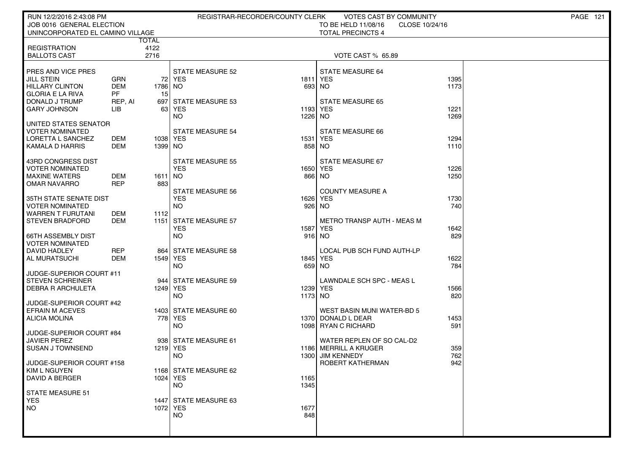| RUN 12/2/2016 2:43:08 PM                       |            |                      |                         | REGISTRAR-RECORDER/COUNTY CLERK | VOTES CAST BY COMMUNITY                |                | <b>PAGE 121</b> |
|------------------------------------------------|------------|----------------------|-------------------------|---------------------------------|----------------------------------------|----------------|-----------------|
| JOB 0016 GENERAL ELECTION                      |            |                      |                         |                                 | TO BE HELD 11/08/16                    | CLOSE 10/24/16 |                 |
| UNINCORPORATED EL CAMINO VILLAGE               |            |                      |                         |                                 | <b>TOTAL PRECINCTS 4</b>               |                |                 |
| <b>REGISTRATION</b>                            |            | <b>TOTAL</b><br>4122 |                         |                                 |                                        |                |                 |
| <b>BALLOTS CAST</b>                            |            | 2716                 |                         |                                 | VOTE CAST % 65.89                      |                |                 |
|                                                |            |                      |                         |                                 |                                        |                |                 |
| <b>PRES AND VICE PRES</b>                      |            |                      | <b>STATE MEASURE 52</b> |                                 | <b>STATE MEASURE 64</b>                |                |                 |
| <b>JILL STEIN</b>                              | <b>GRN</b> |                      | 72 YES                  | 1811                            | <b>YES</b>                             | 1395           |                 |
| <b>HILLARY CLINTON</b>                         | <b>DEM</b> | 1786                 | NO.                     | 693                             | NO                                     | 1173           |                 |
| <b>GLORIA E LA RIVA</b>                        | PF         | 15                   |                         |                                 |                                        |                |                 |
| DONALD J TRUMP                                 | REP, AI    | 697                  | STATE MEASURE 53        |                                 | <b>STATE MEASURE 65</b>                |                |                 |
| <b>GARY JOHNSON</b>                            | LІВ        | 63                   | YES<br>NO.              | 1193<br>1226                    | <b>YES</b><br>NO.                      | 1221<br>1269   |                 |
| I UNITED STATES SENATOR                        |            |                      |                         |                                 |                                        |                |                 |
| VOTER NOMINATED                                |            |                      | <b>STATE MEASURE 54</b> |                                 | STATE MEASURE 66                       |                |                 |
| LORETTA L SANCHEZ                              | DEM        | 1038   YES           |                         | 1531                            | <b>YES</b>                             | 1294           |                 |
| KAMALA D HARRIS                                | DEM        | 1399 NO              |                         | 858                             | NO.                                    | 1110           |                 |
|                                                |            |                      |                         |                                 |                                        |                |                 |
| 43RD CONGRESS DIST                             |            |                      | <b>STATE MEASURE 55</b> |                                 | STATE MEASURE 67                       |                |                 |
| <b>VOTER NOMINATED</b><br><b>MAXINE WATERS</b> | DEM        | 1611                 | <b>YES</b><br>NO        | 1650                            | <b>YES</b><br>866 NO                   | 1226<br>1250   |                 |
| <b>OMAR NAVARRO</b>                            | <b>REP</b> | 883                  |                         |                                 |                                        |                |                 |
|                                                |            |                      | <b>STATE MEASURE 56</b> |                                 | <b>COUNTY MEASURE A</b>                |                |                 |
| I 35TH STATE SENATE DIST                       |            |                      | <b>YES</b>              | 1626                            | <b>YES</b>                             | 1730           |                 |
| I VOTER NOMINATED                              |            |                      | <b>NO</b>               | 926                             | NO.                                    | 740            |                 |
| I WARREN T FURUTANI                            | <b>DEM</b> | 1112                 |                         |                                 |                                        |                |                 |
| <b>STEVEN BRADFORD</b>                         | DEM        | 1151                 | <b>STATE MEASURE 57</b> |                                 | <b>METRO TRANSP AUTH - MEAS M</b>      |                |                 |
| 66TH ASSEMBLY DIST                             |            |                      | <b>YES</b><br><b>NO</b> | 1587                            | <b>YES</b><br>916 NO                   | 1642<br>829    |                 |
| VOTER NOMINATED                                |            |                      |                         |                                 |                                        |                |                 |
| DAVID HADLEY                                   | REP        |                      | 864 STATE MEASURE 58    |                                 | LOCAL PUB SCH FUND AUTH-LP             |                |                 |
| AL MURATSUCHI                                  | DEM        | 1549   YES           |                         | 1845                            | <b>YES</b>                             | 1622           |                 |
|                                                |            |                      | <b>NO</b>               | 659                             | <b>NO</b>                              | 784            |                 |
| JUDGE-SUPERIOR COURT #11                       |            |                      |                         |                                 |                                        |                |                 |
| STEVEN SCHREINER                               |            |                      | 944 STATE MEASURE 59    |                                 | LAWNDALE SCH SPC - MEAS L              |                |                 |
| DEBRA R ARCHULETA                              |            | 1249   YES           | <b>NO</b>               | 1173 NO                         | 1239 YES                               | 1566<br>820    |                 |
| JUDGE-SUPERIOR COURT #42                       |            |                      |                         |                                 |                                        |                |                 |
| EFRAIN M ACEVES                                |            |                      | 1403 STATE MEASURE 60   |                                 | WEST BASIN MUNI WATER-BD 5             |                |                 |
| ALICIA MOLINA                                  |            |                      | 778   YES               |                                 | 1370 DONALD L DEAR                     | 1453           |                 |
|                                                |            |                      | <b>NO</b>               | 1098                            | <b>RYAN C RICHARD</b>                  | 591            |                 |
| JUDGE-SUPERIOR COURT #84                       |            |                      |                         |                                 |                                        |                |                 |
| JAVIER PEREZ                                   |            |                      | 938 STATE MEASURE 61    |                                 | WATER REPLEN OF SO CAL-D2              |                |                 |
| <b>SUSAN J TOWNSEND</b>                        |            | 1219 YES             | NO.                     | 1186<br>1300                    | MERRILL A KRUGER<br><b>JIM KENNEDY</b> | 359<br>762     |                 |
| JUDGE-SUPERIOR COURT #158                      |            |                      |                         |                                 | ROBERT KATHERMAN                       | 942            |                 |
| KIM L NGUYEN                                   |            |                      | 1168 STATE MEASURE 62   |                                 |                                        |                |                 |
| <b>DAVID A BERGER</b>                          |            | 1024 YES             |                         | 1165                            |                                        |                |                 |
|                                                |            |                      | <b>NO</b>               | 1345                            |                                        |                |                 |
| STATE MEASURE 51                               |            |                      |                         |                                 |                                        |                |                 |
| <b>YES</b><br>  NO                             |            | 1072 YES             | 1447 STATE MEASURE 63   | 1677                            |                                        |                |                 |
|                                                |            |                      | NO.                     | 848                             |                                        |                |                 |
|                                                |            |                      |                         |                                 |                                        |                |                 |
|                                                |            |                      |                         |                                 |                                        |                |                 |
|                                                |            |                      |                         |                                 |                                        |                |                 |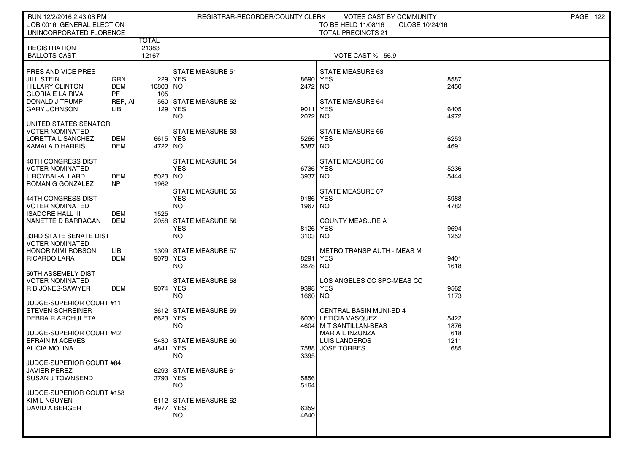| RUN 12/2/2016 2:43:08 PM                        |                         |                   |                                    | REGISTRAR-RECORDER/COUNTY CLERK | <b>VOTES CAST BY COMMUNITY</b>                  |              | PAGE 122 |
|-------------------------------------------------|-------------------------|-------------------|------------------------------------|---------------------------------|-------------------------------------------------|--------------|----------|
| JOB 0016 GENERAL ELECTION                       |                         |                   |                                    |                                 | TO BE HELD 11/08/16<br>CLOSE 10/24/16           |              |          |
| UNINCORPORATED FLORENCE                         |                         | <b>TOTAL</b>      |                                    |                                 | <b>TOTAL PRECINCTS 21</b>                       |              |          |
| <b>REGISTRATION</b>                             |                         | 21383             |                                    |                                 |                                                 |              |          |
| <b>BALLOTS CAST</b>                             |                         | 12167             |                                    |                                 | VOTE CAST % 56.9                                |              |          |
|                                                 |                         |                   |                                    |                                 |                                                 |              |          |
| PRES AND VICE PRES<br><b>JILL STEIN</b>         | GRN                     |                   | <b>STATE MEASURE 51</b><br>229 YES | 8690                            | STATE MEASURE 63<br><b>YES</b>                  | 8587         |          |
| <b>HILLARY CLINTON</b>                          | <b>DEM</b>              | 10803 NO          |                                    | 2472 NO                         |                                                 | 2450         |          |
| <b>GLORIA E LA RIVA</b>                         | PF                      | 105               |                                    |                                 |                                                 |              |          |
| DONALD J TRUMP                                  | REP, AI                 |                   | 560 STATE MEASURE 52               |                                 | STATE MEASURE 64                                |              |          |
| <b>GARY JOHNSON</b>                             | LІВ                     |                   | 129 YES<br><b>NO</b>               | 9011<br>2072                    | <b>YES</b><br>NO.                               | 6405<br>4972 |          |
| UNITED STATES SENATOR                           |                         |                   |                                    |                                 |                                                 |              |          |
| <b>VOTER NOMINATED</b>                          |                         |                   | <b>STATE MEASURE 53</b>            |                                 | <b>STATE MEASURE 65</b>                         |              |          |
| LORETTA L SANCHEZ                               | DEM                     | 6615 YES          |                                    | 5266                            | <b>YES</b>                                      | 6253         |          |
| KAMALA D HARRIS                                 | DEM                     | 4722 NO           |                                    | 5387                            | NO.                                             | 4691         |          |
| 40TH CONGRESS DIST                              |                         |                   | <b>STATE MEASURE 54</b>            |                                 | STATE MEASURE 66                                |              |          |
| <b>VOTER NOMINATED</b>                          |                         |                   | <b>YES</b>                         | 6736                            | <b>YES</b>                                      | 5236         |          |
| L ROYBAL-ALLARD<br>ROMAN G GONZALEZ             | <b>DEM</b><br><b>NP</b> | $5023$ NO<br>1962 |                                    | 3937                            | NO                                              | 5444         |          |
|                                                 |                         |                   | <b>STATE MEASURE 55</b>            |                                 | STATE MEASURE 67                                |              |          |
| 44TH CONGRESS DIST                              |                         |                   | <b>YES</b>                         | 9186                            | <b>YES</b>                                      | 5988         |          |
| <b>VOTER NOMINATED</b>                          |                         |                   | <b>NO</b>                          | 1967                            | NO                                              | 4782         |          |
| <b>ISADORE HALL III</b><br>NANETTE D BARRAGAN   | DEM<br>DEM              | 1525              | 2058 STATE MEASURE 56              |                                 | <b>COUNTY MEASURE A</b>                         |              |          |
|                                                 |                         |                   | <b>YES</b>                         | 8126                            | <b>YES</b>                                      | 9694         |          |
| 33RD STATE SENATE DIST                          |                         |                   | <b>NO</b>                          | 3103 NO                         |                                                 | 1252         |          |
| <b>VOTER NOMINATED</b>                          |                         |                   |                                    |                                 |                                                 |              |          |
| <b>HONOR MIMI ROBSON</b><br><b>RICARDO LARA</b> | LIB<br><b>DEM</b>       | 9078 YES          | 1309 STATE MEASURE 57              | 8291                            | <b>METRO TRANSP AUTH - MEAS M</b><br><b>YES</b> | 9401         |          |
|                                                 |                         |                   | <b>NO</b>                          | 2878                            | NO.                                             | 1618         |          |
| 59TH ASSEMBLY DIST                              |                         |                   |                                    |                                 |                                                 |              |          |
| VOTER NOMINATED                                 |                         |                   | <b>STATE MEASURE 58</b>            |                                 | LOS ANGELES CC SPC-MEAS CC                      |              |          |
| R B JONES-SAWYER                                | DEM                     | 9074 YES          | <b>NO</b>                          | 9398<br>1660 NO                 | <b>YES</b>                                      | 9562<br>1173 |          |
| JUDGE-SUPERIOR COURT #11                        |                         |                   |                                    |                                 |                                                 |              |          |
| <b>STEVEN SCHREINER</b>                         |                         |                   | 3612 STATE MEASURE 59              |                                 | <b>CENTRAL BASIN MUNI-BD 4</b>                  |              |          |
| DEBRA R ARCHULETA                               |                         | 6623 YES          | <b>NO</b>                          | 4604                            | 6030 LETICIA VASQUEZ<br>M T SANTILLAN-BEAS      | 5422<br>1876 |          |
| JUDGE-SUPERIOR COURT #42                        |                         |                   |                                    |                                 | MARIA L INZUNZA                                 | 618          |          |
| <b>EFRAIN M ACEVES</b>                          |                         |                   | 5430 STATE MEASURE 60              |                                 | <b>LUIS LANDEROS</b>                            | 1211         |          |
| <b>ALICIA MOLINA</b>                            |                         | 4841 YES          |                                    | 7588                            | <b>JOSE TORRES</b>                              | 685          |          |
| JUDGE-SUPERIOR COURT #84                        |                         |                   | <b>NO</b>                          | 3395                            |                                                 |              |          |
| <b>JAVIER PEREZ</b>                             |                         |                   | 6293 STATE MEASURE 61              |                                 |                                                 |              |          |
| <b>SUSAN J TOWNSEND</b>                         |                         | 3793 YES          |                                    | 5856                            |                                                 |              |          |
|                                                 |                         |                   | <b>NO</b>                          | 5164                            |                                                 |              |          |
| JUDGE-SUPERIOR COURT #158<br>KIM L NGUYEN       |                         |                   | 5112 STATE MEASURE 62              |                                 |                                                 |              |          |
| DAVID A BERGER                                  |                         | 4977 YES          |                                    | 6359                            |                                                 |              |          |
|                                                 |                         |                   | <b>NO</b>                          | 4640                            |                                                 |              |          |
|                                                 |                         |                   |                                    |                                 |                                                 |              |          |
|                                                 |                         |                   |                                    |                                 |                                                 |              |          |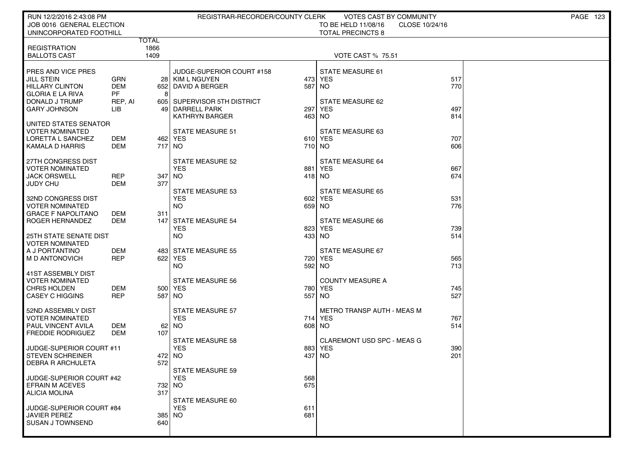| RUN 12/2/2016 2:43:08 PM<br>JOB 0016 GENERAL ELECTION<br>UNINCORPORATED FOOTHILL                                               |                                                                    | REGISTRAR-RECORDER/COUNTY CLERK                                                                                                             | <b>VOTES CAST BY COMMUNITY</b><br>TO BE HELD 11/08/16<br>CLOSE 10/24/16<br><b>TOTAL PRECINCTS 8</b> | <b>PAGE 123</b>   |
|--------------------------------------------------------------------------------------------------------------------------------|--------------------------------------------------------------------|---------------------------------------------------------------------------------------------------------------------------------------------|-----------------------------------------------------------------------------------------------------|-------------------|
| <b>REGISTRATION</b><br><b>BALLOTS CAST</b>                                                                                     | TOTAL<br>1866<br>1409                                              |                                                                                                                                             | <b>VOTE CAST % 75.51</b>                                                                            |                   |
| PRES AND VICE PRES<br><b>JILL STEIN</b><br><b>HILLARY CLINTON</b><br><b>GLORIA E LA RIVA</b><br>DONALD J TRUMP<br>GARY JOHNSON | GRN<br><b>DEM</b><br>652<br><b>PF</b><br>8<br>REP. AI<br>LІB<br>49 | JUDGE-SUPERIOR COURT #158<br>28 KIM L NGUYEN<br>473<br>587<br>  DAVID A BERGER<br>605 SUPERVISOR 5TH DISTRICT<br><b>DARRELL PARK</b><br>297 | <b>STATE MEASURE 61</b><br><b>YES</b><br><b>NO</b><br>STATE MEASURE 62<br><b>YES</b>                | 517<br>770<br>497 |
| UNITED STATES SENATOR<br>VOTER NOMINATED<br>LORETTA L SANCHEZ<br>KAMALA D HARRIS                                               | DEM<br><b>DEM</b>                                                  | 463<br><b>KATHRYN BARGER</b><br><b>STATE MEASURE 51</b><br>462   YES<br>717 NO                                                              | NO.<br>STATE MEASURE 63<br>610 YES<br>710 NO                                                        | 814<br>707<br>606 |
| 27TH CONGRESS DIST<br><b>VOTER NOMINATED</b><br><b>JACK ORSWELL</b><br>JUDY CHU                                                | <b>REP</b><br>347<br><b>DEM</b><br>377                             | <b>STATE MEASURE 52</b><br><b>YES</b><br>881<br>  NO                                                                                        | STATE MEASURE 64<br><b>YES</b><br>418 NO                                                            | 667<br>674        |
| 32ND CONGRESS DIST<br>VOTER NOMINATED<br><b>GRACE F NAPOLITANO</b><br>ROGER HERNANDEZ                                          | DEM<br>311<br>DEM<br>147                                           | <b>STATE MEASURE 53</b><br><b>YES</b><br>602<br><b>NO</b><br><b>STATE MEASURE 54</b><br><b>YES</b><br>823                                   | <b>STATE MEASURE 65</b><br><b>YES</b><br>659 NO<br>STATE MEASURE 66<br><b>YES</b>                   | 531<br>776<br>739 |
| 25TH STATE SENATE DIST<br><b>VOTER NOMINATED</b><br>A J PORTANTINO<br>M D ANTONOVICH                                           | DEM<br>REP                                                         | <b>NO</b><br>433<br>483 STATE MEASURE 55<br>622 YES<br>720<br>NO.<br>592                                                                    | <b>NO</b><br>STATE MEASURE 67<br><b>YES</b><br><b>NO</b>                                            | 514<br>565<br>713 |
| 41ST ASSEMBLY DIST<br><b>VOTER NOMINATED</b><br><b>CHRIS HOLDEN</b><br><b>CASEY C HIGGINS</b>                                  | DEM<br><b>REP</b><br>587                                           | <b>STATE MEASURE 56</b><br>500 YES<br>780<br>  NO<br>557                                                                                    | <b>COUNTY MEASURE A</b><br><b>YES</b><br>NO.                                                        | 745<br>527        |
| 52ND ASSEMBLY DIST<br><b>VOTER NOMINATED</b><br>PAUL VINCENT AVILA<br><b>FREDDIE RODRIGUEZ</b>                                 | DEM<br>107<br>DEM                                                  | <b>STATE MEASURE 57</b><br><b>YES</b><br>714<br>$62$ NO<br>608                                                                              | METRO TRANSP AUTH - MEAS M<br><b>YES</b><br><b>NO</b>                                               | 767<br>514        |
| JUDGE-SUPERIOR COURT #11<br><b>STEVEN SCHREINER</b><br><b>DEBRA R ARCHULETA</b>                                                | 572                                                                | <b>STATE MEASURE 58</b><br><b>YES</b><br>883<br>472 NO<br>437<br>STATE MEASURE 59                                                           | <b>CLAREMONT USD SPC - MEAS G</b><br><b>YES</b><br><b>NO</b>                                        | 390<br>201        |
| JUDGE-SUPERIOR COURT #42<br><b>EFRAIN M ACEVES</b><br><b>ALICIA MOLINA</b><br>JUDGE-SUPERIOR COURT #84                         | 317                                                                | <b>YES</b><br>568<br>675<br>732 NO<br>STATE MEASURE 60<br><b>YES</b><br>611                                                                 |                                                                                                     |                   |
| JAVIER PEREZ<br>SUSAN J TOWNSEND                                                                                               | 640                                                                | 385 NO<br>681                                                                                                                               |                                                                                                     |                   |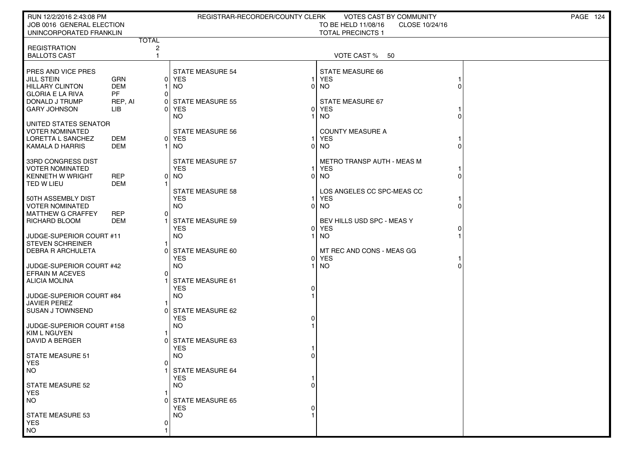| RUN 12/2/2016 2:43:08 PM                             |                      |                | REGISTRAR-RECORDER/COUNTY CLERK       |                | VOTES CAST BY COMMUNITY                                           | PAGE 124 |
|------------------------------------------------------|----------------------|----------------|---------------------------------------|----------------|-------------------------------------------------------------------|----------|
| JOB 0016 GENERAL ELECTION<br>UNINCORPORATED FRANKLIN |                      |                |                                       |                | TO BE HELD 11/08/16<br>CLOSE 10/24/16<br><b>TOTAL PRECINCTS 1</b> |          |
|                                                      |                      | <b>TOTAL</b>   |                                       |                |                                                                   |          |
| <b>REGISTRATION</b>                                  |                      | $\overline{c}$ |                                       |                |                                                                   |          |
| <b>BALLOTS CAST</b>                                  |                      | $\mathbf{1}$   |                                       |                | VOTE CAST % 50                                                    |          |
| PRES AND VICE PRES                                   |                      |                | <b>STATE MEASURE 54</b>               |                | <b>STATE MEASURE 66</b>                                           |          |
| <b>JILL STEIN</b>                                    | <b>GRN</b>           |                | 0 YES                                 |                | <b>YES</b>                                                        |          |
| <b>HILLARY CLINTON</b>                               | <b>DEM</b>           |                | <b>NO</b>                             | $\Omega$       | <b>NO</b>                                                         |          |
| <b>GLORIA E LA RIVA</b><br>DONALD J TRUMP            | <b>PF</b><br>REP, AI | $\Omega$<br>0  | <b>STATE MEASURE 55</b>               |                | <b>STATE MEASURE 67</b>                                           |          |
| <b>GARY JOHNSON</b>                                  | LIB                  | $\Omega$       | YES                                   |                | 0 YES                                                             |          |
|                                                      |                      |                | <b>NO</b>                             |                | <b>NO</b>                                                         |          |
| UNITED STATES SENATOR                                |                      |                |                                       |                |                                                                   |          |
| <b>VOTER NOMINATED</b><br><b>LORETTA L SANCHEZ</b>   | DEM                  |                | <b>STATE MEASURE 56</b><br>0 YES      |                | <b>COUNTY MEASURE A</b><br><b>YES</b>                             |          |
| KAMALA D HARRIS                                      | <b>DEM</b>           |                | NO                                    | $\Omega$       | <b>NO</b>                                                         |          |
|                                                      |                      |                |                                       |                |                                                                   |          |
| 33RD CONGRESS DIST                                   |                      |                | <b>STATE MEASURE 57</b>               |                | <b>METRO TRANSP AUTH - MEAS M</b>                                 |          |
| <b>VOTER NOMINATED</b><br><b>KENNETH W WRIGHT</b>    | <b>REP</b>           |                | <b>YES</b>                            | $\Omega$       | <b>YES</b><br>NO.                                                 |          |
| TED W LIEU                                           | <b>DEM</b>           | 0              | NO                                    |                |                                                                   |          |
|                                                      |                      |                | <b>STATE MEASURE 58</b>               |                | LOS ANGELES CC SPC-MEAS CC                                        |          |
| 50TH ASSEMBLY DIST                                   |                      |                | <b>YES</b>                            |                | <b>YES</b>                                                        |          |
| <b>VOTER NOMINATED</b>                               |                      |                | <b>NO</b>                             | $\Omega$       | <b>NO</b>                                                         |          |
| MATTHEW G CRAFFEY<br><b>RICHARD BLOOM</b>            | REP<br>DEM           | 0              | <b>STATE MEASURE 59</b>               |                | BEV HILLS USD SPC - MEAS Y                                        |          |
|                                                      |                      |                | <b>YES</b>                            | $\overline{0}$ | YES                                                               |          |
| JUDGE-SUPERIOR COURT #11                             |                      |                | <b>NO</b>                             |                | <b>NO</b>                                                         |          |
| STEVEN SCHREINER                                     |                      |                |                                       |                |                                                                   |          |
| <b>DEBRA R ARCHULETA</b>                             |                      | C              | STATE MEASURE 60<br><b>YES</b>        |                | MT REC AND CONS - MEAS GG<br>0 YES                                |          |
| JUDGE-SUPERIOR COURT #42                             |                      |                | <b>NO</b>                             |                | <b>NO</b>                                                         |          |
| <b>EFRAIN M ACEVES</b>                               |                      | $\Omega$       |                                       |                |                                                                   |          |
| <b>ALICIA MOLINA</b>                                 |                      |                | <b>STATE MEASURE 61</b>               |                |                                                                   |          |
| JUDGE-SUPERIOR COURT #84                             |                      |                | <b>YES</b><br><b>NO</b>               | 0              |                                                                   |          |
| JAVIER PEREZ                                         |                      |                |                                       |                |                                                                   |          |
| I SUSAN J TOWNSEND                                   |                      | n              | STATE MEASURE 62                      |                |                                                                   |          |
|                                                      |                      |                | <b>YES</b>                            |                |                                                                   |          |
| JUDGE-SUPERIOR COURT #158<br><b>KIM L NGUYEN</b>     |                      |                | <b>NO</b>                             |                |                                                                   |          |
| DAVID A BERGER                                       |                      |                | 0 STATE MEASURE 63                    |                |                                                                   |          |
|                                                      |                      |                | <b>YES</b>                            |                |                                                                   |          |
| <b>STATE MEASURE 51</b>                              |                      |                | <b>NO</b>                             |                |                                                                   |          |
| <b>YES</b><br>I NO                                   |                      | 01             | STATE MEASURE 64                      |                |                                                                   |          |
|                                                      |                      |                | <b>YES</b>                            |                |                                                                   |          |
| <b>STATE MEASURE 52</b>                              |                      |                | NO.                                   |                |                                                                   |          |
| <b>YES</b><br><b>NO</b>                              |                      |                |                                       |                |                                                                   |          |
|                                                      |                      |                | <b>STATE MEASURE 65</b><br><b>YES</b> |                |                                                                   |          |
| <b>STATE MEASURE 53</b>                              |                      |                | NO.                                   |                |                                                                   |          |
| <b>YES</b>                                           |                      | O              |                                       |                |                                                                   |          |
| <b>NO</b>                                            |                      |                |                                       |                |                                                                   |          |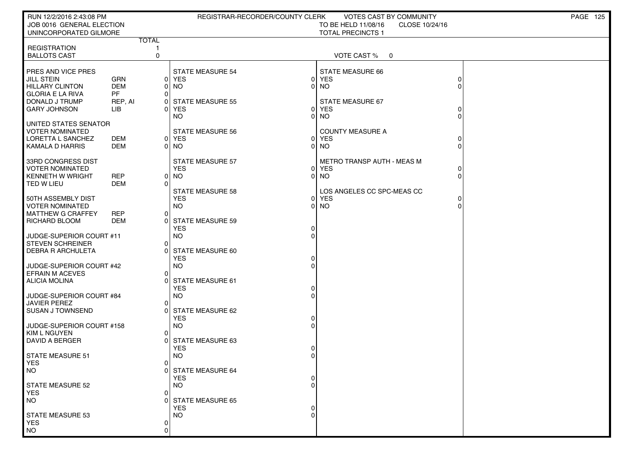| RUN 12/2/2016 2:43:08 PM<br>JOB 0016 GENERAL ELECTION<br>UNINCORPORATED GILMORE                                                       |                                                         |                          | REGISTRAR-RECORDER/COUNTY CLERK                                                                     |                                       | VOTES CAST BY COMMUNITY<br>TO BE HELD 11/08/16<br>CLOSE 10/24/16<br><b>TOTAL PRECINCTS 1</b>             |                      | PAGE 125 |
|---------------------------------------------------------------------------------------------------------------------------------------|---------------------------------------------------------|--------------------------|-----------------------------------------------------------------------------------------------------|---------------------------------------|----------------------------------------------------------------------------------------------------------|----------------------|----------|
|                                                                                                                                       |                                                         | <b>TOTAL</b>             |                                                                                                     |                                       |                                                                                                          |                      |          |
| <b>REGISTRATION</b><br><b>BALLOTS CAST</b>                                                                                            |                                                         | $\mathbf 0$              |                                                                                                     |                                       | VOTE CAST %<br>0                                                                                         |                      |          |
| PRES AND VICE PRES<br><b>JILL STEIN</b><br><b>HILLARY CLINTON</b><br><b>GLORIA E LA RIVA</b><br>DONALD J TRUMP<br><b>GARY JOHNSON</b> | <b>GRN</b><br><b>DEM</b><br><b>PF</b><br>REP, AI<br>LІВ | 0 <br>$\Omega$<br>0<br>O | <b>STATE MEASURE 54</b><br>0 YES<br><b>NO</b><br><b>STATE MEASURE 55</b><br><b>YES</b><br><b>NO</b> | $\Omega$<br>$\overline{0}$<br>ΟI<br>0 | <b>STATE MEASURE 66</b><br><b>YES</b><br><b>NO</b><br><b>STATE MEASURE 67</b><br><b>YES</b><br><b>NO</b> |                      |          |
| UNITED STATES SENATOR<br><b>VOTER NOMINATED</b><br>LORETTA L SANCHEZ<br>KAMALA D HARRIS                                               | DEM<br><b>DEM</b>                                       |                          | <b>STATE MEASURE 56</b><br>0 YES<br>0 NO                                                            |                                       | <b>COUNTY MEASURE A</b><br>0 YES<br>$0$ NO                                                               |                      |          |
| 33RD CONGRESS DIST<br><b>VOTER NOMINATED</b><br><b>KENNETH W WRIGHT</b><br>TED W LIEU                                                 | <b>REP</b><br><b>DEM</b>                                | 0<br>O                   | <b>STATE MEASURE 57</b><br><b>YES</b><br><b>NO</b><br><b>STATE MEASURE 58</b>                       |                                       | METRO TRANSP AUTH - MEAS M<br>0 YES<br>$0$ NO<br>LOS ANGELES CC SPC-MEAS CC                              | $\Omega$<br>$\Omega$ |          |
| 50TH ASSEMBLY DIST<br><b>VOTER NOMINATED</b><br><b>MATTHEW G CRAFFEY</b><br>RICHARD BLOOM                                             | <b>REP</b><br><b>DEM</b>                                | 0                        | <b>YES</b><br><b>NO</b><br>0 STATE MEASURE 59<br><b>YES</b>                                         | 01<br>0                               | <b>YES</b><br>$0$ NO                                                                                     |                      |          |
| JUDGE-SUPERIOR COURT #11<br><b>STEVEN SCHREINER</b><br><b>DEBRA R ARCHULETA</b>                                                       |                                                         | 0<br>C                   | <b>NO</b><br>STATE MEASURE 60<br><b>YES</b>                                                         |                                       |                                                                                                          |                      |          |
| JUDGE-SUPERIOR COURT #42<br><b>EFRAIN M ACEVES</b><br><b>ALICIA MOLINA</b>                                                            |                                                         | 0                        | <b>NO</b><br><b>STATE MEASURE 61</b><br><b>YES</b>                                                  |                                       |                                                                                                          |                      |          |
| JUDGE-SUPERIOR COURT #84<br><b>JAVIER PEREZ</b><br><b>SUSAN J TOWNSEND</b>                                                            |                                                         | 0<br>$\Omega$            | <b>NO</b><br><b>STATE MEASURE 62</b><br><b>YES</b>                                                  |                                       |                                                                                                          |                      |          |
| JUDGE-SUPERIOR COURT #158<br><b>KIM L NGUYEN</b><br>DAVID A BERGER                                                                    |                                                         | 0                        | <b>NO</b><br>0 STATE MEASURE 63<br><b>YES</b>                                                       |                                       |                                                                                                          |                      |          |
| STATE MEASURE 51<br><b>YES</b><br>NO.                                                                                                 |                                                         | 0                        | <b>NO</b><br>0 STATE MEASURE 64<br><b>YES</b>                                                       | 0                                     |                                                                                                          |                      |          |
| <b>STATE MEASURE 52</b><br><b>YES</b><br><b>NO</b>                                                                                    |                                                         | 0                        | <b>NO</b><br>STATE MEASURE 65                                                                       |                                       |                                                                                                          |                      |          |
| <b>STATE MEASURE 53</b><br><b>YES</b><br><b>NO</b>                                                                                    |                                                         | 0<br>0                   | <b>YES</b><br><b>NO</b>                                                                             | 0<br>O                                |                                                                                                          |                      |          |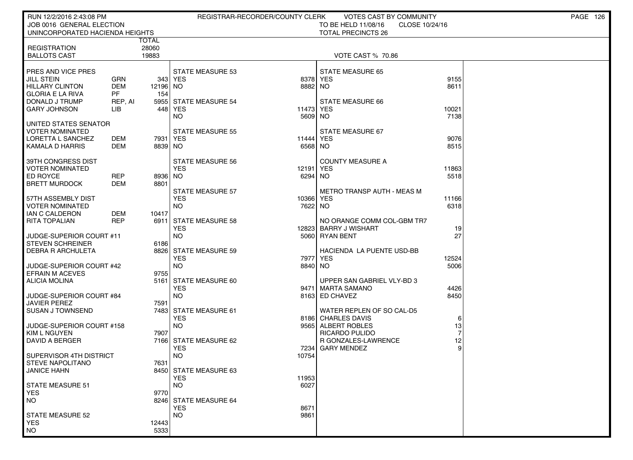| RUN 12/2/2016 2:43:08 PM                      |            |              | REGISTRAR-RECORDER/COUNTY CLERK     |           | <b>VOTES CAST BY COMMUNITY</b>        |       | PAGE 126 |
|-----------------------------------------------|------------|--------------|-------------------------------------|-----------|---------------------------------------|-------|----------|
| JOB 0016 GENERAL ELECTION                     |            |              |                                     |           | TO BE HELD 11/08/16<br>CLOSE 10/24/16 |       |          |
| UNINCORPORATED HACIENDA HEIGHTS               |            |              |                                     |           | <b>TOTAL PRECINCTS 26</b>             |       |          |
|                                               |            | <b>TOTAL</b> |                                     |           |                                       |       |          |
| <b>REGISTRATION</b>                           |            | 28060        |                                     |           |                                       |       |          |
| <b>BALLOTS CAST</b>                           |            | 19883        |                                     |           | VOTE CAST % 70.86                     |       |          |
|                                               |            |              |                                     |           |                                       |       |          |
| PRES AND VICE PRES                            |            |              | <b>STATE MEASURE 53</b>             |           | <b>STATE MEASURE 65</b>               |       |          |
| <b>JILL STEIN</b>                             | GRN        |              | 343 YES                             | 8378 YES  |                                       | 9155  |          |
| <b>HILLARY CLINTON</b>                        | <b>DEM</b> | 12196 NO     |                                     | 8882 NO   |                                       | 8611  |          |
| <b>GLORIA E LA RIVA</b>                       | <b>PF</b>  | 154          |                                     |           |                                       |       |          |
| DONALD J TRUMP                                | REP, AI    |              | 5955 STATE MEASURE 54               |           | STATE MEASURE 66                      |       |          |
| <b>GARY JOHNSON</b>                           | <b>LIB</b> |              | 448 YES                             | 11473     | <b>YES</b>                            | 10021 |          |
|                                               |            |              | NO.                                 | 5609 NO   |                                       | 7138  |          |
| UNITED STATES SENATOR                         |            |              |                                     |           |                                       |       |          |
| <b>VOTER NOMINATED</b>                        |            |              | <b>STATE MEASURE 55</b>             |           | STATE MEASURE 67                      |       |          |
| LORETTA L SANCHEZ                             | DEM        | 7931   YES   |                                     | 11444     | <b>YES</b>                            | 9076  |          |
| <b>KAMALA D HARRIS</b>                        | <b>DEM</b> | 8839 NO      |                                     | 6568      | NO.                                   | 8515  |          |
| 39TH CONGRESS DIST                            |            |              | <b>STATE MEASURE 56</b>             |           | <b>COUNTY MEASURE A</b>               |       |          |
| <b>VOTER NOMINATED</b>                        |            |              | <b>YES</b>                          | 12191     | <b>YES</b>                            | 11863 |          |
| ED ROYCE                                      | <b>REP</b> | 8936 NO      |                                     | 6294      | NO.                                   | 5518  |          |
| <b>BRETT MURDOCK</b>                          | DEM        | 8801         |                                     |           |                                       |       |          |
|                                               |            |              | <b>STATE MEASURE 57</b>             |           | METRO TRANSP AUTH - MEAS M            |       |          |
| 57TH ASSEMBLY DIST                            |            |              | <b>YES</b>                          | 10366 YES |                                       | 11166 |          |
| <b>VOTER NOMINATED</b>                        |            |              | NO.                                 | 7622 NO   |                                       | 6318  |          |
| IAN C CALDERON                                | DEM        | 10417        |                                     |           |                                       |       |          |
| <b>RITA TOPALIAN</b>                          | <b>REP</b> |              | 6911 STATE MEASURE 58               |           | NO ORANGE COMM COL-GBM TR7            |       |          |
|                                               |            |              | <b>YES</b>                          | 12823     | <b>BARRY J WISHART</b>                | 19    |          |
| JUDGE-SUPERIOR COURT #11                      |            |              | NO.                                 |           | 5060 RYAN BENT                        | 27    |          |
| <b>STEVEN SCHREINER</b>                       |            | 6186         |                                     |           |                                       |       |          |
| <b>DEBRA R ARCHULETA</b>                      |            |              | 8826 STATE MEASURE 59               |           | HACIENDA LA PUENTE USD-BB             |       |          |
|                                               |            |              | <b>YES</b>                          | 7977      | <b>YES</b>                            | 12524 |          |
| JUDGE-SUPERIOR COURT #42                      |            |              | <b>NO</b>                           | 8840 NO   |                                       | 5006  |          |
| <b>EFRAIN M ACEVES</b>                        |            | 9755         |                                     |           |                                       |       |          |
| ALICIA MOLINA                                 |            |              | 5161 STATE MEASURE 60               |           | UPPER SAN GABRIEL VLY-BD 3            |       |          |
|                                               |            |              | <b>YES</b>                          |           | 9471   MARTA SAMANO                   | 4426  |          |
| JUDGE-SUPERIOR COURT #84                      |            |              | <b>NO</b>                           |           | 8163 ED CHAVEZ                        | 8450  |          |
| <b>JAVIER PEREZ</b>                           |            | 7591         |                                     |           |                                       |       |          |
| <b>SUSAN J TOWNSEND</b>                       |            |              | 7483 STATE MEASURE 61               |           | WATER REPLEN OF SO CAL-D5             |       |          |
|                                               |            |              | <b>YES</b>                          |           | 8186 CHARLES DAVIS                    | 6     |          |
| JUDGE-SUPERIOR COURT #158                     |            |              | <b>NO</b>                           |           | 9565 ALBERT ROBLES                    | 13    |          |
| <b>KIM L NGUYEN</b>                           |            | 7907         |                                     |           | RICARDO PULIDO                        |       |          |
| DAVID A BERGER                                |            |              | 7166 STATE MEASURE 62               |           | <b>R GONZALES-LAWRENCE</b>            | 12    |          |
|                                               |            |              | <b>YES</b>                          | 7234      | <b>GARY MENDEZ</b>                    | 9     |          |
| SUPERVISOR 4TH DISTRICT                       |            |              | <b>NO</b>                           | 10754     |                                       |       |          |
| <b>STEVE NAPOLITANO</b><br><b>JANICE HAHN</b> |            | 7631         |                                     |           |                                       |       |          |
|                                               |            |              | 8450 STATE MEASURE 63<br><b>YES</b> | 11953     |                                       |       |          |
| <b>STATE MEASURE 51</b>                       |            |              | <b>NO</b>                           | 6027      |                                       |       |          |
| <b>YES</b>                                    |            | 9770         |                                     |           |                                       |       |          |
| <b>NO</b>                                     |            |              | 8246 STATE MEASURE 64               |           |                                       |       |          |
|                                               |            |              | <b>YES</b>                          | 8671      |                                       |       |          |
| <b>STATE MEASURE 52</b>                       |            |              | <b>NO</b>                           | 9861      |                                       |       |          |
| <b>YES</b>                                    |            | 12443        |                                     |           |                                       |       |          |
| <b>NO</b>                                     |            | 5333         |                                     |           |                                       |       |          |
|                                               |            |              |                                     |           |                                       |       |          |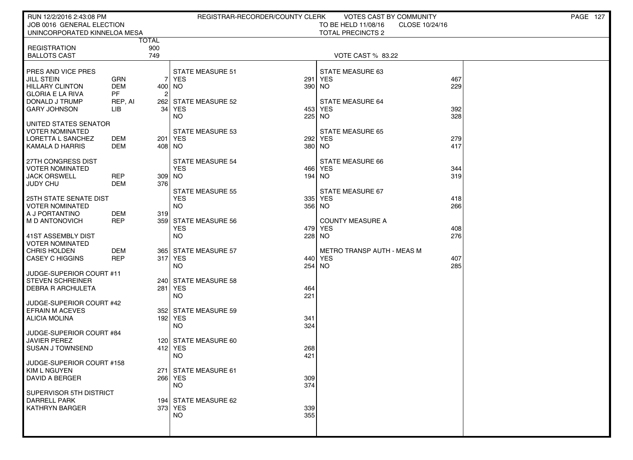| RUN 12/2/2016 2:43:08 PM                      |            |                     | REGISTRAR-RECORDER/COUNTY CLERK |            | <b>VOTES CAST BY COMMUNITY</b>    |                | PAGE 127 |
|-----------------------------------------------|------------|---------------------|---------------------------------|------------|-----------------------------------|----------------|----------|
| JOB 0016 GENERAL ELECTION                     |            |                     |                                 |            | TO BE HELD 11/08/16               | CLOSE 10/24/16 |          |
| UNINCORPORATED KINNELOA MESA                  |            |                     |                                 |            | <b>TOTAL PRECINCTS 2</b>          |                |          |
| <b>REGISTRATION</b>                           |            | <b>TOTAL</b><br>900 |                                 |            |                                   |                |          |
| <b>BALLOTS CAST</b>                           |            | 749                 |                                 |            | VOTE CAST % 83.22                 |                |          |
|                                               |            |                     |                                 |            |                                   |                |          |
| PRES AND VICE PRES                            |            |                     | <b>STATE MEASURE 51</b>         |            | STATE MEASURE 63                  |                |          |
| <b>JILL STEIN</b>                             | GRN        |                     | 7 YES                           | 291        | <b>YES</b>                        | 467            |          |
| <b>HILLARY CLINTON</b>                        | <b>DEM</b> | 400 NO              |                                 | 390        | NO                                | 229            |          |
| <b>GLORIA E LA RIVA</b>                       | <b>PF</b>  | 2                   |                                 |            |                                   |                |          |
| DONALD J TRUMP                                | REP, AI    | 34                  | 262 STATE MEASURE 52            | 453        | STATE MEASURE 64                  |                |          |
| <b>GARY JOHNSON</b>                           | LІВ        |                     | YES<br><b>NO</b>                | 225        | <b>YES</b><br>NO.                 | 392<br>328     |          |
| UNITED STATES SENATOR                         |            |                     |                                 |            |                                   |                |          |
| <b>VOTER NOMINATED</b>                        |            |                     | <b>STATE MEASURE 53</b>         |            | <b>STATE MEASURE 65</b>           |                |          |
| LORETTA L SANCHEZ                             | <b>DEM</b> |                     | 201 YES                         | 292        | <b>YES</b>                        | 279            |          |
| KAMALA D HARRIS                               | DEM        | 408 NO              |                                 | 380        | NO.                               | 417            |          |
|                                               |            |                     |                                 |            |                                   |                |          |
| 27TH CONGRESS DIST                            |            |                     | <b>STATE MEASURE 54</b>         |            | STATE MEASURE 66                  |                |          |
| <b>VOTER NOMINATED</b><br><b>JACK ORSWELL</b> | <b>REP</b> | 309 NO              | <b>YES</b>                      | 466<br>194 | <b>YES</b><br>NO.                 | 344<br>319     |          |
| <b>JUDY CHU</b>                               | DEM        | 376                 |                                 |            |                                   |                |          |
|                                               |            |                     | <b>STATE MEASURE 55</b>         |            | STATE MEASURE 67                  |                |          |
| 25TH STATE SENATE DIST                        |            |                     | <b>YES</b>                      | 335        | <b>YES</b>                        | 418            |          |
| <b>VOTER NOMINATED</b>                        |            |                     | <b>NO</b>                       | 356        | NO                                | 266            |          |
| A J PORTANTINO                                | <b>DEM</b> | 319                 |                                 |            |                                   |                |          |
| M D ANTONOVICH                                | <b>REP</b> |                     | 359 STATE MEASURE 56            |            | <b>COUNTY MEASURE A</b>           |                |          |
| 41ST ASSEMBLY DIST                            |            |                     | <b>YES</b><br><b>NO</b>         | 479<br>228 | <b>YES</b><br><b>NO</b>           | 408<br>276     |          |
| <b>VOTER NOMINATED</b>                        |            |                     |                                 |            |                                   |                |          |
| CHRIS HOLDEN                                  | DEM        |                     | 365 STATE MEASURE 57            |            | <b>METRO TRANSP AUTH - MEAS M</b> |                |          |
| <b>CASEY C HIGGINS</b>                        | <b>REP</b> |                     | 317 YES                         | 440        | <b>YES</b>                        | 407            |          |
|                                               |            |                     | <b>NO</b>                       | 254        | <b>NO</b>                         | 285            |          |
| JUDGE-SUPERIOR COURT #11                      |            |                     |                                 |            |                                   |                |          |
| <b>STEVEN SCHREINER</b>                       |            |                     | 240 STATE MEASURE 58            |            |                                   |                |          |
| <b>DEBRA R ARCHULETA</b>                      |            |                     | 281 YES<br><b>NO</b>            | 464<br>221 |                                   |                |          |
| JUDGE-SUPERIOR COURT #42                      |            |                     |                                 |            |                                   |                |          |
| <b>EFRAIN M ACEVES</b>                        |            |                     | 352 STATE MEASURE 59            |            |                                   |                |          |
| <b>ALICIA MOLINA</b>                          |            |                     | 192 YES                         | 341        |                                   |                |          |
|                                               |            |                     | <b>NO</b>                       | 324        |                                   |                |          |
| JUDGE-SUPERIOR COURT #84                      |            |                     |                                 |            |                                   |                |          |
| <b>JAVIER PEREZ</b>                           |            |                     | 120 STATE MEASURE 60            |            |                                   |                |          |
| <b>SUSAN J TOWNSEND</b>                       |            |                     | 412 YES<br><b>NO</b>            | 268<br>421 |                                   |                |          |
| JUDGE-SUPERIOR COURT #158                     |            |                     |                                 |            |                                   |                |          |
| KIM L NGUYEN                                  |            |                     | 271 STATE MEASURE 61            |            |                                   |                |          |
| <b>DAVID A BERGER</b>                         |            |                     | 266 YES                         | 309        |                                   |                |          |
|                                               |            |                     | <b>NO</b>                       | 374        |                                   |                |          |
| SUPERVISOR 5TH DISTRICT                       |            |                     |                                 |            |                                   |                |          |
| <b>DARRELL PARK</b><br><b>KATHRYN BARGER</b>  |            |                     | 194 STATE MEASURE 62<br>373 YES |            |                                   |                |          |
|                                               |            |                     | NO.                             | 339<br>355 |                                   |                |          |
|                                               |            |                     |                                 |            |                                   |                |          |
|                                               |            |                     |                                 |            |                                   |                |          |
|                                               |            |                     |                                 |            |                                   |                |          |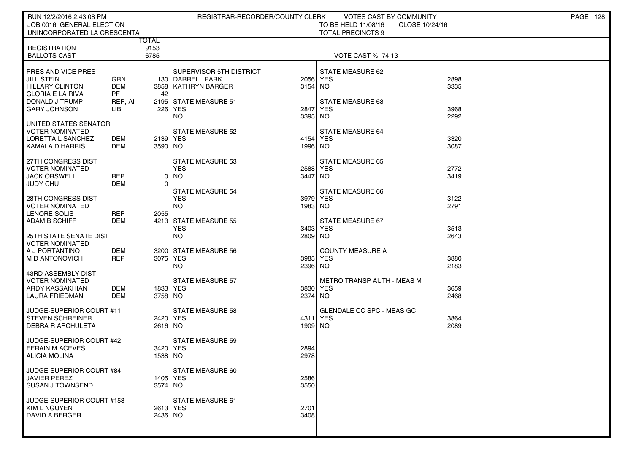| RUN 12/2/2016 2:43:08 PM                       |              |          | REGISTRAR-RECORDER/COUNTY CLERK             |                 | <b>VOTES CAST BY COMMUNITY</b>    |                | PAGE 128 |
|------------------------------------------------|--------------|----------|---------------------------------------------|-----------------|-----------------------------------|----------------|----------|
| JOB 0016 GENERAL ELECTION                      |              |          |                                             |                 | TO BE HELD 11/08/16               | CLOSE 10/24/16 |          |
| UNINCORPORATED LA CRESCENTA                    | <b>TOTAL</b> |          |                                             |                 | <b>TOTAL PRECINCTS 9</b>          |                |          |
| <b>REGISTRATION</b>                            |              | 9153     |                                             |                 |                                   |                |          |
| <b>BALLOTS CAST</b>                            |              | 6785     |                                             |                 | <b>VOTE CAST % 74.13</b>          |                |          |
|                                                |              |          |                                             |                 |                                   |                |          |
| PRES AND VICE PRES<br><b>JILL STEIN</b>        | <b>GRN</b>   |          | SUPERVISOR 5TH DISTRICT<br>130 DARRELL PARK |                 | STATE MEASURE 62<br>2056 YES      | 2898           |          |
| <b>HILLARY CLINTON</b>                         | <b>DEM</b>   |          | 3858   KATHRYN BARGER                       | 3154 NO         |                                   | 3335           |          |
| <b>GLORIA E LA RIVA</b>                        | <b>PF</b>    | 42       |                                             |                 |                                   |                |          |
| DONALD J TRUMP                                 | REP, AI      |          | 2195 STATE MEASURE 51                       |                 | <b>STATE MEASURE 63</b>           |                |          |
| <b>GARY JOHNSON</b>                            | LIB          | 226      | <b>YES</b><br><b>NO</b>                     | 2847<br>3395    | <b>YES</b><br>NO.                 | 3968<br>2292   |          |
| UNITED STATES SENATOR                          |              |          |                                             |                 |                                   |                |          |
| <b>VOTER NOMINATED</b>                         |              |          | <b>STATE MEASURE 52</b>                     |                 | <b>STATE MEASURE 64</b>           |                |          |
| LORETTA L SANCHEZ                              | <b>DEM</b>   | 2139 YES |                                             | 4154            | <b>YES</b>                        | 3320           |          |
| KAMALA D HARRIS                                | DEM          | 3590 NO  |                                             | 1996 NO         |                                   | 3087           |          |
| 27TH CONGRESS DIST                             |              |          | <b>STATE MEASURE 53</b>                     |                 | <b>STATE MEASURE 65</b>           |                |          |
| <b>VOTER NOMINATED</b>                         |              |          | <b>YES</b>                                  |                 | 2588 YES                          | 2772           |          |
| <b>JACK ORSWELL</b>                            | <b>REP</b>   | 0        | <b>NO</b>                                   | 3447            | NO                                | 3419           |          |
| <b>JUDY CHU</b>                                | DEM          | $\Omega$ | <b>STATE MEASURE 54</b>                     |                 | <b>STATE MEASURE 66</b>           |                |          |
| 28TH CONGRESS DIST                             |              |          | <b>YES</b>                                  |                 | 3979 YES                          | 3122           |          |
| <b>VOTER NOMINATED</b>                         |              |          | <b>NO</b>                                   | 1983 NO         |                                   | 2791           |          |
| LENORE SOLIS                                   | <b>REP</b>   | 2055     |                                             |                 |                                   |                |          |
| <b>ADAM B SCHIFF</b>                           | DEM          |          | 4213 STATE MEASURE 55<br><b>YES</b>         | 3403            | STATE MEASURE 67<br><b>YES</b>    | 3513           |          |
| <b>25TH STATE SENATE DIST</b>                  |              |          | <b>NO</b>                                   | 2809 NO         |                                   | 2643           |          |
| <b>VOTER NOMINATED</b>                         |              |          |                                             |                 |                                   |                |          |
| A J PORTANTINO                                 | DEM          |          | 3200 STATE MEASURE 56                       |                 | <b>COUNTY MEASURE A</b>           |                |          |
| M D ANTONOVICH                                 | <b>REP</b>   | 3075 YES | <b>NO</b>                                   | 3985<br>2396 NO | YES                               | 3880<br>2183   |          |
| 43RD ASSEMBLY DIST                             |              |          |                                             |                 |                                   |                |          |
| VOTER NOMINATED                                |              |          | <b>STATE MEASURE 57</b>                     |                 | <b>METRO TRANSP AUTH - MEAS M</b> |                |          |
| ARDY KASSAKHIAN                                | DEM          | 1833 YES |                                             |                 | 3830 YES                          | 3659           |          |
| <b>LAURA FRIEDMAN</b>                          | <b>DEM</b>   | 3758 NO  |                                             | 2374 NO         |                                   | 2468           |          |
| JUDGE-SUPERIOR COURT #11                       |              |          | <b>STATE MEASURE 58</b>                     |                 | <b>GLENDALE CC SPC - MEAS GC</b>  |                |          |
| <b>STEVEN SCHREINER</b>                        |              | 2420 YES |                                             |                 | 4311 YES                          | 3864           |          |
| <b>DEBRA R ARCHULETA</b>                       |              | 2616 NO  |                                             | 1909 NO         |                                   | 2089           |          |
| JUDGE-SUPERIOR COURT #42                       |              |          | <b>STATE MEASURE 59</b>                     |                 |                                   |                |          |
| <b>EFRAIN M ACEVES</b>                         |              |          | 3420 YES                                    | 2894            |                                   |                |          |
| <b>ALICIA MOLINA</b>                           |              | 1538 NO  |                                             | 2978            |                                   |                |          |
|                                                |              |          |                                             |                 |                                   |                |          |
| JUDGE-SUPERIOR COURT #84                       |              | 1405 YES | STATE MEASURE 60                            |                 |                                   |                |          |
| <b>JAVIER PEREZ</b><br><b>SUSAN J TOWNSEND</b> |              | 3574 NO  |                                             | 2586<br>3550    |                                   |                |          |
|                                                |              |          |                                             |                 |                                   |                |          |
| JUDGE-SUPERIOR COURT #158                      |              |          | STATE MEASURE 61                            |                 |                                   |                |          |
| KIM L NGUYEN<br>DAVID A BERGER                 |              | 2436 NO  | 2613 YES                                    | 2701<br>3408    |                                   |                |          |
|                                                |              |          |                                             |                 |                                   |                |          |
|                                                |              |          |                                             |                 |                                   |                |          |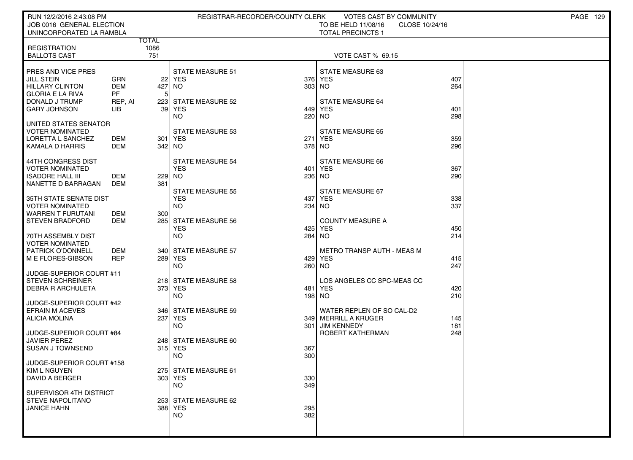| RUN 12/2/2016 2:43:08 PM<br>JOB 0016 GENERAL ELECTION                                                                                                                          |                           | REGISTRAR-RECORDER/COUNTY CLERK                                                          | <b>VOTES CAST BY COMMUNITY</b><br>TO BE HELD 11/08/16<br>CLOSE 10/24/16                                      | <b>PAGE 129</b> |
|--------------------------------------------------------------------------------------------------------------------------------------------------------------------------------|---------------------------|------------------------------------------------------------------------------------------|--------------------------------------------------------------------------------------------------------------|-----------------|
| UNINCORPORATED LA RAMBLA                                                                                                                                                       |                           |                                                                                          | <b>TOTAL PRECINCTS 1</b>                                                                                     |                 |
| <b>REGISTRATION</b><br><b>BALLOTS CAST</b>                                                                                                                                     | TOTAL<br>1086<br>751      |                                                                                          | VOTE CAST % 69.15                                                                                            |                 |
| PRES AND VICE PRES<br><b>JILL STEIN</b><br>GRN<br><b>DEM</b><br><b>HILLARY CLINTON</b><br><b>PF</b><br><b>GLORIA E LA RIVA</b><br>DONALD J TRUMP<br><b>GARY JOHNSON</b><br>LІВ | 427<br>5<br>REP, AI<br>39 | <b>STATE MEASURE 51</b><br>22 YES<br>376<br>  NO<br>223 STATE MEASURE 52<br>l YES<br>449 | STATE MEASURE 63<br><b>YES</b><br>407<br>303 NO<br>264<br><b>STATE MEASURE 64</b><br><b>YES</b><br>401       |                 |
|                                                                                                                                                                                |                           | <b>NO</b><br>220                                                                         | 298<br>NO.                                                                                                   |                 |
| UNITED STATES SENATOR<br>VOTER NOMINATED<br>LORETTA L SANCHEZ<br>DEM<br><b>KAMALA D HARRIS</b><br>DEM                                                                          | 342 NO                    | <b>STATE MEASURE 53</b><br>301   YES<br>271                                              | <b>STATE MEASURE 65</b><br><b>YES</b><br>359<br>378 NO<br>296                                                |                 |
| 44TH CONGRESS DIST<br><b>VOTER NOMINATED</b><br><b>ISADORE HALL III</b><br>DEM<br><b>DEM</b><br>NANETTE D BARRAGAN                                                             | 229<br>381                | <b>STATE MEASURE 54</b><br><b>YES</b><br>401<br>  NO<br>236                              | STATE MEASURE 66<br><b>YES</b><br>367<br>NO.<br>290                                                          |                 |
| 35TH STATE SENATE DIST<br><b>VOTER NOMINATED</b><br><b>WARREN T FURUTANI</b><br>DEM                                                                                            | 300                       | <b>STATE MEASURE 55</b><br><b>YES</b><br>437<br><b>NO</b><br>234                         | STATE MEASURE 67<br><b>YES</b><br>338<br>337<br>NO.                                                          |                 |
| <b>DEM</b><br><b>STEVEN BRADFORD</b><br>70TH ASSEMBLY DIST<br><b>VOTER NOMINATED</b>                                                                                           |                           | 285 STATE MEASURE 56<br><b>YES</b><br>425<br><b>NO</b><br>284                            | <b>COUNTY MEASURE A</b><br><b>YES</b><br>450<br>214<br>NO                                                    |                 |
| <b>DEM</b><br><b>PATRICK O'DONNELL</b><br><b>REP</b><br>M E FLORES-GIBSON                                                                                                      |                           | 340 STATE MEASURE 57<br>289 YES<br>429<br>NO.<br>260                                     | METRO TRANSP AUTH - MEAS M<br><b>YES</b><br>415<br>247<br>NO.                                                |                 |
| JUDGE-SUPERIOR COURT #11<br><b>STEVEN SCHREINER</b><br><b>DEBRA R ARCHULETA</b>                                                                                                |                           | 218 STATE MEASURE 58<br>373 YES<br>481<br><b>NO</b><br>198                               | LOS ANGELES CC SPC-MEAS CC<br><b>YES</b><br>420<br>210<br>NO.                                                |                 |
| JUDGE-SUPERIOR COURT #42<br><b>EFRAIN M ACEVES</b><br>ALICIA MOLINA<br>JUDGE-SUPERIOR COURT #84                                                                                |                           | 346 STATE MEASURE 59<br>237 YES<br>349<br>NO.<br>301                                     | WATER REPLEN OF SO CAL-D2<br>MERRILL A KRUGER<br>145<br><b>JIM KENNEDY</b><br>181<br>248<br>ROBERT KATHERMAN |                 |
| <b>JAVIER PEREZ</b><br><b>SUSAN J TOWNSEND</b>                                                                                                                                 |                           | 248 STATE MEASURE 60<br>315 YES<br>367<br>NO.<br>300                                     |                                                                                                              |                 |
| JUDGE-SUPERIOR COURT #158<br>  KIM L NGUYEN<br>DAVID A BERGER                                                                                                                  |                           | 275 STATE MEASURE 61<br>303 YES<br>330<br>349<br>NO.                                     |                                                                                                              |                 |
| SUPERVISOR 4TH DISTRICT<br><b>STEVE NAPOLITANO</b><br><b>JANICE HAHN</b>                                                                                                       |                           | 253 STATE MEASURE 62<br>388 YES<br>295<br><b>NO</b><br>382                               |                                                                                                              |                 |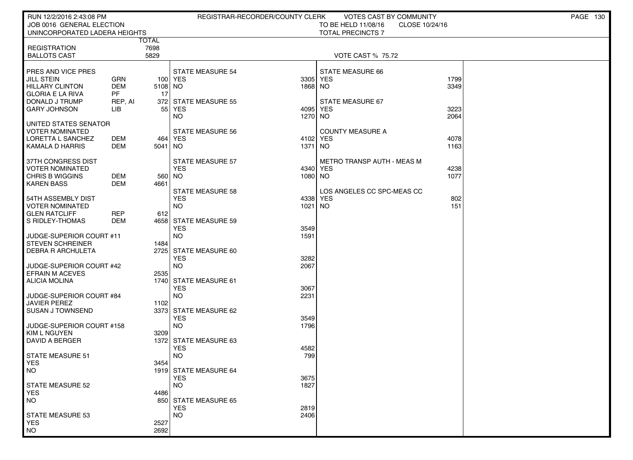| RUN 12/2/2016 2:43:08 PM                        |                      |               | REGISTRAR-RECORDER/COUNTY CLERK       |             | VOTES CAST BY COMMUNITY                |      | <b>PAGE 130</b> |  |
|-------------------------------------------------|----------------------|---------------|---------------------------------------|-------------|----------------------------------------|------|-----------------|--|
| JOB 0016 GENERAL ELECTION                       |                      |               |                                       |             | TO BE HELD 11/08/16<br>CLOSE 10/24/16  |      |                 |  |
| UNINCORPORATED LADERA HEIGHTS                   |                      |               |                                       |             | <b>TOTAL PRECINCTS 7</b>               |      |                 |  |
| <b>REGISTRATION</b>                             |                      | TOTAL<br>7698 |                                       |             |                                        |      |                 |  |
| <b>BALLOTS CAST</b>                             |                      | 5829          |                                       |             | <b>VOTE CAST % 75.72</b>               |      |                 |  |
|                                                 |                      |               |                                       |             |                                        |      |                 |  |
| <b>PRES AND VICE PRES</b>                       |                      |               | <b>STATE MEASURE 54</b>               |             | STATE MEASURE 66                       |      |                 |  |
| JILL STEIN                                      | GRN                  |               | 100 YES                               | 3305        | YES                                    | 1799 |                 |  |
| <b>HILLARY CLINTON</b>                          | DEM                  | 5108 NO       |                                       | 1868 NO     |                                        | 3349 |                 |  |
| <b>GLORIA E LA RIVA</b><br>DONALD J TRUMP       | <b>PF</b><br>REP, AI | 17<br>372     | STATE MEASURE 55                      |             | STATE MEASURE 67                       |      |                 |  |
| <b>GARY JOHNSON</b>                             | LІВ                  | 55            | YES                                   | 4095        | YES                                    | 3223 |                 |  |
|                                                 |                      |               | NO.                                   | 1270        | <b>NO</b>                              | 2064 |                 |  |
| UNITED STATES SENATOR                           |                      |               |                                       |             |                                        |      |                 |  |
| <b>VOTER NOMINATED</b>                          |                      |               | STATE MEASURE 56                      |             | <b>COUNTY MEASURE A</b>                |      |                 |  |
| I LORETTA L SANCHEZ                             | DEM                  |               | 464   YES                             | 4102 YES    |                                        | 4078 |                 |  |
| KAMALA D HARRIS                                 | DEM                  | 5041          | NO                                    | 1371        | NO.                                    | 1163 |                 |  |
| 37TH CONGRESS DIST                              |                      |               | STATE MEASURE 57                      |             | METRO TRANSP AUTH - MEAS M             |      |                 |  |
| VOTER NOMINATED                                 |                      |               | <b>YES</b>                            |             | 4340 YES                               | 4238 |                 |  |
| CHRIS B WIGGINS                                 | DEM                  | 560 NO        |                                       | 1080 NO     |                                        | 1077 |                 |  |
| KAREN BASS                                      | <b>DEM</b>           | 4661          |                                       |             |                                        |      |                 |  |
| 54TH ASSEMBLY DIST                              |                      |               | <b>STATE MEASURE 58</b><br><b>YES</b> |             | LOS ANGELES CC SPC-MEAS CC<br>4338 YES | 802  |                 |  |
| VOTER NOMINATED                                 |                      |               | NO.                                   | 1021        | NO <sub>1</sub>                        | 151  |                 |  |
| <b>GLEN RATCLIFF</b>                            | <b>REP</b>           | 612           |                                       |             |                                        |      |                 |  |
| l S RIDLEY-THOMAS                               | DEM                  |               | 4658 STATE MEASURE 59                 |             |                                        |      |                 |  |
|                                                 |                      |               | <b>YES</b>                            | 3549        |                                        |      |                 |  |
| I JUDGE-SUPERIOR COURT #11                      |                      |               | <b>NO</b>                             | 1591        |                                        |      |                 |  |
| STEVEN SCHREINER<br><b>DEBRA R ARCHULETA</b>    |                      | 1484<br>2725  | <b>STATE MEASURE 60</b>               |             |                                        |      |                 |  |
|                                                 |                      |               | <b>YES</b>                            | 3282        |                                        |      |                 |  |
| UUDGE-SUPERIOR COURT #42                        |                      |               | NO.                                   | 2067        |                                        |      |                 |  |
| EFRAIN M ACEVES                                 |                      | 2535          |                                       |             |                                        |      |                 |  |
| <b>ALICIA MOLINA</b>                            |                      | 1740          | <b>STATE MEASURE 61</b>               |             |                                        |      |                 |  |
|                                                 |                      |               | <b>YES</b>                            | 3067        |                                        |      |                 |  |
| JUDGE-SUPERIOR COURT #84<br><b>JAVIER PEREZ</b> |                      | 1102          | <b>NO</b>                             | 2231        |                                        |      |                 |  |
| SUSAN J TOWNSEND                                |                      |               | 3373 STATE MEASURE 62                 |             |                                        |      |                 |  |
|                                                 |                      |               | <b>YES</b>                            | 3549        |                                        |      |                 |  |
| JUDGE-SUPERIOR COURT #158                       |                      |               | NO.                                   | 1796        |                                        |      |                 |  |
| KIM L NGUYEN                                    |                      | 3209          |                                       |             |                                        |      |                 |  |
| l DAVID A BERGER                                |                      |               | 1372 STATE MEASURE 63                 |             |                                        |      |                 |  |
| STATE MEASURE 51                                |                      |               | <b>YES</b><br><b>NO</b>               | 4582<br>799 |                                        |      |                 |  |
| <b>YES</b>                                      |                      | 3454          |                                       |             |                                        |      |                 |  |
| NO                                              |                      |               | 1919 STATE MEASURE 64                 |             |                                        |      |                 |  |
|                                                 |                      |               | <b>YES</b>                            | 3675        |                                        |      |                 |  |
| STATE MEASURE 52                                |                      |               | <b>NO</b>                             | 1827        |                                        |      |                 |  |
| <b>YES</b>                                      |                      | 4486          |                                       |             |                                        |      |                 |  |
| NO <sub>1</sub>                                 |                      | 850           | <b>STATE MEASURE 65</b><br><b>YES</b> | 2819        |                                        |      |                 |  |
| STATE MEASURE 53                                |                      |               | <b>NO</b>                             | 2406        |                                        |      |                 |  |
| <b>YES</b>                                      |                      | 2527          |                                       |             |                                        |      |                 |  |
| NO <sub>1</sub>                                 |                      | 2692          |                                       |             |                                        |      |                 |  |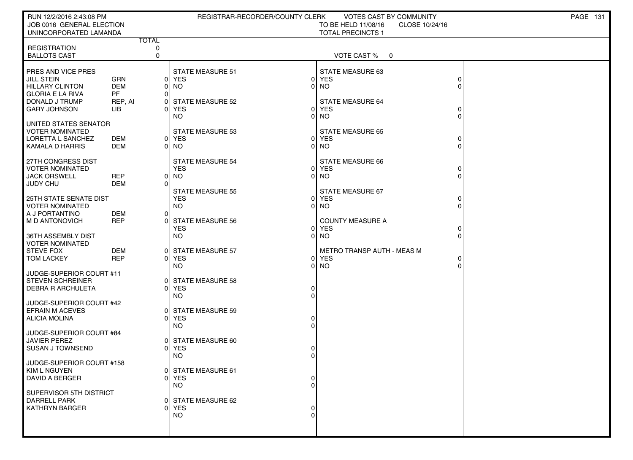| RUN 12/2/2016 2:43:08 PM                            |                          |              | REGISTRAR-RECORDER/COUNTY CLERK       |                | VOTES CAST BY COMMUNITY               |        | <b>PAGE 131</b> |
|-----------------------------------------------------|--------------------------|--------------|---------------------------------------|----------------|---------------------------------------|--------|-----------------|
| JOB 0016 GENERAL ELECTION                           |                          |              |                                       |                | TO BE HELD 11/08/16<br>CLOSE 10/24/16 |        |                 |
| UNINCORPORATED LAMANDA                              |                          | <b>TOTAL</b> |                                       |                | <b>TOTAL PRECINCTS 1</b>              |        |                 |
| <b>REGISTRATION</b>                                 |                          | 0            |                                       |                |                                       |        |                 |
| <b>BALLOTS CAST</b>                                 |                          | $\mathbf 0$  |                                       |                | VOTE CAST %<br>- 0                    |        |                 |
|                                                     |                          |              |                                       |                |                                       |        |                 |
| PRES AND VICE PRES                                  |                          |              | <b>STATE MEASURE 51</b>               |                | <b>STATE MEASURE 63</b>               |        |                 |
| <b>JILL STEIN</b>                                   | <b>GRN</b><br><b>DEM</b> |              | 0 YES                                 | ΟI             | 0 YES                                 | 0<br>0 |                 |
| <b>HILLARY CLINTON</b><br><b>GLORIA E LA RIVA</b>   | <b>PF</b>                | $\Omega$     | 0 NO                                  |                | NO.                                   |        |                 |
| DONALD J TRUMP                                      | REP, AI                  | 01           | STATE MEASURE 52                      |                | STATE MEASURE 64                      |        |                 |
| <b>GARY JOHNSON</b>                                 | LІВ                      | ΩI           | YES                                   |                | 0 YES                                 |        |                 |
|                                                     |                          |              | NO.                                   | ΟI             | NO.                                   | 0      |                 |
| UNITED STATES SENATOR                               |                          |              |                                       |                |                                       |        |                 |
| <b>VOTER NOMINATED</b><br>LORETTA L SANCHEZ         | DEM                      |              | <b>STATE MEASURE 53</b><br>0 YES      |                | <b>STATE MEASURE 65</b><br>0 YES      |        |                 |
| KAMALA D HARRIS                                     | DEM                      |              | 01 NO                                 | ΟI             | NO.                                   |        |                 |
|                                                     |                          |              |                                       |                |                                       |        |                 |
| 27TH CONGRESS DIST                                  |                          |              | <b>STATE MEASURE 54</b>               |                | STATE MEASURE 66                      |        |                 |
| <b>VOTER NOMINATED</b>                              |                          |              | <b>YES</b>                            |                | 0 YES                                 |        |                 |
| <b>JACK ORSWELL</b><br><b>JUDY CHU</b>              | <b>REP</b><br><b>DEM</b> | $\Omega$     | 0   NO                                |                | $0$ NO                                | 0      |                 |
|                                                     |                          |              | <b>STATE MEASURE 55</b>               |                | STATE MEASURE 67                      |        |                 |
| 25TH STATE SENATE DIST                              |                          |              | <b>YES</b>                            |                | 0 YES                                 | 0      |                 |
| <b>VOTER NOMINATED</b>                              |                          |              | NO.                                   |                | 0 NO                                  | 0      |                 |
| A J PORTANTINO                                      | DEM                      | $\Omega$     |                                       |                |                                       |        |                 |
| <b>M D ANTONOVICH</b>                               | <b>REP</b>               |              | 0 STATE MEASURE 56<br><b>YES</b>      |                | <b>COUNTY MEASURE A</b><br>0 YES      |        |                 |
| 36TH ASSEMBLY DIST                                  |                          |              | <b>NO</b>                             | $\Omega$       | <b>NO</b>                             | 0<br>0 |                 |
| <b>VOTER NOMINATED</b>                              |                          |              |                                       |                |                                       |        |                 |
| <b>STEVE FOX</b>                                    | <b>DEM</b>               |              | 0 STATE MEASURE 57                    |                | METRO TRANSP AUTH - MEAS M            |        |                 |
| <b>TOM LACKEY</b>                                   | <b>REP</b>               |              | 0 YES                                 |                | 0 YES                                 | 0      |                 |
|                                                     |                          |              | NO.                                   | 01             | <b>NO</b>                             | 0      |                 |
| JUDGE-SUPERIOR COURT #11<br><b>STEVEN SCHREINER</b> |                          | 01           | STATE MEASURE 58                      |                |                                       |        |                 |
| <b>DEBRA R ARCHULETA</b>                            |                          |              | 0 YES                                 | $\overline{0}$ |                                       |        |                 |
|                                                     |                          |              | NO.                                   | $\Omega$       |                                       |        |                 |
| JUDGE-SUPERIOR COURT #42                            |                          |              |                                       |                |                                       |        |                 |
| <b>EFRAIN M ACEVES</b><br>ALICIA MOLINA             |                          | 01<br>ΩI     | <b>STATE MEASURE 59</b><br><b>YES</b> | 0              |                                       |        |                 |
|                                                     |                          |              | NO.                                   | $\Omega$       |                                       |        |                 |
| JUDGE-SUPERIOR COURT #84                            |                          |              |                                       |                |                                       |        |                 |
| <b>JAVIER PEREZ</b>                                 |                          |              | 0 STATE MEASURE 60                    |                |                                       |        |                 |
| <b>SUSAN J TOWNSEND</b>                             |                          |              | 0 YES                                 | 0              |                                       |        |                 |
| JUDGE-SUPERIOR COURT #158                           |                          |              | NO.                                   | $\Omega$       |                                       |        |                 |
| KIM L NGUYEN                                        |                          |              | STATE MEASURE 61                      |                |                                       |        |                 |
| <b>DAVID A BERGER</b>                               |                          |              | 0 YES                                 | 0              |                                       |        |                 |
|                                                     |                          |              | <b>NO</b>                             | $\Omega$       |                                       |        |                 |
| SUPERVISOR 5TH DISTRICT                             |                          |              |                                       |                |                                       |        |                 |
| <b>DARRELL PARK</b><br><b>KATHRYN BARGER</b>        |                          |              | STATE MEASURE 62<br>0 YES             |                |                                       |        |                 |
|                                                     |                          |              | NO.                                   | $\Omega$       |                                       |        |                 |
|                                                     |                          |              |                                       |                |                                       |        |                 |
|                                                     |                          |              |                                       |                |                                       |        |                 |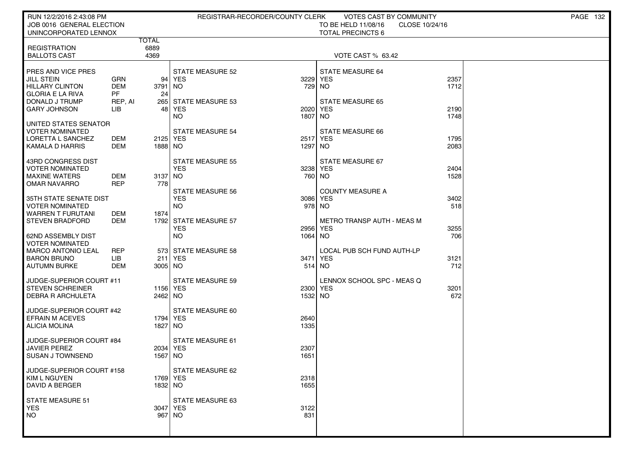| RUN 12/2/2016 2:43:08 PM<br>JOB 0016 GENERAL ELECTION                                                                                 |                                                         |                              |                                                                     | REGISTRAR-RECORDER/COUNTY CLERK | VOTES CAST BY COMMUNITY<br>TO BE HELD 11/08/16                                         | CLOSE 10/24/16       | <b>PAGE 132</b> |
|---------------------------------------------------------------------------------------------------------------------------------------|---------------------------------------------------------|------------------------------|---------------------------------------------------------------------|---------------------------------|----------------------------------------------------------------------------------------|----------------------|-----------------|
| UNINCORPORATED LENNOX                                                                                                                 |                                                         |                              |                                                                     |                                 | <b>TOTAL PRECINCTS 6</b>                                                               |                      |                 |
| <b>REGISTRATION</b><br><b>BALLOTS CAST</b>                                                                                            |                                                         | <b>TOTAL</b><br>6889<br>4369 |                                                                     |                                 | VOTE CAST % 63.42                                                                      |                      |                 |
| PRES AND VICE PRES<br><b>JILL STEIN</b><br><b>HILLARY CLINTON</b><br><b>GLORIA E LA RIVA</b><br>DONALD J TRUMP<br><b>GARY JOHNSON</b> | <b>GRN</b><br><b>DEM</b><br><b>PF</b><br>REP, AI<br>LIB | 94<br>3791<br>24             | STATE MEASURE 52<br>  YES<br>  NO<br>265 STATE MEASURE 53<br>48 YES | 2020                            | <b>STATE MEASURE 64</b><br>3229 YES<br>729 NO<br><b>STATE MEASURE 65</b><br><b>YES</b> | 2357<br>1712<br>2190 |                 |
| UNITED STATES SENATOR                                                                                                                 |                                                         |                              | <b>NO</b>                                                           | 1807                            | NO.                                                                                    | 1748                 |                 |
| VOTER NOMINATED<br>LORETTA L SANCHEZ<br>KAMALA D HARRIS                                                                               | DEM<br>DEM                                              | 2125 YES<br>1888 NO          | <b>STATE MEASURE 54</b>                                             | 1297 NO                         | STATE MEASURE 66<br>2517 YES                                                           | 1795<br>2083         |                 |
| 43RD CONGRESS DIST<br><b>VOTER NOMINATED</b><br><b>MAXINE WATERS</b><br><b>OMAR NAVARRO</b>                                           | DEM<br><b>REP</b>                                       | 3137 NO<br>778               | STATE MEASURE 55<br><b>YES</b>                                      |                                 | STATE MEASURE 67<br>3238 YES<br>760 NO                                                 | 2404<br>1528         |                 |
| 35TH STATE SENATE DIST<br>VOTER NOMINATED<br><b>WARREN T FURUTANI</b>                                                                 | DEM                                                     | 1874                         | <b>STATE MEASURE 56</b><br><b>YES</b><br><b>NO</b>                  |                                 | <b>COUNTY MEASURE A</b><br>3086 YES<br>978 NO                                          | 3402<br>518          |                 |
| <b>STEVEN BRADFORD</b><br>62ND ASSEMBLY DIST<br><b>VOTER NOMINATED</b>                                                                | <b>DEM</b>                                              |                              | 1792 STATE MEASURE 57<br><b>YES</b><br><b>NO</b>                    | 2956<br>1064 NO                 | METRO TRANSP AUTH - MEAS M<br><b>YES</b>                                               | 3255<br>706          |                 |
| <b>MARCO ANTONIO LEAL</b><br><b>BARON BRUNO</b><br><b>AUTUMN BURKE</b>                                                                | <b>REP</b><br><b>LIB</b><br>DEM                         | 3005 NO                      | 573 STATE MEASURE 58<br>211 YES                                     | 3471                            | LOCAL PUB SCH FUND AUTH-LP<br><b>YES</b><br>514 NO                                     | 3121<br>712          |                 |
| JUDGE-SUPERIOR COURT #11<br><b>STEVEN SCHREINER</b><br><b>DEBRA R ARCHULETA</b>                                                       |                                                         | 1156 YES<br>2462 NO          | <b>STATE MEASURE 59</b>                                             | 1532 NO                         | LENNOX SCHOOL SPC - MEAS Q<br>2300 YES                                                 | 3201<br>672          |                 |
| JUDGE-SUPERIOR COURT #42<br><b>EFRAIN M ACEVES</b><br><b>ALICIA MOLINA</b>                                                            |                                                         | 1794   YES<br>1827 NO        | <b>STATE MEASURE 60</b>                                             | 2640<br>1335                    |                                                                                        |                      |                 |
| JUDGE-SUPERIOR COURT #84<br><b>JAVIER PEREZ</b><br><b>SUSAN J TOWNSEND</b>                                                            |                                                         | 2034 YES<br>1567 NO          | <b>STATE MEASURE 61</b>                                             | 2307<br>1651                    |                                                                                        |                      |                 |
| JUDGE-SUPERIOR COURT #158<br>KIM L NGUYEN<br><b>DAVID A BERGER</b>                                                                    |                                                         | 1769 YES<br>1832 NO          | STATE MEASURE 62                                                    | 2318<br>1655                    |                                                                                        |                      |                 |
| <b>STATE MEASURE 51</b><br><b>YES</b><br><b>NO</b>                                                                                    |                                                         | 3047 YES<br>967 NO           | <b>STATE MEASURE 63</b>                                             | 3122<br>831                     |                                                                                        |                      |                 |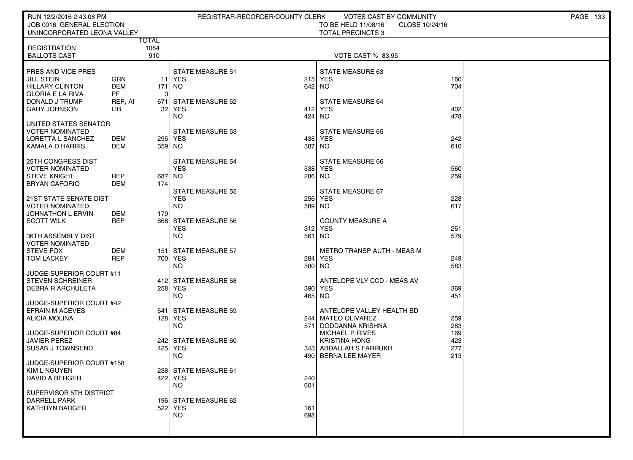| RUN 12/2/2016 2:43:08 PM                            |                  |              | REGISTRAR-RECORDER/COUNTY CLERK |            | VOTES CAST BY COMMUNITY                  |                | PAGE 133 |
|-----------------------------------------------------|------------------|--------------|---------------------------------|------------|------------------------------------------|----------------|----------|
| JOB 0016 GENERAL ELECTION                           |                  |              |                                 |            | TO BE HELD 11/08/16                      | CLOSE 10/24/16 |          |
| UNINCORPORATED LEONA VALLEY                         |                  | <b>TOTAL</b> |                                 |            | <b>TOTAL PRECINCTS 3</b>                 |                |          |
| <b>REGISTRATION</b>                                 |                  | 1084         |                                 |            |                                          |                |          |
| <b>BALLOTS CAST</b>                                 |                  | 910          |                                 |            | <b>VOTE CAST % 83.95</b>                 |                |          |
|                                                     |                  |              |                                 |            |                                          |                |          |
| PRES AND VICE PRES                                  |                  |              | <b>STATE MEASURE 51</b>         |            | STATE MEASURE 63                         |                |          |
| JILL STEIN                                          | <b>GRN</b>       |              | 11 YES                          | 215        | <b>YES</b>                               | 160            |          |
| HILLARY CLINTON<br><b>GLORIA E LA RIVA</b>          | <b>DEM</b><br>PF | 171<br>3     | NO                              | 642 NO     |                                          | 704            |          |
| DONALD J TRUMP                                      | REP, AI          |              | 671 STATE MEASURE 52            |            | <b>STATE MEASURE 64</b>                  |                |          |
| <b>GARY JOHNSON</b>                                 | <b>LIB</b>       | 32           | YES                             | 412        | <b>YES</b>                               | 402            |          |
|                                                     |                  |              | NO.                             | 424        | NO.                                      | 478            |          |
| UNITED STATES SENATOR                               |                  |              |                                 |            |                                          |                |          |
| <b>VOTER NOMINATED</b>                              |                  |              | <b>STATE MEASURE 53</b>         |            | <b>STATE MEASURE 65</b>                  |                |          |
| LORETTA L SANCHEZ<br>KAMALA D HARRIS                | DEM<br>DEM       | 359 NO       | 295 YES                         | 438<br>387 | <b>YES</b><br>NO.                        | 242<br>610     |          |
|                                                     |                  |              |                                 |            |                                          |                |          |
| 25TH CONGRESS DIST                                  |                  |              | <b>STATE MEASURE 54</b>         |            | STATE MEASURE 66                         |                |          |
| <b>VOTER NOMINATED</b>                              |                  |              | <b>YES</b>                      | 538        | <b>YES</b>                               | 560            |          |
| <b>STEVE KNIGHT</b>                                 | REP              | 687 NO       |                                 | 286        | NO                                       | 259            |          |
| <b>BRYAN CAFORIO</b>                                | DEM              | 174          | <b>STATE MEASURE 55</b>         |            | STATE MEASURE 67                         |                |          |
| 21ST STATE SENATE DIST                              |                  |              | <b>YES</b>                      | 256        | <b>YES</b>                               | 228            |          |
| <b>VOTER NOMINATED</b>                              |                  |              | NO.                             | 589        | NO                                       | 617            |          |
| JOHNATHON L ERVIN                                   | DEM              | 179          |                                 |            |                                          |                |          |
| <b>SCOTT WILK</b>                                   | <b>REP</b>       |              | 666 STATE MEASURE 56            |            | <b>COUNTY MEASURE A</b>                  |                |          |
|                                                     |                  |              | <b>YES</b>                      | 312        | <b>YES</b>                               | 261            |          |
| 36TH ASSEMBLY DIST<br><b>VOTER NOMINATED</b>        |                  |              | <b>NO</b>                       | 561        | NO.                                      | 579            |          |
| <b>STEVE FOX</b>                                    | <b>DEM</b>       | 151          | STATE MEASURE 57                |            | <b>METRO TRANSP AUTH - MEAS M</b>        |                |          |
| <b>TOM LACKEY</b>                                   | <b>REP</b>       |              | 700 YES                         | 284        | <b>YES</b>                               | 249            |          |
|                                                     |                  |              | NO.                             | 580        | NO.                                      | 583            |          |
| JUDGE-SUPERIOR COURT #11                            |                  |              |                                 |            |                                          |                |          |
| <b>STEVEN SCHREINER</b><br><b>DEBRA R ARCHULETA</b> |                  |              | 412 STATE MEASURE 58<br>258 YES | 390        | ANTELOPE VLY CCD - MEAS AV<br><b>YES</b> | 369            |          |
|                                                     |                  |              | <b>NO</b>                       | 465        | NO                                       | 451            |          |
| JUDGE-SUPERIOR COURT #42                            |                  |              |                                 |            |                                          |                |          |
| <b>EFRAIN M ACEVES</b>                              |                  | 541          | STATE MEASURE 59                |            | ANTELOPE VALLEY HEALTH BD                |                |          |
| ALICIA MOLINA                                       |                  |              | 128 YES                         | 244        | <b>MATEO OLIVAREZ</b>                    | 259            |          |
|                                                     |                  |              | NO.                             | 571        | DODDANNA KRISHNA                         | 283            |          |
| JUDGE-SUPERIOR COURT #84<br><b>JAVIER PEREZ</b>     |                  |              | 242 STATE MEASURE 60            |            | MICHAEL P RIVES<br><b>KRISTINA HONG</b>  | 169<br>423     |          |
| <b>SUSAN J TOWNSEND</b>                             |                  |              | 425 YES                         |            | 343 ABDALLAH S FARRUKH                   | 277            |          |
|                                                     |                  |              | NO                              | 490        | BERNA LEE MAYER                          | 213            |          |
| JUDGE-SUPERIOR COURT #158                           |                  |              |                                 |            |                                          |                |          |
| KIM L NGUYEN                                        |                  |              | 238 STATE MEASURE 61            |            |                                          |                |          |
| <b>DAVID A BERGER</b>                               |                  |              | 422 YES<br>NO.                  | 240<br>601 |                                          |                |          |
| SUPERVISOR 5TH DISTRICT                             |                  |              |                                 |            |                                          |                |          |
| <b>DARRELL PARK</b>                                 |                  |              | 196 STATE MEASURE 62            |            |                                          |                |          |
| <b>KATHRYN BARGER</b>                               |                  |              | 522 YES                         | 161        |                                          |                |          |
|                                                     |                  |              | NO.                             | 698        |                                          |                |          |
|                                                     |                  |              |                                 |            |                                          |                |          |
|                                                     |                  |              |                                 |            |                                          |                |          |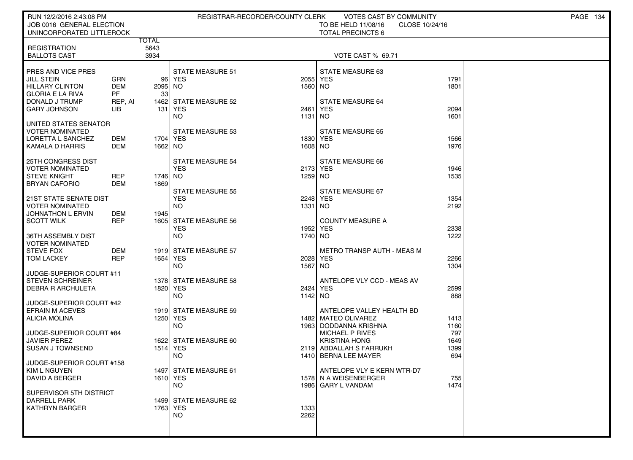| RUN 12/2/2016 2:43:08 PM                           |                          |                      |                         | REGISTRAR-RECORDER/COUNTY CLERK | <b>VOTES CAST BY COMMUNITY</b>    |                | <b>PAGE 134</b> |
|----------------------------------------------------|--------------------------|----------------------|-------------------------|---------------------------------|-----------------------------------|----------------|-----------------|
| JOB 0016 GENERAL ELECTION                          |                          |                      |                         |                                 | TO BE HELD 11/08/16               | CLOSE 10/24/16 |                 |
| UNINCORPORATED LITTLEROCK                          |                          |                      |                         |                                 | <b>TOTAL PRECINCTS 6</b>          |                |                 |
| <b>REGISTRATION</b>                                |                          | <b>TOTAL</b><br>5643 |                         |                                 |                                   |                |                 |
| <b>BALLOTS CAST</b>                                |                          | 3934                 |                         |                                 | VOTE CAST % 69.71                 |                |                 |
|                                                    |                          |                      |                         |                                 |                                   |                |                 |
| <b>PRES AND VICE PRES</b>                          |                          |                      | <b>STATE MEASURE 51</b> |                                 | STATE MEASURE 63                  |                |                 |
| <b>JILL STEIN</b>                                  | GRN                      |                      | 96 YES                  |                                 | 2055 YES                          | 1791           |                 |
| <b>HILLARY CLINTON</b>                             | <b>DEM</b>               | 2095 NO              |                         | 1560 NO                         |                                   | 1801           |                 |
| <b>GLORIA E LA RIVA</b>                            | PF                       | 33                   |                         |                                 |                                   |                |                 |
| I DONALD J TRUMP                                   | REP, AI                  | 1462                 | <b>STATE MEASURE 52</b> |                                 | <b>STATE MEASURE 64</b>           |                |                 |
| <b>GARY JOHNSON</b>                                | LIB                      | 131                  | <b>YES</b><br>NO.       | 2461<br>1131                    | <b>YES</b><br>NO.                 | 2094<br>1601   |                 |
| UNITED STATES SENATOR                              |                          |                      |                         |                                 |                                   |                |                 |
| I VOTER NOMINATED                                  |                          |                      | <b>STATE MEASURE 53</b> |                                 | <b>STATE MEASURE 65</b>           |                |                 |
| LORETTA L SANCHEZ                                  | DEM                      | 1704   YES           |                         |                                 | 1830 YES                          | 1566           |                 |
| KAMALA D HARRIS                                    | DEM                      | 1662 NO              |                         | 1608 NO                         |                                   | 1976           |                 |
|                                                    |                          |                      |                         |                                 |                                   |                |                 |
| 25TH CONGRESS DIST                                 |                          |                      | STATE MEASURE 54        |                                 | STATE MEASURE 66                  |                |                 |
| I VOTER NOMINATED                                  |                          |                      | <b>YES</b>              | 2173 YES                        |                                   | 1946           |                 |
| I STEVE KNIGHT<br><b>BRYAN CAFORIO</b>             | <b>REP</b><br><b>DEM</b> | 1746 NO<br>1869      |                         | 1259 NO                         |                                   | 1535           |                 |
|                                                    |                          |                      | <b>STATE MEASURE 55</b> |                                 | STATE MEASURE 67                  |                |                 |
| 21ST STATE SENATE DIST                             |                          |                      | <b>YES</b>              |                                 | 2248 YES                          | 1354           |                 |
| <b>VOTER NOMINATED</b>                             |                          |                      | NO.                     | 1331                            | NO.                               | 2192           |                 |
| JOHNATHON L ERVIN                                  | <b>DEM</b>               | 1945                 |                         |                                 |                                   |                |                 |
| <b>SCOTT WILK</b>                                  | <b>REP</b>               |                      | 1605 STATE MEASURE 56   |                                 | <b>COUNTY MEASURE A</b>           |                |                 |
|                                                    |                          |                      | <b>YES</b>              | 1952                            | <b>YES</b>                        | 2338           |                 |
| I 36TH ASSEMBLY DIST                               |                          |                      | NO.                     | 1740 NO                         |                                   | 1222           |                 |
| <b>VOTER NOMINATED</b><br><b>STEVE FOX</b>         | DEM                      |                      | 1919 STATE MEASURE 57   |                                 | <b>METRO TRANSP AUTH - MEAS M</b> |                |                 |
| I TOM LACKEY                                       | <b>REP</b>               | 1654   YES           |                         | 2028                            | <b>YES</b>                        | 2266           |                 |
|                                                    |                          |                      | NO.                     | 1567                            | NO.                               | 1304           |                 |
| JUDGE-SUPERIOR COURT #11                           |                          |                      |                         |                                 |                                   |                |                 |
| I STEVEN SCHREINER                                 |                          |                      | 1378 STATE MEASURE 58   |                                 | ANTELOPE VLY CCD - MEAS AV        |                |                 |
| I DEBRA R ARCHULETA                                |                          | 1820 YES             |                         |                                 | 2424 YES                          | 2599           |                 |
|                                                    |                          |                      | NO.                     | 1142 NO                         |                                   | 888            |                 |
| JUDGE-SUPERIOR COURT #42<br><b>EFRAIN M ACEVES</b> |                          |                      | 1919 STATE MEASURE 59   |                                 | ANTELOPE VALLEY HEALTH BD         |                |                 |
| ALICIA MOLINA                                      |                          | 1250 YES             |                         |                                 | 1482 MATEO OLIVAREZ               | 1413           |                 |
|                                                    |                          |                      | NO.                     | 1963                            | DODDANNA KRISHNA                  | 1160           |                 |
| JUDGE-SUPERIOR COURT #84                           |                          |                      |                         |                                 | MICHAEL P RIVES                   | 797            |                 |
| <b>JAVIER PEREZ</b>                                |                          | 1622                 | STATE MEASURE 60        |                                 | <b>KRISTINA HONG</b>              | 1649           |                 |
| I SUSAN J TOWNSEND                                 |                          | 1514 YES             |                         |                                 | 2119 ABDALLAH S FARRUKH           | 1399           |                 |
|                                                    |                          |                      | NO.                     |                                 | 1410 BERNA LEE MAYER              | 694            |                 |
| JUDGE-SUPERIOR COURT #158<br>KIM L NGUYEN          |                          |                      |                         |                                 | ANTELOPE VLY E KERN WTR-D7        |                |                 |
| DAVID A BERGER                                     |                          | 1610 YES             | 1497 STATE MEASURE 61   |                                 | 1578 N A WEISENBERGER             | 755            |                 |
|                                                    |                          |                      | <b>NO</b>               |                                 | 1986 GARY L VANDAM                | 1474           |                 |
| SUPERVISOR 5TH DISTRICT                            |                          |                      |                         |                                 |                                   |                |                 |
| DARRELL PARK                                       |                          |                      | 1499 STATE MEASURE 62   |                                 |                                   |                |                 |
| KATHRYN BARGER                                     |                          | 1763 YES             |                         | 1333                            |                                   |                |                 |
|                                                    |                          |                      | NO.                     | 2262                            |                                   |                |                 |
|                                                    |                          |                      |                         |                                 |                                   |                |                 |
|                                                    |                          |                      |                         |                                 |                                   |                |                 |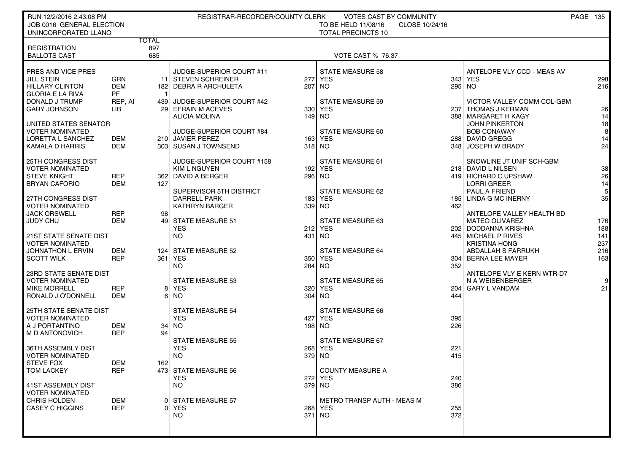| RUN 12/2/2016 2:43:08 PM                                                                                         |                                       |            | REGISTRAR-RECORDER/COUNTY CLERK                                                                                           |             | <b>VOTES CAST BY COMMUNITY</b>                                                             |              |                                                                                                                                           | <b>PAGE 135</b>                           |
|------------------------------------------------------------------------------------------------------------------|---------------------------------------|------------|---------------------------------------------------------------------------------------------------------------------------|-------------|--------------------------------------------------------------------------------------------|--------------|-------------------------------------------------------------------------------------------------------------------------------------------|-------------------------------------------|
| JOB 0016 GENERAL ELECTION                                                                                        |                                       |            |                                                                                                                           |             | TO BE HELD 11/08/16<br>CLOSE 10/24/16                                                      |              |                                                                                                                                           |                                           |
| UNINCORPORATED LLANO                                                                                             | <b>TOTAL</b>                          |            |                                                                                                                           |             | <b>TOTAL PRECINCTS 10</b>                                                                  |              |                                                                                                                                           |                                           |
| <b>REGISTRATION</b><br><b>BALLOTS CAST</b>                                                                       | 897<br>685                            |            |                                                                                                                           |             | <b>VOTE CAST % 76.37</b>                                                                   |              |                                                                                                                                           |                                           |
| PRES AND VICE PRES<br><b>JILL STEIN</b><br><b>HILLARY CLINTON</b><br><b>GLORIA E LA RIVA</b>                     | <b>GRN</b><br><b>DEM</b><br><b>PF</b> |            | JUDGE-SUPERIOR COURT #11<br>11 STEVEN SCHREINER<br>182 DEBRA R ARCHULETA                                                  | 277<br>207  | <b>STATE MEASURE 58</b><br><b>YES</b><br>NO <sub>1</sub>                                   | 343          | ANTELOPE VLY CCD - MEAS AV<br><b>YES</b><br>295 NO                                                                                        | 298<br>216                                |
| DONALD J TRUMP<br><b>GARY JOHNSON</b>                                                                            | REP, AI<br>LIB                        | 439        | JUDGE-SUPERIOR COURT #42<br>29 EFRAIN M ACEVES<br><b>ALICIA MOLINA</b>                                                    |             | <b>STATE MEASURE 59</b><br>330 YES<br>$149$ NO                                             |              | VICTOR VALLEY COMM COL-GBM<br>237   THOMAS J KERMAN<br>388 MARGARET H KAGY                                                                | 26<br>14                                  |
| UNITED STATES SENATOR<br><b>VOTER NOMINATED</b><br>LORETTA L SANCHEZ<br>KAMALA D HARRIS                          | DEM<br><b>DEM</b>                     |            | JUDGE-SUPERIOR COURT #84<br>210 JAVIER PEREZ<br>303 SUSAN J TOWNSEND                                                      |             | STATE MEASURE 60<br>163 YES<br>$318$ NO                                                    | 348          | <b>JOHN PINKERTON</b><br><b>BOB CONAWAY</b><br>288 DAVID GREGG<br>JOSEPH W BRADY                                                          | 18<br>8<br>14<br>24                       |
| 25TH CONGRESS DIST<br><b>VOTER NOMINATED</b><br><b>STEVE KNIGHT</b><br><b>BRYAN CAFORIO</b>                      | <b>REP</b><br><b>DEM</b>              | 127        | JUDGE-SUPERIOR COURT #158<br><b>KIM L NGUYEN</b><br>362   DAVID A BERGER                                                  | 192         | STATE MEASURE 61<br>YES<br>296 NO                                                          |              | SNOWLINE JT UNIF SCH-GBM<br>218 DAVID L NILSEN<br>419 RICHARD C UPSHAW<br><b>LORRI GREER</b>                                              | 38<br>26<br>14                            |
| 27TH CONGRESS DIST<br><b>VOTER NOMINATED</b><br><b>JACK ORSWELL</b><br>JUDY CHU<br><b>21ST STATE SENATE DIST</b> | <b>REP</b><br><b>DEM</b>              | 98         | SUPERVISOR 5TH DISTRICT<br><b>DARRELL PARK</b><br><b>KATHRYN BARGER</b><br>49 STATE MEASURE 51<br><b>YES</b><br><b>NO</b> | 1831<br>339 | STATE MEASURE 62<br>YES<br>NO <sub>1</sub><br>STATE MEASURE 63<br><b>212 YES</b><br>431 NO | 185 l<br>462 | PAUL A FRIEND<br>LINDA G MC INERNY<br>ANTELOPE VALLEY HEALTH BD<br><b>MATEO OLIVAREZ</b><br>202   DODDANNA KRISHNA<br>445 MICHAEL P RIVES | 5 <sub>l</sub><br>35<br>176<br>188<br>141 |
| <b>VOTER NOMINATED</b><br>JOHNATHON L ERVIN<br><b>SCOTT WILK</b>                                                 | DEM<br><b>REP</b>                     | 124<br>361 | <b>STATE MEASURE 52</b><br><b>YES</b><br><b>NO</b>                                                                        | 284         | <b>STATE MEASURE 64</b><br>350 YES<br><b>NO</b>                                            | 352          | <b>KRISTINA HONG</b><br>ABDALLAH S FARRUKH<br>304   BERNA LEE MAYER                                                                       | 237<br>216<br>163                         |
| 23RD STATE SENATE DIST<br><b>VOTER NOMINATED</b><br><b>MIKE MORRELL</b><br>RONALD J O'DONNELL                    | <b>REP</b><br>DEM                     | 81<br>61   | <b>STATE MEASURE 53</b><br>YES<br>NO.                                                                                     | 304         | <b>STATE MEASURE 65</b><br>320 YES<br><b>NO</b>                                            | 204<br>444   | ANTELOPE VLY E KERN WTR-D7<br>N A WEISENBERGER<br><b>GARY L VANDAM</b>                                                                    | $9 \square$<br>21                         |
| <b>25TH STATE SENATE DIST</b><br><b>VOTER NOMINATED</b><br>A J PORTANTINO<br>M D ANTONOVICH                      | DEM<br><b>REP</b>                     | 94         | <b>STATE MEASURE 54</b><br><b>YES</b><br>$34$ NO                                                                          | 427<br>198  | <b>STATE MEASURE 66</b><br><b>YES</b><br><b>NO</b>                                         | 395<br>226   |                                                                                                                                           |                                           |
| 36TH ASSEMBLY DIST<br><b>VOTER NOMINATED</b><br><b>STEVE FOX</b>                                                 | DEM                                   | 162        | <b>STATE MEASURE 55</b><br><b>YES</b><br><b>NO</b>                                                                        | 379         | <b>STATE MEASURE 67</b><br>268 YES<br>NO.                                                  | 221<br>415   |                                                                                                                                           |                                           |
| <b>TOM LACKEY</b><br>41ST ASSEMBLY DIST<br><b>VOTER NOMINATED</b>                                                | REP                                   |            | 473 STATE MEASURE 56<br><b>YES</b><br>NO.                                                                                 |             | <b>COUNTY MEASURE A</b><br>272 YES<br>379 NO                                               | 240<br>386   |                                                                                                                                           |                                           |
| <b>CHRIS HOLDEN</b><br><b>CASEY C HIGGINS</b>                                                                    | DEM<br><b>REP</b>                     |            | <b>STATE MEASURE 57</b><br>YES<br>NO.                                                                                     |             | METRO TRANSP AUTH - MEAS M<br>268 YES<br>$371$ NO                                          | 255<br>372   |                                                                                                                                           |                                           |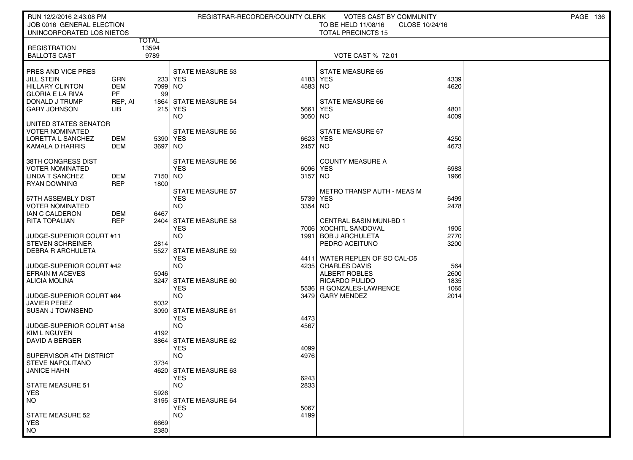| RUN 12/2/2016 2:43:08 PM                  |                          |                       | REGISTRAR-RECORDER/COUNTY CLERK       |              | VOTES CAST BY COMMUNITY                                   |                | <b>PAGE 136</b> |
|-------------------------------------------|--------------------------|-----------------------|---------------------------------------|--------------|-----------------------------------------------------------|----------------|-----------------|
| JOB 0016 GENERAL ELECTION                 |                          |                       |                                       |              | TO BE HELD 11/08/16                                       | CLOSE 10/24/16 |                 |
| UNINCORPORATED LOS NIETOS                 |                          |                       |                                       |              | <b>TOTAL PRECINCTS 15</b>                                 |                |                 |
| <b>REGISTRATION</b>                       |                          | <b>TOTAL</b><br>13594 |                                       |              |                                                           |                |                 |
| <b>BALLOTS CAST</b>                       |                          | 9789                  |                                       |              | <b>VOTE CAST % 72.01</b>                                  |                |                 |
|                                           |                          |                       |                                       |              |                                                           |                |                 |
| <b>PRES AND VICE PRES</b>                 |                          |                       | <b>STATE MEASURE 53</b>               |              | <b>STATE MEASURE 65</b>                                   |                |                 |
| JILL STEIN                                | GRN                      | 233                   | YES                                   | 4183         | <b>YES</b>                                                | 4339           |                 |
| HILLARY CLINTON                           | <b>DEM</b>               | 7099 NO               |                                       | 4583         | NO.                                                       | 4620           |                 |
| GLORIA E LA RIVA                          | <b>PF</b>                | 99                    |                                       |              |                                                           |                |                 |
| DONALD J TRUMP<br><b>GARY JOHNSON</b>     | REP, AI<br><b>LIB</b>    | 18641<br>215          | <b>STATE MEASURE 54</b><br>YES        | 5661         | <b>STATE MEASURE 66</b><br><b>YES</b>                     | 4801           |                 |
|                                           |                          |                       | <b>NO</b>                             | 3050         | NO.                                                       | 4009           |                 |
| UNITED STATES SENATOR                     |                          |                       |                                       |              |                                                           |                |                 |
| VOTER NOMINATED                           |                          |                       | STATE MEASURE 55                      |              | STATE MEASURE 67                                          |                |                 |
| LORETTA L SANCHEZ                         | DEM                      | 5390 YES              |                                       | 6623         | YES                                                       | 4250           |                 |
| KAMALA D HARRIS                           | DEM                      | 3697 NO               |                                       | 2457         | NO.                                                       | 4673           |                 |
|                                           |                          |                       |                                       |              |                                                           |                |                 |
| 38TH CONGRESS DIST<br>I VOTER NOMINATED   |                          |                       | STATE MEASURE 56<br><b>YES</b>        | 6096         | <b>COUNTY MEASURE A</b><br>YES                            | 6983           |                 |
| LINDA T SANCHEZ                           | DEM                      | 7150 NO               |                                       | 3157         | NO.                                                       | 1966           |                 |
| <b>RYAN DOWNING</b>                       | <b>REP</b>               | 1800                  |                                       |              |                                                           |                |                 |
|                                           |                          |                       | <b>STATE MEASURE 57</b>               |              | <b>METRO TRANSP AUTH - MEAS M</b>                         |                |                 |
| I 57TH ASSEMBLY DIST                      |                          |                       | <b>YES</b>                            | 5739         | YES                                                       | 6499           |                 |
| I VOTER NOMINATED                         |                          |                       | NO.                                   | 3354         | NO.                                                       | 2478           |                 |
| I IAN C CALDERON                          | <b>DEM</b><br><b>REP</b> | 6467                  |                                       |              |                                                           |                |                 |
| <b>RITA TOPALIAN</b>                      |                          | 24041                 | <b>STATE MEASURE 58</b><br><b>YES</b> | 7006         | <b>CENTRAL BASIN MUNI-BD 1</b><br><b>XOCHITL SANDOVAL</b> | 1905           |                 |
| UUDGE-SUPERIOR COURT #11                  |                          |                       | <b>NO</b>                             | 1991         | <b>BOB J ARCHULETA</b>                                    | 2770           |                 |
| <b>STEVEN SCHREINER</b>                   |                          | 2814                  |                                       |              | PEDRO ACEITUNO                                            | 3200           |                 |
| ∣ DEBRA R ARCHULETA                       |                          | 5527                  | <b>STATE MEASURE 59</b>               |              |                                                           |                |                 |
|                                           |                          |                       | <b>YES</b>                            | 44111        | WATER REPLEN OF SO CAL-D5                                 |                |                 |
| JUDGE-SUPERIOR COURT #42                  |                          |                       | NO.                                   | 4235         | <b>CHARLES DAVIS</b>                                      | 564            |                 |
| EFRAIN M ACEVES<br>  ALICIA MOLINA        |                          | 5046<br>3247          | <b>STATE MEASURE 60</b>               |              | ALBERT ROBLES<br>RICARDO PULIDO                           | 2600<br>1835   |                 |
|                                           |                          |                       | <b>YES</b>                            |              | 5536 R GONZALES-LAWRENCE                                  | 1065           |                 |
| ∣ JUDGE-SUPERIOR COURT #84                |                          |                       | <b>NO</b>                             | 3479         | <b>GARY MENDEZ</b>                                        | 2014           |                 |
| JAVIER PEREZ                              |                          | 5032                  |                                       |              |                                                           |                |                 |
| SUSAN J TOWNSEND                          |                          | 30901                 | <b>STATE MEASURE 61</b>               |              |                                                           |                |                 |
|                                           |                          |                       | <b>YES</b>                            | 4473         |                                                           |                |                 |
| JUDGE-SUPERIOR COURT #158<br>KIM L NGUYEN |                          | 4192                  | NO.                                   | 4567         |                                                           |                |                 |
| DAVID A BERGER                            |                          | 3864                  | <b>STATE MEASURE 62</b>               |              |                                                           |                |                 |
|                                           |                          |                       | <b>YES</b>                            | 4099         |                                                           |                |                 |
| SUPERVISOR 4TH DISTRICT                   |                          |                       | <b>NO</b>                             | 4976         |                                                           |                |                 |
| I STEVE NAPOLITANO                        |                          | 3734                  |                                       |              |                                                           |                |                 |
| JANICE HAHN                               |                          |                       | 4620 STATE MEASURE 63                 |              |                                                           |                |                 |
| STATE MEASURE 51                          |                          |                       | <b>YES</b>                            | 6243<br>2833 |                                                           |                |                 |
| <b>YES</b>                                |                          | 5926                  | NO.                                   |              |                                                           |                |                 |
| NO <sub>1</sub>                           |                          |                       | 3195 STATE MEASURE 64                 |              |                                                           |                |                 |
|                                           |                          |                       | <b>YES</b>                            | 5067         |                                                           |                |                 |
| <b>STATE MEASURE 52</b>                   |                          |                       | <b>NO</b>                             | 4199         |                                                           |                |                 |
| <b>YES</b>                                |                          | 6669                  |                                       |              |                                                           |                |                 |
| NO <sub>1</sub>                           |                          | 2380                  |                                       |              |                                                           |                |                 |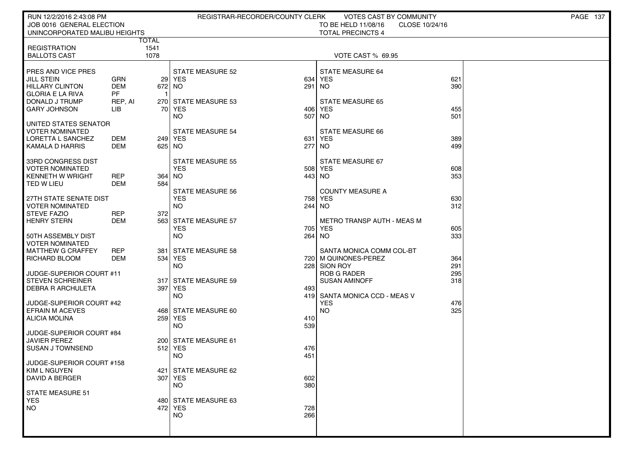| RUN 12/2/2016 2:43:08 PM                           |               |                | REGISTRAR-RECORDER/COUNTY CLERK       |            | VOTES CAST BY COMMUNITY           |                | <b>PAGE 137</b> |
|----------------------------------------------------|---------------|----------------|---------------------------------------|------------|-----------------------------------|----------------|-----------------|
| JOB 0016 GENERAL ELECTION                          |               |                |                                       |            | TO BE HELD 11/08/16               | CLOSE 10/24/16 |                 |
| UNINCORPORATED MALIBU HEIGHTS                      |               |                |                                       |            | <b>TOTAL PRECINCTS 4</b>          |                |                 |
| <b>REGISTRATION</b>                                | TOTAL         | 1541           |                                       |            |                                   |                |                 |
| <b>BALLOTS CAST</b>                                |               | 1078           |                                       |            | VOTE CAST % 69.95                 |                |                 |
|                                                    |               |                |                                       |            |                                   |                |                 |
| PRES AND VICE PRES                                 |               |                | <b>STATE MEASURE 52</b>               |            | STATE MEASURE 64                  |                |                 |
| JILL STEIN                                         | <b>GRN</b>    |                | 29 YES                                |            | 634 YES                           | 621            |                 |
| HILLARY CLINTON<br><b>GLORIA E LA RIVA</b>         | <b>DEM</b>    | 672 NO         |                                       | 291   NO   |                                   | 390            |                 |
| DONALD J TRUMP                                     | PF<br>REP, AI | $\overline{1}$ | 270 STATE MEASURE 53                  |            | <b>STATE MEASURE 65</b>           |                |                 |
| <b>GARY JOHNSON</b>                                | LIB           | 70             | YES                                   | 406        | <b>YES</b>                        | 455            |                 |
|                                                    |               |                | NO.                                   | 507        | NO.                               | 501            |                 |
| UNITED STATES SENATOR                              |               |                |                                       |            |                                   |                |                 |
| <b>VOTER NOMINATED</b>                             |               |                | <b>STATE MEASURE 54</b>               |            | STATE MEASURE 66                  |                |                 |
| LORETTA L SANCHEZ                                  | DEM           |                | 249   YES                             | 631        | YES                               | 389            |                 |
| KAMALA D HARRIS                                    | DEM           | 625 NO         |                                       | 277        | NO.                               | 499            |                 |
| 33RD CONGRESS DIST                                 |               |                | <b>STATE MEASURE 55</b>               |            | STATE MEASURE 67                  |                |                 |
| <b>VOTER NOMINATED</b>                             |               |                | <b>YES</b>                            |            | 508 YES                           | 608            |                 |
| <b>KENNETH W WRIGHT</b>                            | REP           | 364            | NO.                                   | 443 NO     |                                   | 353            |                 |
| TED W LIEU                                         | DEM           | 584            |                                       |            |                                   |                |                 |
| 27TH STATE SENATE DIST                             |               |                | <b>STATE MEASURE 56</b><br><b>YES</b> | 758        | <b>COUNTY MEASURE A</b><br>YES    | 630            |                 |
| <b>VOTER NOMINATED</b>                             |               |                | NO.                                   | 244 INO    |                                   | 312            |                 |
| <b>STEVE FAZIO</b>                                 | REP           | 372            |                                       |            |                                   |                |                 |
| <b>HENRY STERN</b>                                 | DEM           | 563            | <b>STATE MEASURE 57</b>               |            | <b>METRO TRANSP AUTH - MEAS M</b> |                |                 |
|                                                    |               |                | <b>YES</b>                            | 705        | YES                               | 605            |                 |
| 50TH ASSEMBLY DIST                                 |               |                | <b>NO</b>                             | 264 NO     |                                   | 333            |                 |
| <b>VOTER NOMINATED</b><br><b>MATTHEW G CRAFFEY</b> | <b>REP</b>    | 381            | <b>STATE MEASURE 58</b>               |            | SANTA MONICA COMM COL-BT          |                |                 |
| RICHARD BLOOM                                      | DEM           | 534            | YES                                   |            | 720   M QUINONES-PEREZ            | 364            |                 |
|                                                    |               |                | NO.                                   | 228        | SION ROY                          | 291            |                 |
| JUDGE-SUPERIOR COURT #11                           |               |                |                                       |            | <b>ROB G RADER</b>                | 295            |                 |
| <b>STEVEN SCHREINER</b>                            |               | 317 l          | <b>STATE MEASURE 59</b>               |            | <b>SUSAN AMINOFF</b>              | 318            |                 |
| DEBRA R ARCHULETA                                  |               | 397            | <b>YES</b><br><b>NO</b>               | 493<br>419 | SANTA MONICA CCD - MEAS V         |                |                 |
| JUDGE-SUPERIOR COURT #42                           |               |                |                                       |            | <b>YES</b>                        | 476            |                 |
| <b>EFRAIN M ACEVES</b>                             |               |                | 468 STATE MEASURE 60                  |            | NO.                               | 325            |                 |
| ALICIA MOLINA                                      |               | 259            | YES                                   | 410        |                                   |                |                 |
|                                                    |               |                | NO.                                   | 539        |                                   |                |                 |
| JUDGE-SUPERIOR COURT #84                           |               |                |                                       |            |                                   |                |                 |
| <b>JAVIER PEREZ</b><br><b>SUSAN J TOWNSEND</b>     |               |                | 200 STATE MEASURE 61<br>512 YES       | 476        |                                   |                |                 |
|                                                    |               |                | NO.                                   | 451        |                                   |                |                 |
| JUDGE-SUPERIOR COURT #158                          |               |                |                                       |            |                                   |                |                 |
| KIM L NGUYEN                                       |               |                | 421 STATE MEASURE 62                  |            |                                   |                |                 |
| <b>DAVID A BERGER</b>                              |               |                | 307 YES                               | 602        |                                   |                |                 |
|                                                    |               |                | <b>NO</b>                             | 380        |                                   |                |                 |
| <b>STATE MEASURE 51</b><br><b>YES</b>              |               |                | 480 STATE MEASURE 63                  |            |                                   |                |                 |
| <b>NO</b>                                          |               |                | 472 YES                               | 728        |                                   |                |                 |
|                                                    |               |                | <b>NO</b>                             | 266        |                                   |                |                 |
|                                                    |               |                |                                       |            |                                   |                |                 |
|                                                    |               |                |                                       |            |                                   |                |                 |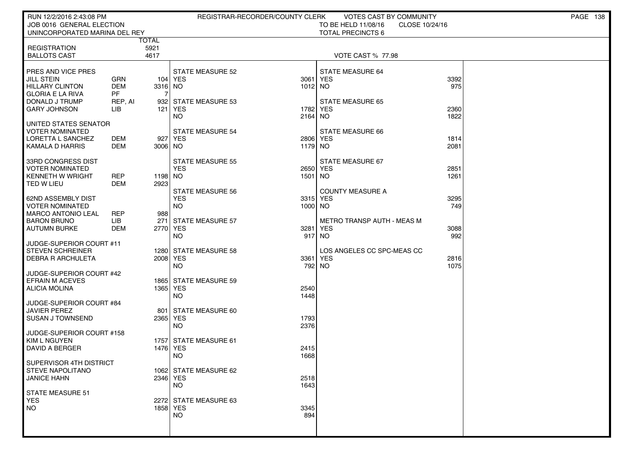| RUN 12/2/2016 2:43:08 PM                            |                   |                 |                         | REGISTRAR-RECORDER/COUNTY CLERK | VOTES CAST BY COMMUNITY           |                | PAGE 138 |
|-----------------------------------------------------|-------------------|-----------------|-------------------------|---------------------------------|-----------------------------------|----------------|----------|
| JOB 0016 GENERAL ELECTION                           |                   |                 |                         |                                 | TO BE HELD 11/08/16               | CLOSE 10/24/16 |          |
| UNINCORPORATED MARINA DEL REY                       |                   |                 |                         |                                 | <b>TOTAL PRECINCTS 6</b>          |                |          |
|                                                     |                   | <b>TOTAL</b>    |                         |                                 |                                   |                |          |
| <b>REGISTRATION</b><br><b>BALLOTS CAST</b>          |                   | 5921<br>4617    |                         |                                 | <b>VOTE CAST % 77.98</b>          |                |          |
|                                                     |                   |                 |                         |                                 |                                   |                |          |
| PRES AND VICE PRES                                  |                   |                 | <b>STATE MEASURE 52</b> |                                 | STATE MEASURE 64                  |                |          |
| JILL STEIN                                          | <b>GRN</b>        |                 | 104 YES                 | 3061                            | <b>YES</b>                        | 3392           |          |
| HILLARY CLINTON                                     | <b>DEM</b>        | 3316 NO         |                         | 1012 NO                         |                                   | 975            |          |
| <b>GLORIA E LA RIVA</b>                             | PF                |                 |                         |                                 |                                   |                |          |
| <b>DONALD J TRUMP</b>                               | REP, AI           |                 | 932 STATE MEASURE 53    |                                 | <b>STATE MEASURE 65</b>           |                |          |
| <b>GARY JOHNSON</b>                                 | LІВ               | 121             | YES                     | 1782                            | <b>YES</b>                        | 2360<br>1822   |          |
| UNITED STATES SENATOR                               |                   |                 | NO.                     | 2164                            | NO.                               |                |          |
| <b>VOTER NOMINATED</b>                              |                   |                 | <b>STATE MEASURE 54</b> |                                 | STATE MEASURE 66                  |                |          |
| LORETTA L SANCHEZ                                   | DEM               | 927             | YES                     | 2806                            | <b>YES</b>                        | 1814           |          |
| KAMALA D HARRIS                                     | DEM               | 3006 NO         |                         | 1179                            | NO.                               | 2081           |          |
|                                                     |                   |                 |                         |                                 |                                   |                |          |
| 33RD CONGRESS DIST                                  |                   |                 | <b>STATE MEASURE 55</b> |                                 | STATE MEASURE 67                  |                |          |
| <b>VOTER NOMINATED</b>                              |                   |                 | <b>YES</b>              |                                 | 2650 YES                          | 2851           |          |
| <b>KENNETH W WRIGHT</b><br>TED W LIEU               | REP<br><b>DEM</b> | 1198 NO<br>2923 |                         | 1501                            | NO.                               | 1261           |          |
|                                                     |                   |                 | <b>STATE MEASURE 56</b> |                                 | <b>COUNTY MEASURE A</b>           |                |          |
| 62ND ASSEMBLY DIST                                  |                   |                 | <b>YES</b>              |                                 | 3315 YES                          | 3295           |          |
| <b>VOTER NOMINATED</b>                              |                   |                 | NO.                     | 1000 NO                         |                                   | 749            |          |
| <b>MARCO ANTONIO LEAL</b>                           | REP               | 988             |                         |                                 |                                   |                |          |
| <b>BARON BRUNO</b>                                  | LIB               | 271             | <b>STATE MEASURE 57</b> |                                 | <b>METRO TRANSP AUTH - MEAS M</b> |                |          |
| <b>AUTUMN BURKE</b>                                 | DEM               | 2770 YES        |                         | 3281                            | <b>YES</b>                        | 3088           |          |
|                                                     |                   |                 | NO.                     |                                 | 917 NO                            | 992            |          |
| JUDGE-SUPERIOR COURT #11<br><b>STEVEN SCHREINER</b> |                   |                 | 1280 STATE MEASURE 58   |                                 | LOS ANGELES CC SPC-MEAS CC        |                |          |
| DEBRA R ARCHULETA                                   |                   | 2008 YES        |                         | 3361                            | <b>YES</b>                        | 2816           |          |
|                                                     |                   |                 | NO.                     | 792                             | NO.                               | 1075           |          |
| JUDGE-SUPERIOR COURT #42                            |                   |                 |                         |                                 |                                   |                |          |
| <b>EFRAIN M ACEVES</b>                              |                   |                 | 1865 STATE MEASURE 59   |                                 |                                   |                |          |
| <b>ALICIA MOLINA</b>                                |                   | 1365 YES        |                         | 2540                            |                                   |                |          |
|                                                     |                   |                 | <b>NO</b>               | 1448                            |                                   |                |          |
| JUDGE-SUPERIOR COURT #84<br><b>JAVIER PEREZ</b>     |                   | 801             | STATE MEASURE 60        |                                 |                                   |                |          |
| <b>SUSAN J TOWNSEND</b>                             |                   | 2365 YES        |                         | 1793                            |                                   |                |          |
|                                                     |                   |                 | NO.                     | 2376                            |                                   |                |          |
| JUDGE-SUPERIOR COURT #158                           |                   |                 |                         |                                 |                                   |                |          |
| <b>KIM L NGUYEN</b>                                 |                   |                 | 1757 STATE MEASURE 61   |                                 |                                   |                |          |
| DAVID A BERGER                                      |                   | 1476 YES        |                         | 2415                            |                                   |                |          |
|                                                     |                   |                 | NO                      | 1668                            |                                   |                |          |
| SUPERVISOR 4TH DISTRICT<br>STEVE NAPOLITANO         |                   |                 | 1062 STATE MEASURE 62   |                                 |                                   |                |          |
| <b>JANICE HAHN</b>                                  |                   | 2346 YES        |                         | 2518                            |                                   |                |          |
|                                                     |                   |                 | <b>NO</b>               | 1643                            |                                   |                |          |
| STATE MEASURE 51                                    |                   |                 |                         |                                 |                                   |                |          |
| YES                                                 |                   |                 | 2272 STATE MEASURE 63   |                                 |                                   |                |          |
| <b>NO</b>                                           |                   | 1858 YES        |                         | 3345                            |                                   |                |          |
|                                                     |                   |                 | <b>NO</b>               | 894                             |                                   |                |          |
|                                                     |                   |                 |                         |                                 |                                   |                |          |
|                                                     |                   |                 |                         |                                 |                                   |                |          |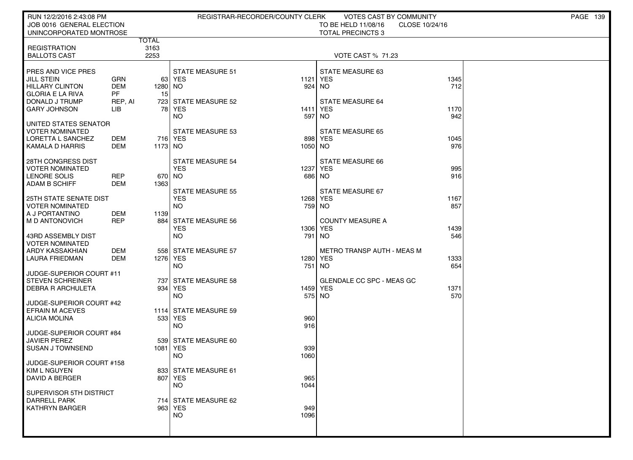| RUN 12/2/2016 2:43:08 PM                       |                   |                |                                  | REGISTRAR-RECORDER/COUNTY CLERK | VOTES CAST BY COMMUNITY                       |                | PAGE 139 |
|------------------------------------------------|-------------------|----------------|----------------------------------|---------------------------------|-----------------------------------------------|----------------|----------|
| JOB 0016 GENERAL ELECTION                      |                   |                |                                  |                                 | TO BE HELD 11/08/16                           | CLOSE 10/24/16 |          |
| UNINCORPORATED MONTROSE                        |                   | <b>TOTAL</b>   |                                  |                                 | <b>TOTAL PRECINCTS 3</b>                      |                |          |
| <b>REGISTRATION</b>                            |                   | 3163           |                                  |                                 |                                               |                |          |
| <b>BALLOTS CAST</b>                            |                   | 2253           |                                  |                                 | <b>VOTE CAST % 71.23</b>                      |                |          |
|                                                |                   |                |                                  |                                 |                                               |                |          |
| PRES AND VICE PRES                             |                   |                | <b>STATE MEASURE 51</b>          |                                 | STATE MEASURE 63                              |                |          |
| <b>JILL STEIN</b>                              | GRN               |                | 63 YES                           |                                 | 1121 YES                                      | 1345           |          |
| <b>HILLARY CLINTON</b>                         | <b>DEM</b>        | 1280 NO        |                                  |                                 | 924 NO                                        | 712            |          |
| <b>GLORIA E LA RIVA</b>                        | PF                | 15             |                                  |                                 |                                               |                |          |
| DONALD J TRUMP                                 | REP, AI           |                | 723 STATE MEASURE 52             |                                 | <b>STATE MEASURE 64</b>                       |                |          |
| <b>GARY JOHNSON</b>                            | LІВ               | 78             | <b>YES</b><br><b>NO</b>          | 1411<br>597                     | <b>YES</b><br>NO                              | 1170<br>942    |          |
| UNITED STATES SENATOR                          |                   |                |                                  |                                 |                                               |                |          |
| <b>VOTER NOMINATED</b>                         |                   |                | <b>STATE MEASURE 53</b>          |                                 | <b>STATE MEASURE 65</b>                       |                |          |
| LORETTA L SANCHEZ                              | DEM               |                | 716 YES                          | 898                             | YES                                           | 1045           |          |
| KAMALA D HARRIS                                | DEM               | 1173 NO        |                                  | 1050 NO                         |                                               | 976            |          |
|                                                |                   |                |                                  |                                 |                                               |                |          |
| 28TH CONGRESS DIST                             |                   |                | <b>STATE MEASURE 54</b>          |                                 | <b>STATE MEASURE 66</b>                       |                |          |
| <b>VOTER NOMINATED</b>                         |                   |                | <b>YES</b>                       |                                 | 1237 YES                                      | 995            |          |
| LENORE SOLIS<br><b>ADAM B SCHIFF</b>           | <b>REP</b><br>DEM | 670 NO<br>1363 |                                  |                                 | 686 NO                                        | 916            |          |
|                                                |                   |                | <b>STATE MEASURE 55</b>          |                                 | STATE MEASURE 67                              |                |          |
| 25TH STATE SENATE DIST                         |                   |                | <b>YES</b>                       |                                 | 1268 YES                                      | 1167           |          |
| <b>VOTER NOMINATED</b>                         |                   |                | <b>NO</b>                        | 759 NO                          |                                               | 857            |          |
| A J PORTANTINO                                 | DEM               | 1139           |                                  |                                 |                                               |                |          |
| M D ANTONOVICH                                 | <b>REP</b>        | 884            | STATE MEASURE 56                 |                                 | <b>COUNTY MEASURE A</b>                       |                |          |
|                                                |                   |                | <b>YES</b>                       | 1306                            | YES                                           | 1439           |          |
| 43RD ASSEMBLY DIST                             |                   |                | <b>NO</b>                        | 791                             | NO.                                           | 546            |          |
| <b>VOTER NOMINATED</b>                         |                   |                |                                  |                                 |                                               |                |          |
| ARDY KASSAKHIAN<br><b>LAURA FRIEDMAN</b>       | DEM<br><b>DEM</b> | 1276 YES       | 558 STATE MEASURE 57             |                                 | <b>METRO TRANSP AUTH - MEAS M</b><br>1280 YES | 1333           |          |
|                                                |                   |                | <b>NO</b>                        | 751                             | <b>NO</b>                                     | 654            |          |
| JUDGE-SUPERIOR COURT #11                       |                   |                |                                  |                                 |                                               |                |          |
| <b>STEVEN SCHREINER</b>                        |                   | 737            | STATE MEASURE 58                 |                                 | GLENDALE CC SPC - MEAS GC                     |                |          |
| DEBRA R ARCHULETA                              |                   |                | 934 YES                          |                                 | 1459 YES                                      | 1371           |          |
|                                                |                   |                | <b>NO</b>                        | 575 NO                          |                                               | 570            |          |
| JUDGE-SUPERIOR COURT #42                       |                   |                |                                  |                                 |                                               |                |          |
| <b>EFRAIN M ACEVES</b><br><b>ALICIA MOLINA</b> |                   |                | 1114 STATE MEASURE 59<br>533 YES | 960                             |                                               |                |          |
|                                                |                   |                | <b>NO</b>                        | 916                             |                                               |                |          |
| JUDGE-SUPERIOR COURT #84                       |                   |                |                                  |                                 |                                               |                |          |
| JAVIER PEREZ                                   |                   |                | 539 STATE MEASURE 60             |                                 |                                               |                |          |
| <b>SUSAN J TOWNSEND</b>                        |                   | 1081 YES       |                                  | 939                             |                                               |                |          |
|                                                |                   |                | <b>NO</b>                        | 1060                            |                                               |                |          |
| JUDGE-SUPERIOR COURT #158                      |                   |                |                                  |                                 |                                               |                |          |
| KIM L NGUYEN                                   |                   |                | 833 STATE MEASURE 61             |                                 |                                               |                |          |
| <b>DAVID A BERGER</b>                          |                   |                | 807 YES<br><b>NO</b>             | 965<br>1044                     |                                               |                |          |
| SUPERVISOR 5TH DISTRICT                        |                   |                |                                  |                                 |                                               |                |          |
| <b>DARRELL PARK</b>                            |                   |                | 714 STATE MEASURE 62             |                                 |                                               |                |          |
| <b>KATHRYN BARGER</b>                          |                   |                | 963 YES                          | 949                             |                                               |                |          |
|                                                |                   |                | NO.                              | 1096                            |                                               |                |          |
|                                                |                   |                |                                  |                                 |                                               |                |          |
|                                                |                   |                |                                  |                                 |                                               |                |          |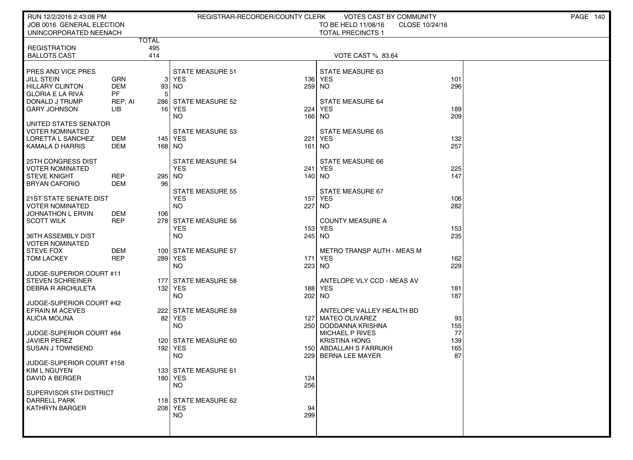| JOB 0016 GENERAL ELECTION<br>TO BE HELD 11/08/16<br>CLOSE 10/24/16<br>UNINCORPORATED NEENACH<br><b>TOTAL PRECINCTS 1</b><br><b>TOTAL</b><br>495<br><b>REGISTRATION</b><br>414<br><b>BALLOTS CAST</b><br>VOTE CAST % 83.64<br><b>STATE MEASURE 51</b><br><b>STATE MEASURE 63</b><br>PRES AND VICE PRES<br><b>JILL STEIN</b><br><b>GRN</b><br>3 YES<br>136 YES<br>101<br>296<br><b>HILLARY CLINTON</b><br><b>DEM</b><br>259 NO<br>93<br>  NO<br><b>PF</b><br><b>GLORIA E LA RIVA</b><br>5<br>DONALD J TRUMP<br>286 STATE MEASURE 52<br><b>STATE MEASURE 64</b><br>REP, AI<br><b>GARY JOHNSON</b><br>LIB<br>16 YES<br>224<br><b>YES</b><br>189<br>209<br><b>NO</b><br>166<br><b>NO</b><br>UNITED STATES SENATOR<br><b>VOTER NOMINATED</b><br><b>STATE MEASURE 53</b><br><b>STATE MEASURE 65</b><br>LORETTA L SANCHEZ<br>DEM<br>145 YES<br>221<br>YES<br>132<br>257<br><b>KAMALA D HARRIS</b><br>DEM<br>168 NO<br>161 NO<br><b>25TH CONGRESS DIST</b><br><b>STATE MEASURE 54</b><br><b>STATE MEASURE 66</b><br><b>VOTER NOMINATED</b><br><b>YES</b><br>241 YES<br>225<br>147<br><b>STEVE KNIGHT</b><br>REP<br>295 NO<br>140 NO<br>96<br><b>BRYAN CAFORIO</b><br>DEM |
|-----------------------------------------------------------------------------------------------------------------------------------------------------------------------------------------------------------------------------------------------------------------------------------------------------------------------------------------------------------------------------------------------------------------------------------------------------------------------------------------------------------------------------------------------------------------------------------------------------------------------------------------------------------------------------------------------------------------------------------------------------------------------------------------------------------------------------------------------------------------------------------------------------------------------------------------------------------------------------------------------------------------------------------------------------------------------------------------------------------------------------------------------------------------|
|                                                                                                                                                                                                                                                                                                                                                                                                                                                                                                                                                                                                                                                                                                                                                                                                                                                                                                                                                                                                                                                                                                                                                                 |
|                                                                                                                                                                                                                                                                                                                                                                                                                                                                                                                                                                                                                                                                                                                                                                                                                                                                                                                                                                                                                                                                                                                                                                 |
|                                                                                                                                                                                                                                                                                                                                                                                                                                                                                                                                                                                                                                                                                                                                                                                                                                                                                                                                                                                                                                                                                                                                                                 |
|                                                                                                                                                                                                                                                                                                                                                                                                                                                                                                                                                                                                                                                                                                                                                                                                                                                                                                                                                                                                                                                                                                                                                                 |
|                                                                                                                                                                                                                                                                                                                                                                                                                                                                                                                                                                                                                                                                                                                                                                                                                                                                                                                                                                                                                                                                                                                                                                 |
|                                                                                                                                                                                                                                                                                                                                                                                                                                                                                                                                                                                                                                                                                                                                                                                                                                                                                                                                                                                                                                                                                                                                                                 |
|                                                                                                                                                                                                                                                                                                                                                                                                                                                                                                                                                                                                                                                                                                                                                                                                                                                                                                                                                                                                                                                                                                                                                                 |
|                                                                                                                                                                                                                                                                                                                                                                                                                                                                                                                                                                                                                                                                                                                                                                                                                                                                                                                                                                                                                                                                                                                                                                 |
|                                                                                                                                                                                                                                                                                                                                                                                                                                                                                                                                                                                                                                                                                                                                                                                                                                                                                                                                                                                                                                                                                                                                                                 |
|                                                                                                                                                                                                                                                                                                                                                                                                                                                                                                                                                                                                                                                                                                                                                                                                                                                                                                                                                                                                                                                                                                                                                                 |
|                                                                                                                                                                                                                                                                                                                                                                                                                                                                                                                                                                                                                                                                                                                                                                                                                                                                                                                                                                                                                                                                                                                                                                 |
|                                                                                                                                                                                                                                                                                                                                                                                                                                                                                                                                                                                                                                                                                                                                                                                                                                                                                                                                                                                                                                                                                                                                                                 |
|                                                                                                                                                                                                                                                                                                                                                                                                                                                                                                                                                                                                                                                                                                                                                                                                                                                                                                                                                                                                                                                                                                                                                                 |
|                                                                                                                                                                                                                                                                                                                                                                                                                                                                                                                                                                                                                                                                                                                                                                                                                                                                                                                                                                                                                                                                                                                                                                 |
|                                                                                                                                                                                                                                                                                                                                                                                                                                                                                                                                                                                                                                                                                                                                                                                                                                                                                                                                                                                                                                                                                                                                                                 |
| <b>STATE MEASURE 55</b><br>STATE MEASURE 67                                                                                                                                                                                                                                                                                                                                                                                                                                                                                                                                                                                                                                                                                                                                                                                                                                                                                                                                                                                                                                                                                                                     |
| <b>YES</b><br>21ST STATE SENATE DIST<br>YES<br>157<br>106<br>282<br><b>VOTER NOMINATED</b><br><b>NO</b><br>227<br>NO.                                                                                                                                                                                                                                                                                                                                                                                                                                                                                                                                                                                                                                                                                                                                                                                                                                                                                                                                                                                                                                           |
| <b>JOHNATHON L ERVIN</b><br>DEM<br>106                                                                                                                                                                                                                                                                                                                                                                                                                                                                                                                                                                                                                                                                                                                                                                                                                                                                                                                                                                                                                                                                                                                          |
| <b>REP</b><br>278 STATE MEASURE 56<br><b>SCOTT WILK</b><br><b>COUNTY MEASURE A</b><br><b>YES</b><br>153 YES<br>153                                                                                                                                                                                                                                                                                                                                                                                                                                                                                                                                                                                                                                                                                                                                                                                                                                                                                                                                                                                                                                              |
| 235<br><b>NO</b><br>36TH ASSEMBLY DIST<br>245 NO                                                                                                                                                                                                                                                                                                                                                                                                                                                                                                                                                                                                                                                                                                                                                                                                                                                                                                                                                                                                                                                                                                                |
| <b>VOTER NOMINATED</b>                                                                                                                                                                                                                                                                                                                                                                                                                                                                                                                                                                                                                                                                                                                                                                                                                                                                                                                                                                                                                                                                                                                                          |
| <b>STEVE FOX</b><br><b>DEM</b><br>METRO TRANSP AUTH - MEAS M<br>100 STATE MEASURE 57<br><b>REP</b><br>289 YES<br>171 YES<br><b>TOM LACKEY</b><br>162                                                                                                                                                                                                                                                                                                                                                                                                                                                                                                                                                                                                                                                                                                                                                                                                                                                                                                                                                                                                            |
| 229<br>NO.<br>223 NO                                                                                                                                                                                                                                                                                                                                                                                                                                                                                                                                                                                                                                                                                                                                                                                                                                                                                                                                                                                                                                                                                                                                            |
| JUDGE-SUPERIOR COURT #11<br><b>STEVEN SCHREINER</b><br>ANTELOPE VLY CCD - MEAS AV<br>177 STATE MEASURE 58                                                                                                                                                                                                                                                                                                                                                                                                                                                                                                                                                                                                                                                                                                                                                                                                                                                                                                                                                                                                                                                       |
| 132 YES<br><b>DEBRA R ARCHULETA</b><br>188 YES<br>181                                                                                                                                                                                                                                                                                                                                                                                                                                                                                                                                                                                                                                                                                                                                                                                                                                                                                                                                                                                                                                                                                                           |
| 187<br>NO.<br>202 NO<br>JUDGE-SUPERIOR COURT #42                                                                                                                                                                                                                                                                                                                                                                                                                                                                                                                                                                                                                                                                                                                                                                                                                                                                                                                                                                                                                                                                                                                |
| <b>EFRAIN M ACEVES</b><br>222 STATE MEASURE 59<br>ANTELOPE VALLEY HEALTH BD                                                                                                                                                                                                                                                                                                                                                                                                                                                                                                                                                                                                                                                                                                                                                                                                                                                                                                                                                                                                                                                                                     |
| 82<br>YES<br>127 MATEO OLIVAREZ<br>ALICIA MOLINA<br>93<br>155<br>NO.<br>250 DODDANNA KRISHNA                                                                                                                                                                                                                                                                                                                                                                                                                                                                                                                                                                                                                                                                                                                                                                                                                                                                                                                                                                                                                                                                    |
| 77<br>JUDGE-SUPERIOR COURT #84<br>MICHAEL P RIVES                                                                                                                                                                                                                                                                                                                                                                                                                                                                                                                                                                                                                                                                                                                                                                                                                                                                                                                                                                                                                                                                                                               |
| <b>JAVIER PEREZ</b><br>120 STATE MEASURE 60<br><b>KRISTINA HONG</b><br>139                                                                                                                                                                                                                                                                                                                                                                                                                                                                                                                                                                                                                                                                                                                                                                                                                                                                                                                                                                                                                                                                                      |
| 165<br><b>SUSAN J TOWNSEND</b><br>192 YES<br>150 ABDALLAH S FARRUKH<br>87<br>NO.<br>229 BERNA LEE MAYER                                                                                                                                                                                                                                                                                                                                                                                                                                                                                                                                                                                                                                                                                                                                                                                                                                                                                                                                                                                                                                                         |
| JUDGE-SUPERIOR COURT #158                                                                                                                                                                                                                                                                                                                                                                                                                                                                                                                                                                                                                                                                                                                                                                                                                                                                                                                                                                                                                                                                                                                                       |
| 133 STATE MEASURE 61<br>  KIM L NGUYEN<br><b>DAVID A BERGER</b><br>180 YES<br>124                                                                                                                                                                                                                                                                                                                                                                                                                                                                                                                                                                                                                                                                                                                                                                                                                                                                                                                                                                                                                                                                               |
| <b>NO</b><br>256                                                                                                                                                                                                                                                                                                                                                                                                                                                                                                                                                                                                                                                                                                                                                                                                                                                                                                                                                                                                                                                                                                                                                |
| SUPERVISOR 5TH DISTRICT<br><b>DARRELL PARK</b><br>118 STATE MEASURE 62                                                                                                                                                                                                                                                                                                                                                                                                                                                                                                                                                                                                                                                                                                                                                                                                                                                                                                                                                                                                                                                                                          |
| <b>KATHRYN BARGER</b><br>208 YES<br>94                                                                                                                                                                                                                                                                                                                                                                                                                                                                                                                                                                                                                                                                                                                                                                                                                                                                                                                                                                                                                                                                                                                          |
| NO.<br>299                                                                                                                                                                                                                                                                                                                                                                                                                                                                                                                                                                                                                                                                                                                                                                                                                                                                                                                                                                                                                                                                                                                                                      |
|                                                                                                                                                                                                                                                                                                                                                                                                                                                                                                                                                                                                                                                                                                                                                                                                                                                                                                                                                                                                                                                                                                                                                                 |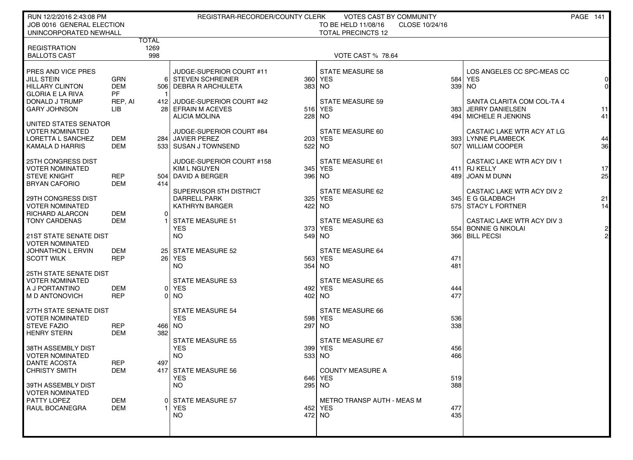| RUN 12/2/2016 2:43:08 PM                            |                |             | REGISTRAR-RECORDER/COUNTY CLERK       |            | <b>VOTES CAST BY COMMUNITY</b>                                     |            |                                                      | PAGE 141       |
|-----------------------------------------------------|----------------|-------------|---------------------------------------|------------|--------------------------------------------------------------------|------------|------------------------------------------------------|----------------|
| JOB 0016 GENERAL ELECTION<br>UNINCORPORATED NEWHALL |                |             |                                       |            | TO BE HELD 11/08/16<br>CLOSE 10/24/16<br><b>TOTAL PRECINCTS 12</b> |            |                                                      |                |
|                                                     | <b>TOTAL</b>   |             |                                       |            |                                                                    |            |                                                      |                |
| <b>REGISTRATION</b><br><b>BALLOTS CAST</b>          |                | 1269<br>998 |                                       |            | VOTE CAST % 78.64                                                  |            |                                                      |                |
|                                                     |                |             |                                       |            |                                                                    |            |                                                      |                |
| PRES AND VICE PRES                                  |                |             | JUDGE-SUPERIOR COURT #11              |            | <b>STATE MEASURE 58</b>                                            |            | LOS ANGELES CC SPC-MEAS CC                           |                |
| <b>JILL STEIN</b>                                   | <b>GRN</b>     | 61          | <b>STEVEN SCHREINER</b>               |            | 360 YES                                                            | 584        | <b>YES</b>                                           | 0              |
| <b>HILLARY CLINTON</b>                              | <b>DEM</b>     |             | 506   DEBRA R ARCHULETA               | 383        | NO <sub>1</sub>                                                    |            | 339 NO                                               | $\overline{0}$ |
| <b>GLORIA E LA RIVA</b>                             | PF             |             | JUDGE-SUPERIOR COURT #42              |            |                                                                    |            |                                                      |                |
| DONALD J TRUMP<br><b>GARY JOHNSON</b>               | REP, AI<br>LIB | 4121        | 28 EFRAIN M ACEVES                    |            | <b>STATE MEASURE 59</b><br>516 YES                                 | 383 l      | SANTA CLARITA COM COL-TA 4<br><b>JERRY DANIELSEN</b> | 11             |
|                                                     |                |             | <b>ALICIA MOLINA</b>                  | 228        | NO.                                                                |            | 494   MICHELE R JENKINS                              | 41             |
| UNITED STATES SENATOR                               |                |             |                                       |            |                                                                    |            |                                                      |                |
| <b>VOTER NOMINATED</b>                              |                |             | JUDGE-SUPERIOR COURT #84              |            | STATE MEASURE 60                                                   |            | CASTAIC LAKE WTR ACY AT LG                           |                |
| LORETTA L SANCHEZ                                   | DEM            |             | 284 JAVIER PEREZ                      | 203        | YES                                                                |            | 393 LYNNE PLAMBECK                                   | 44             |
| KAMALA D HARRIS                                     | <b>DEM</b>     |             | 533 SUSAN J TOWNSEND                  | 522        | NO <sub>1</sub>                                                    |            | 507   WILLIAM COOPER                                 | 36             |
| 25TH CONGRESS DIST                                  |                |             | JUDGE-SUPERIOR COURT #158             |            | STATE MEASURE 61                                                   |            | CASTAIC LAKE WTR ACY DIV 1                           |                |
| <b>VOTER NOMINATED</b>                              |                |             | <b>KIM L NGUYEN</b>                   | 345        | YES                                                                |            | 411 RJ KELLY                                         | 17             |
| <b>STEVE KNIGHT</b>                                 | <b>REP</b>     |             | 504   DAVID A BERGER                  | 396 NO     |                                                                    | 489        | JOAN M DUNN                                          | 25             |
| <b>BRYAN CAFORIO</b>                                | DEM            | 414         |                                       |            |                                                                    |            |                                                      |                |
|                                                     |                |             | SUPERVISOR 5TH DISTRICT               |            | STATE MEASURE 62                                                   |            | CASTAIC LAKE WTR ACY DIV 2                           |                |
| 29TH CONGRESS DIST<br><b>VOTER NOMINATED</b>        |                |             | DARRELL PARK<br><b>KATHRYN BARGER</b> | 325<br>422 | YES<br>NO <sub>1</sub>                                             |            | 345 E G GLADBACH<br>575 STACY L FORTNER              | 21<br>14       |
| RICHARD ALARCON                                     | <b>DEM</b>     | $\Omega$    |                                       |            |                                                                    |            |                                                      |                |
| <b>TONY CARDENAS</b>                                | <b>DEM</b>     |             | <b>STATE MEASURE 51</b>               |            | STATE MEASURE 63                                                   |            | CASTAIC LAKE WTR ACY DIV 3                           |                |
|                                                     |                |             | <b>YES</b>                            |            | 373 YES                                                            |            | 554 BONNIE G NIKOLAI                                 | $\mathsf{2}$   |
| <b>21ST STATE SENATE DIST</b>                       |                |             | <b>NO</b>                             | $549$ NO   |                                                                    |            | 366 BILL PECSI                                       | $\overline{2}$ |
| <b>VOTER NOMINATED</b><br><b>JOHNATHON L ERVIN</b>  | DEM            |             | 25 STATE MEASURE 52                   |            | <b>STATE MEASURE 64</b>                                            |            |                                                      |                |
| <b>SCOTT WILK</b>                                   | <b>REP</b>     |             | 26 YES                                |            | 563 YES                                                            | 471        |                                                      |                |
|                                                     |                |             | NO.                                   | 354        | NO <sub>1</sub>                                                    | 481        |                                                      |                |
| <b>25TH STATE SENATE DIST</b>                       |                |             |                                       |            |                                                                    |            |                                                      |                |
| <b>VOTER NOMINATED</b>                              |                |             | <b>STATE MEASURE 53</b>               |            | <b>STATE MEASURE 65</b>                                            |            |                                                      |                |
| A J PORTANTINO                                      | DEM            |             | 0 YES                                 |            | 492 YES                                                            | 444<br>477 |                                                      |                |
| M D ANTONOVICH                                      | <b>REP</b>     | 01          | NO.                                   | 402 NO     |                                                                    |            |                                                      |                |
| 27TH STATE SENATE DIST                              |                |             | <b>STATE MEASURE 54</b>               |            | <b>STATE MEASURE 66</b>                                            |            |                                                      |                |
| <b>VOTER NOMINATED</b>                              |                |             | <b>YES</b>                            | 598        | <b>YES</b>                                                         | 536        |                                                      |                |
| <b>STEVE FAZIO</b>                                  | REP            | 466 NO      |                                       | 297        | <b>NO</b>                                                          | 338        |                                                      |                |
| <b>HENRY STERN</b>                                  | <b>DEM</b>     | 382         |                                       |            |                                                                    |            |                                                      |                |
| 38TH ASSEMBLY DIST                                  |                |             | <b>STATE MEASURE 55</b><br><b>YES</b> |            | <b>STATE MEASURE 67</b><br>399 YES                                 | 456        |                                                      |                |
| <b>VOTER NOMINATED</b>                              |                |             | <b>NO</b>                             | 533        | NO.                                                                | 466        |                                                      |                |
| DANTE ACOSTA                                        | <b>REP</b>     | 497         |                                       |            |                                                                    |            |                                                      |                |
| <b>CHRISTY SMITH</b>                                | DEM            |             | 417 STATE MEASURE 56                  |            | <b>COUNTY MEASURE A</b>                                            |            |                                                      |                |
|                                                     |                |             | <b>YES</b>                            |            | 646 YES                                                            | 519        |                                                      |                |
| 39TH ASSEMBLY DIST                                  |                |             | NO.                                   | 295 NO     |                                                                    | 388        |                                                      |                |
| <b>VOTER NOMINATED</b><br>PATTY LOPEZ               | DEM            |             | <b>STATE MEASURE 57</b>               |            | METRO TRANSP AUTH - MEAS M                                         |            |                                                      |                |
| RAUL BOCANEGRA                                      | <b>DEM</b>     |             | <b>YES</b>                            |            | 452 YES                                                            | 477        |                                                      |                |
|                                                     |                |             | NO.                                   | 472 NO     |                                                                    | 435        |                                                      |                |
|                                                     |                |             |                                       |            |                                                                    |            |                                                      |                |
|                                                     |                |             |                                       |            |                                                                    |            |                                                      |                |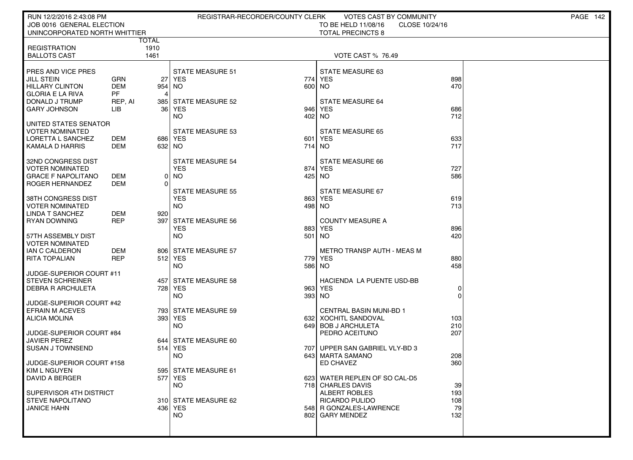| RUN 12/2/2016 2:43:08 PM                     |              |                 | REGISTRAR-RECORDER/COUNTY CLERK       |        | VOTES CAST BY COMMUNITY                    |            | PAGE 142 |
|----------------------------------------------|--------------|-----------------|---------------------------------------|--------|--------------------------------------------|------------|----------|
| JOB 0016 GENERAL ELECTION                    |              |                 |                                       |        | TO BE HELD 11/08/16<br>CLOSE 10/24/16      |            |          |
| UNINCORPORATED NORTH WHITTIER                |              |                 |                                       |        | <b>TOTAL PRECINCTS 8</b>                   |            |          |
|                                              | <b>TOTAL</b> |                 |                                       |        |                                            |            |          |
| <b>REGISTRATION</b>                          |              | 1910            |                                       |        |                                            |            |          |
| <b>BALLOTS CAST</b>                          |              | 1461            |                                       |        | <b>VOTE CAST % 76.49</b>                   |            |          |
| <b>PRES AND VICE PRES</b>                    |              |                 |                                       |        |                                            |            |          |
| JILL STEIN                                   | <b>GRN</b>   | 27              | <b>STATE MEASURE 51</b><br>YES        | 774    | STATE MEASURE 63<br><b>YES</b>             | 898        |          |
| <b>HILLARY CLINTON</b>                       | <b>DEM</b>   | 954             | NO.                                   | 600    | NO.                                        | 470        |          |
| GLORIA E LA RIVA                             | PF           | 4               |                                       |        |                                            |            |          |
| I DONALD J TRUMP                             | REP, AI      | 385             | <b>STATE MEASURE 52</b>               |        | <b>STATE MEASURE 64</b>                    |            |          |
| <b>GARY JOHNSON</b>                          | LІВ          | 36 <sup>1</sup> | YES                                   | 946    | <b>YES</b>                                 | 686        |          |
|                                              |              |                 | NO.                                   | 402 NO |                                            | 712        |          |
| I UNITED STATES SENATOR                      |              |                 |                                       |        |                                            |            |          |
| I VOTER NOMINATED                            |              |                 | <b>STATE MEASURE 53</b>               |        | <b>STATE MEASURE 65</b>                    |            |          |
| LORETTA L SANCHEZ                            | DEM          |                 | 686 YES                               | 601    | <b>YES</b>                                 | 633        |          |
| KAMALA D HARRIS                              | DEM          | 632             | NO.                                   | 714    | NO.                                        | 717        |          |
|                                              |              |                 |                                       |        |                                            |            |          |
| 32ND CONGRESS DIST<br><b>VOTER NOMINATED</b> |              |                 | <b>STATE MEASURE 54</b><br><b>YES</b> | 874    | <b>STATE MEASURE 66</b><br><b>YES</b>      | 727        |          |
| GRACE F NAPOLITANO                           | DEM          | 0               | <b>NO</b>                             | 425    | NO.                                        | 586        |          |
| <b>ROGER HERNANDEZ</b>                       | DEM          | $\Omega$        |                                       |        |                                            |            |          |
|                                              |              |                 | <b>STATE MEASURE 55</b>               |        | STATE MEASURE 67                           |            |          |
| I 38TH CONGRESS DIST                         |              |                 | <b>YES</b>                            | 863    | <b>YES</b>                                 | 619        |          |
| <b>VOTER NOMINATED</b>                       |              |                 | <b>NO</b>                             | 498 NO |                                            | 713        |          |
| LINDA T SANCHEZ                              | <b>DEM</b>   | 920             |                                       |        |                                            |            |          |
| <b>RYAN DOWNING</b>                          | <b>REP</b>   | 397             | <b>STATE MEASURE 56</b>               |        | <b>COUNTY MEASURE A</b>                    |            |          |
|                                              |              |                 | <b>YES</b>                            | 883    | <b>YES</b>                                 | 896        |          |
| 57TH ASSEMBLY DIST                           |              |                 | <b>NO</b>                             | 501    | NO.                                        | 420        |          |
| VOTER NOMINATED<br>I IAN C CALDERON          | DEM          |                 | 806 STATE MEASURE 57                  |        | METRO TRANSP AUTH - MEAS M                 |            |          |
| RITA TOPALIAN                                | <b>REP</b>   |                 | 512 YES                               | 779    | <b>YES</b>                                 | 880        |          |
|                                              |              |                 | <b>NO</b>                             | 586    | NO.                                        | 458        |          |
| JUDGE-SUPERIOR COURT #11                     |              |                 |                                       |        |                                            |            |          |
| STEVEN SCHREINER                             |              | 457             | <b>STATE MEASURE 58</b>               |        | HACIENDA LA PUENTE USD-BB                  |            |          |
| <b>DEBRA R ARCHULETA</b>                     |              | 728             | <b>YES</b>                            | 963    | <b>YES</b>                                 | 0          |          |
|                                              |              |                 | <b>NO</b>                             | 393    | NO                                         |            |          |
| JUDGE-SUPERIOR COURT #42                     |              |                 |                                       |        |                                            |            |          |
| EFRAIN M ACEVES                              |              |                 | 793 STATE MEASURE 59                  |        | <b>CENTRAL BASIN MUNI-BD 1</b>             |            |          |
| ALICIA MOLINA                                |              |                 | 393 YES                               | 6321   | XOCHITL SANDOVAL                           | 103        |          |
|                                              |              |                 | <b>NO</b>                             |        | 649 BOB J ARCHULETA                        | 210<br>207 |          |
| JUDGE-SUPERIOR COURT #84<br>  JAVIER PEREZ   |              |                 | 644 STATE MEASURE 60                  |        | PEDRO ACEITUNO                             |            |          |
| <b>SUSAN J TOWNSEND</b>                      |              | 514             | YES                                   | 7071   | UPPER SAN GABRIEL VLY-BD 3                 |            |          |
|                                              |              |                 | NO.                                   |        | 643 MARTA SAMANO                           | 208        |          |
| JUDGE-SUPERIOR COURT #158                    |              |                 |                                       |        | ED CHAVEZ                                  | 360        |          |
| KIM L NGUYEN                                 |              |                 | 595 STATE MEASURE 61                  |        |                                            |            |          |
| <b>DAVID A BERGER</b>                        |              |                 | 577   YES                             |        | 623 WATER REPLEN OF SO CAL-D5              |            |          |
|                                              |              |                 | <b>NO</b>                             |        | 718 CHARLES DAVIS                          | 39         |          |
| SUPERVISOR 4TH DISTRICT                      |              |                 |                                       |        | <b>ALBERT ROBLES</b>                       | 193        |          |
| <b>STEVE NAPOLITANO</b>                      |              |                 | 310 STATE MEASURE 62                  |        | <b>RICARDO PULIDO</b>                      | 108        |          |
| <b>JANICE HAHN</b>                           |              |                 | 436   YES<br>NO.                      |        | 548 R GONZALES-LAWRENCE<br>802 GARY MENDEZ | 79<br>132  |          |
|                                              |              |                 |                                       |        |                                            |            |          |
|                                              |              |                 |                                       |        |                                            |            |          |
|                                              |              |                 |                                       |        |                                            |            |          |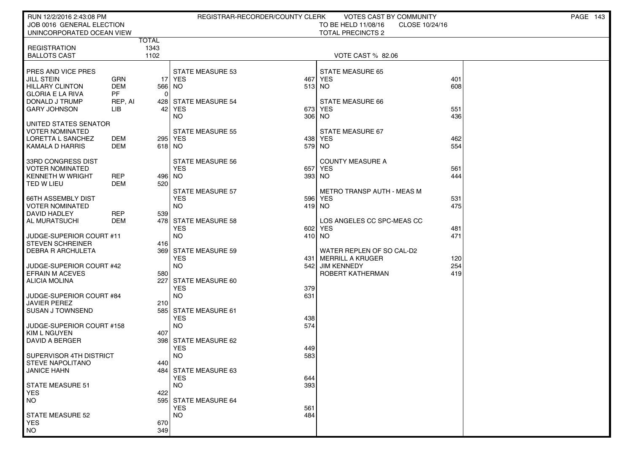| RUN 12/2/2016 2:43:08 PM                        |                          |              | REGISTRAR-RECORDER/COUNTY CLERK    |               | VOTES CAST BY COMMUNITY                |            | <b>PAGE 143</b> |
|-------------------------------------------------|--------------------------|--------------|------------------------------------|---------------|----------------------------------------|------------|-----------------|
| JOB 0016 GENERAL ELECTION                       |                          |              |                                    |               | TO BE HELD 11/08/16<br>CLOSE 10/24/16  |            |                 |
| UNINCORPORATED OCEAN VIEW                       |                          | <b>TOTAL</b> |                                    |               | <b>TOTAL PRECINCTS 2</b>               |            |                 |
| <b>REGISTRATION</b>                             |                          | 1343         |                                    |               |                                        |            |                 |
| <b>BALLOTS CAST</b>                             |                          | 1102         |                                    |               | VOTE CAST % 82.06                      |            |                 |
|                                                 |                          |              |                                    |               |                                        |            |                 |
| <b>PRES AND VICE PRES</b>                       |                          |              | <b>STATE MEASURE 53</b>            |               | <b>STATE MEASURE 65</b>                |            |                 |
| <b>JILL STEIN</b><br><b>HILLARY CLINTON</b>     | <b>GRN</b><br><b>DEM</b> | 566          | 17 YES<br>NO.                      | 467<br>513 NO | <b>YES</b>                             | 401<br>608 |                 |
| <b>GLORIA E LA RIVA</b>                         | <b>PF</b>                | $\Omega$     |                                    |               |                                        |            |                 |
| DONALD J TRUMP                                  | REP, AI                  |              | 428 STATE MEASURE 54               |               | STATE MEASURE 66                       |            |                 |
| <b>GARY JOHNSON</b>                             | LIB                      | 42           | YES                                | 673           | <b>YES</b>                             | 551        |                 |
|                                                 |                          |              | NO.                                | 306           | NO.                                    | 436        |                 |
| UNITED STATES SENATOR<br><b>VOTER NOMINATED</b> |                          |              | <b>STATE MEASURE 55</b>            |               | STATE MEASURE 67                       |            |                 |
| LORETTA L SANCHEZ                               | DEM                      |              | 295 YES                            | 438           | YES                                    | 462        |                 |
| <b>KAMALA D HARRIS</b>                          | DEM                      | 618 NO       |                                    | 579           | NO                                     | 554        |                 |
|                                                 |                          |              |                                    |               |                                        |            |                 |
| 33RD CONGRESS DIST                              |                          |              | <b>STATE MEASURE 56</b>            |               | <b>COUNTY MEASURE A</b>                |            |                 |
| I VOTER NOMINATED<br>  KENNETH W WRIGHT         | REP                      | 496 NO       | <b>YES</b>                         | 657           | <b>YES</b><br>393 NO                   | 561<br>444 |                 |
| l TED W LIEU                                    | <b>DEM</b>               | 520          |                                    |               |                                        |            |                 |
|                                                 |                          |              | <b>STATE MEASURE 57</b>            |               | <b>METRO TRANSP AUTH - MEAS M</b>      |            |                 |
| 66TH ASSEMBLY DIST                              |                          |              | <b>YES</b>                         | 596           | YES                                    | 531        |                 |
| I VOTER NOMINATED                               |                          |              | NO.                                | 419 NO        |                                        | 475        |                 |
| DAVID HADLEY                                    | REP                      | 539          |                                    |               | LOS ANGELES CC SPC-MEAS CC             |            |                 |
| AL MURATSUCHI                                   | DEM                      |              | 478 STATE MEASURE 58<br><b>YES</b> | 602           | <b>YES</b>                             | 481        |                 |
| JUDGE-SUPERIOR COURT #11                        |                          |              | <b>NO</b>                          | 410 NO        |                                        | 471        |                 |
| <b>STEVEN SCHREINER</b>                         |                          | 416          |                                    |               |                                        |            |                 |
| <b>DEBRA R ARCHULETA</b>                        |                          | 369          | <b>STATE MEASURE 59</b>            |               | WATER REPLEN OF SO CAL-D2              |            |                 |
| JUDGE-SUPERIOR COURT #42                        |                          |              | <b>YES</b><br>NO.                  | 4311<br>542   | MERRILL A KRUGER<br><b>JIM KENNEDY</b> | 120<br>254 |                 |
| EFRAIN M ACEVES                                 |                          | 580          |                                    |               | ROBERT KATHERMAN                       | 419        |                 |
| ALICIA MOLINA                                   |                          | 227          | STATE MEASURE 60                   |               |                                        |            |                 |
|                                                 |                          |              | <b>YES</b>                         | 379           |                                        |            |                 |
| JUDGE-SUPERIOR COURT #84                        |                          |              | <b>NO</b>                          | 631           |                                        |            |                 |
| <b>JAVIER PEREZ</b><br>I SUSAN J TOWNSEND       |                          | 210<br>585 l | <b>STATE MEASURE 61</b>            |               |                                        |            |                 |
|                                                 |                          |              | <b>YES</b>                         | 438           |                                        |            |                 |
| JUDGE-SUPERIOR COURT #158                       |                          |              | NO.                                | 574           |                                        |            |                 |
| <b>KIM L NGUYEN</b>                             |                          | 407          |                                    |               |                                        |            |                 |
| DAVID A BERGER                                  |                          |              | 398 STATE MEASURE 62               |               |                                        |            |                 |
| SUPERVISOR 4TH DISTRICT                         |                          |              | <b>YES</b><br>NO.                  | 449<br>583    |                                        |            |                 |
| <b>STEVE NAPOLITANO</b>                         |                          | 440          |                                    |               |                                        |            |                 |
| <b>JANICE HAHN</b>                              |                          |              | 484 STATE MEASURE 63               |               |                                        |            |                 |
|                                                 |                          |              | <b>YES</b>                         | 644           |                                        |            |                 |
| STATE MEASURE 51                                |                          |              | <b>NO</b>                          | 393           |                                        |            |                 |
| <b>YES</b><br><b>NO</b>                         |                          | 422<br>595   | <b>STATE MEASURE 64</b>            |               |                                        |            |                 |
|                                                 |                          |              | <b>YES</b>                         | 561           |                                        |            |                 |
| STATE MEASURE 52                                |                          |              | <b>NO</b>                          | 484           |                                        |            |                 |
| <b>YES</b>                                      |                          | 670          |                                    |               |                                        |            |                 |
| <b>NO</b>                                       |                          | 349          |                                    |               |                                        |            |                 |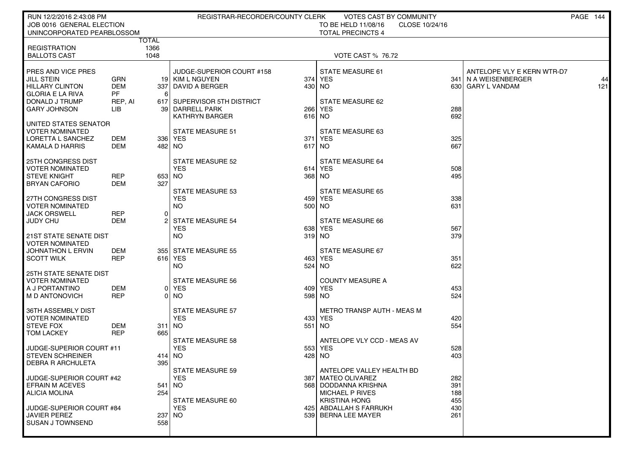| RUN 12/2/2016 2:43:08 PM                            |                      |          | REGISTRAR-RECORDER/COUNTY CLERK |        | VOTES CAST BY COMMUNITY                        |            |                            | PAGE 144 |     |
|-----------------------------------------------------|----------------------|----------|---------------------------------|--------|------------------------------------------------|------------|----------------------------|----------|-----|
| JOB 0016 GENERAL ELECTION                           |                      |          |                                 |        | TO BE HELD 11/08/16<br>CLOSE 10/24/16          |            |                            |          |     |
| UNINCORPORATED PEARBLOSSOM                          |                      |          |                                 |        | <b>TOTAL PRECINCTS 4</b>                       |            |                            |          |     |
| <b>REGISTRATION</b>                                 | TOTAL<br>1366        |          |                                 |        |                                                |            |                            |          |     |
| <b>BALLOTS CAST</b>                                 | 1048                 |          |                                 |        | <b>VOTE CAST % 76.72</b>                       |            |                            |          |     |
|                                                     |                      |          |                                 |        |                                                |            |                            |          |     |
| PRES AND VICE PRES                                  |                      |          | JUDGE-SUPERIOR COURT #158       |        | <b>STATE MEASURE 61</b>                        |            | ANTELOPE VLY E KERN WTR-D7 |          |     |
| JILL STEIN                                          | GRN                  |          | 19 KIM L NGUYEN                 |        | 374 YES                                        |            | 341   N A WEISENBERGER     |          | 44  |
| <b>HILLARY CLINTON</b>                              | <b>DEM</b>           | 337      | DAVID A BERGER                  |        | 430 NO                                         |            | 630 GARY L VANDAM          |          | 121 |
| <b>GLORIA E LA RIVA</b><br>DONALD J TRUMP           | <b>PF</b><br>REP, AI | 6        | 617 SUPERVISOR 5TH DISTRICT     |        | STATE MEASURE 62                               |            |                            |          |     |
| <b>GARY JOHNSON</b>                                 | LIB                  |          | 39 DARRELL PARK                 | 266    | <b>YES</b>                                     | 288        |                            |          |     |
|                                                     |                      |          | <b>KATHRYN BARGER</b>           |        | 616 NO                                         | 692        |                            |          |     |
| UNITED STATES SENATOR                               |                      |          |                                 |        |                                                |            |                            |          |     |
| VOTER NOMINATED                                     |                      |          | STATE MEASURE 51                |        | STATE MEASURE 63                               |            |                            |          |     |
| LORETTA L SANCHEZ                                   | DEM                  |          | 336 YES                         | 3711   | YES                                            | 325        |                            |          |     |
| KAMALA D HARRIS                                     | <b>DEM</b>           |          | 482 NO                          | 617 NO |                                                | 667        |                            |          |     |
| <b>25TH CONGRESS DIST</b>                           |                      |          | STATE MEASURE 52                |        | STATE MEASURE 64                               |            |                            |          |     |
| <b>VOTER NOMINATED</b>                              |                      |          | <b>YES</b>                      | 614    | <b>YES</b>                                     | 508        |                            |          |     |
| <b>STEVE KNIGHT</b>                                 | <b>REP</b>           |          | 653 NO                          |        | 368 NO                                         | 495        |                            |          |     |
| <b>BRYAN CAFORIO</b>                                | <b>DEM</b>           | 327      |                                 |        |                                                |            |                            |          |     |
|                                                     |                      |          | <b>STATE MEASURE 53</b>         |        | <b>STATE MEASURE 65</b>                        |            |                            |          |     |
| 27TH CONGRESS DIST<br><b>VOTER NOMINATED</b>        |                      |          | <b>YES</b><br>NO.               |        | 459 YES<br>500 NO                              | 338<br>631 |                            |          |     |
| JACK ORSWELL                                        | <b>REP</b>           | $\Omega$ |                                 |        |                                                |            |                            |          |     |
| JUDY CHU                                            | DEM                  |          | <b>STATE MEASURE 54</b>         |        | STATE MEASURE 66                               |            |                            |          |     |
|                                                     |                      |          | <b>YES</b>                      | 638    | YES                                            | 567        |                            |          |     |
| 21ST STATE SENATE DIST                              |                      |          | NO.                             |        | 319 NO                                         | 379        |                            |          |     |
| <b>VOTER NOMINATED</b>                              |                      |          |                                 |        |                                                |            |                            |          |     |
| JOHNATHON L ERVIN<br><b>SCOTT WILK</b>              | DEM<br><b>REP</b>    |          | 355 STATE MEASURE 55<br>616 YES |        | STATE MEASURE 67<br>463 YES                    | 351        |                            |          |     |
|                                                     |                      |          | NO.                             | 524    | NO                                             | 622        |                            |          |     |
| <b>25TH STATE SENATE DIST</b>                       |                      |          |                                 |        |                                                |            |                            |          |     |
| <b>VOTER NOMINATED</b>                              |                      |          | <b>STATE MEASURE 56</b>         |        | <b>COUNTY MEASURE A</b>                        |            |                            |          |     |
| A J PORTANTINO                                      | DEM                  |          | 0 YES                           |        | 409 YES                                        | 453        |                            |          |     |
| M D ANTONOVICH                                      | <b>REP</b>           |          | 0 NO                            |        | 598 NO                                         | 524        |                            |          |     |
| 36TH ASSEMBLY DIST                                  |                      |          | <b>STATE MEASURE 57</b>         |        | METRO TRANSP AUTH - MEAS M                     |            |                            |          |     |
| <b>VOTER NOMINATED</b>                              |                      |          | <b>YES</b>                      |        | 433 YES                                        | 420        |                            |          |     |
| <b>STEVE FOX</b>                                    | DEM                  |          | 311 NO                          |        | 551 NO                                         | 554        |                            |          |     |
| <b>TOM LACKEY</b>                                   | <b>REP</b>           | 665      |                                 |        |                                                |            |                            |          |     |
|                                                     |                      |          | <b>STATE MEASURE 58</b>         |        | ANTELOPE VLY CCD - MEAS AV                     |            |                            |          |     |
| JUDGE-SUPERIOR COURT #11                            |                      |          | <b>YES</b>                      |        | 553 YES                                        | 528<br>403 |                            |          |     |
| <b>STEVEN SCHREINER</b><br><b>DEBRA R ARCHULETA</b> |                      | 395      | 414 NO                          | 428 NO |                                                |            |                            |          |     |
|                                                     |                      |          | STATE MEASURE 59                |        | ANTELOPE VALLEY HEALTH BD                      |            |                            |          |     |
| JUDGE-SUPERIOR COURT #42                            |                      |          | <b>YES</b>                      |        | 387 MATEO OLIVAREZ                             | 282        |                            |          |     |
| <b>EFRAIN M ACEVES</b>                              |                      |          | 541 NO                          |        | 568 DODDANNA KRISHNA                           | 391        |                            |          |     |
| <b>ALICIA MOLINA</b>                                |                      | 254      |                                 |        | <b>MICHAEL P RIVES</b>                         | 188        |                            |          |     |
| JUDGE-SUPERIOR COURT #84                            |                      |          | STATE MEASURE 60<br><b>YES</b>  |        | <b>KRISTINA HONG</b><br>425 ABDALLAH S FARRUKH | 455<br>430 |                            |          |     |
| JAVIER PEREZ                                        |                      |          | 237 INO                         |        | 539 BERNA LEE MAYER                            | 261        |                            |          |     |
| <b>SUSAN J TOWNSEND</b>                             |                      | 558      |                                 |        |                                                |            |                            |          |     |
|                                                     |                      |          |                                 |        |                                                |            |                            |          |     |
|                                                     |                      |          |                                 |        |                                                |            |                            |          |     |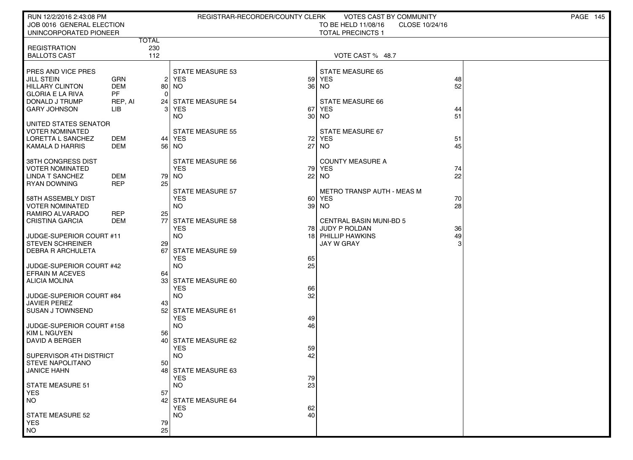| RUN 12/2/2016 2:43:08 PM<br>JOB 0016 GENERAL ELECTION |                          |                     | REGISTRAR-RECORDER/COUNTY CLERK       |          | <b>VOTES CAST BY COMMUNITY</b><br>TO BE HELD 11/08/16<br>CLOSE 10/24/16 |          | PAGE 145 |
|-------------------------------------------------------|--------------------------|---------------------|---------------------------------------|----------|-------------------------------------------------------------------------|----------|----------|
| UNINCORPORATED PIONEER                                |                          |                     |                                       |          | <b>TOTAL PRECINCTS 1</b>                                                |          |          |
| <b>REGISTRATION</b>                                   |                          | <b>TOTAL</b><br>230 |                                       |          |                                                                         |          |          |
| <b>BALLOTS CAST</b>                                   |                          | 112                 |                                       |          | VOTE CAST % 48.7                                                        |          |          |
|                                                       |                          |                     |                                       |          |                                                                         |          |          |
| PRES AND VICE PRES                                    |                          |                     | <b>STATE MEASURE 53</b>               |          | <b>STATE MEASURE 65</b>                                                 |          |          |
| <b>JILL STEIN</b><br><b>HILLARY CLINTON</b>           | <b>GRN</b><br><b>DEM</b> |                     | 2 YES<br>80 NO                        | 59<br>36 | <b>YES</b><br><b>NO</b>                                                 | 48<br>52 |          |
| <b>GLORIA E LA RIVA</b>                               | <b>PF</b>                | $\Omega$            |                                       |          |                                                                         |          |          |
| DONALD J TRUMP                                        | REP, AI                  | 24 I                | STATE MEASURE 54                      |          | STATE MEASURE 66                                                        |          |          |
| <b>GARY JOHNSON</b>                                   | LІВ                      | 3                   | <b>YES</b>                            | 67       | <b>YES</b>                                                              | 44<br>51 |          |
| UNITED STATES SENATOR                                 |                          |                     | <b>NO</b>                             | 30       | <b>NO</b>                                                               |          |          |
| <b>VOTER NOMINATED</b>                                |                          |                     | <b>STATE MEASURE 55</b>               |          | STATE MEASURE 67                                                        |          |          |
| LORETTA L SANCHEZ                                     | DEM                      |                     | 44   YES                              | 72       | <b>YES</b>                                                              | 51       |          |
| KAMALA D HARRIS                                       | <b>DEM</b>               |                     | 56   NO                               | 27       | <b>NO</b>                                                               | 45       |          |
| 38TH CONGRESS DIST                                    |                          |                     | <b>STATE MEASURE 56</b>               |          | <b>COUNTY MEASURE A</b>                                                 |          |          |
| <b>VOTER NOMINATED</b>                                |                          |                     | <b>YES</b>                            | 79       | <b>YES</b>                                                              | 74       |          |
| <b>LINDA T SANCHEZ</b>                                | <b>DEM</b>               |                     | 79 NO                                 | 22       | <b>NO</b>                                                               | 22       |          |
| <b>RYAN DOWNING</b>                                   | <b>REP</b>               | 25                  | <b>STATE MEASURE 57</b>               |          | <b>METRO TRANSP AUTH - MEAS M</b>                                       |          |          |
| 58TH ASSEMBLY DIST                                    |                          |                     | <b>YES</b>                            | 60       | <b>YES</b>                                                              | 70       |          |
| <b>VOTER NOMINATED</b>                                |                          |                     | <b>NO</b>                             | 39       | <b>NO</b>                                                               | 28       |          |
| RAMIRO ALVARADO                                       | <b>REP</b>               | 25                  |                                       |          |                                                                         |          |          |
| <b>CRISTINA GARCIA</b>                                | <b>DEM</b>               | 77                  | <b>STATE MEASURE 58</b><br><b>YES</b> |          | <b>CENTRAL BASIN MUNI-BD 5</b><br>78 JUDY P ROLDAN                      | 36       |          |
| JUDGE-SUPERIOR COURT #11                              |                          |                     | <b>NO</b>                             | 18       | PHILLIP HAWKINS                                                         | 49       |          |
| <b>STEVEN SCHREINER</b>                               |                          | 29                  |                                       |          | <b>JAY W GRAY</b>                                                       |          |          |
| <b>DEBRA R ARCHULETA</b>                              |                          | 67                  | <b>STATE MEASURE 59</b><br><b>YES</b> | 65       |                                                                         |          |          |
| JUDGE-SUPERIOR COURT #42                              |                          |                     | <b>NO</b>                             | 25       |                                                                         |          |          |
| <b>EFRAIN M ACEVES</b>                                |                          | 64                  |                                       |          |                                                                         |          |          |
| <b>ALICIA MOLINA</b>                                  |                          |                     | 33 STATE MEASURE 60                   |          |                                                                         |          |          |
| JUDGE-SUPERIOR COURT #84                              |                          |                     | <b>YES</b><br><b>NO</b>               | 66<br>32 |                                                                         |          |          |
| <b>JAVIER PEREZ</b>                                   |                          | 43                  |                                       |          |                                                                         |          |          |
| <b>SUSAN J TOWNSEND</b>                               |                          | 52 l                | STATE MEASURE 61                      |          |                                                                         |          |          |
| JUDGE-SUPERIOR COURT #158                             |                          |                     | <b>YES</b><br><b>NO</b>               | 49<br>46 |                                                                         |          |          |
| <b>KIM L NGUYEN</b>                                   |                          | 56                  |                                       |          |                                                                         |          |          |
| DAVID A BERGER                                        |                          | 40                  | STATE MEASURE 62                      |          |                                                                         |          |          |
|                                                       |                          |                     | YES                                   | 59       |                                                                         |          |          |
| SUPERVISOR 4TH DISTRICT<br><b>STEVE NAPOLITANO</b>    |                          | 50                  | <b>NO</b>                             | 42       |                                                                         |          |          |
| JANICE HAHN                                           |                          |                     | 48 STATE MEASURE 63                   |          |                                                                         |          |          |
|                                                       |                          |                     | <b>YES</b>                            | 79       |                                                                         |          |          |
| <b>STATE MEASURE 51</b><br><b>YES</b>                 |                          | 57                  | <b>NO</b>                             | 23       |                                                                         |          |          |
| <b>NO</b>                                             |                          | 42                  | STATE MEASURE 64                      |          |                                                                         |          |          |
|                                                       |                          |                     | <b>YES</b>                            | 62       |                                                                         |          |          |
| <b>STATE MEASURE 52</b>                               |                          |                     | <b>NO</b>                             | 40       |                                                                         |          |          |
| <b>YES</b><br><b>NO</b>                               |                          | 79<br>25            |                                       |          |                                                                         |          |          |
|                                                       |                          |                     |                                       |          |                                                                         |          |          |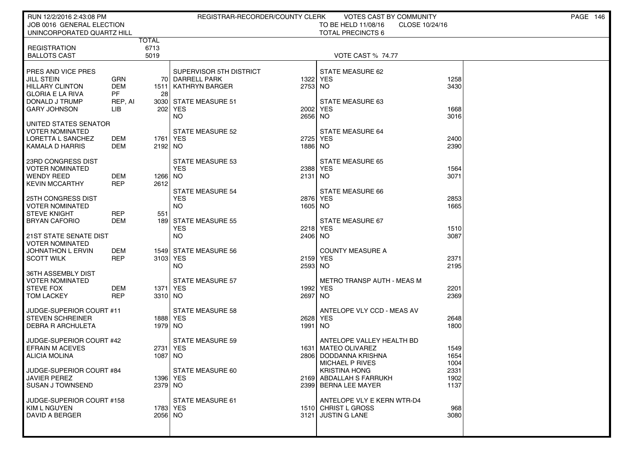| RUN 12/2/2016 2:43:08 PM                           |                          |            | REGISTRAR-RECORDER/COUNTY CLERK            |         | <b>VOTES CAST BY COMMUNITY</b>                     |              | PAGE 146 |
|----------------------------------------------------|--------------------------|------------|--------------------------------------------|---------|----------------------------------------------------|--------------|----------|
| JOB 0016 GENERAL ELECTION                          |                          |            |                                            |         | TO BE HELD 11/08/16<br>CLOSE 10/24/16              |              |          |
| UNINCORPORATED QUARTZ HILL                         | <b>TOTAL</b>             |            |                                            |         | <b>TOTAL PRECINCTS 6</b>                           |              |          |
| <b>REGISTRATION</b>                                |                          | 6713       |                                            |         |                                                    |              |          |
| <b>BALLOTS CAST</b>                                |                          | 5019       |                                            |         | <b>VOTE CAST % 74.77</b>                           |              |          |
|                                                    |                          |            |                                            |         |                                                    |              |          |
| PRES AND VICE PRES<br>JILL STEIN                   | <b>GRN</b>               |            | SUPERVISOR 5TH DISTRICT<br>70 DARRELL PARK | 1322    | STATE MEASURE 62<br>YES                            | 1258         |          |
| <b>HILLARY CLINTON</b>                             | <b>DEM</b>               | 1511       | KATHRYN BARGER                             | 2753 NO |                                                    | 3430         |          |
| <b>GLORIA E LA RIVA</b>                            | PF                       | 28         |                                            |         |                                                    |              |          |
| DONALD J TRUMP                                     | REP, AI                  |            | 3030 STATE MEASURE 51                      |         | <b>STATE MEASURE 63</b>                            |              |          |
| <b>GARY JOHNSON</b>                                | LIB                      | 202        | YES                                        | 2002    | <b>YES</b>                                         | 1668         |          |
|                                                    |                          |            | NO.                                        | 2656 NO |                                                    | 3016         |          |
| UNITED STATES SENATOR<br><b>VOTER NOMINATED</b>    |                          |            | <b>STATE MEASURE 52</b>                    |         | STATE MEASURE 64                                   |              |          |
| LORETTA L SANCHEZ                                  | DEM                      | 1761       | YES                                        | 2725    | <b>YES</b>                                         | 2400         |          |
| KAMALA D HARRIS                                    | DEM                      | 2192 NO    |                                            | 1886 NO |                                                    | 2390         |          |
|                                                    |                          |            |                                            |         |                                                    |              |          |
| 23RD CONGRESS DIST<br><b>VOTER NOMINATED</b>       |                          |            | STATE MEASURE 53<br><b>YES</b>             |         | <b>STATE MEASURE 65</b><br>2388 YES                |              |          |
| <b>WENDY REED</b>                                  | DEM                      | 1266 NO    |                                            | 2131 NO |                                                    | 1564<br>3071 |          |
| <b>KEVIN MCCARTHY</b>                              | <b>REP</b>               | 2612       |                                            |         |                                                    |              |          |
|                                                    |                          |            | <b>STATE MEASURE 54</b>                    |         | <b>STATE MEASURE 66</b>                            |              |          |
| 25TH CONGRESS DIST                                 |                          |            | <b>YES</b>                                 |         | 2876 YES                                           | 2853         |          |
| <b>VOTER NOMINATED</b>                             |                          |            | <b>NO</b>                                  | 1605 NO |                                                    | 1665         |          |
| <b>STEVE KNIGHT</b><br><b>BRYAN CAFORIO</b>        | <b>REP</b><br><b>DEM</b> | 551<br>189 | <b>STATE MEASURE 55</b>                    |         | STATE MEASURE 67                                   |              |          |
|                                                    |                          |            | <b>YES</b>                                 | 2218    | <b>YES</b>                                         | 1510         |          |
| <b>21ST STATE SENATE DIST</b>                      |                          |            | NO.                                        | 2406 NO |                                                    | 3087         |          |
| <b>VOTER NOMINATED</b>                             |                          |            |                                            |         |                                                    |              |          |
| JOHNATHON L ERVIN<br><b>SCOTT WILK</b>             | DEM<br><b>REP</b>        | 3103 YES   | 1549 STATE MEASURE 56                      | 2159    | <b>COUNTY MEASURE A</b><br><b>YES</b>              | 2371         |          |
|                                                    |                          |            | NO.                                        | 2593 NO |                                                    | 2195         |          |
| 36TH ASSEMBLY DIST                                 |                          |            |                                            |         |                                                    |              |          |
| <b>VOTER NOMINATED</b>                             |                          |            | <b>STATE MEASURE 57</b>                    |         | METRO TRANSP AUTH - MEAS M                         |              |          |
| <b>STEVE FOX</b>                                   | DEM                      | 1371 YES   |                                            |         | 1992 YES                                           | 2201         |          |
| <b>TOM LACKEY</b>                                  | <b>REP</b>               | 3310 NO    |                                            | 2697 NO |                                                    | 2369         |          |
| JUDGE-SUPERIOR COURT #11                           |                          |            | STATE MEASURE 58                           |         | ANTELOPE VLY CCD - MEAS AV                         |              |          |
| <b>STEVEN SCHREINER</b>                            |                          |            | 1888   YES                                 |         | 2628 YES                                           | 2648         |          |
| <b>DEBRA R ARCHULETA</b>                           |                          | 1979 NO    |                                            | 1991 NO |                                                    | 1800         |          |
|                                                    |                          |            |                                            |         |                                                    |              |          |
| JUDGE-SUPERIOR COURT #42<br><b>EFRAIN M ACEVES</b> |                          | 2731       | <b>STATE MEASURE 59</b><br>YES             |         | ANTELOPE VALLEY HEALTH BD<br>1631   MATEO OLIVAREZ | 1549         |          |
| <b>ALICIA MOLINA</b>                               |                          | 1087       | NO.                                        |         | 2806   DODDANNA KRISHNA                            | 1654         |          |
|                                                    |                          |            |                                            |         | <b>MICHAEL P RIVES</b>                             | 1004         |          |
| JUDGE-SUPERIOR COURT #84                           |                          |            | STATE MEASURE 60                           |         | <b>KRISTINA HONG</b>                               | 2331         |          |
| <b>JAVIER PEREZ</b>                                |                          |            | 1396   YES                                 |         | 2169 ABDALLAH S FARRUKH                            | 1902         |          |
| SUSAN J TOWNSEND                                   |                          | 2379 NO    |                                            |         | 2399 BERNA LEE MAYER                               | 1137         |          |
| JUDGE-SUPERIOR COURT #158                          |                          |            | STATE MEASURE 61                           |         | ANTELOPE VLY E KERN WTR-D4                         |              |          |
| KIM L NGUYEN                                       |                          |            | 1783   YES                                 |         | 1510 CHRIST L GROSS                                | 968          |          |
| <b>DAVID A BERGER</b>                              |                          | 2056 NO    |                                            |         | 3121 JUSTIN G LANE                                 | 3080         |          |
|                                                    |                          |            |                                            |         |                                                    |              |          |
|                                                    |                          |            |                                            |         |                                                    |              |          |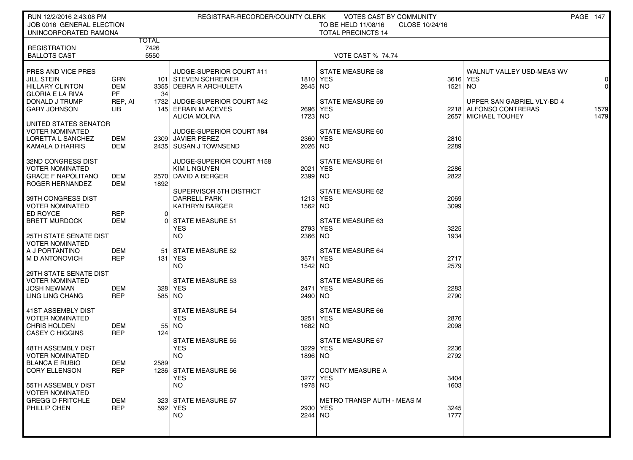| RUN 12/2/2016 2:43:08 PM<br>JOB 0016 GENERAL ELECTION                                                                                 |                                                  |                              | REGISTRAR-RECORDER/COUNTY CLERK                                                                                                      |                            | <b>VOTES CAST BY COMMUNITY</b><br>TO BE HELD 11/08/16<br>CLOSE 10/24/16 |                      |                                                                                                   | PAGE 147                           |
|---------------------------------------------------------------------------------------------------------------------------------------|--------------------------------------------------|------------------------------|--------------------------------------------------------------------------------------------------------------------------------------|----------------------------|-------------------------------------------------------------------------|----------------------|---------------------------------------------------------------------------------------------------|------------------------------------|
| UNINCORPORATED RAMONA                                                                                                                 |                                                  |                              |                                                                                                                                      |                            | <b>TOTAL PRECINCTS 14</b>                                               |                      |                                                                                                   |                                    |
| <b>REGISTRATION</b><br><b>BALLOTS CAST</b>                                                                                            |                                                  | <b>TOTAL</b><br>7426<br>5550 |                                                                                                                                      |                            | <b>VOTE CAST % 74.74</b>                                                |                      |                                                                                                   |                                    |
| PRES AND VICE PRES<br><b>JILL STEIN</b><br><b>HILLARY CLINTON</b><br><b>GLORIA E LA RIVA</b><br>DONALD J TRUMP<br><b>GARY JOHNSON</b> | GRN<br><b>DEM</b><br><b>PF</b><br>REP, AI<br>LIB | 34                           | JUDGE-SUPERIOR COURT #11<br>101   STEVEN SCHREINER<br>3355 DEBRA R ARCHULETA<br>1732 JUDGE-SUPERIOR COURT #42<br>145 EFRAIN M ACEVES | 2645 NO<br>2696            | <b>STATE MEASURE 58</b><br>1810 YES<br>STATE MEASURE 59<br>YES          | 3616<br>1521         | WALNUT VALLEY USD-MEAS WV<br>∣ YES<br>NO.<br>UPPER SAN GABRIEL VLY-BD 4<br>2218 ALFONSO CONTRERAS | $\Omega$<br>$\overline{0}$<br>1579 |
| UNITED STATES SENATOR<br>VOTER NOMINATED<br>LORETTA L SANCHEZ<br><b>KAMALA D HARRIS</b>                                               | DEM<br><b>DEM</b>                                |                              | <b>ALICIA MOLINA</b><br><b>JUDGE-SUPERIOR COURT #84</b><br>2309 JAVIER PEREZ<br>2435   SUSAN J TOWNSEND                              | 1723 NO<br>2360<br>2026 NO | STATE MEASURE 60<br>YES                                                 | 2657<br>2810<br>2289 | <b>MICHAEL TOUHEY</b>                                                                             | 1479                               |
| 32ND CONGRESS DIST<br>VOTER NOMINATED<br><b>GRACE F NAPOLITANO</b><br>ROGER HERNANDEZ                                                 | DEM<br>DEM                                       | 1892                         | JUDGE-SUPERIOR COURT #158<br><b>KIM L NGUYEN</b><br>2570 DAVID A BERGER<br>SUPERVISOR 5TH DISTRICT                                   | 2021<br>2399 NO            | <b>STATE MEASURE 61</b><br><b>YES</b><br>STATE MEASURE 62               | 2286<br>2822         |                                                                                                   |                                    |
| 39TH CONGRESS DIST<br>VOTER NOMINATED<br>ED ROYCE<br><b>BRETT MURDOCK</b>                                                             | <b>REP</b><br><b>DEM</b>                         | $\Omega$                     | <b>DARRELL PARK</b><br><b>KATHRYN BARGER</b><br><b>STATE MEASURE 51</b><br>YES                                                       | 1562 NO<br>2793            | 1213 YES<br>STATE MEASURE 63<br>YES                                     | 2069<br>3099<br>3225 |                                                                                                   |                                    |
| <b>25TH STATE SENATE DIST</b><br>VOTER NOMINATED<br>A J PORTANTINO<br>M D ANTONOVICH                                                  | DEM<br><b>REP</b>                                | -51<br>131 l                 | NO.<br><b>STATE MEASURE 52</b><br>YES<br>NO.                                                                                         | 2366 NO<br>3571<br>1542 NO | <b>STATE MEASURE 64</b><br><b>YES</b>                                   | 1934<br>2717<br>2579 |                                                                                                   |                                    |
| 29TH STATE SENATE DIST<br><b>VOTER NOMINATED</b><br>JOSH NEWMAN<br>LING LING CHANG                                                    | DEM<br><b>REP</b>                                |                              | <b>STATE MEASURE 53</b><br>328 YES<br>585   NO                                                                                       | 2471<br>2490 NO            | <b>STATE MEASURE 65</b><br><b>YES</b>                                   | 2283<br>2790         |                                                                                                   |                                    |
| 41ST ASSEMBLY DIST<br><b>VOTER NOMINATED</b><br><b>CHRIS HOLDEN</b><br><b>CASEY C HIGGINS</b>                                         | DEM<br><b>REP</b>                                | 55 <br>124                   | <b>STATE MEASURE 54</b><br><b>YES</b><br>NO.                                                                                         | 3251<br>1682 NO            | STATE MEASURE 66<br><b>YES</b>                                          | 2876<br>2098         |                                                                                                   |                                    |
| 48TH ASSEMBLY DIST<br>VOTER NOMINATED<br><b>BLANCA E RUBIO</b><br><b>CORY ELLENSON</b>                                                | DEM<br><b>REP</b>                                | 2589                         | <b>STATE MEASURE 55</b><br><b>YES</b><br>NO.<br>1236 STATE MEASURE 56                                                                | 3229<br>1896 NO            | STATE MEASURE 67<br>YES<br><b>COUNTY MEASURE A</b>                      | 2236<br>2792         |                                                                                                   |                                    |
| 55TH ASSEMBLY DIST<br><b>VOTER NOMINATED</b><br><b>GREGG D FRITCHLE</b>                                                               | DEM                                              |                              | <b>YES</b><br><b>NO</b><br>323 STATE MEASURE 57                                                                                      | 1978 NO                    | 3277 YES<br><b>METRO TRANSP AUTH - MEAS M</b>                           | 3404<br>1603         |                                                                                                   |                                    |
| PHILLIP CHEN                                                                                                                          | <b>REP</b>                                       |                              | 592 YES<br>NO.                                                                                                                       | 2244 NO                    | 2930 YES                                                                | 3245<br>1777         |                                                                                                   |                                    |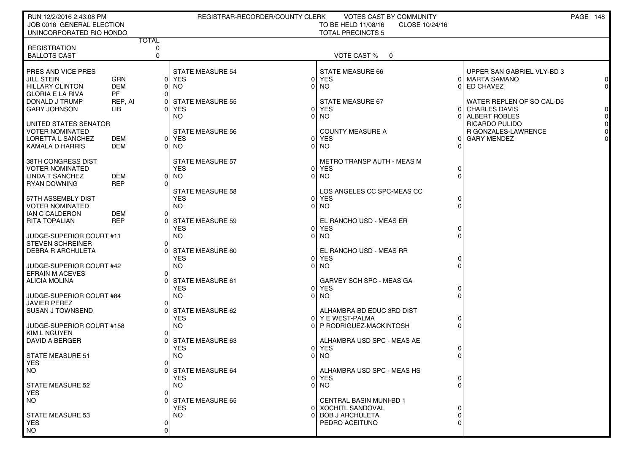| RUN 12/2/2016 2:43:08 PM                           |                          |                   | REGISTRAR-RECORDER/COUNTY CLERK  | <b>VOTES CAST BY COMMUNITY</b>                |                                        | PAGE 148                   |
|----------------------------------------------------|--------------------------|-------------------|----------------------------------|-----------------------------------------------|----------------------------------------|----------------------------|
| JOB 0016 GENERAL ELECTION                          |                          |                   |                                  | TO BE HELD 11/08/16<br>CLOSE 10/24/16         |                                        |                            |
| UNINCORPORATED RIO HONDO                           |                          |                   |                                  | <b>TOTAL PRECINCTS 5</b>                      |                                        |                            |
| <b>REGISTRATION</b>                                |                          | <b>TOTAL</b><br>0 |                                  |                                               |                                        |                            |
| <b>BALLOTS CAST</b>                                |                          | $\mathbf 0$       |                                  | <b>VOTE CAST %</b><br>$\overline{\mathbf{0}}$ |                                        |                            |
|                                                    |                          |                   |                                  |                                               |                                        |                            |
| <b>PRES AND VICE PRES</b>                          |                          |                   | <b>STATE MEASURE 54</b>          | <b>STATE MEASURE 66</b>                       |                                        | UPPER SAN GABRIEL VLY-BD 3 |
| <b>JILL STEIN</b>                                  | <b>GRN</b>               |                   | 0 YES                            | 0 YES                                         | 0 MARTA SAMANO                         | 0                          |
| <b>HILLARY CLINTON</b>                             | <b>DEM</b>               | 01                | NO.<br>0                         | NO.                                           | <b>ED CHAVEZ</b><br>$\Omega$           | $\Omega$                   |
| GLORIA E LA RIVA                                   | <b>PF</b>                | ΩI                |                                  |                                               |                                        |                            |
| DONALD J TRUMP                                     | REP, AI                  | 01                | <b>STATE MEASURE 55</b>          | <b>STATE MEASURE 67</b>                       |                                        | WATER REPLEN OF SO CAL-D5  |
| <b>GARY JOHNSON</b>                                | LІВ                      | ΩI                | <b>YES</b>                       | 0 YES                                         | <b>CHARLES DAVIS</b><br>$\overline{0}$ | $\Omega$                   |
|                                                    |                          |                   | NO.<br>0                         | NO.                                           | ALBERT ROBLES<br>0                     | $\overline{0}$             |
| UNITED STATES SENATOR                              |                          |                   |                                  |                                               | <b>RICARDO PULIDO</b>                  | $\overline{0}$             |
| <b>VOTER NOMINATED</b><br><b>LORETTA L SANCHEZ</b> |                          |                   | <b>STATE MEASURE 56</b><br>0 YES | <b>COUNTY MEASURE A</b><br>0 YES              |                                        | R GONZALES-LAWRENCE<br>0   |
| KAMALA D HARRIS                                    | <b>DEM</b><br><b>DEM</b> |                   | 0 NO                             | 0 NO                                          | <b>GARY MENDEZ</b><br>0<br>O           |                            |
|                                                    |                          |                   |                                  |                                               |                                        |                            |
| 38TH CONGRESS DIST                                 |                          |                   | <b>STATE MEASURE 57</b>          | <b>METRO TRANSP AUTH - MEAS M</b>             |                                        |                            |
| <b>VOTER NOMINATED</b>                             |                          |                   | <b>YES</b><br>01                 | <b>YES</b>                                    | 0                                      |                            |
| LINDA T SANCHEZ                                    | <b>DEM</b>               |                   | 0 NO<br>01                       | <b>NO</b>                                     | $\Omega$                               |                            |
| <b>RYAN DOWNING</b>                                | <b>REP</b>               | ΩI                |                                  |                                               |                                        |                            |
|                                                    |                          |                   | <b>STATE MEASURE 58</b>          | LOS ANGELES CC SPC-MEAS CC                    |                                        |                            |
| 57TH ASSEMBLY DIST                                 |                          |                   | <b>YES</b><br>01                 | <b>YES</b>                                    | 0                                      |                            |
| <b>VOTER NOMINATED</b>                             |                          |                   | NO.<br>01                        | NO <sub>1</sub>                               | $\mathbf 0$                            |                            |
| IAN C CALDERON                                     | <b>DEM</b>               | Οl                |                                  |                                               |                                        |                            |
| RITA TOPALIAN                                      | <b>REP</b>               | ΩI                | <b>STATE MEASURE 59</b>          | EL RANCHO USD - MEAS ER                       |                                        |                            |
|                                                    |                          |                   | <b>YES</b>                       | 0 YES                                         | 0                                      |                            |
| JUDGE-SUPERIOR COURT #11                           |                          |                   | <b>NO</b><br>0                   | <b>NO</b>                                     | $\Omega$                               |                            |
| <b>STEVEN SCHREINER</b>                            |                          | $\Omega$<br>U     | STATE MEASURE 60                 | EL RANCHO USD - MEAS RR                       |                                        |                            |
| <b>DEBRA R ARCHULETA</b>                           |                          |                   | <b>YES</b>                       | 0 YES                                         | 0                                      |                            |
| JUDGE-SUPERIOR COURT #42                           |                          |                   | <b>NO</b>                        | 0 NO                                          | $\Omega$                               |                            |
| EFRAIN M ACEVES                                    |                          | 01                |                                  |                                               |                                        |                            |
| ALICIA MOLINA                                      |                          | $\Omega$          | <b>STATE MEASURE 61</b>          | <b>GARVEY SCH SPC - MEAS GA</b>               |                                        |                            |
|                                                    |                          |                   | <b>YES</b>                       | 0 YES                                         | 0                                      |                            |
| JUDGE-SUPERIOR COURT #84                           |                          |                   | <b>NO</b><br>01                  | <b>NO</b>                                     | 0                                      |                            |
| <b>JAVIER PEREZ</b>                                |                          | 0                 |                                  |                                               |                                        |                            |
| I SUSAN J TOWNSEND                                 |                          | 01                | STATE MEASURE 62                 | ALHAMBRA BD EDUC 3RD DIST                     |                                        |                            |
|                                                    |                          |                   | <b>YES</b>                       | 0 Y E WEST-PALMA                              | 0                                      |                            |
| JUDGE-SUPERIOR COURT #158                          |                          |                   | <b>NO</b><br>0                   | P RODRIGUEZ-MACKINTOSH                        | $\Omega$                               |                            |
| KIM L NGUYEN                                       |                          | 0                 |                                  |                                               |                                        |                            |
| DAVID A BERGER                                     |                          | ΩI                | STATE MEASURE 63<br><b>YES</b>   | ALHAMBRA USD SPC - MEAS AE<br>0 YES           |                                        |                            |
| STATE MEASURE 51                                   |                          |                   | <b>NO</b><br>0                   | <b>NO</b>                                     | 0<br>$\Omega$                          |                            |
| I YES                                              |                          | 01                |                                  |                                               |                                        |                            |
| I NO                                               |                          | 01                | STATE MEASURE 64                 | ALHAMBRA USD SPC - MEAS HS                    |                                        |                            |
|                                                    |                          |                   | <b>YES</b>                       | 0 YES                                         | 0                                      |                            |
| <b>STATE MEASURE 52</b>                            |                          |                   | NO.                              | $0$ NO                                        | $\Omega$                               |                            |
| l YES                                              |                          | 0                 |                                  |                                               |                                        |                            |
| <b>NO</b>                                          |                          | O                 | <b>STATE MEASURE 65</b>          | <b>CENTRAL BASIN MUNI-BD 1</b>                |                                        |                            |
|                                                    |                          |                   | <b>YES</b>                       | 0 XOCHITL SANDOVAL                            | 0                                      |                            |
| <b>STATE MEASURE 53</b>                            |                          |                   | <b>NO</b><br>ΩI                  | <b>BOB J ARCHULETA</b>                        | 0                                      |                            |
| <b>YES</b>                                         |                          | 0                 |                                  | PEDRO ACEITUNO                                | $\Omega$                               |                            |
| l NO                                               |                          | 0                 |                                  |                                               |                                        |                            |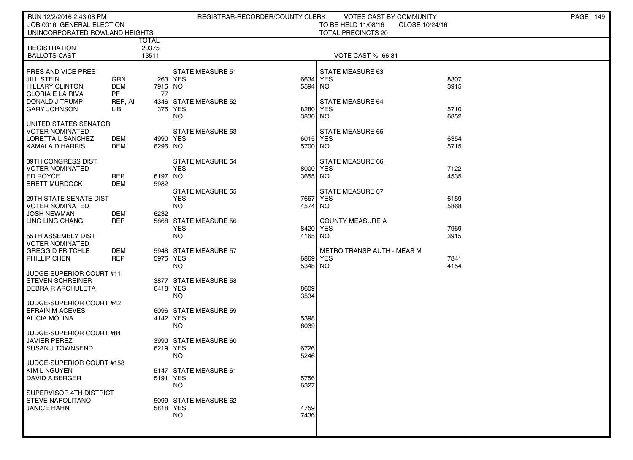| RUN 12/2/2016 2:43:08 PM                   |                |            | REGISTRAR-RECORDER/COUNTY CLERK       |                     | VOTES CAST BY COMMUNITY               |              | PAGE 149 |
|--------------------------------------------|----------------|------------|---------------------------------------|---------------------|---------------------------------------|--------------|----------|
| JOB 0016 GENERAL ELECTION                  |                |            |                                       |                     | TO BE HELD 11/08/16<br>CLOSE 10/24/16 |              |          |
| UNINCORPORATED ROWLAND HEIGHTS             |                |            |                                       |                     | <b>TOTAL PRECINCTS 20</b>             |              |          |
|                                            | TOTAL          |            |                                       |                     |                                       |              |          |
| <b>REGISTRATION</b><br><b>BALLOTS CAST</b> | 20375<br>13511 |            |                                       |                     | VOTE CAST % 66.31                     |              |          |
|                                            |                |            |                                       |                     |                                       |              |          |
| <b>PRES AND VICE PRES</b>                  |                |            | <b>STATE MEASURE 51</b>               |                     | STATE MEASURE 63                      |              |          |
| <b>JILL STEIN</b>                          | <b>GRN</b>     |            | 263 YES                               | 6634 YES            |                                       | 8307         |          |
| <b>HILLARY CLINTON</b>                     | <b>DEM</b>     | 7915 NO    |                                       | 5594 NO             |                                       | 3915         |          |
| <b>GLORIA E LA RIVA</b>                    | PF             | 77         |                                       |                     |                                       |              |          |
| DONALD J TRUMP                             | REP, AI        |            | 4346 STATE MEASURE 52                 |                     | <b>STATE MEASURE 64</b>               |              |          |
| <b>GARY JOHNSON</b>                        | LIB.           |            | 375 YES                               | 8280                | YES                                   | 5710         |          |
|                                            |                |            | NO.                                   | 3830 NO             |                                       | 6852         |          |
| UNITED STATES SENATOR<br>VOTER NOMINATED   |                |            | <b>STATE MEASURE 53</b>               |                     | <b>STATE MEASURE 65</b>               |              |          |
| <b>LORETTA L SANCHEZ</b>                   | DEM            | 4990   YES |                                       | 6015 YES            |                                       | 6354         |          |
| KAMALA D HARRIS                            | DEM            | 6296 NO    |                                       | 5700 NO             |                                       | 5715         |          |
|                                            |                |            |                                       |                     |                                       |              |          |
| 39TH CONGRESS DIST                         |                |            | <b>STATE MEASURE 54</b>               |                     | STATE MEASURE 66                      |              |          |
| <b>VOTER NOMINATED</b>                     |                |            | <b>YES</b>                            | 8000 YES            |                                       | 7122         |          |
| <b>ED ROYCE</b>                            | <b>REP</b>     | 6197 NO    |                                       | 3655 NO             |                                       | 4535         |          |
| <b>BRETT MURDOCK</b>                       | DEM            | 5982       |                                       |                     |                                       |              |          |
| 29TH STATE SENATE DIST                     |                |            | <b>STATE MEASURE 55</b><br><b>YES</b> | 7667 YES            | STATE MEASURE 67                      | 6159         |          |
| <b>VOTER NOMINATED</b>                     |                |            | <b>NO</b>                             | 4574 NO             |                                       | 5868         |          |
| <b>JOSH NEWMAN</b>                         | DEM            | 6232       |                                       |                     |                                       |              |          |
| LING LING CHANG                            | <b>REP</b>     |            | 5868 STATE MEASURE 56                 |                     | <b>COUNTY MEASURE A</b>               |              |          |
|                                            |                |            | <b>YES</b>                            | 8420 YES            |                                       | 7969         |          |
| 55TH ASSEMBLY DIST                         |                |            | NO.                                   | 4165 NO             |                                       | 3915         |          |
| <b>VOTER NOMINATED</b>                     |                |            |                                       |                     |                                       |              |          |
| GREGG D FRITCHLE                           | DEM            |            | 5948 STATE MEASURE 57                 |                     | METRO TRANSP AUTH - MEAS M            |              |          |
| PHILLIP CHEN                               | REP            | 5975 YES   | NO.                                   | 6869 YES<br>5348 NO |                                       | 7841<br>4154 |          |
| JUDGE-SUPERIOR COURT #11                   |                |            |                                       |                     |                                       |              |          |
| STEVEN SCHREINER                           |                |            | 3877 STATE MEASURE 58                 |                     |                                       |              |          |
| I DEBRA R ARCHULETA                        |                | 6418 YES   |                                       | 8609                |                                       |              |          |
|                                            |                |            | <b>NO</b>                             | 3534                |                                       |              |          |
| JUDGE-SUPERIOR COURT #42                   |                |            |                                       |                     |                                       |              |          |
| <b>EFRAIN M ACEVES</b>                     |                |            | 6096 STATE MEASURE 59                 |                     |                                       |              |          |
| ALICIA MOLINA                              |                | 4142 YES   |                                       | 5398                |                                       |              |          |
| JUDGE-SUPERIOR COURT #84                   |                |            | NO.                                   | 6039                |                                       |              |          |
| <b>JAVIER PEREZ</b>                        |                |            | 3990 STATE MEASURE 60                 |                     |                                       |              |          |
| I SUSAN J TOWNSEND                         |                | 6219 YES   |                                       | 6726                |                                       |              |          |
|                                            |                |            | NO.                                   | 5246                |                                       |              |          |
| JUDGE-SUPERIOR COURT #158                  |                |            |                                       |                     |                                       |              |          |
| KIM L NGUYEN                               |                |            | 5147 STATE MEASURE 61                 |                     |                                       |              |          |
| DAVID A BERGER                             |                | 5191 YES   |                                       | 5756                |                                       |              |          |
| SUPERVISOR 4TH DISTRICT                    |                |            | <b>NO</b>                             | 6327                |                                       |              |          |
| <b>STEVE NAPOLITANO</b>                    |                |            | 5099 STATE MEASURE 62                 |                     |                                       |              |          |
| <b>JANICE HAHN</b>                         |                | 5818 YES   |                                       | 4759                |                                       |              |          |
|                                            |                |            | NO.                                   | 7436                |                                       |              |          |
|                                            |                |            |                                       |                     |                                       |              |          |
|                                            |                |            |                                       |                     |                                       |              |          |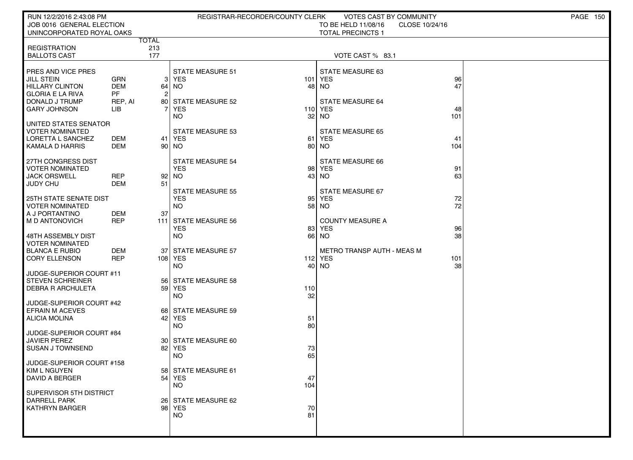| RUN 12/2/2016 2:43:08 PM                          |                  |              | REGISTRAR-RECORDER/COUNTY CLERK       |          | VOTES CAST BY COMMUNITY               |     | <b>PAGE 150</b> |
|---------------------------------------------------|------------------|--------------|---------------------------------------|----------|---------------------------------------|-----|-----------------|
| JOB 0016 GENERAL ELECTION                         |                  |              |                                       |          | TO BE HELD 11/08/16<br>CLOSE 10/24/16 |     |                 |
| UNINCORPORATED ROYAL OAKS                         |                  | <b>TOTAL</b> |                                       |          | <b>TOTAL PRECINCTS 1</b>              |     |                 |
| <b>REGISTRATION</b>                               |                  | 213          |                                       |          |                                       |     |                 |
| <b>BALLOTS CAST</b>                               |                  | 177          |                                       |          | VOTE CAST % 83.1                      |     |                 |
|                                                   |                  |              |                                       |          |                                       |     |                 |
| PRES AND VICE PRES                                |                  |              | <b>STATE MEASURE 51</b>               |          | STATE MEASURE 63                      |     |                 |
| <b>JILL STEIN</b>                                 | GRN              |              | $3$ YES                               |          | 101 YES                               | 96  |                 |
| <b>HILLARY CLINTON</b><br><b>GLORIA E LA RIVA</b> | <b>DEM</b><br>PF | 2            | 64   NO                               |          | 48 NO                                 | 47  |                 |
| DONALD J TRUMP                                    | REP, AI          |              | 80 STATE MEASURE 52                   |          | <b>STATE MEASURE 64</b>               |     |                 |
| <b>GARY JOHNSON</b>                               | LІВ              |              | <b>YES</b>                            |          | 110 YES                               | 48  |                 |
|                                                   |                  |              | <b>NO</b>                             |          | 32 NO                                 | 101 |                 |
| UNITED STATES SENATOR                             |                  |              |                                       |          |                                       |     |                 |
| <b>VOTER NOMINATED</b>                            |                  |              | <b>STATE MEASURE 53</b>               |          | <b>STATE MEASURE 65</b>               |     |                 |
| LORETTA L SANCHEZ                                 | DEM              |              | 41   YES                              | 61       | YES                                   | 41  |                 |
| KAMALA D HARRIS                                   | <b>DEM</b>       | 90           | NO                                    | 80       | <b>NO</b>                             | 104 |                 |
| 27TH CONGRESS DIST                                |                  |              | <b>STATE MEASURE 54</b>               |          | <b>STATE MEASURE 66</b>               |     |                 |
| <b>VOTER NOMINATED</b>                            |                  |              | <b>YES</b>                            |          | 98 YES                                | 91  |                 |
| <b>JACK ORSWELL</b>                               | <b>REP</b>       | 92           | NO                                    | 43       | <b>NO</b>                             | 63  |                 |
| JUDY CHU                                          | DEM              | 51           |                                       |          |                                       |     |                 |
| 25TH STATE SENATE DIST                            |                  |              | <b>STATE MEASURE 55</b><br><b>YES</b> |          | STATE MEASURE 67<br>95 YES            | 72  |                 |
| <b>VOTER NOMINATED</b>                            |                  |              | <b>NO</b>                             |          | 58 NO                                 | 72  |                 |
| A J PORTANTINO                                    | DEM              | 37           |                                       |          |                                       |     |                 |
| M D ANTONOVICH                                    | <b>REP</b>       |              | 111 STATE MEASURE 56                  |          | <b>COUNTY MEASURE A</b>               |     |                 |
|                                                   |                  |              | <b>YES</b>                            | 83       | <b>YES</b>                            | 96  |                 |
| 48TH ASSEMBLY DIST                                |                  |              | <b>NO</b>                             |          | 66 NO                                 | 38  |                 |
| <b>VOTER NOMINATED</b><br><b>BLANCA E RUBIO</b>   | DEM              | 37           | <b>STATE MEASURE 57</b>               |          | <b>METRO TRANSP AUTH - MEAS M</b>     |     |                 |
| <b>CORY ELLENSON</b>                              | <b>REP</b>       |              | 108 YES                               |          | 112 YES                               | 101 |                 |
|                                                   |                  |              | <b>NO</b>                             | 40       | <b>NO</b>                             | 38  |                 |
| JUDGE-SUPERIOR COURT #11                          |                  |              |                                       |          |                                       |     |                 |
| <b>STEVEN SCHREINER</b>                           |                  |              | 56 STATE MEASURE 58                   |          |                                       |     |                 |
| <b>DEBRA R ARCHULETA</b>                          |                  |              | 59 YES                                | 110      |                                       |     |                 |
| JUDGE-SUPERIOR COURT #42                          |                  |              | <b>NO</b>                             | 32       |                                       |     |                 |
| <b>EFRAIN M ACEVES</b>                            |                  |              | 68 STATE MEASURE 59                   |          |                                       |     |                 |
| <b>ALICIA MOLINA</b>                              |                  |              | 42 YES                                | 51       |                                       |     |                 |
|                                                   |                  |              | <b>NO</b>                             | 80       |                                       |     |                 |
| JUDGE-SUPERIOR COURT #84                          |                  |              |                                       |          |                                       |     |                 |
| JAVIER PEREZ                                      |                  |              | 30 STATE MEASURE 60                   |          |                                       |     |                 |
| <b>SUSAN J TOWNSEND</b>                           |                  | 82           | <b>YES</b><br><b>NO</b>               | 73<br>65 |                                       |     |                 |
| JUDGE-SUPERIOR COURT #158                         |                  |              |                                       |          |                                       |     |                 |
| KIM L NGUYEN                                      |                  |              | 58 STATE MEASURE 61                   |          |                                       |     |                 |
| DAVID A BERGER                                    |                  |              | $54$ YES                              | 47       |                                       |     |                 |
|                                                   |                  |              | <b>NO</b>                             | 104      |                                       |     |                 |
| SUPERVISOR 5TH DISTRICT<br><b>DARRELL PARK</b>    |                  |              | 26 STATE MEASURE 62                   |          |                                       |     |                 |
| <b>KATHRYN BARGER</b>                             |                  |              | 98 YES                                | 70       |                                       |     |                 |
|                                                   |                  |              | NO.                                   | 81       |                                       |     |                 |
|                                                   |                  |              |                                       |          |                                       |     |                 |
|                                                   |                  |              |                                       |          |                                       |     |                 |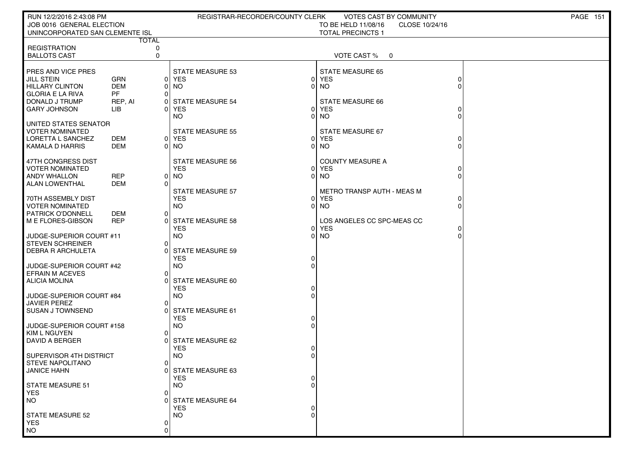| RUN 12/2/2016 2:43:08 PM                         |                   |                   | REGISTRAR-RECORDER/COUNTY CLERK       |                | VOTES CAST BY COMMUNITY                 |   | <b>PAGE 151</b> |
|--------------------------------------------------|-------------------|-------------------|---------------------------------------|----------------|-----------------------------------------|---|-----------------|
| JOB 0016 GENERAL ELECTION                        |                   |                   |                                       |                | TO BE HELD 11/08/16<br>CLOSE 10/24/16   |   |                 |
| UNINCORPORATED SAN CLEMENTE ISL                  |                   |                   |                                       |                | <b>TOTAL PRECINCTS 1</b>                |   |                 |
| <b>REGISTRATION</b>                              |                   | <b>TOTAL</b><br>0 |                                       |                |                                         |   |                 |
| <b>BALLOTS CAST</b>                              |                   | $\mathbf 0$       |                                       |                | VOTE CAST %<br>$\overline{\phantom{0}}$ |   |                 |
|                                                  |                   |                   |                                       |                |                                         |   |                 |
| <b>PRES AND VICE PRES</b>                        |                   |                   | <b>STATE MEASURE 53</b>               |                | STATE MEASURE 65                        |   |                 |
| <b>JILL STEIN</b>                                | GRN               | 0                 | <b>YES</b>                            | 01             | <b>YES</b>                              | 0 |                 |
| <b>HILLARY CLINTON</b>                           | DEM               | 0                 | <b>NO</b>                             |                | NO.                                     |   |                 |
| <b>GLORIA E LA RIVA</b>                          | <b>PF</b>         | $\Omega$          |                                       |                |                                         |   |                 |
| DONALD J TRUMP<br>I GARY JOHNSON                 | REP, AI<br>LІB    | 0<br>O            | <b>STATE MEASURE 54</b><br>YES        | 0              | <b>STATE MEASURE 66</b><br>YES          |   |                 |
|                                                  |                   |                   | NO.                                   |                | NO.                                     |   |                 |
| UNITED STATES SENATOR                            |                   |                   |                                       |                |                                         |   |                 |
| <b>VOTER NOMINATED</b>                           |                   |                   | <b>STATE MEASURE 55</b>               |                | STATE MEASURE 67                        |   |                 |
| LORETTA L SANCHEZ                                | DEM               |                   | 0 YES                                 | $\Omega$       | <b>YES</b>                              |   |                 |
| KAMALA D HARRIS                                  | DEM               | 0                 | NO.                                   |                | NO.                                     |   |                 |
|                                                  |                   |                   |                                       |                |                                         |   |                 |
| 47TH CONGRESS DIST<br><b>VOTER NOMINATED</b>     |                   |                   | <b>STATE MEASURE 56</b><br><b>YES</b> | $\overline{0}$ | <b>COUNTY MEASURE A</b><br><b>YES</b>   |   |                 |
| <b>ANDY WHALLON</b>                              | REP               | 0                 | NO.                                   | $\Omega$       | NO.                                     |   |                 |
| ALAN LOWENTHAL                                   | DEM               | $\Omega$          |                                       |                |                                         |   |                 |
|                                                  |                   |                   | <b>STATE MEASURE 57</b>               |                | METRO TRANSP AUTH - MEAS M              |   |                 |
| 70TH ASSEMBLY DIST                               |                   |                   | <b>YES</b>                            | $\Omega$       | YES                                     | 0 |                 |
| VOTER NOMINATED                                  |                   |                   | NO.                                   | $\Omega$       | NO.                                     | 0 |                 |
| <b>PATRICK O'DONNELL</b>                         | DEM<br><b>REP</b> | 0                 |                                       |                | LOS ANGELES CC SPC-MEAS CC              |   |                 |
| M E FLORES-GIBSON                                |                   | 0                 | <b>STATE MEASURE 58</b><br><b>YES</b> | 0              | <b>YES</b>                              |   |                 |
| JUDGE-SUPERIOR COURT #11                         |                   |                   | <b>NO</b>                             | 0              | <b>NO</b>                               |   |                 |
| <b>STEVEN SCHREINER</b>                          |                   | 0                 |                                       |                |                                         |   |                 |
| <b>DEBRA R ARCHULETA</b>                         |                   | ∩                 | <b>STATE MEASURE 59</b>               |                |                                         |   |                 |
|                                                  |                   |                   | <b>YES</b>                            |                |                                         |   |                 |
| JUDGE-SUPERIOR COURT #42                         |                   |                   | <b>NO</b>                             |                |                                         |   |                 |
| <b>EFRAIN M ACEVES</b><br>ALICIA MOLINA          |                   | 0<br>∩            | <b>STATE MEASURE 60</b>               |                |                                         |   |                 |
|                                                  |                   |                   | <b>YES</b>                            |                |                                         |   |                 |
| JUDGE-SUPERIOR COURT #84                         |                   |                   | <b>NO</b>                             |                |                                         |   |                 |
| <b>JAVIER PEREZ</b>                              |                   | 0                 |                                       |                |                                         |   |                 |
| I SUSAN J TOWNSEND                               |                   |                   | <b>STATE MEASURE 61</b>               |                |                                         |   |                 |
|                                                  |                   |                   | <b>YES</b>                            |                |                                         |   |                 |
| JUDGE-SUPERIOR COURT #158<br><b>KIM L NGUYEN</b> |                   | 0                 | <b>NO</b>                             |                |                                         |   |                 |
| DAVID A BERGER                                   |                   | 0                 | STATE MEASURE 62                      |                |                                         |   |                 |
|                                                  |                   |                   | <b>YES</b>                            |                |                                         |   |                 |
| SUPERVISOR 4TH DISTRICT                          |                   |                   | <b>NO</b>                             |                |                                         |   |                 |
| <b>STEVE NAPOLITANO</b>                          |                   | 0                 |                                       |                |                                         |   |                 |
| <b>JANICE HAHN</b>                               |                   |                   | 0 STATE MEASURE 63                    |                |                                         |   |                 |
| <b>STATE MEASURE 51</b>                          |                   |                   | <b>YES</b><br><b>NO</b>               |                |                                         |   |                 |
| <b>YES</b>                                       |                   | $\Omega$          |                                       |                |                                         |   |                 |
| <b>NO</b>                                        |                   |                   | <b>STATE MEASURE 64</b>               |                |                                         |   |                 |
|                                                  |                   |                   | <b>YES</b>                            |                |                                         |   |                 |
| STATE MEASURE 52                                 |                   |                   | <b>NO</b>                             |                |                                         |   |                 |
| <b>YES</b>                                       |                   | 0                 |                                       |                |                                         |   |                 |
| <b>NO</b>                                        |                   | O                 |                                       |                |                                         |   |                 |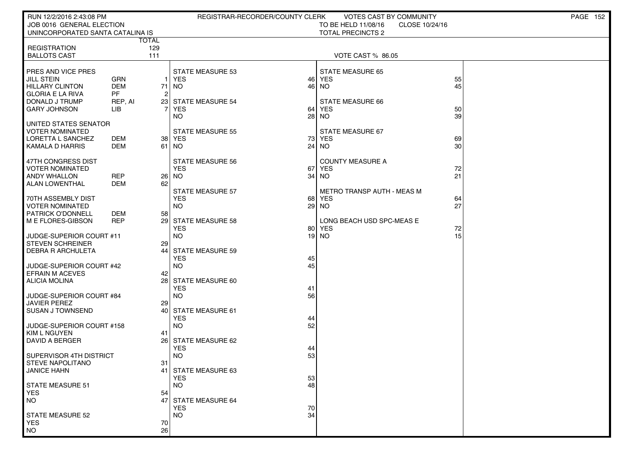| RUN 12/2/2016 2:43:08 PM                           |                   |                    | REGISTRAR-RECORDER/COUNTY CLERK       |          | VOTES CAST BY COMMUNITY               |          | <b>PAGE 152</b> |
|----------------------------------------------------|-------------------|--------------------|---------------------------------------|----------|---------------------------------------|----------|-----------------|
| JOB 0016 GENERAL ELECTION                          |                   |                    |                                       |          | TO BE HELD 11/08/16<br>CLOSE 10/24/16 |          |                 |
| UNINCORPORATED SANTA CATALINA IS                   |                   | <b>TOTAL</b>       |                                       |          | <b>TOTAL PRECINCTS 2</b>              |          |                 |
| <b>REGISTRATION</b>                                |                   | 129                |                                       |          |                                       |          |                 |
| <b>BALLOTS CAST</b>                                |                   | 111                |                                       |          | VOTE CAST % 86.05                     |          |                 |
|                                                    |                   |                    |                                       |          |                                       |          |                 |
| <b>PRES AND VICE PRES</b>                          |                   |                    | <b>STATE MEASURE 53</b>               |          | <b>STATE MEASURE 65</b>               |          |                 |
| <b>JILL STEIN</b><br><b>HILLARY CLINTON</b>        | GRN<br><b>DEM</b> | $\mathbf{1}$<br>71 | YES<br><b>NO</b>                      | 46<br>46 | <b>YES</b><br><b>NO</b>               | 55<br>45 |                 |
| <b>GLORIA E LA RIVA</b>                            | <b>PF</b>         | $\overline{2}$     |                                       |          |                                       |          |                 |
| I DONALD J TRUMP                                   | REP, AI           | 231                | <b>STATE MEASURE 54</b>               |          | <b>STATE MEASURE 66</b>               |          |                 |
| I GARY JOHNSON                                     | <b>LIB</b>        | 7                  | <b>YES</b>                            | 64       | <b>YES</b>                            | 50       |                 |
|                                                    |                   |                    | NO.                                   | 28       | NO.                                   | 39       |                 |
| UNITED STATES SENATOR<br><b>VOTER NOMINATED</b>    |                   |                    | STATE MEASURE 55                      |          | STATE MEASURE 67                      |          |                 |
| LORETTA L SANCHEZ                                  | DEM               | 38                 | YES                                   | 73       | YES                                   | 69       |                 |
| KAMALA D HARRIS                                    | <b>DEM</b>        | 61                 | NO.                                   | 24       | <b>NO</b>                             | 30       |                 |
|                                                    |                   |                    |                                       |          |                                       |          |                 |
| 47TH CONGRESS DIST                                 |                   |                    | <b>STATE MEASURE 56</b>               |          | <b>COUNTY MEASURE A</b>               |          |                 |
| VOTER NOMINATED<br>ANDY WHALLON                    | <b>REP</b>        | 26                 | <b>YES</b><br>NO.                     | 67<br>34 | YES<br>NO.                            | 72<br>21 |                 |
| ALAN LOWENTHAL                                     | <b>DEM</b>        | 62                 |                                       |          |                                       |          |                 |
|                                                    |                   |                    | <b>STATE MEASURE 57</b>               |          | <b>METRO TRANSP AUTH - MEAS M</b>     |          |                 |
| 70TH ASSEMBLY DIST                                 |                   |                    | <b>YES</b>                            | 68       | YES                                   | 64       |                 |
| <b>VOTER NOMINATED</b><br><b>PATRICK O'DONNELL</b> | DEM               | 58                 | NO.                                   | 29       | NO.                                   | 27       |                 |
| M E FLORES-GIBSON                                  | <b>REP</b>        | 29                 | <b>STATE MEASURE 58</b>               |          | LONG BEACH USD SPC-MEAS E             |          |                 |
|                                                    |                   |                    | <b>YES</b>                            | 80       | YES                                   | 72       |                 |
| JUDGE-SUPERIOR COURT #11                           |                   |                    | <b>NO</b>                             |          | 19 NO                                 | 15       |                 |
| STEVEN SCHREINER                                   |                   | 29                 |                                       |          |                                       |          |                 |
| <b>DEBRA R ARCHULETA</b>                           |                   | 44                 | <b>STATE MEASURE 59</b><br><b>YES</b> | 45       |                                       |          |                 |
| JUDGE-SUPERIOR COURT #42                           |                   |                    | <b>NO</b>                             | 45       |                                       |          |                 |
| <b>EFRAIN M ACEVES</b>                             |                   | 42                 |                                       |          |                                       |          |                 |
| ALICIA MOLINA                                      |                   | 28                 | <b>STATE MEASURE 60</b>               |          |                                       |          |                 |
| JUDGE-SUPERIOR COURT #84                           |                   |                    | <b>YES</b><br><b>NO</b>               | 41<br>56 |                                       |          |                 |
| JAVIER PEREZ                                       |                   | 29                 |                                       |          |                                       |          |                 |
| I SUSAN J TOWNSEND                                 |                   | 40                 | <b>STATE MEASURE 61</b>               |          |                                       |          |                 |
|                                                    |                   |                    | <b>YES</b>                            | 44       |                                       |          |                 |
| JUDGE-SUPERIOR COURT #158                          |                   |                    | <b>NO</b>                             | 52       |                                       |          |                 |
| <b>KIM L NGUYEN</b><br>DAVID A BERGER              |                   | 41<br>26 l         | <b>STATE MEASURE 62</b>               |          |                                       |          |                 |
|                                                    |                   |                    | <b>YES</b>                            | 44       |                                       |          |                 |
| SUPERVISOR 4TH DISTRICT                            |                   |                    | <b>NO</b>                             | 53       |                                       |          |                 |
| <b>STEVE NAPOLITANO</b>                            |                   | 31                 |                                       |          |                                       |          |                 |
| <b>JANICE HAHN</b>                                 |                   | 41'                | STATE MEASURE 63<br><b>YES</b>        | 53       |                                       |          |                 |
| STATE MEASURE 51                                   |                   |                    | <b>NO</b>                             | 48       |                                       |          |                 |
| <b>YES</b>                                         |                   | 54                 |                                       |          |                                       |          |                 |
| <b>NO</b>                                          |                   | 47                 | <b>STATE MEASURE 64</b>               |          |                                       |          |                 |
|                                                    |                   |                    | <b>YES</b>                            | 70       |                                       |          |                 |
| <b>STATE MEASURE 52</b><br><b>YES</b>              |                   | 70                 | <b>NO</b>                             | 34       |                                       |          |                 |
| <b>NO</b>                                          |                   | 26                 |                                       |          |                                       |          |                 |
|                                                    |                   |                    |                                       |          |                                       |          |                 |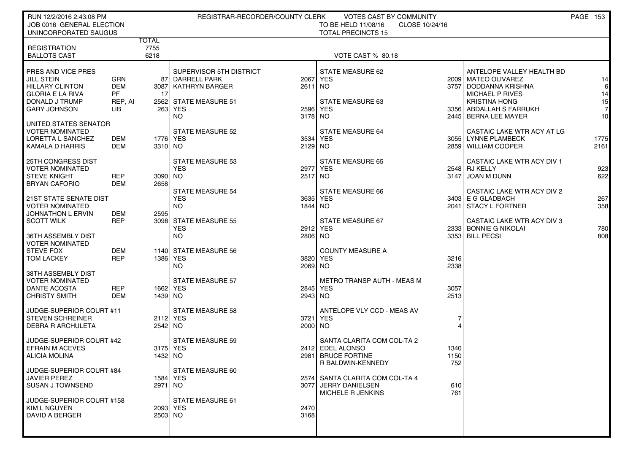| RUN 12/2/2016 2:43:08 PM<br>REGISTRAR-RECORDER/COUNTY CLERK<br><b>VOTES CAST BY COMMUNITY</b>                                                     | <b>PAGE 153</b>                       |
|---------------------------------------------------------------------------------------------------------------------------------------------------|---------------------------------------|
| JOB 0016 GENERAL ELECTION<br>TO BE HELD 11/08/16<br>CLOSE 10/24/16<br>UNINCORPORATED SAUGUS<br><b>TOTAL PRECINCTS 15</b>                          |                                       |
| <b>TOTAL</b>                                                                                                                                      |                                       |
| <b>REGISTRATION</b><br>7755<br><b>BALLOTS CAST</b><br>6218                                                                                        |                                       |
| VOTE CAST % 80.18                                                                                                                                 |                                       |
| SUPERVISOR 5TH DISTRICT<br>STATE MEASURE 62<br>PRES AND VICE PRES                                                                                 | ANTELOPE VALLEY HEALTH BD             |
| <b>JILL STEIN</b><br><b>GRN</b><br>87 DARRELL PARK<br>2067 YES<br>2009 l                                                                          | <b>MATEO OLIVAREZ</b><br> 14          |
| <b>HILLARY CLINTON</b><br><b>DEM</b><br>$2611$ NO<br>3757 DODDANNA KRISHNA<br>3087   KATHRYN BARGER<br><b>GLORIA E LA RIVA</b><br><b>PF</b><br>17 | $6 \mid$<br>MICHAEL P RIVES<br>14     |
| DONALD J TRUMP<br><b>STATE MEASURE 63</b><br><b>KRISTINA HONG</b><br>REP, AI<br>2562 STATE MEASURE 51                                             | 15                                    |
| <b>GARY JOHNSON</b><br>LIB<br>263 YES<br>2596 YES                                                                                                 | 3356   ABDALLAH S FARRUKH<br><b>7</b> |
| <b>NO</b><br>3178 NO<br>2445 BERNA LEE MAYER<br>UNITED STATES SENATOR                                                                             | 10 <sup>1</sup>                       |
| <b>VOTER NOMINATED</b><br><b>STATE MEASURE 52</b><br><b>STATE MEASURE 64</b>                                                                      | CASTAIC LAKE WTR ACY AT LG            |
| 1776   YES<br>3055 LYNNE PLAMBECK<br>LORETTA L SANCHEZ<br>DEM<br>3534 YES                                                                         | 1775                                  |
| <b>DEM</b><br>2129 NO<br>KAMALA D HARRIS<br>3310 NO<br>2859 WILLIAM COOPER                                                                        | 2161                                  |
| 25TH CONGRESS DIST<br><b>STATE MEASURE 53</b><br><b>STATE MEASURE 65</b>                                                                          | CASTAIC LAKE WTR ACY DIV 1            |
| <b>VOTER NOMINATED</b><br><b>YES</b><br>2548 RJ KELLY<br>2977 YES                                                                                 | 923                                   |
| <b>STEVE KNIGHT</b><br><b>REP</b><br>3090 NO<br>2517 NO<br>3147 JOAN M DUNN<br><b>DEM</b><br>2658<br><b>BRYAN CAFORIO</b>                         | 622                                   |
| <b>STATE MEASURE 54</b><br><b>STATE MEASURE 66</b>                                                                                                | CASTAIC LAKE WTR ACY DIV 2            |
| <b>21ST STATE SENATE DIST</b><br><b>YES</b><br>3635 YES<br>3403 E G GLADBACH                                                                      | 267                                   |
| <b>VOTER NOMINATED</b><br>NO.<br>1844 NO<br>2041 STACY L FORTNER<br>JOHNATHON L ERVIN<br>DEM<br>2595                                              | 358                                   |
| <b>REP</b><br>3098 STATE MEASURE 55<br><b>SCOTT WILK</b><br>STATE MEASURE 67                                                                      | <b>CASTAIC LAKE WTR ACY DIV 3</b>     |
| <b>YES</b><br>2333 BONNIE G NIKOLAI<br>2912 YES                                                                                                   | 780                                   |
| NO.<br>2806 NO<br>3353 BILL PECSI<br>36TH ASSEMBLY DIST<br><b>VOTER NOMINATED</b>                                                                 | 808                                   |
| <b>STEVE FOX</b><br><b>DEM</b><br><b>COUNTY MEASURE A</b><br>1140 STATE MEASURE 56                                                                |                                       |
| <b>REP</b><br>3216<br><b>TOM LACKEY</b><br>1386   YES<br>3820 YES                                                                                 |                                       |
| 2338<br>2069 NO<br>NO.<br>38TH ASSEMBLY DIST                                                                                                      |                                       |
| <b>VOTER NOMINATED</b><br>METRO TRANSP AUTH - MEAS M<br><b>STATE MEASURE 57</b>                                                                   |                                       |
| <b>DANTE ACOSTA</b><br><b>REP</b><br>3057<br>1662   YES<br>2845 YES                                                                               |                                       |
| 2513<br><b>CHRISTY SMITH</b><br>DEM<br>1439 INO<br>2943 NO                                                                                        |                                       |
| <b>STATE MEASURE 58</b><br>ANTELOPE VLY CCD - MEAS AV<br>JUDGE-SUPERIOR COURT #11                                                                 |                                       |
| 3721 YES<br><b>STEVEN SCHREINER</b><br>2112 YES<br>7                                                                                              |                                       |
| 2000 NO<br>$\overline{4}$<br><b>DEBRA R ARCHULETA</b><br>2542 NO                                                                                  |                                       |
| <b>STATE MEASURE 59</b><br>SANTA CLARITA COM COL-TA 2<br>JUDGE-SUPERIOR COURT #42                                                                 |                                       |
| <b>EFRAIN M ACEVES</b><br>3175 YES<br>2412 EDEL ALONSO<br>1340                                                                                    |                                       |
| 2981 BRUCE FORTINE<br>1150<br><b>ALICIA MOLINA</b><br>1432   NO<br>752<br>R BALDWIN-KENNEDY                                                       |                                       |
| JUDGE-SUPERIOR COURT #84<br>STATE MEASURE 60                                                                                                      |                                       |
| <b>JAVIER PEREZ</b><br>1584 YES<br>2574 SANTA CLARITA COM COL-TA 4                                                                                |                                       |
| <b>SUSAN J TOWNSEND</b><br>2971 NO<br>3077 JERRY DANIELSEN<br>610<br>MICHELE R JENKINS<br>761                                                     |                                       |
| JUDGE-SUPERIOR COURT #158<br>STATE MEASURE 61                                                                                                     |                                       |
| KIM L NGUYEN<br>2093 YES<br>2470                                                                                                                  |                                       |
| DAVID A BERGER<br>2503 NO<br>3168                                                                                                                 |                                       |
|                                                                                                                                                   |                                       |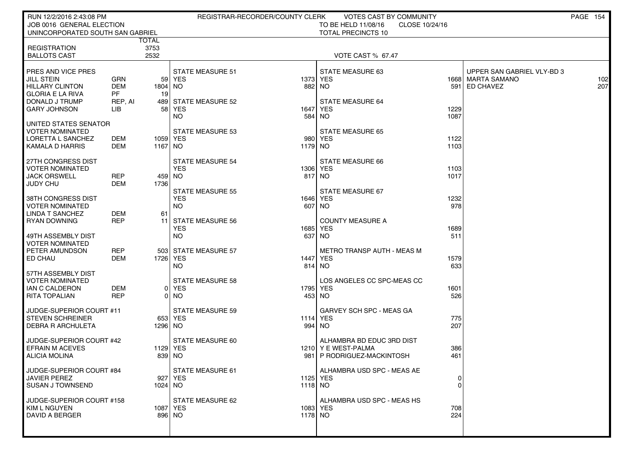| RUN 12/2/2016 2:43:08 PM                           |                   |              | REGISTRAR-RECORDER/COUNTY CLERK |          | VOTES CAST BY COMMUNITY                         |              |                                      | <b>PAGE 154</b> |            |
|----------------------------------------------------|-------------------|--------------|---------------------------------|----------|-------------------------------------------------|--------------|--------------------------------------|-----------------|------------|
| JOB 0016 GENERAL ELECTION                          |                   |              |                                 |          | TO BE HELD 11/08/16<br>CLOSE 10/24/16           |              |                                      |                 |            |
| UNINCORPORATED SOUTH SAN GABRIEL                   |                   | <b>TOTAL</b> |                                 |          | <b>TOTAL PRECINCTS 10</b>                       |              |                                      |                 |            |
| <b>REGISTRATION</b>                                |                   | 3753         |                                 |          |                                                 |              |                                      |                 |            |
| <b>BALLOTS CAST</b>                                |                   | 2532         |                                 |          | <b>VOTE CAST % 67.47</b>                        |              |                                      |                 |            |
|                                                    |                   |              |                                 |          |                                                 |              |                                      |                 |            |
| <b>PRES AND VICE PRES</b>                          |                   |              | <b>STATE MEASURE 51</b>         |          | STATE MEASURE 63                                |              | UPPER SAN GABRIEL VLY-BD 3           |                 |            |
| <b>JILL STEIN</b><br><b>HILLARY CLINTON</b>        | GRN<br>DEM        | 1804 NO      | 59 YES                          |          | 1373 YES<br>882 NO                              |              | 1668   MARTA SAMANO<br>591 ED CHAVEZ |                 | 102<br>207 |
| <b>GLORIA E LA RIVA</b>                            | <b>PF</b>         | 19           |                                 |          |                                                 |              |                                      |                 |            |
| DONALD J TRUMP                                     | REP, AI           |              | 489 STATE MEASURE 52            |          | <b>STATE MEASURE 64</b>                         |              |                                      |                 |            |
| <b>GARY JOHNSON</b>                                | LІВ               |              | 58 YES                          | 1647     | YES                                             | 1229         |                                      |                 |            |
|                                                    |                   |              | NO.                             | 584      | NO.                                             | 1087         |                                      |                 |            |
| UNITED STATES SENATOR<br>VOTER NOMINATED           |                   |              | STATE MEASURE 53                |          | <b>STATE MEASURE 65</b>                         |              |                                      |                 |            |
| LORETTA L SANCHEZ                                  | DEM               |              | 1059   YES                      |          | 980 YES                                         | 1122         |                                      |                 |            |
| KAMALA D HARRIS                                    | DEM               | 1167   NO    |                                 | 1179 NO  |                                                 | 1103         |                                      |                 |            |
|                                                    |                   |              |                                 |          |                                                 |              |                                      |                 |            |
| 27TH CONGRESS DIST                                 |                   |              | <b>STATE MEASURE 54</b>         |          | STATE MEASURE 66                                |              |                                      |                 |            |
| <b>VOTER NOMINATED</b><br>JACK ORSWELL             | <b>REP</b>        |              | <b>YES</b><br>459 NO            | 1306 YES | 817 NO                                          | 1103<br>1017 |                                      |                 |            |
| <b>JUDY CHU</b>                                    | <b>DEM</b>        | 1736         |                                 |          |                                                 |              |                                      |                 |            |
|                                                    |                   |              | <b>STATE MEASURE 55</b>         |          | STATE MEASURE 67                                |              |                                      |                 |            |
| 38TH CONGRESS DIST                                 |                   |              | <b>YES</b>                      |          | 1646 YES                                        | 1232         |                                      |                 |            |
| <b>VOTER NOMINATED</b>                             |                   |              | NO.                             |          | 607 NO                                          | 978          |                                      |                 |            |
| <b>LINDA T SANCHEZ</b><br>I RYAN DOWNING           | DEM<br><b>REP</b> | 61<br>11 I   | <b>STATE MEASURE 56</b>         |          | <b>COUNTY MEASURE A</b>                         |              |                                      |                 |            |
|                                                    |                   |              | <b>YES</b>                      |          | 1685 YES                                        | 1689         |                                      |                 |            |
| 49TH ASSEMBLY DIST                                 |                   |              | NO.                             | 637      | NO.                                             | 511          |                                      |                 |            |
| <b>VOTER NOMINATED</b>                             |                   |              |                                 |          |                                                 |              |                                      |                 |            |
| PETER AMUNDSON                                     | <b>REP</b>        |              | 503 STATE MEASURE 57            |          | <b>METRO TRANSP AUTH - MEAS M</b>               |              |                                      |                 |            |
| <b>ED CHAU</b>                                     | <b>DEM</b>        | 1726   YES   | NO.                             | 1447     | YES<br>814 NO                                   | 1579<br>633  |                                      |                 |            |
| 57TH ASSEMBLY DIST                                 |                   |              |                                 |          |                                                 |              |                                      |                 |            |
| <b>VOTER NOMINATED</b>                             |                   |              | <b>STATE MEASURE 58</b>         |          | LOS ANGELES CC SPC-MEAS CC                      |              |                                      |                 |            |
| IAN C CALDERON                                     | DEM               |              | 0 YES                           | 1795 YES |                                                 | 1601         |                                      |                 |            |
| <b>RITA TOPALIAN</b>                               | <b>REP</b>        |              | 0 NO                            |          | 453 NO                                          | 526          |                                      |                 |            |
| JUDGE-SUPERIOR COURT #11                           |                   |              | <b>STATE MEASURE 59</b>         |          | GARVEY SCH SPC - MEAS GA                        |              |                                      |                 |            |
| <b>STEVEN SCHREINER</b>                            |                   |              | 653 YES                         | 1114 YES |                                                 | 775          |                                      |                 |            |
| I DEBRA R ARCHULETA                                |                   | 1296 NO      |                                 |          | 994 NO                                          | 207          |                                      |                 |            |
|                                                    |                   |              |                                 |          |                                                 |              |                                      |                 |            |
| JUDGE-SUPERIOR COURT #42<br><b>EFRAIN M ACEVES</b> |                   |              | STATE MEASURE 60                |          | ALHAMBRA BD EDUC 3RD DIST<br>1210 YE WEST-PALMA |              |                                      |                 |            |
| ALICIA MOLINA                                      |                   |              | 1129 YES<br>839 NO              | 981      | P RODRIGUEZ-MACKINTOSH                          | 386<br>461   |                                      |                 |            |
|                                                    |                   |              |                                 |          |                                                 |              |                                      |                 |            |
| JUDGE-SUPERIOR COURT #84                           |                   |              | STATE MEASURE 61                |          | ALHAMBRA USD SPC - MEAS AE                      |              |                                      |                 |            |
| JAVIER PEREZ                                       |                   |              | 927 YES                         | 1125 YES |                                                 | 0            |                                      |                 |            |
| SUSAN J TOWNSEND                                   |                   | 1024 NO      |                                 | 1118 NO  |                                                 | $\Omega$     |                                      |                 |            |
| JUDGE-SUPERIOR COURT #158                          |                   |              | STATE MEASURE 62                |          | ALHAMBRA USD SPC - MEAS HS                      |              |                                      |                 |            |
| <b>KIM L NGUYEN</b>                                |                   |              | 1087   YES                      | 1083 YES |                                                 | 708          |                                      |                 |            |
| I DAVID A BERGER                                   |                   |              | 896 NO                          | 1178 NO  |                                                 | 224          |                                      |                 |            |
|                                                    |                   |              |                                 |          |                                                 |              |                                      |                 |            |
|                                                    |                   |              |                                 |          |                                                 |              |                                      |                 |            |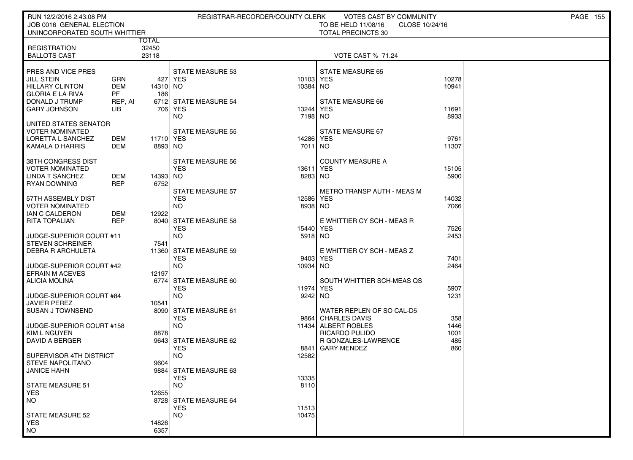| RUN 12/2/2016 2:43:08 PM                      |                   |                  | REGISTRAR-RECORDER/COUNTY CLERK |               | <b>VOTES CAST BY COMMUNITY</b>        |              | <b>PAGE 155</b> |
|-----------------------------------------------|-------------------|------------------|---------------------------------|---------------|---------------------------------------|--------------|-----------------|
| JOB 0016 GENERAL ELECTION                     |                   |                  |                                 |               | TO BE HELD 11/08/16<br>CLOSE 10/24/16 |              |                 |
| UNINCORPORATED SOUTH WHITTIER                 |                   |                  |                                 |               | <b>TOTAL PRECINCTS 30</b>             |              |                 |
|                                               |                   | TOTAL            |                                 |               |                                       |              |                 |
| <b>REGISTRATION</b>                           |                   | 32450            |                                 |               |                                       |              |                 |
| <b>BALLOTS CAST</b>                           |                   | 23118            |                                 |               | <b>VOTE CAST % 71.24</b>              |              |                 |
|                                               |                   |                  |                                 |               |                                       |              |                 |
| PRES AND VICE PRES<br><b>JILL STEIN</b>       | <b>GRN</b>        | 427              | STATE MEASURE 53<br>YES         | 10103 YES     | <b>STATE MEASURE 65</b>               | 10278        |                 |
| <b>HILLARY CLINTON</b>                        | <b>DEM</b>        | 14310 NO         |                                 | 10384         | NO.                                   | 10941        |                 |
| <b>GLORIA E LA RIVA</b>                       | <b>PF</b>         | 186              |                                 |               |                                       |              |                 |
| DONALD J TRUMP                                | REP, AI           |                  | 6712 STATE MEASURE 54           |               | STATE MEASURE 66                      |              |                 |
| <b>GARY JOHNSON</b>                           | LIB               | 706 l            | YES                             | 13244         | <b>YES</b>                            | 11691        |                 |
|                                               |                   |                  | NO.                             | 7198          | NO.                                   | 8933         |                 |
| UNITED STATES SENATOR                         |                   |                  |                                 |               |                                       |              |                 |
| <b>VOTER NOMINATED</b>                        |                   |                  | <b>STATE MEASURE 55</b>         |               | STATE MEASURE 67                      |              |                 |
| LORETTA L SANCHEZ                             | DEM               | 11710 YES        |                                 | 14286         | <b>YES</b>                            | 9761         |                 |
| KAMALA D HARRIS                               | DEM               | 8893 NO          |                                 | 7011          | NO.                                   | 11307        |                 |
|                                               |                   |                  |                                 |               |                                       |              |                 |
| 38TH CONGRESS DIST                            |                   |                  | <b>STATE MEASURE 56</b>         |               | <b>COUNTY MEASURE A</b>               |              |                 |
| <b>VOTER NOMINATED</b>                        |                   |                  | <b>YES</b>                      | 13611         | <b>YES</b>                            | 15105        |                 |
| <b>LINDA T SANCHEZ</b><br><b>RYAN DOWNING</b> | DEM<br><b>REP</b> | 14393 NO<br>6752 |                                 | 8283 NO       |                                       | 5900         |                 |
|                                               |                   |                  | <b>STATE MEASURE 57</b>         |               | <b>METRO TRANSP AUTH - MEAS M</b>     |              |                 |
| 57TH ASSEMBLY DIST                            |                   |                  | <b>YES</b>                      | 12586         | <b>YES</b>                            | 14032        |                 |
| <b>VOTER NOMINATED</b>                        |                   |                  | NO.                             | 8938 NO       |                                       | 7066         |                 |
| IAN C CALDERON                                | DEM               | 12922            |                                 |               |                                       |              |                 |
| <b>RITA TOPALIAN</b>                          | <b>REP</b>        | 8040             | <b>STATE MEASURE 58</b>         |               | E WHITTIER CY SCH - MEAS R            |              |                 |
|                                               |                   |                  | <b>YES</b>                      | 15440         | <b>YES</b>                            | 7526         |                 |
| JUDGE-SUPERIOR COURT #11                      |                   |                  | <b>NO</b>                       | 5918 NO       |                                       | 2453         |                 |
| <b>STEVEN SCHREINER</b>                       |                   | 7541             |                                 |               |                                       |              |                 |
| DEBRA R ARCHULETA                             |                   |                  | 11360 STATE MEASURE 59          |               | E WHITTIER CY SCH - MEAS Z            |              |                 |
|                                               |                   |                  | <b>YES</b>                      | 9403          | <b>YES</b>                            | 7401         |                 |
| JUDGE-SUPERIOR COURT #42                      |                   |                  | <b>NO</b>                       | 10934         | NO.                                   | 2464         |                 |
| <b>EFRAIN M ACEVES</b>                        |                   | 12197            |                                 |               |                                       |              |                 |
| ALICIA MOLINA                                 |                   | 6774             | STATE MEASURE 60                |               | SOUTH WHITTIER SCH-MEAS QS            |              |                 |
| JUDGE-SUPERIOR COURT #84                      |                   |                  | <b>YES</b><br>NO.               | 11974<br>9242 | YES<br>NO.                            | 5907<br>1231 |                 |
| <b>JAVIER PEREZ</b>                           |                   | 10541            |                                 |               |                                       |              |                 |
| <b>SUSAN J TOWNSEND</b>                       |                   |                  | 8090 STATE MEASURE 61           |               | WATER REPLEN OF SO CAL-D5             |              |                 |
|                                               |                   |                  | <b>YES</b>                      | 9864          | <b>CHARLES DAVIS</b>                  | 358          |                 |
| JUDGE-SUPERIOR COURT #158                     |                   |                  | <b>NO</b>                       | 11434         | ALBERT ROBLES                         | 1446         |                 |
| <b>KIM L NGUYEN</b>                           |                   | 8878             |                                 |               | <b>RICARDO PULIDO</b>                 | 1001         |                 |
| DAVID A BERGER                                |                   |                  | 9643 STATE MEASURE 62           |               | R GONZALES-LAWRENCE                   | 485          |                 |
|                                               |                   |                  | <b>YES</b>                      | 8841          | <b>GARY MENDEZ</b>                    | 860          |                 |
| SUPERVISOR 4TH DISTRICT                       |                   |                  | NO.                             | 12582         |                                       |              |                 |
| <b>STEVE NAPOLITANO</b>                       |                   | 9604             |                                 |               |                                       |              |                 |
| <b>JANICE HAHN</b>                            |                   |                  | 9884 STATE MEASURE 63           |               |                                       |              |                 |
|                                               |                   |                  | <b>YES</b>                      | 13335         |                                       |              |                 |
| <b>STATE MEASURE 51</b><br><b>YES</b>         |                   | 12655            | <b>NO</b>                       | 8110          |                                       |              |                 |
| <b>NO</b>                                     |                   |                  | 8728 STATE MEASURE 64           |               |                                       |              |                 |
|                                               |                   |                  | <b>YES</b>                      | 11513         |                                       |              |                 |
| <b>STATE MEASURE 52</b>                       |                   |                  | <b>NO</b>                       | 10475         |                                       |              |                 |
| <b>YES</b>                                    |                   | 14826            |                                 |               |                                       |              |                 |
| NO.                                           |                   | 6357             |                                 |               |                                       |              |                 |
|                                               |                   |                  |                                 |               |                                       |              |                 |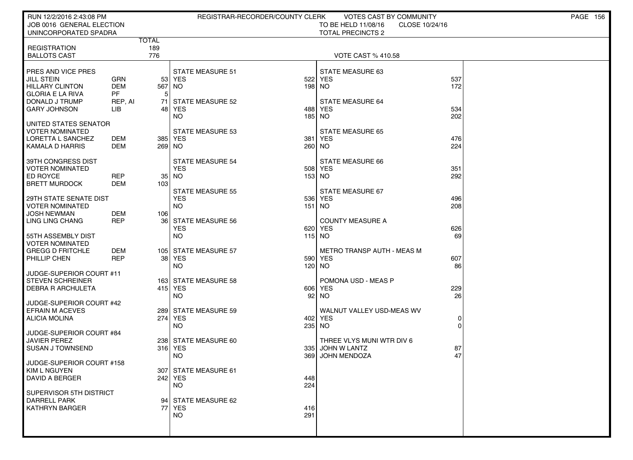| RUN 12/2/2016 2:43:08 PM                                             |                          |                                     | REGISTRAR-RECORDER/COUNTY CLERK       |            | VOTES CAST BY COMMUNITY                                           |            | <b>PAGE 156</b> |
|----------------------------------------------------------------------|--------------------------|-------------------------------------|---------------------------------------|------------|-------------------------------------------------------------------|------------|-----------------|
| JOB 0016 GENERAL ELECTION<br>UNINCORPORATED SPADRA                   |                          |                                     |                                       |            | TO BE HELD 11/08/16<br>CLOSE 10/24/16<br><b>TOTAL PRECINCTS 2</b> |            |                 |
| <b>REGISTRATION</b>                                                  |                          | <b>TOTAL</b><br>189                 |                                       |            |                                                                   |            |                 |
| <b>BALLOTS CAST</b>                                                  |                          | 776                                 |                                       |            | <b>VOTE CAST % 410.58</b>                                         |            |                 |
| PRES AND VICE PRES<br><b>JILL STEIN</b>                              | GRN                      |                                     | <b>STATE MEASURE 51</b><br>53 YES     |            | STATE MEASURE 63<br>522 YES                                       | 537        |                 |
| <b>HILLARY CLINTON</b><br><b>GLORIA E LA RIVA</b>                    | <b>DEM</b><br><b>PF</b>  | 567 NO<br>5 <sup>1</sup>            |                                       |            | 198 NO                                                            | 172        |                 |
| DONALD J TRUMP<br><b>GARY JOHNSON</b>                                | REP, AI<br>LIB           |                                     | 71 STATE MEASURE 52<br>48 YES         | 488        | <b>STATE MEASURE 64</b><br><b>YES</b>                             | 534        |                 |
| UNITED STATES SENATOR                                                |                          |                                     | <b>NO</b>                             |            | 185 NO                                                            | 202        |                 |
| <b>VOTER NOMINATED</b>                                               |                          |                                     | <b>STATE MEASURE 53</b>               |            | <b>STATE MEASURE 65</b>                                           |            |                 |
| LORETTA L SANCHEZ<br><b>KAMALA D HARRIS</b>                          | DEM<br>DEM               | 269 NO                              | 385 YES                               | 381        | YES<br>260 NO                                                     | 476<br>224 |                 |
| 39TH CONGRESS DIST<br><b>VOTER NOMINATED</b>                         |                          |                                     | <b>STATE MEASURE 54</b><br><b>YES</b> |            | STATE MEASURE 66<br>508 YES                                       | 351        |                 |
| ED ROYCE<br><b>BRETT MURDOCK</b>                                     | <b>REP</b><br><b>DEM</b> | 35 <sub>1</sub><br>103 <sup>1</sup> | NO                                    |            | 153 NO                                                            | 292        |                 |
| 29TH STATE SENATE DIST                                               |                          |                                     | <b>STATE MEASURE 55</b><br><b>YES</b> | 536        | <b>STATE MEASURE 67</b><br>YES                                    | 496        |                 |
| <b>VOTER NOMINATED</b><br>JOSH NEWMAN                                | <b>DEM</b>               | 106 l                               | <b>NO</b>                             |            | 151 NO                                                            | 208        |                 |
| LING LING CHANG                                                      | <b>REP</b>               |                                     | 36 STATE MEASURE 56<br><b>YES</b>     | 620        | <b>COUNTY MEASURE A</b><br>YES                                    | 626        |                 |
| 55TH ASSEMBLY DIST<br><b>VOTER NOMINATED</b>                         |                          |                                     | <b>NO</b>                             | 115 NO     |                                                                   | 69         |                 |
| <b>GREGG D FRITCHLE</b><br>PHILLIP CHEN                              | <b>DEM</b><br><b>REP</b> |                                     | 105 STATE MEASURE 57<br>38 YES        |            | METRO TRANSP AUTH - MEAS M<br>590 YES                             | 607        |                 |
| JUDGE-SUPERIOR COURT #11                                             |                          |                                     | NO                                    |            | 120 NO                                                            | 86         |                 |
| <b>STEVEN SCHREINER</b><br><b>DEBRA R ARCHULETA</b>                  |                          |                                     | 163 STATE MEASURE 58<br>415 YES       |            | POMONA USD - MEAS P<br>606 YES                                    | 229        |                 |
|                                                                      |                          |                                     | <b>NO</b>                             |            | 92 NO                                                             | 26         |                 |
| JUDGE-SUPERIOR COURT #42<br><b>EFRAIN M ACEVES</b>                   |                          |                                     | 289 STATE MEASURE 59                  |            | WALNUT VALLEY USD-MEAS WV                                         |            |                 |
| ALICIA MOLINA                                                        |                          |                                     | 274 YES<br>NO                         | 235 NO     | 402 YES                                                           |            |                 |
| JUDGE-SUPERIOR COURT #84<br><b>JAVIER PEREZ</b>                      |                          |                                     | 238 STATE MEASURE 60                  |            | THREE VLYS MUNI WTR DIV 6                                         |            |                 |
| <b>SUSAN J TOWNSEND</b>                                              |                          |                                     | 316 YES<br>NO                         | 335<br>369 | JOHN W LANTZ<br><b>JOHN MENDOZA</b>                               | 87<br>47   |                 |
| JUDGE-SUPERIOR COURT #158<br>  KIM L NGUYEN<br><b>DAVID A BERGER</b> |                          |                                     | 307 STATE MEASURE 61<br>242 YES       |            |                                                                   |            |                 |
|                                                                      |                          |                                     | <b>NO</b>                             | 448<br>224 |                                                                   |            |                 |
| SUPERVISOR 5TH DISTRICT<br><b>DARRELL PARK</b>                       |                          |                                     | 94 STATE MEASURE 62                   |            |                                                                   |            |                 |
| <b>KATHRYN BARGER</b>                                                |                          |                                     | 77 YES<br><b>NO</b>                   | 416<br>291 |                                                                   |            |                 |
|                                                                      |                          |                                     |                                       |            |                                                                   |            |                 |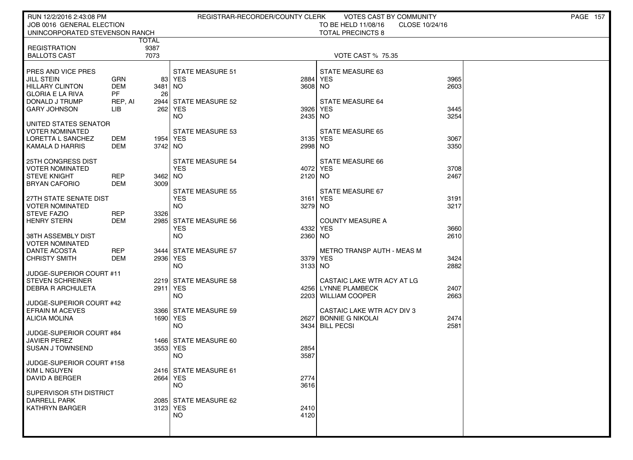| RUN 12/2/2016 2:43:08 PM                     |            |                      | REGISTRAR-RECORDER/COUNTY CLERK       |         | VOTES CAST BY COMMUNITY        |                | <b>PAGE 157</b> |
|----------------------------------------------|------------|----------------------|---------------------------------------|---------|--------------------------------|----------------|-----------------|
| JOB 0016 GENERAL ELECTION                    |            |                      |                                       |         | TO BE HELD 11/08/16            | CLOSE 10/24/16 |                 |
| UNINCORPORATED STEVENSON RANCH               |            |                      |                                       |         | <b>TOTAL PRECINCTS 8</b>       |                |                 |
| <b>REGISTRATION</b>                          |            | <b>TOTAL</b><br>9387 |                                       |         |                                |                |                 |
| <b>BALLOTS CAST</b>                          |            | 7073                 |                                       |         | <b>VOTE CAST % 75.35</b>       |                |                 |
|                                              |            |                      |                                       |         |                                |                |                 |
| <b>PRES AND VICE PRES</b>                    |            |                      | <b>STATE MEASURE 51</b>               |         | STATE MEASURE 63               |                |                 |
| <b>JILL STEIN</b>                            | <b>GRN</b> |                      | 83 YES                                | 2884    | <b>YES</b>                     | 3965           |                 |
| <b>HILLARY CLINTON</b>                       | <b>DEM</b> | 3481                 | NO.                                   | 3608 NO |                                | 2603           |                 |
| <b>GLORIA E LA RIVA</b>                      | PF         | 26                   |                                       |         |                                |                |                 |
| DONALD J TRUMP                               | REP, AI    | 2944                 | <b>STATE MEASURE 52</b>               |         | <b>STATE MEASURE 64</b>        |                |                 |
| <b>GARY JOHNSON</b>                          | LІВ        | 262                  | YES                                   | 3926    | <b>YES</b>                     | 3445           |                 |
|                                              |            |                      | NO.                                   | 2435    | NO                             | 3254           |                 |
| I UNITED STATES SENATOR<br>  VOTER NOMINATED |            |                      | <b>STATE MEASURE 53</b>               |         | <b>STATE MEASURE 65</b>        |                |                 |
| LORETTA L SANCHEZ                            | DEM        | 1954   YES           |                                       | 3135    | <b>YES</b>                     | 3067           |                 |
| KAMALA D HARRIS                              | DEM        | 3742 NO              |                                       | 2998    | NO.                            | 3350           |                 |
|                                              |            |                      |                                       |         |                                |                |                 |
| 25TH CONGRESS DIST                           |            |                      | <b>STATE MEASURE 54</b>               |         | STATE MEASURE 66               |                |                 |
| <b>VOTER NOMINATED</b>                       |            |                      | <b>YES</b>                            | 4072    | <b>YES</b>                     | 3708           |                 |
| l STEVE KNIGHT                               | REP        | 3462 NO              |                                       | 2120 NO |                                | 2467           |                 |
| BRYAN CAFORIO                                | DEM        | 3009                 |                                       |         |                                |                |                 |
| I 27TH STATE SENATE DIST                     |            |                      | <b>STATE MEASURE 55</b><br><b>YES</b> | 3161    | STATE MEASURE 67<br><b>YES</b> | 3191           |                 |
| <b>VOTER NOMINATED</b>                       |            |                      | <b>NO</b>                             | 3279 NO |                                | 3217           |                 |
| <b>STEVE FAZIO</b>                           | <b>REP</b> | 3326                 |                                       |         |                                |                |                 |
| HENRY STERN                                  | DEM        | 2985                 | <b>STATE MEASURE 56</b>               |         | <b>COUNTY MEASURE A</b>        |                |                 |
|                                              |            |                      | <b>YES</b>                            | 4332    | <b>YES</b>                     | 3660           |                 |
| 38TH ASSEMBLY DIST                           |            |                      | <b>NO</b>                             | 2360 NO |                                | 2610           |                 |
| VOTER NOMINATED                              |            |                      |                                       |         |                                |                |                 |
| DANTE ACOSTA                                 | REP        |                      | 3444 STATE MEASURE 57                 |         | METRO TRANSP AUTH - MEAS M     |                |                 |
| CHRISTY SMITH                                | DEM        |                      | 2936 YES                              | 3379    | <b>YES</b>                     | 3424           |                 |
| JUDGE-SUPERIOR COURT #11                     |            |                      | <b>NO</b>                             | 3133 NO |                                | 2882           |                 |
| STEVEN SCHREINER                             |            |                      | 2219 STATE MEASURE 58                 |         | CASTAIC LAKE WTR ACY AT LG     |                |                 |
| <b>DEBRA R ARCHULETA</b>                     |            |                      | 2911 YES                              |         | 4256 LYNNE PLAMBECK            | 2407           |                 |
|                                              |            |                      | <b>NO</b>                             | 2203    | <b>WILLIAM COOPER</b>          | 2663           |                 |
| JUDGE-SUPERIOR COURT #42                     |            |                      |                                       |         |                                |                |                 |
| EFRAIN M ACEVES                              |            |                      | 3366 STATE MEASURE 59                 |         | CASTAIC LAKE WTR ACY DIV 3     |                |                 |
| ALICIA MOLINA                                |            |                      | 1690 YES                              | 2627    | <b>BONNIE G NIKOLAI</b>        | 2474           |                 |
|                                              |            |                      | <b>NO</b>                             |         | 3434 BILL PECSI                | 2581           |                 |
| JUDGE-SUPERIOR COURT #84<br>  JAVIER PEREZ   |            |                      | 1466 STATE MEASURE 60                 |         |                                |                |                 |
| <b>SUSAN J TOWNSEND</b>                      |            |                      | 3553 YES                              | 2854    |                                |                |                 |
|                                              |            |                      | NO.                                   | 3587    |                                |                |                 |
| JUDGE-SUPERIOR COURT #158                    |            |                      |                                       |         |                                |                |                 |
| KIM L NGUYEN                                 |            |                      | 2416 STATE MEASURE 61                 |         |                                |                |                 |
| <b>DAVID A BERGER</b>                        |            |                      | 2664   YES                            | 2774    |                                |                |                 |
|                                              |            |                      | <b>NO</b>                             | 3616    |                                |                |                 |
| SUPERVISOR 5TH DISTRICT<br>DARRELL PARK      |            |                      |                                       |         |                                |                |                 |
| <b>KATHRYN BARGER</b>                        |            |                      | 2085 STATE MEASURE 62<br>3123 YES     | 2410    |                                |                |                 |
|                                              |            |                      | <b>NO</b>                             | 4120    |                                |                |                 |
|                                              |            |                      |                                       |         |                                |                |                 |
|                                              |            |                      |                                       |         |                                |                |                 |
|                                              |            |                      |                                       |         |                                |                |                 |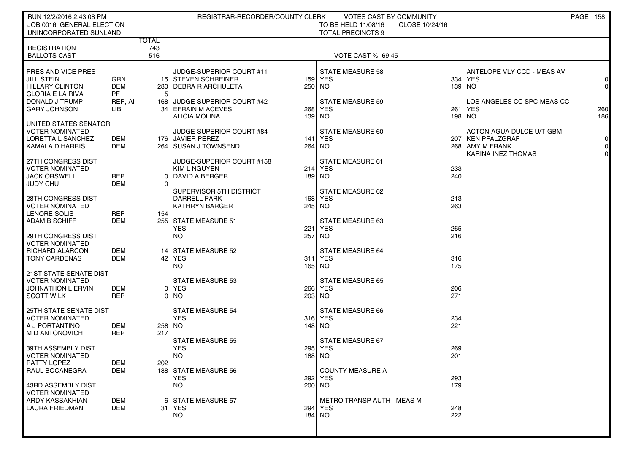| RUN 12/2/2016 2:43:08 PM                            |                  |              | REGISTRAR-RECORDER/COUNTY CLERK                  |        | <b>VOTES CAST BY COMMUNITY</b>        |            |                            | PAGE 158       |
|-----------------------------------------------------|------------------|--------------|--------------------------------------------------|--------|---------------------------------------|------------|----------------------------|----------------|
| JOB 0016 GENERAL ELECTION                           |                  |              |                                                  |        | TO BE HELD 11/08/16<br>CLOSE 10/24/16 |            |                            |                |
| UNINCORPORATED SUNLAND                              |                  | <b>TOTAL</b> |                                                  |        | <b>TOTAL PRECINCTS 9</b>              |            |                            |                |
| <b>REGISTRATION</b><br><b>BALLOTS CAST</b>          |                  | 743<br>516   |                                                  |        | <b>VOTE CAST % 69.45</b>              |            |                            |                |
| PRES AND VICE PRES                                  |                  |              | JUDGE-SUPERIOR COURT #11                         |        | <b>STATE MEASURE 58</b>               |            | ANTELOPE VLY CCD - MEAS AV |                |
| <b>JILL STEIN</b>                                   | <b>GRN</b>       |              | 15 STEVEN SCHREINER                              |        | 159 YES                               | 334        | <b>YES</b>                 | $\Omega$       |
| <b>HILLARY CLINTON</b>                              | <b>DEM</b><br>PF |              | 280   DEBRA R ARCHULETA                          | 250 NO |                                       |            | 139 NO                     | $\overline{0}$ |
| <b>GLORIA E LA RIVA</b><br>DONALD J TRUMP           | REP, AI          | 1681         | JUDGE-SUPERIOR COURT #42                         |        | <b>STATE MEASURE 59</b>               |            | LOS ANGELES CC SPC-MEAS CC |                |
| <b>GARY JOHNSON</b>                                 | LIB              |              | 34 EFRAIN M ACEVES                               |        | 268 YES                               | 261        | <b>YES</b>                 | 260            |
|                                                     |                  |              | <b>ALICIA MOLINA</b>                             | 139 NO |                                       |            | 198 NO                     | 186            |
| UNITED STATES SENATOR<br><b>VOTER NOMINATED</b>     |                  |              | JUDGE-SUPERIOR COURT #84                         |        | STATE MEASURE 60                      |            | ACTON-AGUA DULCE U/T-GBM   |                |
| LORETTA L SANCHEZ                                   | DEM              |              | 176 JAVIER PEREZ                                 |        | 141 YES                               |            | 207 KEN PFALZGRAF          | 0              |
| KAMALA D HARRIS                                     | <b>DEM</b>       |              | 264 SUSAN J TOWNSEND                             | 264 NO |                                       |            | 268 AMY M FRANK            | 0              |
|                                                     |                  |              |                                                  |        |                                       |            | KARINA INEZ THOMAS         | $\Omega$       |
| 27TH CONGRESS DIST<br><b>VOTER NOMINATED</b>        |                  |              | JUDGE-SUPERIOR COURT #158<br><b>KIM L NGUYEN</b> |        | STATE MEASURE 61<br>214 YES           | 233        |                            |                |
| <b>JACK ORSWELL</b>                                 | <b>REP</b>       | ΩI           | DAVID A BERGER                                   |        | 189 NO                                | 240        |                            |                |
| <b>JUDY CHU</b>                                     | DEM              | $\Omega$     |                                                  |        |                                       |            |                            |                |
|                                                     |                  |              | SUPERVISOR 5TH DISTRICT                          |        | STATE MEASURE 62                      |            |                            |                |
| <b>28TH CONGRESS DIST</b><br><b>VOTER NOMINATED</b> |                  |              | DARRELL PARK<br><b>KATHRYN BARGER</b>            | 245 NO | 168 YES                               | 213<br>263 |                            |                |
| LENORE SOLIS                                        | <b>REP</b>       | 154          |                                                  |        |                                       |            |                            |                |
| <b>ADAM B SCHIFF</b>                                | <b>DEM</b>       |              | 255 STATE MEASURE 51                             |        | STATE MEASURE 63                      |            |                            |                |
|                                                     |                  |              | <b>YES</b>                                       |        | 221 YES                               | 265        |                            |                |
| 29TH CONGRESS DIST<br><b>VOTER NOMINATED</b>        |                  |              | NO.                                              | 257 NO |                                       | 216        |                            |                |
| RICHARD ALARCON                                     | <b>DEM</b>       |              | 14 STATE MEASURE 52                              |        | <b>STATE MEASURE 64</b>               |            |                            |                |
| <b>TONY CARDENAS</b>                                | <b>DEM</b>       | 421          | <b>YES</b>                                       |        | 311 YES                               | 316        |                            |                |
| <b>21ST STATE SENATE DIST</b>                       |                  |              | NO.                                              | 165 NO |                                       | 175        |                            |                |
| <b>VOTER NOMINATED</b>                              |                  |              | <b>STATE MEASURE 53</b>                          |        | <b>STATE MEASURE 65</b>               |            |                            |                |
| <b>JOHNATHON L ERVIN</b>                            | DEM              |              | 0 YES                                            |        | 266 YES                               | 206        |                            |                |
| <b>SCOTT WILK</b>                                   | <b>REP</b>       | ΩI           | NO.                                              | 203 NO |                                       | 271        |                            |                |
| <b>25TH STATE SENATE DIST</b>                       |                  |              | <b>STATE MEASURE 54</b>                          |        | <b>STATE MEASURE 66</b>               |            |                            |                |
| <b>VOTER NOMINATED</b>                              |                  |              | <b>YES</b>                                       |        | 316 YES                               | 234        |                            |                |
| A J PORTANTINO                                      | DEM              | 258 NO       |                                                  | 148 NO |                                       | 221        |                            |                |
| M D ANTONOVICH                                      | <b>REP</b>       | 217          |                                                  |        |                                       |            |                            |                |
| 39TH ASSEMBLY DIST                                  |                  |              | <b>STATE MEASURE 55</b><br><b>YES</b>            |        | STATE MEASURE 67<br>295 YES           | 269        |                            |                |
| <b>VOTER NOMINATED</b>                              |                  |              | NO.                                              | 188 NO |                                       | 201        |                            |                |
| PATTY LOPEZ                                         | DEM              | 202          |                                                  |        |                                       |            |                            |                |
| RAUL BOCANEGRA                                      | DEM              |              | 188 STATE MEASURE 56<br><b>YES</b>               |        | <b>COUNTY MEASURE A</b><br>292 YES    |            |                            |                |
| 43RD ASSEMBLY DIST                                  |                  |              | NO.                                              | 200 NO |                                       | 293<br>179 |                            |                |
| <b>VOTER NOMINATED</b>                              |                  |              |                                                  |        |                                       |            |                            |                |
| <b>ARDY KASSAKHIAN</b>                              | DEM              | 6 I          | <b>STATE MEASURE 57</b>                          |        | <b>METRO TRANSP AUTH - MEAS M</b>     |            |                            |                |
| <b>LAURA FRIEDMAN</b>                               | <b>DEM</b>       |              | $31$ YES<br>NO.                                  | 184 NO | 294 YES                               | 248<br>222 |                            |                |
|                                                     |                  |              |                                                  |        |                                       |            |                            |                |
|                                                     |                  |              |                                                  |        |                                       |            |                            |                |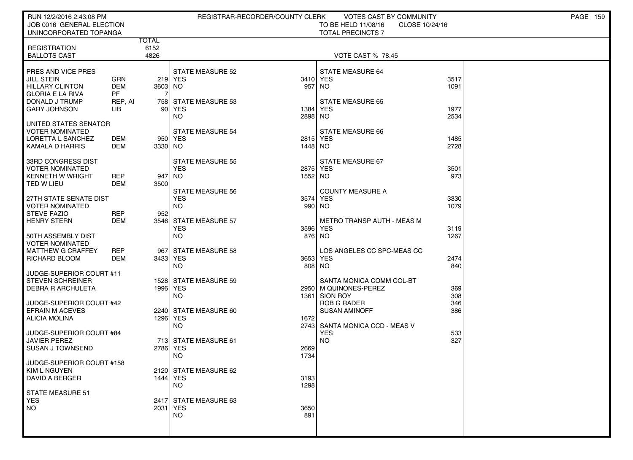| RUN 12/2/2016 2:43:08 PM                     |                |                      |                                | REGISTRAR-RECORDER/COUNTY CLERK | VOTES CAST BY COMMUNITY               |                | <b>PAGE 159</b> |
|----------------------------------------------|----------------|----------------------|--------------------------------|---------------------------------|---------------------------------------|----------------|-----------------|
| JOB 0016 GENERAL ELECTION                    |                |                      |                                |                                 | TO BE HELD 11/08/16                   | CLOSE 10/24/16 |                 |
| UNINCORPORATED TOPANGA                       |                |                      |                                |                                 | <b>TOTAL PRECINCTS 7</b>              |                |                 |
| <b>REGISTRATION</b>                          |                | <b>TOTAL</b><br>6152 |                                |                                 |                                       |                |                 |
| <b>BALLOTS CAST</b>                          |                | 4826                 |                                |                                 | <b>VOTE CAST % 78.45</b>              |                |                 |
|                                              |                |                      |                                |                                 |                                       |                |                 |
| PRES AND VICE PRES                           |                |                      | <b>STATE MEASURE 52</b>        |                                 | <b>STATE MEASURE 64</b>               |                |                 |
| <b>JILL STEIN</b>                            | GRN            |                      | 219 YES                        |                                 | 3410 YES                              | 3517           |                 |
| <b>HILLARY CLINTON</b>                       | <b>DEM</b>     | 3603 NO              |                                | 957                             | NO.                                   | 1091           |                 |
| <b>GLORIA E LA RIVA</b>                      | <b>PF</b>      | 7                    |                                |                                 |                                       |                |                 |
| DONALD J TRUMP<br><b>GARY JOHNSON</b>        | REP, AI<br>LІВ |                      | 758 STATE MEASURE 53<br>90 YES | 1384                            | <b>STATE MEASURE 65</b><br><b>YES</b> | 1977           |                 |
|                                              |                |                      | NO.                            | 2898                            | <b>NO</b>                             | 2534           |                 |
| UNITED STATES SENATOR                        |                |                      |                                |                                 |                                       |                |                 |
| VOTER NOMINATED                              |                |                      | <b>STATE MEASURE 54</b>        |                                 | <b>STATE MEASURE 66</b>               |                |                 |
| LORETTA L SANCHEZ                            | DEM            |                      | 950 YES                        |                                 | 2815 YES                              | 1485           |                 |
| <b>KAMALA D HARRIS</b>                       | DEM            | 3330 NO              |                                | 1448 NO                         |                                       | 2728           |                 |
| 33RD CONGRESS DIST                           |                |                      | <b>STATE MEASURE 55</b>        |                                 | STATE MEASURE 67                      |                |                 |
| <b>VOTER NOMINATED</b>                       |                |                      | <b>YES</b>                     |                                 | 2875 YES                              | 3501           |                 |
| KENNETH W WRIGHT                             | <b>REP</b>     | 947 NO               |                                | 1552 NO                         |                                       | 973            |                 |
| TED W LIEU                                   | DEM            | 3500                 |                                |                                 |                                       |                |                 |
|                                              |                |                      | <b>STATE MEASURE 56</b>        |                                 | <b>COUNTY MEASURE A</b>               |                |                 |
| 27TH STATE SENATE DIST                       |                |                      | <b>YES</b>                     |                                 | 3574 YES                              | 3330           |                 |
| <b>VOTER NOMINATED</b><br><b>STEVE FAZIO</b> | <b>REP</b>     | 952                  | <b>NO</b>                      |                                 | 990 NO                                | 1079           |                 |
| <b>HENRY STERN</b>                           | <b>DEM</b>     |                      | 3546 STATE MEASURE 57          |                                 | <b>METRO TRANSP AUTH - MEAS M</b>     |                |                 |
|                                              |                |                      | <b>YES</b>                     |                                 | 3596 YES                              | 3119           |                 |
| 50TH ASSEMBLY DIST                           |                |                      | <b>NO</b>                      |                                 | 876 NO                                | 1267           |                 |
| <b>VOTER NOMINATED</b>                       |                |                      |                                |                                 |                                       |                |                 |
| <b>MATTHEW G CRAFFEY</b>                     | <b>REP</b>     |                      | 967 STATE MEASURE 58           |                                 | LOS ANGELES CC SPC-MEAS CC            |                |                 |
| RICHARD BLOOM                                | DEM            | 3433 YES             | <b>NO</b>                      |                                 | 3653 YES<br>808 NO                    | 2474<br>840    |                 |
| JUDGE-SUPERIOR COURT #11                     |                |                      |                                |                                 |                                       |                |                 |
| <b>STEVEN SCHREINER</b>                      |                |                      | 1528 STATE MEASURE 59          |                                 | SANTA MONICA COMM COL-BT              |                |                 |
| <b>DEBRA R ARCHULETA</b>                     |                | 1996 YES             |                                |                                 | 2950 M QUINONES-PEREZ                 | 369            |                 |
|                                              |                |                      | <b>NO</b>                      |                                 | 1361 SION ROY                         | 308            |                 |
| JUDGE-SUPERIOR COURT #42                     |                |                      |                                |                                 | <b>ROB G RADER</b>                    | 346            |                 |
| <b>EFRAIN M ACEVES</b><br>ALICIA MOLINA      |                | 1296 YES             | 2240 STATE MEASURE 60          | 1672                            | <b>SUSAN AMINOFF</b>                  | 386            |                 |
|                                              |                |                      | <b>NO</b>                      |                                 | 2743 SANTA MONICA CCD - MEAS V        |                |                 |
| JUDGE-SUPERIOR COURT #84                     |                |                      |                                |                                 | <b>YES</b>                            | 533            |                 |
| <b>JAVIER PEREZ</b>                          |                |                      | 713 STATE MEASURE 61           |                                 | <b>NO</b>                             | 327            |                 |
| <b>SUSAN J TOWNSEND</b>                      |                | 2786 YES             |                                | 2669                            |                                       |                |                 |
|                                              |                |                      | <b>NO</b>                      | 1734                            |                                       |                |                 |
| JUDGE-SUPERIOR COURT #158<br>KIM L NGUYEN    |                |                      | 2120 STATE MEASURE 62          |                                 |                                       |                |                 |
| DAVID A BERGER                               |                | 1444 YES             |                                | 3193                            |                                       |                |                 |
|                                              |                |                      | <b>NO</b>                      | 1298                            |                                       |                |                 |
| STATE MEASURE 51                             |                |                      |                                |                                 |                                       |                |                 |
| <b>YES</b>                                   |                |                      | 2417 STATE MEASURE 63          |                                 |                                       |                |                 |
| <b>NO</b>                                    |                | 2031 YES             |                                | 3650                            |                                       |                |                 |
|                                              |                |                      | <b>NO</b>                      | 891                             |                                       |                |                 |
|                                              |                |                      |                                |                                 |                                       |                |                 |
|                                              |                |                      |                                |                                 |                                       |                |                 |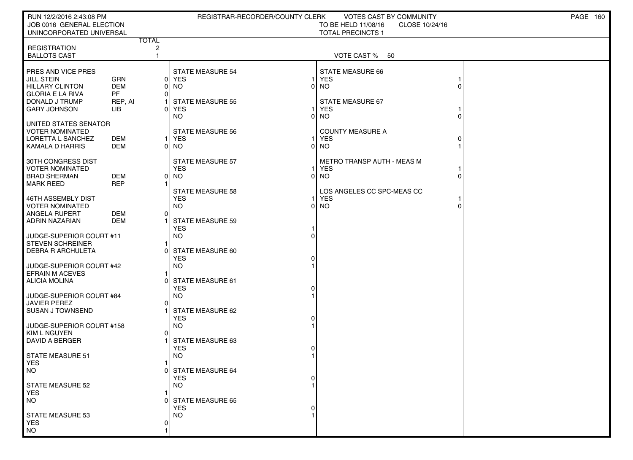| RUN 12/2/2016 2:43:08 PM                              |            |                         | REGISTRAR-RECORDER/COUNTY CLERK       |          | VOTES CAST BY COMMUNITY                                           |   | <b>PAGE 160</b> |
|-------------------------------------------------------|------------|-------------------------|---------------------------------------|----------|-------------------------------------------------------------------|---|-----------------|
| JOB 0016 GENERAL ELECTION<br>UNINCORPORATED UNIVERSAL |            |                         |                                       |          | TO BE HELD 11/08/16<br>CLOSE 10/24/16<br><b>TOTAL PRECINCTS 1</b> |   |                 |
|                                                       |            | <b>TOTAL</b>            |                                       |          |                                                                   |   |                 |
| <b>REGISTRATION</b>                                   |            | $\overline{\mathbf{c}}$ |                                       |          |                                                                   |   |                 |
| <b>BALLOTS CAST</b>                                   |            | $\mathbf{1}$            |                                       |          | VOTE CAST % 50                                                    |   |                 |
| PRES AND VICE PRES                                    |            |                         | <b>STATE MEASURE 54</b>               |          | <b>STATE MEASURE 66</b>                                           |   |                 |
| <b>JILL STEIN</b>                                     | GRN        |                         | 0 YES                                 |          | <b>YES</b>                                                        |   |                 |
| <b>HILLARY CLINTON</b>                                | <b>DEM</b> | 0                       | NO                                    | 0        | <b>NO</b>                                                         |   |                 |
| <b>GLORIA E LA RIVA</b>                               | <b>PF</b>  | 0                       |                                       |          |                                                                   |   |                 |
| DONALD J TRUMP                                        | REP, AI    | O                       | <b>STATE MEASURE 55</b>               |          | STATE MEASURE 67                                                  |   |                 |
| <b>GARY JOHNSON</b>                                   | LIB        |                         | <b>YES</b><br><b>NO</b>               | 0        | <b>YES</b><br><b>NO</b>                                           |   |                 |
| UNITED STATES SENATOR                                 |            |                         |                                       |          |                                                                   |   |                 |
| <b>VOTER NOMINATED</b>                                |            |                         | <b>STATE MEASURE 56</b>               |          | <b>COUNTY MEASURE A</b>                                           |   |                 |
| <b>LORETTA L SANCHEZ</b>                              | DEM        | $\mathbf{1}$            | YES                                   |          | <b>YES</b>                                                        |   |                 |
| <b>KAMALA D HARRIS</b>                                | <b>DEM</b> |                         | 0 NO                                  | 0        | <b>NO</b>                                                         |   |                 |
| 30TH CONGRESS DIST                                    |            |                         | <b>STATE MEASURE 57</b>               |          | METRO TRANSP AUTH - MEAS M                                        |   |                 |
| <b>VOTER NOMINATED</b>                                |            |                         | <b>YES</b>                            |          | <b>YES</b>                                                        |   |                 |
| <b>BRAD SHERMAN</b>                                   | <b>DEM</b> | 0                       | NO.                                   | $\Omega$ | <b>NO</b>                                                         | U |                 |
| <b>MARK REED</b>                                      | <b>REP</b> |                         |                                       |          |                                                                   |   |                 |
| 46TH ASSEMBLY DIST                                    |            |                         | <b>STATE MEASURE 58</b><br><b>YES</b> |          | LOS ANGELES CC SPC-MEAS CC<br><b>YES</b>                          |   |                 |
| <b>VOTER NOMINATED</b>                                |            |                         | <b>NO</b>                             |          | $0$ NO                                                            |   |                 |
| ANGELA RUPERT                                         | DEM        | 0                       |                                       |          |                                                                   |   |                 |
| ADRIN NAZARIAN                                        | <b>DEM</b> |                         | <b>STATE MEASURE 59</b>               |          |                                                                   |   |                 |
|                                                       |            |                         | <b>YES</b>                            |          |                                                                   |   |                 |
| JUDGE-SUPERIOR COURT #11<br>STEVEN SCHREINER          |            |                         | <b>NO</b>                             |          |                                                                   |   |                 |
| <b>DEBRA R ARCHULETA</b>                              |            |                         | STATE MEASURE 60                      |          |                                                                   |   |                 |
|                                                       |            |                         | <b>YES</b>                            |          |                                                                   |   |                 |
| JUDGE-SUPERIOR COURT #42                              |            |                         | <b>NO</b>                             |          |                                                                   |   |                 |
| <b>EFRAIN M ACEVES</b><br><b>ALICIA MOLINA</b>        |            | O                       | STATE MEASURE 61                      |          |                                                                   |   |                 |
|                                                       |            |                         | <b>YES</b>                            |          |                                                                   |   |                 |
| JUDGE-SUPERIOR COURT #84                              |            |                         | <b>NO</b>                             |          |                                                                   |   |                 |
| JAVIER PEREZ                                          |            | 0                       |                                       |          |                                                                   |   |                 |
| I SUSAN J TOWNSEND                                    |            |                         | STATE MEASURE 62                      |          |                                                                   |   |                 |
| JUDGE-SUPERIOR COURT #158                             |            |                         | <b>YES</b><br><b>NO</b>               |          |                                                                   |   |                 |
| KIM L NGUYEN                                          |            | $\Omega$                |                                       |          |                                                                   |   |                 |
| DAVID A BERGER                                        |            |                         | STATE MEASURE 63                      |          |                                                                   |   |                 |
|                                                       |            |                         | <b>YES</b>                            |          |                                                                   |   |                 |
| <b>STATE MEASURE 51</b><br><b>YES</b>                 |            | 1                       | <b>NO</b>                             |          |                                                                   |   |                 |
| NO                                                    |            |                         | 0 STATE MEASURE 64                    |          |                                                                   |   |                 |
|                                                       |            |                         | <b>YES</b>                            |          |                                                                   |   |                 |
| STATE MEASURE 52                                      |            |                         | NO.                                   |          |                                                                   |   |                 |
| <b>YES</b>                                            |            |                         |                                       |          |                                                                   |   |                 |
| <b>NO</b>                                             |            |                         | <b>STATE MEASURE 65</b><br><b>YES</b> |          |                                                                   |   |                 |
| <b>STATE MEASURE 53</b>                               |            |                         | NO.                                   |          |                                                                   |   |                 |
| <b>YES</b>                                            |            | 0                       |                                       |          |                                                                   |   |                 |
| <b>NO</b>                                             |            |                         |                                       |          |                                                                   |   |                 |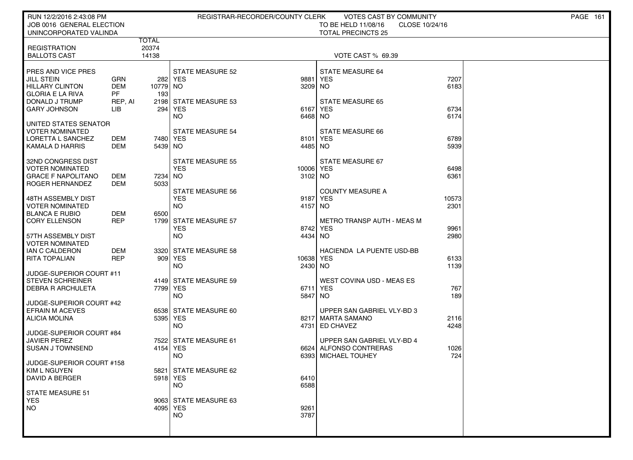| RUN 12/2/2016 2:43:08 PM                            |                |                       |                                          | REGISTRAR-RECORDER/COUNTY CLERK | VOTES CAST BY COMMUNITY               |                | <b>PAGE 161</b> |
|-----------------------------------------------------|----------------|-----------------------|------------------------------------------|---------------------------------|---------------------------------------|----------------|-----------------|
| JOB 0016 GENERAL ELECTION                           |                |                       |                                          |                                 | TO BE HELD 11/08/16                   | CLOSE 10/24/16 |                 |
| UNINCORPORATED VALINDA                              |                | TOTAL                 |                                          |                                 | <b>TOTAL PRECINCTS 25</b>             |                |                 |
| <b>REGISTRATION</b>                                 |                | 20374                 |                                          |                                 |                                       |                |                 |
| <b>BALLOTS CAST</b>                                 |                | 14138                 |                                          |                                 | <b>VOTE CAST % 69.39</b>              |                |                 |
| PRES AND VICE PRES                                  |                |                       | <b>STATE MEASURE 52</b>                  |                                 | <b>STATE MEASURE 64</b>               |                |                 |
| <b>JILL STEIN</b>                                   | GRN            |                       | 282 YES                                  | 9881                            | <b>YES</b>                            | 7207           |                 |
| <b>HILLARY CLINTON</b>                              | <b>DEM</b>     | 10779 NO              |                                          | 3209 NO                         |                                       | 6183           |                 |
| <b>GLORIA E LA RIVA</b>                             | <b>PF</b>      | 193                   |                                          |                                 |                                       |                |                 |
| DONALD J TRUMP<br><b>GARY JOHNSON</b>               | REP, AI<br>LIB | 294                   | 2198 STATE MEASURE 53<br>YES <sup></sup> | 6167                            | <b>STATE MEASURE 65</b><br><b>YES</b> | 6734           |                 |
|                                                     |                |                       | <b>NO</b>                                | 6468 NO                         |                                       | 6174           |                 |
| UNITED STATES SENATOR                               |                |                       |                                          |                                 |                                       |                |                 |
| VOTER NOMINATED                                     |                |                       | <b>STATE MEASURE 54</b>                  |                                 | <b>STATE MEASURE 66</b>               | 6789           |                 |
| LORETTA L SANCHEZ<br><b>KAMALA D HARRIS</b>         | DEM<br>DEM     | 7480   YES<br>5439 NO |                                          | 8101<br>4485 NO                 | l YES                                 | 5939           |                 |
|                                                     |                |                       |                                          |                                 |                                       |                |                 |
| 32ND CONGRESS DIST                                  |                |                       | <b>STATE MEASURE 55</b>                  |                                 | STATE MEASURE 67                      |                |                 |
| <b>VOTER NOMINATED</b><br><b>GRACE F NAPOLITANO</b> | DEM            | 7234 NO               | <b>YES</b>                               | 10006 YES<br>3102 NO            |                                       | 6498<br>6361   |                 |
| ROGER HERNANDEZ                                     | <b>DEM</b>     | 5033                  |                                          |                                 |                                       |                |                 |
|                                                     |                |                       | <b>STATE MEASURE 56</b>                  |                                 | <b>COUNTY MEASURE A</b>               |                |                 |
| 48TH ASSEMBLY DIST<br>VOTER NOMINATED               |                |                       | <b>YES</b><br><b>NO</b>                  | 9187<br>4157 NO                 | YES                                   | 10573<br>2301  |                 |
| <b>BLANCA E RUBIO</b>                               | DEM            | 6500                  |                                          |                                 |                                       |                |                 |
| <b>CORY ELLENSON</b>                                | <b>REP</b>     |                       | 1799 STATE MEASURE 57                    |                                 | <b>METRO TRANSP AUTH - MEAS M</b>     |                |                 |
|                                                     |                |                       | <b>YES</b>                               | 8742                            | <b>YES</b>                            | 9961           |                 |
| 57TH ASSEMBLY DIST<br><b>VOTER NOMINATED</b>        |                |                       | <b>NO</b>                                | 4434                            | NO.                                   | 2980           |                 |
| IAN C CALDERON                                      | <b>DEM</b>     |                       | 3320 STATE MEASURE 58                    |                                 | HACIENDA LA PUENTE USD-BB             |                |                 |
| <b>RITA TOPALIAN</b>                                | <b>REP</b>     |                       | 909 YES                                  | 10638 YES                       |                                       | 6133           |                 |
| JUDGE-SUPERIOR COURT #11                            |                |                       | NO.                                      | 2430 NO                         |                                       | 1139           |                 |
| <b>STEVEN SCHREINER</b>                             |                |                       | 4149 STATE MEASURE 59                    |                                 | WEST COVINA USD - MEAS ES             |                |                 |
| <b>DEBRA R ARCHULETA</b>                            |                | 7799 YES              |                                          |                                 | 6711 YES                              | 767            |                 |
| JUDGE-SUPERIOR COURT #42                            |                |                       | <b>NO</b>                                | 5847                            | NO.                                   | 189            |                 |
| <b>EFRAIN M ACEVES</b>                              |                |                       | 6538 STATE MEASURE 60                    |                                 | UPPER SAN GABRIEL VLY-BD 3            |                |                 |
| ALICIA MOLINA                                       |                | 5395 YES              |                                          | 8217                            | MARTA SAMANO                          | 2116           |                 |
|                                                     |                |                       | NO.                                      |                                 | 4731 ED CHAVEZ                        | 4248           |                 |
| JUDGE-SUPERIOR COURT #84<br><b>JAVIER PEREZ</b>     |                |                       | 7522 STATE MEASURE 61                    |                                 | UPPER SAN GABRIEL VLY-BD 4            |                |                 |
| <b>SUSAN J TOWNSEND</b>                             |                | 4154 YES              |                                          |                                 | 6624 ALFONSO CONTRERAS                | 1026           |                 |
|                                                     |                |                       | NO.                                      | 6393                            | <b>MICHAEL TOUHEY</b>                 | 724            |                 |
| JUDGE-SUPERIOR COURT #158<br>KIM L NGUYEN           |                |                       | 5821 STATE MEASURE 62                    |                                 |                                       |                |                 |
| <b>DAVID A BERGER</b>                               |                | 5918 YES              |                                          | 6410                            |                                       |                |                 |
|                                                     |                |                       | <b>NO</b>                                | 6588                            |                                       |                |                 |
| <b>STATE MEASURE 51</b>                             |                |                       |                                          |                                 |                                       |                |                 |
| <b>YES</b><br><b>NO</b>                             |                | 4095 YES              | 9063 STATE MEASURE 63                    | 9261                            |                                       |                |                 |
|                                                     |                |                       | <b>NO</b>                                | 3787                            |                                       |                |                 |
|                                                     |                |                       |                                          |                                 |                                       |                |                 |
|                                                     |                |                       |                                          |                                 |                                       |                |                 |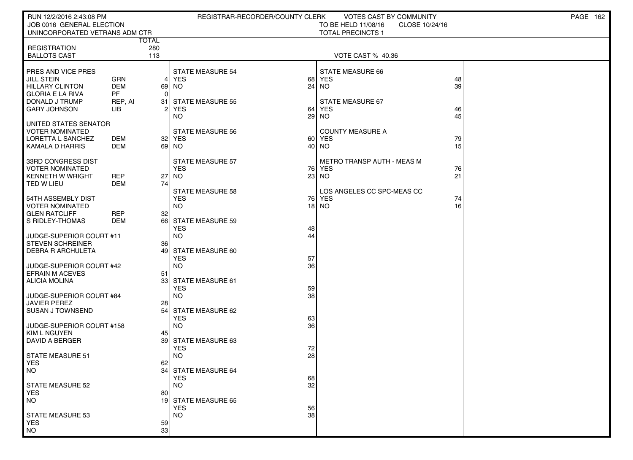| RUN 12/2/2016 2:43:08 PM                       |                          |              | REGISTRAR-RECORDER/COUNTY CLERK       |          | <b>VOTES CAST BY COMMUNITY</b>        |                 | <b>PAGE 162</b> |
|------------------------------------------------|--------------------------|--------------|---------------------------------------|----------|---------------------------------------|-----------------|-----------------|
| JOB 0016 GENERAL ELECTION                      |                          |              |                                       |          | TO BE HELD 11/08/16<br>CLOSE 10/24/16 |                 |                 |
| UNINCORPORATED VETRANS ADM CTR                 |                          | <b>TOTAL</b> |                                       |          | <b>TOTAL PRECINCTS 1</b>              |                 |                 |
| <b>REGISTRATION</b>                            |                          | 280          |                                       |          |                                       |                 |                 |
| <b>BALLOTS CAST</b>                            |                          | 113          |                                       |          | VOTE CAST % 40.36                     |                 |                 |
|                                                |                          |              |                                       |          |                                       |                 |                 |
| PRES AND VICE PRES                             |                          |              | <b>STATE MEASURE 54</b>               |          | STATE MEASURE 66                      |                 |                 |
| JILL STEIN<br><b>HILLARY CLINTON</b>           | GRN<br><b>DEM</b>        | 4            | YES                                   | 68       | YES<br>$24$ NO                        | 48<br>39        |                 |
| <b>GLORIA E LA RIVA</b>                        | <b>PF</b>                | 0            | 69 NO                                 |          |                                       |                 |                 |
| DONALD J TRUMP                                 | REP, AI                  | 31           | <b>STATE MEASURE 55</b>               |          | STATE MEASURE 67                      |                 |                 |
| <b>GARY JOHNSON</b>                            | LІВ                      | 2            | YES                                   | 64       | <b>YES</b>                            | 46              |                 |
|                                                |                          |              | <b>NO</b>                             | 29       | <b>NO</b>                             | 45              |                 |
| UNITED STATES SENATOR                          |                          |              |                                       |          |                                       |                 |                 |
| <b>VOTER NOMINATED</b><br>LORETTA L SANCHEZ    | DEM                      |              | <b>STATE MEASURE 56</b><br>32   YES   |          | <b>COUNTY MEASURE A</b><br>60 YES     | 79              |                 |
| <b>KAMALA D HARRIS</b>                         | DEM                      |              | 69 NO                                 |          | 40 NO                                 | 15              |                 |
|                                                |                          |              |                                       |          |                                       |                 |                 |
| 33RD CONGRESS DIST                             |                          |              | <b>STATE MEASURE 57</b>               |          | METRO TRANSP AUTH - MEAS M            |                 |                 |
| <b>VOTER NOMINATED</b>                         |                          |              | <b>YES</b>                            |          | 76 YES                                | 76              |                 |
| <b>KENNETH W WRIGHT</b><br>TED W LIEU          | <b>REP</b><br><b>DEM</b> | 27<br>74     | NO.                                   |          | $23$ NO                               | 21              |                 |
|                                                |                          |              | <b>STATE MEASURE 58</b>               |          | LOS ANGELES CC SPC-MEAS CC            |                 |                 |
| 54TH ASSEMBLY DIST                             |                          |              | <b>YES</b>                            |          | 76 YES                                | 74              |                 |
| <b>VOTER NOMINATED</b>                         |                          |              | <b>NO</b>                             |          | 18 NO                                 | 16 <sup>1</sup> |                 |
| <b>GLEN RATCLIFF</b>                           | <b>REP</b>               | 32           |                                       |          |                                       |                 |                 |
| S RIDLEY-THOMAS                                | <b>DEM</b>               |              | 66 STATE MEASURE 59                   |          |                                       |                 |                 |
| JUDGE-SUPERIOR COURT #11                       |                          |              | <b>YES</b><br><b>NO</b>               | 48<br>44 |                                       |                 |                 |
| <b>STEVEN SCHREINER</b>                        |                          | 36           |                                       |          |                                       |                 |                 |
| <b>DEBRA R ARCHULETA</b>                       |                          | 49           | STATE MEASURE 60                      |          |                                       |                 |                 |
|                                                |                          |              | <b>YES</b>                            | 57       |                                       |                 |                 |
| JUDGE-SUPERIOR COURT #42                       |                          |              | <b>NO</b>                             | 36       |                                       |                 |                 |
| <b>EFRAIN M ACEVES</b><br><b>ALICIA MOLINA</b> |                          | 51           | 33 STATE MEASURE 61                   |          |                                       |                 |                 |
|                                                |                          |              | <b>YES</b>                            | 59       |                                       |                 |                 |
| JUDGE-SUPERIOR COURT #84                       |                          |              | <b>NO</b>                             | 38       |                                       |                 |                 |
| <b>JAVIER PEREZ</b>                            |                          | 28           |                                       |          |                                       |                 |                 |
| <b>SUSAN J TOWNSEND</b>                        |                          |              | 54 STATE MEASURE 62<br><b>YES</b>     |          |                                       |                 |                 |
| JUDGE-SUPERIOR COURT #158                      |                          |              | <b>NO</b>                             | 63<br>36 |                                       |                 |                 |
| <b>KIM L NGUYEN</b>                            |                          | 45           |                                       |          |                                       |                 |                 |
| <b>DAVID A BERGER</b>                          |                          |              | 39 STATE MEASURE 63                   |          |                                       |                 |                 |
|                                                |                          |              | <b>YES</b>                            | 72       |                                       |                 |                 |
| <b>STATE MEASURE 51</b><br><b>YES</b>          |                          | 62           | <b>NO</b>                             | 28       |                                       |                 |                 |
| <b>NO</b>                                      |                          |              | 34 STATE MEASURE 64                   |          |                                       |                 |                 |
|                                                |                          |              | <b>YES</b>                            | 68       |                                       |                 |                 |
| <b>STATE MEASURE 52</b>                        |                          |              | <b>NO</b>                             | 32       |                                       |                 |                 |
| YES.                                           |                          | 80           |                                       |          |                                       |                 |                 |
| <b>NO</b>                                      |                          | 19           | <b>STATE MEASURE 65</b><br><b>YES</b> | 56       |                                       |                 |                 |
| <b>STATE MEASURE 53</b>                        |                          |              | <b>NO</b>                             | 38       |                                       |                 |                 |
| <b>YES</b>                                     |                          | 59           |                                       |          |                                       |                 |                 |
| $NO$                                           |                          | 33           |                                       |          |                                       |                 |                 |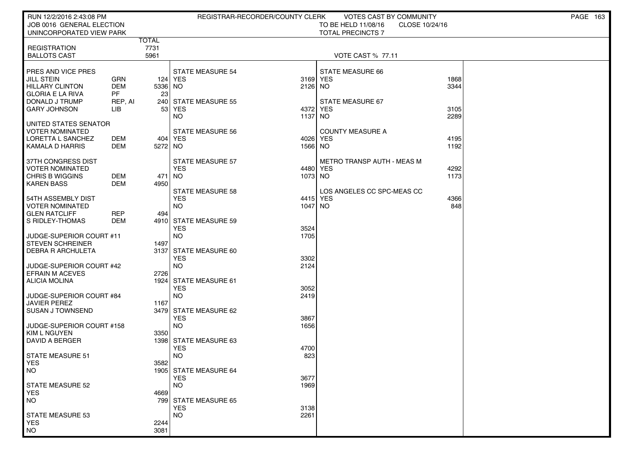| RUN 12/2/2016 2:43:08 PM<br>JOB 0016 GENERAL ELECTION |                         |              | REGISTRAR-RECORDER/COUNTY CLERK     |              | <b>VOTES CAST BY COMMUNITY</b><br>TO BE HELD 11/08/16<br>CLOSE 10/24/16 |              | PAGE 163 |
|-------------------------------------------------------|-------------------------|--------------|-------------------------------------|--------------|-------------------------------------------------------------------------|--------------|----------|
| UNINCORPORATED VIEW PARK                              |                         |              |                                     |              | <b>TOTAL PRECINCTS 7</b>                                                |              |          |
|                                                       |                         | <b>TOTAL</b> |                                     |              |                                                                         |              |          |
| <b>REGISTRATION</b><br><b>BALLOTS CAST</b>            |                         | 7731<br>5961 |                                     |              | <b>VOTE CAST % 77.11</b>                                                |              |          |
|                                                       |                         |              |                                     |              |                                                                         |              |          |
| PRES AND VICE PRES                                    |                         |              | <b>STATE MEASURE 54</b>             |              | <b>STATE MEASURE 66</b>                                                 |              |          |
| JILL STEIN                                            | <b>GRN</b>              |              | 124   YES                           | 3169 YES     |                                                                         | 1868         |          |
| <b>HILLARY CLINTON</b><br><b>GLORIA E LA RIVA</b>     | <b>DEM</b><br><b>PF</b> | $5336$ NO    |                                     | 2126 NO      |                                                                         | 3344         |          |
| DONALD J TRUMP                                        | REP, AI                 | 23           | 240 STATE MEASURE 55                |              | STATE MEASURE 67                                                        |              |          |
| GARY JOHNSON                                          | LІВ                     | 53           | <b>YES</b>                          |              | 4372 YES                                                                | 3105         |          |
|                                                       |                         |              | <b>NO</b>                           | 1137         | <b>NO</b>                                                               | 2289         |          |
| UNITED STATES SENATOR                                 |                         |              |                                     |              |                                                                         |              |          |
| VOTER NOMINATED                                       |                         |              | <b>STATE MEASURE 56</b>             |              | <b>COUNTY MEASURE A</b>                                                 |              |          |
| LORETTA L SANCHEZ<br><b>KAMALA D HARRIS</b>           | DEM<br>DEM              | 5272 NO      | 404 YES                             | 1566 NO      | 4026 YES                                                                | 4195<br>1192 |          |
|                                                       |                         |              |                                     |              |                                                                         |              |          |
| 37TH CONGRESS DIST                                    |                         |              | <b>STATE MEASURE 57</b>             |              | <b>METRO TRANSP AUTH - MEAS M</b>                                       |              |          |
| <b>VOTER NOMINATED</b>                                |                         |              | <b>YES</b>                          |              | 4480 YES                                                                | 4292         |          |
| CHRIS B WIGGINS                                       | <b>DEM</b>              | 471   NO     |                                     | 1073 NO      |                                                                         | 1173         |          |
| <b>KAREN BASS</b>                                     | <b>DEM</b>              | 4950         | <b>STATE MEASURE 58</b>             |              | LOS ANGELES CC SPC-MEAS CC                                              |              |          |
| 54TH ASSEMBLY DIST                                    |                         |              | <b>YES</b>                          |              | 4415 YES                                                                | 4366         |          |
| <b>VOTER NOMINATED</b>                                |                         |              | <b>NO</b>                           | 1047 NO      |                                                                         | 848          |          |
| <b>GLEN RATCLIFF</b>                                  | <b>REP</b>              | 494          |                                     |              |                                                                         |              |          |
| S RIDLEY-THOMAS                                       | <b>DEM</b>              |              | 4910 STATE MEASURE 59               |              |                                                                         |              |          |
|                                                       |                         |              | <b>YES</b><br><b>NO</b>             | 3524<br>1705 |                                                                         |              |          |
| JUDGE-SUPERIOR COURT #11<br><b>STEVEN SCHREINER</b>   |                         | 1497         |                                     |              |                                                                         |              |          |
| <b>DEBRA R ARCHULETA</b>                              |                         | 3137         | STATE MEASURE 60                    |              |                                                                         |              |          |
|                                                       |                         |              | <b>YES</b>                          | 3302         |                                                                         |              |          |
| JUDGE-SUPERIOR COURT #42                              |                         |              | <b>NO</b>                           | 2124         |                                                                         |              |          |
| <b>EFRAIN M ACEVES</b>                                |                         | 2726         |                                     |              |                                                                         |              |          |
| <b>ALICIA MOLINA</b>                                  |                         |              | 1924 STATE MEASURE 61<br><b>YES</b> | 3052         |                                                                         |              |          |
| JUDGE-SUPERIOR COURT #84                              |                         |              | <b>NO</b>                           | 2419         |                                                                         |              |          |
| JAVIER PEREZ                                          |                         | 1167         |                                     |              |                                                                         |              |          |
| SUSAN J TOWNSEND                                      |                         |              | 3479 STATE MEASURE 62               |              |                                                                         |              |          |
|                                                       |                         |              | <b>YES</b>                          | 3867         |                                                                         |              |          |
| JUDGE-SUPERIOR COURT #158<br><b>KIM L NGUYEN</b>      |                         | 3350         | <b>NO</b>                           | 1656         |                                                                         |              |          |
| DAVID A BERGER                                        |                         |              | 1398 STATE MEASURE 63               |              |                                                                         |              |          |
|                                                       |                         |              | <b>YES</b>                          | 4700         |                                                                         |              |          |
| STATE MEASURE 51                                      |                         |              | <b>NO</b>                           | 823          |                                                                         |              |          |
| <b>YES</b>                                            |                         | 3582         |                                     |              |                                                                         |              |          |
| <b>NO</b>                                             |                         |              | 1905 STATE MEASURE 64<br><b>YES</b> | 3677         |                                                                         |              |          |
| <b>STATE MEASURE 52</b>                               |                         |              | NO.                                 | 1969         |                                                                         |              |          |
| <b>YES</b>                                            |                         | 4669         |                                     |              |                                                                         |              |          |
| <b>NO</b>                                             |                         |              | 799 STATE MEASURE 65                |              |                                                                         |              |          |
|                                                       |                         |              | <b>YES</b>                          | 3138         |                                                                         |              |          |
|                                                       |                         |              |                                     |              |                                                                         |              |          |
| <b>NO</b>                                             |                         | 3081         |                                     |              |                                                                         |              |          |
| <b>STATE MEASURE 53</b><br><b>YES</b>                 |                         | 2244         | <b>NO</b>                           | 2261         |                                                                         |              |          |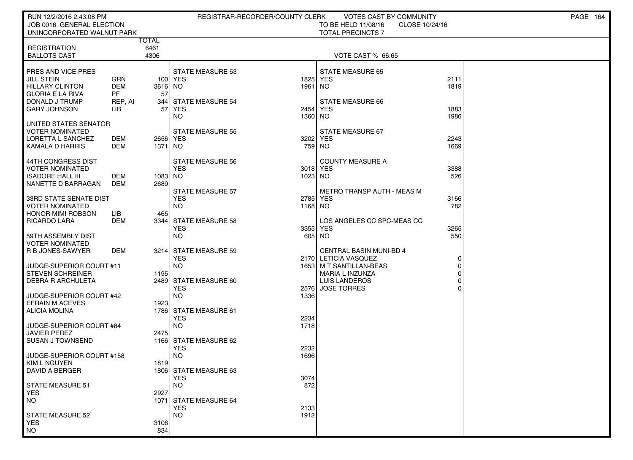| RUN 12/2/2016 2:43:08 PM                           |                |               | REGISTRAR-RECORDER/COUNTY CLERK       |                 | VOTES CAST BY COMMUNITY                                |             | PAGE 164 |
|----------------------------------------------------|----------------|---------------|---------------------------------------|-----------------|--------------------------------------------------------|-------------|----------|
| JOB 0016 GENERAL ELECTION                          |                |               |                                       |                 | TO BE HELD 11/08/16<br>CLOSE 10/24/16                  |             |          |
| UNINCORPORATED WALNUT PARK                         |                |               |                                       |                 | <b>TOTAL PRECINCTS 7</b>                               |             |          |
| <b>REGISTRATION</b>                                |                | TOTAL<br>6461 |                                       |                 |                                                        |             |          |
| <b>BALLOTS CAST</b>                                |                | 4306          |                                       |                 | VOTE CAST % 66.65                                      |             |          |
|                                                    |                |               |                                       |                 |                                                        |             |          |
| PRES AND VICE PRES                                 |                |               | <b>STATE MEASURE 53</b>               |                 | <b>STATE MEASURE 65</b>                                |             |          |
| JILL STEIN                                         | GRN            |               | 100 YES                               | 1825            | <b>YES</b>                                             | 2111        |          |
| <b>HILLARY CLINTON</b>                             | <b>DEM</b>     | 3616 NO       |                                       | 1961            | NO.                                                    | 1819        |          |
| <b>GLORIA E LA RIVA</b><br>DONALD J TRUMP          | <b>PF</b>      | 57            |                                       |                 | STATE MEASURE 66                                       |             |          |
| GARY JOHNSON                                       | REP, AI<br>LІB | 57            | 344 STATE MEASURE 54<br><b>YES</b>    | 2454            | <b>YES</b>                                             | 1883        |          |
|                                                    |                |               | NO.                                   | 1360            | NO.                                                    | 1986        |          |
| UNITED STATES SENATOR                              |                |               |                                       |                 |                                                        |             |          |
| <b>VOTER NOMINATED</b>                             |                |               | <b>STATE MEASURE 55</b>               |                 | STATE MEASURE 67                                       |             |          |
| LORETTA L SANCHEZ                                  | DEM            | 2656 YES      |                                       | 3202            | <b>YES</b>                                             | 2243        |          |
| KAMALA D HARRIS                                    | DEM            | 1371 NO       |                                       |                 | 759 NO                                                 | 1669        |          |
| 44TH CONGRESS DIST                                 |                |               | <b>STATE MEASURE 56</b>               |                 | <b>COUNTY MEASURE A</b>                                |             |          |
| VOTER NOMINATED                                    |                |               | <b>YES</b>                            |                 | 3018 YES                                               | 3388        |          |
| ISADORE HALL III                                   | DEM            | 1083 NO       |                                       | 1023 NO         |                                                        | 526         |          |
| NANETTE D BARRAGAN                                 | DEM            | 2689          |                                       |                 |                                                        |             |          |
|                                                    |                |               | STATE MEASURE 57                      |                 | <b>METRO TRANSP AUTH - MEAS M</b>                      |             |          |
| 33RD STATE SENATE DIST<br><b>VOTER NOMINATED</b>   |                |               | <b>YES</b><br>NO.                     | 2785<br>1168 NO | <b>YES</b>                                             | 3166<br>782 |          |
| <b>HONOR MIMI ROBSON</b>                           | LІВ            | 465           |                                       |                 |                                                        |             |          |
| <b>RICARDO LARA</b>                                | DEM            |               | 3344 STATE MEASURE 58                 |                 | LOS ANGELES CC SPC-MEAS CC                             |             |          |
|                                                    |                |               | YES                                   | 3355            | <b>YES</b>                                             | 3265        |          |
| 59TH ASSEMBLY DIST                                 |                |               | NO.                                   | 605             | NO.                                                    | 550         |          |
| <b>VOTER NOMINATED</b><br>R B JONES-SAWYER         |                |               |                                       |                 |                                                        |             |          |
|                                                    | DEM            |               | 3214 STATE MEASURE 59<br><b>YES</b>   |                 | <b>CENTRAL BASIN MUNI-BD 4</b><br>2170 LETICIA VASQUEZ | 0           |          |
| JUDGE-SUPERIOR COURT #11                           |                |               | NO.                                   |                 | 1653   M T SANTILLAN-BEAS                              |             |          |
| <b>STEVEN SCHREINER</b>                            |                | 1195          |                                       |                 | MARIA L INZUNZA                                        |             |          |
| DEBRA R ARCHULETA                                  |                |               | 2489 STATE MEASURE 60                 |                 | <b>LUIS LANDEROS</b>                                   |             |          |
|                                                    |                |               | <b>YES</b>                            | 2576            | <b>JOSE TORRES</b>                                     |             |          |
| JUDGE-SUPERIOR COURT #42<br><b>EFRAIN M ACEVES</b> |                | 1923          | <b>NO</b>                             | 1336            |                                                        |             |          |
| <b>ALICIA MOLINA</b>                               |                |               | 1786 STATE MEASURE 61                 |                 |                                                        |             |          |
|                                                    |                |               | <b>YES</b>                            | 2234            |                                                        |             |          |
| JUDGE-SUPERIOR COURT #84                           |                |               | NO.                                   | 1718            |                                                        |             |          |
| JAVIER PEREZ                                       |                | 2475          |                                       |                 |                                                        |             |          |
| <b>SUSAN J TOWNSEND</b>                            |                |               | 1166 STATE MEASURE 62                 |                 |                                                        |             |          |
| JUDGE-SUPERIOR COURT #158                          |                |               | <b>YES</b><br><b>NO</b>               | 2232<br>1696    |                                                        |             |          |
| KIM L NGUYEN                                       |                | 1819          |                                       |                 |                                                        |             |          |
| DAVID A BERGER                                     |                |               | 1806 STATE MEASURE 63                 |                 |                                                        |             |          |
|                                                    |                |               | <b>YES</b>                            | 3074            |                                                        |             |          |
| <b>STATE MEASURE 51</b>                            |                |               | <b>NO</b>                             | 872             |                                                        |             |          |
| <b>YES</b>                                         |                | 2927          |                                       |                 |                                                        |             |          |
| <b>NO</b>                                          |                | 1071          | <b>STATE MEASURE 64</b><br><b>YES</b> | 2133            |                                                        |             |          |
| <b>STATE MEASURE 52</b>                            |                |               | <b>NO</b>                             | 1912            |                                                        |             |          |
| <b>YES</b>                                         |                | 3106          |                                       |                 |                                                        |             |          |
| <b>NO</b>                                          |                | 834           |                                       |                 |                                                        |             |          |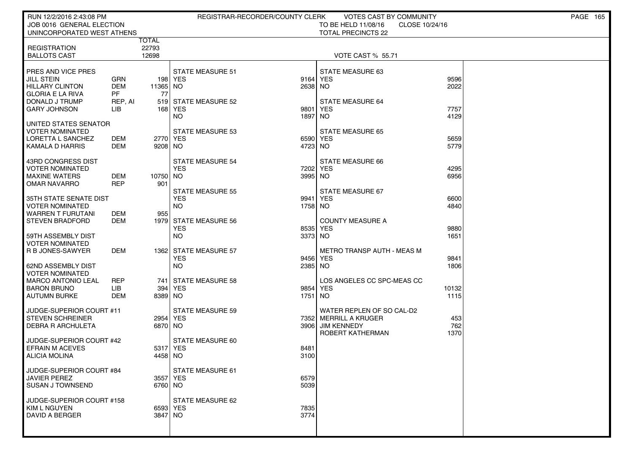| RUN 12/2/2016 2:43:08 PM                       |            |                     |                                    | REGISTRAR-RECORDER/COUNTY CLERK | VOTES CAST BY COMMUNITY               |              | <b>PAGE 165</b> |
|------------------------------------------------|------------|---------------------|------------------------------------|---------------------------------|---------------------------------------|--------------|-----------------|
| JOB 0016 GENERAL ELECTION                      |            |                     |                                    |                                 | TO BE HELD 11/08/16<br>CLOSE 10/24/16 |              |                 |
| UNINCORPORATED WEST ATHENS                     |            | TOTAL               |                                    |                                 | <b>TOTAL PRECINCTS 22</b>             |              |                 |
| <b>REGISTRATION</b>                            |            | 22793               |                                    |                                 |                                       |              |                 |
| <b>BALLOTS CAST</b>                            |            | 12698               |                                    |                                 | VOTE CAST % 55.71                     |              |                 |
| <b>PRES AND VICE PRES</b>                      |            |                     |                                    |                                 |                                       |              |                 |
| <b>JILL STEIN</b>                              | GRN        |                     | <b>STATE MEASURE 51</b><br>198 YES |                                 | STATE MEASURE 63<br>9164 YES          | 9596         |                 |
| <b>HILLARY CLINTON</b>                         | <b>DEM</b> | 11365 NO            |                                    | 2638 NO                         |                                       | 2022         |                 |
| GLORIA E LA RIVA                               | PF         | 77                  |                                    |                                 |                                       |              |                 |
| I DONALD J TRUMP<br><b>GARY JOHNSON</b>        | REP, AI    |                     | 519 STATE MEASURE 52<br>168 YES    |                                 | <b>STATE MEASURE 64</b>               |              |                 |
|                                                | LIB.       |                     | NO.                                | 9801<br>1897                    | <b>YES</b><br><b>NO</b>               | 7757<br>4129 |                 |
| UNITED STATES SENATOR                          |            |                     |                                    |                                 |                                       |              |                 |
| VOTER NOMINATED                                |            |                     | <b>STATE MEASURE 53</b>            |                                 | <b>STATE MEASURE 65</b>               |              |                 |
| LORETTA L SANCHEZ                              | DEM        | 2770 YES            |                                    |                                 | 6590 YES                              | 5659         |                 |
| KAMALA D HARRIS                                | DEM        | 9208 NO             |                                    | 4723 NO                         |                                       | 5779         |                 |
| 43RD CONGRESS DIST                             |            |                     | STATE MEASURE 54                   |                                 | STATE MEASURE 66                      |              |                 |
| I VOTER NOMINATED                              |            |                     | <b>YES</b>                         | 7202                            | YES                                   | 4295         |                 |
| <b>MAXINE WATERS</b>                           | DEM        | 10750 NO            |                                    | 3995 NO                         |                                       | 6956         |                 |
| OMAR NAVARRO                                   | REP        | 901                 | <b>STATE MEASURE 55</b>            |                                 | STATE MEASURE 67                      |              |                 |
| 35TH STATE SENATE DIST                         |            |                     | <b>YES</b>                         |                                 | 9941 YES                              | 6600         |                 |
| <b>VOTER NOMINATED</b>                         |            |                     | <b>NO</b>                          | 1758 NO                         |                                       | 4840         |                 |
| I WARREN T FURUTANI                            | DEM        | 955                 |                                    |                                 |                                       |              |                 |
| I STEVEN BRADFORD                              | <b>DEM</b> |                     | 1979 STATE MEASURE 56              |                                 | <b>COUNTY MEASURE A</b>               |              |                 |
| I 59TH ASSEMBLY DIST                           |            |                     | YES<br><b>NO</b>                   | 8535<br>3373 NO                 | <b>YES</b>                            | 9880<br>1651 |                 |
| <b>VOTER NOMINATED</b>                         |            |                     |                                    |                                 |                                       |              |                 |
| R B JONES-SAWYER                               | DEM        |                     | 1362 STATE MEASURE 57              |                                 | <b>METRO TRANSP AUTH - MEAS M</b>     |              |                 |
|                                                |            |                     | <b>YES</b>                         |                                 | 9456 YES                              | 9841         |                 |
| 62ND ASSEMBLY DIST<br><b>VOTER NOMINATED</b>   |            |                     | <b>NO</b>                          | 2385 NO                         |                                       | 1806         |                 |
| <b>MARCO ANTONIO LEAL</b>                      | <b>REP</b> | 741                 | STATE MEASURE 58                   |                                 | LOS ANGELES CC SPC-MEAS CC            |              |                 |
| <b>BARON BRUNO</b>                             | LIB.       |                     | 394 YES                            |                                 | 9854 YES                              | 10132        |                 |
| AUTUMN BURKE                                   | <b>DEM</b> | 8389 NO             |                                    | 1751                            | NO                                    | 1115         |                 |
| JUDGE-SUPERIOR COURT #11                       |            |                     | <b>STATE MEASURE 59</b>            |                                 | WATER REPLEN OF SO CAL-D2             |              |                 |
| STEVEN SCHREINER                               |            | 2954 YES            |                                    |                                 | 7352 MERRILL A KRUGER                 | 453          |                 |
| <b>DEBRA R ARCHULETA</b>                       |            | 6870 NO             |                                    | 3906                            | <b>JIM KENNEDY</b>                    | 762          |                 |
|                                                |            |                     |                                    |                                 | ROBERT KATHERMAN                      | 1370         |                 |
| JUDGE-SUPERIOR COURT #42                       |            |                     | STATE MEASURE 60                   |                                 |                                       |              |                 |
| <b>EFRAIN M ACEVES</b><br><b>ALICIA MOLINA</b> |            | 5317 YES<br>4458 NO |                                    | 8481<br>3100                    |                                       |              |                 |
|                                                |            |                     |                                    |                                 |                                       |              |                 |
| JUDGE-SUPERIOR COURT #84                       |            |                     | STATE MEASURE 61                   |                                 |                                       |              |                 |
| JAVIER PEREZ                                   |            | 3557 YES            |                                    | 6579                            |                                       |              |                 |
| SUSAN J TOWNSEND                               |            | 6760 NO             |                                    | 5039                            |                                       |              |                 |
| JUDGE-SUPERIOR COURT #158                      |            |                     | STATE MEASURE 62                   |                                 |                                       |              |                 |
| KIM L NGUYEN                                   |            | 6593 YES            |                                    | 7835                            |                                       |              |                 |
| DAVID A BERGER                                 |            | 3847 NO             |                                    | 3774                            |                                       |              |                 |
|                                                |            |                     |                                    |                                 |                                       |              |                 |
|                                                |            |                     |                                    |                                 |                                       |              |                 |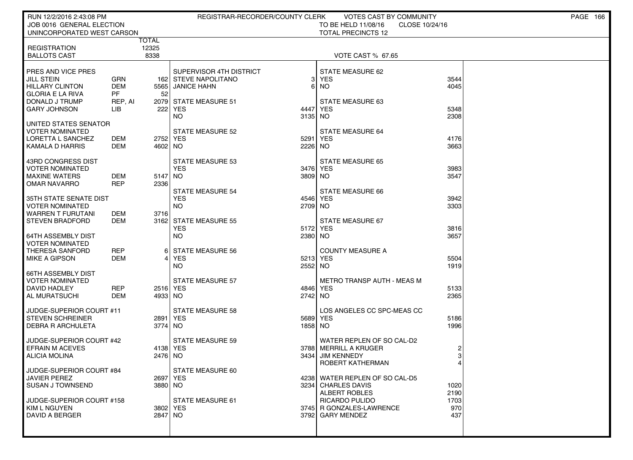| RUN 12/2/2016 2:43:08 PM                         |               |                            | REGISTRAR-RECORDER/COUNTY CLERK |                     | VOTES CAST BY COMMUNITY               |              | <b>PAGE 166</b> |
|--------------------------------------------------|---------------|----------------------------|---------------------------------|---------------------|---------------------------------------|--------------|-----------------|
| JOB 0016 GENERAL ELECTION                        |               |                            |                                 |                     | TO BE HELD 11/08/16<br>CLOSE 10/24/16 |              |                 |
| UNINCORPORATED WEST CARSON                       |               |                            |                                 |                     | <b>TOTAL PRECINCTS 12</b>             |              |                 |
| <b>REGISTRATION</b>                              | <b>TOTAL</b>  | 12325                      |                                 |                     |                                       |              |                 |
| <b>BALLOTS CAST</b>                              |               | 8338                       |                                 |                     | <b>VOTE CAST % 67.65</b>              |              |                 |
|                                                  |               |                            |                                 |                     |                                       |              |                 |
| <b>PRES AND VICE PRES</b>                        |               |                            | SUPERVISOR 4TH DISTRICT         |                     | STATE MEASURE 62                      |              |                 |
| <b>JILL STEIN</b>                                | GRN           | 162                        | <b>STEVE NAPOLITANO</b>         | 3                   | YES                                   | 3544         |                 |
| <b>HILLARY CLINTON</b>                           | <b>DEM</b>    | 5565                       | JANICE HAHN                     | 6                   | NO.                                   | 4045         |                 |
| <b>GLORIA E LA RIVA</b><br>  DONALD J TRUMP      | PF<br>REP, AI | 52                         | 2079 STATE MEASURE 51           |                     | STATE MEASURE 63                      |              |                 |
| <b>GARY JOHNSON</b>                              | LIB           | 222                        | YES                             | 4447                | YES                                   | 5348         |                 |
|                                                  |               |                            | NO.                             | 3135 NO             |                                       | 2308         |                 |
| UNITED STATES SENATOR                            |               |                            |                                 |                     |                                       |              |                 |
| VOTER NOMINATED                                  |               |                            | <b>STATE MEASURE 52</b>         |                     | STATE MEASURE 64                      |              |                 |
| LORETTA L SANCHEZ                                | DEM           | 2752                       | YES                             | 5291                | YES                                   | 4176         |                 |
| KAMALA D HARRIS                                  | DEM           | 4602                       | NO.                             | 2226                | NO.                                   | 3663         |                 |
| 43RD CONGRESS DIST                               |               |                            | <b>STATE MEASURE 53</b>         |                     | <b>STATE MEASURE 65</b>               |              |                 |
| <b>VOTER NOMINATED</b>                           |               |                            | <b>YES</b>                      |                     | 3476 YES                              | 3983         |                 |
| <b>MAXINE WATERS</b>                             | DEM           | 5147                       | NO                              | 3809 NO             |                                       | 3547         |                 |
| OMAR NAVARRO                                     | <b>REP</b>    | 2336                       |                                 |                     |                                       |              |                 |
|                                                  |               |                            | <b>STATE MEASURE 54</b>         |                     | STATE MEASURE 66                      |              |                 |
| 35TH STATE SENATE DIST<br><b>VOTER NOMINATED</b> |               |                            | <b>YES</b><br><b>NO</b>         | 4546 YES<br>2709 NO |                                       | 3942<br>3303 |                 |
| WARREN T FURUTANI                                | DEM           | 3716                       |                                 |                     |                                       |              |                 |
| I STEVEN BRADFORD                                | DEM           | 3162                       | <b>STATE MEASURE 55</b>         |                     | STATE MEASURE 67                      |              |                 |
|                                                  |               |                            | <b>YES</b>                      | 5172                | <b>YES</b>                            | 3816         |                 |
| 64TH ASSEMBLY DIST                               |               |                            | <b>NO</b>                       | 2380 NO             |                                       | 3657         |                 |
| <b>VOTER NOMINATED</b>                           |               |                            |                                 |                     |                                       |              |                 |
| THERESA SANFORD                                  | REP           | 6<br>$\boldsymbol{\Delta}$ | <b>STATE MEASURE 56</b>         |                     | <b>COUNTY MEASURE A</b>               |              |                 |
| <b>MIKE A GIPSON</b>                             | DEM           |                            | <b>YES</b><br>NO.               | 5213 YES<br>2552    | <b>NO</b>                             | 5504<br>1919 |                 |
| 66TH ASSEMBLY DIST                               |               |                            |                                 |                     |                                       |              |                 |
| VOTER NOMINATED                                  |               |                            | <b>STATE MEASURE 57</b>         |                     | <b>METRO TRANSP AUTH - MEAS M</b>     |              |                 |
| DAVID HADLEY                                     | REP           | 2516 YES                   |                                 | 4846 YES            |                                       | 5133         |                 |
| AL MURATSUCHI                                    | DEM           | 4933 NO                    |                                 | 2742 NO             |                                       | 2365         |                 |
| JUDGE-SUPERIOR COURT #11                         |               |                            | <b>STATE MEASURE 58</b>         |                     | LOS ANGELES CC SPC-MEAS CC            |              |                 |
| I STEVEN SCHREINER                               |               | 2891                       | <b>YES</b>                      | 5689 YES            |                                       | 5186         |                 |
| <b>DEBRA R ARCHULETA</b>                         |               | 3774 NO                    |                                 | 1858 NO             |                                       | 1996         |                 |
|                                                  |               |                            |                                 |                     |                                       |              |                 |
| JUDGE-SUPERIOR COURT #42                         |               |                            | <b>STATE MEASURE 59</b>         |                     | WATER REPLEN OF SO CAL-D2             |              |                 |
| <b>EFRAIN M ACEVES</b>                           |               | 4138 YES                   |                                 | 3788                | MERRILL A KRUGER                      |              |                 |
| ALICIA MOLINA                                    |               | 2476 NO                    |                                 | 3434                | <b>JIM KENNEDY</b>                    |              |                 |
| JUDGE-SUPERIOR COURT #84                         |               |                            | STATE MEASURE 60                |                     | ROBERT KATHERMAN                      |              |                 |
| JAVIER PEREZ                                     |               | 2697                       | YES                             |                     | 4238 WATER REPLEN OF SO CAL-D5        |              |                 |
| SUSAN J TOWNSEND                                 |               | 3880 NO                    |                                 |                     | 3234 CHARLES DAVIS                    | 1020         |                 |
|                                                  |               |                            |                                 |                     | ALBERT ROBLES                         | 2190         |                 |
| JUDGE-SUPERIOR COURT #158                        |               |                            | STATE MEASURE 61                |                     | RICARDO PULIDO                        | 1703         |                 |
| KIM L NGUYEN                                     |               |                            | 3802 YES                        |                     | 3745 R GONZALES-LAWRENCE              | 970          |                 |
| DAVID A BERGER                                   |               | 2847 NO                    |                                 |                     | 3792 GARY MENDEZ                      | 437          |                 |
|                                                  |               |                            |                                 |                     |                                       |              |                 |
|                                                  |               |                            |                                 |                     |                                       |              |                 |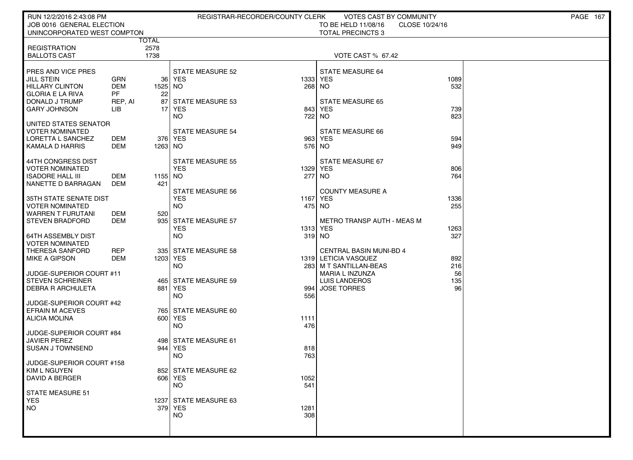| RUN 12/2/2016 2:43:08 PM                            |            |                      |                         | REGISTRAR-RECORDER/COUNTY CLERK | VOTES CAST BY COMMUNITY                 |                | <b>PAGE 167</b> |
|-----------------------------------------------------|------------|----------------------|-------------------------|---------------------------------|-----------------------------------------|----------------|-----------------|
| JOB 0016 GENERAL ELECTION                           |            |                      |                         |                                 | TO BE HELD 11/08/16                     | CLOSE 10/24/16 |                 |
| UNINCORPORATED WEST COMPTON                         |            |                      |                         |                                 | <b>TOTAL PRECINCTS 3</b>                |                |                 |
| <b>REGISTRATION</b>                                 |            | <b>TOTAL</b><br>2578 |                         |                                 |                                         |                |                 |
| <b>BALLOTS CAST</b>                                 |            | 1738                 |                         |                                 | <b>VOTE CAST % 67.42</b>                |                |                 |
|                                                     |            |                      |                         |                                 |                                         |                |                 |
| <b>PRES AND VICE PRES</b>                           |            |                      | <b>STATE MEASURE 52</b> |                                 | STATE MEASURE 64                        |                |                 |
| JILL STEIN                                          | <b>GRN</b> |                      | 36 YES                  |                                 | 1333 YES                                | 1089           |                 |
| <b>HILLARY CLINTON</b>                              | DEM        | 1525 NO              |                         | 268                             | NO.                                     | 532            |                 |
| GLORIA E LA RIVA                                    | PF         | 22                   |                         |                                 |                                         |                |                 |
| DONALD J TRUMP                                      | REP, AI    | 87                   | <b>STATE MEASURE 53</b> |                                 | <b>STATE MEASURE 65</b>                 |                |                 |
| <b>GARY JOHNSON</b>                                 | ЦB         | 17                   | YES                     | 843                             | YES                                     | 739            |                 |
| UNITED STATES SENATOR                               |            |                      | NO.                     |                                 | 722 NO                                  | 823            |                 |
| VOTER NOMINATED                                     |            |                      | <b>STATE MEASURE 54</b> |                                 | STATE MEASURE 66                        |                |                 |
| LORETTA L SANCHEZ                                   | DEM        |                      | 376 YES                 | 963                             | YES                                     | 594            |                 |
| KAMALA D HARRIS                                     | DEM        | 1263 NO              |                         |                                 | 576 NO                                  | 949            |                 |
|                                                     |            |                      |                         |                                 |                                         |                |                 |
| 44TH CONGRESS DIST                                  |            |                      | STATE MEASURE 55        |                                 | STATE MEASURE 67                        |                |                 |
| VOTER NOMINATED                                     |            |                      | <b>YES</b>              |                                 | 1329 YES                                | 806            |                 |
| I ISADORE HALL III                                  | DEM        | 1155 NO              |                         |                                 | 277 NO                                  | 764            |                 |
| I NANETTE D BARRAGAN                                | DEM        | 421                  |                         |                                 |                                         |                |                 |
|                                                     |            |                      | <b>STATE MEASURE 56</b> |                                 | <b>COUNTY MEASURE A</b>                 |                |                 |
| 35TH STATE SENATE DIST<br>I VOTER NOMINATED         |            |                      | <b>YES</b><br>NO.       |                                 | 1167 YES<br>475 NO                      | 1336<br>255    |                 |
| WARREN T FURUTANI                                   | DEM        | 520                  |                         |                                 |                                         |                |                 |
| <b>STEVEN BRADFORD</b>                              | DEM        | 935                  | <b>STATE MEASURE 57</b> |                                 | METRO TRANSP AUTH - MEAS M              |                |                 |
|                                                     |            |                      | <b>YES</b>              |                                 | 1313 YES                                | 1263           |                 |
| I 64TH ASSEMBLY DIST                                |            |                      | <b>NO</b>               |                                 | 319 NO                                  | 327            |                 |
| VOTER NOMINATED                                     |            |                      |                         |                                 |                                         |                |                 |
| THERESA SANFORD                                     | REP        |                      | 335 STATE MEASURE 58    |                                 | <b>CENTRAL BASIN MUNI-BD 4</b>          |                |                 |
| <b>MIKE A GIPSON</b>                                | DEM        | 1203 YES             |                         |                                 | 1319 LETICIA VASQUEZ                    | 892            |                 |
|                                                     |            |                      | NO.                     |                                 | 283   M T SANTILLAN-BEAS                | 216            |                 |
| JUDGE-SUPERIOR COURT #11<br><b>STEVEN SCHREINER</b> |            |                      | 465 STATE MEASURE 59    |                                 | <b>MARIA L INZUNZA</b><br>LUIS LANDEROS | 56<br>135      |                 |
| <b>DEBRA R ARCHULETA</b>                            |            | 881                  | YES                     | 994                             | <b>JOSE TORRES</b>                      | 96             |                 |
|                                                     |            |                      | NO.                     | 556                             |                                         |                |                 |
| UUDGE-SUPERIOR COURT #42                            |            |                      |                         |                                 |                                         |                |                 |
| <b>EFRAIN M ACEVES</b>                              |            |                      | 765 STATE MEASURE 60    |                                 |                                         |                |                 |
| ALICIA MOLINA                                       |            |                      | 600 YES                 | 1111                            |                                         |                |                 |
|                                                     |            |                      | NO.                     | 476                             |                                         |                |                 |
| JUDGE-SUPERIOR COURT #84                            |            |                      |                         |                                 |                                         |                |                 |
| <b>JAVIER PEREZ</b>                                 |            | 944                  | 498 STATE MEASURE 61    |                                 |                                         |                |                 |
| <b>SUSAN J TOWNSEND</b>                             |            |                      | YES<br><b>NO</b>        | 818<br>763                      |                                         |                |                 |
| JUDGE-SUPERIOR COURT #158                           |            |                      |                         |                                 |                                         |                |                 |
| KIM L NGUYEN                                        |            |                      | 852 STATE MEASURE 62    |                                 |                                         |                |                 |
| DAVID A BERGER                                      |            |                      | 606 YES                 | 1052                            |                                         |                |                 |
|                                                     |            |                      | <b>NO</b>               | 541                             |                                         |                |                 |
| <b>STATE MEASURE 51</b>                             |            |                      |                         |                                 |                                         |                |                 |
| <b>YES</b>                                          |            |                      | 1237 STATE MEASURE 63   |                                 |                                         |                |                 |
| <b>NO</b>                                           |            |                      | 379 YES<br><b>NO</b>    | 1281<br>308                     |                                         |                |                 |
|                                                     |            |                      |                         |                                 |                                         |                |                 |
|                                                     |            |                      |                         |                                 |                                         |                |                 |
|                                                     |            |                      |                         |                                 |                                         |                |                 |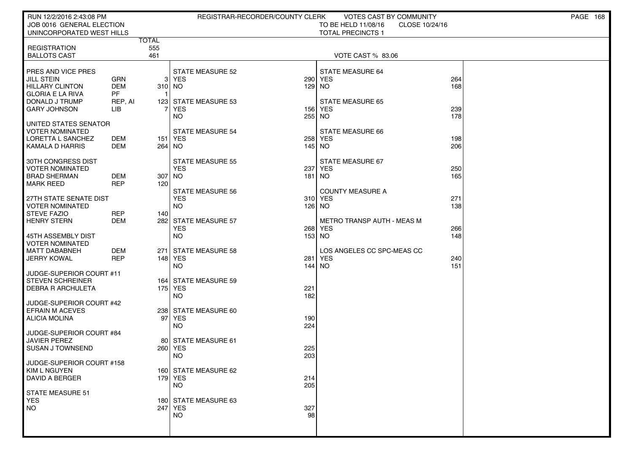| RUN 12/2/2016 2:43:08 PM                            |                  |              | REGISTRAR-RECORDER/COUNTY CLERK      |            | VOTES CAST BY COMMUNITY           |                | PAGE 168 |  |
|-----------------------------------------------------|------------------|--------------|--------------------------------------|------------|-----------------------------------|----------------|----------|--|
| JOB 0016 GENERAL ELECTION                           |                  |              |                                      |            | TO BE HELD 11/08/16               | CLOSE 10/24/16 |          |  |
| UNINCORPORATED WEST HILLS                           |                  | <b>TOTAL</b> |                                      |            | <b>TOTAL PRECINCTS 1</b>          |                |          |  |
| <b>REGISTRATION</b>                                 |                  | 555          |                                      |            |                                   |                |          |  |
| <b>BALLOTS CAST</b>                                 |                  | 461          |                                      |            | <b>VOTE CAST % 83.06</b>          |                |          |  |
|                                                     |                  |              |                                      |            |                                   |                |          |  |
| PRES AND VICE PRES                                  |                  |              | <b>STATE MEASURE 52</b>              |            | STATE MEASURE 64                  |                |          |  |
| JILL STEIN                                          | <b>GRN</b>       |              | 3 YES                                | 290        | <b>YES</b>                        | 264            |          |  |
| <b>HILLARY CLINTON</b><br><b>GLORIA E LA RIVA</b>   | <b>DEM</b><br>PF | 310 NO       |                                      | 129        | NO                                | 168            |          |  |
| DONALD J TRUMP                                      | REP, AI          |              | 123 STATE MEASURE 53                 |            | <b>STATE MEASURE 65</b>           |                |          |  |
| <b>GARY JOHNSON</b>                                 | LІВ              |              | <b>YES</b>                           | 156        | <b>YES</b>                        | 239            |          |  |
|                                                     |                  |              | NO.                                  | 255        | NO.                               | 178            |          |  |
| UNITED STATES SENATOR                               |                  |              |                                      |            |                                   |                |          |  |
| <b>VOTER NOMINATED</b><br>LORETTA L SANCHEZ         | DEM              |              | <b>STATE MEASURE 54</b><br>151   YES | 258        | STATE MEASURE 66<br><b>YES</b>    | 198            |          |  |
| KAMALA D HARRIS                                     | DEM              | 264 NO       |                                      | 145        | NO.                               | 206            |          |  |
|                                                     |                  |              |                                      |            |                                   |                |          |  |
| 30TH CONGRESS DIST                                  |                  |              | <b>STATE MEASURE 55</b>              |            | STATE MEASURE 67                  |                |          |  |
| <b>VOTER NOMINATED</b>                              |                  |              | <b>YES</b>                           | 237        | <b>YES</b>                        | 250            |          |  |
| <b>BRAD SHERMAN</b>                                 | DEM              | 307 NO       |                                      | 181        | NO.                               | 165            |          |  |
| <b>MARK REED</b>                                    | <b>REP</b>       | 120          | <b>STATE MEASURE 56</b>              |            | <b>COUNTY MEASURE A</b>           |                |          |  |
| 27TH STATE SENATE DIST                              |                  |              | <b>YES</b>                           |            | 310 YES                           | 271            |          |  |
| <b>VOTER NOMINATED</b>                              |                  |              | NO.                                  |            | $126$ NO                          | 138            |          |  |
| <b>STEVE FAZIO</b>                                  | REP              | 140          |                                      |            |                                   |                |          |  |
| <b>HENRY STERN</b>                                  | DEM              |              | 282 STATE MEASURE 57                 |            | <b>METRO TRANSP AUTH - MEAS M</b> |                |          |  |
|                                                     |                  |              | <b>YES</b><br><b>NO</b>              | 268        | <b>YES</b><br>153 NO              | 266<br>148     |          |  |
| 45TH ASSEMBLY DIST<br><b>VOTER NOMINATED</b>        |                  |              |                                      |            |                                   |                |          |  |
| <b>MATT DABABNEH</b>                                | DEM              | 271          | STATE MEASURE 58                     |            | LOS ANGELES CC SPC-MEAS CC        |                |          |  |
| <b>JERRY KOWAL</b>                                  | <b>REP</b>       |              | 148 YES                              | 281        | <b>YES</b>                        | 240            |          |  |
|                                                     |                  |              | NO.                                  | 144        | NO.                               | 151            |          |  |
| JUDGE-SUPERIOR COURT #11                            |                  |              |                                      |            |                                   |                |          |  |
| <b>STEVEN SCHREINER</b><br><b>DEBRA R ARCHULETA</b> |                  |              | 164 STATE MEASURE 59<br>175 YES      | 221        |                                   |                |          |  |
|                                                     |                  |              | NO.                                  | 182        |                                   |                |          |  |
| JUDGE-SUPERIOR COURT #42                            |                  |              |                                      |            |                                   |                |          |  |
| <b>EFRAIN M ACEVES</b>                              |                  |              | 238 STATE MEASURE 60                 |            |                                   |                |          |  |
| ALICIA MOLINA                                       |                  | 97           | YES                                  | 190        |                                   |                |          |  |
|                                                     |                  |              | NO.                                  | 224        |                                   |                |          |  |
| JUDGE-SUPERIOR COURT #84<br><b>JAVIER PEREZ</b>     |                  |              | 80 STATE MEASURE 61                  |            |                                   |                |          |  |
| <b>SUSAN J TOWNSEND</b>                             |                  |              | 260 YES                              | 225        |                                   |                |          |  |
|                                                     |                  |              | NO.                                  | 203        |                                   |                |          |  |
| JUDGE-SUPERIOR COURT #158                           |                  |              |                                      |            |                                   |                |          |  |
| KIM L NGUYEN                                        |                  |              | 160 STATE MEASURE 62                 |            |                                   |                |          |  |
| <b>DAVID A BERGER</b>                               |                  |              | 179 YES<br><b>NO</b>                 | 214<br>205 |                                   |                |          |  |
| STATE MEASURE 51                                    |                  |              |                                      |            |                                   |                |          |  |
| <b>YES</b>                                          |                  |              | 180 STATE MEASURE 63                 |            |                                   |                |          |  |
| <b>NO</b>                                           |                  |              | 247 YES                              | 327        |                                   |                |          |  |
|                                                     |                  |              | <b>NO</b>                            | 98         |                                   |                |          |  |
|                                                     |                  |              |                                      |            |                                   |                |          |  |
|                                                     |                  |              |                                      |            |                                   |                |          |  |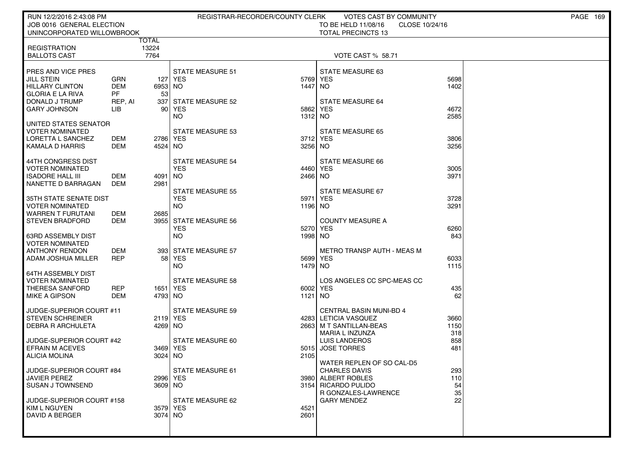| RUN 12/2/2016 2:43:08 PM                                                |                         |                     | REGISTRAR-RECORDER/COUNTY CLERK       |              | VOTES CAST BY COMMUNITY                          |              |  | <b>PAGE 169</b> |  |  |  |
|-------------------------------------------------------------------------|-------------------------|---------------------|---------------------------------------|--------------|--------------------------------------------------|--------------|--|-----------------|--|--|--|
| JOB 0016 GENERAL ELECTION                                               |                         |                     |                                       |              |                                                  |              |  |                 |  |  |  |
| <b>TOTAL PRECINCTS 13</b><br>UNINCORPORATED WILLOWBROOK<br><b>TOTAL</b> |                         |                     |                                       |              |                                                  |              |  |                 |  |  |  |
| <b>REGISTRATION</b>                                                     |                         | 13224               |                                       |              |                                                  |              |  |                 |  |  |  |
| <b>BALLOTS CAST</b>                                                     |                         | 7764                |                                       |              | VOTE CAST % 58.71                                |              |  |                 |  |  |  |
|                                                                         |                         |                     |                                       |              |                                                  |              |  |                 |  |  |  |
| <b>PRES AND VICE PRES</b>                                               |                         |                     | <b>STATE MEASURE 51</b>               |              | STATE MEASURE 63                                 |              |  |                 |  |  |  |
| <b>JILL STEIN</b>                                                       | <b>GRN</b>              |                     | 127 YES                               | 5769         | YES                                              | 5698         |  |                 |  |  |  |
| <b>HILLARY CLINTON</b><br><b>GLORIA E LA RIVA</b>                       | <b>DEM</b><br><b>PF</b> | 6953 NO<br>53       |                                       | 1447         | NO.                                              | 1402         |  |                 |  |  |  |
| DONALD J TRUMP                                                          | REP, AI                 | 337                 | <b>STATE MEASURE 52</b>               |              | <b>STATE MEASURE 64</b>                          |              |  |                 |  |  |  |
| <b>GARY JOHNSON</b>                                                     | LIB                     | -90 l               | YES                                   | 5862         | <b>YES</b>                                       | 4672         |  |                 |  |  |  |
|                                                                         |                         |                     | NO.                                   | 1312         | NO.                                              | 2585         |  |                 |  |  |  |
| UNITED STATES SENATOR                                                   |                         |                     |                                       |              |                                                  |              |  |                 |  |  |  |
| I VOTER NOMINATED                                                       |                         |                     | <b>STATE MEASURE 53</b>               |              | <b>STATE MEASURE 65</b>                          |              |  |                 |  |  |  |
| LORETTA L SANCHEZ                                                       | DEM<br>DEM              | 2786 YES<br>4524 NO |                                       | 3712<br>3256 | <b>YES</b>                                       | 3806<br>3256 |  |                 |  |  |  |
| KAMALA D HARRIS                                                         |                         |                     |                                       |              | NO.                                              |              |  |                 |  |  |  |
| 44TH CONGRESS DIST                                                      |                         |                     | <b>STATE MEASURE 54</b>               |              | <b>STATE MEASURE 66</b>                          |              |  |                 |  |  |  |
| <b>VOTER NOMINATED</b>                                                  |                         |                     | <b>YES</b>                            | 4460         | <b>YES</b>                                       | 3005         |  |                 |  |  |  |
| <b>ISADORE HALL III</b>                                                 | DEM                     | 4091   NO           |                                       | 2466         | NO.                                              | 3971         |  |                 |  |  |  |
| NANETTE D BARRAGAN                                                      | DEM                     | 2981                |                                       |              |                                                  |              |  |                 |  |  |  |
| 35TH STATE SENATE DIST                                                  |                         |                     | <b>STATE MEASURE 55</b><br><b>YES</b> | 5971         | STATE MEASURE 67<br><b>YES</b>                   | 3728         |  |                 |  |  |  |
| <b>VOTER NOMINATED</b>                                                  |                         |                     | <b>NO</b>                             | 1196         | NO.                                              | 3291         |  |                 |  |  |  |
| <b>WARREN T FURUTANI</b>                                                | <b>DEM</b>              | 2685                |                                       |              |                                                  |              |  |                 |  |  |  |
| I STEVEN BRADFORD                                                       | DEM                     |                     | 3955 STATE MEASURE 56                 |              | <b>COUNTY MEASURE A</b>                          |              |  |                 |  |  |  |
|                                                                         |                         |                     | <b>YES</b>                            | 5270         | <b>YES</b>                                       | 6260         |  |                 |  |  |  |
| 63RD ASSEMBLY DIST                                                      |                         |                     | <b>NO</b>                             | 1998         | NO.                                              | 843          |  |                 |  |  |  |
| <b>VOTER NOMINATED</b><br>ANTHONY RENDON                                | DEM                     |                     | 393 STATE MEASURE 57                  |              | <b>METRO TRANSP AUTH - MEAS M</b>                |              |  |                 |  |  |  |
| ADAM JOSHUA MILLER                                                      | <b>REP</b>              | 58 l                | YES                                   | 5699         | YES                                              | 6033         |  |                 |  |  |  |
|                                                                         |                         |                     | NO.                                   | 1479         | NO.                                              | 1115         |  |                 |  |  |  |
| 64TH ASSEMBLY DIST                                                      |                         |                     |                                       |              |                                                  |              |  |                 |  |  |  |
| VOTER NOMINATED                                                         |                         |                     | <b>STATE MEASURE 58</b>               |              | LOS ANGELES CC SPC-MEAS CC                       |              |  |                 |  |  |  |
| THERESA SANFORD                                                         | REP                     | 1651   YES          |                                       | 6002         | YES                                              | 435          |  |                 |  |  |  |
| <b>MIKE A GIPSON</b>                                                    | <b>DEM</b>              | 4793 NO             |                                       | 1121         | NO.                                              | 62           |  |                 |  |  |  |
| JUDGE-SUPERIOR COURT #11                                                |                         |                     | <b>STATE MEASURE 59</b>               |              | <b>CENTRAL BASIN MUNI-BD 4</b>                   |              |  |                 |  |  |  |
| I STEVEN SCHREINER                                                      |                         | 2119 YES            |                                       | 4283         | LETICIA VASQUEZ                                  | 3660         |  |                 |  |  |  |
| <b>DEBRA R ARCHULETA</b>                                                |                         | 4269 NO             |                                       | 2663         | M T SANTILLAN-BEAS                               | 1150         |  |                 |  |  |  |
|                                                                         |                         |                     |                                       |              | MARIA L INZUNZA                                  | 318          |  |                 |  |  |  |
| JUDGE-SUPERIOR COURT #42                                                |                         |                     | STATE MEASURE 60                      |              | LUIS LANDEROS                                    | 858          |  |                 |  |  |  |
| <b>EFRAIN M ACEVES</b><br>I ALICIA MOLINA                               |                         | 3469 YES<br>3024 NO |                                       | 5015<br>2105 | <b>JOSE TORRES</b>                               | 481          |  |                 |  |  |  |
|                                                                         |                         |                     |                                       |              | WATER REPLEN OF SO CAL-D5                        |              |  |                 |  |  |  |
| JUDGE-SUPERIOR COURT #84                                                |                         |                     | STATE MEASURE 61                      |              | <b>CHARLES DAVIS</b>                             | 293          |  |                 |  |  |  |
| JAVIER PEREZ                                                            |                         | 2996 YES            |                                       |              | 3980 ALBERT ROBLES                               | 110          |  |                 |  |  |  |
| <b>SUSAN J TOWNSEND</b>                                                 |                         | 3609 NO             |                                       |              | 3154 RICARDO PULIDO                              | 54           |  |                 |  |  |  |
|                                                                         |                         |                     |                                       |              | <b>R GONZALES-LAWRENCE</b><br><b>GARY MENDEZ</b> | 35           |  |                 |  |  |  |
| JUDGE-SUPERIOR COURT #158<br>KIM L NGUYEN                               |                         | 3579 YES            | STATE MEASURE 62                      | 4521         |                                                  | 22           |  |                 |  |  |  |
| DAVID A BERGER                                                          |                         | 3074 NO             |                                       | 2601         |                                                  |              |  |                 |  |  |  |
|                                                                         |                         |                     |                                       |              |                                                  |              |  |                 |  |  |  |
|                                                                         |                         |                     |                                       |              |                                                  |              |  |                 |  |  |  |